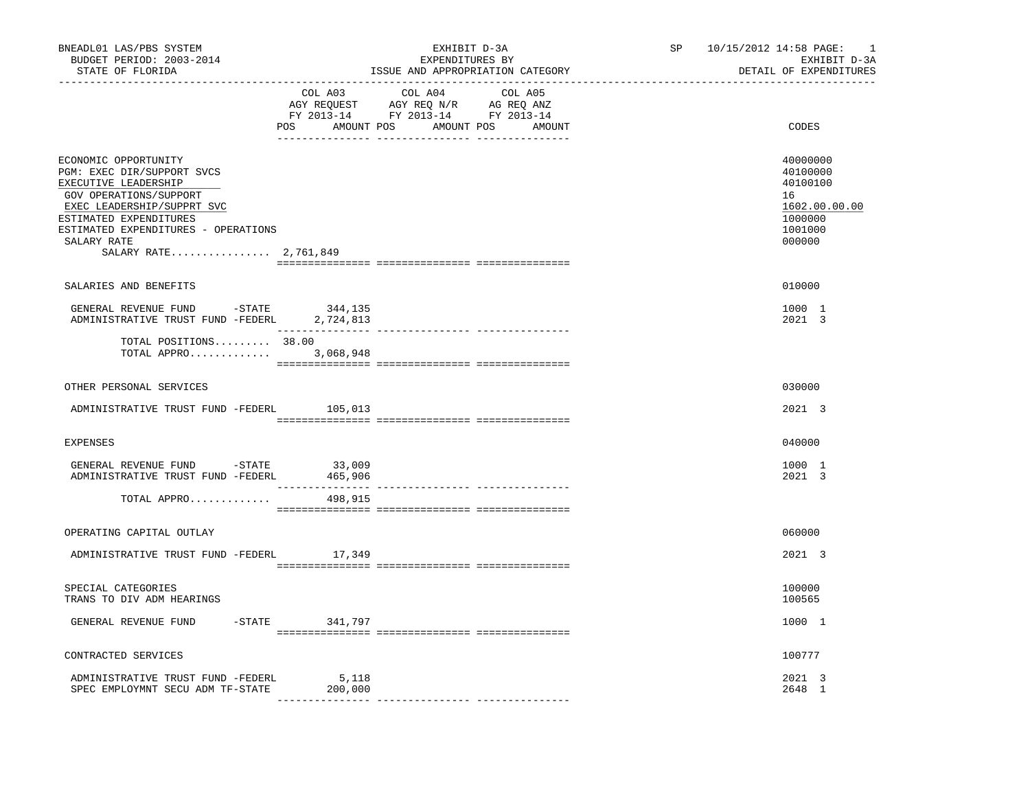| BNEADL01 LAS/PBS SYSTEM<br>BUDGET PERIOD: 2003-2014<br>STATE OF FLORIDA                                                                                                                                                                     |                                             | EXHIBIT D-3A<br>EXPENDITURES BY                                                   | ISSUE AND APPROPRIATION CATEGORY | SP<br>_____________________ | 10/15/2012 14:58 PAGE:<br>-1<br>EXHIBIT D-3A<br>DETAIL OF EXPENDITURES                  |
|---------------------------------------------------------------------------------------------------------------------------------------------------------------------------------------------------------------------------------------------|---------------------------------------------|-----------------------------------------------------------------------------------|----------------------------------|-----------------------------|-----------------------------------------------------------------------------------------|
|                                                                                                                                                                                                                                             | COL A03<br>POS AMOUNT POS AMOUNT POS AMOUNT | COL A04<br>AGY REQUEST AGY REQ N/R AG REQ ANZ<br>FY 2013-14 FY 2013-14 FY 2013-14 | COL A05                          |                             | CODES                                                                                   |
| ECONOMIC OPPORTUNITY<br>PGM: EXEC DIR/SUPPORT SVCS<br>EXECUTIVE LEADERSHIP<br>GOV OPERATIONS/SUPPORT<br>EXEC LEADERSHIP/SUPPRT SVC<br>ESTIMATED EXPENDITURES<br>ESTIMATED EXPENDITURES - OPERATIONS<br>SALARY RATE<br>SALARY RATE 2,761,849 |                                             |                                                                                   |                                  |                             | 40000000<br>40100000<br>40100100<br>16<br>1602.00.00.00<br>1000000<br>1001000<br>000000 |
| SALARIES AND BENEFITS                                                                                                                                                                                                                       |                                             |                                                                                   |                                  |                             | 010000                                                                                  |
| GENERAL REVENUE FUND -STATE<br>ADMINISTRATIVE TRUST FUND -FEDERL 2,724,813                                                                                                                                                                  | 344,135                                     |                                                                                   |                                  |                             | 1000 1<br>2021 3                                                                        |
| TOTAL POSITIONS 38.00<br>TOTAL APPRO 3,068,948                                                                                                                                                                                              |                                             |                                                                                   |                                  |                             |                                                                                         |
| OTHER PERSONAL SERVICES                                                                                                                                                                                                                     |                                             |                                                                                   |                                  |                             | 030000                                                                                  |
| ADMINISTRATIVE TRUST FUND -FEDERL                                                                                                                                                                                                           | 105,013                                     |                                                                                   |                                  |                             | 2021 3                                                                                  |
| EXPENSES                                                                                                                                                                                                                                    |                                             |                                                                                   |                                  |                             | 040000                                                                                  |
| GENERAL REVENUE FUND -STATE<br>ADMINISTRATIVE TRUST FUND -FEDERL                                                                                                                                                                            | 33,009<br>465,906                           |                                                                                   |                                  |                             | 1000 1<br>2021 3                                                                        |
| TOTAL APPRO                                                                                                                                                                                                                                 | 498,915                                     |                                                                                   |                                  |                             |                                                                                         |
| OPERATING CAPITAL OUTLAY                                                                                                                                                                                                                    |                                             |                                                                                   |                                  |                             | 060000                                                                                  |
| ADMINISTRATIVE TRUST FUND -FEDERL 17,349                                                                                                                                                                                                    |                                             |                                                                                   |                                  |                             | 2021 3                                                                                  |
| SPECIAL CATEGORIES<br>TRANS TO DIV ADM HEARINGS                                                                                                                                                                                             |                                             |                                                                                   |                                  |                             | 100000<br>100565                                                                        |
| GENERAL REVENUE FUND                                                                                                                                                                                                                        | -STATE 341,797                              |                                                                                   |                                  |                             | 1000 1                                                                                  |
| CONTRACTED SERVICES                                                                                                                                                                                                                         |                                             |                                                                                   |                                  |                             | 100777                                                                                  |
| ADMINISTRATIVE TRUST FUND -FEDERL 5,118<br>SPEC EMPLOYMNT SECU ADM TF-STATE                                                                                                                                                                 | 200,000                                     |                                                                                   |                                  |                             | 2021 3<br>2648 1                                                                        |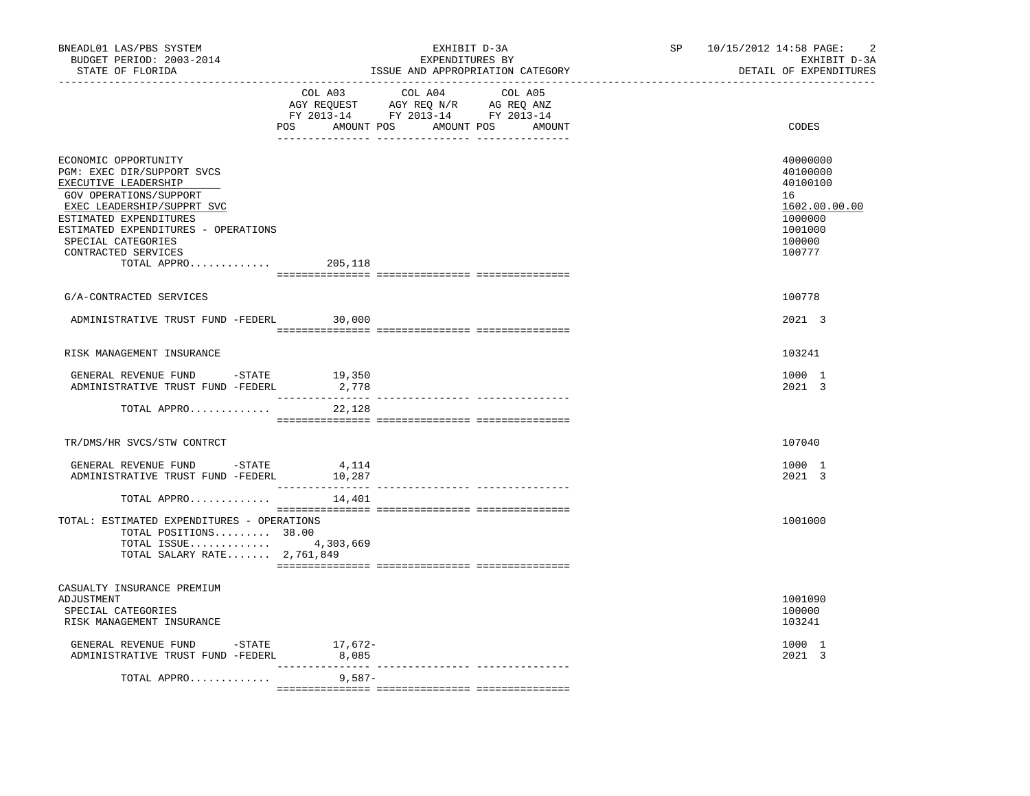| BNEADL01 LAS/PBS SYSTEM<br>BUDGET PERIOD: 2003-2014<br>STATE OF FLORIDA                                                                                                                                                                                         |                             | EXHIBIT D-3A<br>EXPENDITURES BY<br>ISSUE AND APPROPRIATION CATEGORY                                                              | SP 10/15/2012 14:58 PAGE:<br>$\overline{2}$<br>EXHIBIT D-3A<br>DETAIL OF EXPENDITURES             |
|-----------------------------------------------------------------------------------------------------------------------------------------------------------------------------------------------------------------------------------------------------------------|-----------------------------|----------------------------------------------------------------------------------------------------------------------------------|---------------------------------------------------------------------------------------------------|
|                                                                                                                                                                                                                                                                 | COL A03                     | COL A04<br>COL A05<br>AGY REQUEST AGY REQ N/R AG REQ ANZ<br>FY 2013-14 FY 2013-14 FY 2013-14<br>POS AMOUNT POS AMOUNT POS AMOUNT | CODES                                                                                             |
| ECONOMIC OPPORTUNITY<br>PGM: EXEC DIR/SUPPORT SVCS<br>EXECUTIVE LEADERSHIP<br>GOV OPERATIONS/SUPPORT<br>EXEC LEADERSHIP/SUPPRT SVC<br>ESTIMATED EXPENDITURES<br>ESTIMATED EXPENDITURES - OPERATIONS<br>SPECIAL CATEGORIES<br>CONTRACTED SERVICES<br>TOTAL APPRO | 205,118                     |                                                                                                                                  | 40000000<br>40100000<br>40100100<br>16<br>1602.00.00.00<br>1000000<br>1001000<br>100000<br>100777 |
| G/A-CONTRACTED SERVICES                                                                                                                                                                                                                                         |                             |                                                                                                                                  | 100778                                                                                            |
| ADMINISTRATIVE TRUST FUND -FEDERL 30,000                                                                                                                                                                                                                        |                             |                                                                                                                                  | 2021 3                                                                                            |
| RISK MANAGEMENT INSURANCE                                                                                                                                                                                                                                       |                             |                                                                                                                                  | 103241                                                                                            |
| GENERAL REVENUE FUND $-$ STATE 19,350<br>ADMINISTRATIVE TRUST FUND -FEDERL                                                                                                                                                                                      | 2,778<br>________________   |                                                                                                                                  | 1000 1<br>2021 3                                                                                  |
| TOTAL APPRO                                                                                                                                                                                                                                                     | 22,128                      |                                                                                                                                  |                                                                                                   |
| TR/DMS/HR SVCS/STW CONTRCT                                                                                                                                                                                                                                      |                             |                                                                                                                                  | 107040                                                                                            |
| GENERAL REVENUE FUND -STATE 4,114<br>ADMINISTRATIVE TRUST FUND -FEDERL                                                                                                                                                                                          | 10,287<br>_________________ |                                                                                                                                  | 1000 1<br>2021 3                                                                                  |
| TOTAL APPRO                                                                                                                                                                                                                                                     | 14,401                      |                                                                                                                                  |                                                                                                   |
| TOTAL: ESTIMATED EXPENDITURES - OPERATIONS<br>TOTAL POSITIONS 38.00<br>TOTAL ISSUE 4,303,669<br>TOTAL SALARY RATE 2,761,849                                                                                                                                     |                             |                                                                                                                                  | 1001000                                                                                           |
| CASUALTY INSURANCE PREMIUM<br>ADJUSTMENT<br>SPECIAL CATEGORIES<br>RISK MANAGEMENT INSURANCE                                                                                                                                                                     |                             |                                                                                                                                  | 1001090<br>100000<br>103241                                                                       |
| GENERAL REVENUE FUND - STATE<br>ADMINISTRATIVE TRUST FUND -FEDERL                                                                                                                                                                                               | 17,672-<br>8,085            |                                                                                                                                  | 1000 1<br>2021 3                                                                                  |
| TOTAL APPRO                                                                                                                                                                                                                                                     | 9,587-                      |                                                                                                                                  |                                                                                                   |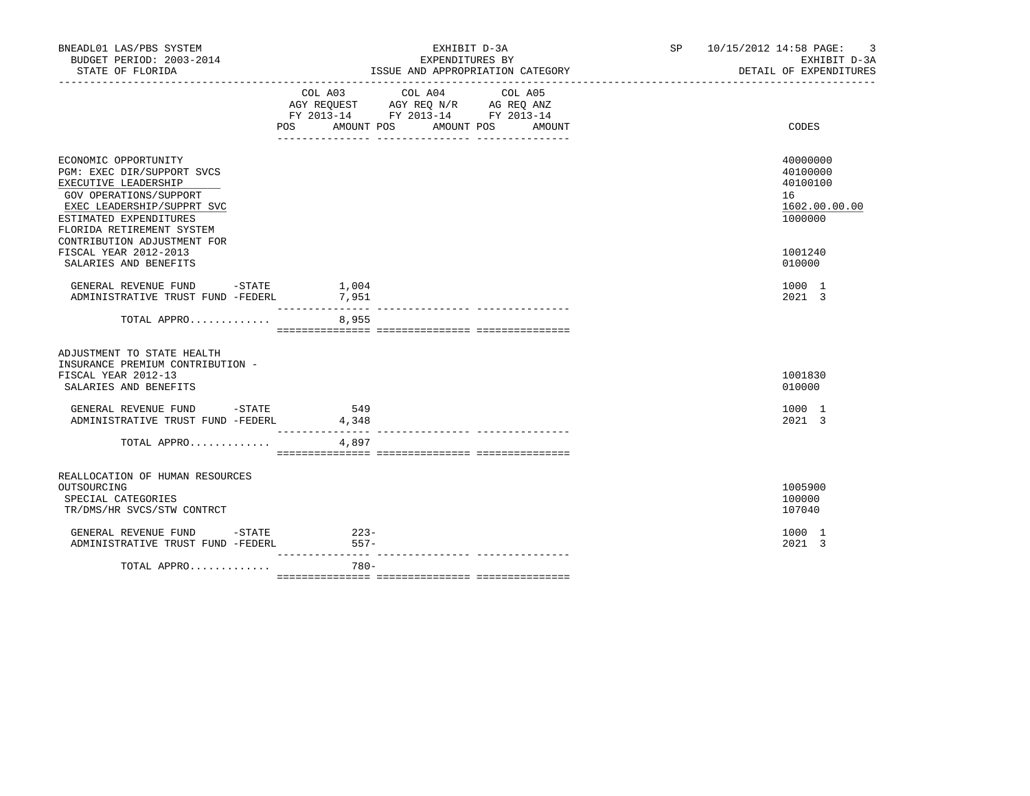| BNEADL01 LAS/PBS SYSTEM<br>BUDGET PERIOD: 2003-2014                                                                                                                                                                                               |                  | EXHIBIT D-3A<br>EXPENDITURES BY                                                                                                     | SP 10/15/2012 14:58 PAGE: 3<br>EXHIBIT D-3A<br>DETAIL OF EXPENDITURES         |  |
|---------------------------------------------------------------------------------------------------------------------------------------------------------------------------------------------------------------------------------------------------|------------------|-------------------------------------------------------------------------------------------------------------------------------------|-------------------------------------------------------------------------------|--|
|                                                                                                                                                                                                                                                   | COL A03          | COL A04<br>COL A05<br>AGY REQUEST AGY REQ N/R AG REQ ANZ<br>FY 2013-14 FY 2013-14 FY 2013-14<br>POS AMOUNT POS AMOUNT POS<br>AMOUNT | CODES                                                                         |  |
| ECONOMIC OPPORTUNITY<br>PGM: EXEC DIR/SUPPORT SVCS<br>EXECUTIVE LEADERSHIP<br>GOV OPERATIONS/SUPPORT<br>EXEC LEADERSHIP/SUPPRT SVC<br>ESTIMATED EXPENDITURES<br>FLORIDA RETIREMENT SYSTEM<br>CONTRIBUTION ADJUSTMENT FOR<br>FISCAL YEAR 2012-2013 |                  |                                                                                                                                     | 40000000<br>40100000<br>40100100<br>16<br>1602.00.00.00<br>1000000<br>1001240 |  |
| SALARIES AND BENEFITS<br>GENERAL REVENUE FUND -STATE 1,004<br>ADMINISTRATIVE TRUST FUND -FEDERL 7,951                                                                                                                                             |                  |                                                                                                                                     | 010000<br>1000 1<br>2021 3                                                    |  |
| TOTAL APPRO                                                                                                                                                                                                                                       | 8,955            |                                                                                                                                     |                                                                               |  |
| ADJUSTMENT TO STATE HEALTH<br>INSURANCE PREMIUM CONTRIBUTION -<br>FISCAL YEAR 2012-13<br>SALARIES AND BENEFITS                                                                                                                                    |                  |                                                                                                                                     | 1001830<br>010000                                                             |  |
| GENERAL REVENUE FUND - STATE<br>ADMINISTRATIVE TRUST FUND -FEDERL                                                                                                                                                                                 | 549<br>4,348     |                                                                                                                                     | 1000 1<br>2021 3                                                              |  |
| TOTAL APPRO                                                                                                                                                                                                                                       | 4,897            |                                                                                                                                     |                                                                               |  |
| REALLOCATION OF HUMAN RESOURCES<br>OUTSOURCING<br>SPECIAL CATEGORIES<br>TR/DMS/HR SVCS/STW CONTRCT                                                                                                                                                |                  |                                                                                                                                     | 1005900<br>100000<br>107040                                                   |  |
| GENERAL REVENUE FUND -STATE<br>ADMINISTRATIVE TRUST FUND -FEDERL                                                                                                                                                                                  | $223-$<br>$557-$ |                                                                                                                                     | 1000 1<br>2021 3                                                              |  |
| TOTAL APPRO                                                                                                                                                                                                                                       | $780 -$          |                                                                                                                                     |                                                                               |  |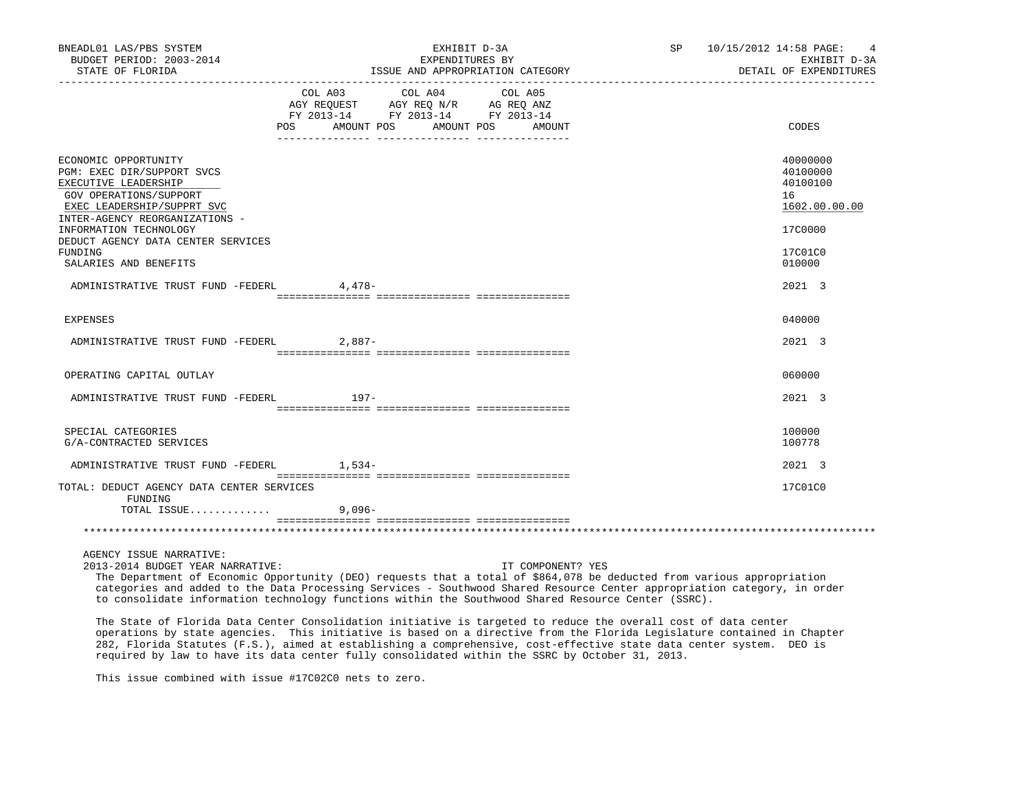| BNEADL01 LAS/PBS SYSTEM<br>BUDGET PERIOD: 2003-2014<br>STATE OF FLORIDA                                                                                                                                                                                                                                                                                                                                                                                                                                                                                                                                                                                                |                | EXHIBIT D-3A<br>EXPENDITURES BY<br>ISSUE AND APPROPRIATION CATEGORY                                        |         | SP                | 10/15/2012 14:58 PAGE:<br>EXHIBIT D-3A<br>DETAIL OF EXPENDITURES |  |                                                         |
|------------------------------------------------------------------------------------------------------------------------------------------------------------------------------------------------------------------------------------------------------------------------------------------------------------------------------------------------------------------------------------------------------------------------------------------------------------------------------------------------------------------------------------------------------------------------------------------------------------------------------------------------------------------------|----------------|------------------------------------------------------------------------------------------------------------|---------|-------------------|------------------------------------------------------------------|--|---------------------------------------------------------|
|                                                                                                                                                                                                                                                                                                                                                                                                                                                                                                                                                                                                                                                                        | COL A03<br>POS | COL A04<br>AGY REQUEST AGY REQ N/R AG REQ ANZ<br>FY 2013-14 FY 2013-14 FY 2013-14<br>AMOUNT POS AMOUNT POS | COL A05 | AMOUNT            |                                                                  |  | CODES                                                   |
| ECONOMIC OPPORTUNITY<br>PGM: EXEC DIR/SUPPORT SVCS<br>EXECUTIVE LEADERSHIP<br>GOV OPERATIONS/SUPPORT<br>EXEC LEADERSHIP/SUPPRT SVC<br>INTER-AGENCY REORGANIZATIONS -                                                                                                                                                                                                                                                                                                                                                                                                                                                                                                   |                |                                                                                                            |         |                   |                                                                  |  | 40000000<br>40100000<br>40100100<br>16<br>1602.00.00.00 |
| INFORMATION TECHNOLOGY<br>DEDUCT AGENCY DATA CENTER SERVICES<br>FUNDING<br>SALARIES AND BENEFITS                                                                                                                                                                                                                                                                                                                                                                                                                                                                                                                                                                       |                |                                                                                                            |         |                   |                                                                  |  | 17C0000<br>17C01C0<br>010000                            |
| ADMINISTRATIVE TRUST FUND -FEDERL                                                                                                                                                                                                                                                                                                                                                                                                                                                                                                                                                                                                                                      | 4,478-         |                                                                                                            |         |                   |                                                                  |  | 2021 3                                                  |
| EXPENSES                                                                                                                                                                                                                                                                                                                                                                                                                                                                                                                                                                                                                                                               |                |                                                                                                            |         |                   |                                                                  |  | 040000                                                  |
| ADMINISTRATIVE TRUST FUND -FEDERL                                                                                                                                                                                                                                                                                                                                                                                                                                                                                                                                                                                                                                      | $2.887-$       |                                                                                                            |         |                   |                                                                  |  | 2021 3                                                  |
| OPERATING CAPITAL OUTLAY                                                                                                                                                                                                                                                                                                                                                                                                                                                                                                                                                                                                                                               |                |                                                                                                            |         |                   |                                                                  |  | 060000                                                  |
| ADMINISTRATIVE TRUST FUND -FEDERL                                                                                                                                                                                                                                                                                                                                                                                                                                                                                                                                                                                                                                      | 197-           |                                                                                                            |         |                   |                                                                  |  | 2021 3                                                  |
| SPECIAL CATEGORIES<br>G/A-CONTRACTED SERVICES                                                                                                                                                                                                                                                                                                                                                                                                                                                                                                                                                                                                                          |                |                                                                                                            |         |                   |                                                                  |  | 100000<br>100778                                        |
| ADMINISTRATIVE TRUST FUND -FEDERL 1,534-                                                                                                                                                                                                                                                                                                                                                                                                                                                                                                                                                                                                                               |                |                                                                                                            |         |                   |                                                                  |  | 2021 3                                                  |
| TOTAL: DEDUCT AGENCY DATA CENTER SERVICES<br>FUNDING<br>TOTAL ISSUE                                                                                                                                                                                                                                                                                                                                                                                                                                                                                                                                                                                                    | $9.096 -$      |                                                                                                            |         |                   |                                                                  |  | 17C01C0                                                 |
|                                                                                                                                                                                                                                                                                                                                                                                                                                                                                                                                                                                                                                                                        |                |                                                                                                            |         |                   |                                                                  |  |                                                         |
| AGENCY ISSUE NARRATIVE:<br>2013-2014 BUDGET YEAR NARRATIVE:<br>The Department of Economic Opportunity (DEO) requests that a total of \$864,078 be deducted from various appropriation<br>categories and added to the Data Processing Services - Southwood Shared Resource Center appropriation category, in order<br>to consolidate information technology functions within the Southwood Shared Resource Center (SSRC).<br>The State of Florida Data Center Consolidation initiative is targeted to reduce the overall cost of data center<br>operations by state agencies. This initiative is based on a directive from the Florida Legislature contained in Chapter |                |                                                                                                            |         | IT COMPONENT? YES |                                                                  |  |                                                         |
| 282, Florida Statutes (F.S.), aimed at establishing a comprehensive, cost-effective state data center system. DEO is<br>required by law to have its data center fully consolidated within the SSRC by October 31, 2013.                                                                                                                                                                                                                                                                                                                                                                                                                                                |                |                                                                                                            |         |                   |                                                                  |  |                                                         |

This issue combined with issue #17C02C0 nets to zero.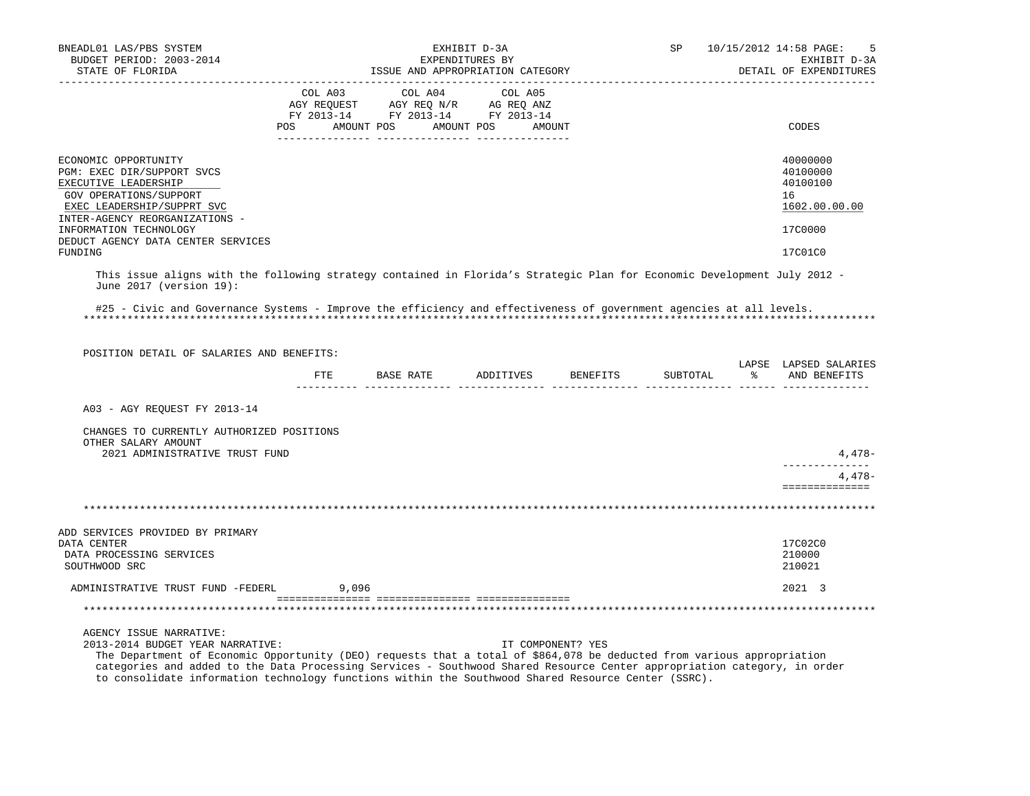| BNEADL01 LAS/PBS SYSTEM<br>BUDGET PERIOD: 2003-2014                                                                                                                                                                                                                                                                                                                                                                      |                                                                                                                                                  |       | EXHIBIT D-3A<br>EXPENDITURES BY |         |                                  | SP       |               | 10/15/2012 14:58 PAGE:<br>5<br>EXHIBIT D-3A                                   |
|--------------------------------------------------------------------------------------------------------------------------------------------------------------------------------------------------------------------------------------------------------------------------------------------------------------------------------------------------------------------------------------------------------------------------|--------------------------------------------------------------------------------------------------------------------------------------------------|-------|---------------------------------|---------|----------------------------------|----------|---------------|-------------------------------------------------------------------------------|
| STATE OF FLORIDA                                                                                                                                                                                                                                                                                                                                                                                                         |                                                                                                                                                  |       |                                 |         | ISSUE AND APPROPRIATION CATEGORY |          |               | DETAIL OF EXPENDITURES                                                        |
|                                                                                                                                                                                                                                                                                                                                                                                                                          | COL A03<br>COL A03 COL A04 COL A05<br>AGY REQUEST AGY REQ N/R AG REQ ANZ<br>FY 2013-14 FY 2013-14 FY 2013-14<br>POS AMOUNT POS AMOUNT POS AMOUNT |       | COL A04                         | COL A05 |                                  |          |               | CODES                                                                         |
| ECONOMIC OPPORTUNITY<br>PGM: EXEC DIR/SUPPORT SVCS<br>EXECUTIVE LEADERSHIP<br>GOV OPERATIONS/SUPPORT<br>EXEC LEADERSHIP/SUPPRT SVC<br>INTER-AGENCY REORGANIZATIONS -<br>INFORMATION TECHNOLOGY<br>DEDUCT AGENCY DATA CENTER SERVICES<br>FUNDING                                                                                                                                                                          |                                                                                                                                                  |       |                                 |         |                                  |          |               | 40000000<br>40100000<br>40100100<br>16<br>1602.00.00.00<br>17C0000<br>17C01C0 |
| This issue aligns with the following strategy contained in Florida's Strategic Plan for Economic Development July 2012 -<br>June 2017 (version 19):                                                                                                                                                                                                                                                                      |                                                                                                                                                  |       |                                 |         |                                  |          |               |                                                                               |
| #25 - Civic and Governance Systems - Improve the efficiency and effectiveness of government agencies at all levels.                                                                                                                                                                                                                                                                                                      |                                                                                                                                                  |       |                                 |         |                                  |          |               |                                                                               |
| POSITION DETAIL OF SALARIES AND BENEFITS:                                                                                                                                                                                                                                                                                                                                                                                |                                                                                                                                                  |       |                                 |         |                                  |          |               | LAPSE LAPSED SALARIES                                                         |
|                                                                                                                                                                                                                                                                                                                                                                                                                          |                                                                                                                                                  |       |                                 |         | FTE BASE RATE ADDITIVES BENEFITS | SUBTOTAL | $\frac{1}{2}$ | AND BENEFITS                                                                  |
| A03 - AGY REQUEST FY 2013-14                                                                                                                                                                                                                                                                                                                                                                                             |                                                                                                                                                  |       |                                 |         |                                  |          |               |                                                                               |
| CHANGES TO CURRENTLY AUTHORIZED POSITIONS<br>OTHER SALARY AMOUNT<br>2021 ADMINISTRATIVE TRUST FUND                                                                                                                                                                                                                                                                                                                       |                                                                                                                                                  |       |                                 |         |                                  |          |               | 4,478-                                                                        |
|                                                                                                                                                                                                                                                                                                                                                                                                                          |                                                                                                                                                  |       |                                 |         |                                  |          |               | $4.478-$<br>==============                                                    |
|                                                                                                                                                                                                                                                                                                                                                                                                                          |                                                                                                                                                  |       |                                 |         |                                  |          |               |                                                                               |
| ADD SERVICES PROVIDED BY PRIMARY<br>DATA CENTER<br>DATA PROCESSING SERVICES<br>SOUTHWOOD SRC                                                                                                                                                                                                                                                                                                                             |                                                                                                                                                  |       |                                 |         |                                  |          |               | 17C02C0<br>210000<br>210021                                                   |
| ADMINISTRATIVE TRUST FUND -FEDERL                                                                                                                                                                                                                                                                                                                                                                                        |                                                                                                                                                  | 9,096 |                                 |         |                                  |          |               | 2021 3                                                                        |
|                                                                                                                                                                                                                                                                                                                                                                                                                          |                                                                                                                                                  |       |                                 |         |                                  |          |               |                                                                               |
| AGENCY ISSUE NARRATIVE:<br>2013-2014 BUDGET YEAR NARRATIVE:<br>The Department of Economic Opportunity (DEO) requests that a total of \$864,078 be deducted from various appropriation<br>categories and added to the Data Processing Services - Southwood Shared Resource Center appropriation category, in order<br>to consolidate information technology functions within the Southwood Shared Resource Center (SSRC). |                                                                                                                                                  |       |                                 |         | IT COMPONENT? YES                |          |               |                                                                               |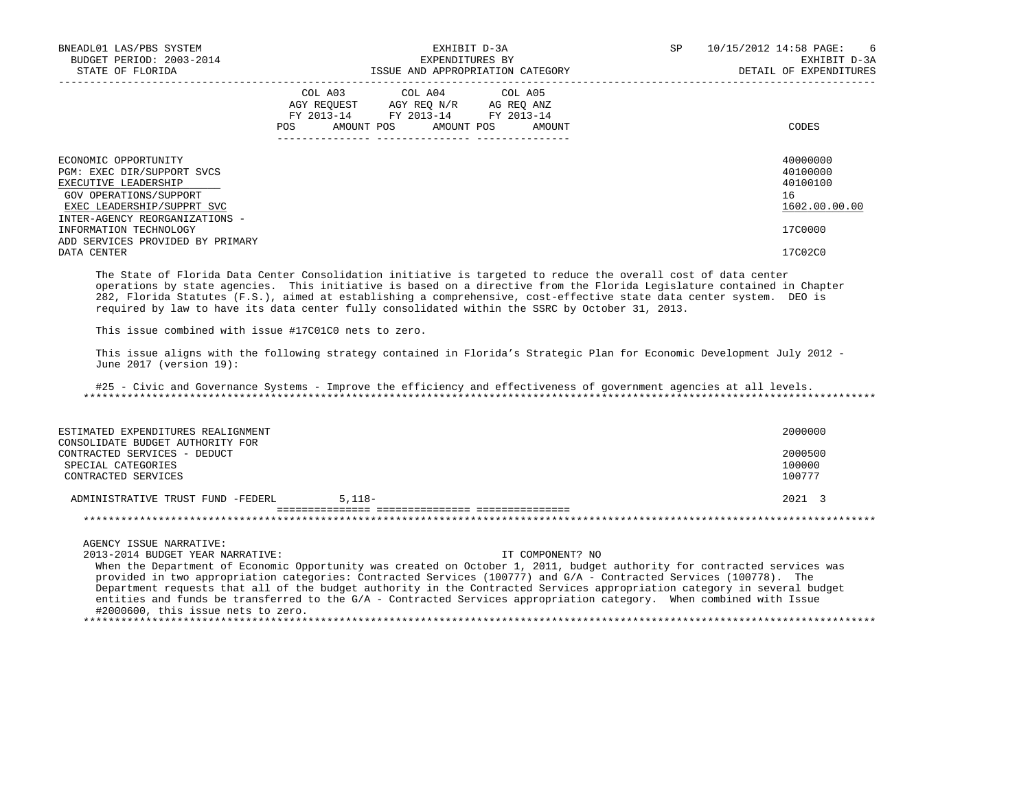| BNEADL01 LAS/PBS SYSTEM<br>BUDGET PERIOD: 2003-2014<br>STATE OF FLORIDA                                                                                              |     | EXHIBIT D-3A<br>EXPENDITURES BY<br>ISSUE AND APPROPRIATION CATEGORY                                                               | SP | 10/15/2012 14:58 PAGE:<br>6<br>EXHIBIT D-3A<br>DETAIL OF EXPENDITURES |
|----------------------------------------------------------------------------------------------------------------------------------------------------------------------|-----|-----------------------------------------------------------------------------------------------------------------------------------|----|-----------------------------------------------------------------------|
|                                                                                                                                                                      | POS | COL A03 COL A04 COL A05<br>AGY REQUEST AGY REQ N/R AG REQ ANZ<br>FY 2013-14 FY 2013-14 FY 2013-14<br>AMOUNT POS AMOUNT POS AMOUNT |    | CODES                                                                 |
| ECONOMIC OPPORTUNITY<br>PGM: EXEC DIR/SUPPORT SVCS<br>EXECUTIVE LEADERSHIP<br>GOV OPERATIONS/SUPPORT<br>EXEC LEADERSHIP/SUPPRT SVC<br>INTER-AGENCY REORGANIZATIONS - |     |                                                                                                                                   |    | 40000000<br>40100000<br>40100100<br>16<br>1602.00.00.00               |
| INFORMATION TECHNOLOGY<br>ADD SERVICES PROVIDED BY PRIMARY                                                                                                           |     |                                                                                                                                   |    | 17C0000                                                               |
| DATA CENTER                                                                                                                                                          |     |                                                                                                                                   |    | 17C02C0                                                               |

 The State of Florida Data Center Consolidation initiative is targeted to reduce the overall cost of data center operations by state agencies. This initiative is based on a directive from the Florida Legislature contained in Chapter 282, Florida Statutes (F.S.), aimed at establishing a comprehensive, cost-effective state data center system. DEO is required by law to have its data center fully consolidated within the SSRC by October 31, 2013.

This issue combined with issue #17C01C0 nets to zero.

 This issue aligns with the following strategy contained in Florida's Strategic Plan for Economic Development July 2012 - June 2017 (version 19):

 #25 - Civic and Governance Systems - Improve the efficiency and effectiveness of government agencies at all levels. \*\*\*\*\*\*\*\*\*\*\*\*\*\*\*\*\*\*\*\*\*\*\*\*\*\*\*\*\*\*\*\*\*\*\*\*\*\*\*\*\*\*\*\*\*\*\*\*\*\*\*\*\*\*\*\*\*\*\*\*\*\*\*\*\*\*\*\*\*\*\*\*\*\*\*\*\*\*\*\*\*\*\*\*\*\*\*\*\*\*\*\*\*\*\*\*\*\*\*\*\*\*\*\*\*\*\*\*\*\*\*\*\*\*\*\*\*\*\*\*\*\*\*\*\*\*\*

| ESTIMATED EXPENDITURES REALIGNMENT                                                                            |          | 2000000                     |
|---------------------------------------------------------------------------------------------------------------|----------|-----------------------------|
| CONSOLIDATE BUDGET AUTHORITY FOR<br>CONTRACTED SERVICES - DEDUCT<br>SPECIAL CATEGORIES<br>CONTRACTED SERVICES |          | 2000500<br>100000<br>100777 |
| ADMINISTRATIVE TRUST FUND -FEDERL                                                                             | $5.118-$ | $2021 \quad 3$              |
|                                                                                                               |          |                             |

AGENCY ISSUE NARRATIVE:

 2013-2014 BUDGET YEAR NARRATIVE: IT COMPONENT? NO When the Department of Economic Opportunity was created on October 1, 2011, budget authority for contracted services was provided in two appropriation categories: Contracted Services (100777) and G/A - Contracted Services (100778). The Department requests that all of the budget authority in the Contracted Services appropriation category in several budget

 entities and funds be transferred to the G/A - Contracted Services appropriation category. When combined with Issue #2000600, this issue nets to zero. \*\*\*\*\*\*\*\*\*\*\*\*\*\*\*\*\*\*\*\*\*\*\*\*\*\*\*\*\*\*\*\*\*\*\*\*\*\*\*\*\*\*\*\*\*\*\*\*\*\*\*\*\*\*\*\*\*\*\*\*\*\*\*\*\*\*\*\*\*\*\*\*\*\*\*\*\*\*\*\*\*\*\*\*\*\*\*\*\*\*\*\*\*\*\*\*\*\*\*\*\*\*\*\*\*\*\*\*\*\*\*\*\*\*\*\*\*\*\*\*\*\*\*\*\*\*\*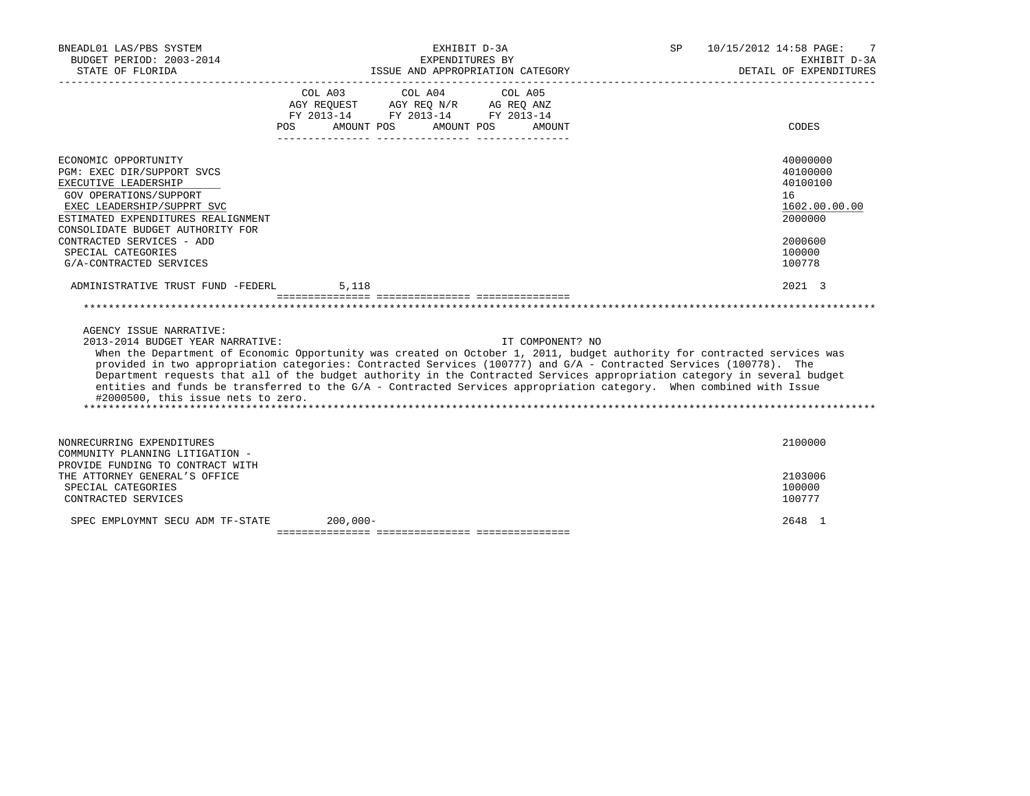| BNEADL01 LAS/PBS SYSTEM<br>BUDGET PERIOD: 2003-2014<br>STATE OF FLORIDA                                                                                                                                                                                                                                                                                                                                                                                                                                                                                                                                |            | EXHIBIT D-3A<br>EXPENDITURES BY       | ISSUE AND APPROPRIATION CATEGORY | SP | 10/15/2012 14:58 PAGE: | 7<br>EXHIBIT D-3A<br>DETAIL OF EXPENDITURES                                                       |
|--------------------------------------------------------------------------------------------------------------------------------------------------------------------------------------------------------------------------------------------------------------------------------------------------------------------------------------------------------------------------------------------------------------------------------------------------------------------------------------------------------------------------------------------------------------------------------------------------------|------------|---------------------------------------|----------------------------------|----|------------------------|---------------------------------------------------------------------------------------------------|
|                                                                                                                                                                                                                                                                                                                                                                                                                                                                                                                                                                                                        | POS        | COL A03 COL A04 COL A05<br>AMOUNT POS | AMOUNT POS<br>AMOUNT             |    |                        | CODES                                                                                             |
| ECONOMIC OPPORTUNITY<br>PGM: EXEC DIR/SUPPORT SVCS<br>EXECUTIVE LEADERSHIP<br>GOV OPERATIONS/SUPPORT<br>EXEC LEADERSHIP/SUPPRT SVC<br>ESTIMATED EXPENDITURES REALIGNMENT<br>CONSOLIDATE BUDGET AUTHORITY FOR<br>CONTRACTED SERVICES - ADD<br>SPECIAL CATEGORIES<br>G/A-CONTRACTED SERVICES                                                                                                                                                                                                                                                                                                             |            |                                       |                                  |    |                        | 40000000<br>40100000<br>40100100<br>16<br>1602.00.00.00<br>2000000<br>2000600<br>100000<br>100778 |
| ADMINISTRATIVE TRUST FUND -FEDERL                                                                                                                                                                                                                                                                                                                                                                                                                                                                                                                                                                      | 5,118      |                                       |                                  |    |                        | 2021 3                                                                                            |
| AGENCY ISSUE NARRATIVE:<br>2013-2014 BUDGET YEAR NARRATIVE:<br>When the Department of Economic Opportunity was created on October 1, 2011, budget authority for contracted services was<br>provided in two appropriation categories: Contracted Services (100777) and G/A - Contracted Services (100778). The<br>Department requests that all of the budget authority in the Contracted Services appropriation category in several budget<br>entities and funds be transferred to the G/A - Contracted Services appropriation category. When combined with Issue<br>#2000500, this issue nets to zero. |            |                                       | IT COMPONENT? NO                 |    |                        |                                                                                                   |
| NONRECURRING EXPENDITURES<br>COMMUNITY PLANNING LITIGATION -<br>PROVIDE FUNDING TO CONTRACT WITH<br>THE ATTORNEY GENERAL'S OFFICE                                                                                                                                                                                                                                                                                                                                                                                                                                                                      |            |                                       |                                  |    |                        | 2100000<br>2103006                                                                                |
| SPECIAL CATEGORIES<br>CONTRACTED SERVICES                                                                                                                                                                                                                                                                                                                                                                                                                                                                                                                                                              |            |                                       |                                  |    |                        | 100000<br>100777                                                                                  |
| SPEC EMPLOYMNT SECU ADM TF-STATE                                                                                                                                                                                                                                                                                                                                                                                                                                                                                                                                                                       | $200,000-$ |                                       |                                  |    |                        | 2648 1                                                                                            |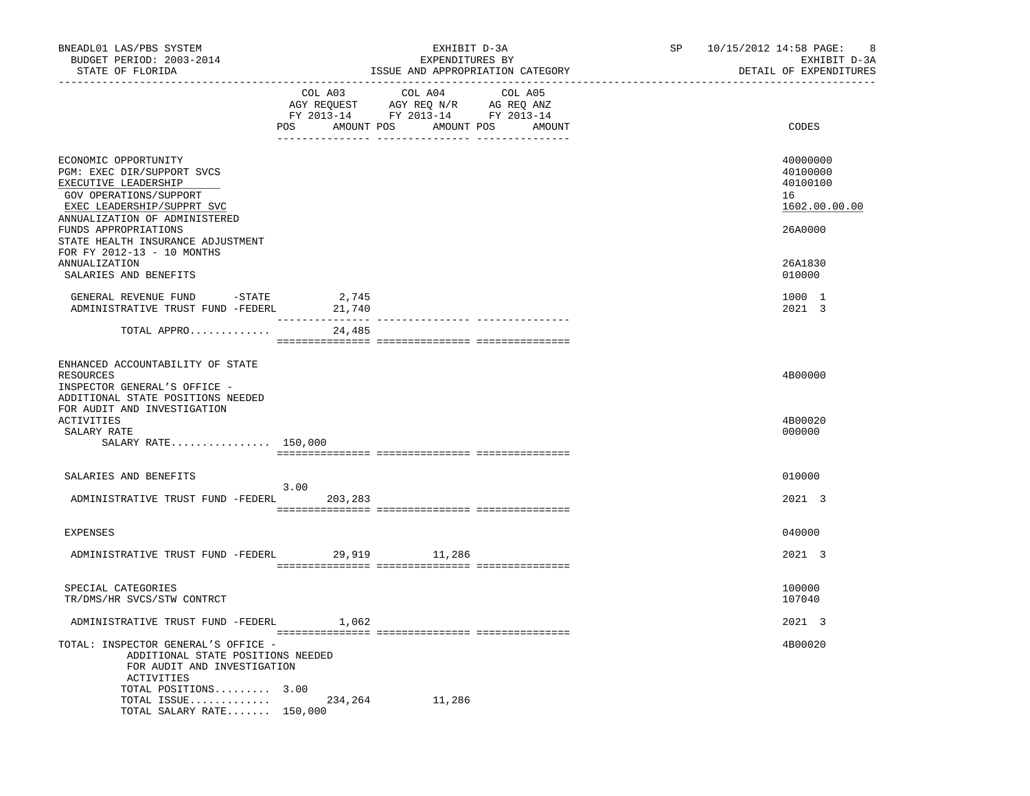| BNEADL01 LAS/PBS SYSTEM<br>BUDGET PERIOD: 2003-2014<br>STATE OF FLORIDA                                                                                                                                                          |                 | EXHIBIT D-3A<br>EXPENDITURES BY<br>ISSUE AND APPROPRIATION CATEGORY                                                    |                   | SP | 10/15/2012 14:58 PAGE: 8<br>EXHIBIT D-3A<br>DETAIL OF EXPENDITURES |
|----------------------------------------------------------------------------------------------------------------------------------------------------------------------------------------------------------------------------------|-----------------|------------------------------------------------------------------------------------------------------------------------|-------------------|----|--------------------------------------------------------------------|
|                                                                                                                                                                                                                                  |                 | COL A03 COL A04<br>AGY REQUEST AGY REQ N/R AG REQ ANZ<br>FY 2013-14 FY 2013-14 FY 2013-14<br>POS AMOUNT POS AMOUNT POS | COL A05<br>AMOUNT |    | CODES                                                              |
| ECONOMIC OPPORTUNITY<br>PGM: EXEC DIR/SUPPORT SVCS<br>EXECUTIVE LEADERSHIP<br>GOV OPERATIONS/SUPPORT<br>EXEC LEADERSHIP/SUPPRT SVC<br>ANNUALIZATION OF ADMINISTERED<br>FUNDS APPROPRIATIONS<br>STATE HEALTH INSURANCE ADJUSTMENT |                 |                                                                                                                        |                   |    | 40000000<br>40100000<br>40100100<br>16<br>1602.00.00.00<br>26A0000 |
| FOR FY 2012-13 - 10 MONTHS<br>ANNUALIZATION<br>SALARIES AND BENEFITS                                                                                                                                                             |                 |                                                                                                                        |                   |    | 26A1830<br>010000                                                  |
| GENERAL REVENUE FUND -STATE $2,745$<br>ADMINISTRATIVE TRUST FUND -FEDERL $21,740$                                                                                                                                                |                 |                                                                                                                        |                   |    | 1000 1<br>2021 3                                                   |
| TOTAL APPRO                                                                                                                                                                                                                      | 24,485          |                                                                                                                        |                   |    |                                                                    |
| ENHANCED ACCOUNTABILITY OF STATE<br>RESOURCES<br>INSPECTOR GENERAL'S OFFICE -<br>ADDITIONAL STATE POSITIONS NEEDED                                                                                                               |                 |                                                                                                                        |                   |    | 4B00000                                                            |
| FOR AUDIT AND INVESTIGATION<br><b>ACTIVITIES</b><br>SALARY RATE<br>SALARY RATE 150,000                                                                                                                                           |                 |                                                                                                                        |                   |    | 4B00020<br>000000                                                  |
| SALARIES AND BENEFITS                                                                                                                                                                                                            |                 |                                                                                                                        |                   |    | 010000                                                             |
| ADMINISTRATIVE TRUST FUND -FEDERL                                                                                                                                                                                                | 3.00<br>203,283 |                                                                                                                        |                   |    | 2021 3                                                             |
| EXPENSES                                                                                                                                                                                                                         |                 |                                                                                                                        |                   |    | 040000                                                             |
| ADMINISTRATIVE TRUST FUND -FEDERL 29,919 11,286                                                                                                                                                                                  |                 |                                                                                                                        |                   |    | 2021 3                                                             |
| SPECIAL CATEGORIES<br>TR/DMS/HR SVCS/STW CONTRCT                                                                                                                                                                                 |                 |                                                                                                                        |                   |    | 100000<br>107040                                                   |
| ADMINISTRATIVE TRUST FUND -FEDERL 1,062                                                                                                                                                                                          |                 |                                                                                                                        |                   |    | 2021 3                                                             |
| TOTAL: INSPECTOR GENERAL'S OFFICE -<br>ADDITIONAL STATE POSITIONS NEEDED<br>FOR AUDIT AND INVESTIGATION<br>ACTIVITIES<br>TOTAL POSITIONS 3.00<br>TOTAL ISSUE                                                                     | 234,264         | 11,286                                                                                                                 |                   |    | 4B00020                                                            |
| TOTAL SALARY RATE 150,000                                                                                                                                                                                                        |                 |                                                                                                                        |                   |    |                                                                    |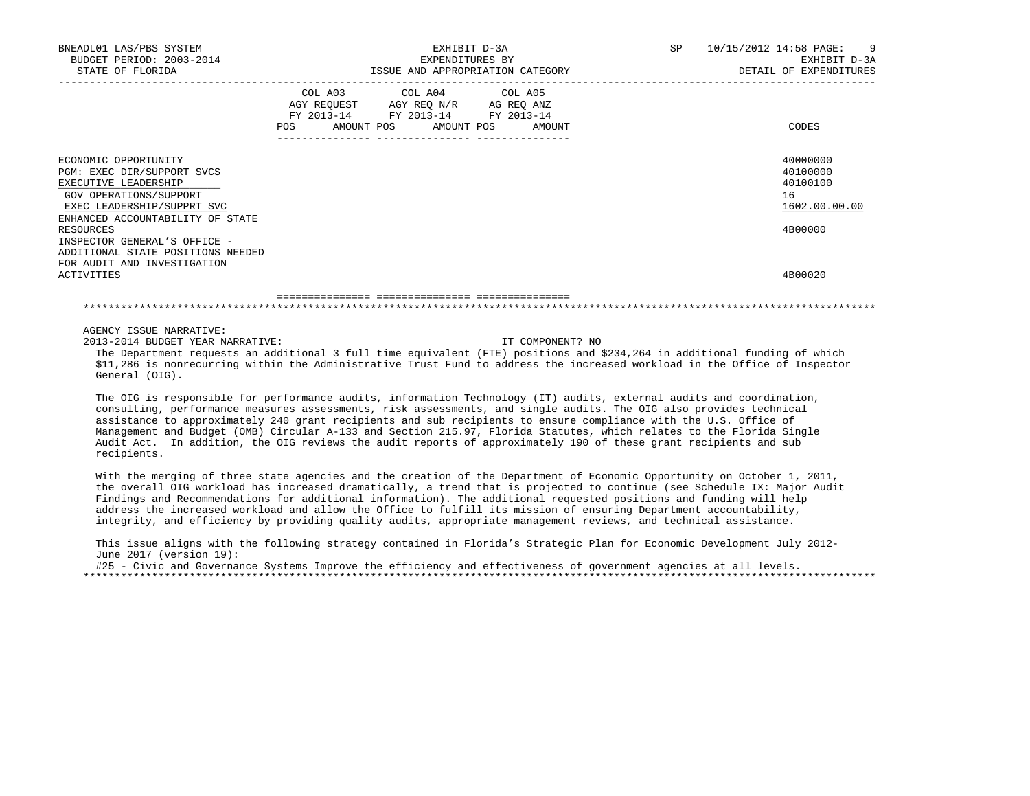| BNEADL01 LAS/PBS SYSTEM<br>BUDGET PERIOD: 2003-2014<br>STATE OF FLORIDA                                                                                                                                             |                                                                                                            | EXHIBIT D-3A<br>EXPENDITURES BY<br>ISSUE AND APPROPRIATION CATEGORY |                  | SP 10/15/2012 14:58 PAGE: 9<br>EXHIBIT D-3A<br>DETAIL OF EXPENDITURES |
|---------------------------------------------------------------------------------------------------------------------------------------------------------------------------------------------------------------------|------------------------------------------------------------------------------------------------------------|---------------------------------------------------------------------|------------------|-----------------------------------------------------------------------|
|                                                                                                                                                                                                                     | AGY REQUEST AGY REQ N/R AG REQ ANZ<br>FY 2013-14 FY 2013-14 FY 2013-14<br>POS AMOUNT POS AMOUNT POS AMOUNT | COL A03 COL A04 COL A05                                             |                  | CODES                                                                 |
| ECONOMIC OPPORTUNITY<br>PGM: EXEC DIR/SUPPORT SVCS<br>EXECUTIVE LEADERSHIP<br>GOV OPERATIONS/SUPPORT<br>EXEC LEADERSHIP/SUPPRT SVC<br>ENHANCED ACCOUNTABILITY OF STATE<br>RESOURCES<br>INSPECTOR GENERAL'S OFFICE - |                                                                                                            |                                                                     |                  | 40000000<br>40100000<br>40100100<br>16<br>1602.00.00.00<br>4B00000    |
| ADDITIONAL STATE POSITIONS NEEDED<br>FOR AUDIT AND INVESTIGATION<br><b>ACTIVITIES</b>                                                                                                                               |                                                                                                            |                                                                     |                  | 4B00020                                                               |
|                                                                                                                                                                                                                     |                                                                                                            |                                                                     |                  |                                                                       |
| AGENCY ISSUE NARRATIVE:<br>2013-2014 BUDGET YEAR NARRATIVE:                                                                                                                                                         |                                                                                                            |                                                                     | IT COMPONENT? NO |                                                                       |

 The Department requests an additional 3 full time equivalent (FTE) positions and \$234,264 in additional funding of which \$11,286 is nonrecurring within the Administrative Trust Fund to address the increased workload in the Office of Inspector General (OIG).

 The OIG is responsible for performance audits, information Technology (IT) audits, external audits and coordination, consulting, performance measures assessments, risk assessments, and single audits. The OIG also provides technical assistance to approximately 240 grant recipients and sub recipients to ensure compliance with the U.S. Office of Management and Budget (OMB) Circular A-133 and Section 215.97, Florida Statutes, which relates to the Florida Single Audit Act. In addition, the OIG reviews the audit reports of approximately 190 of these grant recipients and sub recipients.

With the merging of three state agencies and the creation of the Department of Economic Opportunity on October 1, 2011, the overall OIG workload has increased dramatically, a trend that is projected to continue (see Schedule IX: Major Audit Findings and Recommendations for additional information). The additional requested positions and funding will help address the increased workload and allow the Office to fulfill its mission of ensuring Department accountability, integrity, and efficiency by providing quality audits, appropriate management reviews, and technical assistance.

 This issue aligns with the following strategy contained in Florida's Strategic Plan for Economic Development July 2012- June 2017 (version 19):

#25 - Civic and Governance Systems Improve the efficiency and effectiveness of government agencies at all levels. \*\*\*\*\*\*\*\*\*\*\*\*\*\*\*\*\*\*\*\*\*\*\*\*\*\*\*\*\*\*\*\*\*\*\*\*\*\*\*\*\*\*\*\*\*\*\*\*\*\*\*\*\*\*\*\*\*\*\*\*\*\*\*\*\*\*\*\*\*\*\*\*\*\*\*\*\*\*\*\*\*\*\*\*\*\*\*\*\*\*\*\*\*\*\*\*\*\*\*\*\*\*\*\*\*\*\*\*\*\*\*\*\*\*\*\*\*\*\*\*\*\*\*\*\*\*\*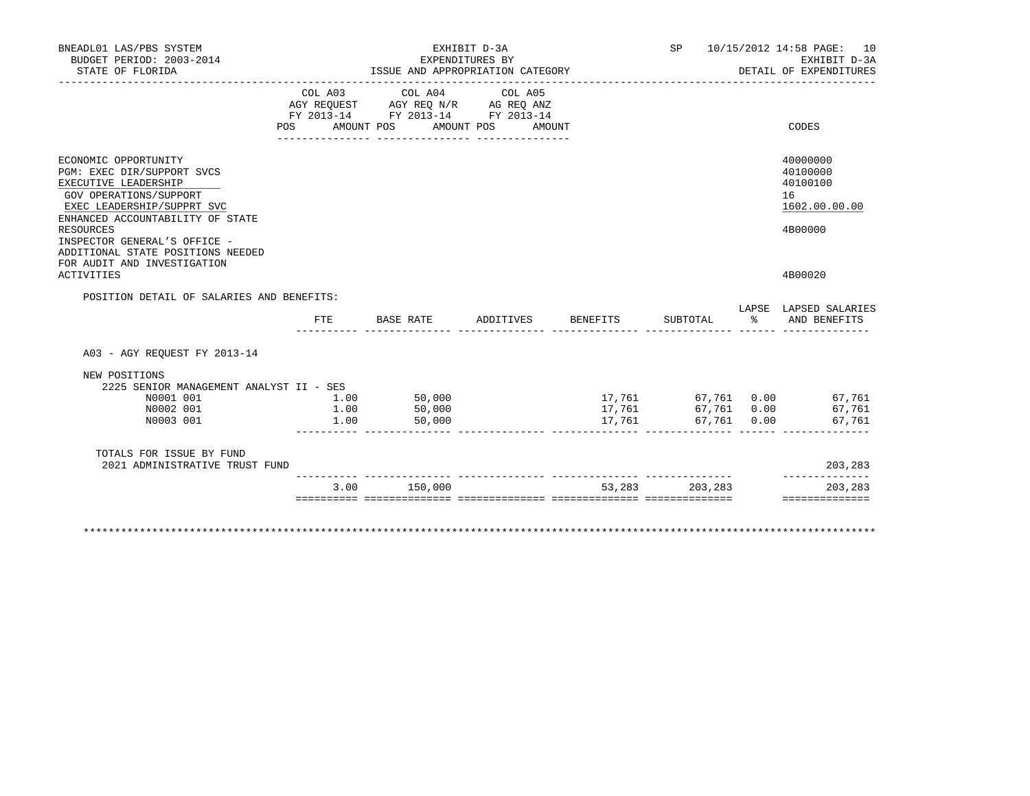| BNEADL01 LAS/PBS SYSTEM<br>BUDGET PERIOD: 2003-2014<br>STATE OF FLORIDA                                                                                                                                                                                         |                      | EXPENDITURES BY<br>ISSUE AND APPROPRIATION CATEGORY                                               | EXHIBIT D-3A      |                  |                            | SP 10/15/2012 14:58 PAGE: 10<br>EXHIBIT D-3A<br>DETAIL OF EXPENDITURES |
|-----------------------------------------------------------------------------------------------------------------------------------------------------------------------------------------------------------------------------------------------------------------|----------------------|---------------------------------------------------------------------------------------------------|-------------------|------------------|----------------------------|------------------------------------------------------------------------|
|                                                                                                                                                                                                                                                                 | POS AMOUNT POS       | COL A03 COL A04 COL A05<br>AGY REQUEST AGY REQ N/R AG REQ ANZ<br>FY 2013-14 FY 2013-14 FY 2013-14 | AMOUNT POS AMOUNT |                  |                            | CODES                                                                  |
| ECONOMIC OPPORTUNITY<br>PGM: EXEC DIR/SUPPORT SVCS<br>EXECUTIVE LEADERSHIP<br>GOV OPERATIONS/SUPPORT<br>EXEC LEADERSHIP/SUPPRT SVC<br>ENHANCED ACCOUNTABILITY OF STATE<br><b>RESOURCES</b><br>INSPECTOR GENERAL'S OFFICE -<br>ADDITIONAL STATE POSITIONS NEEDED |                      |                                                                                                   |                   |                  |                            | 40000000<br>40100000<br>40100100<br>16<br>1602.00.00.00<br>4B00000     |
| FOR AUDIT AND INVESTIGATION<br><b>ACTIVITIES</b>                                                                                                                                                                                                                |                      |                                                                                                   |                   |                  |                            | 4B00020                                                                |
| POSITION DETAIL OF SALARIES AND BENEFITS:                                                                                                                                                                                                                       | <b>FTE</b>           | BASE RATE                                                                                         | ADDITIVES         | BENEFITS         | SUBTOTAL                   | LAPSE LAPSED SALARIES<br>% AND BENEFITS                                |
| A03 - AGY REOUEST FY 2013-14                                                                                                                                                                                                                                    |                      |                                                                                                   |                   |                  |                            |                                                                        |
| NEW POSITIONS<br>2225 SENIOR MANAGEMENT ANALYST II - SES<br>N0001 001<br>N0002 001<br>N0003 001                                                                                                                                                                 | 1.00<br>1.00<br>1.00 | 50,000<br>50,000<br>50,000                                                                        |                   | 17,761<br>17,761 | 67,761 0.00<br>67,761 0.00 | 17,761 67,761 0.00 67,761<br>67,761<br>67,761                          |
| TOTALS FOR ISSUE BY FUND<br>2021 ADMINISTRATIVE TRUST FUND                                                                                                                                                                                                      |                      |                                                                                                   |                   |                  |                            | 203,283                                                                |
|                                                                                                                                                                                                                                                                 |                      | 3.00 150,000                                                                                      |                   |                  | 53, 283 203, 283           | 203,283                                                                |
|                                                                                                                                                                                                                                                                 |                      |                                                                                                   |                   |                  |                            | ==============                                                         |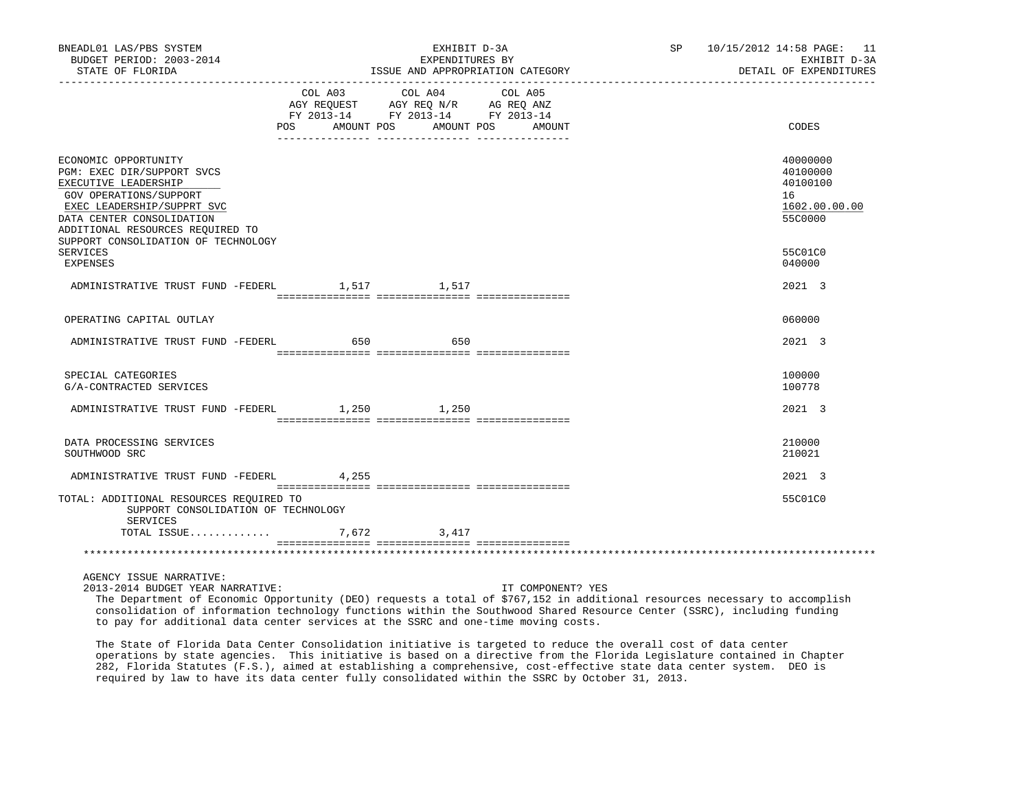| BNEADL01 LAS/PBS SYSTEM<br>BUDGET PERIOD: 2003-2014<br>STATE OF FLORIDA                                                                                                                             |                                  | EXHIBIT D-3A<br>EXPENDITURES BY                                                           | ISSUE AND APPROPRIATION CATEGORY<br>------------------ | SP 10/15/2012 14:58 PAGE: 11<br>EXHIBIT D-3A<br>DETAIL OF EXPENDITURES |
|-----------------------------------------------------------------------------------------------------------------------------------------------------------------------------------------------------|----------------------------------|-------------------------------------------------------------------------------------------|--------------------------------------------------------|------------------------------------------------------------------------|
|                                                                                                                                                                                                     | POS AMOUNT POS AMOUNT POS AMOUNT | COL A03 COL A04<br>AGY REQUEST AGY REQ N/R AG REQ ANZ<br>FY 2013-14 FY 2013-14 FY 2013-14 | COL A05                                                | CODES                                                                  |
|                                                                                                                                                                                                     |                                  |                                                                                           |                                                        |                                                                        |
| ECONOMIC OPPORTUNITY<br>PGM: EXEC DIR/SUPPORT SVCS<br>EXECUTIVE LEADERSHIP<br>GOV OPERATIONS/SUPPORT<br>EXEC LEADERSHIP/SUPPRT SVC<br>DATA CENTER CONSOLIDATION<br>ADDITIONAL RESOURCES REQUIRED TO |                                  |                                                                                           |                                                        | 40000000<br>40100000<br>40100100<br>16<br>1602.00.00.00<br>55C0000     |
| SUPPORT CONSOLIDATION OF TECHNOLOGY<br>SERVICES<br>EXPENSES                                                                                                                                         |                                  |                                                                                           |                                                        | 55C01C0<br>040000                                                      |
| ADMINISTRATIVE TRUST FUND -FEDERL                                                                                                                                                                   |                                  | 1,517 1,517                                                                               |                                                        | 2021 3                                                                 |
|                                                                                                                                                                                                     |                                  |                                                                                           |                                                        |                                                                        |
| OPERATING CAPITAL OUTLAY                                                                                                                                                                            |                                  |                                                                                           |                                                        | 060000                                                                 |
| ADMINISTRATIVE TRUST FUND -FEDERL 650                                                                                                                                                               |                                  | 650                                                                                       |                                                        | 2021 3                                                                 |
| SPECIAL CATEGORIES<br>G/A-CONTRACTED SERVICES                                                                                                                                                       |                                  |                                                                                           |                                                        | 100000<br>100778                                                       |
| ADMINISTRATIVE TRUST FUND -FEDERL 1,250 1,250                                                                                                                                                       |                                  |                                                                                           |                                                        | 2021 3                                                                 |
| DATA PROCESSING SERVICES<br>SOUTHWOOD SRC                                                                                                                                                           |                                  |                                                                                           |                                                        | 210000<br>210021                                                       |
| ADMINISTRATIVE TRUST FUND -FEDERL 4.255                                                                                                                                                             |                                  |                                                                                           |                                                        | $2021 \quad 3$                                                         |
| TOTAL: ADDITIONAL RESOURCES REOUIRED TO<br>SUPPORT CONSOLIDATION OF TECHNOLOGY<br>SERVICES                                                                                                          |                                  |                                                                                           |                                                        | 55C01C0                                                                |
|                                                                                                                                                                                                     |                                  |                                                                                           |                                                        |                                                                        |
|                                                                                                                                                                                                     |                                  |                                                                                           |                                                        |                                                                        |
| AGENCY ISSUE NARRATIVE:                                                                                                                                                                             |                                  |                                                                                           |                                                        |                                                                        |

 2013-2014 BUDGET YEAR NARRATIVE: IT COMPONENT? YES The Department of Economic Opportunity (DEO) requests a total of \$767,152 in additional resources necessary to accomplish consolidation of information technology functions within the Southwood Shared Resource Center (SSRC), including funding to pay for additional data center services at the SSRC and one-time moving costs.

 The State of Florida Data Center Consolidation initiative is targeted to reduce the overall cost of data center operations by state agencies. This initiative is based on a directive from the Florida Legislature contained in Chapter 282, Florida Statutes (F.S.), aimed at establishing a comprehensive, cost-effective state data center system. DEO is required by law to have its data center fully consolidated within the SSRC by October 31, 2013.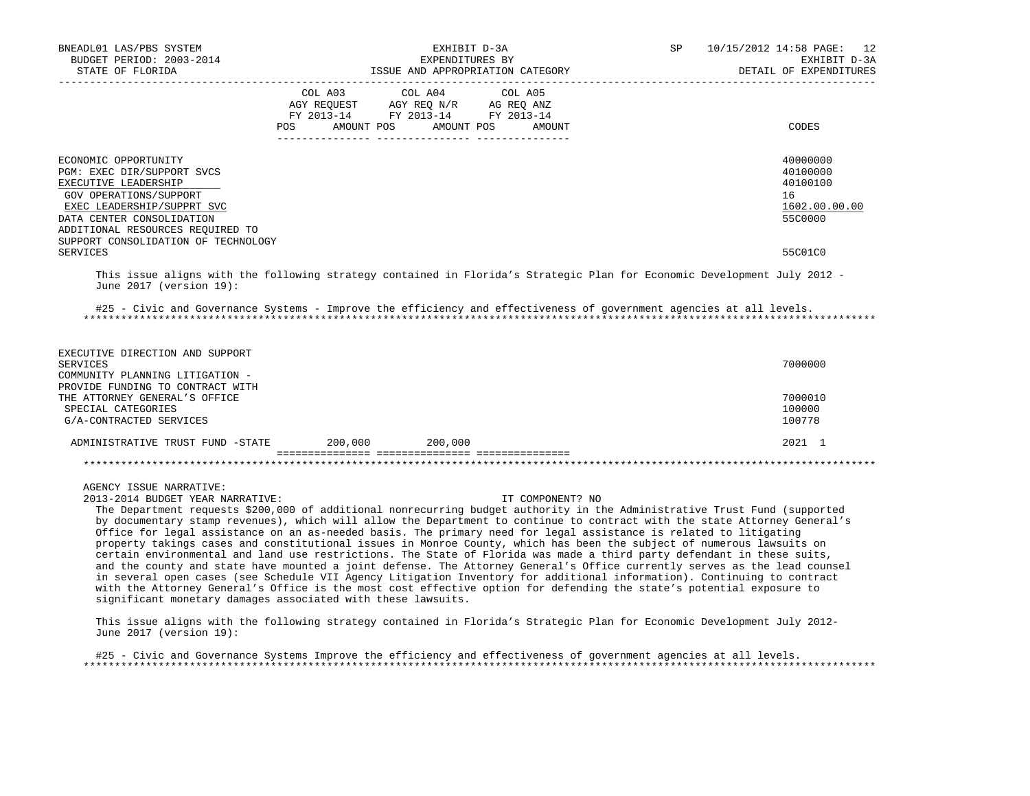| BNEADL01 LAS/PBS SYSTEM<br>BUDGET PERIOD: 2003-2014<br>STATE OF FLORIDA<br>-----------------------                                                                                                                                                                                                                                                                                                                                                                                                                                                                                                                                                                                                                                                                                                                                                                                                                                                                                                                                                                                                                                                                                                                                                                       |                                                                                                    | EXHIBIT D-3A<br>EXPENDITURES BY<br>ISSUE AND APPROPRIATION CATEGORY | 10/15/2012 14:58 PAGE: 12<br>EXHIBIT D-3A<br>DETAIL OF EXPENDITURES |                                                                    |
|--------------------------------------------------------------------------------------------------------------------------------------------------------------------------------------------------------------------------------------------------------------------------------------------------------------------------------------------------------------------------------------------------------------------------------------------------------------------------------------------------------------------------------------------------------------------------------------------------------------------------------------------------------------------------------------------------------------------------------------------------------------------------------------------------------------------------------------------------------------------------------------------------------------------------------------------------------------------------------------------------------------------------------------------------------------------------------------------------------------------------------------------------------------------------------------------------------------------------------------------------------------------------|----------------------------------------------------------------------------------------------------|---------------------------------------------------------------------|---------------------------------------------------------------------|--------------------------------------------------------------------|
|                                                                                                                                                                                                                                                                                                                                                                                                                                                                                                                                                                                                                                                                                                                                                                                                                                                                                                                                                                                                                                                                                                                                                                                                                                                                          | CO AGY REQUEST AGY REQ N/R AG REQ ANZ<br>FY 2013-14 FY 2013-14 FY 2013-14<br>AMOUNT POS<br>POS FOR | COL A03 COL A04 COL A05                                             | AMOUNT POS<br>AMOUNT                                                | CODES                                                              |
| ECONOMIC OPPORTUNITY<br>PGM: EXEC DIR/SUPPORT SVCS<br>EXECUTIVE LEADERSHIP<br>GOV OPERATIONS/SUPPORT<br>EXEC LEADERSHIP/SUPPRT SVC<br>DATA CENTER CONSOLIDATION<br>ADDITIONAL RESOURCES REQUIRED TO<br>SUPPORT CONSOLIDATION OF TECHNOLOGY                                                                                                                                                                                                                                                                                                                                                                                                                                                                                                                                                                                                                                                                                                                                                                                                                                                                                                                                                                                                                               |                                                                                                    |                                                                     |                                                                     | 40000000<br>40100000<br>40100100<br>16<br>1602.00.00.00<br>55C0000 |
| <b>SERVICES</b>                                                                                                                                                                                                                                                                                                                                                                                                                                                                                                                                                                                                                                                                                                                                                                                                                                                                                                                                                                                                                                                                                                                                                                                                                                                          |                                                                                                    |                                                                     |                                                                     | 55C01C0                                                            |
| This issue aligns with the following strategy contained in Florida's Strategic Plan for Economic Development July 2012 -<br>June 2017 (version 19):                                                                                                                                                                                                                                                                                                                                                                                                                                                                                                                                                                                                                                                                                                                                                                                                                                                                                                                                                                                                                                                                                                                      |                                                                                                    |                                                                     |                                                                     |                                                                    |
| #25 - Civic and Governance Systems - Improve the efficiency and effectiveness of government agencies at all levels.                                                                                                                                                                                                                                                                                                                                                                                                                                                                                                                                                                                                                                                                                                                                                                                                                                                                                                                                                                                                                                                                                                                                                      |                                                                                                    |                                                                     |                                                                     |                                                                    |
| EXECUTIVE DIRECTION AND SUPPORT<br><b>SERVICES</b><br>COMMUNITY PLANNING LITIGATION -<br>PROVIDE FUNDING TO CONTRACT WITH                                                                                                                                                                                                                                                                                                                                                                                                                                                                                                                                                                                                                                                                                                                                                                                                                                                                                                                                                                                                                                                                                                                                                |                                                                                                    |                                                                     |                                                                     | 7000000                                                            |
| THE ATTORNEY GENERAL'S OFFICE<br>SPECIAL CATEGORIES<br>G/A-CONTRACTED SERVICES                                                                                                                                                                                                                                                                                                                                                                                                                                                                                                                                                                                                                                                                                                                                                                                                                                                                                                                                                                                                                                                                                                                                                                                           |                                                                                                    |                                                                     |                                                                     | 7000010<br>100000<br>100778                                        |
| ADMINISTRATIVE TRUST FUND -STATE 200,000 200,000                                                                                                                                                                                                                                                                                                                                                                                                                                                                                                                                                                                                                                                                                                                                                                                                                                                                                                                                                                                                                                                                                                                                                                                                                         |                                                                                                    |                                                                     |                                                                     | 2021 1                                                             |
|                                                                                                                                                                                                                                                                                                                                                                                                                                                                                                                                                                                                                                                                                                                                                                                                                                                                                                                                                                                                                                                                                                                                                                                                                                                                          |                                                                                                    |                                                                     |                                                                     |                                                                    |
| AGENCY ISSUE NARRATIVE:<br>2013-2014 BUDGET YEAR NARRATIVE:<br>The Department requests \$200,000 of additional nonrecurring budget authority in the Administrative Trust Fund (supported<br>by documentary stamp revenues), which will allow the Department to continue to contract with the state Attorney General's<br>Office for legal assistance on an as-needed basis. The primary need for legal assistance is related to litigating<br>property takings cases and constitutional issues in Monroe County, which has been the subject of numerous lawsuits on<br>certain environmental and land use restrictions. The State of Florida was made a third party defendant in these suits,<br>and the county and state have mounted a joint defense. The Attorney General's Office currently serves as the lead counsel<br>in several open cases (see Schedule VII Agency Litigation Inventory for additional information). Continuing to contract<br>with the Attorney General's Office is the most cost effective option for defending the state's potential exposure to<br>significant monetary damages associated with these lawsuits.<br>This issue aligns with the following strategy contained in Florida's Strategic Plan for Economic Development July 2012- |                                                                                                    |                                                                     | IT COMPONENT? NO                                                    |                                                                    |
| June 2017 (version 19):                                                                                                                                                                                                                                                                                                                                                                                                                                                                                                                                                                                                                                                                                                                                                                                                                                                                                                                                                                                                                                                                                                                                                                                                                                                  |                                                                                                    |                                                                     |                                                                     |                                                                    |

 #25 - Civic and Governance Systems Improve the efficiency and effectiveness of government agencies at all levels. \*\*\*\*\*\*\*\*\*\*\*\*\*\*\*\*\*\*\*\*\*\*\*\*\*\*\*\*\*\*\*\*\*\*\*\*\*\*\*\*\*\*\*\*\*\*\*\*\*\*\*\*\*\*\*\*\*\*\*\*\*\*\*\*\*\*\*\*\*\*\*\*\*\*\*\*\*\*\*\*\*\*\*\*\*\*\*\*\*\*\*\*\*\*\*\*\*\*\*\*\*\*\*\*\*\*\*\*\*\*\*\*\*\*\*\*\*\*\*\*\*\*\*\*\*\*\*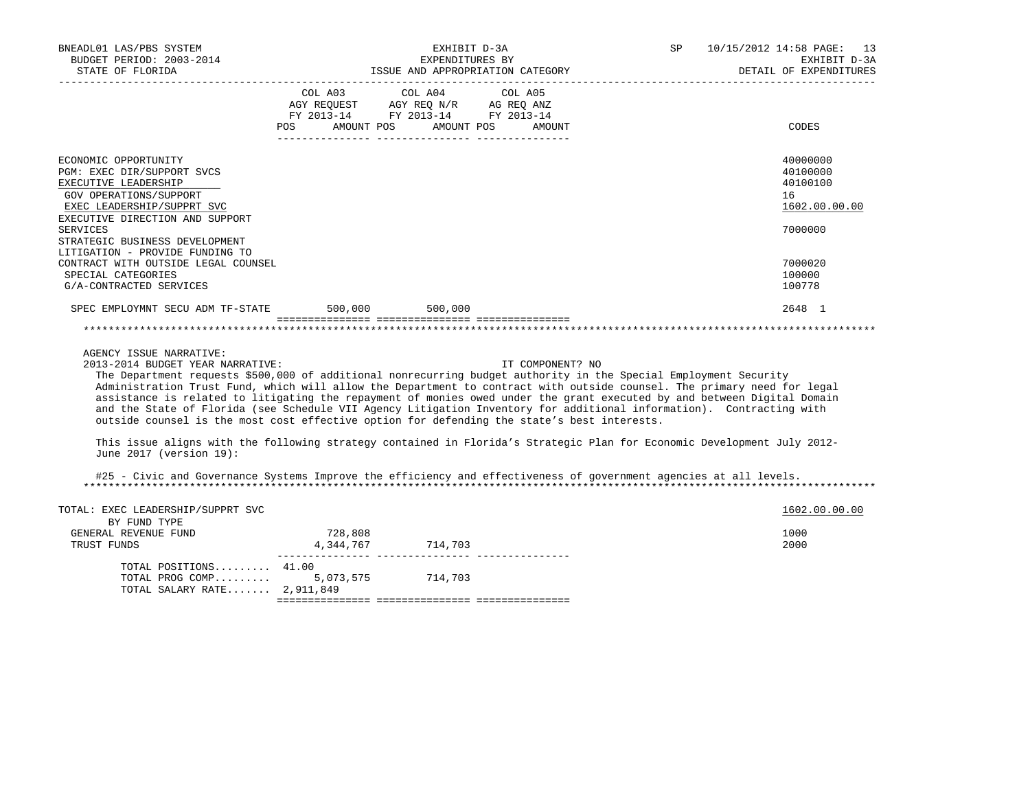| BNEADL01 LAS/PBS SYSTEM<br>BUDGET PERIOD: 2003-2014<br>STATE OF FLORIDA<br>____________________                                                                                                                                                                                                                                                                                                                                                                                                                                                                                                                                                                                                                                                                                                                    |                                                                                                                                                                                                          | EXHIBIT D-3A<br>EXPENDITURES BY | 10/15/2012 14:58 PAGE: 13<br>SP<br>EXHIBIT D-3A<br>EXPENDITURES BY<br>ISSUE AND APPROPRIATION CATEGORY<br>DETAIL OF EXPENDITURES |  |                                                                    |
|--------------------------------------------------------------------------------------------------------------------------------------------------------------------------------------------------------------------------------------------------------------------------------------------------------------------------------------------------------------------------------------------------------------------------------------------------------------------------------------------------------------------------------------------------------------------------------------------------------------------------------------------------------------------------------------------------------------------------------------------------------------------------------------------------------------------|----------------------------------------------------------------------------------------------------------------------------------------------------------------------------------------------------------|---------------------------------|----------------------------------------------------------------------------------------------------------------------------------|--|--------------------------------------------------------------------|
|                                                                                                                                                                                                                                                                                                                                                                                                                                                                                                                                                                                                                                                                                                                                                                                                                    | $\begin{tabular}{lllllllll} \bf AGY \,\,\, REQUEST \,\,\, & \bf AGY \,\, REQ \,\, N/R & \,\, AG \,\, REQ \,\, ANZ \\ \bf FY \,\, 2013-14 & \,\, FY \,\, 2013-14 & \,\, FY \,\, 2013-14 \\ \end{tabular}$ | COL A03 COL A04 COL A05         | POS AMOUNT POS AMOUNT POS AMOUNT                                                                                                 |  | CODES                                                              |
| ECONOMIC OPPORTUNITY<br>PGM: EXEC DIR/SUPPORT SVCS<br>EXECUTIVE LEADERSHIP<br>GOV OPERATIONS/SUPPORT<br>EXEC LEADERSHIP/SUPPRT SVC<br>EXECUTIVE DIRECTION AND SUPPORT<br><b>SERVICES</b>                                                                                                                                                                                                                                                                                                                                                                                                                                                                                                                                                                                                                           |                                                                                                                                                                                                          |                                 |                                                                                                                                  |  | 40000000<br>40100000<br>40100100<br>16<br>1602.00.00.00<br>7000000 |
| STRATEGIC BUSINESS DEVELOPMENT<br>LITIGATION - PROVIDE FUNDING TO<br>CONTRACT WITH OUTSIDE LEGAL COUNSEL<br>SPECIAL CATEGORIES<br>G/A-CONTRACTED SERVICES                                                                                                                                                                                                                                                                                                                                                                                                                                                                                                                                                                                                                                                          |                                                                                                                                                                                                          |                                 |                                                                                                                                  |  | 7000020<br>100000<br>100778                                        |
| SPEC EMPLOYMNT SECU ADM TF-STATE 500,000 500,000                                                                                                                                                                                                                                                                                                                                                                                                                                                                                                                                                                                                                                                                                                                                                                   |                                                                                                                                                                                                          |                                 |                                                                                                                                  |  | 2648 1                                                             |
|                                                                                                                                                                                                                                                                                                                                                                                                                                                                                                                                                                                                                                                                                                                                                                                                                    |                                                                                                                                                                                                          |                                 |                                                                                                                                  |  |                                                                    |
| AGENCY ISSUE NARRATIVE:<br>2013-2014 BUDGET YEAR NARRATIVE:<br>The Department requests \$500,000 of additional nonrecurring budget authority in the Special Employment Security<br>Administration Trust Fund, which will allow the Department to contract with outside counsel. The primary need for legal<br>assistance is related to litigating the repayment of monies owed under the grant executed by and between Digital Domain<br>and the State of Florida (see Schedule VII Agency Litigation Inventory for additional information). Contracting with<br>outside counsel is the most cost effective option for defending the state's best interests.<br>This issue aligns with the following strategy contained in Florida's Strategic Plan for Economic Development July 2012-<br>June 2017 (version 19): |                                                                                                                                                                                                          |                                 | IT COMPONENT? NO                                                                                                                 |  |                                                                    |
| #25 - Civic and Governance Systems Improve the efficiency and effectiveness of government agencies at all levels.                                                                                                                                                                                                                                                                                                                                                                                                                                                                                                                                                                                                                                                                                                  |                                                                                                                                                                                                          |                                 |                                                                                                                                  |  |                                                                    |
| TOTAL: EXEC LEADERSHIP/SUPPRT SVC<br>BY FUND TYPE                                                                                                                                                                                                                                                                                                                                                                                                                                                                                                                                                                                                                                                                                                                                                                  |                                                                                                                                                                                                          |                                 |                                                                                                                                  |  | 1602.00.00.00                                                      |
| GENERAL REVENUE FUND<br>TRUST FUNDS                                                                                                                                                                                                                                                                                                                                                                                                                                                                                                                                                                                                                                                                                                                                                                                | 728,808                                                                                                                                                                                                  |                                 |                                                                                                                                  |  | 1000<br>2000                                                       |
| TOTAL POSITIONS 41.00<br>TOTAL PROG COMP<br>TOTAL SALARY RATE 2,911,849                                                                                                                                                                                                                                                                                                                                                                                                                                                                                                                                                                                                                                                                                                                                            |                                                                                                                                                                                                          | 5,073,575 714,703               |                                                                                                                                  |  |                                                                    |

=============== =============== ===============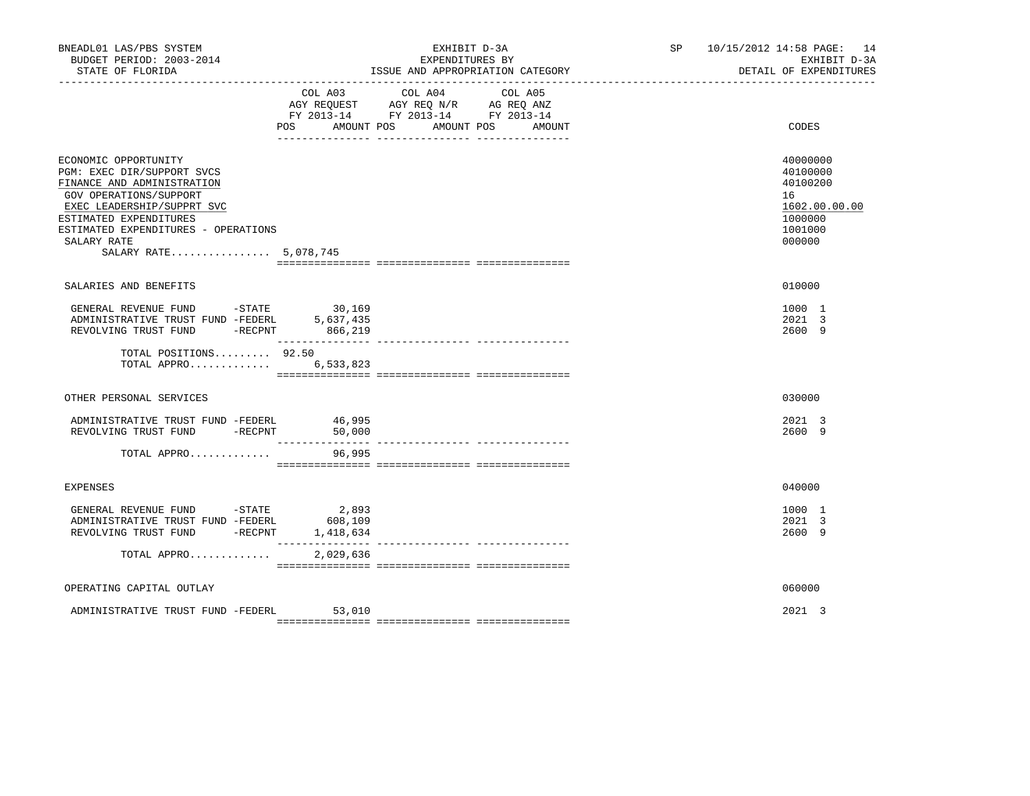| BNEADL01 LAS/PBS SYSTEM<br>BUDGET PERIOD: 2003-2014<br>STATE OF FLORIDA                                                                                                                                                                           |                               | EXHIBIT D-3A<br>EXPENDITURES BY<br>ISSUE AND APPROPRIATION CATEGORY                                                          | SP 10/15/2012 14:58 PAGE: 14<br>EXHIBIT D-3A<br>DETAIL OF EXPENDITURES                  |
|---------------------------------------------------------------------------------------------------------------------------------------------------------------------------------------------------------------------------------------------------|-------------------------------|------------------------------------------------------------------------------------------------------------------------------|-----------------------------------------------------------------------------------------|
|                                                                                                                                                                                                                                                   | <b>POS</b><br>AMOUNT POS      | COL A03 COL A04<br>COL A05<br>AGY REQUEST AGY REQ N/R AG REQ ANZ<br>FY 2013-14 FY 2013-14 FY 2013-14<br>AMOUNT POS<br>AMOUNT | CODES                                                                                   |
|                                                                                                                                                                                                                                                   |                               |                                                                                                                              |                                                                                         |
| ECONOMIC OPPORTUNITY<br>PGM: EXEC DIR/SUPPORT SVCS<br>FINANCE AND ADMINISTRATION<br>GOV OPERATIONS/SUPPORT<br>EXEC LEADERSHIP/SUPPRT SVC<br>ESTIMATED EXPENDITURES<br>ESTIMATED EXPENDITURES - OPERATIONS<br>SALARY RATE<br>SALARY RATE 5,078,745 |                               |                                                                                                                              | 40000000<br>40100000<br>40100200<br>16<br>1602.00.00.00<br>1000000<br>1001000<br>000000 |
|                                                                                                                                                                                                                                                   |                               |                                                                                                                              |                                                                                         |
| SALARIES AND BENEFITS                                                                                                                                                                                                                             |                               |                                                                                                                              | 010000                                                                                  |
| GENERAL REVENUE FUND - STATE<br>GENERAL REVENUE PUND CONFIDENT 5,637,435<br>ADMINISTRATIVE TRUST FUND -FEDERL 5,637,435<br>---------- mettem pund -RECPNT 866,219                                                                                 | 30,169                        |                                                                                                                              | 1000 1<br>2021 3<br>2600 9                                                              |
| TOTAL POSITIONS 92.50<br>TOTAL APPRO                                                                                                                                                                                                              | 6,533,823                     |                                                                                                                              |                                                                                         |
| OTHER PERSONAL SERVICES                                                                                                                                                                                                                           |                               |                                                                                                                              | 030000                                                                                  |
| ADMINISTRATIVE TRUST FUND -FEDERL<br>REVOLVING TRUST FUND -RECPNT                                                                                                                                                                                 | 46,995<br>50,000              |                                                                                                                              | 2021 3<br>2600 9                                                                        |
| TOTAL APPRO                                                                                                                                                                                                                                       | 96,995                        |                                                                                                                              |                                                                                         |
| <b>EXPENSES</b>                                                                                                                                                                                                                                   |                               |                                                                                                                              | 040000                                                                                  |
| GENERAL REVENUE FUND -STATE<br>ADMINISTRATIVE TRUST FUND -FEDERL<br>REVOLVING TRUST FUND -RECPNT                                                                                                                                                  | 2,893<br>608,109<br>1,418,634 |                                                                                                                              | 1000 1<br>2021 3<br>2600 9                                                              |
| TOTAL APPRO                                                                                                                                                                                                                                       | 2,029,636                     |                                                                                                                              |                                                                                         |
| OPERATING CAPITAL OUTLAY                                                                                                                                                                                                                          |                               |                                                                                                                              | 060000                                                                                  |
| ADMINISTRATIVE TRUST FUND -FEDERL                                                                                                                                                                                                                 | 53,010                        |                                                                                                                              | $2021 \quad 3$                                                                          |
|                                                                                                                                                                                                                                                   |                               |                                                                                                                              |                                                                                         |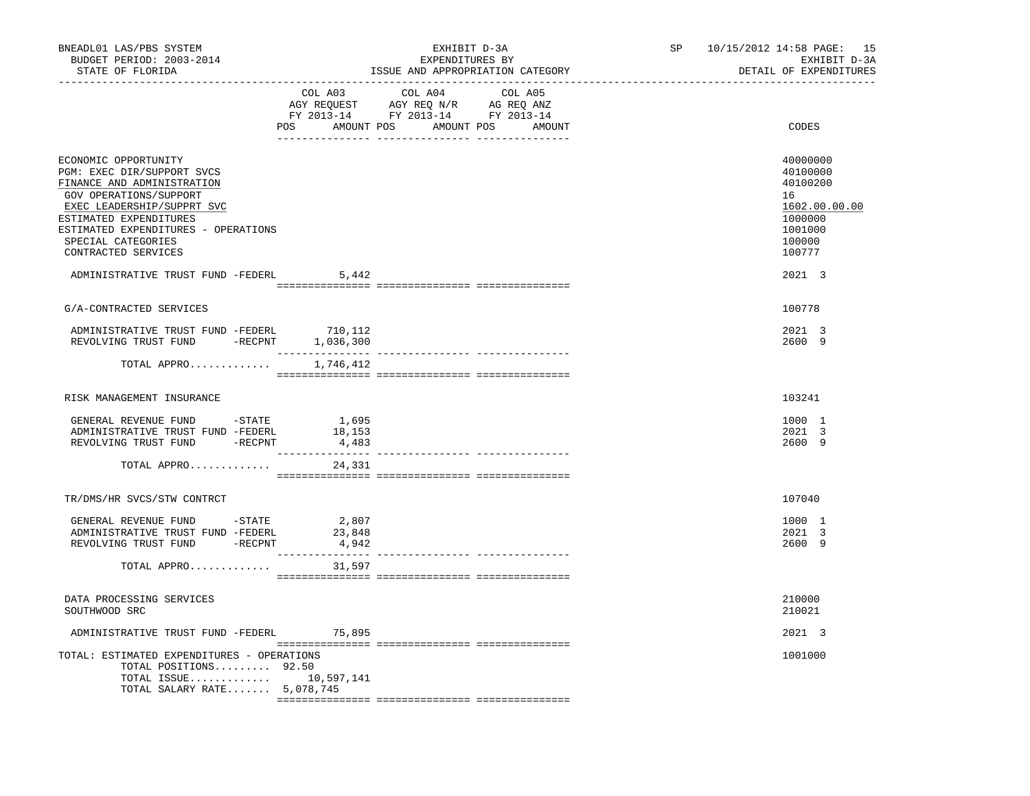| BNEADL01 LAS/PBS SYSTEM<br>BUDGET PERIOD: 2003-2014<br>STATE OF FLORIDA                                                                                                                                                                                                                           | ----------------------------                 | EXHIBIT D-3A<br>EXPENDITURES BY<br>ISSUE AND APPROPRIATION CATEGORY                                                                                                                               | SP <sub>2</sub> | 10/15/2012 14:58 PAGE: 15<br>EXHIBIT D-3A<br>DETAIL OF EXPENDITURES |                                                                                                             |
|---------------------------------------------------------------------------------------------------------------------------------------------------------------------------------------------------------------------------------------------------------------------------------------------------|----------------------------------------------|---------------------------------------------------------------------------------------------------------------------------------------------------------------------------------------------------|-----------------|---------------------------------------------------------------------|-------------------------------------------------------------------------------------------------------------|
|                                                                                                                                                                                                                                                                                                   | COL A03                                      | COL A04<br>COLAND COLAND COLAND COLAND COLAND COLAND COLAND AGE ON AGE ON ASSAULT AND AGE ON A SAME ON A SAME ON A SAME O<br>FX 2013-14 FX 2013-14 FY 2013-14<br>POS AMOUNT POS AMOUNT POS AMOUNT | COL A05         |                                                                     | CODES                                                                                                       |
| ECONOMIC OPPORTUNITY<br>PGM: EXEC DIR/SUPPORT SVCS<br>FINANCE AND ADMINISTRATION<br>GOV OPERATIONS/SUPPORT<br>EXEC LEADERSHIP/SUPPRT SVC<br>ESTIMATED EXPENDITURES<br>ESTIMATED EXPENDITURES - OPERATIONS<br>SPECIAL CATEGORIES<br>CONTRACTED SERVICES<br>ADMINISTRATIVE TRUST FUND -FEDERL 5,442 |                                              |                                                                                                                                                                                                   |                 |                                                                     | 40000000<br>40100000<br>40100200<br>16<br>1602.00.00.00<br>1000000<br>1001000<br>100000<br>100777<br>2021 3 |
| G/A-CONTRACTED SERVICES                                                                                                                                                                                                                                                                           |                                              |                                                                                                                                                                                                   |                 |                                                                     | 100778                                                                                                      |
|                                                                                                                                                                                                                                                                                                   |                                              |                                                                                                                                                                                                   |                 |                                                                     | 2021 3<br>2600 9                                                                                            |
| TOTAL APPRO $1,746,412$                                                                                                                                                                                                                                                                           |                                              |                                                                                                                                                                                                   |                 |                                                                     |                                                                                                             |
| RISK MANAGEMENT INSURANCE                                                                                                                                                                                                                                                                         |                                              |                                                                                                                                                                                                   |                 |                                                                     | 103241                                                                                                      |
| GENERAL REVENUE FUND -STATE 1,695<br>ADMINISTRATIVE TRUST FUND -FEDERL 18,153<br>REVOLVING TRUST FUND -RECPNT                                                                                                                                                                                     | 4,483                                        |                                                                                                                                                                                                   |                 |                                                                     | 1000 1<br>2021 3<br>2600 9                                                                                  |
| TOTAL APPRO                                                                                                                                                                                                                                                                                       | 24,331                                       |                                                                                                                                                                                                   |                 |                                                                     |                                                                                                             |
| TR/DMS/HR SVCS/STW CONTRCT                                                                                                                                                                                                                                                                        |                                              |                                                                                                                                                                                                   |                 |                                                                     | 107040                                                                                                      |
| GENERAL REVENUE FUND -STATE<br>ADMINISTRATIVE TRUST FUND -FEDERL<br>REVOLVING TRUST FUND -RECPNT                                                                                                                                                                                                  | 2,807<br>23,848<br>4,942<br>---------------- |                                                                                                                                                                                                   |                 |                                                                     | 1000 1<br>2021 3<br>2600 9                                                                                  |
| TOTAL APPRO                                                                                                                                                                                                                                                                                       | 31,597                                       |                                                                                                                                                                                                   |                 |                                                                     |                                                                                                             |
| DATA PROCESSING SERVICES<br>SOUTHWOOD SRC                                                                                                                                                                                                                                                         |                                              |                                                                                                                                                                                                   |                 |                                                                     | 210000<br>210021                                                                                            |
| ADMINISTRATIVE TRUST FUND -FEDERL 75,895                                                                                                                                                                                                                                                          |                                              |                                                                                                                                                                                                   |                 |                                                                     | 2021 3                                                                                                      |
| TOTAL: ESTIMATED EXPENDITURES - OPERATIONS<br>TOTAL POSITIONS 92.50<br>TOTAL ISSUE 10,597,141<br>TOTAL SALARY RATE 5,078,745                                                                                                                                                                      |                                              |                                                                                                                                                                                                   |                 |                                                                     | 1001000                                                                                                     |
|                                                                                                                                                                                                                                                                                                   |                                              |                                                                                                                                                                                                   |                 |                                                                     |                                                                                                             |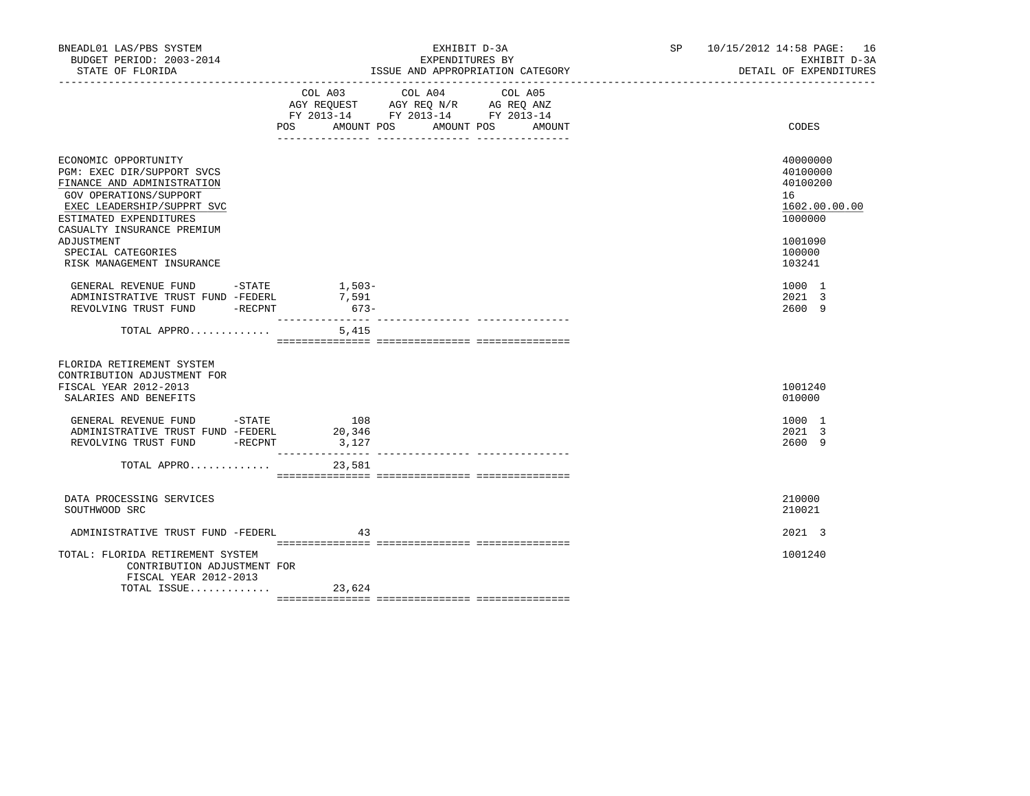| BNEADL01 LAS/PBS SYSTEM<br>BUDGET PERIOD: 2003-2014<br>STATE OF FLORIDA                                                                                                                          | EXHIBIT D-3A<br>EXPENDITURES BY<br>ISSUE AND APPROPRIATION CATEGORY                                                                                                                 | SP 10/15/2012 14:58 PAGE: 16<br>EXHIBIT D-3A<br>DETAIL OF EXPENDITURES |  |  |
|--------------------------------------------------------------------------------------------------------------------------------------------------------------------------------------------------|-------------------------------------------------------------------------------------------------------------------------------------------------------------------------------------|------------------------------------------------------------------------|--|--|
|                                                                                                                                                                                                  | COL A03 COL A04<br>COL A05<br>AGY REQUEST AGY REQ N/R AG REQ ANZ<br>FY 2013-14 FY 2013-14 FY 2013-14<br>POS<br>AMOUNT POS AMOUNT POS AMOUNT<br>_____ ________________ _____________ | CODES                                                                  |  |  |
| ECONOMIC OPPORTUNITY<br>PGM: EXEC DIR/SUPPORT SVCS<br>FINANCE AND ADMINISTRATION<br>GOV OPERATIONS/SUPPORT<br>EXEC LEADERSHIP/SUPPRT SVC<br>ESTIMATED EXPENDITURES<br>CASUALTY INSURANCE PREMIUM |                                                                                                                                                                                     | 40000000<br>40100000<br>40100200<br>16<br>1602.00.00.00<br>1000000     |  |  |
| ADJUSTMENT<br>SPECIAL CATEGORIES<br>RISK MANAGEMENT INSURANCE                                                                                                                                    |                                                                                                                                                                                     | 1001090<br>100000<br>103241                                            |  |  |
| GENERAL REVENUE FUND - STATE<br>ADMINISTRATIVE TRUST FUND -FEDERL<br>REVOLVING TRUST FUND -RECPNT                                                                                                | $1,503-$<br>7,591<br>$673-$                                                                                                                                                         | 1000 1<br>2021 3<br>2600 9                                             |  |  |
| TOTAL APPRO                                                                                                                                                                                      | 5,415                                                                                                                                                                               |                                                                        |  |  |
| FLORIDA RETIREMENT SYSTEM<br>CONTRIBUTION ADJUSTMENT FOR<br>FISCAL YEAR 2012-2013<br>SALARIES AND BENEFITS                                                                                       |                                                                                                                                                                                     | 1001240<br>010000                                                      |  |  |
| GENERAL REVENUE FUND -STATE<br>ADMINISTRATIVE TRUST FUND -FEDERL<br>REVOLVING TRUST FUND -RECPNT                                                                                                 | 108<br>20,346<br>3,127                                                                                                                                                              | 1000 1<br>2021 3<br>2600 9                                             |  |  |
| TOTAL APPRO                                                                                                                                                                                      | 23,581                                                                                                                                                                              |                                                                        |  |  |
| DATA PROCESSING SERVICES<br>SOUTHWOOD SRC                                                                                                                                                        |                                                                                                                                                                                     | 210000<br>210021                                                       |  |  |
| ADMINISTRATIVE TRUST FUND -FEDERL                                                                                                                                                                | 43                                                                                                                                                                                  | 2021 3                                                                 |  |  |
| TOTAL: FLORIDA RETIREMENT SYSTEM<br>CONTRIBUTION ADJUSTMENT FOR<br>FISCAL YEAR 2012-2013                                                                                                         |                                                                                                                                                                                     | 1001240                                                                |  |  |
| TOTAL ISSUE                                                                                                                                                                                      | 23,624                                                                                                                                                                              |                                                                        |  |  |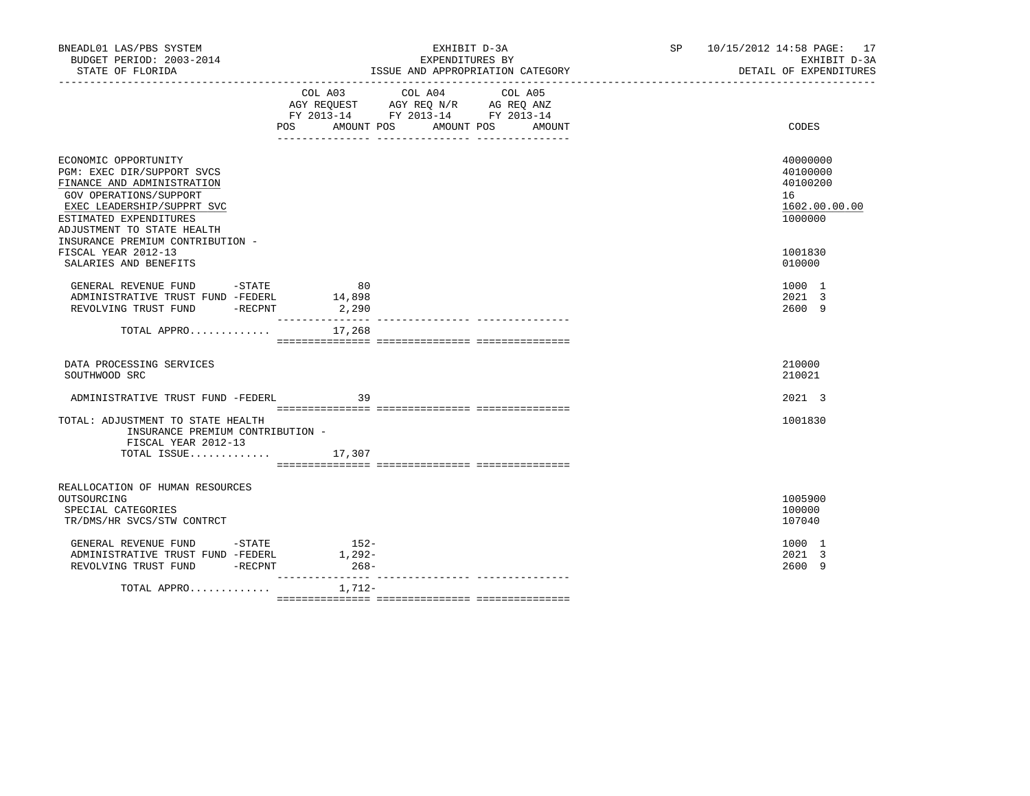| BNEADL01 LAS/PBS SYSTEM<br>BUDGET PERIOD: 2003-2014<br>STATE OF FLORIDA                                                                                                                                                              |                                           | EXHIBIT D-3A<br>EXPENDITURES BY<br>ISSUE AND APPROPRIATION CATEGORY                                                                                | SP 10/15/2012 14:58 PAGE: 17<br>EXHIBIT D-3A<br>DETAIL OF EXPENDITURES |
|--------------------------------------------------------------------------------------------------------------------------------------------------------------------------------------------------------------------------------------|-------------------------------------------|----------------------------------------------------------------------------------------------------------------------------------------------------|------------------------------------------------------------------------|
|                                                                                                                                                                                                                                      | COL A03<br>POS                            | COL A04<br>COL A05<br>AGY REQUEST AGY REQ N/R AG REQ ANZ<br>FY 2013-14 FY 2013-14 FY 2013-14<br>AMOUNT POS AMOUNT POS<br>AMOUNT<br>_ _____________ | CODES                                                                  |
| ECONOMIC OPPORTUNITY<br>PGM: EXEC DIR/SUPPORT SVCS<br>FINANCE AND ADMINISTRATION<br>GOV OPERATIONS/SUPPORT<br>EXEC LEADERSHIP/SUPPRT SVC<br>ESTIMATED EXPENDITURES<br>ADJUSTMENT TO STATE HEALTH<br>INSURANCE PREMIUM CONTRIBUTION - |                                           |                                                                                                                                                    | 40000000<br>40100000<br>40100200<br>16<br>1602.00.00.00<br>1000000     |
| FISCAL YEAR 2012-13<br>SALARIES AND BENEFITS                                                                                                                                                                                         |                                           |                                                                                                                                                    | 1001830<br>010000                                                      |
| GENERAL REVENUE FUND -STATE<br>ADMINISTRATIVE TRUST FUND -FEDERL<br>REVOLVING TRUST FUND -RECPNT                                                                                                                                     | 80<br>14,898<br>2,290<br>________________ |                                                                                                                                                    | 1000 1<br>2021 3<br>2600 9                                             |
| TOTAL APPRO $17,268$                                                                                                                                                                                                                 |                                           |                                                                                                                                                    |                                                                        |
| DATA PROCESSING SERVICES<br>SOUTHWOOD SRC                                                                                                                                                                                            |                                           |                                                                                                                                                    | 210000<br>210021                                                       |
| ADMINISTRATIVE TRUST FUND -FEDERL                                                                                                                                                                                                    | 39                                        |                                                                                                                                                    | 2021 3                                                                 |
| TOTAL: ADJUSTMENT TO STATE HEALTH<br>INSURANCE PREMIUM CONTRIBUTION -<br>FISCAL YEAR 2012-13                                                                                                                                         |                                           |                                                                                                                                                    | 1001830                                                                |
| TOTAL ISSUE $17,307$                                                                                                                                                                                                                 |                                           |                                                                                                                                                    |                                                                        |
| REALLOCATION OF HUMAN RESOURCES<br>OUTSOURCING<br>SPECIAL CATEGORIES<br>TR/DMS/HR SVCS/STW CONTRCT                                                                                                                                   |                                           |                                                                                                                                                    | 1005900<br>100000<br>107040                                            |
| GENERAL REVENUE FUND -STATE<br>ADMINISTRATIVE TRUST FUND -FEDERL<br>REVOLVING TRUST FUND -RECPNT                                                                                                                                     | $152-$<br>$1,292-$<br>$268-$              |                                                                                                                                                    | 1000 1<br>2021 3<br>2600 9                                             |
| TOTAL APPRO                                                                                                                                                                                                                          | --------------- -<br>1,712-               |                                                                                                                                                    |                                                                        |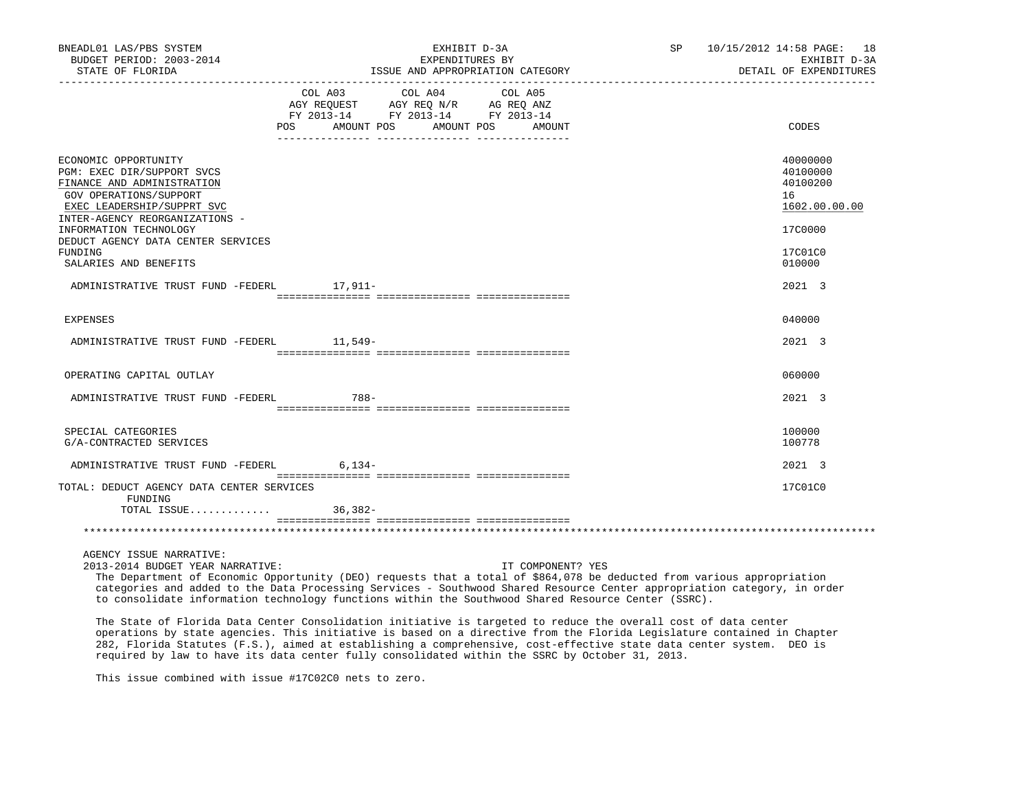| BNEADL01 LAS/PBS SYSTEM<br>BUDGET PERIOD: 2003-2014<br>STATE OF FLORIDA                                                                                                                                                                                                        | EXHIBIT D-3A<br>EXPENDITURES BY<br>ISSUE AND APPROPRIATION CATEGORY                                                                                                                                                                                                                                                                                                                                                                                                   | 10/15/2012 14:58 PAGE:<br>SP<br>18<br>EXHIBIT D-3A<br>DETAIL OF EXPENDITURES            |
|--------------------------------------------------------------------------------------------------------------------------------------------------------------------------------------------------------------------------------------------------------------------------------|-----------------------------------------------------------------------------------------------------------------------------------------------------------------------------------------------------------------------------------------------------------------------------------------------------------------------------------------------------------------------------------------------------------------------------------------------------------------------|-----------------------------------------------------------------------------------------|
|                                                                                                                                                                                                                                                                                | COL A03<br>COL A04<br>COL A05<br>AGY REQUEST AGY REQ N/R AG REQ ANZ<br>FY 2013-14 FY 2013-14 FY 2013-14<br>POS<br>AMOUNT POS AMOUNT POS<br>AMOUNT                                                                                                                                                                                                                                                                                                                     | CODES                                                                                   |
| ECONOMIC OPPORTUNITY<br>PGM: EXEC DIR/SUPPORT SVCS<br>FINANCE AND ADMINISTRATION<br>GOV OPERATIONS/SUPPORT<br>EXEC LEADERSHIP/SUPPRT SVC<br>INTER-AGENCY REORGANIZATIONS -<br>INFORMATION TECHNOLOGY<br>DEDUCT AGENCY DATA CENTER SERVICES<br>FUNDING<br>SALARIES AND BENEFITS |                                                                                                                                                                                                                                                                                                                                                                                                                                                                       | 40000000<br>40100000<br>40100200<br>16<br>1602.00.00.00<br>17C0000<br>17C01C0<br>010000 |
| ADMINISTRATIVE TRUST FUND -FEDERL                                                                                                                                                                                                                                              | 17,911-                                                                                                                                                                                                                                                                                                                                                                                                                                                               | 2021 3                                                                                  |
| <b>EXPENSES</b>                                                                                                                                                                                                                                                                |                                                                                                                                                                                                                                                                                                                                                                                                                                                                       | 040000                                                                                  |
| ADMINISTRATIVE TRUST FUND -FEDERL                                                                                                                                                                                                                                              | $11.549-$                                                                                                                                                                                                                                                                                                                                                                                                                                                             | 2021 3                                                                                  |
| OPERATING CAPITAL OUTLAY                                                                                                                                                                                                                                                       |                                                                                                                                                                                                                                                                                                                                                                                                                                                                       | 060000                                                                                  |
| ADMINISTRATIVE TRUST FUND -FEDERL                                                                                                                                                                                                                                              | 788-                                                                                                                                                                                                                                                                                                                                                                                                                                                                  | 2021 3                                                                                  |
| SPECIAL CATEGORIES<br>G/A-CONTRACTED SERVICES                                                                                                                                                                                                                                  |                                                                                                                                                                                                                                                                                                                                                                                                                                                                       | 100000<br>100778                                                                        |
| ADMINISTRATIVE TRUST FUND -FEDERL                                                                                                                                                                                                                                              | $6.134-$                                                                                                                                                                                                                                                                                                                                                                                                                                                              | 2021 3                                                                                  |
| TOTAL: DEDUCT AGENCY DATA CENTER SERVICES<br>FUNDING                                                                                                                                                                                                                           |                                                                                                                                                                                                                                                                                                                                                                                                                                                                       | 17C01C0                                                                                 |
|                                                                                                                                                                                                                                                                                |                                                                                                                                                                                                                                                                                                                                                                                                                                                                       |                                                                                         |
| AGENCY ISSUE NARRATIVE:<br>2013-2014 BUDGET YEAR NARRATIVE:                                                                                                                                                                                                                    | IT COMPONENT? YES<br>The Department of Economic Opportunity (DEO) requests that a total of \$864,078 be deducted from various appropriation<br>categories and added to the Data Processing Services - Southwood Shared Resource Center appropriation category, in order<br>to consolidate information technology functions within the Southwood Shared Resource Center (SSRC).                                                                                        |                                                                                         |
|                                                                                                                                                                                                                                                                                | The State of Florida Data Center Consolidation initiative is targeted to reduce the overall cost of data center<br>operations by state agencies. This initiative is based on a directive from the Florida Legislature contained in Chapter<br>282, Florida Statutes (F.S.), aimed at establishing a comprehensive, cost-effective state data center system. DEO is<br>required by law to have its data center fully consolidated within the SSRC by October 31, 2013. |                                                                                         |

This issue combined with issue #17C02C0 nets to zero.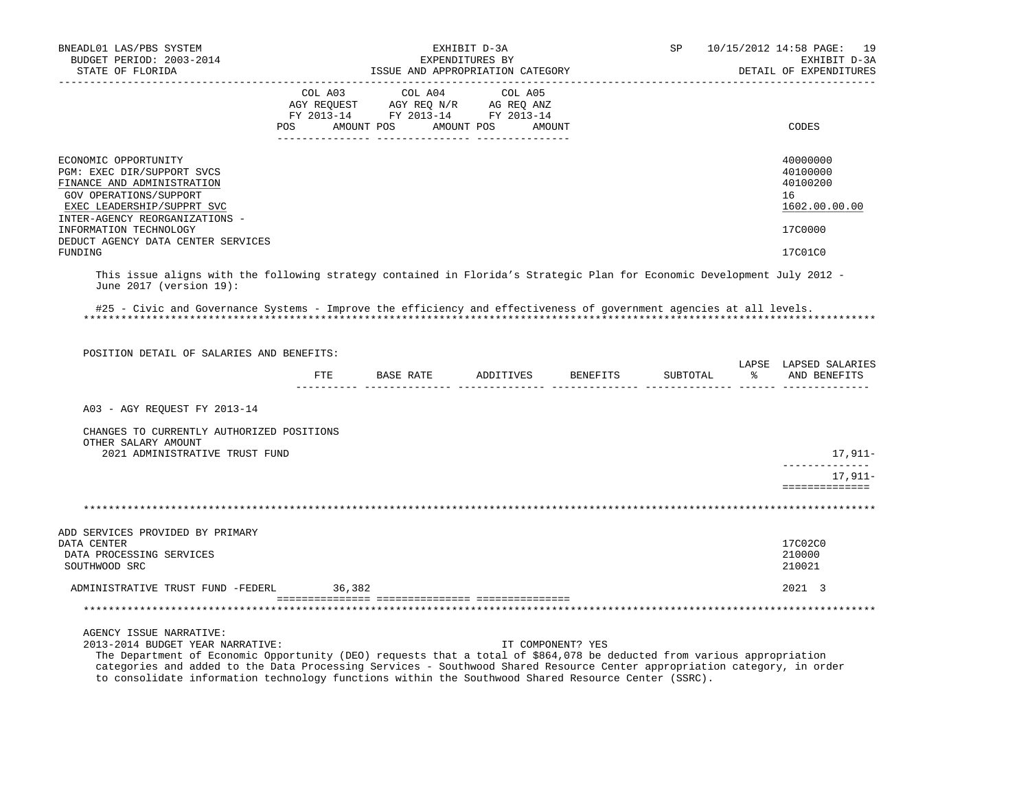| BNEADL01 LAS/PBS SYSTEM<br>EXHIBIT D-3A<br>BUDGET PERIOD: 2003-2014<br>EXPENDITURES BY                                                                                                                                                                                                                            |  | SP<br>10/15/2012 14:58 PAGE: 19<br>EXHIBIT D-3A                                                                                                                                                |  |                   |          |  |                                                                    |
|-------------------------------------------------------------------------------------------------------------------------------------------------------------------------------------------------------------------------------------------------------------------------------------------------------------------|--|------------------------------------------------------------------------------------------------------------------------------------------------------------------------------------------------|--|-------------------|----------|--|--------------------------------------------------------------------|
| STATE OF FLORIDA                                                                                                                                                                                                                                                                                                  |  | ISSUE AND APPROPRIATION CATEGORY                                                                                                                                                               |  |                   |          |  | DETAIL OF EXPENDITURES                                             |
|                                                                                                                                                                                                                                                                                                                   |  | $\begin{tabular}{lcccc} COL A03 & COL A04 & COL A05 \\ AGY REQUEST & AGY REQ N/R & AG REQ ANZ \\ FY & 2013-14 & FY & 2013-14 & FY & 2013-14 \end{tabular}$<br>POS AMOUNT POS AMOUNT POS AMOUNT |  |                   |          |  | CODES                                                              |
| ECONOMIC OPPORTUNITY<br>PGM: EXEC DIR/SUPPORT SVCS<br>FINANCE AND ADMINISTRATION<br>GOV OPERATIONS/SUPPORT<br>EXEC LEADERSHIP/SUPPRT SVC<br>INTER-AGENCY REORGANIZATIONS -<br>INFORMATION TECHNOLOGY<br>DEDUCT AGENCY DATA CENTER SERVICES                                                                        |  |                                                                                                                                                                                                |  |                   |          |  | 40000000<br>40100000<br>40100200<br>16<br>1602.00.00.00<br>17C0000 |
| FUNDING                                                                                                                                                                                                                                                                                                           |  |                                                                                                                                                                                                |  |                   |          |  | 17C01C0                                                            |
| This issue aligns with the following strategy contained in Florida's Strategic Plan for Economic Development July 2012 -<br>June 2017 (version 19):<br>#25 - Civic and Governance Systems - Improve the efficiency and effectiveness of government agencies at all levels.                                        |  |                                                                                                                                                                                                |  |                   |          |  |                                                                    |
|                                                                                                                                                                                                                                                                                                                   |  |                                                                                                                                                                                                |  |                   |          |  |                                                                    |
| POSITION DETAIL OF SALARIES AND BENEFITS:                                                                                                                                                                                                                                                                         |  | FTE BASE RATE ADDITIVES BENEFITS                                                                                                                                                               |  |                   | SUBTOTAL |  | LAPSE LAPSED SALARIES<br>% AND BENEFITS                            |
|                                                                                                                                                                                                                                                                                                                   |  |                                                                                                                                                                                                |  |                   |          |  |                                                                    |
| A03 - AGY REOUEST FY 2013-14                                                                                                                                                                                                                                                                                      |  |                                                                                                                                                                                                |  |                   |          |  |                                                                    |
| CHANGES TO CURRENTLY AUTHORIZED POSITIONS<br>OTHER SALARY AMOUNT                                                                                                                                                                                                                                                  |  |                                                                                                                                                                                                |  |                   |          |  |                                                                    |
| 2021 ADMINISTRATIVE TRUST FUND                                                                                                                                                                                                                                                                                    |  |                                                                                                                                                                                                |  |                   |          |  | 17,911–<br>______________                                          |
|                                                                                                                                                                                                                                                                                                                   |  |                                                                                                                                                                                                |  |                   |          |  | 17,911-<br>==============                                          |
|                                                                                                                                                                                                                                                                                                                   |  |                                                                                                                                                                                                |  |                   |          |  |                                                                    |
| ADD SERVICES PROVIDED BY PRIMARY<br>DATA CENTER<br>DATA PROCESSING SERVICES<br>SOUTHWOOD SRC                                                                                                                                                                                                                      |  |                                                                                                                                                                                                |  |                   |          |  | 17C02C0<br>210000<br>210021                                        |
| ADMINISTRATIVE TRUST FUND -FEDERL 36,382                                                                                                                                                                                                                                                                          |  |                                                                                                                                                                                                |  |                   |          |  | 2021 3                                                             |
|                                                                                                                                                                                                                                                                                                                   |  |                                                                                                                                                                                                |  |                   |          |  |                                                                    |
| AGENCY ISSUE NARRATIVE:<br>2013-2014 BUDGET YEAR NARRATIVE:<br>The Department of Economic Opportunity (DEO) requests that a total of \$864,078 be deducted from various appropriation<br>categories and added to the Data Processing Services - Southwood Shared Resource Center appropriation category, in order |  |                                                                                                                                                                                                |  | IT COMPONENT? YES |          |  |                                                                    |

to consolidate information technology functions within the Southwood Shared Resource Center (SSRC).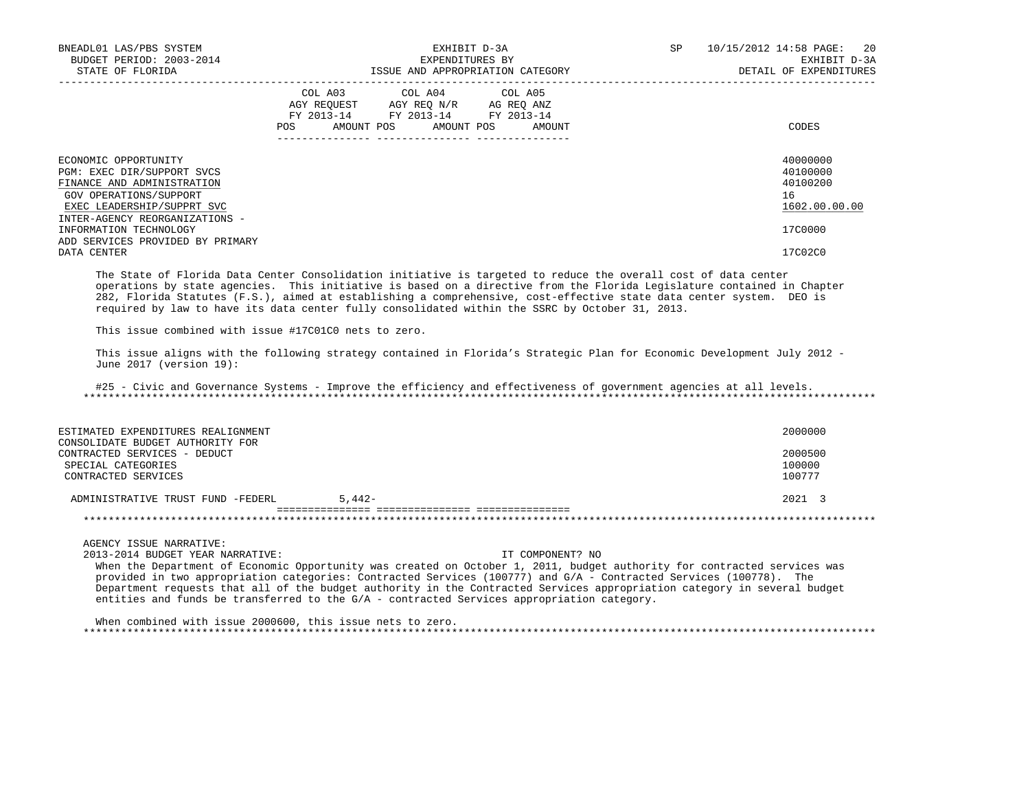| BNEADL01 LAS/PBS SYSTEM<br>BUDGET PERIOD: 2003-2014<br>STATE OF FLORIDA                                                                                                    | EXHIBIT D-3A<br>EXPENDITURES BY<br>ISSUE AND APPROPRIATION CATEGORY |                                                                                                                            |        | SP | 20<br>10/15/2012 14:58 PAGE:<br>EXHIBIT D-3A<br>DETAIL OF EXPENDITURES |
|----------------------------------------------------------------------------------------------------------------------------------------------------------------------------|---------------------------------------------------------------------|----------------------------------------------------------------------------------------------------------------------------|--------|----|------------------------------------------------------------------------|
|                                                                                                                                                                            | POS                                                                 | COL A03 COL A04 COL A05<br>AGY REOUEST AGY REO N/R AG REO ANZ<br>FY 2013-14 FY 2013-14 FY 2013-14<br>AMOUNT POS AMOUNT POS | AMOUNT |    | CODES                                                                  |
| ECONOMIC OPPORTUNITY<br>PGM: EXEC DIR/SUPPORT SVCS<br>FINANCE AND ADMINISTRATION<br>GOV OPERATIONS/SUPPORT<br>EXEC LEADERSHIP/SUPPRT SVC<br>INTER-AGENCY REORGANIZATIONS - |                                                                     |                                                                                                                            |        |    | 40000000<br>40100000<br>40100200<br>16<br>1602.00.00.00                |
| INFORMATION TECHNOLOGY<br>ADD SERVICES PROVIDED BY PRIMARY                                                                                                                 |                                                                     |                                                                                                                            |        |    | 17C0000                                                                |
| DATA CENTER                                                                                                                                                                |                                                                     |                                                                                                                            |        |    | 17C02C0                                                                |

 The State of Florida Data Center Consolidation initiative is targeted to reduce the overall cost of data center operations by state agencies. This initiative is based on a directive from the Florida Legislature contained in Chapter 282, Florida Statutes (F.S.), aimed at establishing a comprehensive, cost-effective state data center system. DEO is required by law to have its data center fully consolidated within the SSRC by October 31, 2013.

This issue combined with issue #17C01C0 nets to zero.

 This issue aligns with the following strategy contained in Florida's Strategic Plan for Economic Development July 2012 - June 2017 (version 19):

 #25 - Civic and Governance Systems - Improve the efficiency and effectiveness of government agencies at all levels. \*\*\*\*\*\*\*\*\*\*\*\*\*\*\*\*\*\*\*\*\*\*\*\*\*\*\*\*\*\*\*\*\*\*\*\*\*\*\*\*\*\*\*\*\*\*\*\*\*\*\*\*\*\*\*\*\*\*\*\*\*\*\*\*\*\*\*\*\*\*\*\*\*\*\*\*\*\*\*\*\*\*\*\*\*\*\*\*\*\*\*\*\*\*\*\*\*\*\*\*\*\*\*\*\*\*\*\*\*\*\*\*\*\*\*\*\*\*\*\*\*\*\*\*\*\*\*

| ESTIMATED EXPENDITURES REALIGNMENT                                                     |          | 2000000           |
|----------------------------------------------------------------------------------------|----------|-------------------|
| CONSOLIDATE BUDGET AUTHORITY FOR<br>CONTRACTED SERVICES - DEDUCT<br>SPECIAL CATEGORIES |          | 2000500<br>100000 |
| CONTRACTED SERVICES                                                                    |          | 100777            |
| ADMINISTRATIVE TRUST FUND -FEDERL                                                      | $5.442-$ | $2021 \quad 3$    |
|                                                                                        |          |                   |

AGENCY ISSUE NARRATIVE:

2013-2014 BUDGET YEAR NARRATIVE: IT COMPONENT? NO

 When the Department of Economic Opportunity was created on October 1, 2011, budget authority for contracted services was provided in two appropriation categories: Contracted Services (100777) and G/A - Contracted Services (100778). The Department requests that all of the budget authority in the Contracted Services appropriation category in several budget entities and funds be transferred to the G/A - contracted Services appropriation category.

 When combined with issue 2000600, this issue nets to zero. \*\*\*\*\*\*\*\*\*\*\*\*\*\*\*\*\*\*\*\*\*\*\*\*\*\*\*\*\*\*\*\*\*\*\*\*\*\*\*\*\*\*\*\*\*\*\*\*\*\*\*\*\*\*\*\*\*\*\*\*\*\*\*\*\*\*\*\*\*\*\*\*\*\*\*\*\*\*\*\*\*\*\*\*\*\*\*\*\*\*\*\*\*\*\*\*\*\*\*\*\*\*\*\*\*\*\*\*\*\*\*\*\*\*\*\*\*\*\*\*\*\*\*\*\*\*\*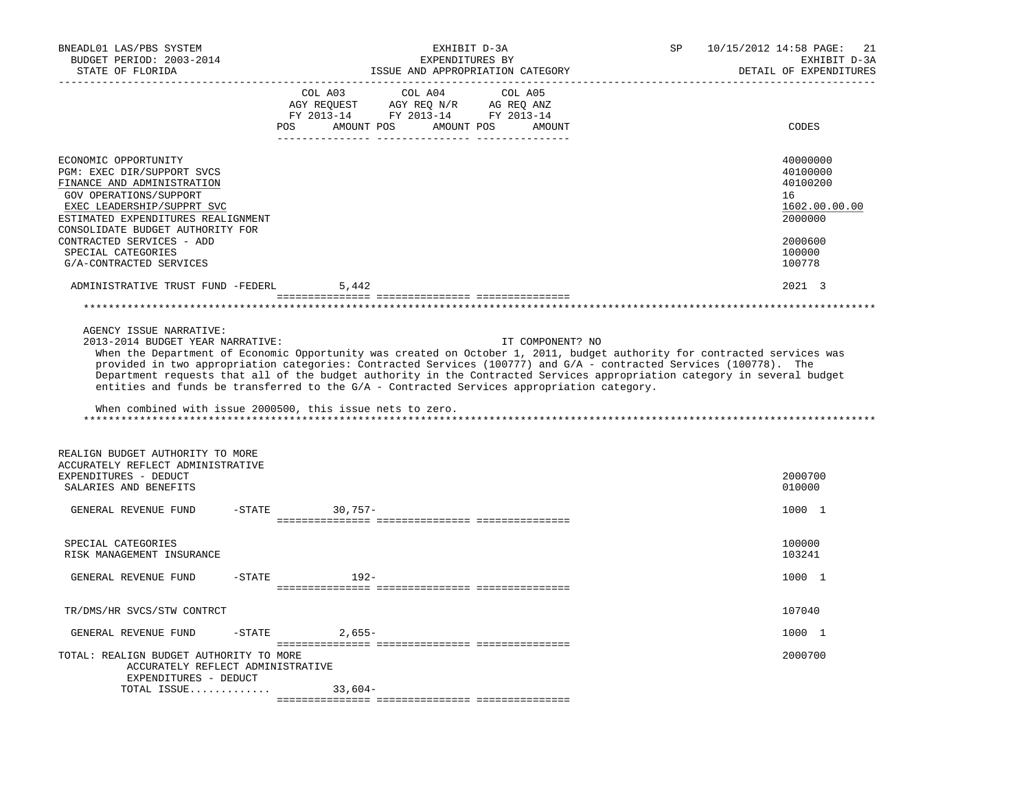| BNEADL01 LAS/PBS SYSTEM<br>BUDGET PERIOD: 2003-2014<br>STATE OF FLORIDA                                                                                                                                                                                                                          | EXHIBIT D-3A<br>EXPENDITURES BY<br>ISSUE AND APPROPRIATION CATEGORY                                                                                                                                                                                                                                                                                                                                                                                                                                                                                        | 10/15/2012 14:58 PAGE:<br>SP<br>21<br>EXHIBIT D-3A<br>DETAIL OF EXPENDITURES                      |
|--------------------------------------------------------------------------------------------------------------------------------------------------------------------------------------------------------------------------------------------------------------------------------------------------|------------------------------------------------------------------------------------------------------------------------------------------------------------------------------------------------------------------------------------------------------------------------------------------------------------------------------------------------------------------------------------------------------------------------------------------------------------------------------------------------------------------------------------------------------------|---------------------------------------------------------------------------------------------------|
|                                                                                                                                                                                                                                                                                                  | COL A04<br>COL A03<br>COL A05<br>$\begin{tabular}{lllllll} \bf AGY \;\; RegUEST & \tt AGY \;\; REG \;\; N/R & \tt AG \;\; REG \;\; ANZ \\ \hline \tt FY \;\; 2013-14 & \tt FY \;\; 2013-14 & \tt FY \;\; 2013-14 \\ \end{tabular}$<br>POS AMOUNT POS AMOUNT POS AMOUNT                                                                                                                                                                                                                                                                                     | CODES                                                                                             |
| ECONOMIC OPPORTUNITY<br>PGM: EXEC DIR/SUPPORT SVCS<br>FINANCE AND ADMINISTRATION<br>GOV OPERATIONS/SUPPORT<br>EXEC LEADERSHIP/SUPPRT SVC<br>ESTIMATED EXPENDITURES REALIGNMENT<br>CONSOLIDATE BUDGET AUTHORITY FOR<br>CONTRACTED SERVICES - ADD<br>SPECIAL CATEGORIES<br>G/A-CONTRACTED SERVICES |                                                                                                                                                                                                                                                                                                                                                                                                                                                                                                                                                            | 40000000<br>40100000<br>40100200<br>16<br>1602.00.00.00<br>2000000<br>2000600<br>100000<br>100778 |
| ADMINISTRATIVE TRUST FUND -FEDERL                                                                                                                                                                                                                                                                | 5,442                                                                                                                                                                                                                                                                                                                                                                                                                                                                                                                                                      | 2021 3                                                                                            |
|                                                                                                                                                                                                                                                                                                  |                                                                                                                                                                                                                                                                                                                                                                                                                                                                                                                                                            |                                                                                                   |
| 2013-2014 BUDGET YEAR NARRATIVE:<br>REALIGN BUDGET AUTHORITY TO MORE                                                                                                                                                                                                                             | IT COMPONENT? NO<br>When the Department of Economic Opportunity was created on October 1, 2011, budget authority for contracted services was<br>provided in two appropriation categories: Contracted Services (100777) and G/A - contracted Services (100778). The<br>Department requests that all of the budget authority in the Contracted Services appropriation category in several budget<br>entities and funds be transferred to the G/A - Contracted Services appropriation category.<br>When combined with issue 2000500, this issue nets to zero. |                                                                                                   |
| ACCURATELY REFLECT ADMINISTRATIVE<br>EXPENDITURES - DEDUCT<br>SALARIES AND BENEFITS                                                                                                                                                                                                              |                                                                                                                                                                                                                                                                                                                                                                                                                                                                                                                                                            | 2000700<br>010000                                                                                 |
| GENERAL REVENUE FUND                                                                                                                                                                                                                                                                             | $-STATE$<br>30,757-                                                                                                                                                                                                                                                                                                                                                                                                                                                                                                                                        | 1000 1                                                                                            |
| SPECIAL CATEGORIES<br>RISK MANAGEMENT INSURANCE                                                                                                                                                                                                                                                  |                                                                                                                                                                                                                                                                                                                                                                                                                                                                                                                                                            | 100000<br>103241                                                                                  |
| GENERAL REVENUE FUND<br>$-$ STATE                                                                                                                                                                                                                                                                | $192 -$                                                                                                                                                                                                                                                                                                                                                                                                                                                                                                                                                    | 1000 1                                                                                            |
| TR/DMS/HR SVCS/STW CONTRCT                                                                                                                                                                                                                                                                       |                                                                                                                                                                                                                                                                                                                                                                                                                                                                                                                                                            | 107040                                                                                            |
| GENERAL REVENUE FUND<br>-STATE                                                                                                                                                                                                                                                                   | 2,655-                                                                                                                                                                                                                                                                                                                                                                                                                                                                                                                                                     | 1000 1                                                                                            |
| TOTAL: REALIGN BUDGET AUTHORITY TO MORE<br>ACCURATELY REFLECT ADMINISTRATIVE<br>EXPENDITURES - DEDUCT<br>TOTAL ISSUE                                                                                                                                                                             | 33,604-                                                                                                                                                                                                                                                                                                                                                                                                                                                                                                                                                    | 2000700                                                                                           |
|                                                                                                                                                                                                                                                                                                  |                                                                                                                                                                                                                                                                                                                                                                                                                                                                                                                                                            |                                                                                                   |
|                                                                                                                                                                                                                                                                                                  |                                                                                                                                                                                                                                                                                                                                                                                                                                                                                                                                                            |                                                                                                   |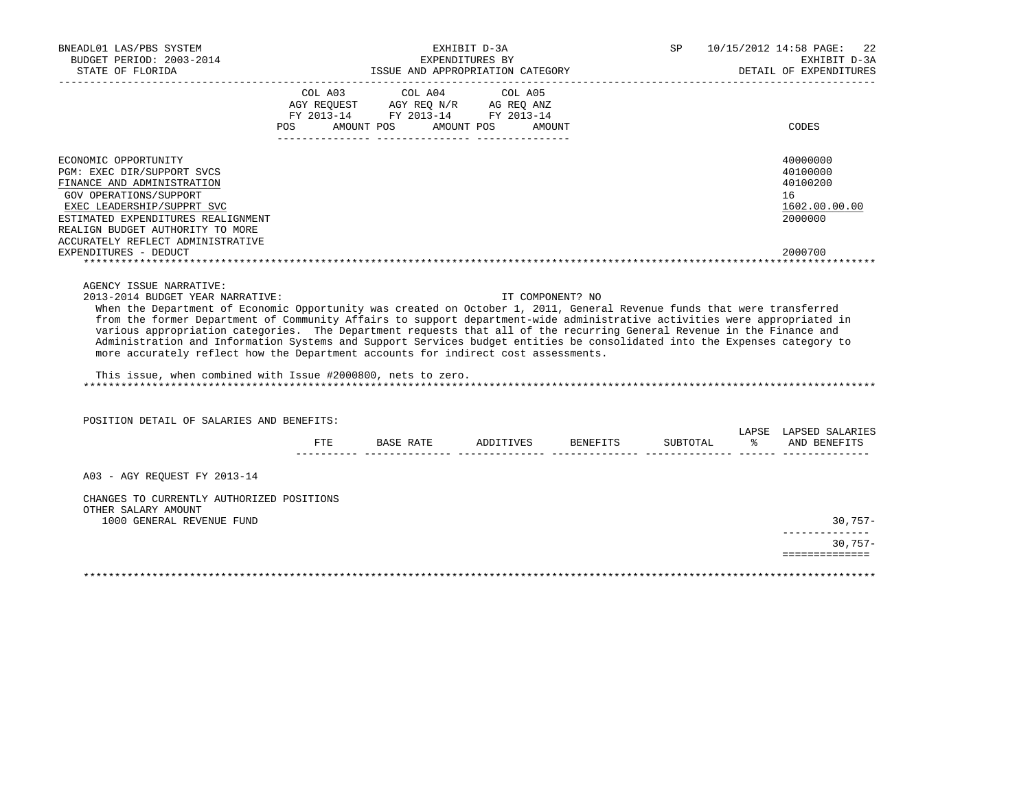| BNEADL01 LAS/PBS SYSTEM<br>BUDGET PERIOD: 2003-2014<br>STATE OF FLORIDA                                                                                                                                                                                                                                                                                                                                                                                                                                                                |         | ISSUE AND APPROPRIATION CATEGORY                                                                                                                                                                                                            | EXHIBIT D-3A<br>EXPENDITURES BY |                    | SP       | 10/15/2012 14:58 PAGE:<br>22<br>EXHIBIT D-3A<br>DETAIL OF EXPENDITURES |
|----------------------------------------------------------------------------------------------------------------------------------------------------------------------------------------------------------------------------------------------------------------------------------------------------------------------------------------------------------------------------------------------------------------------------------------------------------------------------------------------------------------------------------------|---------|---------------------------------------------------------------------------------------------------------------------------------------------------------------------------------------------------------------------------------------------|---------------------------------|--------------------|----------|------------------------------------------------------------------------|
|                                                                                                                                                                                                                                                                                                                                                                                                                                                                                                                                        | COL A03 | COL A04<br>$\begin{tabular}{lllllll} AGY & \texttt{REQUEST} & \texttt{AGY} & \texttt{REG} & \texttt{N/R} & \texttt{AG} & \texttt{REG} & \texttt{ANZ} \end{tabular}$<br>FY 2013-14 FY 2013-14 FY 2013-14<br>POS AMOUNT POS AMOUNT POS AMOUNT | COL A05                         |                    |          | CODES                                                                  |
| ECONOMIC OPPORTUNITY<br>PGM: EXEC DIR/SUPPORT SVCS<br>FINANCE AND ADMINISTRATION<br>GOV OPERATIONS/SUPPORT<br>EXEC LEADERSHIP/SUPPRT SVC<br>ESTIMATED EXPENDITURES REALIGNMENT<br>REALIGN BUDGET AUTHORITY TO MORE<br>ACCURATELY REFLECT ADMINISTRATIVE                                                                                                                                                                                                                                                                                |         |                                                                                                                                                                                                                                             |                                 |                    |          | 40000000<br>40100000<br>40100200<br>16<br>1602.00.00.00<br>2000000     |
| EXPENDITURES - DEDUCT                                                                                                                                                                                                                                                                                                                                                                                                                                                                                                                  |         |                                                                                                                                                                                                                                             |                                 |                    |          | 2000700                                                                |
| from the former Department of Community Affairs to support department-wide administrative activities were appropriated in<br>various appropriation categories. The Department requests that all of the recurring General Revenue in the Finance and<br>Administration and Information Systems and Support Services budget entities be consolidated into the Expenses category to<br>more accurately reflect how the Department accounts for indirect cost assessments.<br>This issue, when combined with Issue #2000800, nets to zero. |         |                                                                                                                                                                                                                                             |                                 |                    |          |                                                                        |
| POSITION DETAIL OF SALARIES AND BENEFITS:                                                                                                                                                                                                                                                                                                                                                                                                                                                                                              |         |                                                                                                                                                                                                                                             |                                 |                    |          | LAPSE LAPSED SALARIES                                                  |
|                                                                                                                                                                                                                                                                                                                                                                                                                                                                                                                                        | FTE     | BASE RATE                                                                                                                                                                                                                                   |                                 | ADDITIVES BENEFITS | SUBTOTAL | % AND BENEFITS                                                         |
| A03 - AGY REOUEST FY 2013-14                                                                                                                                                                                                                                                                                                                                                                                                                                                                                                           |         |                                                                                                                                                                                                                                             |                                 |                    |          |                                                                        |
| CHANGES TO CURRENTLY AUTHORIZED POSITIONS<br>OTHER SALARY AMOUNT<br>1000 GENERAL REVENUE FUND                                                                                                                                                                                                                                                                                                                                                                                                                                          |         |                                                                                                                                                                                                                                             |                                 |                    |          | 30,757-                                                                |
|                                                                                                                                                                                                                                                                                                                                                                                                                                                                                                                                        |         |                                                                                                                                                                                                                                             |                                 |                    |          | $30,757-$                                                              |
|                                                                                                                                                                                                                                                                                                                                                                                                                                                                                                                                        |         |                                                                                                                                                                                                                                             |                                 |                    |          | ==============                                                         |
|                                                                                                                                                                                                                                                                                                                                                                                                                                                                                                                                        |         |                                                                                                                                                                                                                                             |                                 |                    |          |                                                                        |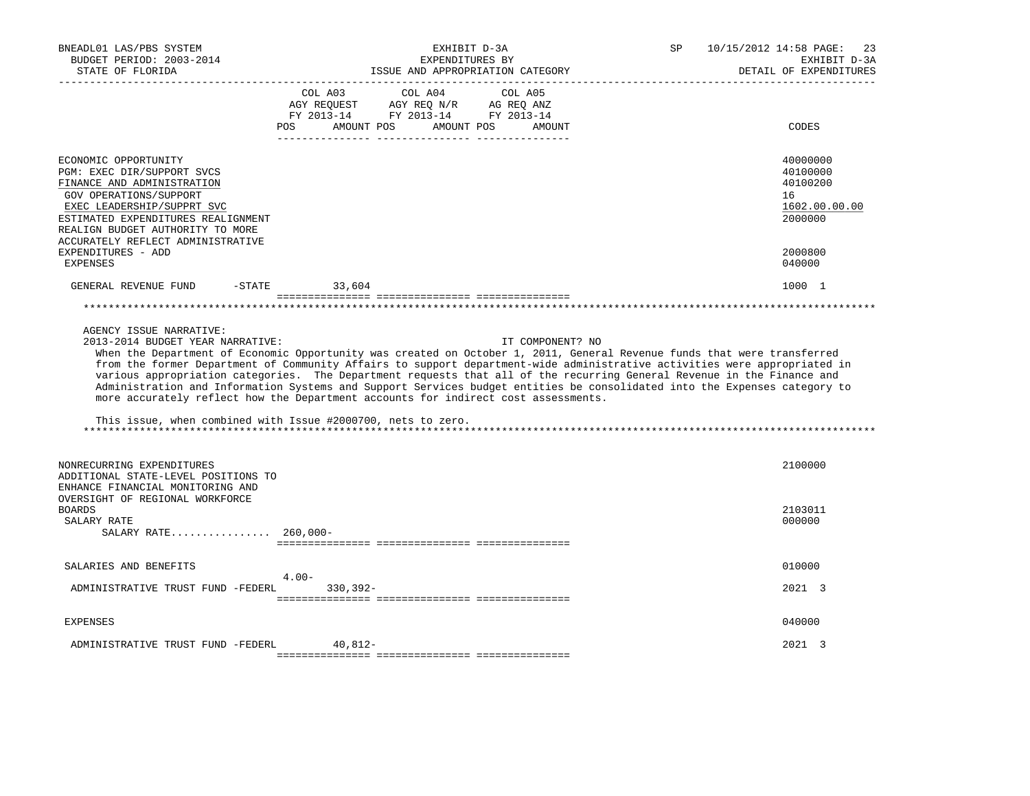| BNEADL01 LAS/PBS SYSTEM<br>BUDGET PERIOD: 2003-2014<br>STATE OF FLORIDA                                                                                                                                                                                 | EXHIBIT D-3A<br>EXPENDITURES BY<br>ISSUE AND APPROPRIATION CATEGORY                                                                                                                                                                                                                                                                                                                                                                                                                                                                                                                                                                                                                   | 10/15/2012 14:58 PAGE:<br>SP<br>23<br>EXHIBIT D-3A<br>DETAIL OF EXPENDITURES |
|---------------------------------------------------------------------------------------------------------------------------------------------------------------------------------------------------------------------------------------------------------|---------------------------------------------------------------------------------------------------------------------------------------------------------------------------------------------------------------------------------------------------------------------------------------------------------------------------------------------------------------------------------------------------------------------------------------------------------------------------------------------------------------------------------------------------------------------------------------------------------------------------------------------------------------------------------------|------------------------------------------------------------------------------|
|                                                                                                                                                                                                                                                         | COL A03<br>COL A04<br>COL A05<br>$\begin{tabular}{lllllllll} \bf AGY \;\; RegUEST & \tt AGY \;\; REG \;\; N/R & \tt AG \;\; REG \;\; ANZ \\ \hline \tt FY \;\; 2013-14 & \tt FY \;\; 2013-14 & \tt FY \;\; 2013-14 \\ \end{tabular}$<br>POS AMOUNT POS AMOUNT POS<br>AMOUNT                                                                                                                                                                                                                                                                                                                                                                                                           | CODES                                                                        |
| ECONOMIC OPPORTUNITY<br>PGM: EXEC DIR/SUPPORT SVCS<br>FINANCE AND ADMINISTRATION<br>GOV OPERATIONS/SUPPORT<br>EXEC LEADERSHIP/SUPPRT SVC<br>ESTIMATED EXPENDITURES REALIGNMENT<br>REALIGN BUDGET AUTHORITY TO MORE<br>ACCURATELY REFLECT ADMINISTRATIVE |                                                                                                                                                                                                                                                                                                                                                                                                                                                                                                                                                                                                                                                                                       | 40000000<br>40100000<br>40100200<br>16<br>1602.00.00.00<br>2000000           |
| EXPENDITURES - ADD<br>EXPENSES                                                                                                                                                                                                                          |                                                                                                                                                                                                                                                                                                                                                                                                                                                                                                                                                                                                                                                                                       | 2000800<br>040000                                                            |
| GENERAL REVENUE FUND                                                                                                                                                                                                                                    | $-$ STATE 33,604                                                                                                                                                                                                                                                                                                                                                                                                                                                                                                                                                                                                                                                                      | 1000 1                                                                       |
|                                                                                                                                                                                                                                                         |                                                                                                                                                                                                                                                                                                                                                                                                                                                                                                                                                                                                                                                                                       |                                                                              |
| AGENCY ISSUE NARRATIVE:<br>2013-2014 BUDGET YEAR NARRATIVE:                                                                                                                                                                                             | IT COMPONENT? NO<br>When the Department of Economic Opportunity was created on October 1, 2011, General Revenue funds that were transferred<br>from the former Department of Community Affairs to support department-wide administrative activities were appropriated in<br>various appropriation categories. The Department requests that all of the recurring General Revenue in the Finance and<br>Administration and Information Systems and Support Services budget entities be consolidated into the Expenses category to<br>more accurately reflect how the Department accounts for indirect cost assessments.<br>This issue, when combined with Issue #2000700, nets to zero. |                                                                              |
| NONRECURRING EXPENDITURES<br>ADDITIONAL STATE-LEVEL POSITIONS TO<br>ENHANCE FINANCIAL MONITORING AND                                                                                                                                                    |                                                                                                                                                                                                                                                                                                                                                                                                                                                                                                                                                                                                                                                                                       | 2100000                                                                      |
| OVERSIGHT OF REGIONAL WORKFORCE<br><b>BOARDS</b><br>SALARY RATE<br>SALARY RATE 260,000-                                                                                                                                                                 |                                                                                                                                                                                                                                                                                                                                                                                                                                                                                                                                                                                                                                                                                       | 2103011<br>000000                                                            |
| SALARIES AND BENEFITS                                                                                                                                                                                                                                   |                                                                                                                                                                                                                                                                                                                                                                                                                                                                                                                                                                                                                                                                                       | 010000                                                                       |
| ADMINISTRATIVE TRUST FUND -FEDERL                                                                                                                                                                                                                       | $4.00 -$<br>$330.392 -$                                                                                                                                                                                                                                                                                                                                                                                                                                                                                                                                                                                                                                                               | 2021 3                                                                       |
| EXPENSES                                                                                                                                                                                                                                                |                                                                                                                                                                                                                                                                                                                                                                                                                                                                                                                                                                                                                                                                                       | 040000                                                                       |
| ADMINISTRATIVE TRUST FUND -FEDERL                                                                                                                                                                                                                       | 40,812-                                                                                                                                                                                                                                                                                                                                                                                                                                                                                                                                                                                                                                                                               | 2021 3                                                                       |
|                                                                                                                                                                                                                                                         |                                                                                                                                                                                                                                                                                                                                                                                                                                                                                                                                                                                                                                                                                       |                                                                              |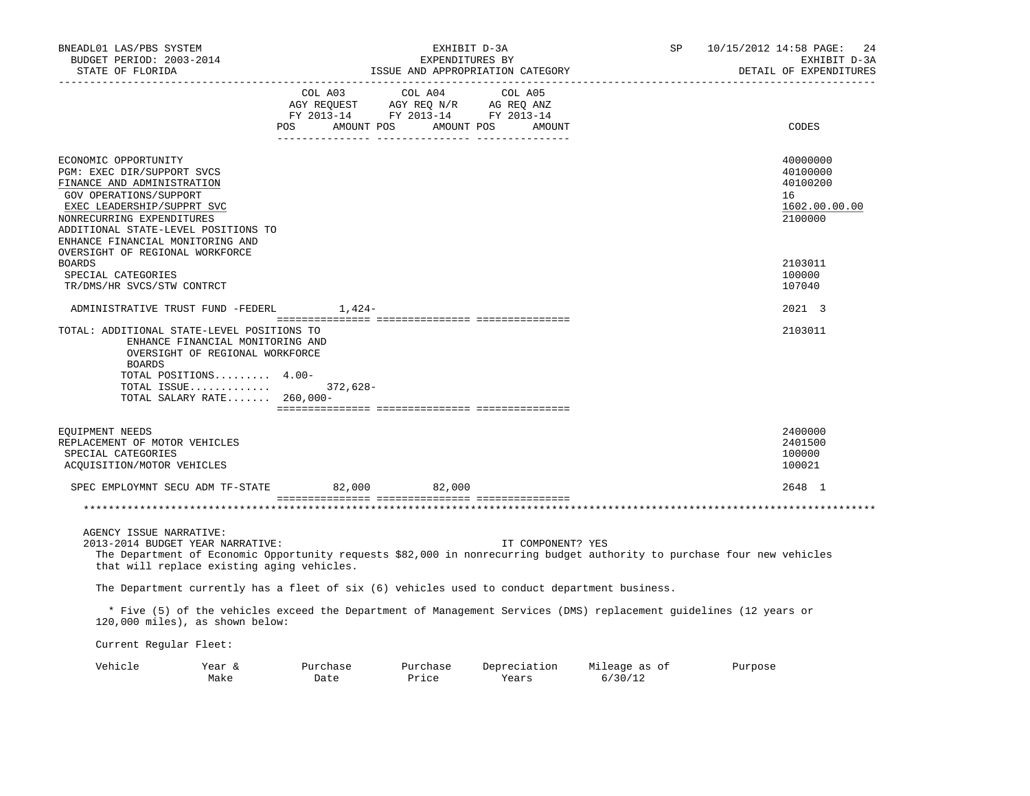| BNEADL01 LAS/PBS SYSTEM<br>BUDGET PERIOD: 2003-2014<br>STATE OF FLORIDA                                                                                                                                                                          |                  |                                                                                                                                                                                     | EXHIBIT D-3A<br>EXPENDITURES BY<br>ISSUE AND APPROPRIATION CATEGORY | SP                       | 10/15/2012 14:58 PAGE:<br>24<br>EXHIBIT D-3A<br>DETAIL OF EXPENDITURES |
|--------------------------------------------------------------------------------------------------------------------------------------------------------------------------------------------------------------------------------------------------|------------------|-------------------------------------------------------------------------------------------------------------------------------------------------------------------------------------|---------------------------------------------------------------------|--------------------------|------------------------------------------------------------------------|
| __________________                                                                                                                                                                                                                               | POS              | $\begin{tabular}{lcccc} CDL A03 & CDL A04 & CDL A05 \\ AGY REQUEST & AGY REQ N/R & AG REQ ANZ \\ FY & 2013-14 & FY & 2013-14 & FY & 2013-14 \end{tabular}$<br>AMOUNT POS AMOUNT POS | AMOUNT                                                              |                          | CODES                                                                  |
| ECONOMIC OPPORTUNITY<br>PGM: EXEC DIR/SUPPORT SVCS<br>FINANCE AND ADMINISTRATION<br>GOV OPERATIONS/SUPPORT<br>EXEC LEADERSHIP/SUPPRT SVC<br>NONRECURRING EXPENDITURES<br>ADDITIONAL STATE-LEVEL POSITIONS TO<br>ENHANCE FINANCIAL MONITORING AND |                  |                                                                                                                                                                                     |                                                                     |                          | 40000000<br>40100000<br>40100200<br>16<br>1602.00.00.00<br>2100000     |
| OVERSIGHT OF REGIONAL WORKFORCE<br><b>BOARDS</b><br>SPECIAL CATEGORIES<br>TR/DMS/HR SVCS/STW CONTRCT                                                                                                                                             |                  |                                                                                                                                                                                     |                                                                     |                          | 2103011<br>100000<br>107040                                            |
| ADMINISTRATIVE TRUST FUND -FEDERL                                                                                                                                                                                                                | $1,424-$         |                                                                                                                                                                                     |                                                                     |                          | 2021 3                                                                 |
| TOTAL: ADDITIONAL STATE-LEVEL POSITIONS TO<br>ENHANCE FINANCIAL MONITORING AND<br>OVERSIGHT OF REGIONAL WORKFORCE<br><b>BOARDS</b><br>TOTAL POSITIONS 4.00-<br>TOTAL ISSUE<br>TOTAL SALARY RATE 260,000-                                         | 372,628-         |                                                                                                                                                                                     |                                                                     |                          | 2103011                                                                |
| EQUIPMENT NEEDS<br>REPLACEMENT OF MOTOR VEHICLES<br>SPECIAL CATEGORIES<br>ACQUISITION/MOTOR VEHICLES                                                                                                                                             |                  |                                                                                                                                                                                     |                                                                     |                          | 2400000<br>2401500<br>100000<br>100021                                 |
| SPEC EMPLOYMNT SECU ADM TF-STATE                                                                                                                                                                                                                 | 82,000           | 82,000                                                                                                                                                                              |                                                                     |                          | 2648 1                                                                 |
|                                                                                                                                                                                                                                                  |                  |                                                                                                                                                                                     |                                                                     |                          |                                                                        |
| AGENCY ISSUE NARRATIVE:<br>2013-2014 BUDGET YEAR NARRATIVE:<br>The Department of Economic Opportunity requests \$82,000 in nonrecurring budget authority to purchase four new vehicles<br>that will replace existing aging vehicles.             |                  |                                                                                                                                                                                     | IT COMPONENT? YES                                                   |                          |                                                                        |
| The Department currently has a fleet of six (6) vehicles used to conduct department business.                                                                                                                                                    |                  |                                                                                                                                                                                     |                                                                     |                          |                                                                        |
| * Five (5) of the vehicles exceed the Department of Management Services (DMS) replacement guidelines (12 years or<br>120,000 miles), as shown below:                                                                                             |                  |                                                                                                                                                                                     |                                                                     |                          |                                                                        |
| Current Regular Fleet:                                                                                                                                                                                                                           |                  |                                                                                                                                                                                     |                                                                     |                          |                                                                        |
| Vehicle<br>Year &<br>Make                                                                                                                                                                                                                        | Purchase<br>Date | Purchase<br>Price                                                                                                                                                                   | Depreciation<br>Years                                               | Mileage as of<br>6/30/12 | Purpose                                                                |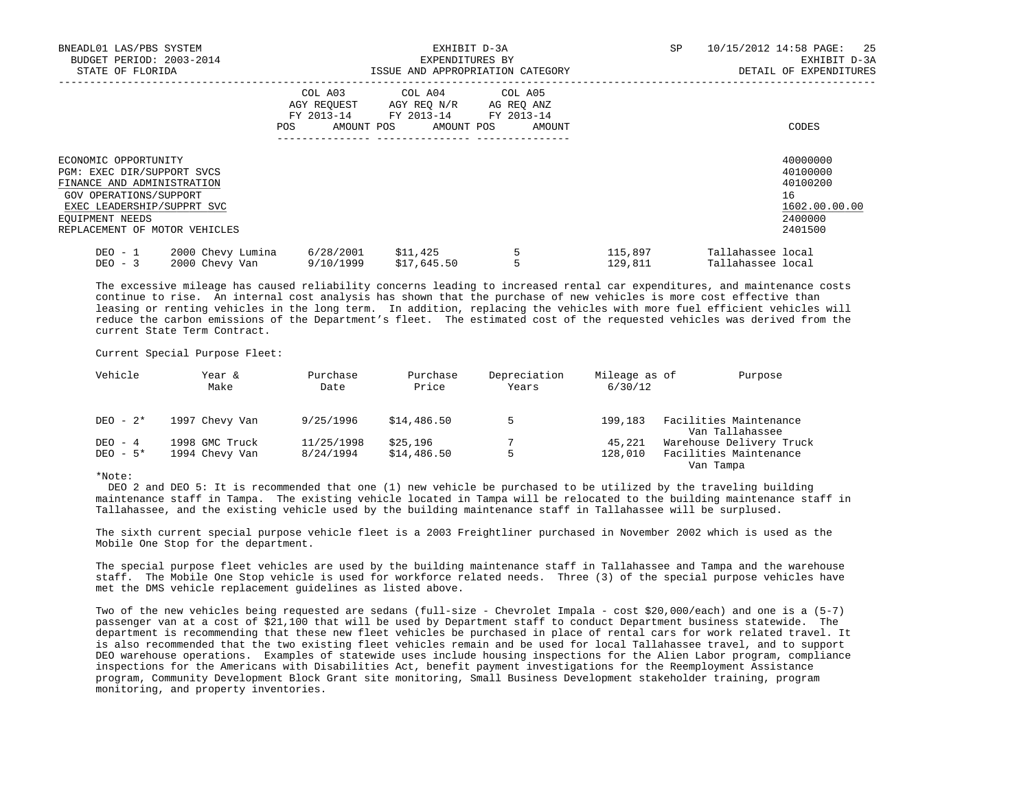| BNEADL01 LAS/PBS SYSTEM<br>BUDGET PERIOD: 2003-2014<br>STATE OF FLORIDA                                                                                                                      |                                     |                                 | EXPENDITURES BY                                                                                                 | EXHIBIT D-3A<br>ISSUE AND APPROPRIATION CATEGORY | SP                 | 10/15/2012 14:58 PAGE: 25<br>EXHIBIT D-3A<br>DETAIL OF EXPENDITURES |                                                                               |
|----------------------------------------------------------------------------------------------------------------------------------------------------------------------------------------------|-------------------------------------|---------------------------------|-----------------------------------------------------------------------------------------------------------------|--------------------------------------------------|--------------------|---------------------------------------------------------------------|-------------------------------------------------------------------------------|
|                                                                                                                                                                                              |                                     | FY 2013-14<br>POS               | COL A03 COL A04 COL A05<br>AGY REQUEST AGY REQ N/R AG REQ ANZ<br>FY 2013-14 FY 2013-14<br>AMOUNT POS AMOUNT POS | AMOUNT                                           |                    |                                                                     | CODES                                                                         |
| ECONOMIC OPPORTUNITY<br>PGM: EXEC DIR/SUPPORT SVCS<br>FINANCE AND ADMINISTRATION<br>GOV OPERATIONS/SUPPORT<br>EXEC LEADERSHIP/SUPPRT SVC<br>EQUIPMENT NEEDS<br>REPLACEMENT OF MOTOR VEHICLES |                                     |                                 |                                                                                                                 |                                                  |                    |                                                                     | 40000000<br>40100000<br>40100200<br>16<br>1602.00.00.00<br>2400000<br>2401500 |
| DEO - 1<br>$DEO - 3$                                                                                                                                                                         | 2000 Chevy Lumina<br>2000 Chevy Van | 6/28/2001 \$11,425<br>9/10/1999 | \$17,645.50                                                                                                     |                                                  | 115,897<br>129,811 | Tallahassee local<br>Tallahassee local                              |                                                                               |

 The excessive mileage has caused reliability concerns leading to increased rental car expenditures, and maintenance costs continue to rise. An internal cost analysis has shown that the purchase of new vehicles is more cost effective than leasing or renting vehicles in the long term. In addition, replacing the vehicles with more fuel efficient vehicles will reduce the carbon emissions of the Department's fleet. The estimated cost of the requested vehicles was derived from the current State Term Contract.

Current Special Purpose Fleet:

| Vehicle    | Year &<br>Make | Purchase<br>Date | Purchase<br>Price | Depreciation<br>Years | Mileage as of<br>6/30/12 |           | Purpose                                   |
|------------|----------------|------------------|-------------------|-----------------------|--------------------------|-----------|-------------------------------------------|
| DEO - $2*$ | 1997 Chevy Van | 9/25/1996        | \$14,486.50       |                       | 199,183                  |           | Facilities Maintenance<br>Van Tallahassee |
| DEO - 4    | 1998 GMC Truck | 11/25/1998       | \$25,196          |                       | 45,221                   |           | Warehouse Delivery Truck                  |
| DEO $-5*$  | 1994 Chevy Van | 8/24/1994        | \$14,486.50       |                       | 128,010                  |           | Facilities Maintenance                    |
|            |                |                  |                   |                       |                          | Van Tampa |                                           |

\*Note:

 DEO 2 and DEO 5: It is recommended that one (1) new vehicle be purchased to be utilized by the traveling building maintenance staff in Tampa. The existing vehicle located in Tampa will be relocated to the building maintenance staff in Tallahassee, and the existing vehicle used by the building maintenance staff in Tallahassee will be surplused.

 The sixth current special purpose vehicle fleet is a 2003 Freightliner purchased in November 2002 which is used as the Mobile One Stop for the department.

 The special purpose fleet vehicles are used by the building maintenance staff in Tallahassee and Tampa and the warehouse staff. The Mobile One Stop vehicle is used for workforce related needs. Three (3) of the special purpose vehicles have met the DMS vehicle replacement guidelines as listed above.

 Two of the new vehicles being requested are sedans (full-size - Chevrolet Impala - cost \$20,000/each) and one is a (5-7) passenger van at a cost of \$21,100 that will be used by Department staff to conduct Department business statewide. The department is recommending that these new fleet vehicles be purchased in place of rental cars for work related travel. It is also recommended that the two existing fleet vehicles remain and be used for local Tallahassee travel, and to support DEO warehouse operations. Examples of statewide uses include housing inspections for the Alien Labor program, compliance inspections for the Americans with Disabilities Act, benefit payment investigations for the Reemployment Assistance program, Community Development Block Grant site monitoring, Small Business Development stakeholder training, program monitoring, and property inventories.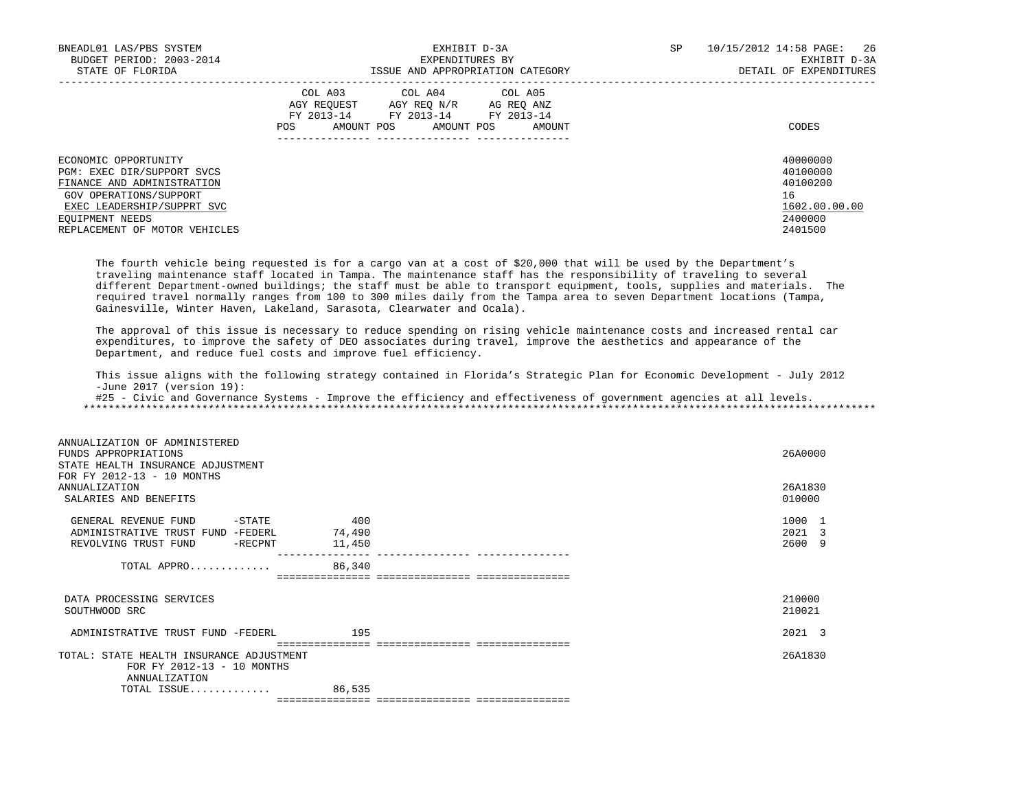| BNEADL01 LAS/PBS SYSTEM<br>BUDGET PERIOD: 2003-2014<br>STATE OF FLORIDA                                                                                                                      | EXHIBIT D-3A<br>EXPENDITURES BY<br>ISSUE AND APPROPRIATION CATEGORY                                                                                     | 10/15/2012 14:58 PAGE:<br>26<br>SP.<br>EXHIBIT D-3A<br>DETAIL OF EXPENDITURES |
|----------------------------------------------------------------------------------------------------------------------------------------------------------------------------------------------|---------------------------------------------------------------------------------------------------------------------------------------------------------|-------------------------------------------------------------------------------|
|                                                                                                                                                                                              | COL A03<br>COL A04 COL A05<br>AGY REOUEST<br>AGY REO N/R<br>AG REO ANZ<br>FY 2013-14 FY 2013-14 FY 2013-14<br>AMOUNT POS<br>AMOUNT POS<br>POS<br>AMOUNT | CODES                                                                         |
| ECONOMIC OPPORTUNITY<br>PGM: EXEC DIR/SUPPORT SVCS<br>FINANCE AND ADMINISTRATION<br>GOV OPERATIONS/SUPPORT<br>EXEC LEADERSHIP/SUPPRT SVC<br>EOUIPMENT NEEDS<br>REPLACEMENT OF MOTOR VEHICLES |                                                                                                                                                         | 40000000<br>40100000<br>40100200<br>16<br>1602.00.00.00<br>2400000<br>2401500 |

 The fourth vehicle being requested is for a cargo van at a cost of \$20,000 that will be used by the Department's traveling maintenance staff located in Tampa. The maintenance staff has the responsibility of traveling to several different Department-owned buildings; the staff must be able to transport equipment, tools, supplies and materials. The required travel normally ranges from 100 to 300 miles daily from the Tampa area to seven Department locations (Tampa, Gainesville, Winter Haven, Lakeland, Sarasota, Clearwater and Ocala).

 The approval of this issue is necessary to reduce spending on rising vehicle maintenance costs and increased rental car expenditures, to improve the safety of DEO associates during travel, improve the aesthetics and appearance of the Department, and reduce fuel costs and improve fuel efficiency.

 This issue aligns with the following strategy contained in Florida's Strategic Plan for Economic Development - July 2012 -June 2017 (version 19):

 #25 - Civic and Governance Systems - Improve the efficiency and effectiveness of government agencies at all levels. \*\*\*\*\*\*\*\*\*\*\*\*\*\*\*\*\*\*\*\*\*\*\*\*\*\*\*\*\*\*\*\*\*\*\*\*\*\*\*\*\*\*\*\*\*\*\*\*\*\*\*\*\*\*\*\*\*\*\*\*\*\*\*\*\*\*\*\*\*\*\*\*\*\*\*\*\*\*\*\*\*\*\*\*\*\*\*\*\*\*\*\*\*\*\*\*\*\*\*\*\*\*\*\*\*\*\*\*\*\*\*\*\*\*\*\*\*\*\*\*\*\*\*\*\*\*\*

| ANNUALIZATION OF ADMINISTERED<br>FUNDS APPROPRIATIONS<br>STATE HEALTH INSURANCE ADJUSTMENT<br>FOR FY 2012-13 - 10 MONTHS<br><b>ANNUALIZATION</b><br>SALARIES AND BENEFITS |        | 26A0000<br>26A1830<br>010000 |  |
|---------------------------------------------------------------------------------------------------------------------------------------------------------------------------|--------|------------------------------|--|
|                                                                                                                                                                           |        |                              |  |
| GENERAL REVENUE FUND<br>-STATE                                                                                                                                            | 400    | 1000 1                       |  |
| ADMINISTRATIVE TRUST FUND -FEDERL                                                                                                                                         | 74,490 | 2021 3                       |  |
| REVOLVING TRUST FUND<br>$-$ RECPNT                                                                                                                                        | 11,450 | 2600 9                       |  |
| TOTAL APPRO                                                                                                                                                               | 86,340 |                              |  |
|                                                                                                                                                                           |        |                              |  |
| DATA PROCESSING SERVICES<br>SOUTHWOOD SRC                                                                                                                                 |        | 210000<br>210021             |  |
| ADMINISTRATIVE TRUST FUND -FEDERL                                                                                                                                         | 195    | 2021 3                       |  |
|                                                                                                                                                                           |        |                              |  |
| TOTAL: STATE HEALTH INSURANCE ADJUSTMENT<br>FOR FY 2012-13 - 10 MONTHS<br>ANNUALIZATION                                                                                   |        | 26A1830                      |  |
| TOTAL ISSUE                                                                                                                                                               | 86,535 |                              |  |
|                                                                                                                                                                           |        |                              |  |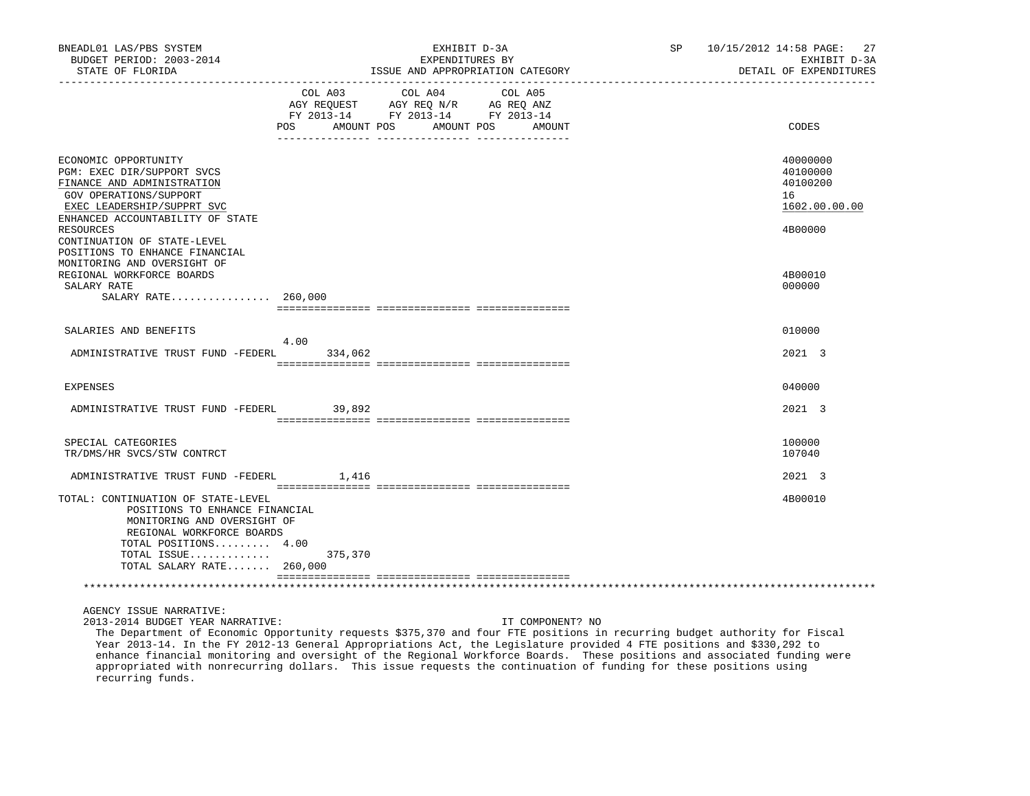| BNEADL01 LAS/PBS SYSTEM<br>BUDGET PERIOD: 2003-2014<br>STATE OF FLORIDA<br>. _ _ _ _ _ _ _ _ _ _ _ _ _ _ _ _ _                                                                                                                                             |                                     | EXHIBIT D-3A<br>EXPENDITURES BY<br>ISSUE AND APPROPRIATION CATEGORY               | SP 10/15/2012 14:58 PAGE: 27<br>EXHIBIT D-3A<br>DETAIL OF EXPENDITURES |                                                                    |
|------------------------------------------------------------------------------------------------------------------------------------------------------------------------------------------------------------------------------------------------------------|-------------------------------------|-----------------------------------------------------------------------------------|------------------------------------------------------------------------|--------------------------------------------------------------------|
|                                                                                                                                                                                                                                                            | COL A03<br><b>POS</b><br>AMOUNT POS | COL A04<br>AGY REQUEST AGY REQ N/R AG REQ ANZ<br>FY 2013-14 FY 2013-14 FY 2013-14 | COL A05<br>AMOUNT POS AMOUNT                                           | CODES                                                              |
| ECONOMIC OPPORTUNITY<br>PGM: EXEC DIR/SUPPORT SVCS<br>FINANCE AND ADMINISTRATION<br>GOV OPERATIONS/SUPPORT<br>EXEC LEADERSHIP/SUPPRT SVC<br>ENHANCED ACCOUNTABILITY OF STATE<br>RESOURCES<br>CONTINUATION OF STATE-LEVEL<br>POSITIONS TO ENHANCE FINANCIAL |                                     |                                                                                   |                                                                        | 40000000<br>40100000<br>40100200<br>16<br>1602.00.00.00<br>4B00000 |
| MONITORING AND OVERSIGHT OF<br>REGIONAL WORKFORCE BOARDS<br>SALARY RATE<br>SALARY RATE 260,000                                                                                                                                                             |                                     |                                                                                   |                                                                        | 4B00010<br>000000                                                  |
| SALARIES AND BENEFITS                                                                                                                                                                                                                                      |                                     |                                                                                   |                                                                        | 010000                                                             |
| ADMINISTRATIVE TRUST FUND -FEDERL                                                                                                                                                                                                                          | 4.00<br>334,062                     |                                                                                   |                                                                        | 2021 3                                                             |
| EXPENSES                                                                                                                                                                                                                                                   |                                     |                                                                                   |                                                                        | 040000                                                             |
|                                                                                                                                                                                                                                                            |                                     |                                                                                   |                                                                        |                                                                    |
| ADMINISTRATIVE TRUST FUND -FEDERL                                                                                                                                                                                                                          | 39,892                              |                                                                                   |                                                                        | 2021 3                                                             |
| SPECIAL CATEGORIES<br>TR/DMS/HR SVCS/STW CONTRCT                                                                                                                                                                                                           |                                     |                                                                                   |                                                                        | 100000<br>107040                                                   |
| ADMINISTRATIVE TRUST FUND -FEDERL                                                                                                                                                                                                                          | 1,416                               |                                                                                   |                                                                        | 2021 3                                                             |
| TOTAL: CONTINUATION OF STATE-LEVEL<br>POSITIONS TO ENHANCE FINANCIAL<br>MONITORING AND OVERSIGHT OF<br>REGIONAL WORKFORCE BOARDS<br>TOTAL POSITIONS 4.00<br>TOTAL ISSUE<br>TOTAL SALARY RATE 260,000                                                       | 375,370                             |                                                                                   |                                                                        | 4B00010                                                            |
|                                                                                                                                                                                                                                                            |                                     |                                                                                   |                                                                        |                                                                    |
| AGENCY ISSUE NARRATIVE:<br>2013-2014 BUDGET YEAR NARRATIVE:                                                                                                                                                                                                |                                     |                                                                                   | IT COMPONENT? NO                                                       |                                                                    |

 The Department of Economic Opportunity requests \$375,370 and four FTE positions in recurring budget authority for Fiscal Year 2013-14. In the FY 2012-13 General Appropriations Act, the Legislature provided 4 FTE positions and \$330,292 to enhance financial monitoring and oversight of the Regional Workforce Boards. These positions and associated funding were appropriated with nonrecurring dollars. This issue requests the continuation of funding for these positions using recurring funds.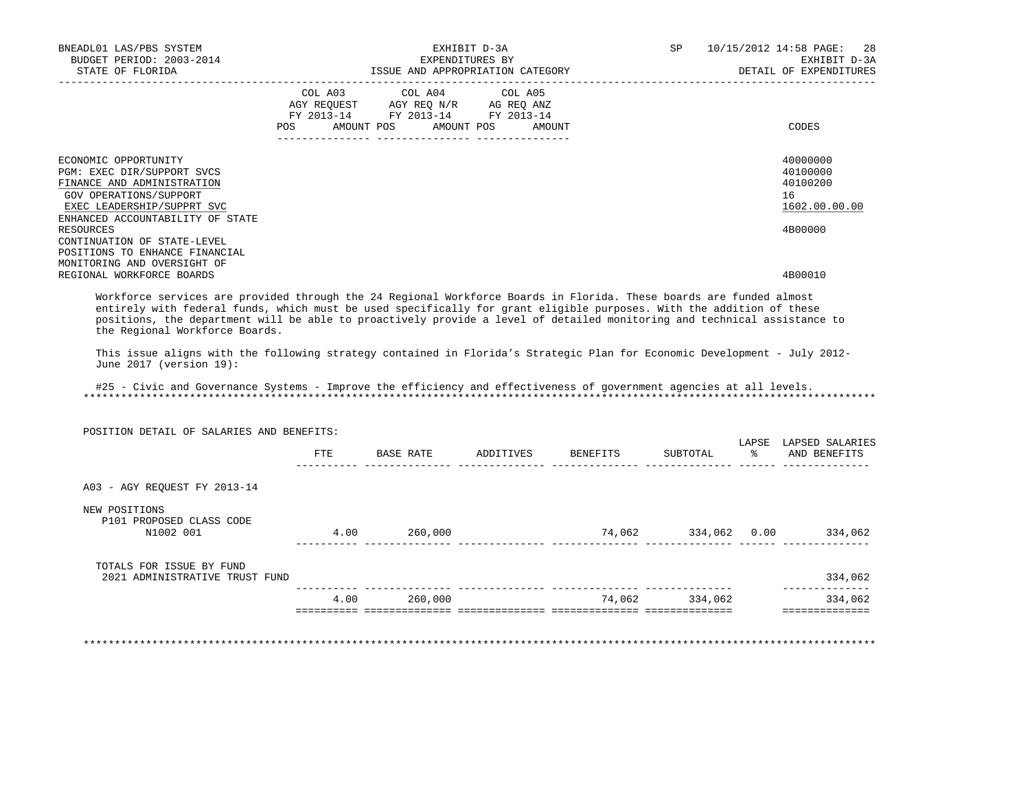| BNEADL01 LAS/PBS SYSTEM<br>BUDGET PERIOD: 2003-2014                                                                                                                                                                                                                                                                                                                                                             | EXHIBIT D-3A<br>EXPENDITURES BY |                                                                        |  |  |                | SP 10/15/2012 14:58 PAGE:<br>28<br>EXHIBIT D-3A |
|-----------------------------------------------------------------------------------------------------------------------------------------------------------------------------------------------------------------------------------------------------------------------------------------------------------------------------------------------------------------------------------------------------------------|---------------------------------|------------------------------------------------------------------------|--|--|----------------|-------------------------------------------------|
| STATE OF FLORIDA                                                                                                                                                                                                                                                                                                                                                                                                |                                 | ISSUE AND APPROPRIATION CATEGORY                                       |  |  |                | EXHIBIT D-3A<br>DETAIL OF EXPENDITURES          |
|                                                                                                                                                                                                                                                                                                                                                                                                                 |                                 | COL A03 COL A04 COL A05                                                |  |  |                |                                                 |
|                                                                                                                                                                                                                                                                                                                                                                                                                 |                                 | AGY REQUEST AGY REQ N/R AG REQ ANZ<br>FY 2013-14 FY 2013-14 FY 2013-14 |  |  |                |                                                 |
|                                                                                                                                                                                                                                                                                                                                                                                                                 |                                 | POS AMOUNT POS AMOUNT POS AMOUNT                                       |  |  |                | CODES                                           |
|                                                                                                                                                                                                                                                                                                                                                                                                                 |                                 |                                                                        |  |  |                |                                                 |
| ECONOMIC OPPORTUNITY<br>PGM: EXEC DIR/SUPPORT SVCS                                                                                                                                                                                                                                                                                                                                                              |                                 |                                                                        |  |  |                | 40000000<br>40100000                            |
| FINANCE AND ADMINISTRATION                                                                                                                                                                                                                                                                                                                                                                                      |                                 |                                                                        |  |  |                | 40100200                                        |
| GOV OPERATIONS/SUPPORT                                                                                                                                                                                                                                                                                                                                                                                          |                                 |                                                                        |  |  |                | 16                                              |
| EXEC LEADERSHIP/SUPPRT SVC                                                                                                                                                                                                                                                                                                                                                                                      |                                 |                                                                        |  |  |                | 1602.00.00.00                                   |
| ENHANCED ACCOUNTABILITY OF STATE<br><b>RESOURCES</b>                                                                                                                                                                                                                                                                                                                                                            |                                 |                                                                        |  |  |                | 4B00000                                         |
| CONTINUATION OF STATE-LEVEL                                                                                                                                                                                                                                                                                                                                                                                     |                                 |                                                                        |  |  |                |                                                 |
| POSITIONS TO ENHANCE FINANCIAL                                                                                                                                                                                                                                                                                                                                                                                  |                                 |                                                                        |  |  |                |                                                 |
| MONITORING AND OVERSIGHT OF                                                                                                                                                                                                                                                                                                                                                                                     |                                 |                                                                        |  |  |                |                                                 |
| REGIONAL WORKFORCE BOARDS                                                                                                                                                                                                                                                                                                                                                                                       |                                 |                                                                        |  |  |                | 4B00010                                         |
| entirely with federal funds, which must be used specifically for grant eligible purposes. With the addition of these<br>positions, the department will be able to proactively provide a level of detailed monitoring and technical assistance to<br>the Regional Workforce Boards.<br>This issue aligns with the following strategy contained in Florida's Strategic Plan for Economic Development - July 2012- |                                 |                                                                        |  |  |                |                                                 |
| June 2017 (version 19):                                                                                                                                                                                                                                                                                                                                                                                         |                                 |                                                                        |  |  |                |                                                 |
| #25 - Civic and Governance Systems - Improve the efficiency and effectiveness of government agencies at all levels.                                                                                                                                                                                                                                                                                             |                                 |                                                                        |  |  |                |                                                 |
| POSITION DETAIL OF SALARIES AND BENEFITS:                                                                                                                                                                                                                                                                                                                                                                       |                                 |                                                                        |  |  |                |                                                 |
|                                                                                                                                                                                                                                                                                                                                                                                                                 |                                 |                                                                        |  |  |                | LAPSE LAPSED SALARIES                           |
|                                                                                                                                                                                                                                                                                                                                                                                                                 |                                 | FTE BASE RATE ADDITIVES BENEFITS                                       |  |  | SUBTOTAL       | % AND BENEFITS                                  |
| A03 - AGY REQUEST FY 2013-14                                                                                                                                                                                                                                                                                                                                                                                    |                                 |                                                                        |  |  |                |                                                 |
| NEW POSITIONS                                                                                                                                                                                                                                                                                                                                                                                                   |                                 |                                                                        |  |  |                |                                                 |
| P101 PROPOSED CLASS CODE                                                                                                                                                                                                                                                                                                                                                                                        |                                 |                                                                        |  |  |                |                                                 |
| N1002 001                                                                                                                                                                                                                                                                                                                                                                                                       |                                 |                                                                        |  |  |                |                                                 |
| TOTALS FOR ISSUE BY FUND<br>2021 ADMINISTRATIVE TRUST FUND                                                                                                                                                                                                                                                                                                                                                      |                                 |                                                                        |  |  |                | 334,062                                         |
|                                                                                                                                                                                                                                                                                                                                                                                                                 |                                 |                                                                        |  |  |                | ______________                                  |
|                                                                                                                                                                                                                                                                                                                                                                                                                 |                                 | 4.00 260,000                                                           |  |  | 74,062 334,062 | 334,062<br>===============                      |
|                                                                                                                                                                                                                                                                                                                                                                                                                 |                                 |                                                                        |  |  |                |                                                 |

\*\*\*\*\*\*\*\*\*\*\*\*\*\*\*\*\*\*\*\*\*\*\*\*\*\*\*\*\*\*\*\*\*\*\*\*\*\*\*\*\*\*\*\*\*\*\*\*\*\*\*\*\*\*\*\*\*\*\*\*\*\*\*\*\*\*\*\*\*\*\*\*\*\*\*\*\*\*\*\*\*\*\*\*\*\*\*\*\*\*\*\*\*\*\*\*\*\*\*\*\*\*\*\*\*\*\*\*\*\*\*\*\*\*\*\*\*\*\*\*\*\*\*\*\*\*\*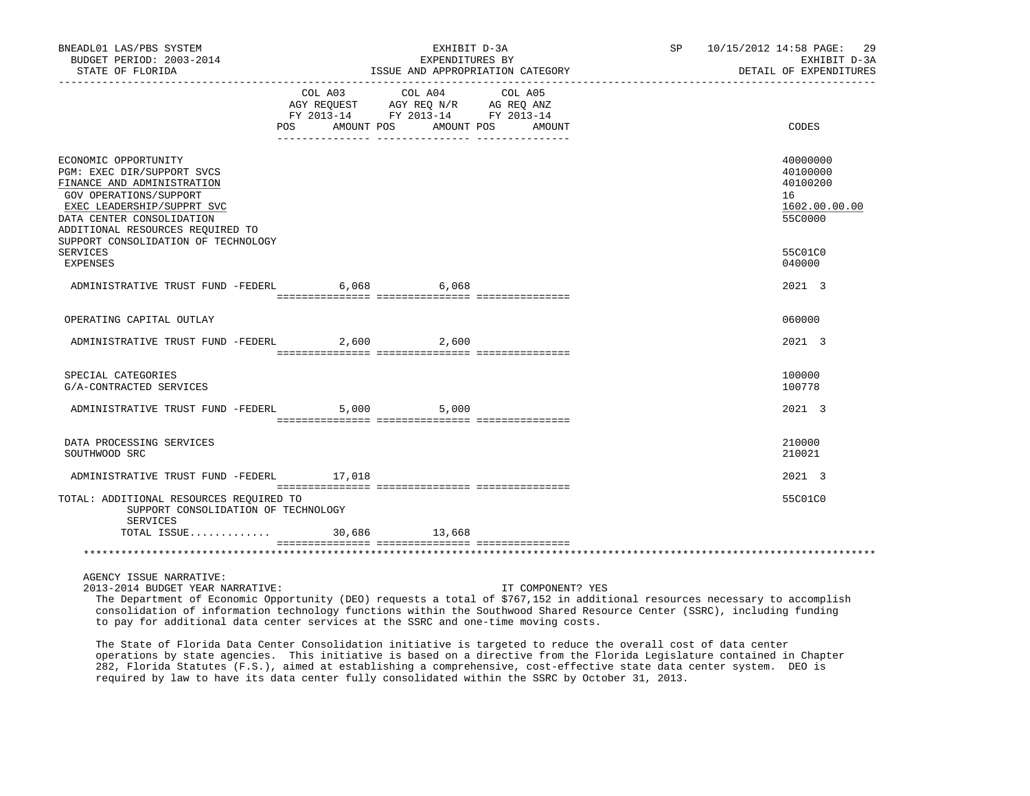| BNEADL01 LAS/PBS SYSTEM<br>BUDGET PERIOD: 2003-2014<br>STATE OF FLORIDA                                                                                                                                                                                             |                                                                      | EXHIBIT D-3A<br>EXPENDITURES BY<br>ISSUE AND APPROPRIATION CATEGORY<br>_________________________________ | SP 10/15/2012 14:58 PAGE: 29<br>EXHIBIT D-3A<br>DETAIL OF EXPENDITURES |                                                                               |
|---------------------------------------------------------------------------------------------------------------------------------------------------------------------------------------------------------------------------------------------------------------------|----------------------------------------------------------------------|----------------------------------------------------------------------------------------------------------|------------------------------------------------------------------------|-------------------------------------------------------------------------------|
|                                                                                                                                                                                                                                                                     | FY 2013-14 FY 2013-14 FY 2013-14<br>POS AMOUNT POS AMOUNT POS AMOUNT | COL A03 COL A04<br>AGY REQUEST AGY REQ N/R AG REQ ANZ                                                    | COL A05                                                                | CODES                                                                         |
| ECONOMIC OPPORTUNITY<br>PGM: EXEC DIR/SUPPORT SVCS<br>FINANCE AND ADMINISTRATION<br>GOV OPERATIONS/SUPPORT<br>EXEC LEADERSHIP/SUPPRT SVC<br>DATA CENTER CONSOLIDATION<br>ADDITIONAL RESOURCES REQUIRED TO<br>SUPPORT CONSOLIDATION OF TECHNOLOGY<br><b>SERVICES</b> |                                                                      |                                                                                                          |                                                                        | 40000000<br>40100000<br>40100200<br>16<br>1602.00.00.00<br>55C0000<br>55C01C0 |
| <b>EXPENSES</b>                                                                                                                                                                                                                                                     |                                                                      |                                                                                                          |                                                                        | 040000                                                                        |
| ADMINISTRATIVE TRUST FUND -FEDERL 6,068 6,068                                                                                                                                                                                                                       |                                                                      |                                                                                                          |                                                                        | 2021 3                                                                        |
| OPERATING CAPITAL OUTLAY                                                                                                                                                                                                                                            |                                                                      |                                                                                                          |                                                                        | 060000                                                                        |
| ADMINISTRATIVE TRUST FUND -FEDERL                                                                                                                                                                                                                                   |                                                                      | 2,600 2,600                                                                                              |                                                                        | 2021 3                                                                        |
|                                                                                                                                                                                                                                                                     |                                                                      |                                                                                                          |                                                                        |                                                                               |
| SPECIAL CATEGORIES<br>G/A-CONTRACTED SERVICES                                                                                                                                                                                                                       |                                                                      |                                                                                                          |                                                                        | 100000<br>100778                                                              |
| ADMINISTRATIVE TRUST FUND -FEDERL 5,000                                                                                                                                                                                                                             |                                                                      | 5,000                                                                                                    |                                                                        | $2021 \quad 3$                                                                |
| DATA PROCESSING SERVICES<br>SOUTHWOOD SRC                                                                                                                                                                                                                           |                                                                      |                                                                                                          |                                                                        | 210000<br>210021                                                              |
| ADMINISTRATIVE TRUST FUND -FEDERL 17,018                                                                                                                                                                                                                            |                                                                      |                                                                                                          |                                                                        | 2021 3                                                                        |
| TOTAL: ADDITIONAL RESOURCES REQUIRED TO<br>SUPPORT CONSOLIDATION OF TECHNOLOGY<br>SERVICES                                                                                                                                                                          |                                                                      |                                                                                                          |                                                                        | 55C01C0                                                                       |
| TOTAL ISSUE                                                                                                                                                                                                                                                         |                                                                      | 30,686 13,668                                                                                            |                                                                        |                                                                               |
|                                                                                                                                                                                                                                                                     |                                                                      |                                                                                                          |                                                                        |                                                                               |
| AGENCY ISSUE NARRATIVE:                                                                                                                                                                                                                                             |                                                                      |                                                                                                          |                                                                        |                                                                               |

2013-2014 BUDGET YEAR NARRATIVE: IT COMPONENT? YES

 The Department of Economic Opportunity (DEO) requests a total of \$767,152 in additional resources necessary to accomplish consolidation of information technology functions within the Southwood Shared Resource Center (SSRC), including funding to pay for additional data center services at the SSRC and one-time moving costs.

 The State of Florida Data Center Consolidation initiative is targeted to reduce the overall cost of data center operations by state agencies. This initiative is based on a directive from the Florida Legislature contained in Chapter 282, Florida Statutes (F.S.), aimed at establishing a comprehensive, cost-effective state data center system. DEO is required by law to have its data center fully consolidated within the SSRC by October 31, 2013.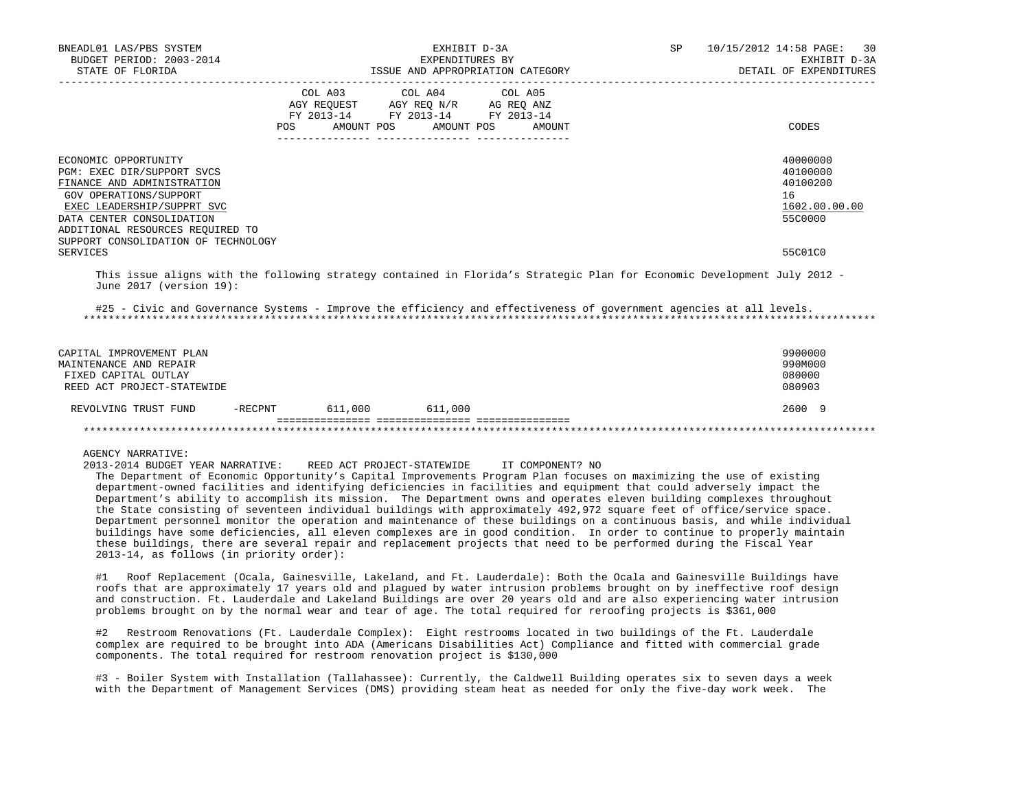| BNEADL01 LAS/PBS SYSTEM<br>BUDGET PERIOD: 2003-2014<br>STATE OF FLORIDA                                                                                                                                                                          |                   | EXHIBIT D-3A<br>EXPENDITURES BY<br>ISSUE AND APPROPRIATION CATEGORY                                                                   | SP | 10/15/2012 14:58 PAGE: 30<br>EXHIBIT D-3A<br>DETAIL OF EXPENDITURES                                                      |                                                                    |
|--------------------------------------------------------------------------------------------------------------------------------------------------------------------------------------------------------------------------------------------------|-------------------|---------------------------------------------------------------------------------------------------------------------------------------|----|--------------------------------------------------------------------------------------------------------------------------|--------------------------------------------------------------------|
|                                                                                                                                                                                                                                                  |                   | COL A03 COL A04 COL A05<br>AGY REQUEST AGY REQ N/R AG REQ ANZ<br>FY 2013-14 FY 2013-14 FY 2013-14<br>POS AMOUNT POS AMOUNT POS AMOUNT |    |                                                                                                                          | CODES                                                              |
| ECONOMIC OPPORTUNITY<br>PGM: EXEC DIR/SUPPORT SVCS<br>FINANCE AND ADMINISTRATION<br>GOV OPERATIONS/SUPPORT<br>EXEC LEADERSHIP/SUPPRT SVC<br>DATA CENTER CONSOLIDATION<br>ADDITIONAL RESOURCES REQUIRED TO<br>SUPPORT CONSOLIDATION OF TECHNOLOGY |                   |                                                                                                                                       |    |                                                                                                                          | 40000000<br>40100000<br>40100200<br>16<br>1602.00.00.00<br>55C0000 |
| SERVICES<br>June 2017 (version 19):                                                                                                                                                                                                              |                   |                                                                                                                                       |    | This issue aligns with the following strategy contained in Florida's Strategic Plan for Economic Development July 2012 - | 55C01C0                                                            |
|                                                                                                                                                                                                                                                  |                   |                                                                                                                                       |    | #25 - Civic and Governance Systems - Improve the efficiency and effectiveness of government agencies at all levels.      |                                                                    |
| CAPITAL IMPROVEMENT PLAN<br>MAINTENANCE AND REPAIR<br>FIXED CAPITAL OUTLAY<br>REED ACT PROJECT-STATEWIDE                                                                                                                                         |                   |                                                                                                                                       |    |                                                                                                                          | 9900000<br>990M000<br>080000<br>080903                             |
| REVOLVING TRUST FUND                                                                                                                                                                                                                             | $-RECPNT$ 611,000 | 611,000                                                                                                                               |    |                                                                                                                          | 2600 9                                                             |
|                                                                                                                                                                                                                                                  |                   |                                                                                                                                       |    |                                                                                                                          |                                                                    |

AGENCY NARRATIVE:

2013-2014 BUDGET YEAR NARRATIVE: REED ACT PROJECT-STATEWIDE IT COMPONENT? NO

 The Department of Economic Opportunity's Capital Improvements Program Plan focuses on maximizing the use of existing department-owned facilities and identifying deficiencies in facilities and equipment that could adversely impact the Department's ability to accomplish its mission. The Department owns and operates eleven building complexes throughout the State consisting of seventeen individual buildings with approximately 492,972 square feet of office/service space. Department personnel monitor the operation and maintenance of these buildings on a continuous basis, and while individual buildings have some deficiencies, all eleven complexes are in good condition. In order to continue to properly maintain these buildings, there are several repair and replacement projects that need to be performed during the Fiscal Year 2013-14, as follows (in priority order):

 #1 Roof Replacement (Ocala, Gainesville, Lakeland, and Ft. Lauderdale): Both the Ocala and Gainesville Buildings have roofs that are approximately 17 years old and plagued by water intrusion problems brought on by ineffective roof design and construction. Ft. Lauderdale and Lakeland Buildings are over 20 years old and are also experiencing water intrusion problems brought on by the normal wear and tear of age. The total required for reroofing projects is \$361,000

 #2 Restroom Renovations (Ft. Lauderdale Complex): Eight restrooms located in two buildings of the Ft. Lauderdale complex are required to be brought into ADA (Americans Disabilities Act) Compliance and fitted with commercial grade components. The total required for restroom renovation project is \$130,000

 #3 - Boiler System with Installation (Tallahassee): Currently, the Caldwell Building operates six to seven days a week with the Department of Management Services (DMS) providing steam heat as needed for only the five-day work week. The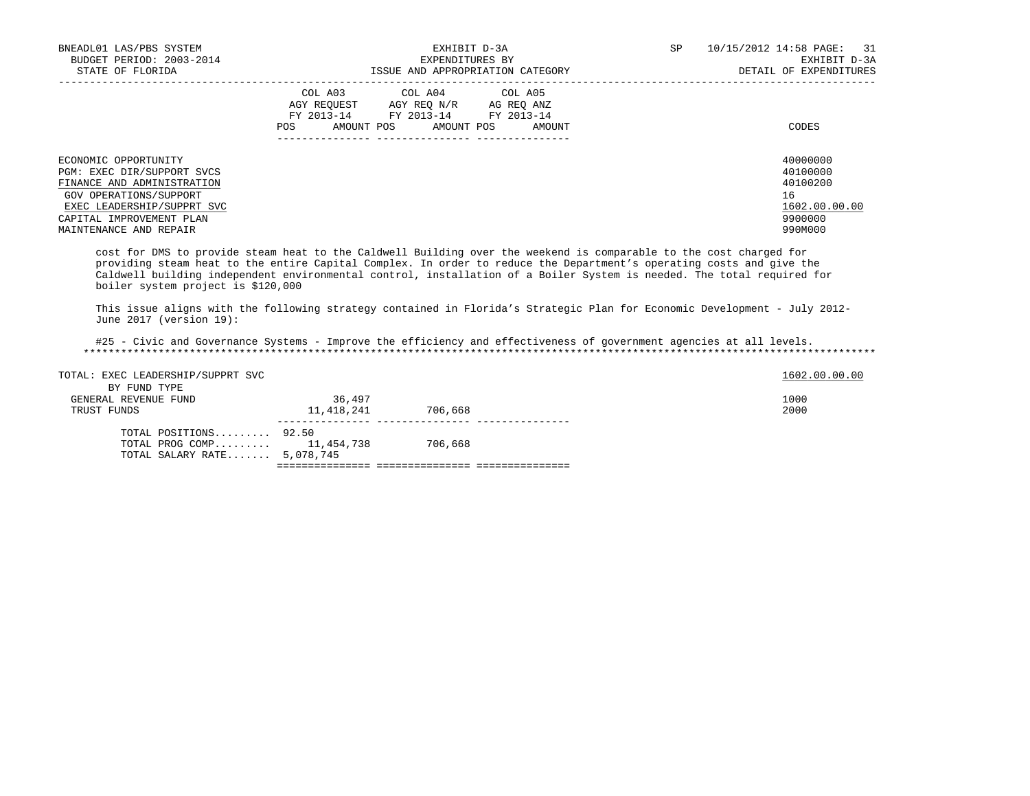| BNEADL01 LAS/PBS SYSTEM<br>BUDGET PERIOD: 2003-2014<br>STATE OF FLORIDA                                                                                                                        | EXHIBIT D-3A<br>EXPENDITURES BY<br>ISSUE AND APPROPRIATION CATEGORY                                                                                         | <b>SP</b><br>10/15/2012 14:58 PAGE:<br>31<br>EXHIBIT D-3A<br>DETAIL OF EXPENDITURES |
|------------------------------------------------------------------------------------------------------------------------------------------------------------------------------------------------|-------------------------------------------------------------------------------------------------------------------------------------------------------------|-------------------------------------------------------------------------------------|
|                                                                                                                                                                                                | COL A03<br>COL A04 COL A05<br>AGY REOUEST<br>AGY REO N/R<br>AG REO ANZ<br>FY 2013-14<br>FY 2013-14 FY 2013-14<br>AMOUNT POS<br>AMOUNT POS<br>POS.<br>AMOUNT | CODES                                                                               |
| ECONOMIC OPPORTUNITY<br>PGM: EXEC DIR/SUPPORT SVCS<br>FINANCE AND ADMINISTRATION<br>GOV OPERATIONS/SUPPORT<br>EXEC LEADERSHIP/SUPPRT SVC<br>CAPITAL IMPROVEMENT PLAN<br>MAINTENANCE AND REPAIR |                                                                                                                                                             | 40000000<br>40100000<br>40100200<br>16<br>1602.00.00.00<br>9900000<br>990M000       |

 cost for DMS to provide steam heat to the Caldwell Building over the weekend is comparable to the cost charged for providing steam heat to the entire Capital Complex. In order to reduce the Department's operating costs and give the Caldwell building independent environmental control, installation of a Boiler System is needed. The total required for boiler system project is \$120,000

 This issue aligns with the following strategy contained in Florida's Strategic Plan for Economic Development - July 2012- June 2017 (version 19):

 #25 - Civic and Governance Systems - Improve the efficiency and effectiveness of government agencies at all levels. \*\*\*\*\*\*\*\*\*\*\*\*\*\*\*\*\*\*\*\*\*\*\*\*\*\*\*\*\*\*\*\*\*\*\*\*\*\*\*\*\*\*\*\*\*\*\*\*\*\*\*\*\*\*\*\*\*\*\*\*\*\*\*\*\*\*\*\*\*\*\*\*\*\*\*\*\*\*\*\*\*\*\*\*\*\*\*\*\*\*\*\*\*\*\*\*\*\*\*\*\*\*\*\*\*\*\*\*\*\*\*\*\*\*\*\*\*\*\*\*\*\*\*\*\*\*\*

| TOTAL SALARY RATE 5,078,745                           |            |         |               |
|-------------------------------------------------------|------------|---------|---------------|
| TOTAL POSITIONS $92.50$<br>TOTAL PROG COMP 11,454,738 |            | 706,668 |               |
| TRUST FUNDS                                           | 11,418,241 | 706,668 | 2000          |
| BY FUND TYPE<br>GENERAL REVENUE FUND                  | 36,497     |         | 1000          |
| TOTAL: EXEC LEADERSHIP/SUPPRT SVC                     |            |         | 1602.00.00.00 |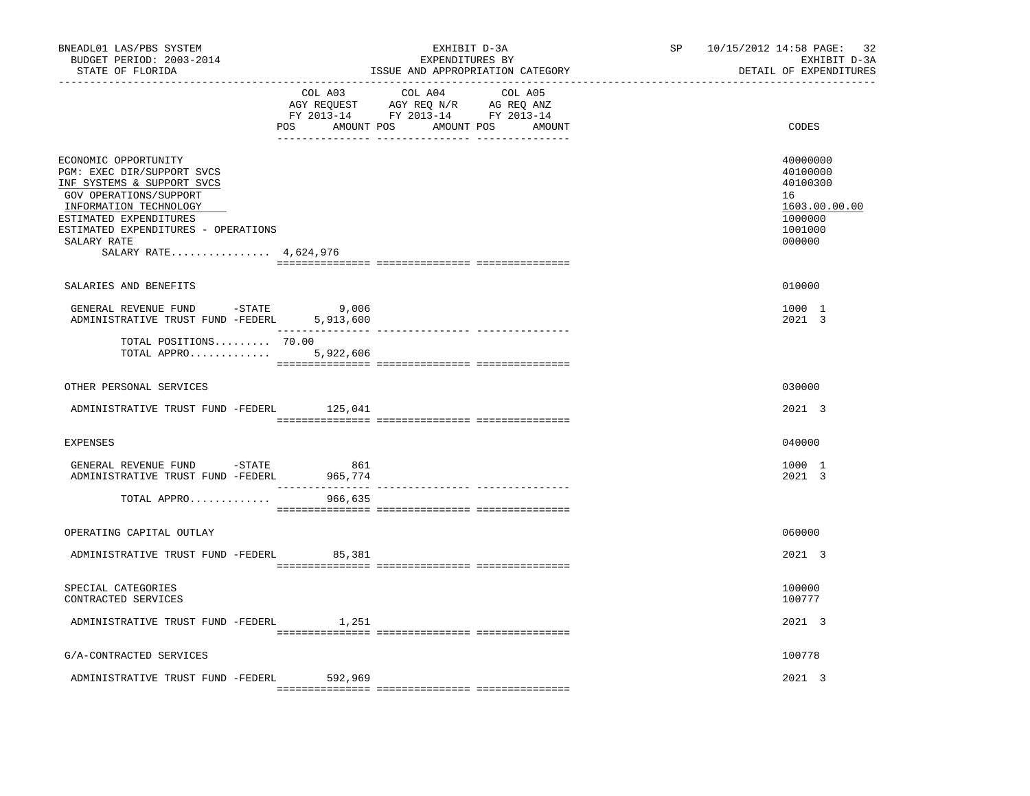| BNEADL01 LAS/PBS SYSTEM<br>BUDGET PERIOD: 2003-2014<br>STATE OF FLORIDA                                                                                                                                                                       | ______________________________ | EXHIBIT D-3A<br>EXPENDITURES BY<br>ISSUE AND APPROPRIATION CATEGORY                                                              | SP 10/15/2012 14:58 PAGE: 32<br>EXHIBIT D-3A<br>DETAIL OF EXPENDITURES                  |
|-----------------------------------------------------------------------------------------------------------------------------------------------------------------------------------------------------------------------------------------------|--------------------------------|----------------------------------------------------------------------------------------------------------------------------------|-----------------------------------------------------------------------------------------|
|                                                                                                                                                                                                                                               | COL A03                        | COL A04<br>COL A05<br>AGY REQUEST AGY REQ N/R AG REQ ANZ<br>FY 2013-14 FY 2013-14 FY 2013-14<br>POS AMOUNT POS AMOUNT POS AMOUNT | CODES                                                                                   |
| ECONOMIC OPPORTUNITY<br>PGM: EXEC DIR/SUPPORT SVCS<br>INF SYSTEMS & SUPPORT SVCS<br>GOV OPERATIONS/SUPPORT<br>INFORMATION TECHNOLOGY<br>ESTIMATED EXPENDITURES<br>ESTIMATED EXPENDITURES - OPERATIONS<br>SALARY RATE<br>SALARY RATE 4,624,976 |                                |                                                                                                                                  | 40000000<br>40100000<br>40100300<br>16<br>1603.00.00.00<br>1000000<br>1001000<br>000000 |
| SALARIES AND BENEFITS                                                                                                                                                                                                                         |                                |                                                                                                                                  | 010000                                                                                  |
| GENERAL REVENUE FUND -STATE<br>ADMINISTRATIVE TRUST FUND -FEDERL 5,913,600                                                                                                                                                                    | 9,006                          |                                                                                                                                  | 1000 1<br>2021 3                                                                        |
| TOTAL POSITIONS 70.00<br>TOTAL APPRO 5,922,606                                                                                                                                                                                                |                                |                                                                                                                                  |                                                                                         |
| OTHER PERSONAL SERVICES                                                                                                                                                                                                                       |                                |                                                                                                                                  | 030000                                                                                  |
| ADMINISTRATIVE TRUST FUND -FEDERL 125,041                                                                                                                                                                                                     |                                |                                                                                                                                  | 2021 3                                                                                  |
| <b>EXPENSES</b>                                                                                                                                                                                                                               |                                |                                                                                                                                  | 040000                                                                                  |
| GENERAL REVENUE FUND -STATE<br>ADMINISTRATIVE TRUST FUND -FEDERL                                                                                                                                                                              | 861<br>965,774                 |                                                                                                                                  | 1000 1<br>2021 3                                                                        |
| TOTAL APPRO                                                                                                                                                                                                                                   | 966,635                        |                                                                                                                                  |                                                                                         |
| OPERATING CAPITAL OUTLAY                                                                                                                                                                                                                      |                                |                                                                                                                                  | 060000                                                                                  |
| ADMINISTRATIVE TRUST FUND -FEDERL                                                                                                                                                                                                             | 85,381                         |                                                                                                                                  | 2021 3                                                                                  |
| SPECIAL CATEGORIES<br>CONTRACTED SERVICES                                                                                                                                                                                                     |                                |                                                                                                                                  | 100000<br>100777                                                                        |
| ADMINISTRATIVE TRUST FUND -FEDERL 1,251                                                                                                                                                                                                       |                                |                                                                                                                                  | 2021 3                                                                                  |
| G/A-CONTRACTED SERVICES                                                                                                                                                                                                                       |                                |                                                                                                                                  | 100778                                                                                  |
| ADMINISTRATIVE TRUST FUND -FEDERL 592,969                                                                                                                                                                                                     |                                |                                                                                                                                  | 2021 3                                                                                  |
|                                                                                                                                                                                                                                               |                                |                                                                                                                                  |                                                                                         |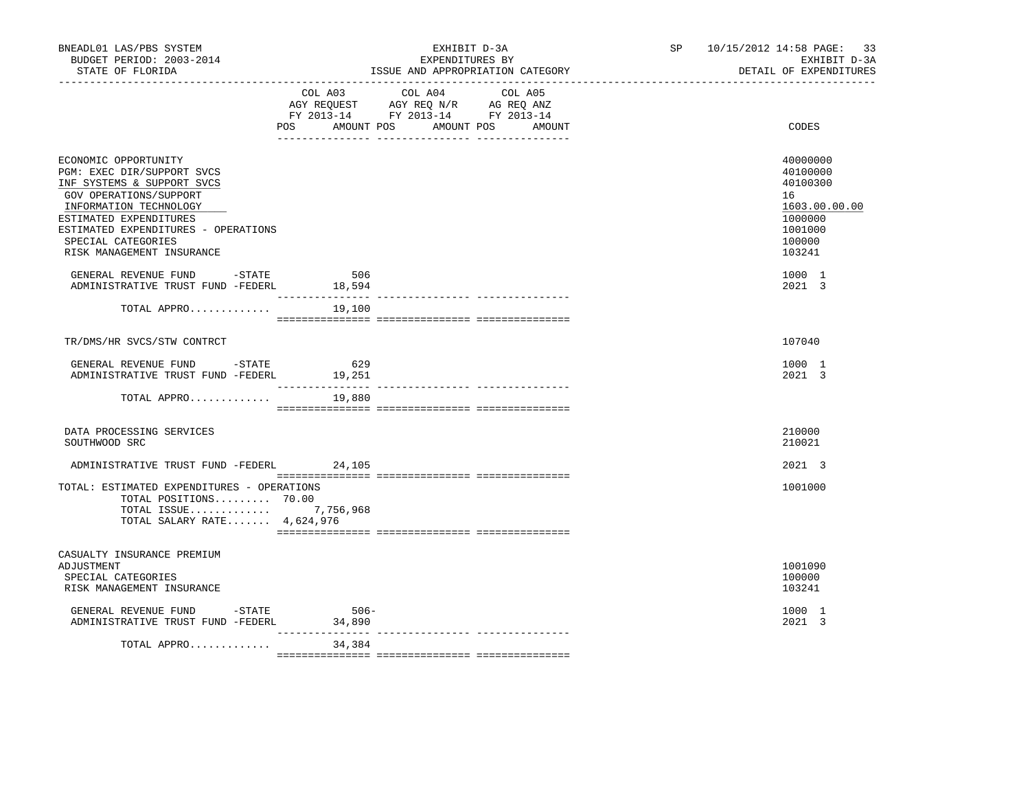| BNEADL01 LAS/PBS SYSTEM<br>BUDGET PERIOD: 2003-2014<br>STATE OF FLORIDA                                                              | EXHIBIT D-3A<br>EXPENDITURES BY<br>ISSUE AND APPROPRIATION CATEGORY                                                                         | SP 10/15/2012 14:58 PAGE: 33<br>EXHIBIT D-3A<br>DETAIL OF EXPENDITURES |
|--------------------------------------------------------------------------------------------------------------------------------------|---------------------------------------------------------------------------------------------------------------------------------------------|------------------------------------------------------------------------|
|                                                                                                                                      | COL A03 COL A04 COL A05<br>AGY REQUEST AGY REQ N/R AG REQ ANZ<br>FY 2013-14 FY 2013-14 FY 2013-14<br>POS<br>AMOUNT POS AMOUNT POS<br>AMOUNT | CODES                                                                  |
|                                                                                                                                      |                                                                                                                                             |                                                                        |
| ECONOMIC OPPORTUNITY<br>PGM: EXEC DIR/SUPPORT SVCS<br>INF SYSTEMS & SUPPORT SVCS<br>GOV OPERATIONS/SUPPORT<br>INFORMATION TECHNOLOGY |                                                                                                                                             | 40000000<br>40100000<br>40100300<br>16<br>1603.00.00.00                |
| ESTIMATED EXPENDITURES<br>ESTIMATED EXPENDITURES - OPERATIONS<br>SPECIAL CATEGORIES<br>RISK MANAGEMENT INSURANCE                     |                                                                                                                                             | 1000000<br>1001000<br>100000<br>103241                                 |
| GENERAL REVENUE FUND -STATE<br>ADMINISTRATIVE TRUST FUND -FEDERL 18,594                                                              | 506                                                                                                                                         | 1000 1<br>2021 3                                                       |
| TOTAL APPRO                                                                                                                          | 19,100                                                                                                                                      |                                                                        |
| TR/DMS/HR SVCS/STW CONTRCT                                                                                                           |                                                                                                                                             | 107040                                                                 |
| GENERAL REVENUE FUND -STATE<br>ADMINISTRATIVE TRUST FUND -FEDERL                                                                     | 629<br>19,251                                                                                                                               | 1000 1<br>2021 3                                                       |
| TOTAL APPRO                                                                                                                          | 19,880                                                                                                                                      |                                                                        |
| DATA PROCESSING SERVICES<br>SOUTHWOOD SRC                                                                                            |                                                                                                                                             | 210000<br>210021                                                       |
| ADMINISTRATIVE TRUST FUND -FEDERL 24,105                                                                                             |                                                                                                                                             | 2021 3                                                                 |
| TOTAL: ESTIMATED EXPENDITURES - OPERATIONS<br>TOTAL POSITIONS 70.00<br>TOTAL ISSUE 7,756,968<br>TOTAL SALARY RATE 4,624,976          |                                                                                                                                             | 1001000                                                                |
|                                                                                                                                      |                                                                                                                                             |                                                                        |
| CASUALTY INSURANCE PREMIUM<br>ADJUSTMENT<br>SPECIAL CATEGORIES<br>RISK MANAGEMENT INSURANCE                                          |                                                                                                                                             | 1001090<br>100000<br>103241                                            |
| GENERAL REVENUE FUND -STATE<br>ADMINISTRATIVE TRUST FUND -FEDERL                                                                     | $506-$<br>34,890                                                                                                                            | 1000 1<br>2021 3                                                       |
| TOTAL APPRO                                                                                                                          | ____________<br>34,384                                                                                                                      |                                                                        |
|                                                                                                                                      |                                                                                                                                             |                                                                        |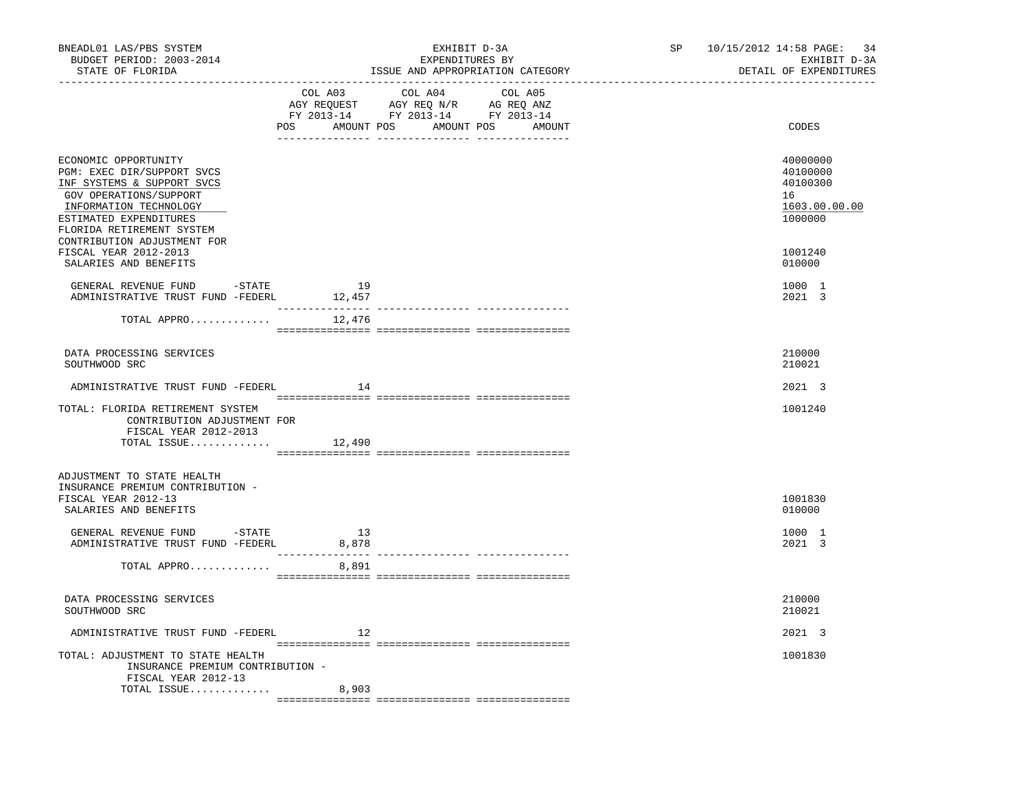| BNEADL01 LAS/PBS SYSTEM<br>BUDGET PERIOD: 2003-2014<br>STATE OF FLORIDA<br>__________________________________                                                                                                              |                                    | EXHIBIT D-3A<br>EXPENDITURES BY<br>ISSUE AND APPROPRIATION CATEGORY                                                                 | SP<br>------------------------------- | 10/15/2012 14:58 PAGE:<br>-34<br>EXHIBIT D-3A<br>DETAIL OF EXPENDITURES |
|----------------------------------------------------------------------------------------------------------------------------------------------------------------------------------------------------------------------------|------------------------------------|-------------------------------------------------------------------------------------------------------------------------------------|---------------------------------------|-------------------------------------------------------------------------|
|                                                                                                                                                                                                                            | COL A03                            | COL A04<br>COL A05<br>AGY REQUEST AGY REQ N/R AG REQ ANZ<br>FY 2013-14 FY 2013-14 FY 2013-14<br>POS AMOUNT POS AMOUNT POS<br>AMOUNT |                                       | CODES                                                                   |
| ECONOMIC OPPORTUNITY<br>PGM: EXEC DIR/SUPPORT SVCS<br>INF SYSTEMS & SUPPORT SVCS<br>GOV OPERATIONS/SUPPORT<br>INFORMATION TECHNOLOGY<br>ESTIMATED EXPENDITURES<br>FLORIDA RETIREMENT SYSTEM<br>CONTRIBUTION ADJUSTMENT FOR |                                    |                                                                                                                                     |                                       | 40000000<br>40100000<br>40100300<br>16<br>1603.00.00.00<br>1000000      |
| FISCAL YEAR 2012-2013<br>SALARIES AND BENEFITS                                                                                                                                                                             |                                    |                                                                                                                                     |                                       | 1001240<br>010000                                                       |
| GENERAL REVENUE FUND -STATE<br>ADMINISTRATIVE TRUST FUND -FEDERL                                                                                                                                                           | 19<br>12,457                       |                                                                                                                                     |                                       | 1000 1<br>2021 3                                                        |
| TOTAL APPRO                                                                                                                                                                                                                | 12,476                             |                                                                                                                                     |                                       |                                                                         |
| DATA PROCESSING SERVICES<br>SOUTHWOOD SRC                                                                                                                                                                                  |                                    |                                                                                                                                     |                                       | 210000<br>210021                                                        |
| ADMINISTRATIVE TRUST FUND -FEDERL                                                                                                                                                                                          | 14                                 |                                                                                                                                     |                                       | 2021 3                                                                  |
| TOTAL: FLORIDA RETIREMENT SYSTEM<br>CONTRIBUTION ADJUSTMENT FOR<br>FISCAL YEAR 2012-2013                                                                                                                                   |                                    |                                                                                                                                     |                                       | 1001240                                                                 |
| TOTAL ISSUE                                                                                                                                                                                                                | 12,490                             |                                                                                                                                     |                                       |                                                                         |
| ADJUSTMENT TO STATE HEALTH<br>INSURANCE PREMIUM CONTRIBUTION -<br>FISCAL YEAR 2012-13                                                                                                                                      |                                    |                                                                                                                                     |                                       | 1001830                                                                 |
| SALARIES AND BENEFITS<br>GENERAL REVENUE FUND -STATE<br>ADMINISTRATIVE TRUST FUND -FEDERL                                                                                                                                  | 13<br>8,878<br>___________________ |                                                                                                                                     |                                       | 010000<br>1000 1<br>2021 3                                              |
| TOTAL APPRO                                                                                                                                                                                                                | 8,891                              | ------------- ---------------                                                                                                       |                                       |                                                                         |
| DATA PROCESSING SERVICES<br>SOUTHWOOD SRC                                                                                                                                                                                  |                                    |                                                                                                                                     |                                       | 210000<br>210021                                                        |
| ADMINISTRATIVE TRUST FUND -FEDERL                                                                                                                                                                                          | $\sim$ 12                          |                                                                                                                                     |                                       | 2021 3                                                                  |
| TOTAL: ADJUSTMENT TO STATE HEALTH<br>INSURANCE PREMIUM CONTRIBUTION -<br>FISCAL YEAR 2012-13                                                                                                                               |                                    |                                                                                                                                     |                                       | 1001830                                                                 |
| TOTAL ISSUE                                                                                                                                                                                                                | 8,903                              |                                                                                                                                     |                                       |                                                                         |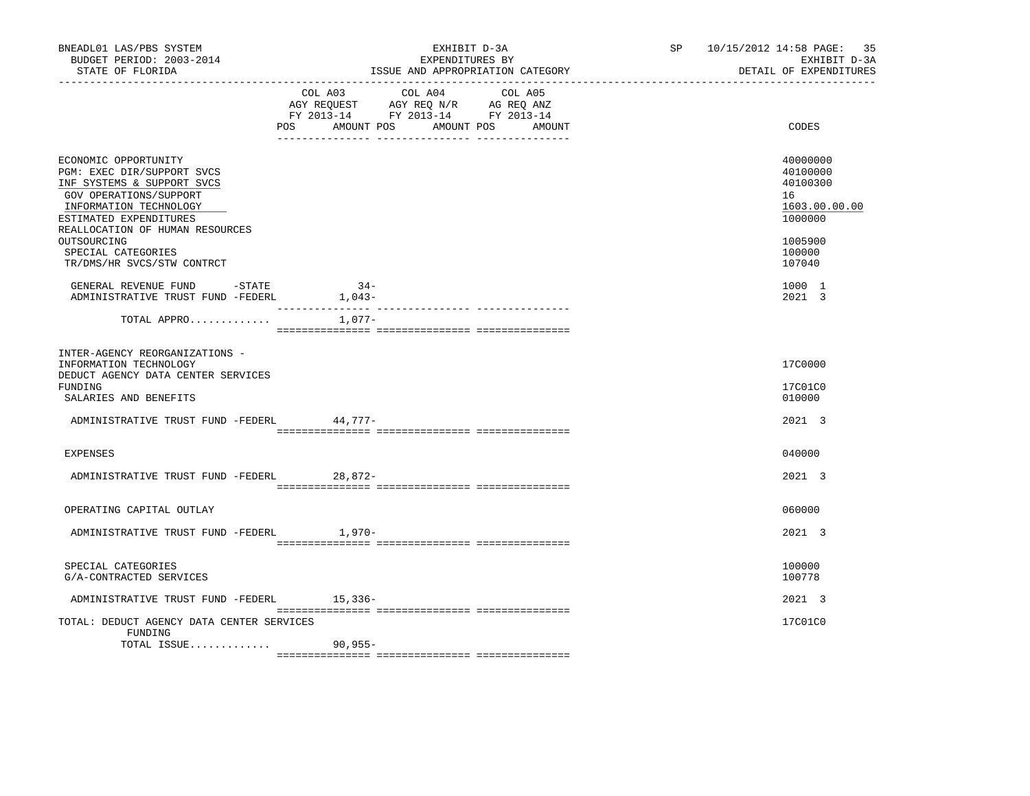| BNEADL01 LAS/PBS SYSTEM<br>BUDGET PERIOD: 2003-2014<br>STATE OF FLORIDA                                                                                                                                                                                              | EXHIBIT D-3A<br>EXPENDITURES BY<br>ISSUE AND APPROPRIATION CATEGORY                                                                            | SP 10/15/2012 14:58 PAGE: 35<br>EXHIBIT D-3A<br>DETAIL OF EXPENDITURES                            |
|----------------------------------------------------------------------------------------------------------------------------------------------------------------------------------------------------------------------------------------------------------------------|------------------------------------------------------------------------------------------------------------------------------------------------|---------------------------------------------------------------------------------------------------|
|                                                                                                                                                                                                                                                                      | COL A03 COL A04 COL A05<br>AGY REQUEST AGY REQ N/R AG REQ ANZ<br>FY 2013-14 FY 2013-14 FY 2013-14<br>AMOUNT POS<br>AMOUNT POS<br>POS<br>AMOUNT | CODES                                                                                             |
| ECONOMIC OPPORTUNITY<br>PGM: EXEC DIR/SUPPORT SVCS<br>INF SYSTEMS & SUPPORT SVCS<br>GOV OPERATIONS/SUPPORT<br>INFORMATION TECHNOLOGY<br>ESTIMATED EXPENDITURES<br>REALLOCATION OF HUMAN RESOURCES<br>OUTSOURCING<br>SPECIAL CATEGORIES<br>TR/DMS/HR SVCS/STW CONTRCT |                                                                                                                                                | 40000000<br>40100000<br>40100300<br>16<br>1603.00.00.00<br>1000000<br>1005900<br>100000<br>107040 |
| GENERAL REVENUE FUND -STATE<br>ADMINISTRATIVE TRUST FUND -FEDERL                                                                                                                                                                                                     | $34-$<br>$1,043-$                                                                                                                              | 1000 1<br>2021 3                                                                                  |
| TOTAL APPRO                                                                                                                                                                                                                                                          | 1,077-                                                                                                                                         |                                                                                                   |
| INTER-AGENCY REORGANIZATIONS -<br>INFORMATION TECHNOLOGY<br>DEDUCT AGENCY DATA CENTER SERVICES<br>FUNDING<br>SALARIES AND BENEFITS<br>ADMINISTRATIVE TRUST FUND -FEDERL                                                                                              | 44,777-                                                                                                                                        | 17C0000<br>17C01C0<br>010000<br>2021 3                                                            |
|                                                                                                                                                                                                                                                                      |                                                                                                                                                |                                                                                                   |
| <b>EXPENSES</b><br>ADMINISTRATIVE TRUST FUND -FEDERL 28,872-                                                                                                                                                                                                         |                                                                                                                                                | 040000<br>2021 3                                                                                  |
| OPERATING CAPITAL OUTLAY                                                                                                                                                                                                                                             |                                                                                                                                                | 060000                                                                                            |
| ADMINISTRATIVE TRUST FUND -FEDERL                                                                                                                                                                                                                                    | 1,970-                                                                                                                                         | 2021 3                                                                                            |
| SPECIAL CATEGORIES<br>G/A-CONTRACTED SERVICES                                                                                                                                                                                                                        |                                                                                                                                                | 100000<br>100778                                                                                  |
| ADMINISTRATIVE TRUST FUND -FEDERL                                                                                                                                                                                                                                    | 15,336-                                                                                                                                        | 2021 3                                                                                            |
| TOTAL: DEDUCT AGENCY DATA CENTER SERVICES<br>FUNDING                                                                                                                                                                                                                 |                                                                                                                                                | 17C01C0                                                                                           |
| TOTAL ISSUE 90,955-                                                                                                                                                                                                                                                  |                                                                                                                                                |                                                                                                   |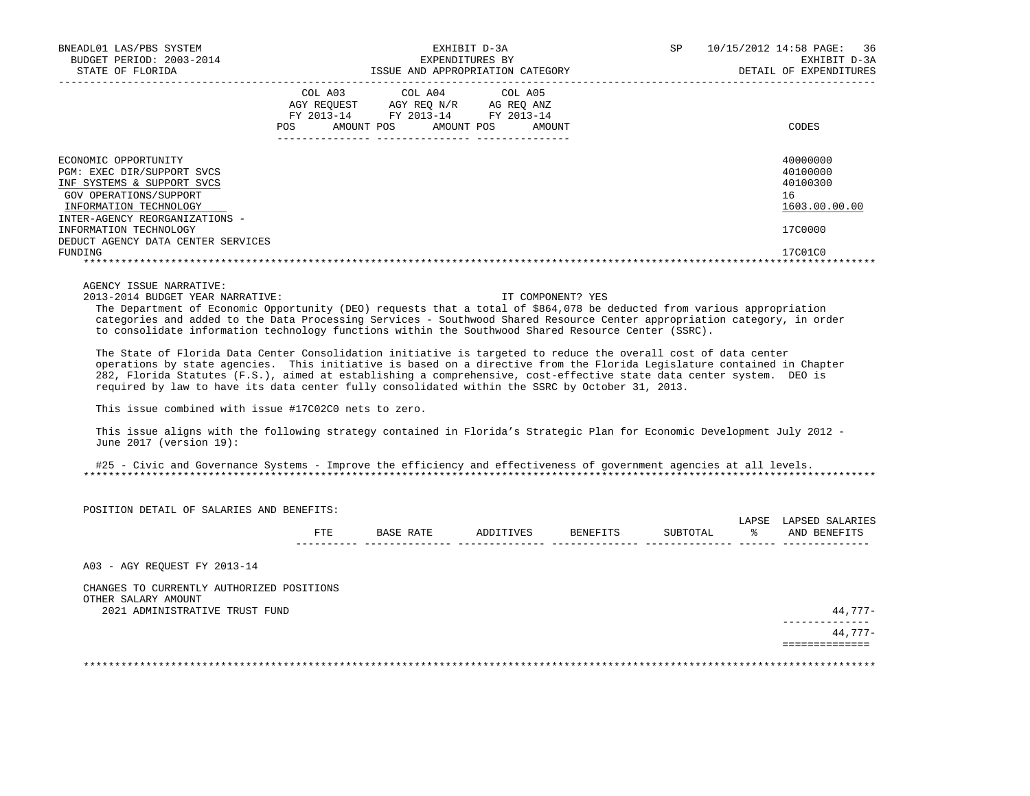| BNEADL01 LAS/PBS SYSTEM<br>BUDGET PERIOD: 2003-2014<br>STATE OF FLORIDA                                                                                                | EXHIBIT D-3A<br>EXPENDITURES BY<br>ISSUE AND APPROPRIATION CATEGORY |                                                                                          |                      | SP | 10/15/2012 14:58 PAGE: 36<br>EXHIBIT D-3A<br>DETAIL OF EXPENDITURES |  |  |
|------------------------------------------------------------------------------------------------------------------------------------------------------------------------|---------------------------------------------------------------------|------------------------------------------------------------------------------------------|----------------------|----|---------------------------------------------------------------------|--|--|
|                                                                                                                                                                        | AGY REOUEST<br>AMOUNT POS<br>POS                                    | COL A03 COL A04 COL A05<br>AGY REO N/R<br>FY 2013-14 FY 2013-14 FY 2013-14<br>AMOUNT POS | AG REO ANZ<br>AMOUNT |    | CODES                                                               |  |  |
| ECONOMIC OPPORTUNITY<br>PGM: EXEC DIR/SUPPORT SVCS<br>INF SYSTEMS & SUPPORT SVCS<br>GOV OPERATIONS/SUPPORT<br>INFORMATION TECHNOLOGY<br>INTER-AGENCY REORGANIZATIONS - |                                                                     |                                                                                          |                      |    | 40000000<br>40100000<br>40100300<br>16<br>1603.00.00.00             |  |  |
| INFORMATION TECHNOLOGY<br>DEDUCT AGENCY DATA CENTER SERVICES<br>FUNDING                                                                                                |                                                                     |                                                                                          |                      |    | 17C0000<br>17C01C0                                                  |  |  |
|                                                                                                                                                                        |                                                                     |                                                                                          |                      |    |                                                                     |  |  |

AGENCY ISSUE NARRATIVE:

2013-2014 BUDGET YEAR NARRATIVE: IT COMPONENT? YES

 The Department of Economic Opportunity (DEO) requests that a total of \$864,078 be deducted from various appropriation categories and added to the Data Processing Services - Southwood Shared Resource Center appropriation category, in order to consolidate information technology functions within the Southwood Shared Resource Center (SSRC).

 The State of Florida Data Center Consolidation initiative is targeted to reduce the overall cost of data center operations by state agencies. This initiative is based on a directive from the Florida Legislature contained in Chapter 282, Florida Statutes (F.S.), aimed at establishing a comprehensive, cost-effective state data center system. DEO is required by law to have its data center fully consolidated within the SSRC by October 31, 2013.

This issue combined with issue #17C02C0 nets to zero.

 This issue aligns with the following strategy contained in Florida's Strategic Plan for Economic Development July 2012 - June 2017 (version 19):

 #25 - Civic and Governance Systems - Improve the efficiency and effectiveness of government agencies at all levels. \*\*\*\*\*\*\*\*\*\*\*\*\*\*\*\*\*\*\*\*\*\*\*\*\*\*\*\*\*\*\*\*\*\*\*\*\*\*\*\*\*\*\*\*\*\*\*\*\*\*\*\*\*\*\*\*\*\*\*\*\*\*\*\*\*\*\*\*\*\*\*\*\*\*\*\*\*\*\*\*\*\*\*\*\*\*\*\*\*\*\*\*\*\*\*\*\*\*\*\*\*\*\*\*\*\*\*\*\*\*\*\*\*\*\*\*\*\*\*\*\*\*\*\*\*\*\*

| POSITION DETAIL OF SALARIES AND BENEFITS:             |     |           |           |          |          | LAPSE | LAPSED SALARIES |
|-------------------------------------------------------|-----|-----------|-----------|----------|----------|-------|-----------------|
|                                                       | FTE | BASE RATE | ADDITIVES | BENEFITS | SUBTOTAL | °≈    | AND BENEFITS    |
| A03 - AGY REQUEST FY 2013-14                          |     |           |           |          |          |       |                 |
| CHANGES TO CURRENTLY AUTHORIZED POSITIONS             |     |           |           |          |          |       |                 |
| OTHER SALARY AMOUNT<br>2021 ADMINISTRATIVE TRUST FUND |     |           |           |          |          |       | 44,777-         |
|                                                       |     |           |           |          |          |       | 44,777-         |
|                                                       |     |           |           |          |          |       |                 |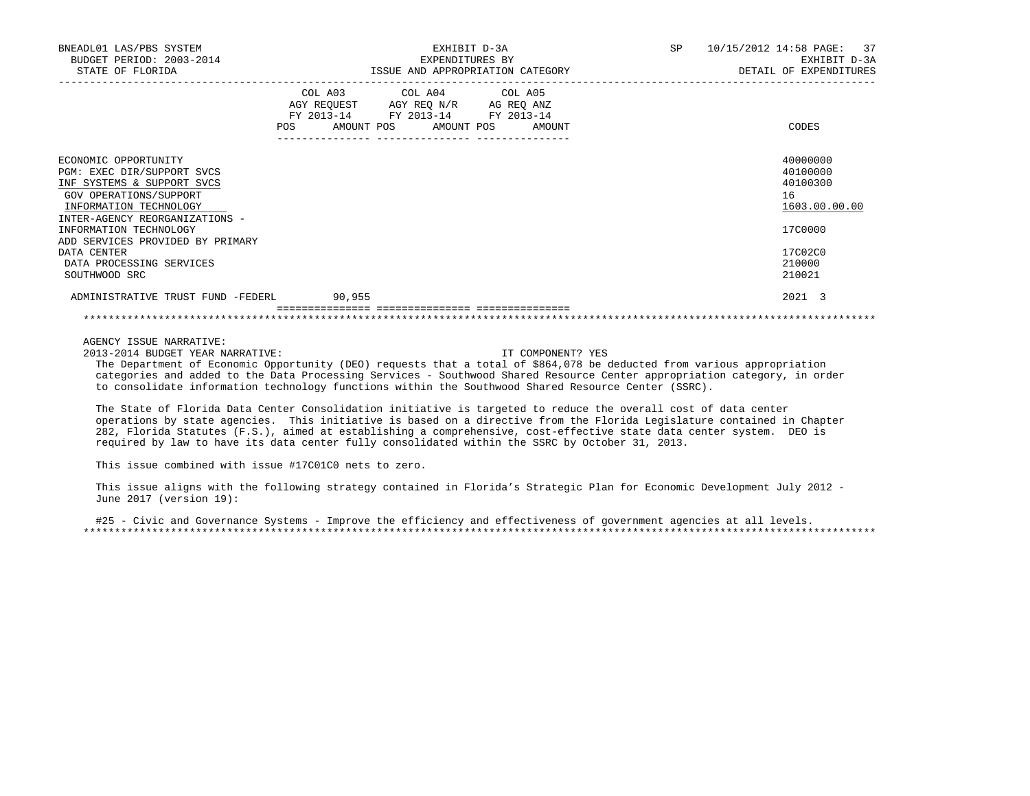| BNEADL01 LAS/PBS SYSTEM<br>BUDGET PERIOD: 2003-2014<br>STATE OF FLORIDA                                                                 | EXHIBIT D-3A<br>EXPENDITURES BY<br>ISSUE AND APPROPRIATION CATEGORY                                                                             | 10/15/2012 14:58 PAGE: 37<br>SP<br>EXHIBIT D-3A<br>DETAIL OF EXPENDITURES |
|-----------------------------------------------------------------------------------------------------------------------------------------|-------------------------------------------------------------------------------------------------------------------------------------------------|---------------------------------------------------------------------------|
|                                                                                                                                         | COL A03 COL A04 COL A05<br>AGY REQUEST AGY REO N/R AG REO ANZ<br>FY 2013-14 FY 2013-14 FY 2013-14<br>AMOUNT POS AMOUNT POS<br>POS FOR<br>AMOUNT | CODES                                                                     |
| ECONOMIC OPPORTUNITY<br>PGM: EXEC DIR/SUPPORT SVCS<br>INF SYSTEMS & SUPPORT SVCS<br>GOV OPERATIONS/SUPPORT<br>INFORMATION TECHNOLOGY    |                                                                                                                                                 | 40000000<br>40100000<br>40100300<br>16<br>1603.00.00.00                   |
| INTER-AGENCY REORGANIZATIONS -<br>INFORMATION TECHNOLOGY<br>ADD SERVICES PROVIDED BY PRIMARY<br>DATA CENTER<br>DATA PROCESSING SERVICES |                                                                                                                                                 | 17C0000<br>17C02C0<br>210000                                              |
| SOUTHWOOD SRC<br>ADMINISTRATIVE TRUST FUND -FEDERL 90.955                                                                               |                                                                                                                                                 | 210021<br>2021 3                                                          |
|                                                                                                                                         |                                                                                                                                                 |                                                                           |

2013-2014 BUDGET YEAR NARRATIVE: IT COMPONENT? YES

 The Department of Economic Opportunity (DEO) requests that a total of \$864,078 be deducted from various appropriation categories and added to the Data Processing Services - Southwood Shared Resource Center appropriation category, in order to consolidate information technology functions within the Southwood Shared Resource Center (SSRC).

 The State of Florida Data Center Consolidation initiative is targeted to reduce the overall cost of data center operations by state agencies. This initiative is based on a directive from the Florida Legislature contained in Chapter 282, Florida Statutes (F.S.), aimed at establishing a comprehensive, cost-effective state data center system. DEO is required by law to have its data center fully consolidated within the SSRC by October 31, 2013.

This issue combined with issue #17C01C0 nets to zero.

 This issue aligns with the following strategy contained in Florida's Strategic Plan for Economic Development July 2012 - June 2017 (version 19):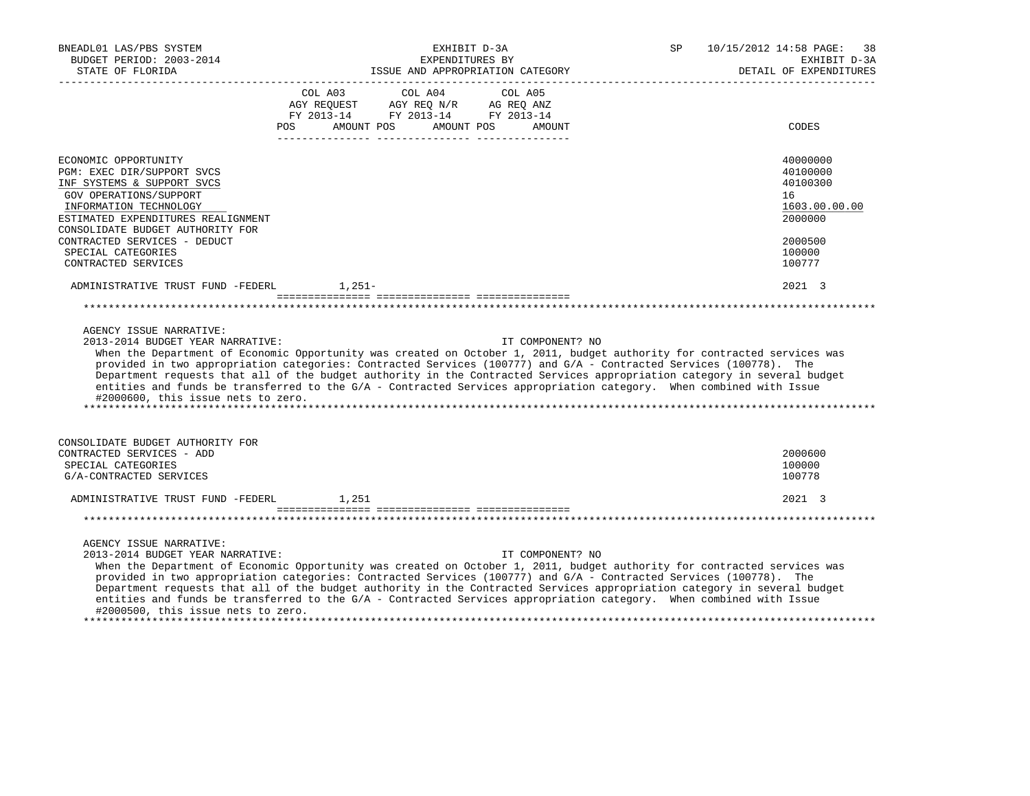| BNEADL01 LAS/PBS SYSTEM<br>BUDGET PERIOD: 2003-2014<br>STATE OF FLORIDA                                                                                                                                                                                                                            | EXHIBIT D-3A<br>EXPENDITURES BY<br>ISSUE AND APPROPRIATION CATEGORY                                                                                                                                                                                                                                                                                                                                                                                                                                                   | 10/15/2012 14:58 PAGE:<br>SP<br>38<br>EXHIBIT D-3A<br>DETAIL OF EXPENDITURES                      |
|----------------------------------------------------------------------------------------------------------------------------------------------------------------------------------------------------------------------------------------------------------------------------------------------------|-----------------------------------------------------------------------------------------------------------------------------------------------------------------------------------------------------------------------------------------------------------------------------------------------------------------------------------------------------------------------------------------------------------------------------------------------------------------------------------------------------------------------|---------------------------------------------------------------------------------------------------|
|                                                                                                                                                                                                                                                                                                    | COL A03 COL A04<br>COL A05<br>$\begin{tabular}{lllllll} AGY & \texttt{REQUEST} & \texttt{AGY REQ N/R} & \texttt{AG REQ ANZ} \end{tabular}$<br>FY 2013-14 FY 2013-14 FY 2013-14<br>AMOUNT POS<br>AMOUNT POS<br><b>POS</b><br>AMOUNT                                                                                                                                                                                                                                                                                    | CODES                                                                                             |
| ECONOMIC OPPORTUNITY<br>PGM: EXEC DIR/SUPPORT SVCS<br>INF SYSTEMS & SUPPORT SVCS<br><b>GOV OPERATIONS/SUPPORT</b><br>INFORMATION TECHNOLOGY<br>ESTIMATED EXPENDITURES REALIGNMENT<br>CONSOLIDATE BUDGET AUTHORITY FOR<br>CONTRACTED SERVICES - DEDUCT<br>SPECIAL CATEGORIES<br>CONTRACTED SERVICES |                                                                                                                                                                                                                                                                                                                                                                                                                                                                                                                       | 40000000<br>40100000<br>40100300<br>16<br>1603.00.00.00<br>2000000<br>2000500<br>100000<br>100777 |
| ADMINISTRATIVE TRUST FUND -FEDERL 1,251-                                                                                                                                                                                                                                                           |                                                                                                                                                                                                                                                                                                                                                                                                                                                                                                                       | 2021 3                                                                                            |
|                                                                                                                                                                                                                                                                                                    |                                                                                                                                                                                                                                                                                                                                                                                                                                                                                                                       |                                                                                                   |
| AGENCY ISSUE NARRATIVE:<br>2013-2014 BUDGET YEAR NARRATIVE:<br>#2000600, this issue nets to zero.                                                                                                                                                                                                  | IT COMPONENT? NO<br>When the Department of Economic Opportunity was created on October 1, 2011, budget authority for contracted services was<br>provided in two appropriation categories: Contracted Services (100777) and G/A - Contracted Services (100778). The<br>Department requests that all of the budget authority in the Contracted Services appropriation category in several budget<br>entities and funds be transferred to the G/A - Contracted Services appropriation category. When combined with Issue |                                                                                                   |
| CONSOLIDATE BUDGET AUTHORITY FOR<br>CONTRACTED SERVICES - ADD<br>SPECIAL CATEGORIES<br>G/A-CONTRACTED SERVICES                                                                                                                                                                                     |                                                                                                                                                                                                                                                                                                                                                                                                                                                                                                                       | 2000600<br>100000<br>100778                                                                       |
| ADMINISTRATIVE TRUST FUND -FEDERL                                                                                                                                                                                                                                                                  | 1,251                                                                                                                                                                                                                                                                                                                                                                                                                                                                                                                 | 2021 3                                                                                            |
|                                                                                                                                                                                                                                                                                                    |                                                                                                                                                                                                                                                                                                                                                                                                                                                                                                                       |                                                                                                   |
| AGENCY ISSUE NARRATIVE:<br>2013-2014 BUDGET YEAR NARRATIVE:<br>#2000500, this issue nets to zero.                                                                                                                                                                                                  | IT COMPONENT? NO<br>When the Department of Economic Opportunity was created on October 1, 2011, budget authority for contracted services was<br>provided in two appropriation categories: Contracted Services (100777) and G/A - Contracted Services (100778). The<br>Department requests that all of the budget authority in the Contracted Services appropriation category in several budget<br>entities and funds be transferred to the G/A - Contracted Services appropriation category. When combined with Issue |                                                                                                   |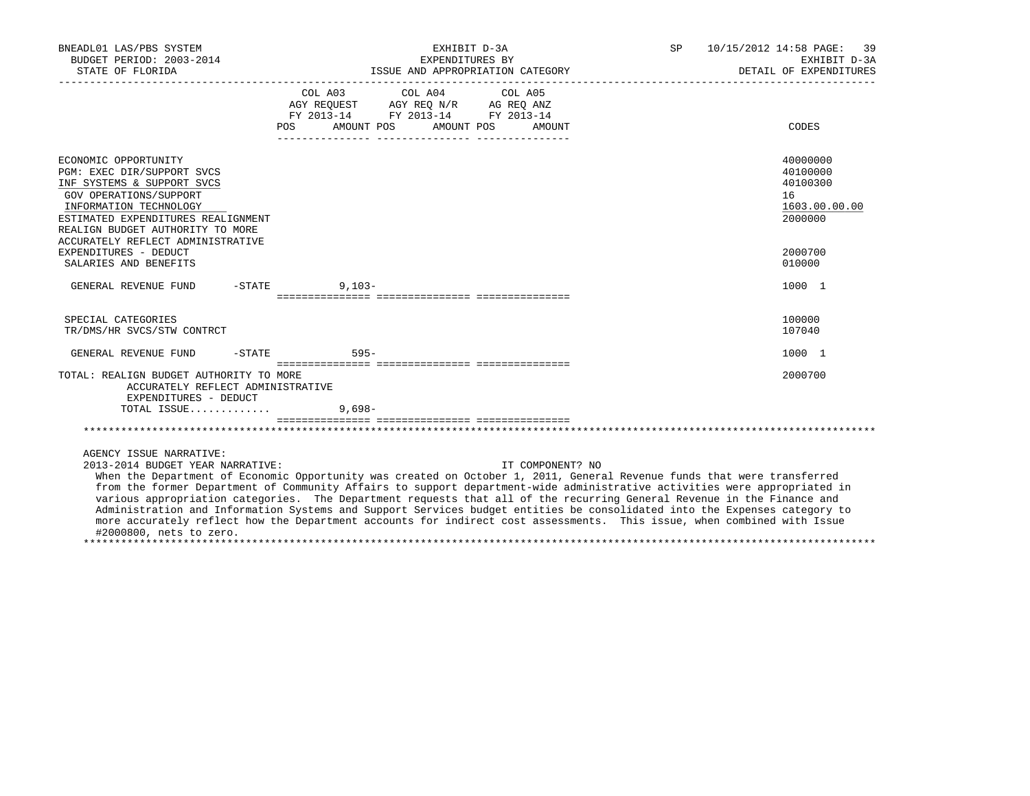| BNEADL01 LAS/PBS SYSTEM<br>BUDGET PERIOD: 2003-2014<br>STATE OF FLORIDA                                                                                                                                                                             | EXHIBIT D-3A<br>EXPENDITURES BY<br>ISSUE AND APPROPRIATION CATEGORY                                                                            | SP 10/15/2012 14:58 PAGE: 39<br>EXHIBIT D-3A<br>DETAIL OF EXPENDITURES |
|-----------------------------------------------------------------------------------------------------------------------------------------------------------------------------------------------------------------------------------------------------|------------------------------------------------------------------------------------------------------------------------------------------------|------------------------------------------------------------------------|
|                                                                                                                                                                                                                                                     | COL A03 COL A04 COL A05<br>AGY REQUEST AGY REQ N/R AG REQ ANZ<br>FY 2013-14 FY 2013-14 FY 2013-14<br>AMOUNT POS<br>AMOUNT POS<br>POS<br>AMOUNT | CODES                                                                  |
| ECONOMIC OPPORTUNITY<br>PGM: EXEC DIR/SUPPORT SVCS<br>INF SYSTEMS & SUPPORT SVCS<br>GOV OPERATIONS/SUPPORT<br>INFORMATION TECHNOLOGY<br>ESTIMATED EXPENDITURES REALIGNMENT<br>REALIGN BUDGET AUTHORITY TO MORE<br>ACCURATELY REFLECT ADMINISTRATIVE |                                                                                                                                                | 40000000<br>40100000<br>40100300<br>16<br>1603.00.00.00<br>2000000     |
| EXPENDITURES - DEDUCT<br>SALARIES AND BENEFITS                                                                                                                                                                                                      |                                                                                                                                                | 2000700<br>010000                                                      |
| $-STATE$<br>GENERAL REVENUE FUND                                                                                                                                                                                                                    | $9.103 -$                                                                                                                                      | 1000 1                                                                 |
| SPECIAL CATEGORIES<br>TR/DMS/HR SVCS/STW CONTRCT                                                                                                                                                                                                    |                                                                                                                                                | 100000<br>107040                                                       |
| GENERAL REVENUE FUND                                                                                                                                                                                                                                | $-STATE$ 595-                                                                                                                                  | 1000 1                                                                 |
| TOTAL: REALIGN BUDGET AUTHORITY TO MORE<br>ACCURATELY REFLECT ADMINISTRATIVE<br>EXPENDITURES - DEDUCT                                                                                                                                               |                                                                                                                                                | 2000700                                                                |
| TOTAL ISSUE                                                                                                                                                                                                                                         | $9.698 -$                                                                                                                                      |                                                                        |
|                                                                                                                                                                                                                                                     |                                                                                                                                                |                                                                        |
| AGENCY ISSUE NARRATIVE:<br>2013-2014 BUDGET YEAR NARRATIVE:                                                                                                                                                                                         | IT COMPONENT? NO<br>When the Department of Economic Opportunity was created on October 1, 2011, General Revenue funds that were transferred    |                                                                        |

 from the former Department of Community Affairs to support department-wide administrative activities were appropriated in various appropriation categories. The Department requests that all of the recurring General Revenue in the Finance and Administration and Information Systems and Support Services budget entities be consolidated into the Expenses category to more accurately reflect how the Department accounts for indirect cost assessments. This issue, when combined with Issue #2000800, nets to zero. \*\*\*\*\*\*\*\*\*\*\*\*\*\*\*\*\*\*\*\*\*\*\*\*\*\*\*\*\*\*\*\*\*\*\*\*\*\*\*\*\*\*\*\*\*\*\*\*\*\*\*\*\*\*\*\*\*\*\*\*\*\*\*\*\*\*\*\*\*\*\*\*\*\*\*\*\*\*\*\*\*\*\*\*\*\*\*\*\*\*\*\*\*\*\*\*\*\*\*\*\*\*\*\*\*\*\*\*\*\*\*\*\*\*\*\*\*\*\*\*\*\*\*\*\*\*\*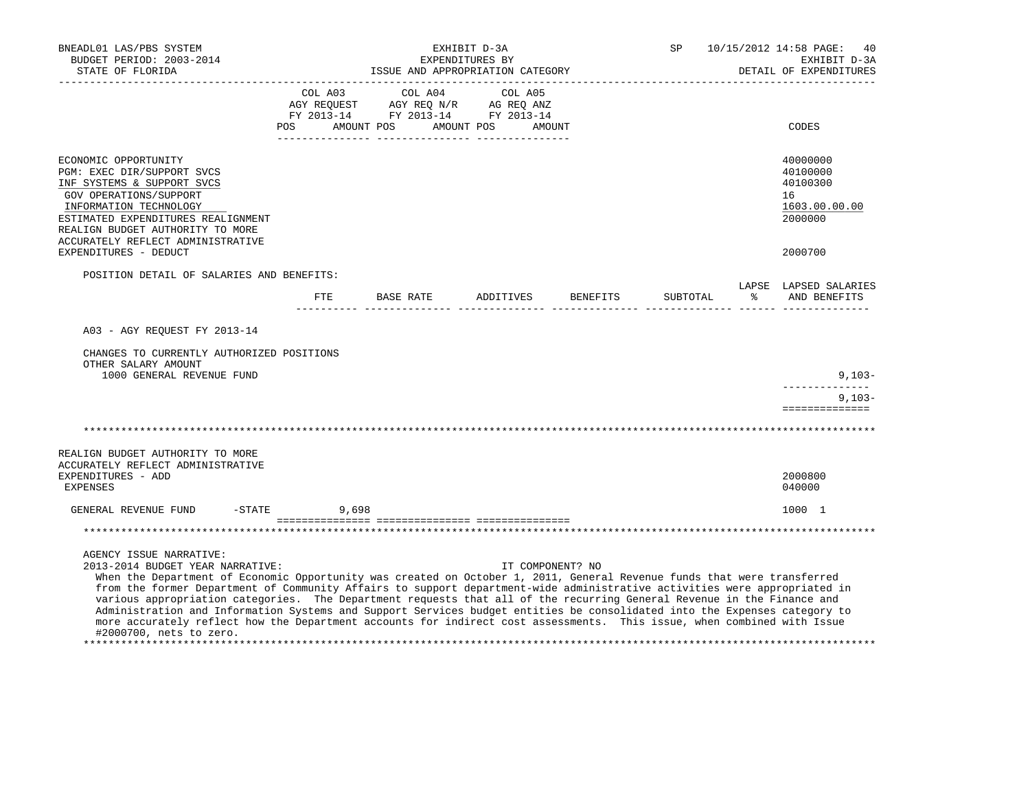| BNEADL01 LAS/PBS SYSTEM<br>BUDGET PERIOD: 2003-2014<br>STATE OF FLORIDA                                                                                                                                                                                                                                                                                                                                                                                                                                                                                                                                                                                                                                                          | EXHIBIT D-3A<br>EXPENDITURES BY<br>ISSUE AND APPROPRIATION CATEGORY |                  |  |                                                                                                                                                                          | SP               | 10/15/2012 14:58 PAGE:<br>40<br>EXHIBIT D-3A<br>DETAIL OF EXPENDITURES |                                                                    |
|----------------------------------------------------------------------------------------------------------------------------------------------------------------------------------------------------------------------------------------------------------------------------------------------------------------------------------------------------------------------------------------------------------------------------------------------------------------------------------------------------------------------------------------------------------------------------------------------------------------------------------------------------------------------------------------------------------------------------------|---------------------------------------------------------------------|------------------|--|--------------------------------------------------------------------------------------------------------------------------------------------------------------------------|------------------|------------------------------------------------------------------------|--------------------------------------------------------------------|
|                                                                                                                                                                                                                                                                                                                                                                                                                                                                                                                                                                                                                                                                                                                                  | POS                                                                 | AMOUNT POS       |  | $\begin{tabular}{lcccc} CDL A03 & CDL A04 & CDL A05 \\ AGY REQUEST & AGY REQ N/R & AG REQ ANZ \\ FY & 2013-14 & FY & 2013-14 & FY & 2013-14 \end{tabular}$<br>AMOUNT POS | AMOUNT           |                                                                        | CODES                                                              |
| ECONOMIC OPPORTUNITY<br>PGM: EXEC DIR/SUPPORT SVCS<br>INF SYSTEMS & SUPPORT SVCS<br>GOV OPERATIONS/SUPPORT<br>INFORMATION TECHNOLOGY<br>ESTIMATED EXPENDITURES REALIGNMENT<br>REALIGN BUDGET AUTHORITY TO MORE<br>ACCURATELY REFLECT ADMINISTRATIVE                                                                                                                                                                                                                                                                                                                                                                                                                                                                              |                                                                     |                  |  |                                                                                                                                                                          |                  |                                                                        | 40000000<br>40100000<br>40100300<br>16<br>1603.00.00.00<br>2000000 |
| EXPENDITURES - DEDUCT                                                                                                                                                                                                                                                                                                                                                                                                                                                                                                                                                                                                                                                                                                            |                                                                     |                  |  |                                                                                                                                                                          |                  |                                                                        | 2000700                                                            |
| POSITION DETAIL OF SALARIES AND BENEFITS:                                                                                                                                                                                                                                                                                                                                                                                                                                                                                                                                                                                                                                                                                        | ETE                                                                 | <b>BASE RATE</b> |  | ADDITIVES                                                                                                                                                                | BENEFITS         | SUBTOTAL                                                               | LAPSE LAPSED SALARIES<br>% AND BENEFITS                            |
| A03 - AGY REQUEST FY 2013-14<br>CHANGES TO CURRENTLY AUTHORIZED POSITIONS<br>OTHER SALARY AMOUNT                                                                                                                                                                                                                                                                                                                                                                                                                                                                                                                                                                                                                                 |                                                                     |                  |  |                                                                                                                                                                          |                  |                                                                        |                                                                    |
| 1000 GENERAL REVENUE FUND                                                                                                                                                                                                                                                                                                                                                                                                                                                                                                                                                                                                                                                                                                        |                                                                     |                  |  |                                                                                                                                                                          |                  |                                                                        | $9,103-$                                                           |
|                                                                                                                                                                                                                                                                                                                                                                                                                                                                                                                                                                                                                                                                                                                                  |                                                                     |                  |  |                                                                                                                                                                          |                  |                                                                        | $9,103-$<br>==============                                         |
|                                                                                                                                                                                                                                                                                                                                                                                                                                                                                                                                                                                                                                                                                                                                  |                                                                     |                  |  |                                                                                                                                                                          |                  |                                                                        |                                                                    |
| REALIGN BUDGET AUTHORITY TO MORE<br>ACCURATELY REFLECT ADMINISTRATIVE<br>EXPENDITURES - ADD<br><b>EXPENSES</b>                                                                                                                                                                                                                                                                                                                                                                                                                                                                                                                                                                                                                   |                                                                     |                  |  |                                                                                                                                                                          |                  |                                                                        | 2000800<br>040000                                                  |
| GENERAL REVENUE FUND -STATE                                                                                                                                                                                                                                                                                                                                                                                                                                                                                                                                                                                                                                                                                                      |                                                                     | 9,698            |  |                                                                                                                                                                          |                  |                                                                        | 1000 1                                                             |
|                                                                                                                                                                                                                                                                                                                                                                                                                                                                                                                                                                                                                                                                                                                                  |                                                                     |                  |  |                                                                                                                                                                          |                  |                                                                        |                                                                    |
| AGENCY ISSUE NARRATIVE:<br>2013-2014 BUDGET YEAR NARRATIVE:<br>When the Department of Economic Opportunity was created on October 1, 2011, General Revenue funds that were transferred<br>from the former Department of Community Affairs to support department-wide administrative activities were appropriated in<br>various appropriation categories. The Department requests that all of the recurring General Revenue in the Finance and<br>Administration and Information Systems and Support Services budget entities be consolidated into the Expenses category to<br>more accurately reflect how the Department accounts for indirect cost assessments. This issue, when combined with Issue<br>#2000700, nets to zero. |                                                                     |                  |  |                                                                                                                                                                          | IT COMPONENT? NO |                                                                        |                                                                    |

\*\*\*\*\*\*\*\*\*\*\*\*\*\*\*\*\*\*\*\*\*\*\*\*\*\*\*\*\*\*\*\*\*\*\*\*\*\*\*\*\*\*\*\*\*\*\*\*\*\*\*\*\*\*\*\*\*\*\*\*\*\*\*\*\*\*\*\*\*\*\*\*\*\*\*\*\*\*\*\*\*\*\*\*\*\*\*\*\*\*\*\*\*\*\*\*\*\*\*\*\*\*\*\*\*\*\*\*\*\*\*\*\*\*\*\*\*\*\*\*\*\*\*\*\*\*\*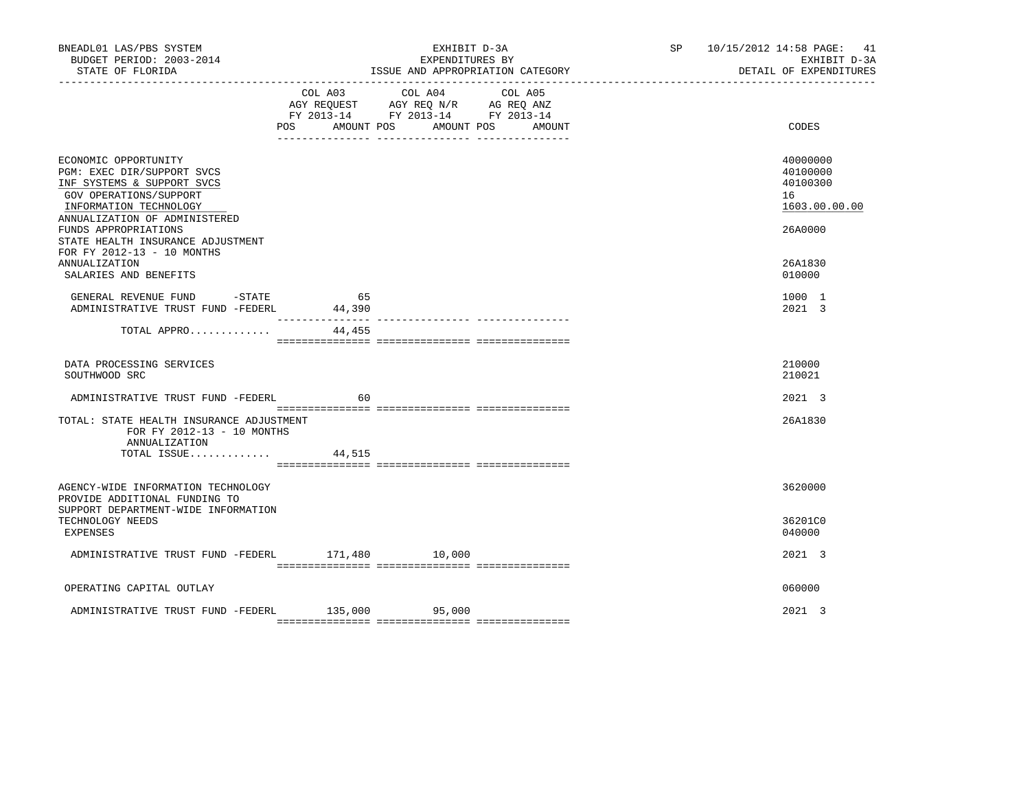| BNEADL01 LAS/PBS SYSTEM<br>BUDGET PERIOD: 2003-2014<br>STATE OF FLORIDA                                                                                               | EXHIBIT D-3A<br>EXPENDITURES BY<br>ISSUE AND APPROPRIATION CATEGORY |                                                                                                                                       |  | SP 10/15/2012 14:58 PAGE: 41<br>EXHIBIT D-3A<br>DETAIL OF EXPENDITURES |
|-----------------------------------------------------------------------------------------------------------------------------------------------------------------------|---------------------------------------------------------------------|---------------------------------------------------------------------------------------------------------------------------------------|--|------------------------------------------------------------------------|
|                                                                                                                                                                       |                                                                     | COL A03 COL A04 COL A05<br>AGY REQUEST AGY REQ N/R AG REQ ANZ<br>FY 2013-14 FY 2013-14 FY 2013-14<br>POS AMOUNT POS AMOUNT POS AMOUNT |  | CODES                                                                  |
| ECONOMIC OPPORTUNITY<br>PGM: EXEC DIR/SUPPORT SVCS<br>INF SYSTEMS & SUPPORT SVCS<br>GOV OPERATIONS/SUPPORT<br>INFORMATION TECHNOLOGY<br>ANNUALIZATION OF ADMINISTERED |                                                                     |                                                                                                                                       |  | 40000000<br>40100000<br>40100300<br>16<br>1603.00.00.00                |
| FUNDS APPROPRIATIONS<br>STATE HEALTH INSURANCE ADJUSTMENT<br>FOR FY 2012-13 - 10 MONTHS<br><b>ANNUALIZATION</b><br>SALARIES AND BENEFITS                              |                                                                     |                                                                                                                                       |  | 26A0000<br>26A1830<br>010000                                           |
| GENERAL REVENUE FUND -STATE<br>ADMINISTRATIVE TRUST FUND -FEDERL                                                                                                      | 65<br>44,390                                                        |                                                                                                                                       |  | 1000 1<br>2021 3                                                       |
| TOTAL APPRO                                                                                                                                                           | ---------------<br>44,455                                           |                                                                                                                                       |  |                                                                        |
| DATA PROCESSING SERVICES<br>SOUTHWOOD SRC                                                                                                                             |                                                                     |                                                                                                                                       |  | 210000<br>210021                                                       |
| ADMINISTRATIVE TRUST FUND -FEDERL                                                                                                                                     | 60                                                                  |                                                                                                                                       |  | 2021 3                                                                 |
| TOTAL: STATE HEALTH INSURANCE ADJUSTMENT<br>FOR FY 2012-13 - 10 MONTHS<br>ANNUALIZATION                                                                               |                                                                     |                                                                                                                                       |  | 26A1830                                                                |
| TOTAL ISSUE                                                                                                                                                           | 44,515                                                              |                                                                                                                                       |  |                                                                        |
| AGENCY-WIDE INFORMATION TECHNOLOGY<br>PROVIDE ADDITIONAL FUNDING TO<br>SUPPORT DEPARTMENT-WIDE INFORMATION                                                            |                                                                     |                                                                                                                                       |  | 3620000                                                                |
| TECHNOLOGY NEEDS<br>EXPENSES                                                                                                                                          |                                                                     |                                                                                                                                       |  | 36201C0<br>040000                                                      |
| ADMINISTRATIVE TRUST FUND -FEDERL 171,480 10,000                                                                                                                      |                                                                     |                                                                                                                                       |  | 2021 3                                                                 |
| OPERATING CAPITAL OUTLAY                                                                                                                                              |                                                                     |                                                                                                                                       |  | 060000                                                                 |
| ADMINISTRATIVE TRUST FUND -FEDERL 135,000                                                                                                                             |                                                                     | 95,000                                                                                                                                |  | 2021 3                                                                 |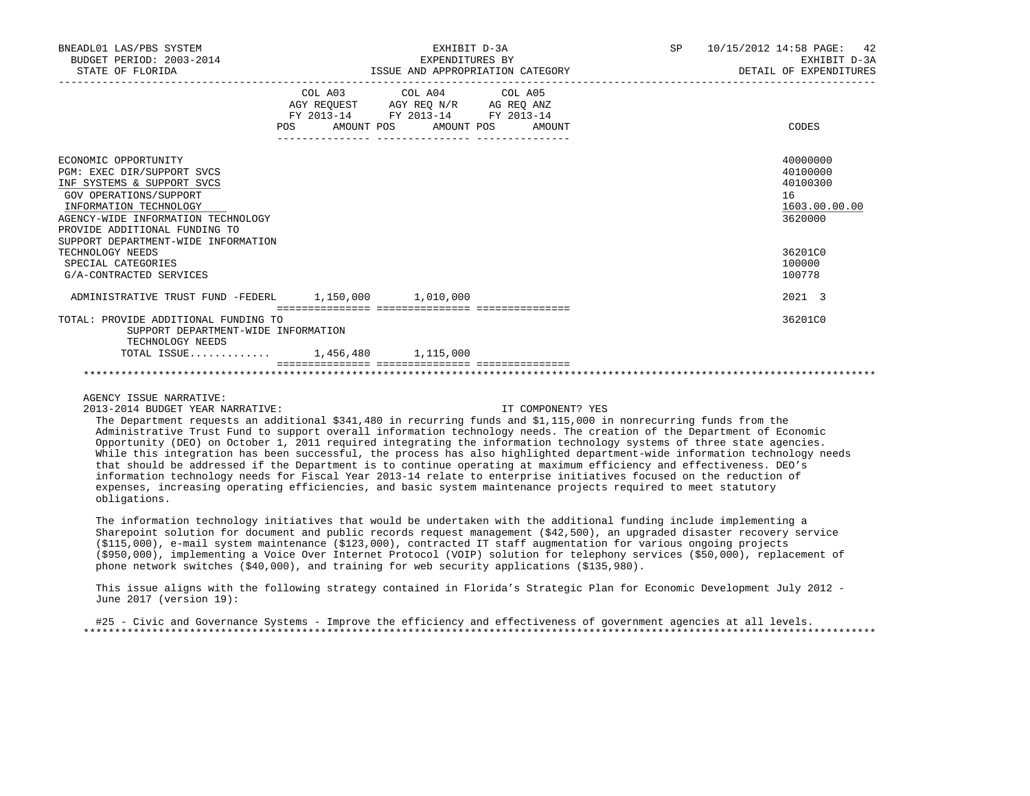| BNEADL01 LAS/PBS SYSTEM<br>BUDGET PERIOD: 2003-2014<br>STATE OF FLORIDA                                                                                                                                                                                                                                                 |                           | EXHIBIT D-3A<br>EXPENDITURES BY                                                                   | ISSUE AND APPROPRIATION CATEGORY | SP | 10/15/2012 14:58 PAGE: 42<br>EXHIBIT D-3A<br>DETAIL OF EXPENDITURES                               |
|-------------------------------------------------------------------------------------------------------------------------------------------------------------------------------------------------------------------------------------------------------------------------------------------------------------------------|---------------------------|---------------------------------------------------------------------------------------------------|----------------------------------|----|---------------------------------------------------------------------------------------------------|
|                                                                                                                                                                                                                                                                                                                         | POS AMOUNT POS AMOUNT POS | COL A03 COL A04 COL A05<br>AGY REQUEST AGY REQ N/R AG REQ ANZ<br>FY 2013-14 FY 2013-14 FY 2013-14 | AMOUNT                           |    | CODES                                                                                             |
| ECONOMIC OPPORTUNITY<br>PGM: EXEC DIR/SUPPORT SVCS<br>INF SYSTEMS & SUPPORT SVCS<br>GOV OPERATIONS/SUPPORT<br>INFORMATION TECHNOLOGY<br>AGENCY-WIDE INFORMATION TECHNOLOGY<br>PROVIDE ADDITIONAL FUNDING TO<br>SUPPORT DEPARTMENT-WIDE INFORMATION<br>TECHNOLOGY NEEDS<br>SPECIAL CATEGORIES<br>G/A-CONTRACTED SERVICES |                           |                                                                                                   |                                  |    | 40000000<br>40100000<br>40100300<br>16<br>1603.00.00.00<br>3620000<br>36201C0<br>100000<br>100778 |
| ADMINISTRATIVE TRUST FUND -FEDERL 1.150.000 1.010.000                                                                                                                                                                                                                                                                   |                           |                                                                                                   |                                  |    | 2021 3                                                                                            |
| TOTAL: PROVIDE ADDITIONAL FUNDING TO<br>SUPPORT DEPARTMENT-WIDE INFORMATION<br>TECHNOLOGY NEEDS<br>TOTAL ISSUE 1,456,480 1,115,000                                                                                                                                                                                      |                           |                                                                                                   |                                  |    | 36201C0                                                                                           |
|                                                                                                                                                                                                                                                                                                                         |                           |                                                                                                   |                                  |    |                                                                                                   |

2013-2014 BUDGET YEAR NARRATIVE: IT COMPONENT? YES

 The Department requests an additional \$341,480 in recurring funds and \$1,115,000 in nonrecurring funds from the Administrative Trust Fund to support overall information technology needs. The creation of the Department of Economic Opportunity (DEO) on October 1, 2011 required integrating the information technology systems of three state agencies. While this integration has been successful, the process has also highlighted department-wide information technology needs that should be addressed if the Department is to continue operating at maximum efficiency and effectiveness. DEO's information technology needs for Fiscal Year 2013-14 relate to enterprise initiatives focused on the reduction of expenses, increasing operating efficiencies, and basic system maintenance projects required to meet statutory obligations.

 The information technology initiatives that would be undertaken with the additional funding include implementing a Sharepoint solution for document and public records request management (\$42,500), an upgraded disaster recovery service (\$115,000), e-mail system maintenance (\$123,000), contracted IT staff augmentation for various ongoing projects (\$950,000), implementing a Voice Over Internet Protocol (VOIP) solution for telephony services (\$50,000), replacement of phone network switches (\$40,000), and training for web security applications (\$135,980).

 This issue aligns with the following strategy contained in Florida's Strategic Plan for Economic Development July 2012 - June 2017 (version 19):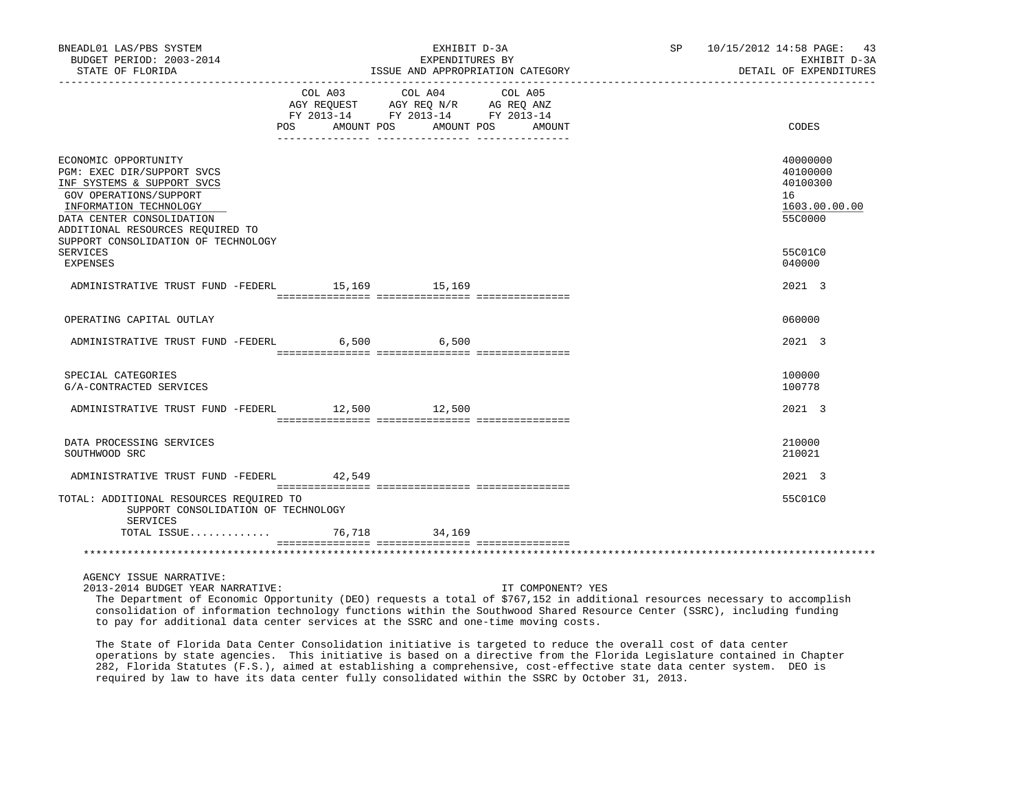| BNEADL01 LAS/PBS SYSTEM<br>BUDGET PERIOD: 2003-2014<br>STATE OF FLORIDA                                                                                                                                                                                         |                                  | EXHIBIT D-3A<br>EXPENDITURES BY<br>ISSUE AND APPROPRIATION CATEGORY                               | SP 10/15/2012 14:58 PAGE: 43<br>EXHIBIT D-3A<br>DETAIL OF EXPENDITURES |                                                                               |
|-----------------------------------------------------------------------------------------------------------------------------------------------------------------------------------------------------------------------------------------------------------------|----------------------------------|---------------------------------------------------------------------------------------------------|------------------------------------------------------------------------|-------------------------------------------------------------------------------|
|                                                                                                                                                                                                                                                                 | POS AMOUNT POS AMOUNT POS AMOUNT | COL A03 COL A04 COL A05<br>AGY REQUEST AGY REQ N/R AG REQ ANZ<br>FY 2013-14 FY 2013-14 FY 2013-14 |                                                                        | CODES                                                                         |
| ECONOMIC OPPORTUNITY<br>PGM: EXEC DIR/SUPPORT SVCS<br>INF SYSTEMS & SUPPORT SVCS<br>GOV OPERATIONS/SUPPORT<br>INFORMATION TECHNOLOGY<br>DATA CENTER CONSOLIDATION<br>ADDITIONAL RESOURCES REQUIRED TO<br>SUPPORT CONSOLIDATION OF TECHNOLOGY<br><b>SERVICES</b> |                                  |                                                                                                   |                                                                        | 40000000<br>40100000<br>40100300<br>16<br>1603.00.00.00<br>55C0000<br>55C01C0 |
| EXPENSES<br>ADMINISTRATIVE TRUST FUND -FEDERL 15,169 15,169                                                                                                                                                                                                     |                                  |                                                                                                   |                                                                        | 040000<br>2021 3                                                              |
|                                                                                                                                                                                                                                                                 |                                  |                                                                                                   |                                                                        |                                                                               |
| OPERATING CAPITAL OUTLAY                                                                                                                                                                                                                                        |                                  |                                                                                                   |                                                                        | 060000                                                                        |
| ADMINISTRATIVE TRUST FUND -FEDERL 6,500 6,500                                                                                                                                                                                                                   |                                  |                                                                                                   |                                                                        | 2021 3                                                                        |
| SPECIAL CATEGORIES<br>G/A-CONTRACTED SERVICES                                                                                                                                                                                                                   |                                  |                                                                                                   |                                                                        | 100000<br>100778                                                              |
| ADMINISTRATIVE TRUST FUND -FEDERL 12,500 12,500                                                                                                                                                                                                                 |                                  |                                                                                                   |                                                                        | 2021 3                                                                        |
| DATA PROCESSING SERVICES<br>SOUTHWOOD SRC                                                                                                                                                                                                                       |                                  |                                                                                                   |                                                                        | 210000<br>210021                                                              |
| ADMINISTRATIVE TRUST FUND -FEDERL 42,549                                                                                                                                                                                                                        |                                  |                                                                                                   |                                                                        | 2021 3                                                                        |
| TOTAL: ADDITIONAL RESOURCES REQUIRED TO<br>SUPPORT CONSOLIDATION OF TECHNOLOGY<br>SERVICES                                                                                                                                                                      |                                  |                                                                                                   |                                                                        | 55C01C0                                                                       |
| TOTAL ISSUE                                                                                                                                                                                                                                                     |                                  | 76,718 34,169                                                                                     |                                                                        |                                                                               |
|                                                                                                                                                                                                                                                                 |                                  |                                                                                                   |                                                                        |                                                                               |
| AGENCY ISSUE NARRATIVE:                                                                                                                                                                                                                                         |                                  |                                                                                                   |                                                                        |                                                                               |

2013-2014 BUDGET YEAR NARRATIVE: IT COMPONENT? YES

 The Department of Economic Opportunity (DEO) requests a total of \$767,152 in additional resources necessary to accomplish consolidation of information technology functions within the Southwood Shared Resource Center (SSRC), including funding to pay for additional data center services at the SSRC and one-time moving costs.

 The State of Florida Data Center Consolidation initiative is targeted to reduce the overall cost of data center operations by state agencies. This initiative is based on a directive from the Florida Legislature contained in Chapter 282, Florida Statutes (F.S.), aimed at establishing a comprehensive, cost-effective state data center system. DEO is required by law to have its data center fully consolidated within the SSRC by October 31, 2013.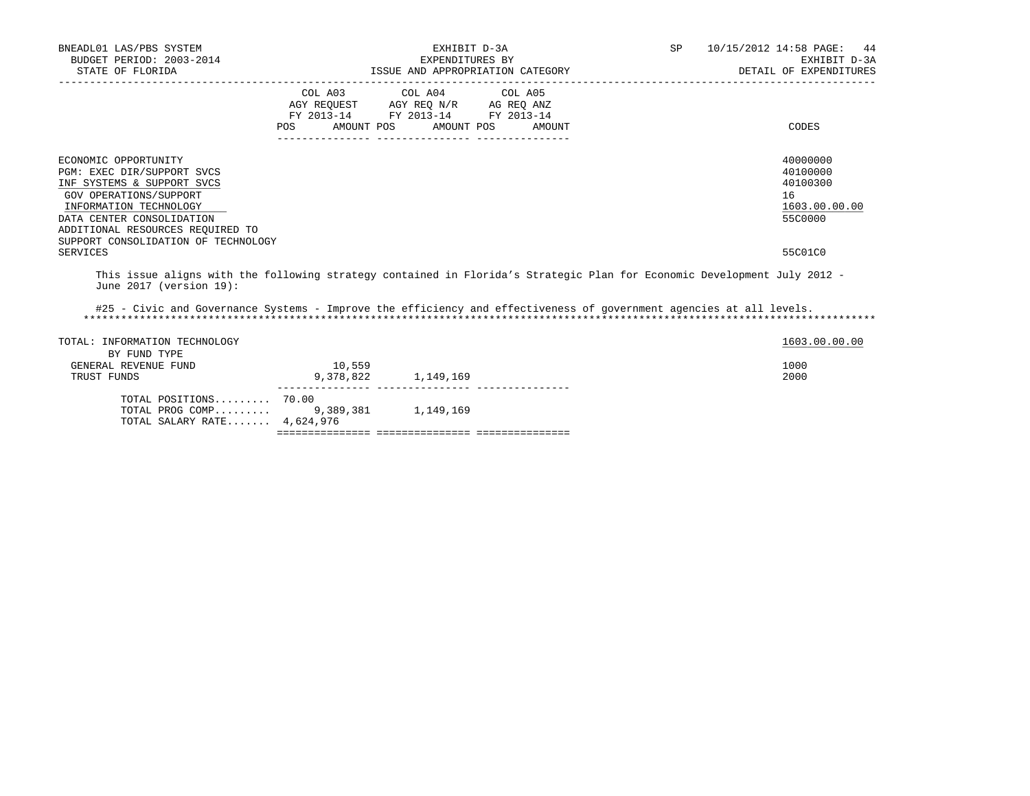| BNEADL01 LAS/PBS SYSTEM<br>BUDGET PERIOD: 2003-2014<br>STATE OF FLORIDA                                                                                                                                                                                  | EXPENDITURES BY    |                                                                                                                 | EXHIBIT D-3A<br>ISSUE AND APPROPRIATION CATEGORY |  | <b>SP</b> | 10/15/2012 14:58 PAGE: 44<br>EXHIBIT D-3A<br>DETAIL OF EXPENDITURES           |
|----------------------------------------------------------------------------------------------------------------------------------------------------------------------------------------------------------------------------------------------------------|--------------------|-----------------------------------------------------------------------------------------------------------------|--------------------------------------------------|--|-----------|-------------------------------------------------------------------------------|
|                                                                                                                                                                                                                                                          | AMOUNT POS<br>POS. | COL A03 COL A04 COL A05<br>AGY REQUEST AGY REO N/R AG REO ANZ<br>FY 2013-14 FY 2013-14 FY 2013-14<br>AMOUNT POS | AMOUNT                                           |  |           | CODES                                                                         |
| ECONOMIC OPPORTUNITY<br>PGM: EXEC DIR/SUPPORT SVCS<br>INF SYSTEMS & SUPPORT SVCS<br>GOV OPERATIONS/SUPPORT<br>INFORMATION TECHNOLOGY<br>DATA CENTER CONSOLIDATION<br>ADDITIONAL RESOURCES REOUIRED TO<br>SUPPORT CONSOLIDATION OF TECHNOLOGY<br>SERVICES |                    |                                                                                                                 |                                                  |  |           | 40000000<br>40100000<br>40100300<br>16<br>1603.00.00.00<br>55C0000<br>55C01C0 |
| This issue aligns with the following strategy contained in Florida's Strategic Plan for Economic Development July 2012 -<br>June $2017$ (version $19$ ):                                                                                                 |                    |                                                                                                                 |                                                  |  |           |                                                                               |
| #25 - Civic and Governance Systems - Improve the efficiency and effectiveness of government agencies at all levels.                                                                                                                                      |                    |                                                                                                                 |                                                  |  |           |                                                                               |

TOTAL: INFORMATION TECHNOLOGY 1603.00.00 POINT TOTAL: INFORMATION TECHNOLOGY BY FUND TYPE GENERAL REVENUE FUND 10,559<br>TRUST FUNDS 1000 9,378,822 1,149,169 1000 1000 1000 2000 TRUST FUNDS 9,378,822 1,149,169 --------------- --------------- --------------- TOTAL POSITIONS......... 70.00 TOTAL PROG COMP......... 9,389,381 1,149,169 TOTAL SALARY RATE....... 4,624,976 =============== =============== ===============

\*\*\*\*\*\*\*\*\*\*\*\*\*\*\*\*\*\*\*\*\*\*\*\*\*\*\*\*\*\*\*\*\*\*\*\*\*\*\*\*\*\*\*\*\*\*\*\*\*\*\*\*\*\*\*\*\*\*\*\*\*\*\*\*\*\*\*\*\*\*\*\*\*\*\*\*\*\*\*\*\*\*\*\*\*\*\*\*\*\*\*\*\*\*\*\*\*\*\*\*\*\*\*\*\*\*\*\*\*\*\*\*\*\*\*\*\*\*\*\*\*\*\*\*\*\*\*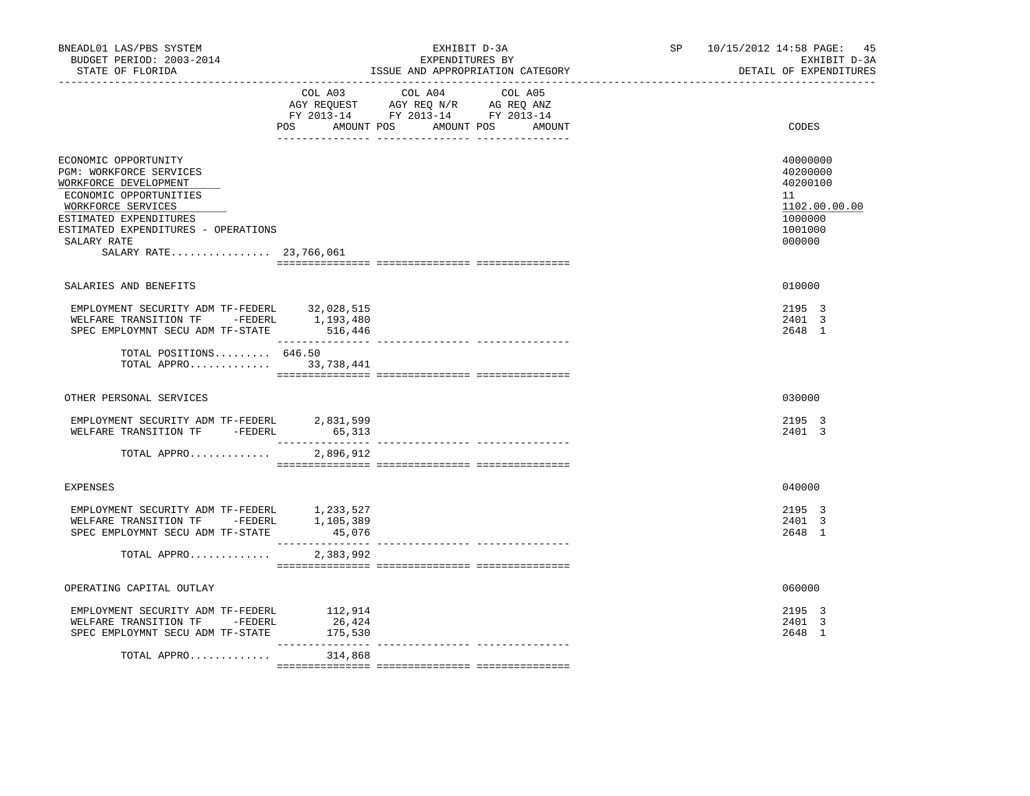| BNEADL01 LAS/PBS SYSTEM<br>BUDGET PERIOD: 2003-2014<br>STATE OF FLORIDA                                                                                                                                                            |                                               | EXHIBIT D-3A<br>EXPENDITURES BY<br>ISSUE AND APPROPRIATION CATEGORY                                                          | SP 10/15/2012 14:58 PAGE:<br>45<br>EXHIBIT D-3A<br>DETAIL OF EXPENDITURES               |
|------------------------------------------------------------------------------------------------------------------------------------------------------------------------------------------------------------------------------------|-----------------------------------------------|------------------------------------------------------------------------------------------------------------------------------|-----------------------------------------------------------------------------------------|
|                                                                                                                                                                                                                                    | COL A03<br>POS                                | COL A04<br>COL A05<br>AGY REQUEST AGY REQ N/R AG REQ ANZ<br>FY 2013-14 FY 2013-14 FY 2013-14<br>AMOUNT POS AMOUNT POS AMOUNT | CODES                                                                                   |
| ECONOMIC OPPORTUNITY<br>PGM: WORKFORCE SERVICES<br>WORKFORCE DEVELOPMENT<br>ECONOMIC OPPORTUNITIES<br>WORKFORCE SERVICES<br>ESTIMATED EXPENDITURES<br>ESTIMATED EXPENDITURES - OPERATIONS<br>SALARY RATE<br>SALARY RATE 23,766,061 |                                               |                                                                                                                              | 40000000<br>40200000<br>40200100<br>11<br>1102.00.00.00<br>1000000<br>1001000<br>000000 |
| SALARIES AND BENEFITS                                                                                                                                                                                                              |                                               |                                                                                                                              | 010000                                                                                  |
| EMPLOYMENT SECURITY ADM TF-FEDERL<br>WELFARE TRANSITION TF - FEDERL<br>SPEC EMPLOYMNT SECU ADM TF-STATE 516,446                                                                                                                    | 32,028,515<br>1,193,480<br>__________________ |                                                                                                                              | 2195 3<br>2401 3<br>2648 1                                                              |
| TOTAL POSITIONS $646.50$<br>TOTAL APPRO 33,738,441                                                                                                                                                                                 |                                               |                                                                                                                              |                                                                                         |
| OTHER PERSONAL SERVICES                                                                                                                                                                                                            |                                               |                                                                                                                              | 030000                                                                                  |
| EMPLOYMENT SECURITY ADM TF-FEDERL 2,831,599<br>WELFARE TRANSITION TF -FEDERL                                                                                                                                                       | 65,313                                        | --------------- ---------------                                                                                              | 2195 3<br>2401 3                                                                        |
| TOTAL APPRO                                                                                                                                                                                                                        | 2,896,912                                     |                                                                                                                              |                                                                                         |
| <b>EXPENSES</b>                                                                                                                                                                                                                    |                                               |                                                                                                                              | 040000                                                                                  |
| EMPLOYMENT SECURITY ADM TF-FEDERL 1,233,527<br>WELFARE TRANSITION TF -FEDERL 1,105,389<br>SPEC EMPLOYMNT SECU ADM TF-STATE                                                                                                         | 45,076<br>_______________                     |                                                                                                                              | 2195 3<br>2401 3<br>2648 1                                                              |
| TOTAL APPRO                                                                                                                                                                                                                        | 2,383,992                                     |                                                                                                                              |                                                                                         |
| OPERATING CAPITAL OUTLAY                                                                                                                                                                                                           |                                               |                                                                                                                              | 060000                                                                                  |
| EMPLOYMENT SECURITY ADM TF-FEDERL<br>WELFARE TRANSITION TF -FEDERL<br>SPEC EMPLOYMNT SECU ADM TF-STATE                                                                                                                             | 112,914<br>26,424<br>175,530                  |                                                                                                                              | 2195 3<br>2401 3<br>2648 1                                                              |
| TOTAL APPRO                                                                                                                                                                                                                        | 314,868                                       |                                                                                                                              |                                                                                         |
|                                                                                                                                                                                                                                    |                                               |                                                                                                                              |                                                                                         |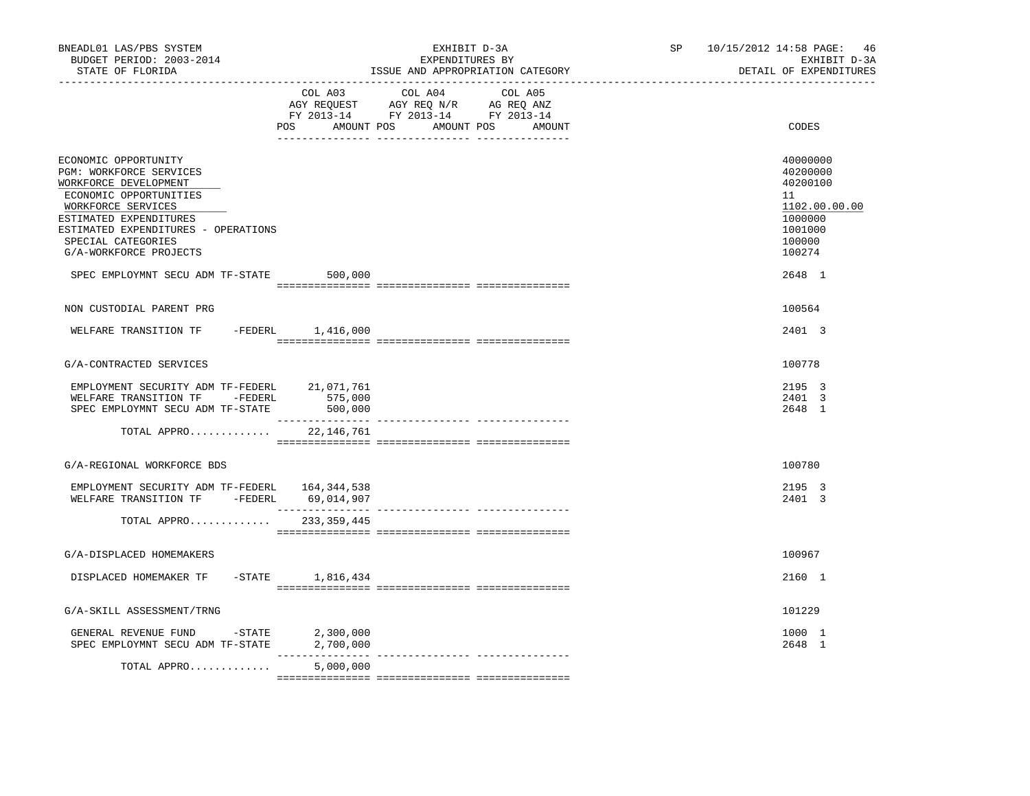| BNEADL01 LAS/PBS SYSTEM<br>BUDGET PERIOD: 2003-2014<br>STATE OF FLORIDA<br>------------------                                                                                                                                                                                         |                              | EXHIBIT D-3A<br>EXPENDITURES BY<br>ISSUE AND APPROPRIATION CATEGORY                                                              | SP 10/15/2012 14:58 PAGE: 46<br>EXHIBIT D-3A<br>DETAIL OF EXPENDITURES                                      |
|---------------------------------------------------------------------------------------------------------------------------------------------------------------------------------------------------------------------------------------------------------------------------------------|------------------------------|----------------------------------------------------------------------------------------------------------------------------------|-------------------------------------------------------------------------------------------------------------|
|                                                                                                                                                                                                                                                                                       | COL A03                      | COL A04<br>COL A05<br>AGY REQUEST AGY REQ N/R AG REQ ANZ<br>FY 2013-14 FY 2013-14 FY 2013-14<br>POS AMOUNT POS AMOUNT POS AMOUNT | CODES                                                                                                       |
| ECONOMIC OPPORTUNITY<br>PGM: WORKFORCE SERVICES<br>WORKFORCE DEVELOPMENT<br>ECONOMIC OPPORTUNITIES<br>WORKFORCE SERVICES<br>ESTIMATED EXPENDITURES<br>ESTIMATED EXPENDITURES - OPERATIONS<br>SPECIAL CATEGORIES<br>G/A-WORKFORCE PROJECTS<br>SPEC EMPLOYMNT SECU ADM TF-STATE 500,000 |                              |                                                                                                                                  | 40000000<br>40200000<br>40200100<br>11<br>1102.00.00.00<br>1000000<br>1001000<br>100000<br>100274<br>2648 1 |
|                                                                                                                                                                                                                                                                                       |                              |                                                                                                                                  |                                                                                                             |
| NON CUSTODIAL PARENT PRG                                                                                                                                                                                                                                                              |                              |                                                                                                                                  | 100564                                                                                                      |
| WELFARE TRANSITION TF -FEDERL 1,416,000                                                                                                                                                                                                                                               |                              |                                                                                                                                  | 2401 3                                                                                                      |
| G/A-CONTRACTED SERVICES                                                                                                                                                                                                                                                               |                              |                                                                                                                                  | 100778                                                                                                      |
| EMPLOYMENT SECURITY ADM TF-FEDERL 21,071,761<br>WELFARE TRANSITION TF - FEDERL<br>SPEC EMPLOYMNT SECU ADM TF-STATE                                                                                                                                                                    | 575,000<br>500,000           |                                                                                                                                  | 2195 3<br>2401 3<br>2648 1                                                                                  |
| TOTAL APPRO                                                                                                                                                                                                                                                                           | 22,146,761                   |                                                                                                                                  |                                                                                                             |
| G/A-REGIONAL WORKFORCE BDS                                                                                                                                                                                                                                                            |                              |                                                                                                                                  | 100780                                                                                                      |
| EMPLOYMENT SECURITY ADM TF-FEDERL 164,344,538<br>WELFARE TRANSITION TF -FEDERL 69,014,907                                                                                                                                                                                             |                              |                                                                                                                                  | 2195 3<br>2401 3                                                                                            |
| TOTAL APPRO 233,359,445                                                                                                                                                                                                                                                               |                              |                                                                                                                                  |                                                                                                             |
| G/A-DISPLACED HOMEMAKERS                                                                                                                                                                                                                                                              |                              |                                                                                                                                  | 100967                                                                                                      |
| DISPLACED HOMEMAKER TF -STATE 1,816,434                                                                                                                                                                                                                                               |                              |                                                                                                                                  | 2160 1                                                                                                      |
| G/A-SKILL ASSESSMENT/TRNG                                                                                                                                                                                                                                                             |                              |                                                                                                                                  | 101229                                                                                                      |
| GENERAL REVENUE FUND -STATE<br>SPEC EMPLOYMNT SECU ADM TF-STATE                                                                                                                                                                                                                       | 2,300,000<br>2,700,000       |                                                                                                                                  | 1000 1<br>2648 1                                                                                            |
| TOTAL APPRO                                                                                                                                                                                                                                                                           | ---------------<br>5,000,000 |                                                                                                                                  |                                                                                                             |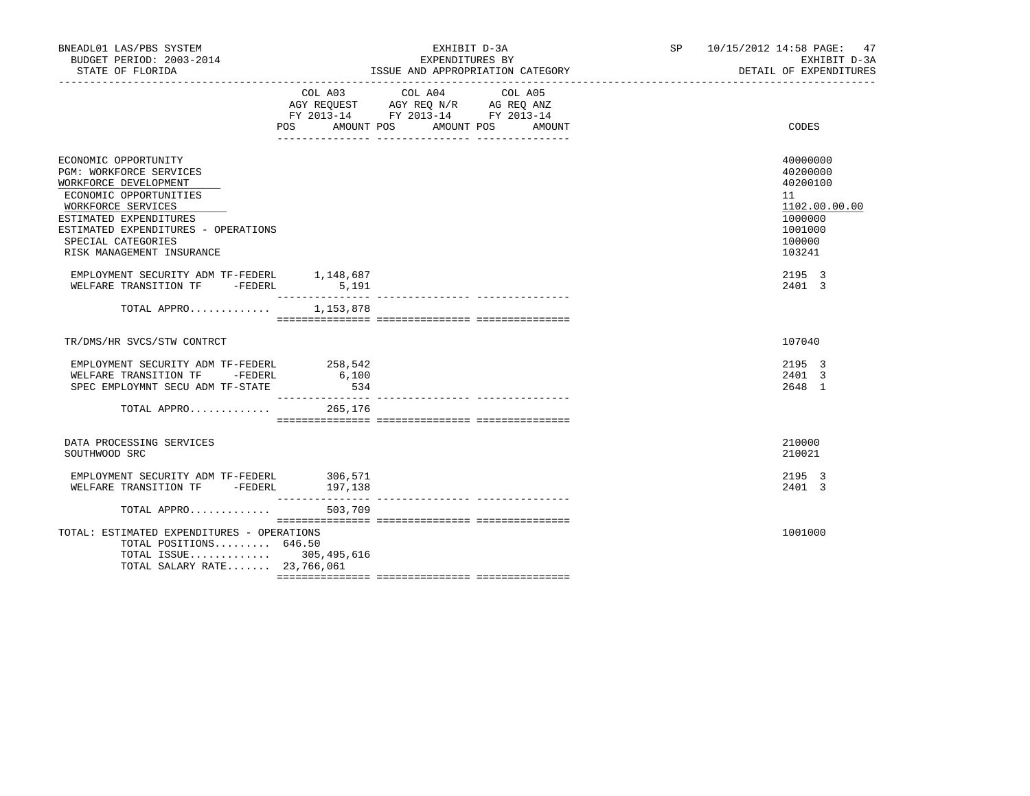| BNEADL01 LAS/PBS SYSTEM<br>BUDGET PERIOD: 2003-2014<br>STATE OF FLORIDA                                                                                                                                                                      |              | EXHIBIT D-3A<br>EXPENDITURES BY<br>ISSUE AND APPROPRIATION CATEGORY                                                                 | SP 10/15/2012 14:58 PAGE: 47<br>EXHIBIT D-3A<br>DETAIL OF EXPENDITURES                            |  |
|----------------------------------------------------------------------------------------------------------------------------------------------------------------------------------------------------------------------------------------------|--------------|-------------------------------------------------------------------------------------------------------------------------------------|---------------------------------------------------------------------------------------------------|--|
|                                                                                                                                                                                                                                              | COL A03      | COL A04<br>COL A05<br>AGY REQUEST AGY REQ N/R AG REQ ANZ<br>FY 2013-14 FY 2013-14 FY 2013-14<br>POS AMOUNT POS AMOUNT POS<br>AMOUNT | CODES                                                                                             |  |
| ECONOMIC OPPORTUNITY<br>PGM: WORKFORCE SERVICES<br>WORKFORCE DEVELOPMENT<br>ECONOMIC OPPORTUNITIES<br>WORKFORCE SERVICES<br>ESTIMATED EXPENDITURES<br>ESTIMATED EXPENDITURES - OPERATIONS<br>SPECIAL CATEGORIES<br>RISK MANAGEMENT INSURANCE |              |                                                                                                                                     | 40000000<br>40200000<br>40200100<br>11<br>1102.00.00.00<br>1000000<br>1001000<br>100000<br>103241 |  |
| EMPLOYMENT SECURITY ADM TF-FEDERL 1,148,687<br>WELFARE TRANSITION TF -FEDERL 5,191                                                                                                                                                           |              |                                                                                                                                     | 2195 3<br>2401 3                                                                                  |  |
| TOTAL APPRO 1,153,878                                                                                                                                                                                                                        |              |                                                                                                                                     |                                                                                                   |  |
| TR/DMS/HR SVCS/STW CONTRCT                                                                                                                                                                                                                   |              |                                                                                                                                     | 107040                                                                                            |  |
| EMPLOYMENT SECURITY ADM TF-FEDERL 258,542<br>WELFARE TRANSITION TF - FEDERL<br>SPEC EMPLOYMNT SECU ADM TF-STATE<br>TOTAL APPRO $265,176$                                                                                                     | 6,100<br>534 |                                                                                                                                     | 2195 3<br>2401 3<br>2648 1                                                                        |  |
| DATA PROCESSING SERVICES<br>SOUTHWOOD SRC                                                                                                                                                                                                    |              |                                                                                                                                     | 210000<br>210021                                                                                  |  |
| EMPLOYMENT SECURITY ADM TF-FEDERL 306,571<br>WELFARE TRANSITION TF - FEDERL 197,138                                                                                                                                                          |              |                                                                                                                                     | 2195 3<br>2401 3                                                                                  |  |
| TOTAL APPRO 503,709                                                                                                                                                                                                                          |              |                                                                                                                                     |                                                                                                   |  |
| TOTAL: ESTIMATED EXPENDITURES - OPERATIONS<br>TOTAL POSITIONS 646.50<br>TOTAL ISSUE 305,495,616<br>TOTAL SALARY RATE 23,766,061                                                                                                              |              |                                                                                                                                     | 1001000                                                                                           |  |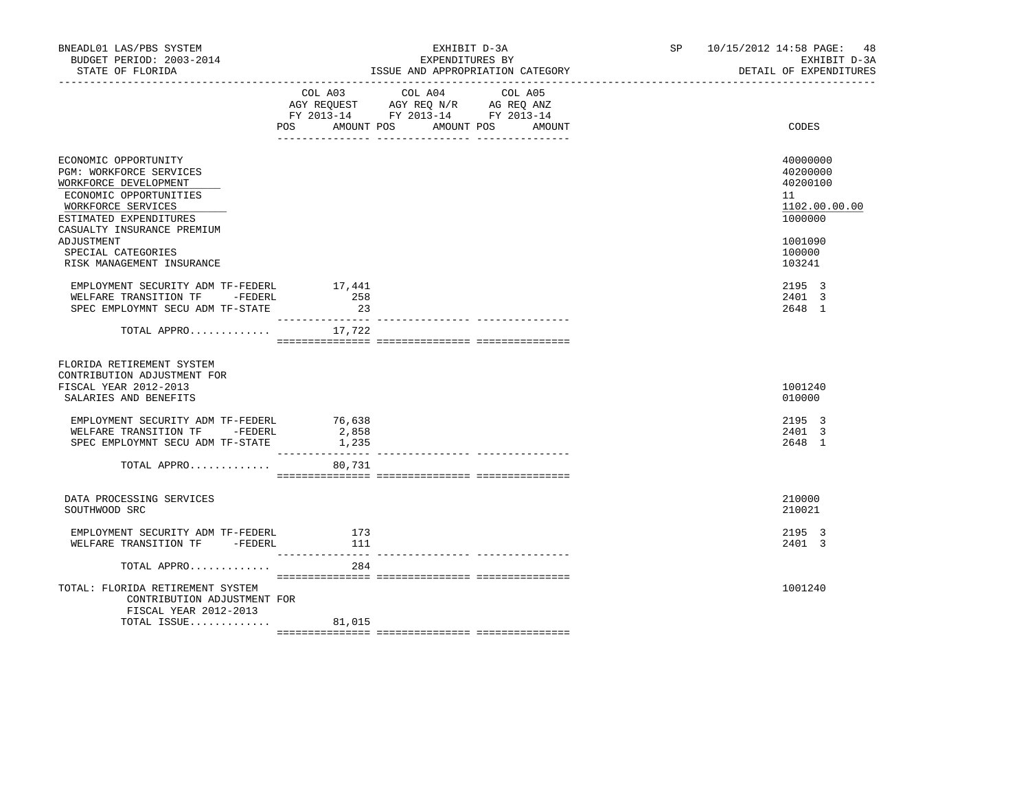| COL A03 COL A04<br>COL A05<br>AGY REQUEST AGY REQ N/R AG REQ ANZ<br>FY 2013-14 FY 2013-14 FY 2013-14<br>POS AMOUNT POS<br>AMOUNT POS AMOUNT<br>CODES<br>ECONOMIC OPPORTUNITY<br>PGM: WORKFORCE SERVICES<br>WORKFORCE DEVELOPMENT<br>ECONOMIC OPPORTUNITIES<br>11<br>WORKFORCE SERVICES<br>ESTIMATED EXPENDITURES<br>1000000<br>CASUALTY INSURANCE PREMIUM<br>ADJUSTMENT<br>1001090<br>SPECIAL CATEGORIES<br>100000<br>RISK MANAGEMENT INSURANCE<br>103241<br>17,441<br>2195 3<br>EMPLOYMENT SECURITY ADM TF-FEDERL<br>258<br>2401 3<br>WELFARE TRANSITION TF -FEDERL<br>23<br>SPEC EMPLOYMNT SECU ADM TF-STATE<br>2648 1<br>____________________________________<br>TOTAL APPRO $17,722$<br>FLORIDA RETIREMENT SYSTEM<br>CONTRIBUTION ADJUSTMENT FOR<br>FISCAL YEAR 2012-2013<br>1001240<br>SALARIES AND BENEFITS<br>010000<br>2195 3<br>EMPLOYMENT SECURITY ADM TF-FEDERL<br>76,638<br>WELFARE TRANSITION TF - FEDERL<br>2,858<br>2401 3<br>SPEC EMPLOYMNT SECU ADM TF-STATE<br>1,235<br>2648 1<br>________________<br>TOTAL APPRO<br>80,731<br>DATA PROCESSING SERVICES<br>210000<br>210021<br>SOUTHWOOD SRC<br>EMPLOYMENT SECURITY ADM TF-FEDERL<br>2195 3<br>173<br>WELFARE TRANSITION TF - FEDERL<br>2401 3<br>111<br>TOTAL APPRO<br>284<br>TOTAL: FLORIDA RETIREMENT SYSTEM<br>1001240 | BNEADL01 LAS/PBS SYSTEM<br>BUDGET PERIOD: 2003-2014<br>STATE OF FLORIDA | EXHIBIT D-3A<br>EXPENDITURES BY<br>ISSUE AND APPROPRIATION CATEGORY |  |  | SP 10/15/2012 14:58 PAGE: 48<br>EXHIBIT D-3A<br>DETAIL OF EXPENDITURES |
|----------------------------------------------------------------------------------------------------------------------------------------------------------------------------------------------------------------------------------------------------------------------------------------------------------------------------------------------------------------------------------------------------------------------------------------------------------------------------------------------------------------------------------------------------------------------------------------------------------------------------------------------------------------------------------------------------------------------------------------------------------------------------------------------------------------------------------------------------------------------------------------------------------------------------------------------------------------------------------------------------------------------------------------------------------------------------------------------------------------------------------------------------------------------------------------------------------------------------------------------------------------------------------------------|-------------------------------------------------------------------------|---------------------------------------------------------------------|--|--|------------------------------------------------------------------------|
|                                                                                                                                                                                                                                                                                                                                                                                                                                                                                                                                                                                                                                                                                                                                                                                                                                                                                                                                                                                                                                                                                                                                                                                                                                                                                              |                                                                         |                                                                     |  |  |                                                                        |
|                                                                                                                                                                                                                                                                                                                                                                                                                                                                                                                                                                                                                                                                                                                                                                                                                                                                                                                                                                                                                                                                                                                                                                                                                                                                                              |                                                                         |                                                                     |  |  | 40000000<br>40200000<br>40200100<br>1102.00.00.00                      |
|                                                                                                                                                                                                                                                                                                                                                                                                                                                                                                                                                                                                                                                                                                                                                                                                                                                                                                                                                                                                                                                                                                                                                                                                                                                                                              |                                                                         |                                                                     |  |  |                                                                        |
|                                                                                                                                                                                                                                                                                                                                                                                                                                                                                                                                                                                                                                                                                                                                                                                                                                                                                                                                                                                                                                                                                                                                                                                                                                                                                              |                                                                         |                                                                     |  |  |                                                                        |
|                                                                                                                                                                                                                                                                                                                                                                                                                                                                                                                                                                                                                                                                                                                                                                                                                                                                                                                                                                                                                                                                                                                                                                                                                                                                                              |                                                                         |                                                                     |  |  |                                                                        |
|                                                                                                                                                                                                                                                                                                                                                                                                                                                                                                                                                                                                                                                                                                                                                                                                                                                                                                                                                                                                                                                                                                                                                                                                                                                                                              |                                                                         |                                                                     |  |  |                                                                        |
|                                                                                                                                                                                                                                                                                                                                                                                                                                                                                                                                                                                                                                                                                                                                                                                                                                                                                                                                                                                                                                                                                                                                                                                                                                                                                              |                                                                         |                                                                     |  |  |                                                                        |
|                                                                                                                                                                                                                                                                                                                                                                                                                                                                                                                                                                                                                                                                                                                                                                                                                                                                                                                                                                                                                                                                                                                                                                                                                                                                                              |                                                                         |                                                                     |  |  |                                                                        |
|                                                                                                                                                                                                                                                                                                                                                                                                                                                                                                                                                                                                                                                                                                                                                                                                                                                                                                                                                                                                                                                                                                                                                                                                                                                                                              |                                                                         |                                                                     |  |  |                                                                        |
|                                                                                                                                                                                                                                                                                                                                                                                                                                                                                                                                                                                                                                                                                                                                                                                                                                                                                                                                                                                                                                                                                                                                                                                                                                                                                              |                                                                         |                                                                     |  |  |                                                                        |
| CONTRIBUTION ADJUSTMENT FOR<br>FISCAL YEAR 2012-2013<br>TOTAL ISSUE<br>81,015                                                                                                                                                                                                                                                                                                                                                                                                                                                                                                                                                                                                                                                                                                                                                                                                                                                                                                                                                                                                                                                                                                                                                                                                                |                                                                         |                                                                     |  |  |                                                                        |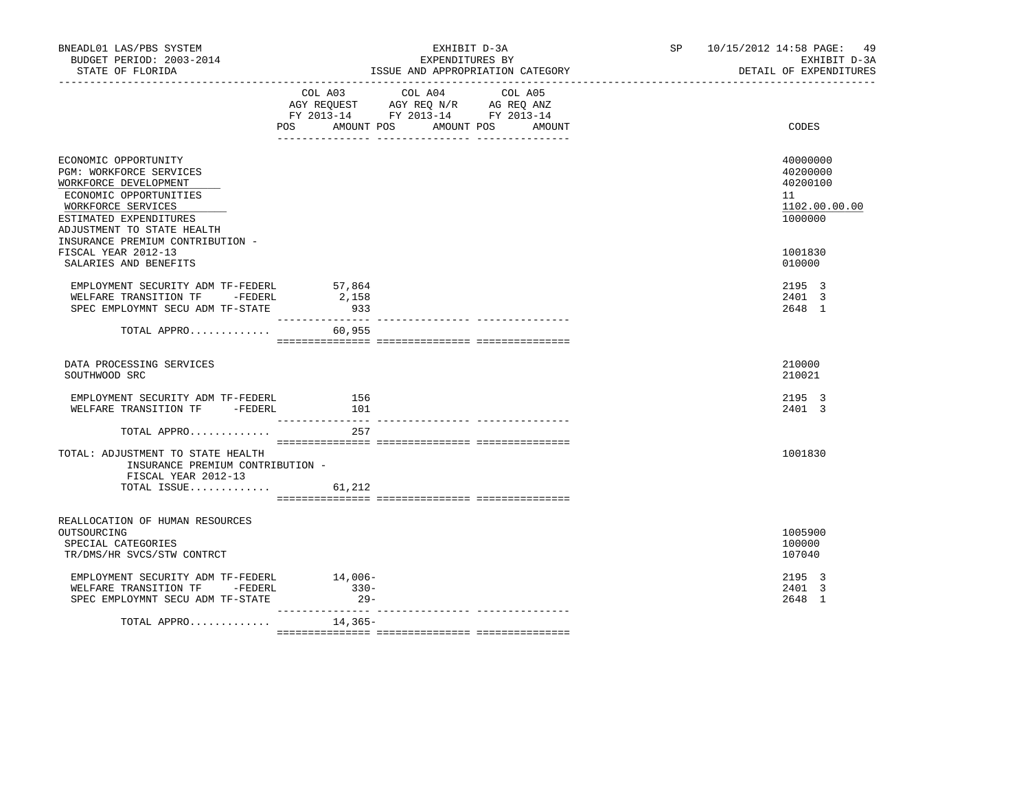| BNEADL01 LAS/PBS SYSTEM<br>BUDGET PERIOD: 2003-2014<br>STATE OF FLORIDA                                                                                                                                              | EXHIBIT D-3A<br>EXPENDITURES BY<br>ISSUE AND APPROPRIATION CATEGORY |                                                                                                   |  | SP and the set of the set of the set of the set of the set of the set of the set of the set of the set of the set of the set of the set of the set of the set of the set of the set of the set of the set of the set of the se | 10/15/2012 14:58 PAGE: 49<br>EXHIBIT D-3A<br>DETAIL OF EXPENDITURES |
|----------------------------------------------------------------------------------------------------------------------------------------------------------------------------------------------------------------------|---------------------------------------------------------------------|---------------------------------------------------------------------------------------------------|--|--------------------------------------------------------------------------------------------------------------------------------------------------------------------------------------------------------------------------------|---------------------------------------------------------------------|
|                                                                                                                                                                                                                      | POS AMOUNT POS AMOUNT POS AMOUNT                                    | COL A03 COL A04 COL A05<br>AGY REQUEST AGY REQ N/R AG REQ ANZ<br>FY 2013-14 FY 2013-14 FY 2013-14 |  |                                                                                                                                                                                                                                | CODES                                                               |
| ECONOMIC OPPORTUNITY<br>PGM: WORKFORCE SERVICES<br>WORKFORCE DEVELOPMENT<br>ECONOMIC OPPORTUNITIES<br>WORKFORCE SERVICES<br>ESTIMATED EXPENDITURES<br>ADJUSTMENT TO STATE HEALTH<br>INSURANCE PREMIUM CONTRIBUTION - |                                                                     |                                                                                                   |  |                                                                                                                                                                                                                                | 40000000<br>40200000<br>40200100<br>11<br>1102.00.00.00<br>1000000  |
| FISCAL YEAR 2012-13<br>SALARIES AND BENEFITS                                                                                                                                                                         |                                                                     |                                                                                                   |  |                                                                                                                                                                                                                                | 1001830<br>010000                                                   |
| EMPLOYMENT SECURITY ADM TF-FEDERL 57,864<br>WELFARE TRANSITION TF -FEDERL<br>SPEC EMPLOYMNT SECU ADM TF-STATE                                                                                                        | 2,158<br>933                                                        |                                                                                                   |  |                                                                                                                                                                                                                                | 2195 3<br>2401 3<br>2648 1                                          |
| TOTAL APPRO $60,955$                                                                                                                                                                                                 |                                                                     |                                                                                                   |  |                                                                                                                                                                                                                                |                                                                     |
| DATA PROCESSING SERVICES<br>SOUTHWOOD SRC                                                                                                                                                                            |                                                                     |                                                                                                   |  |                                                                                                                                                                                                                                | 210000<br>210021                                                    |
| EMPLOYMENT SECURITY ADM TF-FEDERL<br>WELFARE TRANSITION TF -FEDERL                                                                                                                                                   | 156<br>101<br>----------------                                      |                                                                                                   |  |                                                                                                                                                                                                                                | 2195 3<br>2401 3                                                    |
| TOTAL APPRO                                                                                                                                                                                                          | 257                                                                 |                                                                                                   |  |                                                                                                                                                                                                                                |                                                                     |
| TOTAL: ADJUSTMENT TO STATE HEALTH<br>INSURANCE PREMIUM CONTRIBUTION -<br>FISCAL YEAR 2012-13<br>TOTAL ISSUE                                                                                                          | 61,212                                                              |                                                                                                   |  |                                                                                                                                                                                                                                | 1001830                                                             |
|                                                                                                                                                                                                                      |                                                                     |                                                                                                   |  |                                                                                                                                                                                                                                |                                                                     |
| REALLOCATION OF HUMAN RESOURCES<br>OUTSOURCING<br>SPECIAL CATEGORIES<br>TR/DMS/HR SVCS/STW CONTRCT                                                                                                                   |                                                                     |                                                                                                   |  |                                                                                                                                                                                                                                | 1005900<br>100000<br>107040                                         |
| EMPLOYMENT SECURITY ADM TF-FEDERL<br>WELFARE TRANSITION TF -FEDERL<br>SPEC EMPLOYMNT SECU ADM TF-STATE                                                                                                               | 14,006-<br>$330 -$<br>$29 -$<br>________________                    |                                                                                                   |  |                                                                                                                                                                                                                                | 2195 3<br>2401 3<br>2648 1                                          |
| TOTAL APPRO                                                                                                                                                                                                          | 14,365-                                                             |                                                                                                   |  |                                                                                                                                                                                                                                |                                                                     |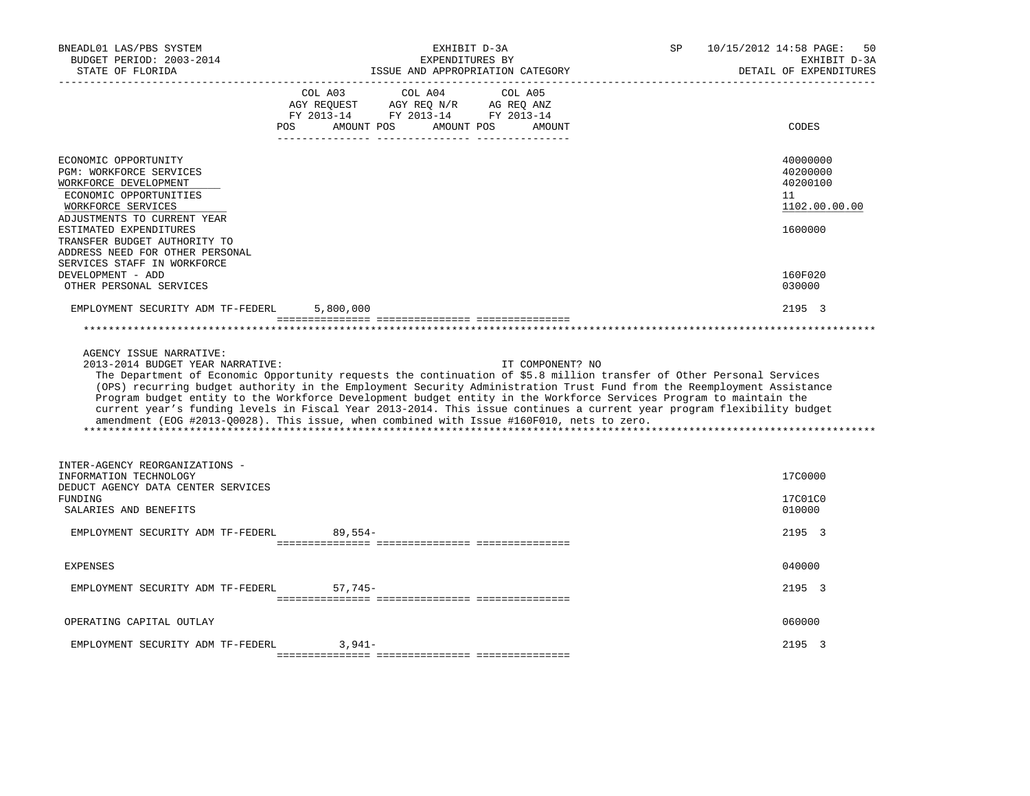| BNEADL01 LAS/PBS SYSTEM<br>BUDGET PERIOD: 2003-2014<br>STATE OF FLORIDA                                                                                                                                                                                                                                  | EXHIBIT D-3A<br>EXPENDITURES BY<br>ISSUE AND APPROPRIATION CATEGORY                                                                                                                                                                                                                                                                                                                                                                                                                                                                                                                                              | 10/15/2012 14:58 PAGE:<br>SP.<br>50<br>EXHIBIT D-3A<br>DETAIL OF EXPENDITURES |
|----------------------------------------------------------------------------------------------------------------------------------------------------------------------------------------------------------------------------------------------------------------------------------------------------------|------------------------------------------------------------------------------------------------------------------------------------------------------------------------------------------------------------------------------------------------------------------------------------------------------------------------------------------------------------------------------------------------------------------------------------------------------------------------------------------------------------------------------------------------------------------------------------------------------------------|-------------------------------------------------------------------------------|
|                                                                                                                                                                                                                                                                                                          | COL A03<br>COL A04<br>COL A05<br>AGY REQ N/R AG REQ ANZ<br>AGY REOUEST<br>FY 2013-14 FY 2013-14 FY 2013-14<br><b>POS</b><br>AMOUNT POS<br>AMOUNT POS<br>AMOUNT                                                                                                                                                                                                                                                                                                                                                                                                                                                   | CODES                                                                         |
| ECONOMIC OPPORTUNITY<br>PGM: WORKFORCE SERVICES<br>WORKFORCE DEVELOPMENT<br>ECONOMIC OPPORTUNITIES<br>WORKFORCE SERVICES<br>ADJUSTMENTS TO CURRENT YEAR<br>ESTIMATED EXPENDITURES<br>TRANSFER BUDGET AUTHORITY TO<br>ADDRESS NEED FOR OTHER PERSONAL<br>SERVICES STAFF IN WORKFORCE<br>DEVELOPMENT - ADD |                                                                                                                                                                                                                                                                                                                                                                                                                                                                                                                                                                                                                  | 40000000<br>40200000<br>40200100<br>11<br>1102.00.00.00<br>1600000<br>160F020 |
| OTHER PERSONAL SERVICES<br>EMPLOYMENT SECURITY ADM TF-FEDERL                                                                                                                                                                                                                                             | 5,800,000                                                                                                                                                                                                                                                                                                                                                                                                                                                                                                                                                                                                        | 030000<br>2195 3                                                              |
| AGENCY ISSUE NARRATIVE:<br>2013-2014 BUDGET YEAR NARRATIVE:                                                                                                                                                                                                                                              | IT COMPONENT? NO<br>The Department of Economic Opportunity requests the continuation of \$5.8 million transfer of Other Personal Services<br>(OPS) recurring budget authority in the Employment Security Administration Trust Fund from the Reemployment Assistance<br>Program budget entity to the Workforce Development budget entity in the Workforce Services Program to maintain the<br>current year's funding levels in Fiscal Year 2013-2014. This issue continues a current year program flexibility budget<br>amendment (EOG #2013-00028). This issue, when combined with Issue #160F010, nets to zero. |                                                                               |
| INTER-AGENCY REORGANIZATIONS -<br>INFORMATION TECHNOLOGY<br>DEDUCT AGENCY DATA CENTER SERVICES<br><b>FUNDING</b><br>SALARIES AND BENEFITS<br>EMPLOYMENT SECURITY ADM TF-FEDERL                                                                                                                           | $89.554-$                                                                                                                                                                                                                                                                                                                                                                                                                                                                                                                                                                                                        | 17C0000<br>17C01C0<br>010000<br>2195 3                                        |
| <b>EXPENSES</b>                                                                                                                                                                                                                                                                                          |                                                                                                                                                                                                                                                                                                                                                                                                                                                                                                                                                                                                                  | 040000                                                                        |
| EMPLOYMENT SECURITY ADM TF-FEDERL                                                                                                                                                                                                                                                                        | $57,745-$                                                                                                                                                                                                                                                                                                                                                                                                                                                                                                                                                                                                        | 2195 3                                                                        |
| OPERATING CAPITAL OUTLAY                                                                                                                                                                                                                                                                                 |                                                                                                                                                                                                                                                                                                                                                                                                                                                                                                                                                                                                                  | 060000                                                                        |
| EMPLOYMENT SECURITY ADM TF-FEDERL                                                                                                                                                                                                                                                                        | $3.941-$                                                                                                                                                                                                                                                                                                                                                                                                                                                                                                                                                                                                         | 2195 3                                                                        |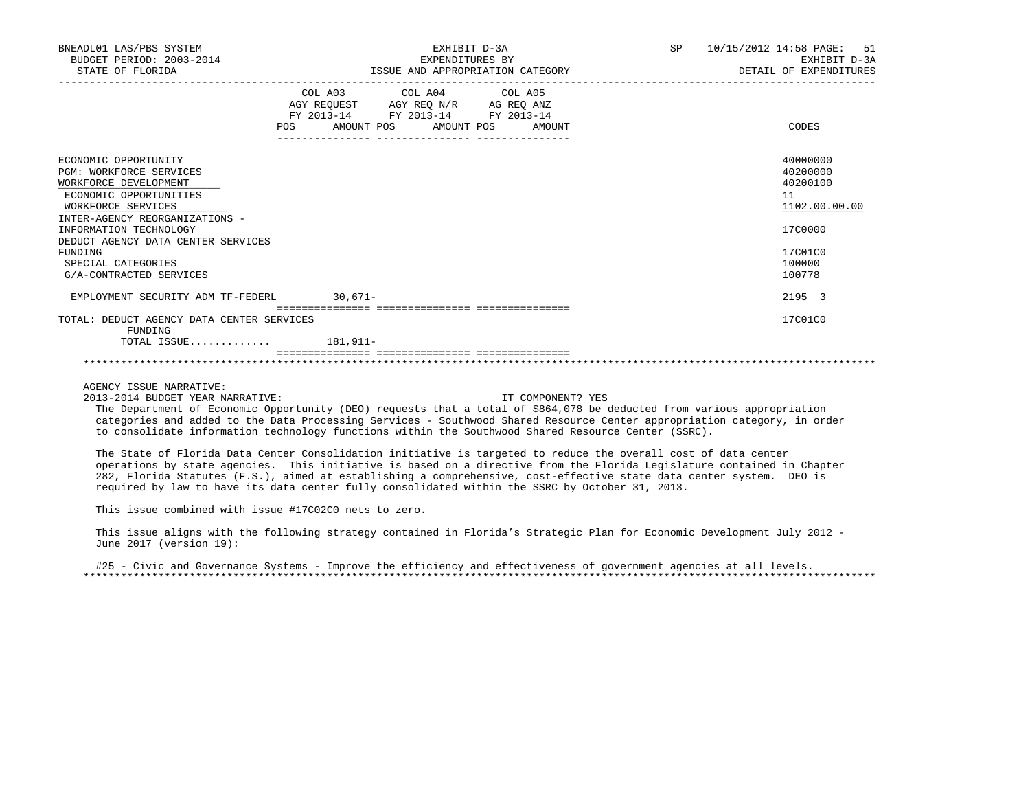| BNEADL01 LAS/PBS SYSTEM<br>BUDGET PERIOD: 2003-2014<br>STATE OF FLORIDA                                                                                                                                                                                                                       | EXHIBIT D-3A<br>EXPENDITURES BY<br>ISSUE AND APPROPRIATION CATEGORY                                                                      | 10/15/2012 14:58 PAGE: 51<br>SP <sub>2</sub><br>EXHIBIT D-3A<br>DETAIL OF EXPENDITURES            |
|-----------------------------------------------------------------------------------------------------------------------------------------------------------------------------------------------------------------------------------------------------------------------------------------------|------------------------------------------------------------------------------------------------------------------------------------------|---------------------------------------------------------------------------------------------------|
|                                                                                                                                                                                                                                                                                               | COL A03 COL A04 COL A05<br>AGY REQUEST AGY REQ N/R AG REQ ANZ<br>FY 2013-14 FY 2013-14 FY 2013-14<br>POS<br>AMOUNT POS AMOUNT POS AMOUNT | CODES                                                                                             |
| ECONOMIC OPPORTUNITY<br><b>PGM: WORKFORCE SERVICES</b><br>WORKFORCE DEVELOPMENT<br>ECONOMIC OPPORTUNITIES<br>WORKFORCE SERVICES<br>INTER-AGENCY REORGANIZATIONS -<br>INFORMATION TECHNOLOGY<br>DEDUCT AGENCY DATA CENTER SERVICES<br>FUNDING<br>SPECIAL CATEGORIES<br>G/A-CONTRACTED SERVICES |                                                                                                                                          | 40000000<br>40200000<br>40200100<br>11<br>1102.00.00.00<br>17C0000<br>17C01C0<br>100000<br>100778 |
| EMPLOYMENT SECURITY ADM TF-FEDERL 30,671-                                                                                                                                                                                                                                                     |                                                                                                                                          | 2195 3                                                                                            |
| TOTAL: DEDUCT AGENCY DATA CENTER SERVICES<br>FUNDING                                                                                                                                                                                                                                          |                                                                                                                                          | 17C01C0                                                                                           |
| TOTAL ISSUE $181,911-$                                                                                                                                                                                                                                                                        |                                                                                                                                          |                                                                                                   |
|                                                                                                                                                                                                                                                                                               |                                                                                                                                          |                                                                                                   |

2013-2014 BUDGET YEAR NARRATIVE: IT COMPONENT? YES

 The Department of Economic Opportunity (DEO) requests that a total of \$864,078 be deducted from various appropriation categories and added to the Data Processing Services - Southwood Shared Resource Center appropriation category, in order to consolidate information technology functions within the Southwood Shared Resource Center (SSRC).

 The State of Florida Data Center Consolidation initiative is targeted to reduce the overall cost of data center operations by state agencies. This initiative is based on a directive from the Florida Legislature contained in Chapter 282, Florida Statutes (F.S.), aimed at establishing a comprehensive, cost-effective state data center system. DEO is required by law to have its data center fully consolidated within the SSRC by October 31, 2013.

This issue combined with issue #17C02C0 nets to zero.

 This issue aligns with the following strategy contained in Florida's Strategic Plan for Economic Development July 2012 - June 2017 (version 19):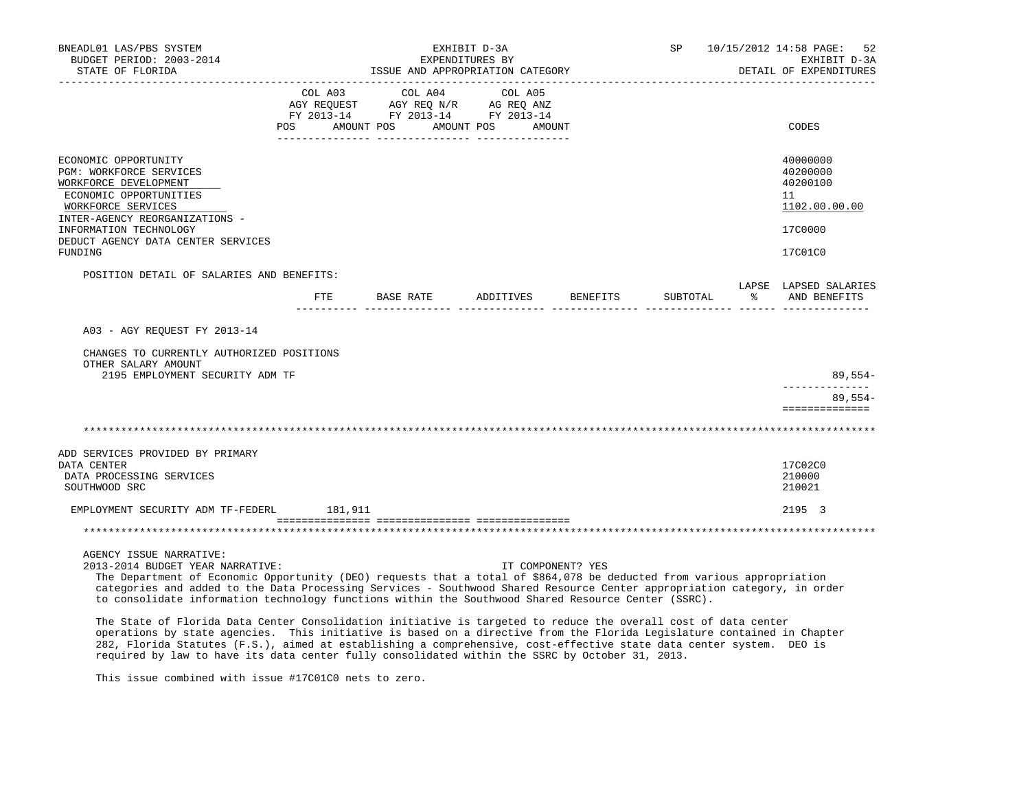| BNEADL01 LAS/PBS SYSTEM<br>BUDGET PERIOD: 2003-2014<br>STATE OF FLORIDA<br>____________________                                                                                                                                                                                                                                                                                                                                                                                                                                               |     | EXHIBIT D-3A<br>EXPENDITURES BY<br>ISSUE AND APPROPRIATION CATEGORY                                                                   |                    |          | SP 10/15/2012 14:58 PAGE: 52<br>EXHIBIT D-3A<br>DETAIL OF EXPENDITURES        |
|-----------------------------------------------------------------------------------------------------------------------------------------------------------------------------------------------------------------------------------------------------------------------------------------------------------------------------------------------------------------------------------------------------------------------------------------------------------------------------------------------------------------------------------------------|-----|---------------------------------------------------------------------------------------------------------------------------------------|--------------------|----------|-------------------------------------------------------------------------------|
|                                                                                                                                                                                                                                                                                                                                                                                                                                                                                                                                               |     | COL A03 COL A04 COL A05<br>AGY REQUEST AGY REQ N/R AG REQ ANZ<br>FY 2013-14 FY 2013-14 FY 2013-14<br>POS AMOUNT POS AMOUNT POS AMOUNT |                    |          | CODES                                                                         |
| ECONOMIC OPPORTUNITY<br>PGM: WORKFORCE SERVICES<br>WORKFORCE DEVELOPMENT<br>ECONOMIC OPPORTUNITIES<br>WORKFORCE SERVICES<br>INTER-AGENCY REORGANIZATIONS -<br>INFORMATION TECHNOLOGY<br>DEDUCT AGENCY DATA CENTER SERVICES<br>FUNDING                                                                                                                                                                                                                                                                                                         |     |                                                                                                                                       |                    |          | 40000000<br>40200000<br>40200100<br>11<br>1102.00.00.00<br>17C0000<br>17C01C0 |
| POSITION DETAIL OF SALARIES AND BENEFITS:                                                                                                                                                                                                                                                                                                                                                                                                                                                                                                     | FTE | BASE RATE                                                                                                                             | ADDITIVES BENEFITS | SUBTOTAL | LAPSE LAPSED SALARIES<br>% AND BENEFITS                                       |
| A03 - AGY REQUEST FY 2013-14<br>CHANGES TO CURRENTLY AUTHORIZED POSITIONS<br>OTHER SALARY AMOUNT<br>2195 EMPLOYMENT SECURITY ADM TF                                                                                                                                                                                                                                                                                                                                                                                                           |     |                                                                                                                                       |                    |          | 89,554-<br>--------------                                                     |
|                                                                                                                                                                                                                                                                                                                                                                                                                                                                                                                                               |     |                                                                                                                                       |                    |          | $89,554-$<br>==============                                                   |
|                                                                                                                                                                                                                                                                                                                                                                                                                                                                                                                                               |     |                                                                                                                                       |                    |          |                                                                               |
| ADD SERVICES PROVIDED BY PRIMARY<br>DATA CENTER<br>DATA PROCESSING SERVICES<br>SOUTHWOOD SRC                                                                                                                                                                                                                                                                                                                                                                                                                                                  |     |                                                                                                                                       |                    |          | 1700200<br>210000<br>210021                                                   |
| EMPLOYMENT SECURITY ADM TF-FEDERL 181,911                                                                                                                                                                                                                                                                                                                                                                                                                                                                                                     |     |                                                                                                                                       |                    |          | 2195 3                                                                        |
|                                                                                                                                                                                                                                                                                                                                                                                                                                                                                                                                               |     |                                                                                                                                       |                    |          |                                                                               |
| AGENCY ISSUE NARRATIVE:<br>2013-2014 BUDGET YEAR NARRATIVE:<br>The Department of Economic Opportunity (DEO) requests that a total of \$864,078 be deducted from various appropriation<br>categories and added to the Data Processing Services - Southwood Shared Resource Center appropriation category, in order<br>to consolidate information technology functions within the Southwood Shared Resource Center (SSRC).<br>Mba Ababa ne Mlaulda Baba Aanban Aanaalidabisha inibishinta in banaabad ba nadhan bba ananall namb ne daba nanban |     |                                                                                                                                       | IT COMPONENT? YES  |          |                                                                               |

 The State of Florida Data Center Consolidation initiative is targeted to reduce the overall cost of data center operations by state agencies. This initiative is based on a directive from the Florida Legislature contained in Chapter 282, Florida Statutes (F.S.), aimed at establishing a comprehensive, cost-effective state data center system. DEO is required by law to have its data center fully consolidated within the SSRC by October 31, 2013.

This issue combined with issue #17C01C0 nets to zero.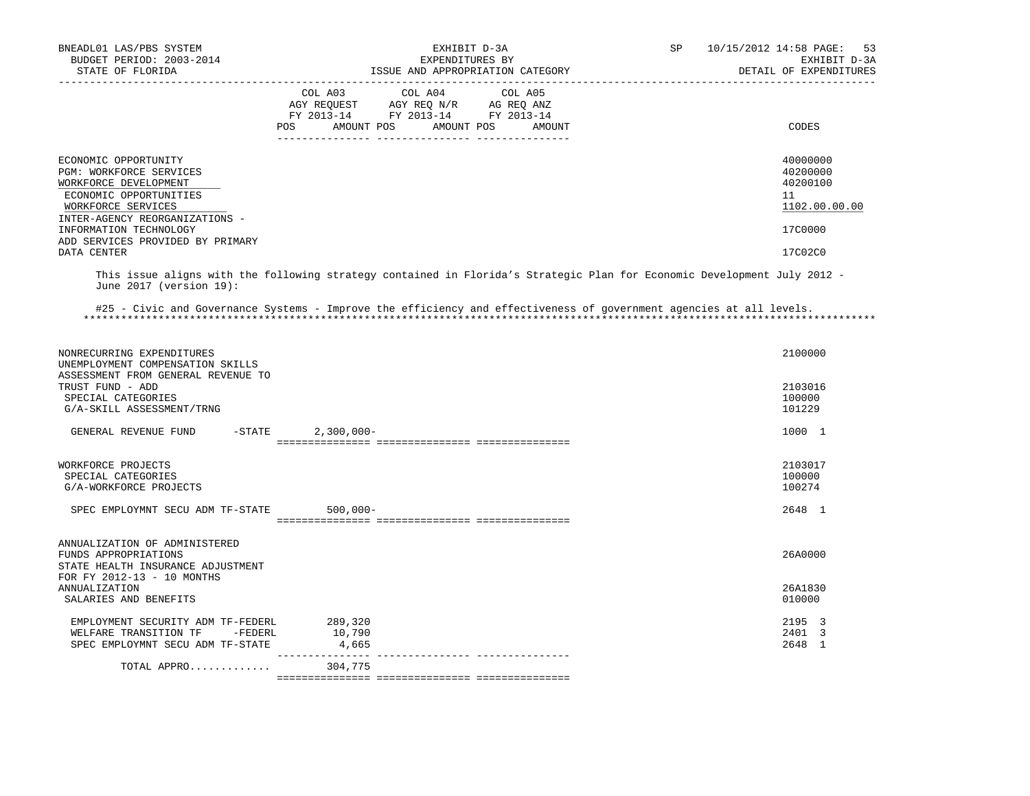| BNEADL01 LAS/PBS SYSTEM<br>BUDGET PERIOD: 2003-2014<br>STATE OF FLORIDA                                                                                                                                                                 | EXHIBIT D-3A<br>EXPENDITURES BY<br>ISSUE AND APPROPRIATION CATEGORY                                                                                                                                                                                                                    | SP<br>10/15/2012 14:58 PAGE: 53<br>EXHIBIT D-3A<br>DETAIL OF EXPENDITURES     |
|-----------------------------------------------------------------------------------------------------------------------------------------------------------------------------------------------------------------------------------------|----------------------------------------------------------------------------------------------------------------------------------------------------------------------------------------------------------------------------------------------------------------------------------------|-------------------------------------------------------------------------------|
|                                                                                                                                                                                                                                         | COL A03 COL A04 COL A05<br>$\begin{tabular}{lllllll} \bf AGY \,\, REGUEST \,\, & \,\, AGY \,\, REQ \,\, N/R \,\, & \,\, AG \,\, REQ \,\, ANZ \,\, \\ \bf FY \,\, 2013-14 \,\, & \,\, FY \,\, 2013-14 \,\, & \,\, FY \,\, 2013-14 \end{tabular}$<br>AMOUNT POS AMOUNT POS AMOUNT<br>POS | CODES                                                                         |
| ECONOMIC OPPORTUNITY<br>PGM: WORKFORCE SERVICES<br>WORKFORCE DEVELOPMENT<br>ECONOMIC OPPORTUNITIES<br>WORKFORCE SERVICES<br>INTER-AGENCY REORGANIZATIONS -<br>INFORMATION TECHNOLOGY<br>ADD SERVICES PROVIDED BY PRIMARY<br>DATA CENTER |                                                                                                                                                                                                                                                                                        | 40000000<br>40200000<br>40200100<br>11<br>1102.00.00.00<br>17C0000<br>17C02C0 |
| June 2017 (version 19):                                                                                                                                                                                                                 | This issue aligns with the following strategy contained in Florida's Strategic Plan for Economic Development July 2012 -                                                                                                                                                               |                                                                               |
|                                                                                                                                                                                                                                         | #25 - Civic and Governance Systems - Improve the efficiency and effectiveness of government agencies at all levels.                                                                                                                                                                    |                                                                               |
| NONRECURRING EXPENDITURES<br>UNEMPLOYMENT COMPENSATION SKILLS                                                                                                                                                                           |                                                                                                                                                                                                                                                                                        | 2100000                                                                       |
| ASSESSMENT FROM GENERAL REVENUE TO<br>TRUST FUND - ADD<br>SPECIAL CATEGORIES<br>G/A-SKILL ASSESSMENT/TRNG                                                                                                                               |                                                                                                                                                                                                                                                                                        | 2103016<br>100000<br>101229                                                   |
| $-STATE$<br>GENERAL REVENUE FUND                                                                                                                                                                                                        | $2,300,000 -$                                                                                                                                                                                                                                                                          | 1000 1                                                                        |
| WORKFORCE PROJECTS<br>SPECIAL CATEGORIES<br>G/A-WORKFORCE PROJECTS                                                                                                                                                                      |                                                                                                                                                                                                                                                                                        | 2103017<br>100000<br>100274                                                   |
| SPEC EMPLOYMNT SECU ADM TF-STATE                                                                                                                                                                                                        | $500,000 -$                                                                                                                                                                                                                                                                            | 2648 1                                                                        |
| ANNUALIZATION OF ADMINISTERED<br>FUNDS APPROPRIATIONS<br>STATE HEALTH INSURANCE ADJUSTMENT                                                                                                                                              |                                                                                                                                                                                                                                                                                        | 26A0000                                                                       |
| FOR FY 2012-13 - 10 MONTHS<br><b>ANNUALIZATION</b><br>SALARIES AND BENEFITS                                                                                                                                                             |                                                                                                                                                                                                                                                                                        | 26A1830<br>010000                                                             |
| EMPLOYMENT SECURITY ADM TF-FEDERL 289,320<br>WELFARE TRANSITION TF -FEDERL<br>SPEC EMPLOYMNT SECU ADM TF-STATE                                                                                                                          | 10,790<br>4,665                                                                                                                                                                                                                                                                        | 2195 3<br>2401 3<br>2648 1                                                    |
| TOTAL APPRO                                                                                                                                                                                                                             | 304,775                                                                                                                                                                                                                                                                                |                                                                               |
|                                                                                                                                                                                                                                         |                                                                                                                                                                                                                                                                                        |                                                                               |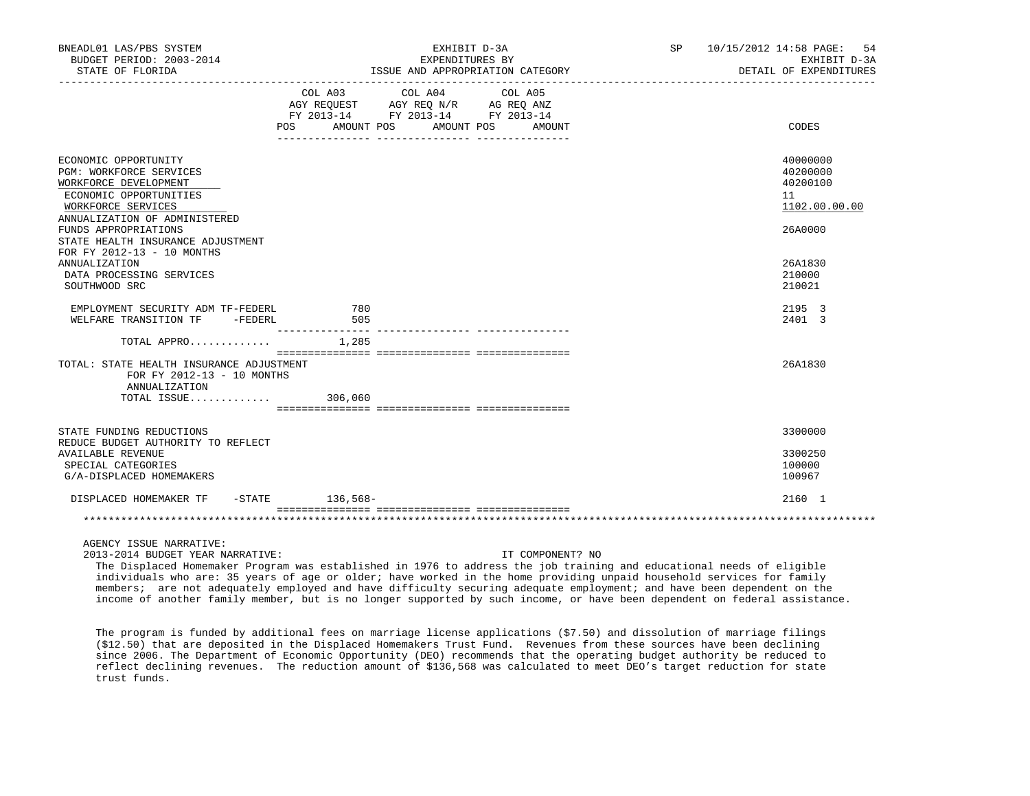| BNEADL01 LAS/PBS SYSTEM<br>BUDGET PERIOD: 2003-2014                                                                                                       |                  | EXHIBIT D-3A<br>EXPENDITURES BY                                                                                                                                                                                                                                                                                                                          | SP 10/15/2012 14:58 PAGE: 54<br>EXHIBIT D-3A            |
|-----------------------------------------------------------------------------------------------------------------------------------------------------------|------------------|----------------------------------------------------------------------------------------------------------------------------------------------------------------------------------------------------------------------------------------------------------------------------------------------------------------------------------------------------------|---------------------------------------------------------|
| STATE OF FLORIDA                                                                                                                                          |                  | ISSUE AND APPROPRIATION CATEGORY                                                                                                                                                                                                                                                                                                                         | DETAIL OF EXPENDITURES                                  |
| POS                                                                                                                                                       |                  | $\begin{tabular}{lllllllllll} &\multicolumn{4}{c}{\text{COL A03}} &\multicolumn{4}{c}{\text{COL A04}} &\multicolumn{4}{c}{\text{COL A05}} \\ \multicolumn{4}{c}{\text{AGY REQUEST}} &\multicolumn{4}{c}{\text{AGY REQ N/R}} &\multicolumn{4}{c}{\text{AG REQ ANZ}} \end{tabular}$<br>FY 2013-14 FY 2013-14 FY 2013-14<br>AMOUNT POS AMOUNT POS<br>AMOUNT | CODES                                                   |
| ECONOMIC OPPORTUNITY<br>PGM: WORKFORCE SERVICES<br>WORKFORCE DEVELOPMENT<br>ECONOMIC OPPORTUNITIES<br>WORKFORCE SERVICES<br>ANNUALIZATION OF ADMINISTERED |                  |                                                                                                                                                                                                                                                                                                                                                          | 40000000<br>40200000<br>40200100<br>11<br>1102.00.00.00 |
| FUNDS APPROPRIATIONS<br>STATE HEALTH INSURANCE ADJUSTMENT<br>FOR FY 2012-13 - 10 MONTHS<br>ANNUALIZATION<br>DATA PROCESSING SERVICES<br>SOUTHWOOD SRC     |                  |                                                                                                                                                                                                                                                                                                                                                          | 26A0000<br>26A1830<br>210000<br>210021                  |
| EMPLOYMENT SECURITY ADM TF-FEDERL<br>WELFARE TRANSITION TF -FEDERL                                                                                        | 780<br>505       |                                                                                                                                                                                                                                                                                                                                                          | 2195 3<br>2401 3                                        |
| TOTAL APPRO $1,285$                                                                                                                                       | ________________ |                                                                                                                                                                                                                                                                                                                                                          |                                                         |
| TOTAL: STATE HEALTH INSURANCE ADJUSTMENT<br>FOR FY 2012-13 - 10 MONTHS<br>ANNUALIZATION<br>TOTAL ISSUE 306,060                                            |                  |                                                                                                                                                                                                                                                                                                                                                          | 26A1830                                                 |
| STATE FUNDING REDUCTIONS<br>REDUCE BUDGET AUTHORITY TO REFLECT                                                                                            |                  |                                                                                                                                                                                                                                                                                                                                                          | 3300000                                                 |
| <b>AVAILABLE REVENUE</b><br>SPECIAL CATEGORIES<br>G/A-DISPLACED HOMEMAKERS                                                                                |                  |                                                                                                                                                                                                                                                                                                                                                          | 3300250<br>100000<br>100967                             |
| DISPLACED HOMEMAKER TF                                                                                                                                    | -STATE 136,568-  |                                                                                                                                                                                                                                                                                                                                                          | 2160 1                                                  |
|                                                                                                                                                           |                  |                                                                                                                                                                                                                                                                                                                                                          |                                                         |
| AGENCY ISSUE NARRATIVE:<br>2013-2014 BUDGET YEAR NARRATIVE:                                                                                               |                  | IT COMPONENT? NO                                                                                                                                                                                                                                                                                                                                         |                                                         |

 The Displaced Homemaker Program was established in 1976 to address the job training and educational needs of eligible individuals who are: 35 years of age or older; have worked in the home providing unpaid household services for family members; are not adequately employed and have difficulty securing adequate employment; and have been dependent on the income of another family member, but is no longer supported by such income, or have been dependent on federal assistance.

 The program is funded by additional fees on marriage license applications (\$7.50) and dissolution of marriage filings (\$12.50) that are deposited in the Displaced Homemakers Trust Fund. Revenues from these sources have been declining since 2006. The Department of Economic Opportunity (DEO) recommends that the operating budget authority be reduced to reflect declining revenues. The reduction amount of \$136,568 was calculated to meet DEO's target reduction for state trust funds.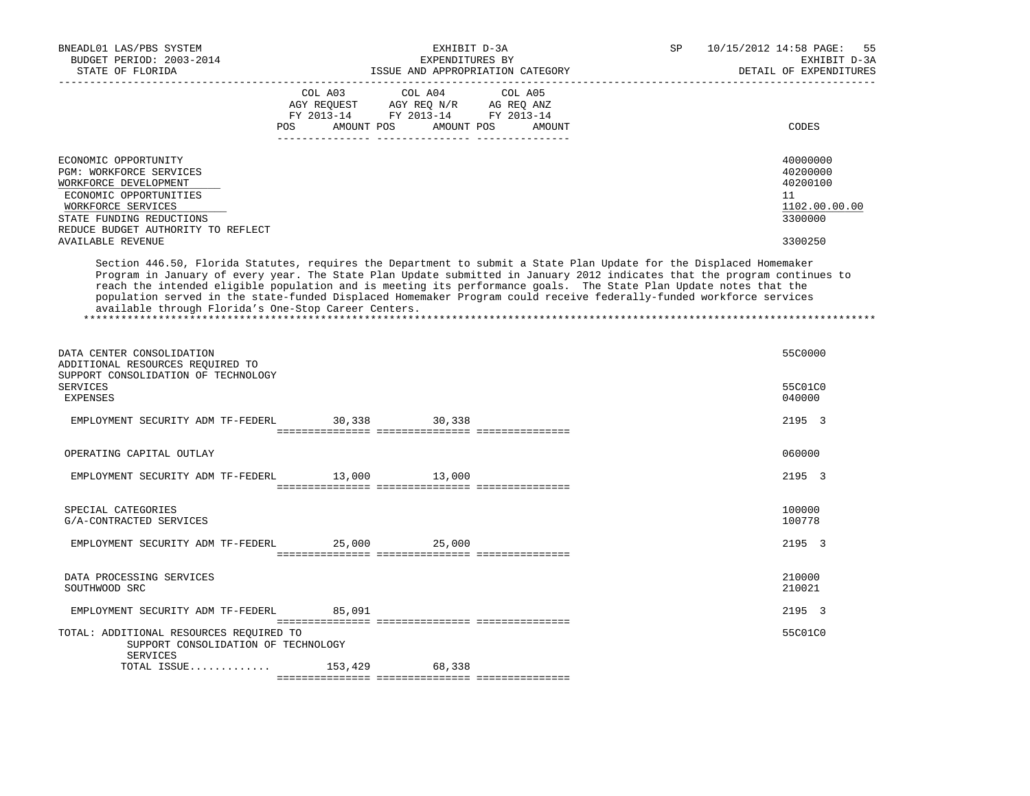| BNEADL01 LAS/PBS SYSTEM<br>BUDGET PERIOD: 2003-2014<br>STATE OF FLORIDA                                                                                                                                                                                                                                                                                                                                                                                                                                                                              |                                                | EXHIBIT D-3A<br>EXPENDITURES BY                                                                            | ISSUE AND APPROPRIATION CATEGORY | SP | 10/15/2012 14:58 PAGE:<br>55<br>EXHIBIT D-3A<br>DETAIL OF EXPENDITURES        |
|------------------------------------------------------------------------------------------------------------------------------------------------------------------------------------------------------------------------------------------------------------------------------------------------------------------------------------------------------------------------------------------------------------------------------------------------------------------------------------------------------------------------------------------------------|------------------------------------------------|------------------------------------------------------------------------------------------------------------|----------------------------------|----|-------------------------------------------------------------------------------|
|                                                                                                                                                                                                                                                                                                                                                                                                                                                                                                                                                      | ____________________________<br>COL A03<br>POS | COL A04<br>AGY REQUEST AGY REQ N/R AG REQ ANZ<br>FY 2013-14 FY 2013-14 FY 2013-14<br>AMOUNT POS AMOUNT POS | COL A05<br>AMOUNT                |    | CODES                                                                         |
| ECONOMIC OPPORTUNITY<br>PGM: WORKFORCE SERVICES<br>WORKFORCE DEVELOPMENT<br>ECONOMIC OPPORTUNITIES<br>WORKFORCE SERVICES<br>STATE FUNDING REDUCTIONS<br>REDUCE BUDGET AUTHORITY TO REFLECT<br><b>AVAILABLE REVENUE</b>                                                                                                                                                                                                                                                                                                                               |                                                |                                                                                                            |                                  |    | 40000000<br>40200000<br>40200100<br>11<br>1102.00.00.00<br>3300000<br>3300250 |
| Section 446.50, Florida Statutes, requires the Department to submit a State Plan Update for the Displaced Homemaker<br>Program in January of every year. The State Plan Update submitted in January 2012 indicates that the program continues to<br>reach the intended eligible population and is meeting its performance goals. The State Plan Update notes that the<br>population served in the state-funded Displaced Homemaker Program could receive federally-funded workforce services<br>available through Florida's One-Stop Career Centers. |                                                |                                                                                                            |                                  |    |                                                                               |
| DATA CENTER CONSOLIDATION<br>ADDITIONAL RESOURCES REQUIRED TO<br>SUPPORT CONSOLIDATION OF TECHNOLOGY<br><b>SERVICES</b><br>EXPENSES                                                                                                                                                                                                                                                                                                                                                                                                                  |                                                |                                                                                                            |                                  |    | 55C0000<br>55C01C0<br>040000                                                  |
| EMPLOYMENT SECURITY ADM TF-FEDERL                                                                                                                                                                                                                                                                                                                                                                                                                                                                                                                    | 30,338                                         | 30,338                                                                                                     |                                  |    | 2195 3                                                                        |
| OPERATING CAPITAL OUTLAY                                                                                                                                                                                                                                                                                                                                                                                                                                                                                                                             |                                                |                                                                                                            |                                  |    | 060000                                                                        |
| EMPLOYMENT SECURITY ADM TF-FEDERL                                                                                                                                                                                                                                                                                                                                                                                                                                                                                                                    | 13,000                                         | 13,000                                                                                                     |                                  |    | 2195 3                                                                        |
| SPECIAL CATEGORIES<br>G/A-CONTRACTED SERVICES                                                                                                                                                                                                                                                                                                                                                                                                                                                                                                        |                                                |                                                                                                            |                                  |    | 100000<br>100778                                                              |
| EMPLOYMENT SECURITY ADM TF-FEDERL                                                                                                                                                                                                                                                                                                                                                                                                                                                                                                                    | 25,000                                         | 25,000                                                                                                     |                                  |    | 2195 3                                                                        |
| DATA PROCESSING SERVICES<br>SOUTHWOOD SRC                                                                                                                                                                                                                                                                                                                                                                                                                                                                                                            |                                                |                                                                                                            |                                  |    | 210000<br>210021                                                              |
| EMPLOYMENT SECURITY ADM TF-FEDERL                                                                                                                                                                                                                                                                                                                                                                                                                                                                                                                    | 85,091                                         |                                                                                                            |                                  |    | 2195 3                                                                        |
| TOTAL: ADDITIONAL RESOURCES REQUIRED TO<br>SUPPORT CONSOLIDATION OF TECHNOLOGY<br>SERVICES                                                                                                                                                                                                                                                                                                                                                                                                                                                           |                                                |                                                                                                            |                                  |    | 55C01C0                                                                       |
| TOTAL ISSUE                                                                                                                                                                                                                                                                                                                                                                                                                                                                                                                                          | 153,429                                        | 68,338                                                                                                     |                                  |    |                                                                               |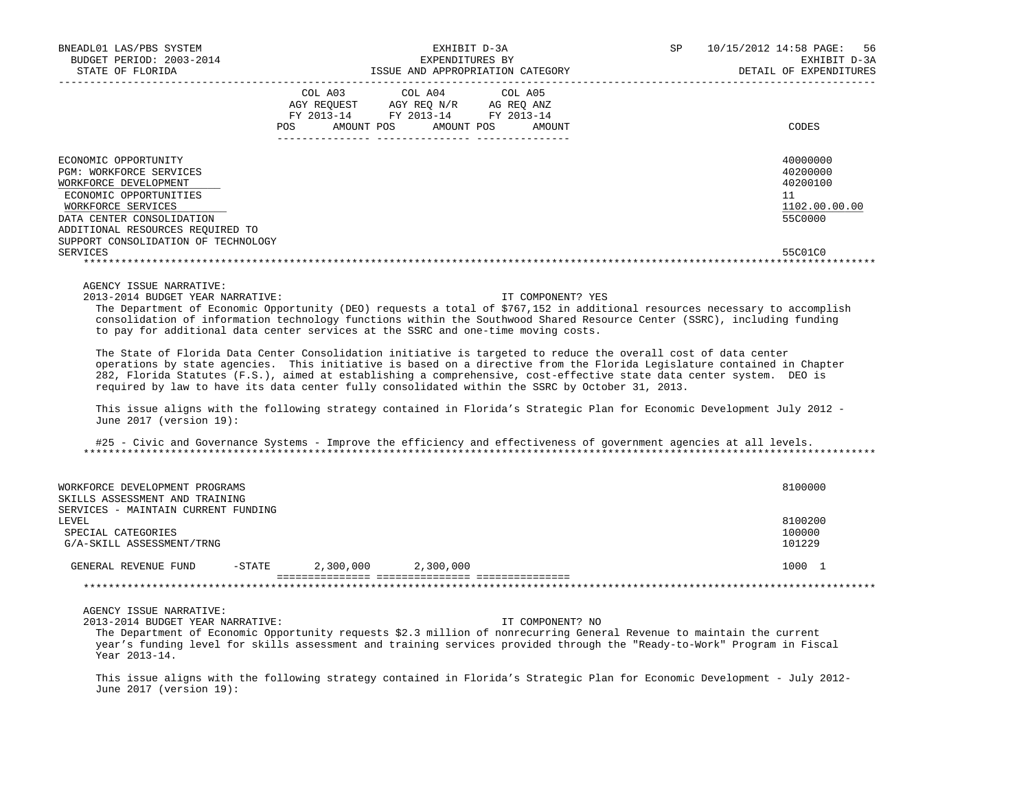| BNEADL01 LAS/PBS SYSTEM<br>BUDGET PERIOD: 2003-2014<br>STATE OF FLORIDA                                                                                                                                                                                                                                                                                                                                                                                                                                                                                                                                                                                                                                                                                                                                                                                                                                                                                                                                                                                                                                                               |                                                                                                                       | EXHIBIT D-3A<br>EXPENDITURES BY | ISSUE AND APPROPRIATION CATEGORY | SP | 10/15/2012 14:58 PAGE: | -56<br>EXHIBIT D-3A<br>DETAIL OF EXPENDITURES                |
|---------------------------------------------------------------------------------------------------------------------------------------------------------------------------------------------------------------------------------------------------------------------------------------------------------------------------------------------------------------------------------------------------------------------------------------------------------------------------------------------------------------------------------------------------------------------------------------------------------------------------------------------------------------------------------------------------------------------------------------------------------------------------------------------------------------------------------------------------------------------------------------------------------------------------------------------------------------------------------------------------------------------------------------------------------------------------------------------------------------------------------------|-----------------------------------------------------------------------------------------------------------------------|---------------------------------|----------------------------------|----|------------------------|--------------------------------------------------------------|
|                                                                                                                                                                                                                                                                                                                                                                                                                                                                                                                                                                                                                                                                                                                                                                                                                                                                                                                                                                                                                                                                                                                                       | COL A03<br>AGY REQUEST AGY REQ N/R AG REQ ANZ<br>FY 2013-14 FY 2013-14 FY 2013-14<br>POS AMOUNT POS AMOUNT POS AMOUNT | COL A04                         | COL A05                          |    |                        | CODES                                                        |
| ECONOMIC OPPORTUNITY<br>PGM: WORKFORCE SERVICES<br>WORKFORCE DEVELOPMENT<br>ECONOMIC OPPORTUNITIES<br>WORKFORCE SERVICES<br>DATA CENTER CONSOLIDATION<br>ADDITIONAL RESOURCES REQUIRED TO                                                                                                                                                                                                                                                                                                                                                                                                                                                                                                                                                                                                                                                                                                                                                                                                                                                                                                                                             |                                                                                                                       |                                 |                                  |    | 11                     | 40000000<br>40200000<br>40200100<br>1102.00.00.00<br>55C0000 |
| SUPPORT CONSOLIDATION OF TECHNOLOGY<br><b>SERVICES</b>                                                                                                                                                                                                                                                                                                                                                                                                                                                                                                                                                                                                                                                                                                                                                                                                                                                                                                                                                                                                                                                                                |                                                                                                                       |                                 |                                  |    |                        | 55C01C0                                                      |
| 2013-2014 BUDGET YEAR NARRATIVE:<br>The Department of Economic Opportunity (DEO) requests a total of \$767,152 in additional resources necessary to accomplish<br>consolidation of information technology functions within the Southwood Shared Resource Center (SSRC), including funding<br>to pay for additional data center services at the SSRC and one-time moving costs.<br>The State of Florida Data Center Consolidation initiative is targeted to reduce the overall cost of data center<br>operations by state agencies. This initiative is based on a directive from the Florida Legislature contained in Chapter<br>282, Florida Statutes (F.S.), aimed at establishing a comprehensive, cost-effective state data center system. DEO is<br>required by law to have its data center fully consolidated within the SSRC by October 31, 2013.<br>This issue aligns with the following strategy contained in Florida's Strategic Plan for Economic Development July 2012 -<br>June 2017 (version 19):<br>#25 - Civic and Governance Systems - Improve the efficiency and effectiveness of government agencies at all levels. |                                                                                                                       |                                 | IT COMPONENT? YES                |    |                        |                                                              |
|                                                                                                                                                                                                                                                                                                                                                                                                                                                                                                                                                                                                                                                                                                                                                                                                                                                                                                                                                                                                                                                                                                                                       |                                                                                                                       |                                 |                                  |    |                        |                                                              |
| WORKFORCE DEVELOPMENT PROGRAMS<br>SKILLS ASSESSMENT AND TRAINING<br>SERVICES - MAINTAIN CURRENT FUNDING                                                                                                                                                                                                                                                                                                                                                                                                                                                                                                                                                                                                                                                                                                                                                                                                                                                                                                                                                                                                                               |                                                                                                                       |                                 |                                  |    |                        | 8100000                                                      |
| LEVEL<br>SPECIAL CATEGORIES<br>G/A-SKILL ASSESSMENT/TRNG                                                                                                                                                                                                                                                                                                                                                                                                                                                                                                                                                                                                                                                                                                                                                                                                                                                                                                                                                                                                                                                                              |                                                                                                                       |                                 |                                  |    |                        | 8100200<br>100000<br>101229                                  |
| GENERAL REVENUE FUND                                                                                                                                                                                                                                                                                                                                                                                                                                                                                                                                                                                                                                                                                                                                                                                                                                                                                                                                                                                                                                                                                                                  | 2,300,000 2,300,000<br>$-$ STATE                                                                                      |                                 |                                  |    |                        | 1000 1                                                       |
|                                                                                                                                                                                                                                                                                                                                                                                                                                                                                                                                                                                                                                                                                                                                                                                                                                                                                                                                                                                                                                                                                                                                       |                                                                                                                       |                                 |                                  |    |                        |                                                              |
| AGENCY ISSUE NARRATIVE:<br>2013-2014 BUDGET YEAR NARRATIVE:<br>The Department of Economic Opportunity requests \$2.3 million of nonrecurring General Revenue to maintain the current<br>year's funding level for skills assessment and training services provided through the "Ready-to-Work" Program in Fiscal<br>Year 2013-14.                                                                                                                                                                                                                                                                                                                                                                                                                                                                                                                                                                                                                                                                                                                                                                                                      |                                                                                                                       |                                 | IT COMPONENT? NO                 |    |                        |                                                              |

 This issue aligns with the following strategy contained in Florida's Strategic Plan for Economic Development - July 2012- June 2017 (version 19):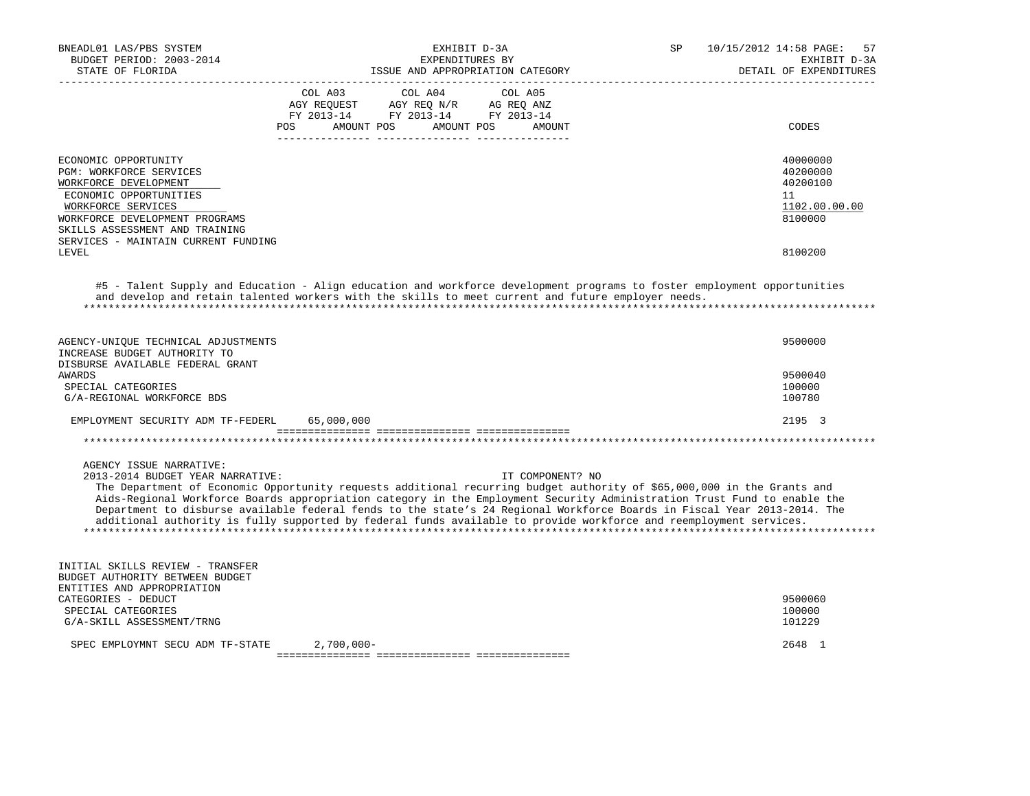| BNEADL01 LAS/PBS SYSTEM<br>BUDGET PERIOD: 2003-2014<br>STATE OF FLORIDA                                                                                                                                                                    | SP<br>EXHIBIT D-3A<br>EXPENDITURES BY<br>ISSUE AND APPROPRIATION CATEGORY                                                                                                                                                                                                                                                                                                                                                                                                                                                 | 10/15/2012 14:58 PAGE:<br>57<br>EXHIBIT D-3A<br>DETAIL OF EXPENDITURES |
|--------------------------------------------------------------------------------------------------------------------------------------------------------------------------------------------------------------------------------------------|---------------------------------------------------------------------------------------------------------------------------------------------------------------------------------------------------------------------------------------------------------------------------------------------------------------------------------------------------------------------------------------------------------------------------------------------------------------------------------------------------------------------------|------------------------------------------------------------------------|
|                                                                                                                                                                                                                                            | COL A03<br>COL A04<br>COL A05<br>AGY REQUEST<br>AGY REQ N/R AG REQ ANZ<br>FY 2013-14 FY 2013-14 FY 2013-14<br>AMOUNT POS<br>AMOUNT POS<br><b>POS</b><br>AMOUNT                                                                                                                                                                                                                                                                                                                                                            | CODES                                                                  |
| ECONOMIC OPPORTUNITY<br><b>PGM: WORKFORCE SERVICES</b><br>WORKFORCE DEVELOPMENT<br>ECONOMIC OPPORTUNITIES<br>WORKFORCE SERVICES<br>WORKFORCE DEVELOPMENT PROGRAMS<br>SKILLS ASSESSMENT AND TRAINING<br>SERVICES - MAINTAIN CURRENT FUNDING |                                                                                                                                                                                                                                                                                                                                                                                                                                                                                                                           | 40000000<br>40200000<br>40200100<br>11<br>1102.00.00.00<br>8100000     |
| LEVEL                                                                                                                                                                                                                                      |                                                                                                                                                                                                                                                                                                                                                                                                                                                                                                                           | 8100200                                                                |
| AGENCY-UNIQUE TECHNICAL ADJUSTMENTS                                                                                                                                                                                                        | #5 - Talent Supply and Education - Align education and workforce development programs to foster employment opportunities<br>and develop and retain talented workers with the skills to meet current and future employer needs.                                                                                                                                                                                                                                                                                            | 9500000                                                                |
| INCREASE BUDGET AUTHORITY TO<br>DISBURSE AVAILABLE FEDERAL GRANT<br><b>AWARDS</b><br>SPECIAL CATEGORIES<br>G/A-REGIONAL WORKFORCE BDS                                                                                                      |                                                                                                                                                                                                                                                                                                                                                                                                                                                                                                                           | 9500040<br>100000<br>100780                                            |
| EMPLOYMENT SECURITY ADM TF-FEDERL                                                                                                                                                                                                          | 65,000,000                                                                                                                                                                                                                                                                                                                                                                                                                                                                                                                | 2195 3                                                                 |
|                                                                                                                                                                                                                                            |                                                                                                                                                                                                                                                                                                                                                                                                                                                                                                                           |                                                                        |
| AGENCY ISSUE NARRATIVE:<br>2013-2014 BUDGET YEAR NARRATIVE:                                                                                                                                                                                | IT COMPONENT? NO<br>The Department of Economic Opportunity requests additional recurring budget authority of \$65,000,000 in the Grants and<br>Aids-Regional Workforce Boards appropriation category in the Employment Security Administration Trust Fund to enable the<br>Department to disburse available federal fends to the state's 24 Regional Workforce Boards in Fiscal Year 2013-2014. The<br>additional authority is fully supported by federal funds available to provide workforce and reemployment services. |                                                                        |
| INITIAL SKILLS REVIEW - TRANSFER<br>BUDGET AUTHORITY BETWEEN BUDGET<br>ENTITIES AND APPROPRIATION<br>CATEGORIES - DEDUCT<br>SPECIAL CATEGORIES<br>G/A-SKILL ASSESSMENT/TRNG                                                                |                                                                                                                                                                                                                                                                                                                                                                                                                                                                                                                           | 9500060<br>100000<br>101229                                            |
| SPEC EMPLOYMNT SECU ADM TF-STATE                                                                                                                                                                                                           | $2,700,000 -$                                                                                                                                                                                                                                                                                                                                                                                                                                                                                                             | 2648 1                                                                 |
|                                                                                                                                                                                                                                            |                                                                                                                                                                                                                                                                                                                                                                                                                                                                                                                           |                                                                        |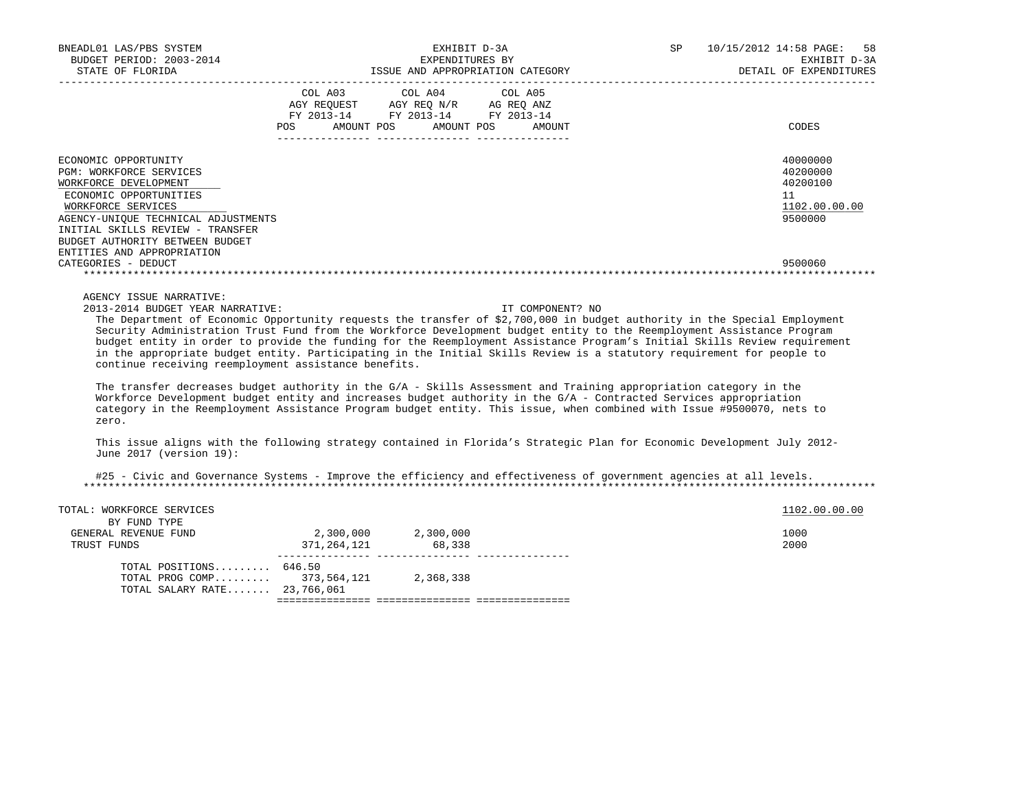| BNEADL01 LAS/PBS SYSTEM                                                                                                                                                                                                                |                                    | EXHIBIT D-3A                                                                                                                                                                                                                                                                                                                                                                                                                                                                                                                                                                                                                                         | SP | 10/15/2012 14:58 PAGE:<br>58                                       |
|----------------------------------------------------------------------------------------------------------------------------------------------------------------------------------------------------------------------------------------|------------------------------------|------------------------------------------------------------------------------------------------------------------------------------------------------------------------------------------------------------------------------------------------------------------------------------------------------------------------------------------------------------------------------------------------------------------------------------------------------------------------------------------------------------------------------------------------------------------------------------------------------------------------------------------------------|----|--------------------------------------------------------------------|
| BUDGET PERIOD: 2003-2014<br>STATE OF FLORIDA                                                                                                                                                                                           |                                    | EXPENDITURES BY<br>ISSUE AND APPROPRIATION CATEGORY                                                                                                                                                                                                                                                                                                                                                                                                                                                                                                                                                                                                  |    | EXHIBIT D-3A<br>DETAIL OF EXPENDITURES                             |
|                                                                                                                                                                                                                                        | COL A03                            | COL A04<br>COL A05<br>AGY REQUEST AGY REQ N/R AG REQ ANZ<br>FY 2013-14 FY 2013-14 FY 2013-14<br>POS AMOUNT POS AMOUNT POS AMOUNT                                                                                                                                                                                                                                                                                                                                                                                                                                                                                                                     |    | CODES                                                              |
|                                                                                                                                                                                                                                        |                                    |                                                                                                                                                                                                                                                                                                                                                                                                                                                                                                                                                                                                                                                      |    |                                                                    |
| ECONOMIC OPPORTUNITY<br>PGM: WORKFORCE SERVICES<br>WORKFORCE DEVELOPMENT<br>ECONOMIC OPPORTUNITIES<br>WORKFORCE SERVICES<br>AGENCY-UNIQUE TECHNICAL ADJUSTMENTS<br>INITIAL SKILLS REVIEW - TRANSFER<br>BUDGET AUTHORITY BETWEEN BUDGET |                                    |                                                                                                                                                                                                                                                                                                                                                                                                                                                                                                                                                                                                                                                      |    | 40000000<br>40200000<br>40200100<br>11<br>1102.00.00.00<br>9500000 |
| ENTITIES AND APPROPRIATION<br>CATEGORIES - DEDUCT                                                                                                                                                                                      |                                    |                                                                                                                                                                                                                                                                                                                                                                                                                                                                                                                                                                                                                                                      |    | 9500060                                                            |
| AGENCY ISSUE NARRATIVE:<br>2013-2014 BUDGET YEAR NARRATIVE:<br>continue receiving reemployment assistance benefits.                                                                                                                    |                                    | IT COMPONENT? NO<br>The Department of Economic Opportunity requests the transfer of \$2,700,000 in budget authority in the Special Employment<br>Security Administration Trust Fund from the Workforce Development budget entity to the Reemployment Assistance Program<br>budget entity in order to provide the funding for the Reemployment Assistance Program's Initial Skills Review requirement<br>in the appropriate budget entity. Participating in the Initial Skills Review is a statutory requirement for people to<br>The transfer decreases budget authority in the $G/A$ - Skills Assessment and Training appropriation category in the |    |                                                                    |
| zero.                                                                                                                                                                                                                                  |                                    | Workforce Development budget entity and increases budget authority in the G/A - Contracted Services appropriation<br>category in the Reemployment Assistance Program budget entity. This issue, when combined with Issue #9500070, nets to                                                                                                                                                                                                                                                                                                                                                                                                           |    |                                                                    |
| June 2017 (version 19):                                                                                                                                                                                                                |                                    | This issue aligns with the following strategy contained in Florida's Strategic Plan for Economic Development July 2012-                                                                                                                                                                                                                                                                                                                                                                                                                                                                                                                              |    |                                                                    |
|                                                                                                                                                                                                                                        |                                    | #25 - Civic and Governance Systems - Improve the efficiency and effectiveness of government agencies at all levels.                                                                                                                                                                                                                                                                                                                                                                                                                                                                                                                                  |    |                                                                    |
| TOTAL: WORKFORCE SERVICES<br>BY FUND TYPE                                                                                                                                                                                              |                                    |                                                                                                                                                                                                                                                                                                                                                                                                                                                                                                                                                                                                                                                      |    | 1102.00.00.00                                                      |
| GENERAL REVENUE FUND<br>TRUST FUNDS                                                                                                                                                                                                    | 2,300,000 2,300,000<br>371,264,121 | 68,338                                                                                                                                                                                                                                                                                                                                                                                                                                                                                                                                                                                                                                               |    | 1000<br>2000                                                       |
| TOTAL POSITIONS 646.50                                                                                                                                                                                                                 |                                    |                                                                                                                                                                                                                                                                                                                                                                                                                                                                                                                                                                                                                                                      |    |                                                                    |

=============== =============== ===============

TOTAL PROG COMP......... 373,564,121 2,368,338

TOTAL SALARY RATE....... 23,766,061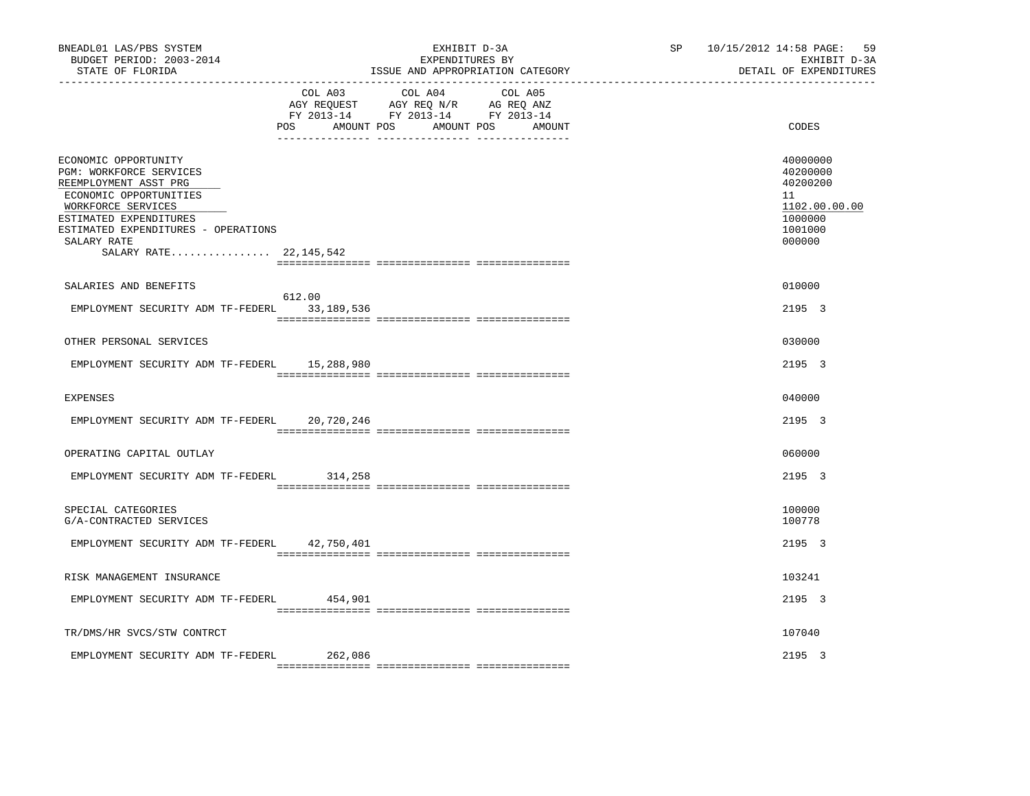|                                     | EXHIBIT D-3A                                                                                                                                                                                                                                                                                                | SP                                                                                                                                                            | 10/15/2012 14:58 PAGE:<br>59<br>EXHIBIT D-3A<br>DETAIL OF EXPENDITURES                  |
|-------------------------------------|-------------------------------------------------------------------------------------------------------------------------------------------------------------------------------------------------------------------------------------------------------------------------------------------------------------|---------------------------------------------------------------------------------------------------------------------------------------------------------------|-----------------------------------------------------------------------------------------|
| COL A03<br>AMOUNT POS               | COL A05                                                                                                                                                                                                                                                                                                     |                                                                                                                                                               | CODES                                                                                   |
|                                     |                                                                                                                                                                                                                                                                                                             |                                                                                                                                                               | 40000000<br>40200000<br>40200200<br>11<br>1102.00.00.00<br>1000000<br>1001000<br>000000 |
| 612.00                              |                                                                                                                                                                                                                                                                                                             |                                                                                                                                                               | 010000<br>2195 3                                                                        |
|                                     |                                                                                                                                                                                                                                                                                                             |                                                                                                                                                               | 030000                                                                                  |
| 15,288,980                          |                                                                                                                                                                                                                                                                                                             |                                                                                                                                                               | 2195 3                                                                                  |
|                                     |                                                                                                                                                                                                                                                                                                             |                                                                                                                                                               | 040000                                                                                  |
| 20,720,246                          |                                                                                                                                                                                                                                                                                                             |                                                                                                                                                               | 2195 3                                                                                  |
|                                     |                                                                                                                                                                                                                                                                                                             |                                                                                                                                                               | 060000                                                                                  |
| 314,258                             |                                                                                                                                                                                                                                                                                                             |                                                                                                                                                               | 2195 3                                                                                  |
|                                     |                                                                                                                                                                                                                                                                                                             |                                                                                                                                                               | 100000<br>100778                                                                        |
| 42,750,401                          |                                                                                                                                                                                                                                                                                                             |                                                                                                                                                               | 2195 3                                                                                  |
|                                     |                                                                                                                                                                                                                                                                                                             |                                                                                                                                                               | 103241                                                                                  |
| 454,901                             |                                                                                                                                                                                                                                                                                                             |                                                                                                                                                               | 2195 3                                                                                  |
|                                     |                                                                                                                                                                                                                                                                                                             |                                                                                                                                                               | 107040                                                                                  |
| 262,086                             |                                                                                                                                                                                                                                                                                                             |                                                                                                                                                               | 2195 3                                                                                  |
| ESTIMATED EXPENDITURES - OPERATIONS | POS<br>SALARY RATE 22,145,542<br>EMPLOYMENT SECURITY ADM TF-FEDERL 33,189,536<br>EMPLOYMENT SECURITY ADM TF-FEDERL<br>EMPLOYMENT SECURITY ADM TF-FEDERL<br>EMPLOYMENT SECURITY ADM TF-FEDERL<br>EMPLOYMENT SECURITY ADM TF-FEDERL<br>EMPLOYMENT SECURITY ADM TF-FEDERL<br>EMPLOYMENT SECURITY ADM TF-FEDERL | EXPENDITURES BY<br>ISSUE AND APPROPRIATION CATEGORY<br>COL A04<br>AGY REQUEST AGY REQ N/R AG REQ ANZ<br>FY 2013-14 FY 2013-14 FY 2013-14<br>AMOUNT POS AMOUNT |                                                                                         |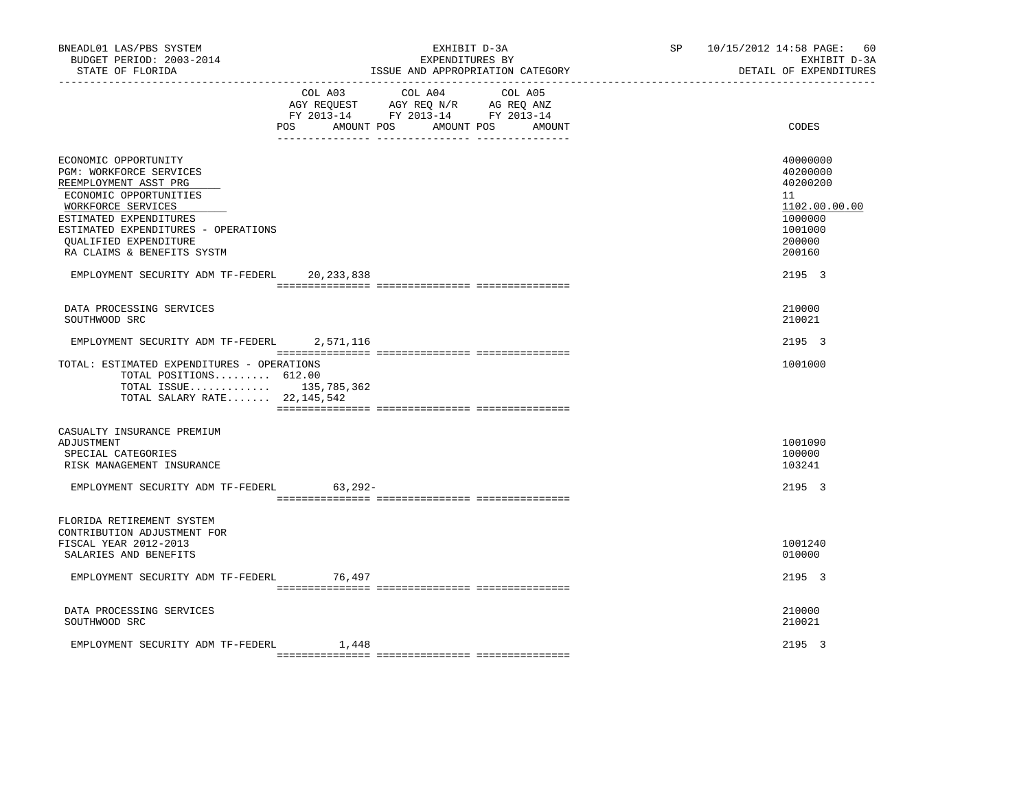| BNEADL01 LAS/PBS SYSTEM<br>BUDGET PERIOD: 2003-2014<br>STATE OF FLORIDA                                                                                                                                                                                 | EXHIBIT D-3A<br>EXPENDITURES BY<br>ISSUE AND APPROPRIATION CATEGORY                                                                         | SP <sub>2</sub><br>10/15/2012 14:58 PAGE: 60<br>EXHIBIT D-3A<br>DETAIL OF EXPENDITURES            |
|---------------------------------------------------------------------------------------------------------------------------------------------------------------------------------------------------------------------------------------------------------|---------------------------------------------------------------------------------------------------------------------------------------------|---------------------------------------------------------------------------------------------------|
|                                                                                                                                                                                                                                                         | COL A03 COL A04<br>COL A05<br>AGY REQUEST AGY REQ N/R AG REQ ANZ<br>FY 2013-14 FY 2013-14 FY 2013-14<br>AMOUNT POS AMOUNT POS AMOUNT<br>POS | CODES                                                                                             |
| ECONOMIC OPPORTUNITY<br>PGM: WORKFORCE SERVICES<br>REEMPLOYMENT ASST PRG<br>ECONOMIC OPPORTUNITIES<br>WORKFORCE SERVICES<br>ESTIMATED EXPENDITURES<br>ESTIMATED EXPENDITURES - OPERATIONS<br><b>OUALIFIED EXPENDITURE</b><br>RA CLAIMS & BENEFITS SYSTM |                                                                                                                                             | 40000000<br>40200000<br>40200200<br>11<br>1102.00.00.00<br>1000000<br>1001000<br>200000<br>200160 |
| EMPLOYMENT SECURITY ADM TF-FEDERL                                                                                                                                                                                                                       | 20,233,838                                                                                                                                  | 2195 3                                                                                            |
| DATA PROCESSING SERVICES<br>SOUTHWOOD SRC                                                                                                                                                                                                               |                                                                                                                                             | 210000<br>210021                                                                                  |
| EMPLOYMENT SECURITY ADM TF-FEDERL 2,571,116                                                                                                                                                                                                             |                                                                                                                                             | 2195 3                                                                                            |
| TOTAL: ESTIMATED EXPENDITURES - OPERATIONS<br>TOTAL POSITIONS 612.00<br>TOTAL ISSUE 135,785,362<br>TOTAL SALARY RATE 22,145,542                                                                                                                         |                                                                                                                                             | 1001000                                                                                           |
| CASUALTY INSURANCE PREMIUM<br>ADJUSTMENT<br>SPECIAL CATEGORIES<br>RISK MANAGEMENT INSURANCE                                                                                                                                                             |                                                                                                                                             | 1001090<br>100000<br>103241                                                                       |
| EMPLOYMENT SECURITY ADM TF-FEDERL                                                                                                                                                                                                                       | $63.292 -$                                                                                                                                  | 2195 3                                                                                            |
| FLORIDA RETIREMENT SYSTEM<br>CONTRIBUTION ADJUSTMENT FOR<br>FISCAL YEAR 2012-2013<br>SALARIES AND BENEFITS                                                                                                                                              |                                                                                                                                             | 1001240<br>010000                                                                                 |
| EMPLOYMENT SECURITY ADM TF-FEDERL 76,497                                                                                                                                                                                                                |                                                                                                                                             | 2195 3                                                                                            |
| DATA PROCESSING SERVICES<br>SOUTHWOOD SRC                                                                                                                                                                                                               |                                                                                                                                             | 210000<br>210021                                                                                  |
| EMPLOYMENT SECURITY ADM TF-FEDERL                                                                                                                                                                                                                       | 1,448                                                                                                                                       | 2195 3                                                                                            |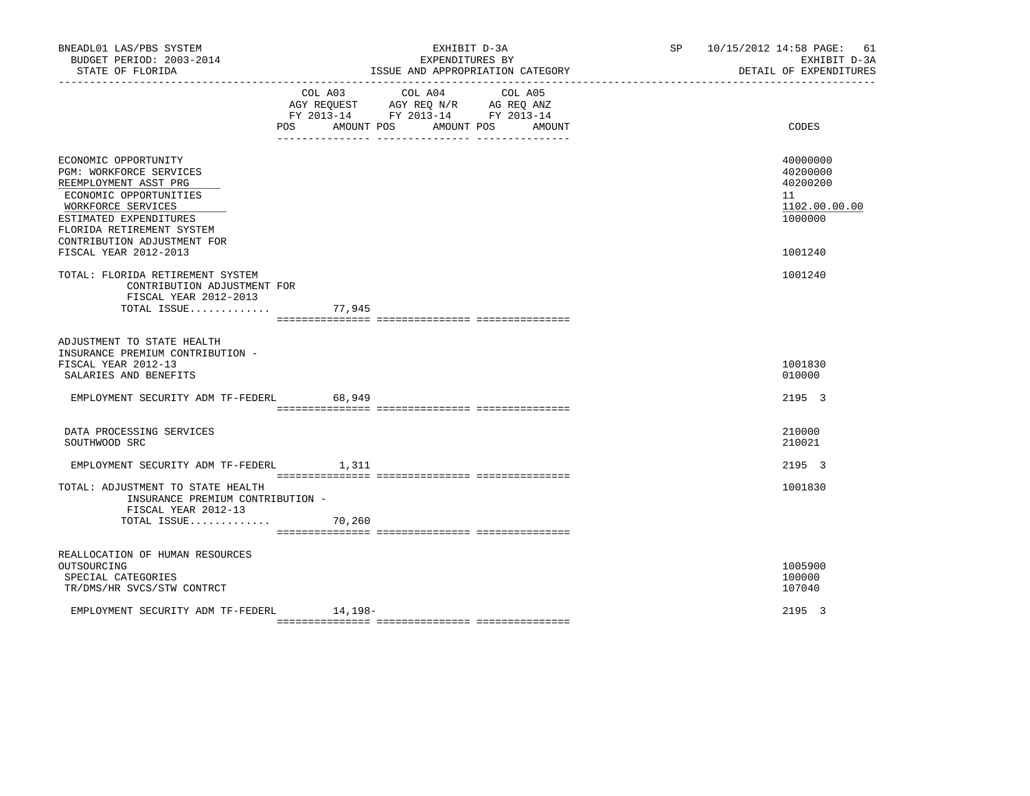| BNEADL01 LAS/PBS SYSTEM<br>BUDGET PERIOD: 2003-2014<br>STATE OF FLORIDA                                                                                                                                        | EXHIBIT D-3A<br>EXPENDITURES BY<br>ISSUE AND APPROPRIATION CATEGORY                                                                                                                      | SP 10/15/2012 14:58 PAGE: 61<br>EXHIBIT D-3A<br>DETAIL OF EXPENDITURES |
|----------------------------------------------------------------------------------------------------------------------------------------------------------------------------------------------------------------|------------------------------------------------------------------------------------------------------------------------------------------------------------------------------------------|------------------------------------------------------------------------|
|                                                                                                                                                                                                                | COL A04<br>COL A03<br>COL A05<br>AGY REQUEST AGY REQ N/R AG REQ ANZ<br>FY 2013-14 FY 2013-14 FY 2013-14<br>POS<br>AMOUNT POS AMOUNT POS<br>AMOUNT<br>___ ________________ ______________ | CODES                                                                  |
| ECONOMIC OPPORTUNITY<br>PGM: WORKFORCE SERVICES<br>REEMPLOYMENT ASST PRG<br>ECONOMIC OPPORTUNITIES<br>WORKFORCE SERVICES<br>ESTIMATED EXPENDITURES<br>FLORIDA RETIREMENT SYSTEM<br>CONTRIBUTION ADJUSTMENT FOR |                                                                                                                                                                                          | 40000000<br>40200000<br>40200200<br>11<br>1102.00.00.00<br>1000000     |
| FISCAL YEAR 2012-2013<br>TOTAL: FLORIDA RETIREMENT SYSTEM<br>CONTRIBUTION ADJUSTMENT FOR<br>FISCAL YEAR 2012-2013<br>TOTAL ISSUE                                                                               | 77,945                                                                                                                                                                                   | 1001240<br>1001240                                                     |
| ADJUSTMENT TO STATE HEALTH<br>INSURANCE PREMIUM CONTRIBUTION -<br>FISCAL YEAR 2012-13<br>SALARIES AND BENEFITS                                                                                                 |                                                                                                                                                                                          | 1001830<br>010000                                                      |
| EMPLOYMENT SECURITY ADM TF-FEDERL                                                                                                                                                                              | 68,949                                                                                                                                                                                   | 2195 3                                                                 |
| DATA PROCESSING SERVICES<br>SOUTHWOOD SRC                                                                                                                                                                      |                                                                                                                                                                                          | 210000<br>210021                                                       |
| EMPLOYMENT SECURITY ADM TF-FEDERL 1,311                                                                                                                                                                        |                                                                                                                                                                                          | 2195 3                                                                 |
| TOTAL: ADJUSTMENT TO STATE HEALTH<br>INSURANCE PREMIUM CONTRIBUTION -<br>FISCAL YEAR 2012-13<br>TOTAL ISSUE                                                                                                    | 70,260                                                                                                                                                                                   | 1001830                                                                |
|                                                                                                                                                                                                                |                                                                                                                                                                                          |                                                                        |
| REALLOCATION OF HUMAN RESOURCES<br>OUTSOURCING<br>SPECIAL CATEGORIES<br>TR/DMS/HR SVCS/STW CONTRCT                                                                                                             |                                                                                                                                                                                          | 1005900<br>100000<br>107040                                            |
| EMPLOYMENT SECURITY ADM TF-FEDERL                                                                                                                                                                              | $14,198-$                                                                                                                                                                                | 2195 3                                                                 |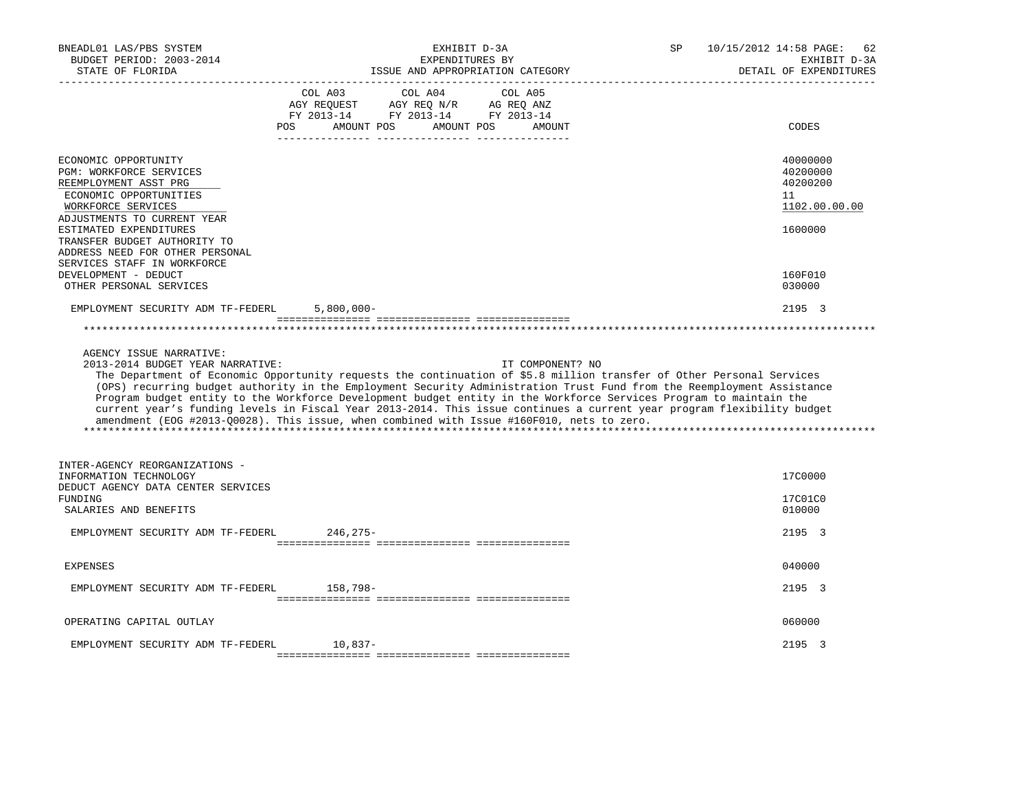| BNEADL01 LAS/PBS SYSTEM<br>BUDGET PERIOD: 2003-2014<br>STATE OF FLORIDA                                                                                                                                                                                                                                                                | EXHIBIT D-3A<br>EXPENDITURES BY<br>ISSUE AND APPROPRIATION CATEGORY                                                                                                                                                                                                                                                                                                                                                                                                                                                                                                                                              | 10/15/2012 14:58 PAGE:<br>SP<br>62<br>EXHIBIT D-3A<br>DETAIL OF EXPENDITURES            |
|----------------------------------------------------------------------------------------------------------------------------------------------------------------------------------------------------------------------------------------------------------------------------------------------------------------------------------------|------------------------------------------------------------------------------------------------------------------------------------------------------------------------------------------------------------------------------------------------------------------------------------------------------------------------------------------------------------------------------------------------------------------------------------------------------------------------------------------------------------------------------------------------------------------------------------------------------------------|-----------------------------------------------------------------------------------------|
|                                                                                                                                                                                                                                                                                                                                        | COL A03<br>COL A04<br>COL A05<br>AGY REQUEST AGY REQ N/R AG REQ ANZ<br>FY 2013-14 FY 2013-14 FY 2013-14<br>POS<br>AMOUNT POS<br>AMOUNT POS<br>AMOUNT                                                                                                                                                                                                                                                                                                                                                                                                                                                             | CODES                                                                                   |
| ECONOMIC OPPORTUNITY<br>PGM: WORKFORCE SERVICES<br>REEMPLOYMENT ASST PRG<br>ECONOMIC OPPORTUNITIES<br>WORKFORCE SERVICES<br>ADJUSTMENTS TO CURRENT YEAR<br>ESTIMATED EXPENDITURES<br>TRANSFER BUDGET AUTHORITY TO<br>ADDRESS NEED FOR OTHER PERSONAL<br>SERVICES STAFF IN WORKFORCE<br>DEVELOPMENT - DEDUCT<br>OTHER PERSONAL SERVICES |                                                                                                                                                                                                                                                                                                                                                                                                                                                                                                                                                                                                                  | 40000000<br>40200000<br>40200200<br>11<br>1102.00.00.00<br>1600000<br>160F010<br>030000 |
| EMPLOYMENT SECURITY ADM TF-FEDERL                                                                                                                                                                                                                                                                                                      | $5,800,000 -$                                                                                                                                                                                                                                                                                                                                                                                                                                                                                                                                                                                                    | 2195 3                                                                                  |
| AGENCY ISSUE NARRATIVE:<br>2013-2014 BUDGET YEAR NARRATIVE:                                                                                                                                                                                                                                                                            | IT COMPONENT? NO<br>The Department of Economic Opportunity requests the continuation of \$5.8 million transfer of Other Personal Services<br>(OPS) recurring budget authority in the Employment Security Administration Trust Fund from the Reemployment Assistance<br>Program budget entity to the Workforce Development budget entity in the Workforce Services Program to maintain the<br>current year's funding levels in Fiscal Year 2013-2014. This issue continues a current year program flexibility budget<br>amendment (EOG #2013-00028). This issue, when combined with Issue #160F010, nets to zero. |                                                                                         |
| INTER-AGENCY REORGANIZATIONS -<br>INFORMATION TECHNOLOGY<br>DEDUCT AGENCY DATA CENTER SERVICES<br>FUNDING<br>SALARIES AND BENEFITS<br>EMPLOYMENT SECURITY ADM TF-FEDERL                                                                                                                                                                | 246,275-                                                                                                                                                                                                                                                                                                                                                                                                                                                                                                                                                                                                         | 17C0000<br>17C01C0<br>010000<br>2195 3                                                  |
| <b>EXPENSES</b>                                                                                                                                                                                                                                                                                                                        |                                                                                                                                                                                                                                                                                                                                                                                                                                                                                                                                                                                                                  | 040000                                                                                  |
| EMPLOYMENT SECURITY ADM TF-FEDERL                                                                                                                                                                                                                                                                                                      | 158,798-                                                                                                                                                                                                                                                                                                                                                                                                                                                                                                                                                                                                         | 2195 3                                                                                  |
| OPERATING CAPITAL OUTLAY                                                                                                                                                                                                                                                                                                               |                                                                                                                                                                                                                                                                                                                                                                                                                                                                                                                                                                                                                  | 060000                                                                                  |
| EMPLOYMENT SECURITY ADM TF-FEDERL                                                                                                                                                                                                                                                                                                      | $10,837-$                                                                                                                                                                                                                                                                                                                                                                                                                                                                                                                                                                                                        | 2195 3                                                                                  |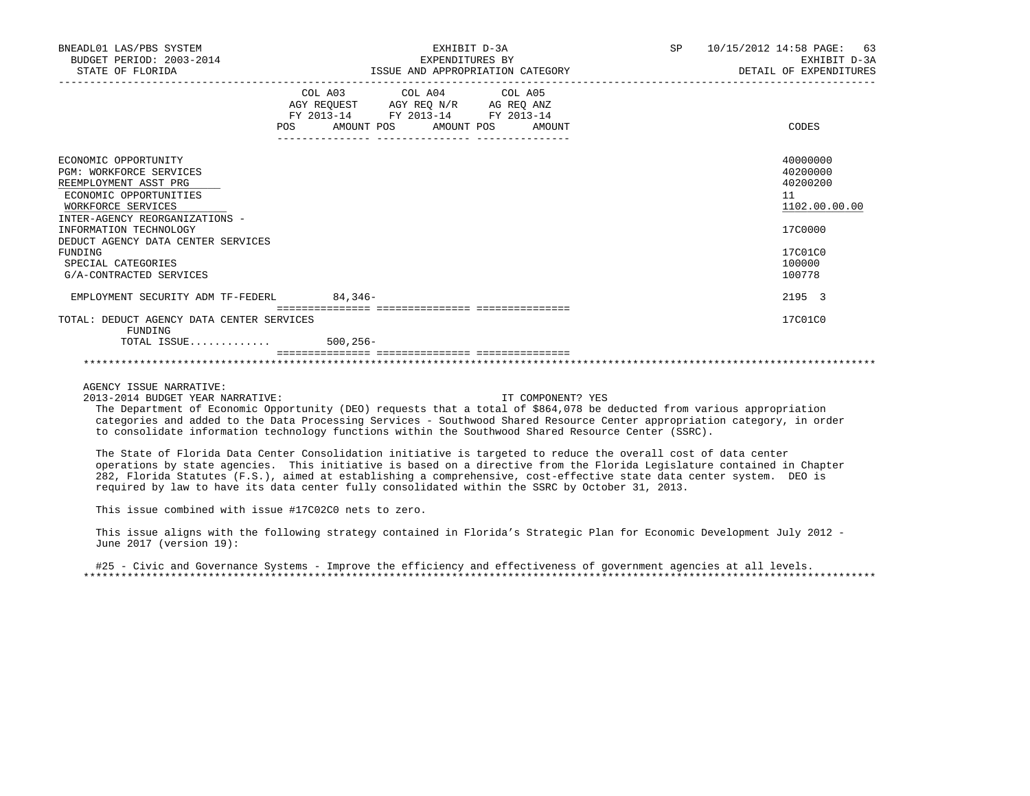| BNEADL01 LAS/PBS SYSTEM<br>BUDGET PERIOD: 2003-2014<br>STATE OF FLORIDA                                                                                                                                                                                                                       | EXHIBIT D-3A<br>EXPENDITURES BY<br>ISSUE AND APPROPRIATION CATEGORY                                                                                                    | SP<br>10/15/2012 14:58 PAGE: 63<br>EXHIBIT D-3A<br>DETAIL OF EXPENDITURES                         |
|-----------------------------------------------------------------------------------------------------------------------------------------------------------------------------------------------------------------------------------------------------------------------------------------------|------------------------------------------------------------------------------------------------------------------------------------------------------------------------|---------------------------------------------------------------------------------------------------|
|                                                                                                                                                                                                                                                                                               | COL A03 COL A04 COL A05<br>AGY REQUEST AGY REQ N/R AG REQ ANZ<br>FY 2013-14 FY 2013-14 FY 2013-14<br>AMOUNT POS AMOUNT POS<br>POS<br>---------------- ---------------- | CODES<br>AMOUNT                                                                                   |
| ECONOMIC OPPORTUNITY<br><b>PGM: WORKFORCE SERVICES</b><br>REEMPLOYMENT ASST PRG<br>ECONOMIC OPPORTUNITIES<br>WORKFORCE SERVICES<br>INTER-AGENCY REORGANIZATIONS -<br>INFORMATION TECHNOLOGY<br>DEDUCT AGENCY DATA CENTER SERVICES<br>FUNDING<br>SPECIAL CATEGORIES<br>G/A-CONTRACTED SERVICES |                                                                                                                                                                        | 40000000<br>40200000<br>40200200<br>11<br>1102.00.00.00<br>17C0000<br>17C01C0<br>100000<br>100778 |
| EMPLOYMENT SECURITY ADM TF-FEDERL                                                                                                                                                                                                                                                             | 84,346-                                                                                                                                                                | 2195 3                                                                                            |
| TOTAL: DEDUCT AGENCY DATA CENTER SERVICES<br>FUNDING                                                                                                                                                                                                                                          | ================================                                                                                                                                       | 17C01C0                                                                                           |
| TOTAL ISSUE 500,256-                                                                                                                                                                                                                                                                          |                                                                                                                                                                        |                                                                                                   |
|                                                                                                                                                                                                                                                                                               |                                                                                                                                                                        |                                                                                                   |

2013-2014 BUDGET YEAR NARRATIVE: IT COMPONENT? YES

 The Department of Economic Opportunity (DEO) requests that a total of \$864,078 be deducted from various appropriation categories and added to the Data Processing Services - Southwood Shared Resource Center appropriation category, in order to consolidate information technology functions within the Southwood Shared Resource Center (SSRC).

 The State of Florida Data Center Consolidation initiative is targeted to reduce the overall cost of data center operations by state agencies. This initiative is based on a directive from the Florida Legislature contained in Chapter 282, Florida Statutes (F.S.), aimed at establishing a comprehensive, cost-effective state data center system. DEO is required by law to have its data center fully consolidated within the SSRC by October 31, 2013.

This issue combined with issue #17C02C0 nets to zero.

 This issue aligns with the following strategy contained in Florida's Strategic Plan for Economic Development July 2012 - June 2017 (version 19):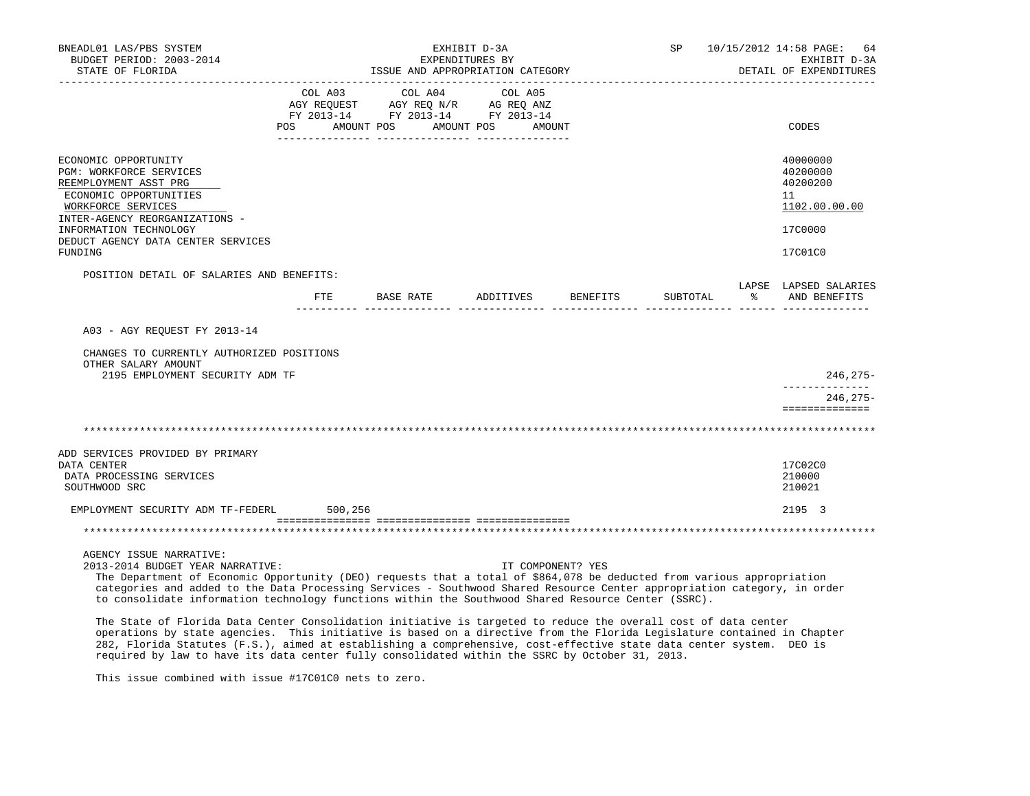| BNEADL01 LAS/PBS SYSTEM<br>BUDGET PERIOD: 2003-2014<br>STATE OF FLORIDA<br>__________________                                                                                                                                                                                                                                                                                                                                                                                                                                               | EXHIBIT D-3A<br>EXPENDITURES BY<br>ISSUE AND APPROPRIATION CATEGORY                                                                   |                   | SP 10/15/2012 14:58 PAGE:<br>64<br>EXHIBIT D-3A<br>DETAIL OF EXPENDITURES |          |                                                                    |
|---------------------------------------------------------------------------------------------------------------------------------------------------------------------------------------------------------------------------------------------------------------------------------------------------------------------------------------------------------------------------------------------------------------------------------------------------------------------------------------------------------------------------------------------|---------------------------------------------------------------------------------------------------------------------------------------|-------------------|---------------------------------------------------------------------------|----------|--------------------------------------------------------------------|
|                                                                                                                                                                                                                                                                                                                                                                                                                                                                                                                                             | COL A03 COL A04 COL A05<br>AGY REQUEST AGY REQ N/R AG REQ ANZ<br>FY 2013-14 FY 2013-14 FY 2013-14<br>POS AMOUNT POS AMOUNT POS AMOUNT |                   |                                                                           |          | CODES                                                              |
| ECONOMIC OPPORTUNITY<br>PGM: WORKFORCE SERVICES<br>REEMPLOYMENT ASST PRG<br>ECONOMIC OPPORTUNITIES<br>WORKFORCE SERVICES<br>INTER-AGENCY REORGANIZATIONS -<br>INFORMATION TECHNOLOGY                                                                                                                                                                                                                                                                                                                                                        |                                                                                                                                       |                   |                                                                           |          | 40000000<br>40200000<br>40200200<br>11<br>1102.00.00.00<br>17C0000 |
| DEDUCT AGENCY DATA CENTER SERVICES<br>FUNDING                                                                                                                                                                                                                                                                                                                                                                                                                                                                                               |                                                                                                                                       |                   |                                                                           |          | 17C01C0                                                            |
| POSITION DETAIL OF SALARIES AND BENEFITS:                                                                                                                                                                                                                                                                                                                                                                                                                                                                                                   | FTE BASE RATE ADDITIVES BENEFITS                                                                                                      |                   |                                                                           | SUBTOTAL | LAPSE LAPSED SALARIES<br>% AND BENEFITS                            |
| A03 - AGY REOUEST FY 2013-14                                                                                                                                                                                                                                                                                                                                                                                                                                                                                                                |                                                                                                                                       |                   |                                                                           |          |                                                                    |
| CHANGES TO CURRENTLY AUTHORIZED POSITIONS<br>OTHER SALARY AMOUNT<br>2195 EMPLOYMENT SECURITY ADM TF                                                                                                                                                                                                                                                                                                                                                                                                                                         |                                                                                                                                       |                   |                                                                           |          | $246, 275 -$                                                       |
|                                                                                                                                                                                                                                                                                                                                                                                                                                                                                                                                             |                                                                                                                                       |                   |                                                                           |          | _____________<br>$246.275-$<br>==============                      |
|                                                                                                                                                                                                                                                                                                                                                                                                                                                                                                                                             |                                                                                                                                       |                   |                                                                           |          |                                                                    |
| ADD SERVICES PROVIDED BY PRIMARY<br>DATA CENTER<br>DATA PROCESSING SERVICES<br>SOUTHWOOD SRC                                                                                                                                                                                                                                                                                                                                                                                                                                                |                                                                                                                                       |                   |                                                                           |          | 17C02C0<br>210000<br>210021                                        |
| EMPLOYMENT SECURITY ADM TF-FEDERL 500,256                                                                                                                                                                                                                                                                                                                                                                                                                                                                                                   |                                                                                                                                       |                   |                                                                           |          | 2195 3                                                             |
|                                                                                                                                                                                                                                                                                                                                                                                                                                                                                                                                             |                                                                                                                                       |                   |                                                                           |          |                                                                    |
| AGENCY ISSUE NARRATIVE:<br>2013-2014 BUDGET YEAR NARRATIVE:<br>The Department of Economic Opportunity (DEO) requests that a total of \$864,078 be deducted from various appropriation<br>categories and added to the Data Processing Services - Southwood Shared Resource Center appropriation category, in order<br>to consolidate information technology functions within the Southwood Shared Resource Center (SSRC).<br>The State of Florida Data Center Consolidation initiative is targeted to reduce the everall goot of data center |                                                                                                                                       | IT COMPONENT? YES |                                                                           |          |                                                                    |

 The State of Florida Data Center Consolidation initiative is targeted to reduce the overall cost of data center operations by state agencies. This initiative is based on a directive from the Florida Legislature contained in Chapter 282, Florida Statutes (F.S.), aimed at establishing a comprehensive, cost-effective state data center system. DEO is required by law to have its data center fully consolidated within the SSRC by October 31, 2013.

This issue combined with issue #17C01C0 nets to zero.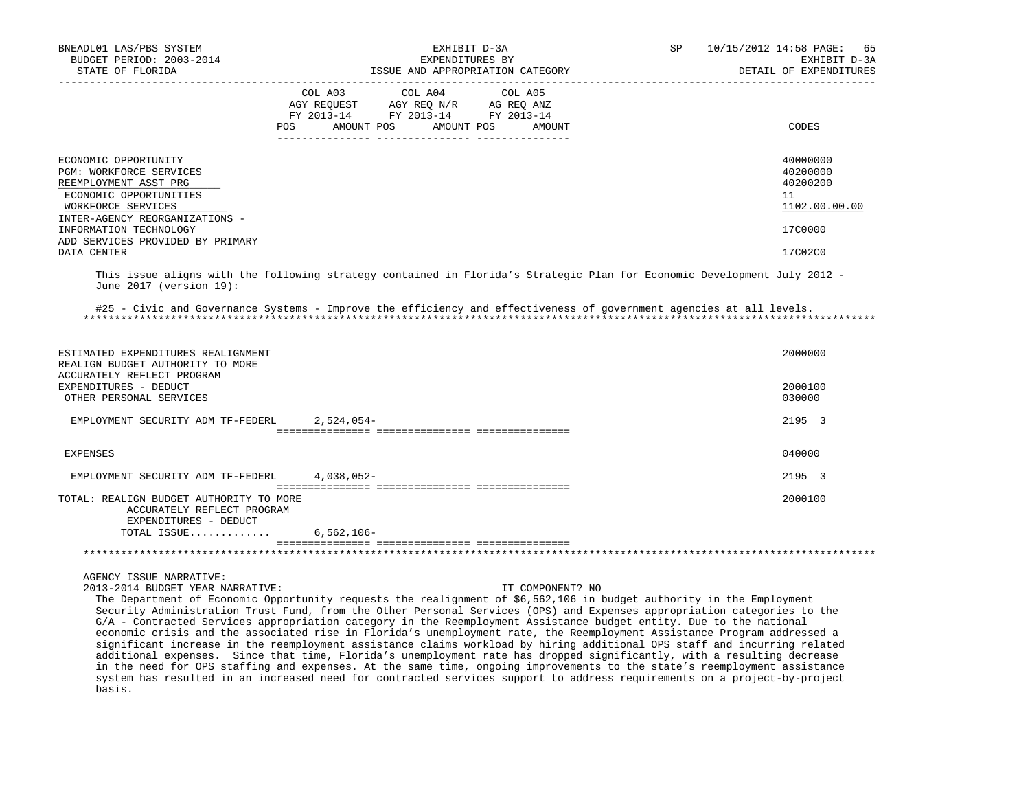| BNEADL01 LAS/PBS SYSTEM<br>BUDGET PERIOD: 2003-2014<br>STATE OF FLORIDA                                                                                    | EXHIBIT D-3A<br>EXPENDITURES BY<br>ISSUE AND APPROPRIATION CATEGORY                                                                                                                                                                                                                                                                                                                   | <b>SP</b><br>10/15/2012 14:58 PAGE:<br>65<br>EXHIBIT D-3A<br>DETAIL OF EXPENDITURES |
|------------------------------------------------------------------------------------------------------------------------------------------------------------|---------------------------------------------------------------------------------------------------------------------------------------------------------------------------------------------------------------------------------------------------------------------------------------------------------------------------------------------------------------------------------------|-------------------------------------------------------------------------------------|
|                                                                                                                                                            | $\begin{tabular}{lcccc} COL A03 & COL A04 & COL A05 \\ AGY REQUEST & AGY REQ N/R & AG REQ ANZ \\ FY & 2013-14 & FY & 2013-14 & FY & 2013-14 \end{tabular}$<br>POS AMOUNT POS<br>AMOUNT POS<br>AMOUNT                                                                                                                                                                                  | CODES                                                                               |
| ECONOMIC OPPORTUNITY<br>PGM: WORKFORCE SERVICES<br>REEMPLOYMENT ASST PRG<br>ECONOMIC OPPORTUNITIES<br>WORKFORCE SERVICES<br>INTER-AGENCY REORGANIZATIONS - |                                                                                                                                                                                                                                                                                                                                                                                       | 40000000<br>40200000<br>40200200<br>11<br>1102.00.00.00                             |
| INFORMATION TECHNOLOGY<br>ADD SERVICES PROVIDED BY PRIMARY<br>DATA CENTER                                                                                  |                                                                                                                                                                                                                                                                                                                                                                                       | 17C0000<br>17C02C0                                                                  |
| June $2017$ (version $19$ ):                                                                                                                               | This issue aligns with the following strategy contained in Florida's Strategic Plan for Economic Development July 2012 -                                                                                                                                                                                                                                                              |                                                                                     |
|                                                                                                                                                            | #25 - Civic and Governance Systems - Improve the efficiency and effectiveness of government agencies at all levels.                                                                                                                                                                                                                                                                   |                                                                                     |
| ESTIMATED EXPENDITURES REALIGNMENT<br>REALIGN BUDGET AUTHORITY TO MORE                                                                                     |                                                                                                                                                                                                                                                                                                                                                                                       | 2000000                                                                             |
| ACCURATELY REFLECT PROGRAM<br>EXPENDITURES - DEDUCT<br>OTHER PERSONAL SERVICES                                                                             |                                                                                                                                                                                                                                                                                                                                                                                       | 2000100<br>030000                                                                   |
| EMPLOYMENT SECURITY ADM TF-FEDERL 2,524,054-                                                                                                               |                                                                                                                                                                                                                                                                                                                                                                                       | 2195 3                                                                              |
| EXPENSES                                                                                                                                                   |                                                                                                                                                                                                                                                                                                                                                                                       | 040000                                                                              |
| EMPLOYMENT SECURITY ADM TF-FEDERL 4,038,052-                                                                                                               |                                                                                                                                                                                                                                                                                                                                                                                       | 2195 3                                                                              |
| TOTAL: REALIGN BUDGET AUTHORITY TO MORE<br>ACCURATELY REFLECT PROGRAM<br>EXPENDITURES - DEDUCT                                                             |                                                                                                                                                                                                                                                                                                                                                                                       | 2000100                                                                             |
| TOTAL ISSUE 6,562,106-                                                                                                                                     |                                                                                                                                                                                                                                                                                                                                                                                       |                                                                                     |
|                                                                                                                                                            |                                                                                                                                                                                                                                                                                                                                                                                       |                                                                                     |
| AGENCY ISSUE NARRATIVE:<br>2013-2014 BUDGET YEAR NARRATIVE:                                                                                                | IT COMPONENT? NO<br>The Department of Economic Opportunity requests the realignment of \$6,562,106 in budget authority in the Employment<br>Security Administration Trust Fund, from the Other Personal Services (OPS) and Expenses appropriation categories to the<br>the control and so considered in serious directions to a constant and serious to their conditions with a ratio |                                                                                     |

 G/A - Contracted Services appropriation category in the Reemployment Assistance budget entity. Due to the national economic crisis and the associated rise in Florida's unemployment rate, the Reemployment Assistance Program addressed a significant increase in the reemployment assistance claims workload by hiring additional OPS staff and incurring related additional expenses. Since that time, Florida's unemployment rate has dropped significantly, with a resulting decrease in the need for OPS staffing and expenses. At the same time, ongoing improvements to the state's reemployment assistance system has resulted in an increased need for contracted services support to address requirements on a project-by-project basis.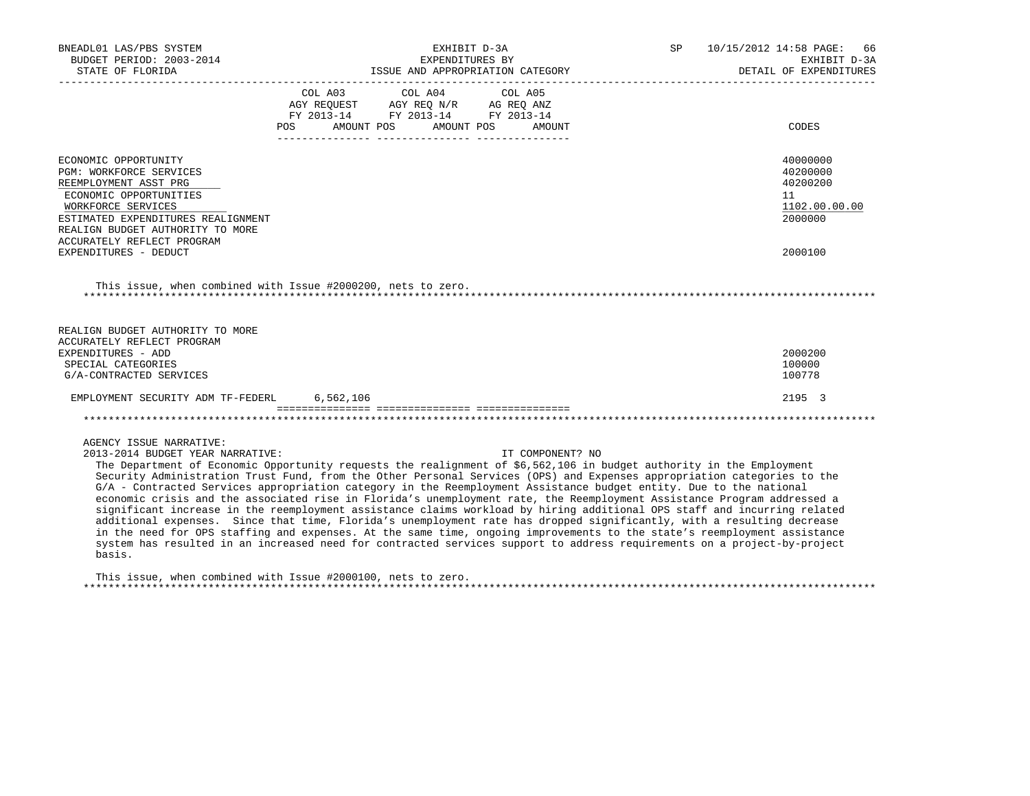| BNEADL01 LAS/PBS SYSTEM<br>BUDGET PERIOD: 2003-2014                                                                                                                                                                                                                                                                                                                                                                                                                                                                                                                                                                                                                                                                                                                                                                                                                                                                                                                                                                                                                                     | EXHIBIT D-3A<br>EXPENDITURES BY                                      | SP <sub>2</sub>  | 10/15/2012 14:58 PAGE: 66<br>EXHIBIT D-3A |                                                                               |
|-----------------------------------------------------------------------------------------------------------------------------------------------------------------------------------------------------------------------------------------------------------------------------------------------------------------------------------------------------------------------------------------------------------------------------------------------------------------------------------------------------------------------------------------------------------------------------------------------------------------------------------------------------------------------------------------------------------------------------------------------------------------------------------------------------------------------------------------------------------------------------------------------------------------------------------------------------------------------------------------------------------------------------------------------------------------------------------------|----------------------------------------------------------------------|------------------|-------------------------------------------|-------------------------------------------------------------------------------|
|                                                                                                                                                                                                                                                                                                                                                                                                                                                                                                                                                                                                                                                                                                                                                                                                                                                                                                                                                                                                                                                                                         |                                                                      |                  |                                           | DETAIL OF EXPENDITURES                                                        |
|                                                                                                                                                                                                                                                                                                                                                                                                                                                                                                                                                                                                                                                                                                                                                                                                                                                                                                                                                                                                                                                                                         | FY 2013-14 FY 2013-14 FY 2013-14<br>POS AMOUNT POS AMOUNT POS AMOUNT |                  |                                           | CODES                                                                         |
| ECONOMIC OPPORTUNITY<br>PGM: WORKFORCE SERVICES<br>REEMPLOYMENT ASST PRG<br>ECONOMIC OPPORTUNITIES<br>WORKFORCE SERVICES<br>ESTIMATED EXPENDITURES REALIGNMENT<br>REALIGN BUDGET AUTHORITY TO MORE<br>ACCURATELY REFLECT PROGRAM<br>EXPENDITURES - DEDUCT                                                                                                                                                                                                                                                                                                                                                                                                                                                                                                                                                                                                                                                                                                                                                                                                                               |                                                                      |                  |                                           | 40000000<br>40200000<br>40200200<br>11<br>1102.00.00.00<br>2000000<br>2000100 |
| This issue, when combined with Issue #2000200, nets to zero.                                                                                                                                                                                                                                                                                                                                                                                                                                                                                                                                                                                                                                                                                                                                                                                                                                                                                                                                                                                                                            |                                                                      |                  |                                           |                                                                               |
| REALIGN BUDGET AUTHORITY TO MORE<br>ACCURATELY REFLECT PROGRAM<br>EXPENDITURES - ADD<br>SPECIAL CATEGORIES<br>G/A-CONTRACTED SERVICES                                                                                                                                                                                                                                                                                                                                                                                                                                                                                                                                                                                                                                                                                                                                                                                                                                                                                                                                                   |                                                                      |                  |                                           | 2000200<br>100000<br>100778                                                   |
| EMPLOYMENT SECURITY ADM TF-FEDERL 6,562,106                                                                                                                                                                                                                                                                                                                                                                                                                                                                                                                                                                                                                                                                                                                                                                                                                                                                                                                                                                                                                                             |                                                                      |                  |                                           | 2195 3                                                                        |
|                                                                                                                                                                                                                                                                                                                                                                                                                                                                                                                                                                                                                                                                                                                                                                                                                                                                                                                                                                                                                                                                                         |                                                                      |                  |                                           |                                                                               |
| AGENCY ISSUE NARRATIVE:<br>2013-2014 BUDGET YEAR NARRATIVE:<br>The Department of Economic Opportunity requests the realignment of \$6,562,106 in budget authority in the Employment<br>Security Administration Trust Fund, from the Other Personal Services (OPS) and Expenses appropriation categories to the<br>G/A - Contracted Services appropriation category in the Reemployment Assistance budget entity. Due to the national<br>economic crisis and the associated rise in Florida's unemployment rate, the Reemployment Assistance Program addressed a<br>significant increase in the reemployment assistance claims workload by hiring additional OPS staff and incurring related<br>additional expenses. Since that time, Florida's unemployment rate has dropped significantly, with a resulting decrease<br>in the need for OPS staffing and expenses. At the same time, ongoing improvements to the state's reemployment assistance<br>system has resulted in an increased need for contracted services support to address requirements on a project-by-project<br>basis. |                                                                      | IT COMPONENT? NO |                                           |                                                                               |
| This issue, when combined with Issue #2000100, nets to zero.                                                                                                                                                                                                                                                                                                                                                                                                                                                                                                                                                                                                                                                                                                                                                                                                                                                                                                                                                                                                                            |                                                                      |                  |                                           |                                                                               |

\*\*\*\*\*\*\*\*\*\*\*\*\*\*\*\*\*\*\*\*\*\*\*\*\*\*\*\*\*\*\*\*\*\*\*\*\*\*\*\*\*\*\*\*\*\*\*\*\*\*\*\*\*\*\*\*\*\*\*\*\*\*\*\*\*\*\*\*\*\*\*\*\*\*\*\*\*\*\*\*\*\*\*\*\*\*\*\*\*\*\*\*\*\*\*\*\*\*\*\*\*\*\*\*\*\*\*\*\*\*\*\*\*\*\*\*\*\*\*\*\*\*\*\*\*\*\*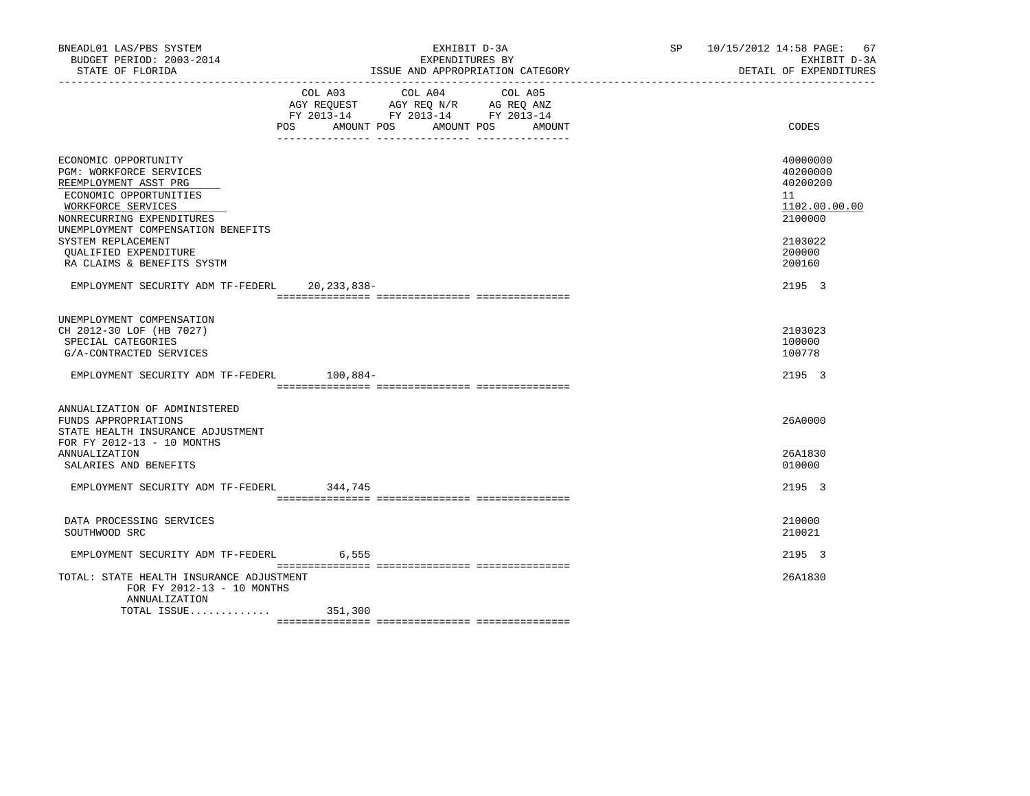| BNEADL01 LAS/PBS SYSTEM<br>BUDGET PERIOD: 2003-2014<br>STATE OF FLORIDA                                                                                                                                                                                                                                       | EXHIBIT D-3A<br>EXPENDITURES BY<br>ISSUE AND APPROPRIATION CATEGORY                                                                                                        | SP 10/15/2012 14:58 PAGE: 67<br>EXHIBIT D-3A<br>DETAIL OF EXPENDITURES                                      |
|---------------------------------------------------------------------------------------------------------------------------------------------------------------------------------------------------------------------------------------------------------------------------------------------------------------|----------------------------------------------------------------------------------------------------------------------------------------------------------------------------|-------------------------------------------------------------------------------------------------------------|
|                                                                                                                                                                                                                                                                                                               | COL A04<br>COL A03<br>COL A05<br>AGY REQUEST AGY REQ N/R AG REQ ANZ<br>FY 2013-14 FY 2013-14 FY 2013-14<br>POS<br>AMOUNT POS<br>AMOUNT POS<br>AMOUNT<br>___ ______________ | CODES                                                                                                       |
| ECONOMIC OPPORTUNITY<br>PGM: WORKFORCE SERVICES<br>REEMPLOYMENT ASST PRG<br>ECONOMIC OPPORTUNITIES<br>WORKFORCE SERVICES<br>NONRECURRING EXPENDITURES<br>UNEMPLOYMENT COMPENSATION BENEFITS<br>SYSTEM REPLACEMENT<br>OUALIFIED EXPENDITURE<br>RA CLAIMS & BENEFITS SYSTM<br>EMPLOYMENT SECURITY ADM TF-FEDERL | 20,233,838-                                                                                                                                                                | 40000000<br>40200000<br>40200200<br>11<br>1102.00.00.00<br>2100000<br>2103022<br>200000<br>200160<br>2195 3 |
| UNEMPLOYMENT COMPENSATION<br>CH 2012-30 LOF (HB 7027)<br>SPECIAL CATEGORIES<br>G/A-CONTRACTED SERVICES                                                                                                                                                                                                        |                                                                                                                                                                            | 2103023<br>100000<br>100778                                                                                 |
| EMPLOYMENT SECURITY ADM TF-FEDERL 100.884-                                                                                                                                                                                                                                                                    |                                                                                                                                                                            | 2195 3                                                                                                      |
| ANNUALIZATION OF ADMINISTERED<br>FUNDS APPROPRIATIONS<br>STATE HEALTH INSURANCE ADJUSTMENT<br>FOR FY 2012-13 - 10 MONTHS<br><b>ANNUALIZATION</b><br>SALARIES AND BENEFITS                                                                                                                                     |                                                                                                                                                                            | 26A0000<br>26A1830<br>010000                                                                                |
| EMPLOYMENT SECURITY ADM TF-FEDERL                                                                                                                                                                                                                                                                             | 344,745                                                                                                                                                                    | 2195 3                                                                                                      |
| DATA PROCESSING SERVICES<br>SOUTHWOOD SRC                                                                                                                                                                                                                                                                     |                                                                                                                                                                            | 210000<br>210021                                                                                            |
| EMPLOYMENT SECURITY ADM TF-FEDERL                                                                                                                                                                                                                                                                             | 6,555                                                                                                                                                                      | 2195 3                                                                                                      |
| TOTAL: STATE HEALTH INSURANCE ADJUSTMENT<br>FOR FY 2012-13 - 10 MONTHS<br>ANNUALIZATION<br>TOTAL ISSUE                                                                                                                                                                                                        | 351,300                                                                                                                                                                    | 26A1830                                                                                                     |
|                                                                                                                                                                                                                                                                                                               |                                                                                                                                                                            |                                                                                                             |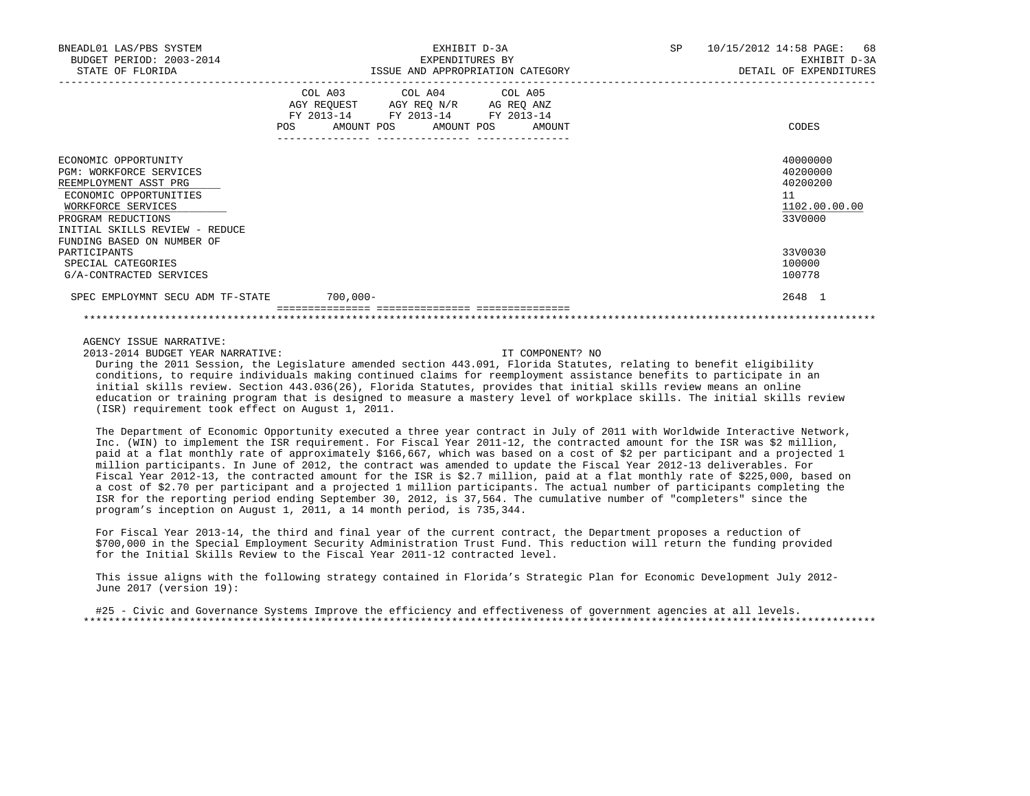| BNEADL01 LAS/PBS SYSTEM<br>BUDGET PERIOD: 2003-2014<br>STATE OF FLORIDA                                                                                                                                               | EXHIBIT D-3A<br>EXPENDITURES BY<br>ISSUE AND APPROPRIATION CATEGORY                                                                                                                         | 10/15/2012 14:58 PAGE: 68<br>SP and the set of the set of the set of the set of the set of the set of the set of the set of the set of the set of the set of the set of the set of the set of the set of the set of the set of the set of the set of the se<br>EXHIBIT D-3A<br>DETAIL OF EXPENDITURES |
|-----------------------------------------------------------------------------------------------------------------------------------------------------------------------------------------------------------------------|---------------------------------------------------------------------------------------------------------------------------------------------------------------------------------------------|-------------------------------------------------------------------------------------------------------------------------------------------------------------------------------------------------------------------------------------------------------------------------------------------------------|
|                                                                                                                                                                                                                       | COL A03<br>COL A04 COL A05<br>AGY REQUEST AGY REQ N/R AG REQ ANZ<br>FY 2013-14 FY 2013-14 FY 2013-14<br>AMOUNT POS AMOUNT POS<br><b>POS</b><br>AMOUNT<br>__________________________________ | CODES                                                                                                                                                                                                                                                                                                 |
| ECONOMIC OPPORTUNITY<br><b>PGM: WORKFORCE SERVICES</b><br>REEMPLOYMENT ASST PRG<br>ECONOMIC OPPORTUNITIES<br>WORKFORCE SERVICES<br>PROGRAM REDUCTIONS<br>INITIAL SKILLS REVIEW - REDUCE<br>FUNDING BASED ON NUMBER OF |                                                                                                                                                                                             | 40000000<br>40200000<br>40200200<br>11<br>1102.00.00.00<br>33V0000                                                                                                                                                                                                                                    |
| PARTICIPANTS<br>SPECIAL CATEGORIES<br>G/A-CONTRACTED SERVICES                                                                                                                                                         |                                                                                                                                                                                             | 33V0030<br>100000<br>100778                                                                                                                                                                                                                                                                           |
| SPEC EMPLOYMNT SECU ADM TF-STATE                                                                                                                                                                                      | $700,000 -$                                                                                                                                                                                 | 2648 1                                                                                                                                                                                                                                                                                                |
|                                                                                                                                                                                                                       | ___________________________________                                                                                                                                                         |                                                                                                                                                                                                                                                                                                       |

2013-2014 BUDGET YEAR NARRATIVE: IT COMPONENT? NO

 During the 2011 Session, the Legislature amended section 443.091, Florida Statutes, relating to benefit eligibility conditions, to require individuals making continued claims for reemployment assistance benefits to participate in an initial skills review. Section 443.036(26), Florida Statutes, provides that initial skills review means an online education or training program that is designed to measure a mastery level of workplace skills. The initial skills review (ISR) requirement took effect on August 1, 2011.

 The Department of Economic Opportunity executed a three year contract in July of 2011 with Worldwide Interactive Network, Inc. (WIN) to implement the ISR requirement. For Fiscal Year 2011-12, the contracted amount for the ISR was \$2 million, paid at a flat monthly rate of approximately \$166,667, which was based on a cost of \$2 per participant and a projected 1 million participants. In June of 2012, the contract was amended to update the Fiscal Year 2012-13 deliverables. For Fiscal Year 2012-13, the contracted amount for the ISR is \$2.7 million, paid at a flat monthly rate of \$225,000, based on a cost of \$2.70 per participant and a projected 1 million participants. The actual number of participants completing the ISR for the reporting period ending September 30, 2012, is 37,564. The cumulative number of "completers" since the program's inception on August 1, 2011, a 14 month period, is 735,344.

 For Fiscal Year 2013-14, the third and final year of the current contract, the Department proposes a reduction of \$700,000 in the Special Employment Security Administration Trust Fund. This reduction will return the funding provided for the Initial Skills Review to the Fiscal Year 2011-12 contracted level.

 This issue aligns with the following strategy contained in Florida's Strategic Plan for Economic Development July 2012- June 2017 (version 19):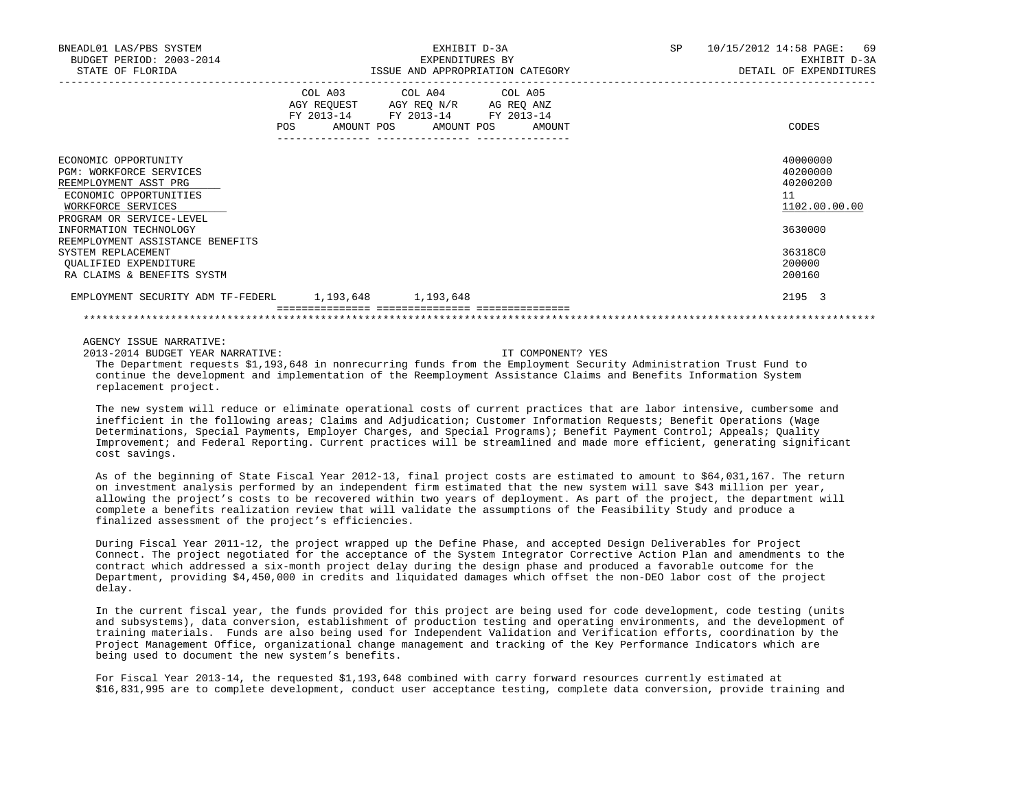| BNEADL01 LAS/PBS SYSTEM<br>BUDGET PERIOD: 2003-2014<br>STATE OF FLORIDA                                                                                     |                                                 | EXHIBIT D-3A<br>EXPENDITURES BY<br>ISSUE AND APPROPRIATION CATEGORY                                                                  | SP 10/15/2012 14:58 PAGE: | 69<br>EXHIBIT D-3A<br>DETAIL OF EXPENDITURES            |
|-------------------------------------------------------------------------------------------------------------------------------------------------------------|-------------------------------------------------|--------------------------------------------------------------------------------------------------------------------------------------|---------------------------|---------------------------------------------------------|
|                                                                                                                                                             | <b>POS</b><br>---------------- ---------------- | COL A03 COL A04 COL A05<br>AGY REQUEST AGY REQ N/R AG REQ ANZ<br>FY 2013-14 FY 2013-14 FY 2013-14<br>AMOUNT POS AMOUNT POS<br>AMOUNT |                           | CODES                                                   |
| ECONOMIC OPPORTUNITY<br><b>PGM: WORKFORCE SERVICES</b><br>REEMPLOYMENT ASST PRG<br>ECONOMIC OPPORTUNITIES<br>WORKFORCE SERVICES<br>PROGRAM OR SERVICE-LEVEL |                                                 |                                                                                                                                      |                           | 40000000<br>40200000<br>40200200<br>11<br>1102.00.00.00 |
| INFORMATION TECHNOLOGY<br>REEMPLOYMENT ASSISTANCE BENEFITS<br>SYSTEM REPLACEMENT<br>OUALIFIED EXPENDITURE<br>RA CLAIMS & BENEFITS SYSTM                     |                                                 |                                                                                                                                      |                           | 3630000<br>36318C0<br>200000<br>200160                  |
| EMPLOYMENT SECURITY ADM TF-FEDERL 1,193,648 1,193,648                                                                                                       |                                                 |                                                                                                                                      |                           | 2195 3                                                  |
|                                                                                                                                                             |                                                 |                                                                                                                                      |                           |                                                         |

2013-2014 BUDGET YEAR NARRATIVE: IT COMPONENT? YES

 The Department requests \$1,193,648 in nonrecurring funds from the Employment Security Administration Trust Fund to continue the development and implementation of the Reemployment Assistance Claims and Benefits Information System replacement project.

 The new system will reduce or eliminate operational costs of current practices that are labor intensive, cumbersome and inefficient in the following areas; Claims and Adjudication; Customer Information Requests; Benefit Operations (Wage Determinations, Special Payments, Employer Charges, and Special Programs); Benefit Payment Control; Appeals; Quality Improvement; and Federal Reporting. Current practices will be streamlined and made more efficient, generating significant cost savings.

 As of the beginning of State Fiscal Year 2012-13, final project costs are estimated to amount to \$64,031,167. The return on investment analysis performed by an independent firm estimated that the new system will save \$43 million per year, allowing the project's costs to be recovered within two years of deployment. As part of the project, the department will complete a benefits realization review that will validate the assumptions of the Feasibility Study and produce a finalized assessment of the project's efficiencies.

 During Fiscal Year 2011-12, the project wrapped up the Define Phase, and accepted Design Deliverables for Project Connect. The project negotiated for the acceptance of the System Integrator Corrective Action Plan and amendments to the contract which addressed a six-month project delay during the design phase and produced a favorable outcome for the Department, providing \$4,450,000 in credits and liquidated damages which offset the non-DEO labor cost of the project delay.

 In the current fiscal year, the funds provided for this project are being used for code development, code testing (units and subsystems), data conversion, establishment of production testing and operating environments, and the development of training materials. Funds are also being used for Independent Validation and Verification efforts, coordination by the Project Management Office, organizational change management and tracking of the Key Performance Indicators which are being used to document the new system's benefits.

 For Fiscal Year 2013-14, the requested \$1,193,648 combined with carry forward resources currently estimated at \$16,831,995 are to complete development, conduct user acceptance testing, complete data conversion, provide training and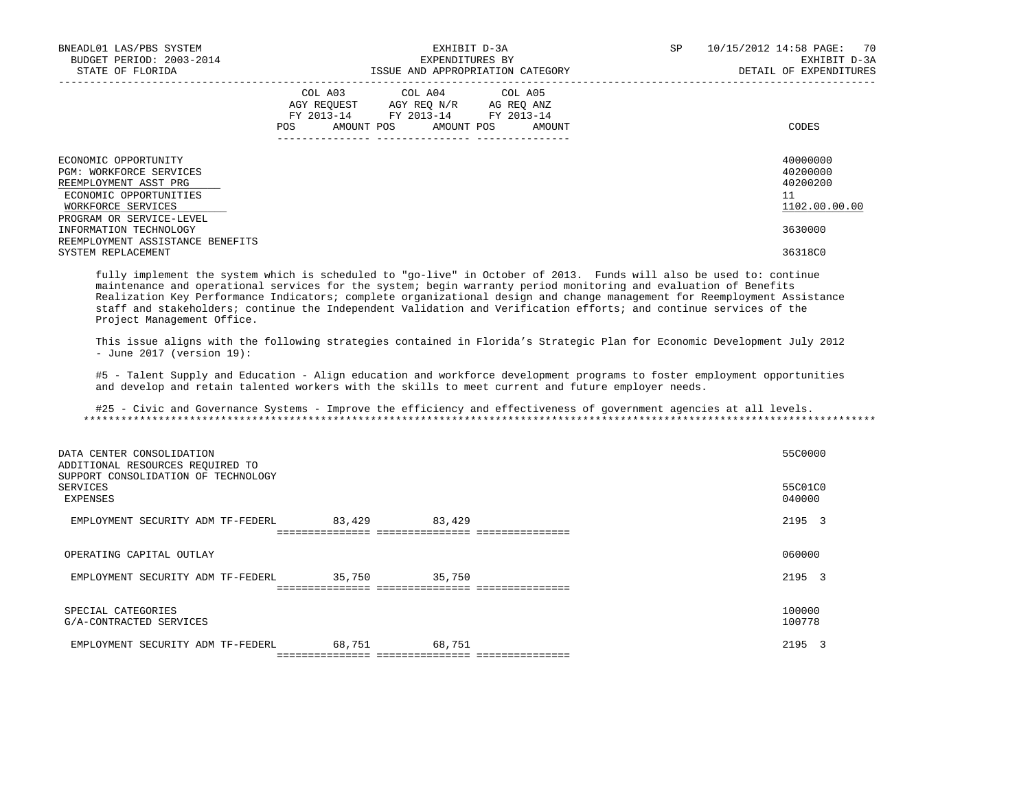| BNEADL01 LAS/PBS SYSTEM<br>BUDGET PERIOD: 2003-2014<br>STATE OF FLORIDA                                                                              | EXHIBIT D-3A<br>EXPENDITURES BY<br>ISSUE AND APPROPRIATION CATEGORY                                                                            | 70<br>SP<br>10/15/2012 14:58 PAGE:<br>EXHIBIT D-3A<br>DETAIL OF EXPENDITURES |
|------------------------------------------------------------------------------------------------------------------------------------------------------|------------------------------------------------------------------------------------------------------------------------------------------------|------------------------------------------------------------------------------|
|                                                                                                                                                      | COL A03 COL A04 COL A05<br>AGY REQUEST AGY REQ N/R AG REQ ANZ<br>FY 2013-14 FY 2013-14 FY 2013-14<br>AMOUNT POS<br>AMOUNT POS<br>POS<br>AMOUNT | CODES                                                                        |
| ECONOMIC OPPORTUNITY<br>PGM: WORKFORCE SERVICES<br>REEMPLOYMENT ASST PRG<br>ECONOMIC OPPORTUNITIES<br>WORKFORCE SERVICES<br>PROGRAM OR SERVICE-LEVEL |                                                                                                                                                | 40000000<br>40200000<br>40200200<br>11<br>1102.00.00.00                      |
| INFORMATION TECHNOLOGY<br>REEMPLOYMENT ASSISTANCE BENEFITS<br>SYSTEM REPLACEMENT                                                                     |                                                                                                                                                | 3630000<br>36318C0                                                           |

 fully implement the system which is scheduled to "go-live" in October of 2013. Funds will also be used to: continue maintenance and operational services for the system; begin warranty period monitoring and evaluation of Benefits Realization Key Performance Indicators; complete organizational design and change management for Reemployment Assistance staff and stakeholders; continue the Independent Validation and Verification efforts; and continue services of the Project Management Office.

 This issue aligns with the following strategies contained in Florida's Strategic Plan for Economic Development July 2012 - June 2017 (version 19):

 #5 - Talent Supply and Education - Align education and workforce development programs to foster employment opportunities and develop and retain talented workers with the skills to meet current and future employer needs.

| DATA CENTER CONSOLIDATION<br>ADDITIONAL RESOURCES REQUIRED TO<br>SUPPORT CONSOLIDATION OF TECHNOLOGY<br>SERVICES<br>EXPENSES |        |        | 55C0000<br>55C01C0<br>040000 |
|------------------------------------------------------------------------------------------------------------------------------|--------|--------|------------------------------|
| EMPLOYMENT SECURITY ADM TF-FEDERL                                                                                            | 83,429 | 83,429 | 2195 3                       |
| OPERATING CAPITAL OUTLAY                                                                                                     |        |        | 060000                       |
| EMPLOYMENT SECURITY ADM TF-FEDERL                                                                                            | 35,750 | 35,750 | 2195 3                       |
| SPECIAL CATEGORIES<br>G/A-CONTRACTED SERVICES                                                                                |        |        | 100000<br>100778             |
| EMPLOYMENT SECURITY ADM TF-FEDERL                                                                                            | 68,751 | 68,751 | 2195 3                       |
|                                                                                                                              |        |        |                              |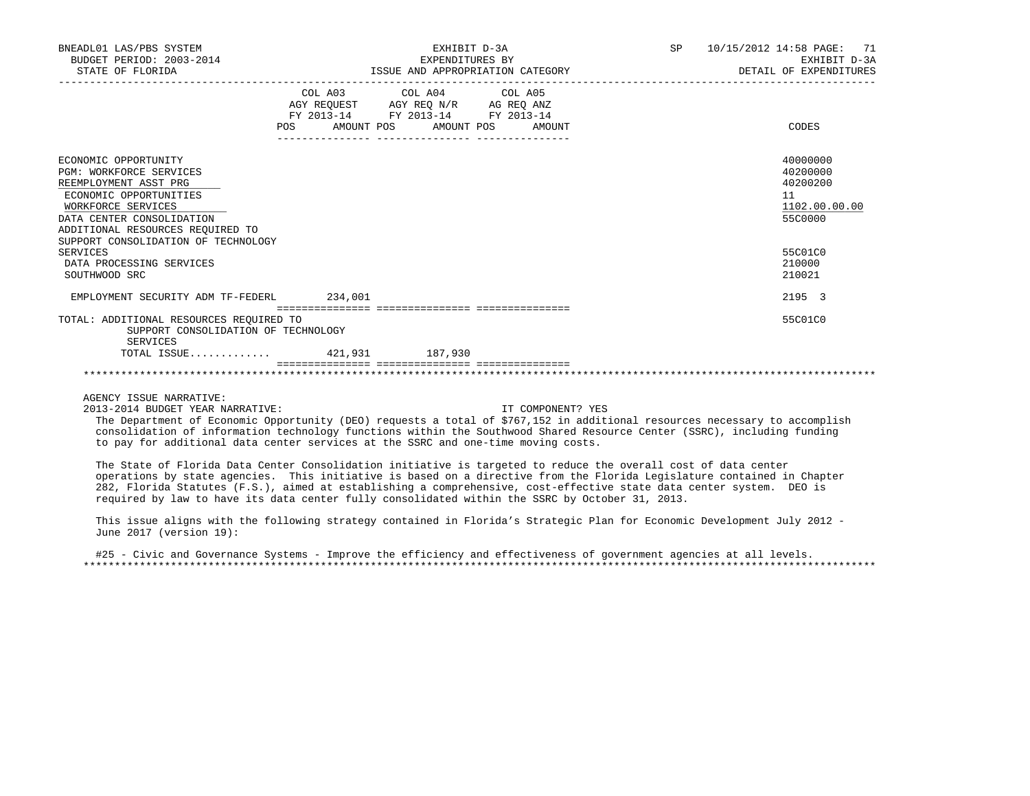| BNEADL01 LAS/PBS SYSTEM<br>BUDGET PERIOD: 2003-2014<br>STATE OF FLORIDA | EXHIBIT D-3A<br>EXPENDITURES BY<br>ISSUE AND APPROPRIATION CATEGORY    |  |                              |  | SP <sub>2</sub> | 10/15/2012 14:58 PAGE: 71<br>EXHIBIT D-3A<br>DETAIL OF EXPENDITURES |               |
|-------------------------------------------------------------------------|------------------------------------------------------------------------|--|------------------------------|--|-----------------|---------------------------------------------------------------------|---------------|
|                                                                         |                                                                        |  | COL A03 COL A04 COL A05      |  |                 |                                                                     |               |
|                                                                         | AGY REQUEST AGY REQ N/R AG REQ ANZ<br>FY 2013-14 FY 2013-14 FY 2013-14 |  |                              |  |                 |                                                                     |               |
|                                                                         |                                                                        |  |                              |  |                 |                                                                     |               |
|                                                                         | <b>POS</b>                                                             |  | AMOUNT POS AMOUNT POS AMOUNT |  |                 |                                                                     | CODES         |
| ECONOMIC OPPORTUNITY                                                    |                                                                        |  |                              |  |                 |                                                                     | 40000000      |
| <b>PGM: WORKFORCE SERVICES</b>                                          |                                                                        |  |                              |  |                 |                                                                     | 40200000      |
| REEMPLOYMENT ASST PRG                                                   |                                                                        |  |                              |  |                 |                                                                     | 40200200      |
| ECONOMIC OPPORTUNITIES                                                  |                                                                        |  |                              |  |                 |                                                                     | 11            |
| WORKFORCE SERVICES                                                      |                                                                        |  |                              |  |                 |                                                                     | 1102.00.00.00 |
| DATA CENTER CONSOLIDATION                                               |                                                                        |  |                              |  |                 |                                                                     | 55C0000       |
| ADDITIONAL RESOURCES REQUIRED TO                                        |                                                                        |  |                              |  |                 |                                                                     |               |
| SUPPORT CONSOLIDATION OF TECHNOLOGY                                     |                                                                        |  |                              |  |                 |                                                                     |               |
| SERVICES                                                                |                                                                        |  |                              |  |                 |                                                                     | 55C01C0       |
| DATA PROCESSING SERVICES                                                |                                                                        |  |                              |  |                 |                                                                     | 210000        |
| SOUTHWOOD SRC                                                           |                                                                        |  |                              |  |                 |                                                                     | 210021        |
| EMPLOYMENT SECURITY ADM TF-FEDERL 234,001                               |                                                                        |  |                              |  |                 |                                                                     | 2195 3        |
|                                                                         |                                                                        |  |                              |  |                 |                                                                     |               |
| TOTAL: ADDITIONAL RESOURCES REQUIRED TO                                 |                                                                        |  |                              |  |                 |                                                                     | 55C01C0       |
| SUPPORT CONSOLIDATION OF TECHNOLOGY<br>SERVICES                         |                                                                        |  |                              |  |                 |                                                                     |               |
| TOTAL ISSUE 421,931 187,930                                             |                                                                        |  |                              |  |                 |                                                                     |               |
|                                                                         |                                                                        |  |                              |  |                 |                                                                     |               |

2013-2014 BUDGET YEAR NARRATIVE: IT COMPONENT? YES

 The Department of Economic Opportunity (DEO) requests a total of \$767,152 in additional resources necessary to accomplish consolidation of information technology functions within the Southwood Shared Resource Center (SSRC), including funding to pay for additional data center services at the SSRC and one-time moving costs.

 The State of Florida Data Center Consolidation initiative is targeted to reduce the overall cost of data center operations by state agencies. This initiative is based on a directive from the Florida Legislature contained in Chapter 282, Florida Statutes (F.S.), aimed at establishing a comprehensive, cost-effective state data center system. DEO is required by law to have its data center fully consolidated within the SSRC by October 31, 2013.

 This issue aligns with the following strategy contained in Florida's Strategic Plan for Economic Development July 2012 - June 2017 (version 19):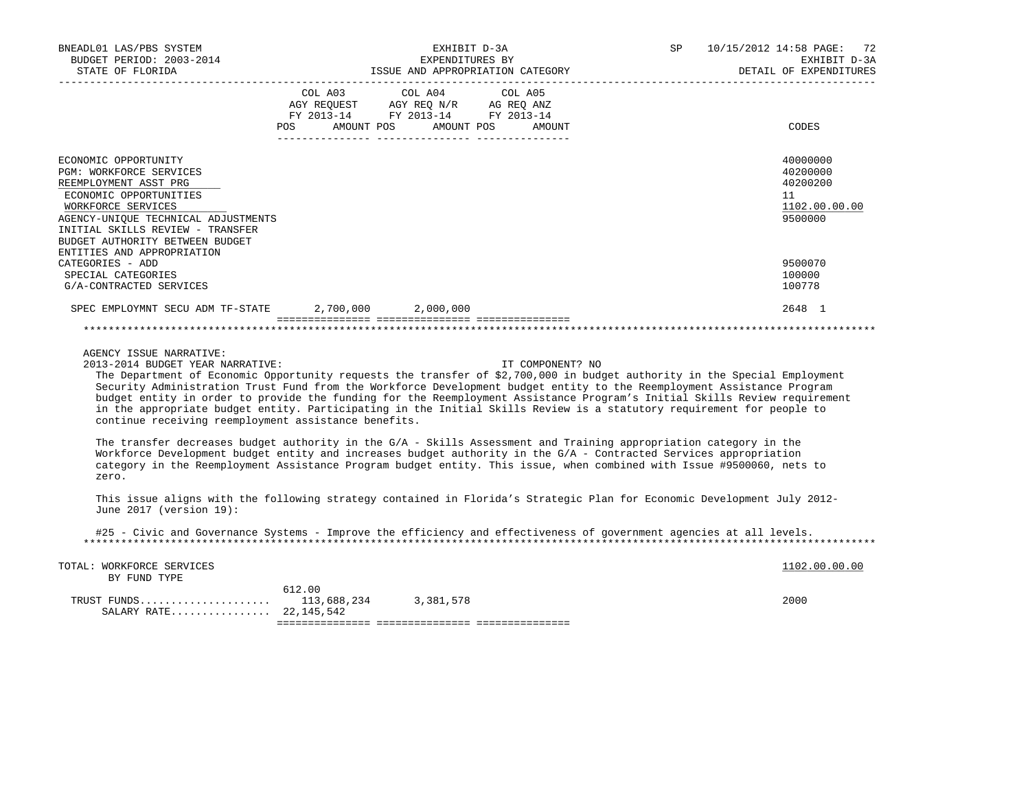| BNEADL01 LAS/PBS SYSTEM<br>BUDGET PERIOD: 2003-2014<br>STATE OF FLORIDA                                                                                                                                                                                                                                                                                                                                                                                                                                                                                                                                                          | EXHIBIT D-3A<br>EXPENDITURES BY<br>ISSUE AND APPROPRIATION CATEGORY                                                   |         |         |                  | SP | 10/15/2012 14:58 PAGE:<br>-72<br>EXHIBIT D-3A<br>DETAIL OF EXPENDITURES |
|----------------------------------------------------------------------------------------------------------------------------------------------------------------------------------------------------------------------------------------------------------------------------------------------------------------------------------------------------------------------------------------------------------------------------------------------------------------------------------------------------------------------------------------------------------------------------------------------------------------------------------|-----------------------------------------------------------------------------------------------------------------------|---------|---------|------------------|----|-------------------------------------------------------------------------|
|                                                                                                                                                                                                                                                                                                                                                                                                                                                                                                                                                                                                                                  | COL A03<br>AGY REQUEST AGY REQ N/R AG REQ ANZ<br>FY 2013-14 FY 2013-14 FY 2013-14<br>POS AMOUNT POS AMOUNT POS AMOUNT | COL A04 | COL A05 |                  |    | CODES                                                                   |
| ECONOMIC OPPORTUNITY<br>PGM: WORKFORCE SERVICES<br>REEMPLOYMENT ASST PRG<br>ECONOMIC OPPORTUNITIES<br>WORKFORCE SERVICES<br>AGENCY-UNIQUE TECHNICAL ADJUSTMENTS<br>INITIAL SKILLS REVIEW - TRANSFER<br>BUDGET AUTHORITY BETWEEN BUDGET                                                                                                                                                                                                                                                                                                                                                                                           |                                                                                                                       |         |         |                  |    | 40000000<br>40200000<br>40200200<br>11<br>1102.00.00.00<br>9500000      |
| ENTITIES AND APPROPRIATION<br>CATEGORIES - ADD<br>SPECIAL CATEGORIES<br>G/A-CONTRACTED SERVICES                                                                                                                                                                                                                                                                                                                                                                                                                                                                                                                                  |                                                                                                                       |         |         |                  |    | 9500070<br>100000<br>100778                                             |
| SPEC EMPLOYMNT SECU ADM TF-STATE 2,700,000 2,000,000                                                                                                                                                                                                                                                                                                                                                                                                                                                                                                                                                                             |                                                                                                                       |         |         |                  |    | 2648 1                                                                  |
| AGENCY ISSUE NARRATIVE:<br>2013-2014 BUDGET YEAR NARRATIVE:<br>The Department of Economic Opportunity requests the transfer of \$2,700,000 in budget authority in the Special Employment<br>Security Administration Trust Fund from the Workforce Development budget entity to the Reemployment Assistance Program<br>budget entity in order to provide the funding for the Reemployment Assistance Program's Initial Skills Review requirement<br>in the appropriate budget entity. Participating in the Initial Skills Review is a statutory requirement for people to<br>continue receiving reemployment assistance benefits. |                                                                                                                       |         |         | IT COMPONENT? NO |    |                                                                         |
| The transfer decreases budget authority in the $G/A$ - Skills Assessment and Training appropriation category in the<br>Workforce Development budget entity and increases budget authority in the G/A - Contracted Services appropriation<br>category in the Reemployment Assistance Program budget entity. This issue, when combined with Issue #9500060, nets to<br>zero.                                                                                                                                                                                                                                                       |                                                                                                                       |         |         |                  |    |                                                                         |
| This issue aligns with the following strategy contained in Florida's Strategic Plan for Economic Development July 2012-<br>June 2017 (version 19):                                                                                                                                                                                                                                                                                                                                                                                                                                                                               |                                                                                                                       |         |         |                  |    |                                                                         |
| #25 - Civic and Governance Systems - Improve the efficiency and effectiveness of government agencies at all levels.                                                                                                                                                                                                                                                                                                                                                                                                                                                                                                              |                                                                                                                       |         |         |                  |    |                                                                         |
| TOTAL: WORKFORCE SERVICES<br>BY FUND TYPE                                                                                                                                                                                                                                                                                                                                                                                                                                                                                                                                                                                        | 612.00                                                                                                                |         |         |                  |    | 1102.00.00.00<br>2000                                                   |
| SALARY RATE 22,145,542                                                                                                                                                                                                                                                                                                                                                                                                                                                                                                                                                                                                           |                                                                                                                       |         |         |                  |    |                                                                         |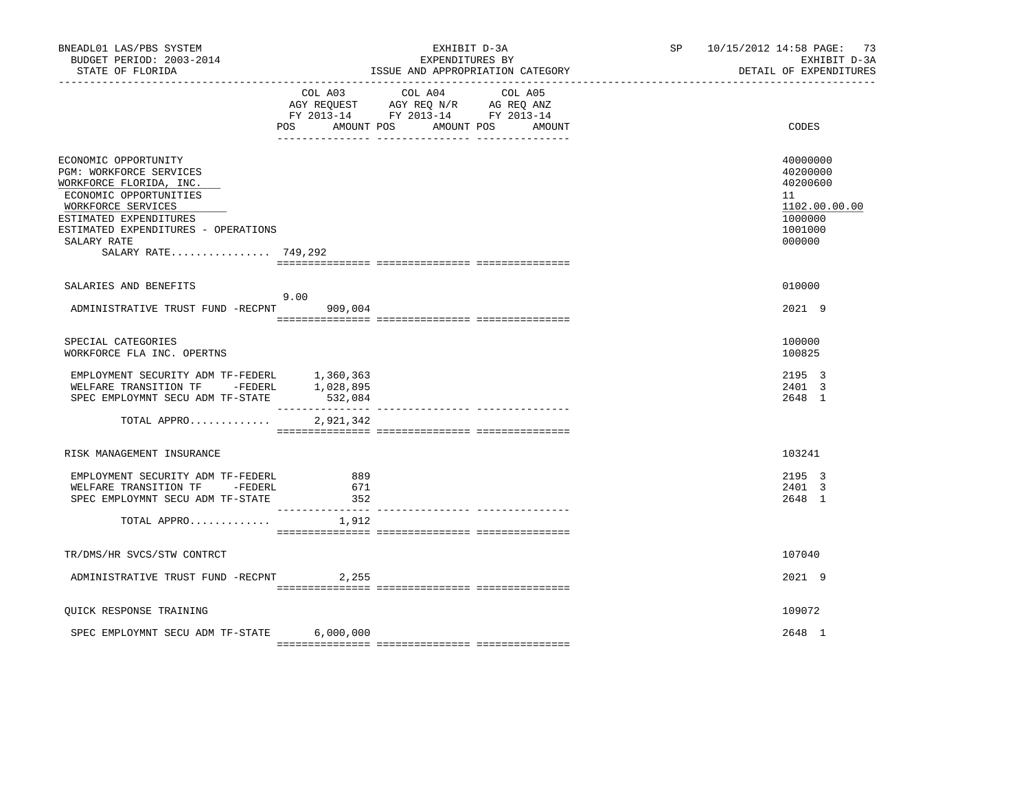| BNEADL01 LAS/PBS SYSTEM<br>BUDGET PERIOD: 2003-2014<br>STATE OF FLORIDA                                                                                                                                                           |                   | EXHIBIT D-3A<br>EXPENDITURES BY<br>ISSUE AND APPROPRIATION CATEGORY                                                                                                                                                                             | SP and the set of the set of the set of the set of the set of the set of the set of the set of the set of the set of the set of the set of the set of the set of the set of the set of the set of the set of the set of the se | 10/15/2012 14:58 PAGE: 73<br>EXHIBIT D-3A<br>DETAIL OF EXPENDITURES                     |
|-----------------------------------------------------------------------------------------------------------------------------------------------------------------------------------------------------------------------------------|-------------------|-------------------------------------------------------------------------------------------------------------------------------------------------------------------------------------------------------------------------------------------------|--------------------------------------------------------------------------------------------------------------------------------------------------------------------------------------------------------------------------------|-----------------------------------------------------------------------------------------|
|                                                                                                                                                                                                                                   | POS AMOUNT POS    | COL A03 COL A04 COL A05<br>$\begin{tabular}{lllllll} AGY & \texttt{REQUEST} & \texttt{AGY} & \texttt{REG} & \texttt{N/R} & \texttt{AG} & \texttt{REQ} & \texttt{ANZ} \end{tabular}$<br>FY 2013-14 FY 2013-14 FY 2013-14<br>AMOUNT POS<br>AMOUNT |                                                                                                                                                                                                                                | CODES                                                                                   |
| ECONOMIC OPPORTUNITY<br>PGM: WORKFORCE SERVICES<br>WORKFORCE FLORIDA, INC.<br>ECONOMIC OPPORTUNITIES<br>WORKFORCE SERVICES<br>ESTIMATED EXPENDITURES<br>ESTIMATED EXPENDITURES - OPERATIONS<br>SALARY RATE<br>SALARY RATE 749,292 |                   |                                                                                                                                                                                                                                                 |                                                                                                                                                                                                                                | 40000000<br>40200000<br>40200600<br>11<br>1102.00.00.00<br>1000000<br>1001000<br>000000 |
| SALARIES AND BENEFITS                                                                                                                                                                                                             | 9.00              |                                                                                                                                                                                                                                                 |                                                                                                                                                                                                                                | 010000                                                                                  |
| ADMINISTRATIVE TRUST FUND -RECPNT                                                                                                                                                                                                 | 909,004           |                                                                                                                                                                                                                                                 |                                                                                                                                                                                                                                | 2021 9                                                                                  |
| SPECIAL CATEGORIES<br>WORKFORCE FLA INC. OPERTNS                                                                                                                                                                                  |                   |                                                                                                                                                                                                                                                 |                                                                                                                                                                                                                                | 100000<br>100825                                                                        |
| EMPLOYMENT SECURITY ADM TF-FEDERL $1,360,363$<br>WELFARE TRANSITION TF -FEDERL $1,028,895$<br>SPEC EMPLOYMNT SECU ADM TF-STATE                                                                                                    | 532,084           |                                                                                                                                                                                                                                                 |                                                                                                                                                                                                                                | 2195 3<br>2401 3<br>2648 1                                                              |
| TOTAL APPRO                                                                                                                                                                                                                       | 2,921,342         |                                                                                                                                                                                                                                                 |                                                                                                                                                                                                                                |                                                                                         |
| RISK MANAGEMENT INSURANCE                                                                                                                                                                                                         |                   |                                                                                                                                                                                                                                                 |                                                                                                                                                                                                                                | 103241                                                                                  |
| EMPLOYMENT SECURITY ADM TF-FEDERL<br>WELFARE TRANSITION TF - FEDERL<br>SPEC EMPLOYMNT SECU ADM TF-STATE                                                                                                                           | 889<br>671<br>352 |                                                                                                                                                                                                                                                 |                                                                                                                                                                                                                                | 2195 3<br>2401 3<br>2648 1                                                              |
| TOTAL APPRO $1,912$                                                                                                                                                                                                               |                   |                                                                                                                                                                                                                                                 |                                                                                                                                                                                                                                |                                                                                         |
| TR/DMS/HR SVCS/STW CONTRCT                                                                                                                                                                                                        |                   |                                                                                                                                                                                                                                                 |                                                                                                                                                                                                                                | 107040                                                                                  |
| ADMINISTRATIVE TRUST FUND -RECPNT 2,255                                                                                                                                                                                           |                   |                                                                                                                                                                                                                                                 |                                                                                                                                                                                                                                | 2021 9                                                                                  |
| QUICK RESPONSE TRAINING                                                                                                                                                                                                           |                   |                                                                                                                                                                                                                                                 |                                                                                                                                                                                                                                | 109072                                                                                  |
| SPEC EMPLOYMNT SECU ADM TF-STATE                                                                                                                                                                                                  | 6,000,000         |                                                                                                                                                                                                                                                 |                                                                                                                                                                                                                                | 2648 1                                                                                  |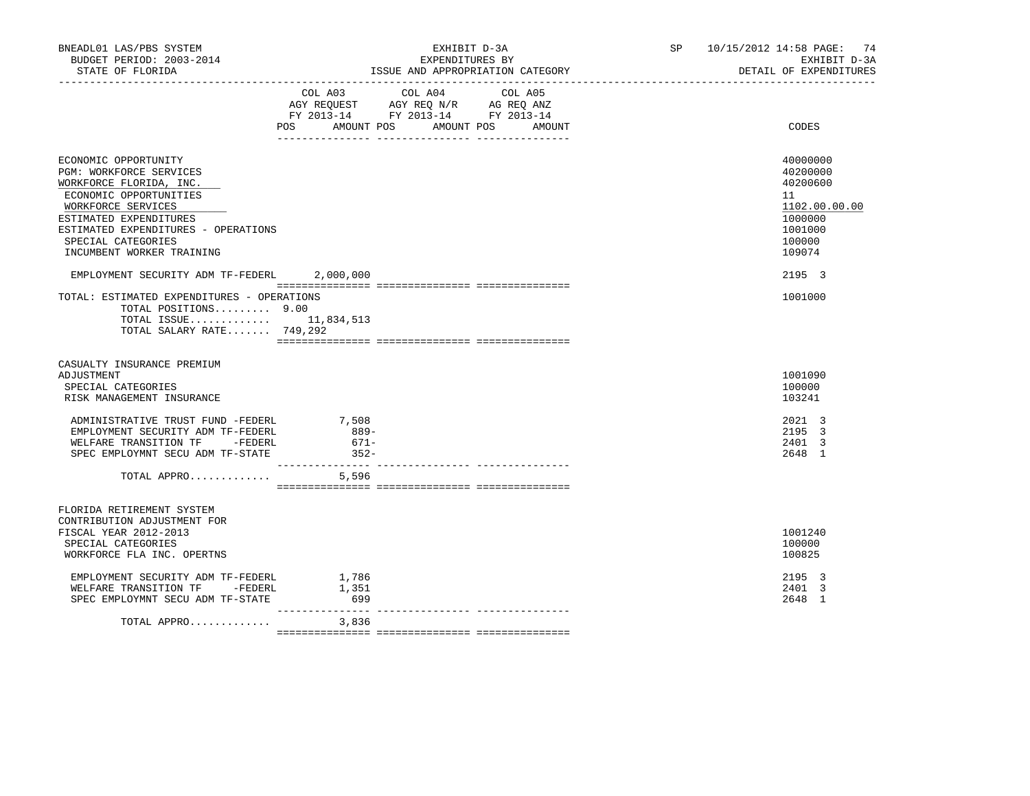| BNEADL01 LAS/PBS SYSTEM<br>BUDGET PERIOD: 2003-2014<br>STATE OF FLORIDA                                                                                                                                                                                                                       | EXHIBIT D-3A<br>EXPENDITURES BY<br>ISSUE AND APPROPRIATION CATEGORY                                                                      | SP 10/15/2012 14:58 PAGE: 74<br>EXHIBIT D-3A<br>DETAIL OF EXPENDITURES                                      |
|-----------------------------------------------------------------------------------------------------------------------------------------------------------------------------------------------------------------------------------------------------------------------------------------------|------------------------------------------------------------------------------------------------------------------------------------------|-------------------------------------------------------------------------------------------------------------|
|                                                                                                                                                                                                                                                                                               | COL A03 COL A04<br>COL A05<br>AGY REQUEST AGY REQ N/R AG REQ ANZ<br>FY 2013-14 FY 2013-14 FY 2013-14<br>POS AMOUNT POS AMOUNT POS AMOUNT | <b>CODES</b>                                                                                                |
| ECONOMIC OPPORTUNITY<br>PGM: WORKFORCE SERVICES<br>WORKFORCE FLORIDA, INC.<br>ECONOMIC OPPORTUNITIES<br>WORKFORCE SERVICES<br>ESTIMATED EXPENDITURES<br>ESTIMATED EXPENDITURES - OPERATIONS<br>SPECIAL CATEGORIES<br>INCUMBENT WORKER TRAINING<br>EMPLOYMENT SECURITY ADM TF-FEDERL 2,000,000 |                                                                                                                                          | 40000000<br>40200000<br>40200600<br>11<br>1102.00.00.00<br>1000000<br>1001000<br>100000<br>109074<br>2195 3 |
| TOTAL: ESTIMATED EXPENDITURES - OPERATIONS<br>TOTAL POSITIONS 9.00<br>TOTAL ISSUE 11,834,513<br>TOTAL SALARY RATE 749,292                                                                                                                                                                     |                                                                                                                                          | 1001000                                                                                                     |
| CASUALTY INSURANCE PREMIUM<br>ADJUSTMENT<br>SPECIAL CATEGORIES<br>RISK MANAGEMENT INSURANCE                                                                                                                                                                                                   |                                                                                                                                          | 1001090<br>100000<br>103241                                                                                 |
| ADMINISTRATIVE TRUST FUND -FEDERL<br>EMPLOYMENT SECURITY ADM TF-FEDERL<br>WELFARE TRANSITION TF -FEDERL<br>SPEC EMPLOYMNT SECU ADM TF-STATE<br>$\texttt{TOTAL}$ APPRO $\dots\dots\dots\dots$                                                                                                  | 7,508<br>889-<br>671-<br>$352 -$                                                                                                         | 2021 3<br>2195 3<br>2401 3<br>2648 1                                                                        |
| FLORIDA RETIREMENT SYSTEM<br>CONTRIBUTION ADJUSTMENT FOR<br>FISCAL YEAR 2012-2013<br>SPECIAL CATEGORIES<br>WORKFORCE FLA INC. OPERTNS<br>EMPLOYMENT SECURITY ADM TF-FEDERL<br>WELFARE TRANSITION TF -FEDERL<br>SPEC EMPLOYMNT SECU ADM TF-STATE                                               | 1,786<br>1,351<br>699                                                                                                                    | 1001240<br>100000<br>100825<br>2195 3<br>2401 3<br>2648 1                                                   |
| TOTAL APPRO                                                                                                                                                                                                                                                                                   | _______________<br>3,836                                                                                                                 |                                                                                                             |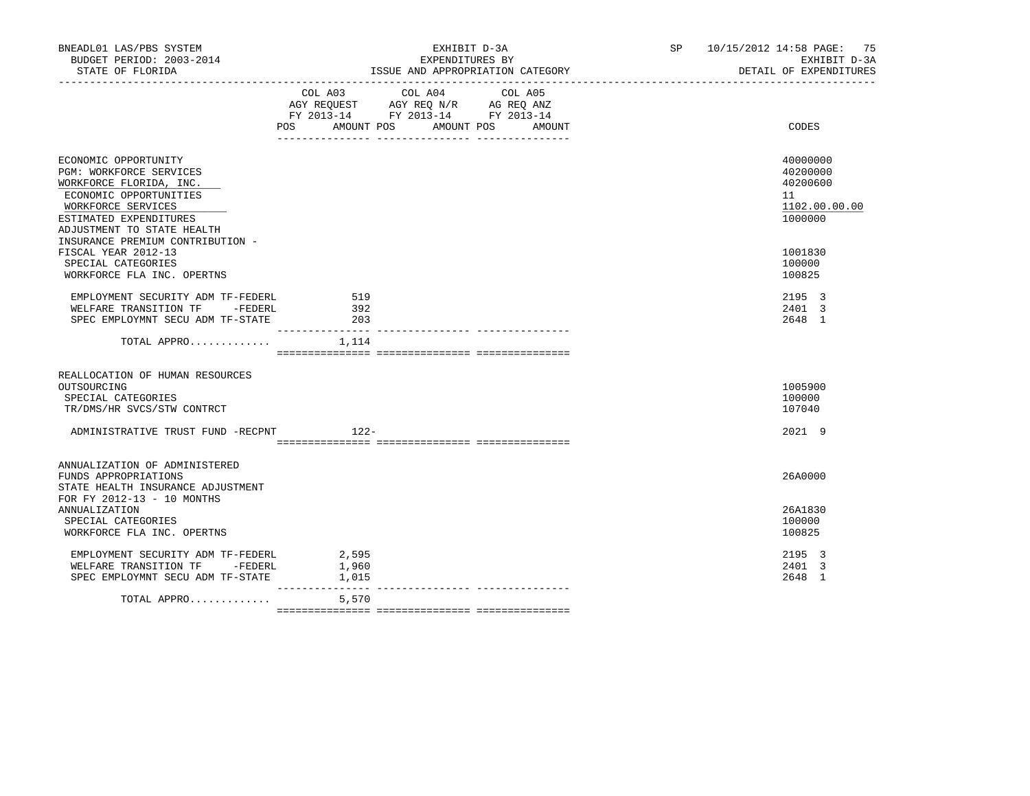| BNEADL01 LAS/PBS SYSTEM<br>BUDGET PERIOD: 2003-2014<br>STATE OF FLORIDA                                                                                                            | EXHIBIT D-3A<br>EXPENDITURES BY<br>ISSUE AND APPROPRIATION CATEGORY<br>_________________________________                                    | SP 10/15/2012 14:58 PAGE: 75<br>EXHIBIT D-3A<br>DETAIL OF EXPENDITURES |
|------------------------------------------------------------------------------------------------------------------------------------------------------------------------------------|---------------------------------------------------------------------------------------------------------------------------------------------|------------------------------------------------------------------------|
|                                                                                                                                                                                    | COL A03<br>COL A04<br>COL A05<br>AGY REQUEST AGY REQ N/R AG REQ ANZ<br>FY 2013-14 FY 2013-14 FY 2013-14<br>POS AMOUNT POS AMOUNT POS AMOUNT | <b>CODES</b>                                                           |
| ECONOMIC OPPORTUNITY<br>PGM: WORKFORCE SERVICES<br>WORKFORCE FLORIDA, INC.<br>ECONOMIC OPPORTUNITIES<br>WORKFORCE SERVICES<br>ESTIMATED EXPENDITURES<br>ADJUSTMENT TO STATE HEALTH |                                                                                                                                             | 40000000<br>40200000<br>40200600<br>11<br>1102.00.00.00<br>1000000     |
| INSURANCE PREMIUM CONTRIBUTION -<br>FISCAL YEAR 2012-13<br>SPECIAL CATEGORIES<br>WORKFORCE FLA INC. OPERTNS                                                                        |                                                                                                                                             | 1001830<br>100000<br>100825                                            |
| EMPLOYMENT SECURITY ADM TF-FEDERL<br>WELFARE TRANSITION TF -FEDERL<br>SPEC EMPLOYMNT SECU ADM TF-STATE                                                                             | 519<br>392<br>203                                                                                                                           | 2195 3<br>2401 3<br>2648 1                                             |
| TOTAL APPRO $1,114$                                                                                                                                                                |                                                                                                                                             |                                                                        |
| REALLOCATION OF HUMAN RESOURCES<br>OUTSOURCING<br>SPECIAL CATEGORIES<br>TR/DMS/HR SVCS/STW CONTRCT<br>ADMINISTRATIVE TRUST FUND -RECPNT                                            | $122-$                                                                                                                                      | 1005900<br>100000<br>107040<br>2021 9                                  |
| ANNUALIZATION OF ADMINISTERED<br>FUNDS APPROPRIATIONS<br>STATE HEALTH INSURANCE ADJUSTMENT<br>FOR FY 2012-13 - 10 MONTHS                                                           |                                                                                                                                             | 26A0000                                                                |
| <b>ANNUALIZATION</b><br>SPECIAL CATEGORIES<br>WORKFORCE FLA INC. OPERTNS                                                                                                           |                                                                                                                                             | 26A1830<br>100000<br>100825                                            |
| EMPLOYMENT SECURITY ADM TF-FEDERL<br>WELFARE TRANSITION TF -FEDERL<br>SPEC EMPLOYMNT SECU ADM TF-STATE                                                                             | 2,595<br>1,960<br>1,015                                                                                                                     | 2195 3<br>2401 3<br>2648 1                                             |
| TOTAL APPRO                                                                                                                                                                        | ____________<br>5,570                                                                                                                       |                                                                        |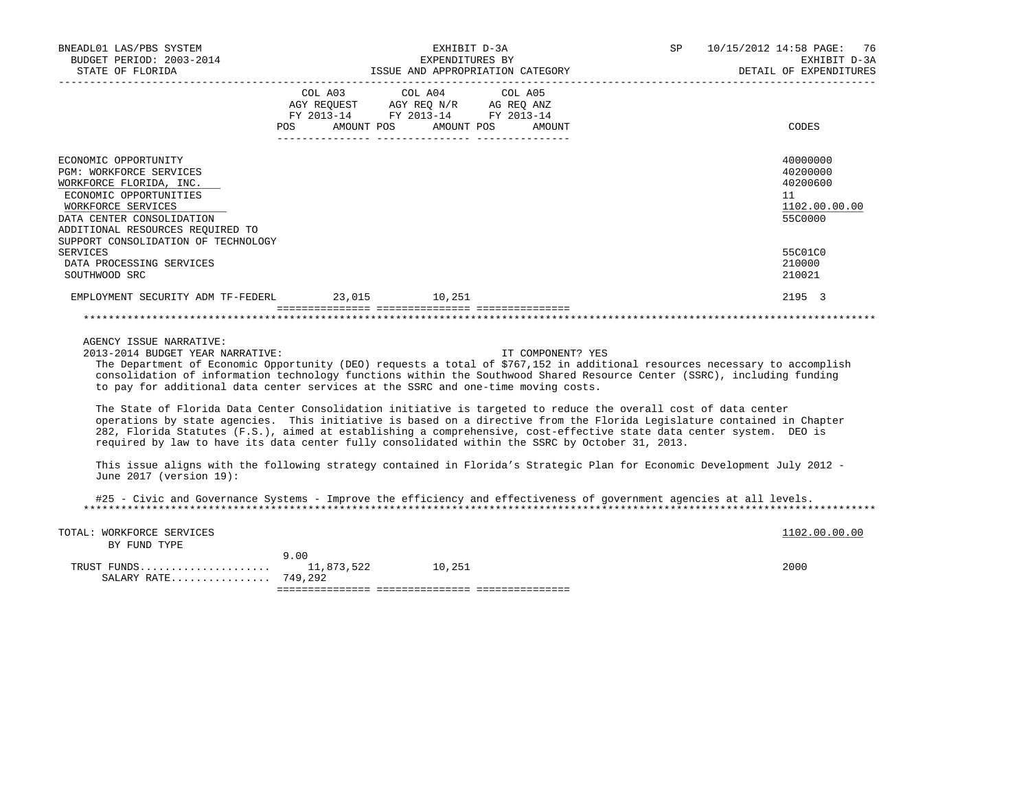| BNEADL01 LAS/PBS SYSTEM<br>BUDGET PERIOD: 2003-2014<br>STATE OF FLORIDA<br>--------------------                                                                                                                                                                                                                                                                                                                                                                                                                                                                                                                                                                                                                                                                                                                                                                                                                                                                                                                                           |                       | EXPENDITURES BY                                                                                                                                                                                                               | EXHIBIT D-3A<br>ISSUE AND APPROPRIATION CATEGORY | SP | 10/15/2012 14:58 PAGE:<br>76<br>EXHIBIT D-3A<br>DETAIL OF EXPENDITURES |
|-------------------------------------------------------------------------------------------------------------------------------------------------------------------------------------------------------------------------------------------------------------------------------------------------------------------------------------------------------------------------------------------------------------------------------------------------------------------------------------------------------------------------------------------------------------------------------------------------------------------------------------------------------------------------------------------------------------------------------------------------------------------------------------------------------------------------------------------------------------------------------------------------------------------------------------------------------------------------------------------------------------------------------------------|-----------------------|-------------------------------------------------------------------------------------------------------------------------------------------------------------------------------------------------------------------------------|--------------------------------------------------|----|------------------------------------------------------------------------|
|                                                                                                                                                                                                                                                                                                                                                                                                                                                                                                                                                                                                                                                                                                                                                                                                                                                                                                                                                                                                                                           | COL A03<br><b>POS</b> | COL A04<br>$\begin{tabular}{lllllllll} \bf AGY & \bf REQUEST & \bf AGY & \bf REQ & \tt M/R & \tt AG & \tt REQ & \tt ANZ \\ \bf FY & \tt 2013-14 & \tt FY & \tt 2013-14 & \tt FY & \tt 2013-14 \\ \end{tabular}$<br>AMOUNT POS | COL A05<br>AMOUNT POS<br>AMOUNT                  |    | CODES                                                                  |
| ECONOMIC OPPORTUNITY<br>PGM: WORKFORCE SERVICES<br>WORKFORCE FLORIDA, INC.<br>ECONOMIC OPPORTUNITIES<br>WORKFORCE SERVICES<br>DATA CENTER CONSOLIDATION<br>ADDITIONAL RESOURCES REQUIRED TO                                                                                                                                                                                                                                                                                                                                                                                                                                                                                                                                                                                                                                                                                                                                                                                                                                               |                       |                                                                                                                                                                                                                               |                                                  |    | 40000000<br>40200000<br>40200600<br>11<br>1102.00.00.00<br>55C0000     |
| SUPPORT CONSOLIDATION OF TECHNOLOGY<br><b>SERVICES</b><br>DATA PROCESSING SERVICES<br>SOUTHWOOD SRC                                                                                                                                                                                                                                                                                                                                                                                                                                                                                                                                                                                                                                                                                                                                                                                                                                                                                                                                       |                       |                                                                                                                                                                                                                               |                                                  |    | 55C01C0<br>210000<br>210021                                            |
| EMPLOYMENT SECURITY ADM TF-FEDERL 23,015 10,251                                                                                                                                                                                                                                                                                                                                                                                                                                                                                                                                                                                                                                                                                                                                                                                                                                                                                                                                                                                           |                       |                                                                                                                                                                                                                               |                                                  |    | 2195 3                                                                 |
| AGENCY ISSUE NARRATIVE:<br>2013-2014 BUDGET YEAR NARRATIVE:<br>The Department of Economic Opportunity (DEO) requests a total of \$767,152 in additional resources necessary to accomplish<br>consolidation of information technology functions within the Southwood Shared Resource Center (SSRC), including funding<br>to pay for additional data center services at the SSRC and one-time moving costs.<br>The State of Florida Data Center Consolidation initiative is targeted to reduce the overall cost of data center<br>operations by state agencies. This initiative is based on a directive from the Florida Legislature contained in Chapter<br>282, Florida Statutes (F.S.), aimed at establishing a comprehensive, cost-effective state data center system. DEO is<br>required by law to have its data center fully consolidated within the SSRC by October 31, 2013.<br>This issue aligns with the following strategy contained in Florida's Strategic Plan for Economic Development July 2012 -<br>June 2017 (version 19): |                       |                                                                                                                                                                                                                               | IT COMPONENT? YES                                |    |                                                                        |
| #25 - Civic and Governance Systems - Improve the efficiency and effectiveness of government agencies at all levels.                                                                                                                                                                                                                                                                                                                                                                                                                                                                                                                                                                                                                                                                                                                                                                                                                                                                                                                       |                       |                                                                                                                                                                                                                               |                                                  |    |                                                                        |
| TOTAL: WORKFORCE SERVICES<br>BY FUND TYPE                                                                                                                                                                                                                                                                                                                                                                                                                                                                                                                                                                                                                                                                                                                                                                                                                                                                                                                                                                                                 | 9.00                  |                                                                                                                                                                                                                               |                                                  |    | 1102.00.00.00                                                          |
| SALARY RATE 749,292                                                                                                                                                                                                                                                                                                                                                                                                                                                                                                                                                                                                                                                                                                                                                                                                                                                                                                                                                                                                                       |                       |                                                                                                                                                                                                                               |                                                  |    | 2000                                                                   |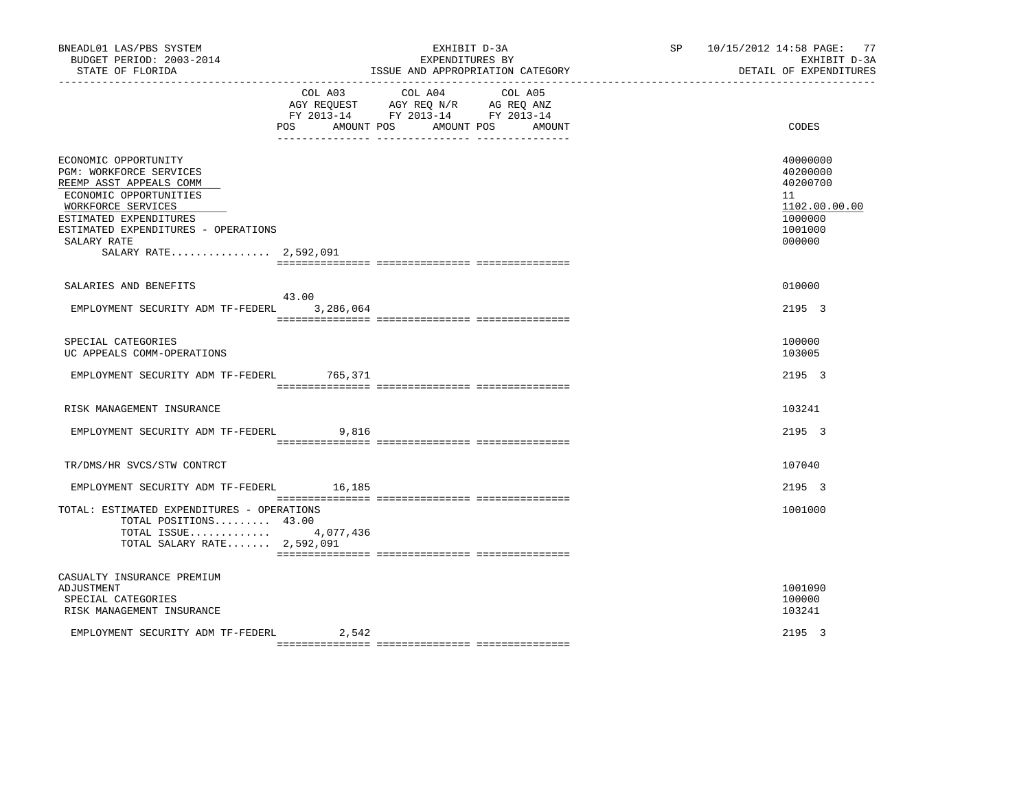| BNEADL01 LAS/PBS SYSTEM<br>BUDGET PERIOD: 2003-2014<br>STATE OF FLORIDA                                                                                                                                                                    |                       | EXHIBIT D-3A<br>EXPENDITURES BY<br>ISSUE AND APPROPRIATION CATEGORY                               | SP 10/15/2012 14:58 PAGE: 77<br>EXHIBIT D-3A<br>DETAIL OF EXPENDITURES |                                                                                         |
|--------------------------------------------------------------------------------------------------------------------------------------------------------------------------------------------------------------------------------------------|-----------------------|---------------------------------------------------------------------------------------------------|------------------------------------------------------------------------|-----------------------------------------------------------------------------------------|
|                                                                                                                                                                                                                                            | POS FOR<br>AMOUNT POS | COL A03 COL A04 COL A05<br>AGY REQUEST AGY REQ N/R AG REQ ANZ<br>FY 2013-14 FY 2013-14 FY 2013-14 | AMOUNT POS<br>AMOUNT                                                   | CODES                                                                                   |
| ECONOMIC OPPORTUNITY<br><b>PGM: WORKFORCE SERVICES</b><br>REEMP ASST APPEALS COMM<br>ECONOMIC OPPORTUNITIES<br>WORKFORCE SERVICES<br>ESTIMATED EXPENDITURES<br>ESTIMATED EXPENDITURES - OPERATIONS<br>SALARY RATE<br>SALARY RATE 2,592,091 |                       |                                                                                                   |                                                                        | 40000000<br>40200000<br>40200700<br>11<br>1102.00.00.00<br>1000000<br>1001000<br>000000 |
| SALARIES AND BENEFITS                                                                                                                                                                                                                      | 43.00                 |                                                                                                   |                                                                        | 010000                                                                                  |
| EMPLOYMENT SECURITY ADM TF-FEDERL 3,286,064                                                                                                                                                                                                |                       |                                                                                                   |                                                                        | 2195 3                                                                                  |
| SPECIAL CATEGORIES<br>UC APPEALS COMM-OPERATIONS                                                                                                                                                                                           |                       |                                                                                                   |                                                                        | 100000<br>103005                                                                        |
| EMPLOYMENT SECURITY ADM TF-FEDERL                                                                                                                                                                                                          | 765,371               |                                                                                                   |                                                                        | 2195 3                                                                                  |
| RISK MANAGEMENT INSURANCE                                                                                                                                                                                                                  |                       |                                                                                                   |                                                                        | 103241                                                                                  |
| EMPLOYMENT SECURITY ADM TF-FEDERL 9,816                                                                                                                                                                                                    |                       |                                                                                                   |                                                                        | 2195 3                                                                                  |
| TR/DMS/HR SVCS/STW CONTRCT                                                                                                                                                                                                                 |                       |                                                                                                   |                                                                        | 107040                                                                                  |
| EMPLOYMENT SECURITY ADM TF-FEDERL 16,185                                                                                                                                                                                                   |                       |                                                                                                   |                                                                        | 2195 3                                                                                  |
| TOTAL: ESTIMATED EXPENDITURES - OPERATIONS<br>TOTAL POSITIONS 43.00<br>TOTAL ISSUE 4,077,436<br>TOTAL SALARY RATE 2,592,091                                                                                                                |                       |                                                                                                   |                                                                        | 1001000                                                                                 |
| CASUALTY INSURANCE PREMIUM<br>ADJUSTMENT<br>SPECIAL CATEGORIES<br>RISK MANAGEMENT INSURANCE                                                                                                                                                |                       |                                                                                                   |                                                                        | 1001090<br>100000<br>103241                                                             |
| EMPLOYMENT SECURITY ADM TF-FEDERL                                                                                                                                                                                                          | 2,542                 |                                                                                                   |                                                                        | 2195 3                                                                                  |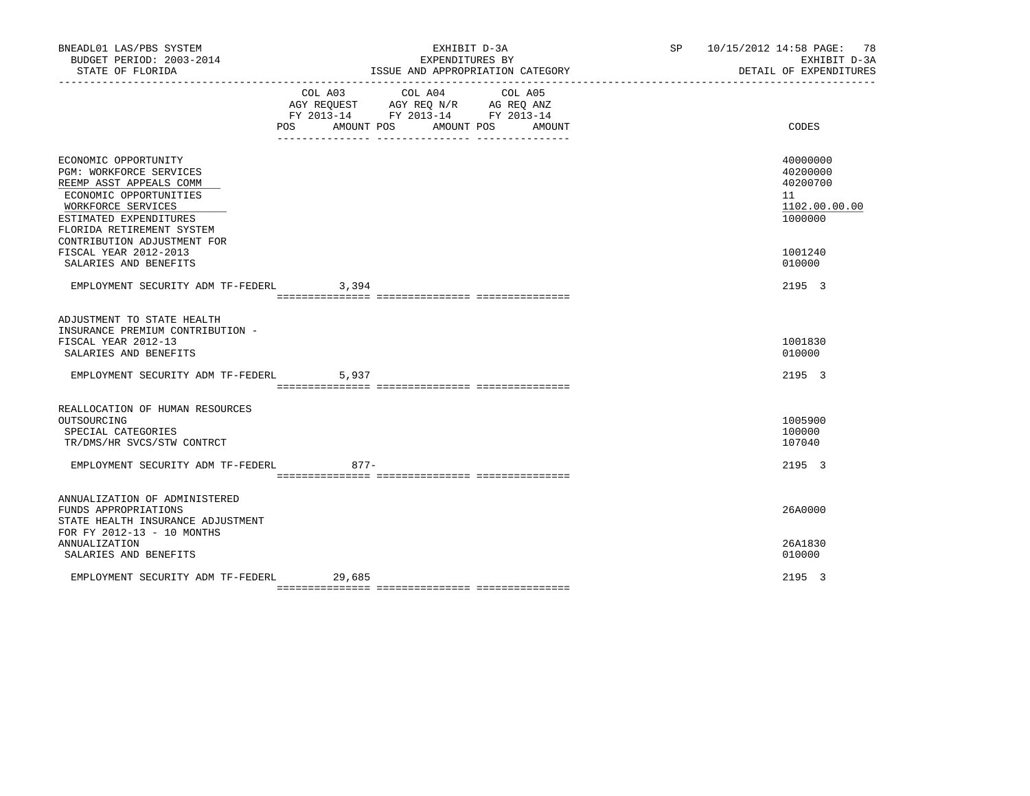| BNEADL01 LAS/PBS SYSTEM<br>BUDGET PERIOD: 2003-2014<br>STATE OF FLORIDA                                                                                                                                                 |         | EXHIBIT D-3A<br>EXPENDITURES BY<br>ISSUE AND APPROPRIATION CATEGORY                                            | SP 10/15/2012 14:58 PAGE: 78<br>EXHIBIT D-3A<br>DETAIL OF EXPENDITURES |                                                                    |
|-------------------------------------------------------------------------------------------------------------------------------------------------------------------------------------------------------------------------|---------|----------------------------------------------------------------------------------------------------------------|------------------------------------------------------------------------|--------------------------------------------------------------------|
|                                                                                                                                                                                                                         | COL A03 | COL A04<br>AGY REQUEST AGY REQ N/R AG REQ ANZ<br>FY 2013-14 FY 2013-14 FY 2013-14<br>POS AMOUNT POS AMOUNT POS | COL A05<br>AMOUNT                                                      | CODES                                                              |
| ECONOMIC OPPORTUNITY<br><b>PGM: WORKFORCE SERVICES</b><br>REEMP ASST APPEALS COMM<br>ECONOMIC OPPORTUNITIES<br>WORKFORCE SERVICES<br>ESTIMATED EXPENDITURES<br>FLORIDA RETIREMENT SYSTEM<br>CONTRIBUTION ADJUSTMENT FOR |         |                                                                                                                |                                                                        | 40000000<br>40200000<br>40200700<br>11<br>1102.00.00.00<br>1000000 |
| FISCAL YEAR 2012-2013<br>SALARIES AND BENEFITS                                                                                                                                                                          |         |                                                                                                                |                                                                        | 1001240<br>010000                                                  |
| EMPLOYMENT SECURITY ADM TF-FEDERL                                                                                                                                                                                       | 3,394   |                                                                                                                |                                                                        | 2195 3                                                             |
| ADJUSTMENT TO STATE HEALTH<br>INSURANCE PREMIUM CONTRIBUTION -<br>FISCAL YEAR 2012-13<br>SALARIES AND BENEFITS                                                                                                          |         |                                                                                                                |                                                                        | 1001830<br>010000                                                  |
| EMPLOYMENT SECURITY ADM TF-FEDERL                                                                                                                                                                                       | 5,937   |                                                                                                                |                                                                        | 2195 3                                                             |
| REALLOCATION OF HUMAN RESOURCES<br>OUTSOURCING<br>SPECIAL CATEGORIES<br>TR/DMS/HR SVCS/STW CONTRCT<br>EMPLOYMENT SECURITY ADM TF-FEDERL                                                                                 | 877-    |                                                                                                                |                                                                        | 1005900<br>100000<br>107040<br>2195 3                              |
| ANNUALIZATION OF ADMINISTERED<br>FUNDS APPROPRIATIONS<br>STATE HEALTH INSURANCE ADJUSTMENT<br>FOR FY 2012-13 - 10 MONTHS                                                                                                |         |                                                                                                                |                                                                        | 26A0000                                                            |
| <b>ANNUALIZATION</b><br>SALARIES AND BENEFITS                                                                                                                                                                           |         |                                                                                                                |                                                                        | 26A1830<br>010000                                                  |
| EMPLOYMENT SECURITY ADM TF-FEDERL                                                                                                                                                                                       | 29,685  |                                                                                                                |                                                                        | 2195 3                                                             |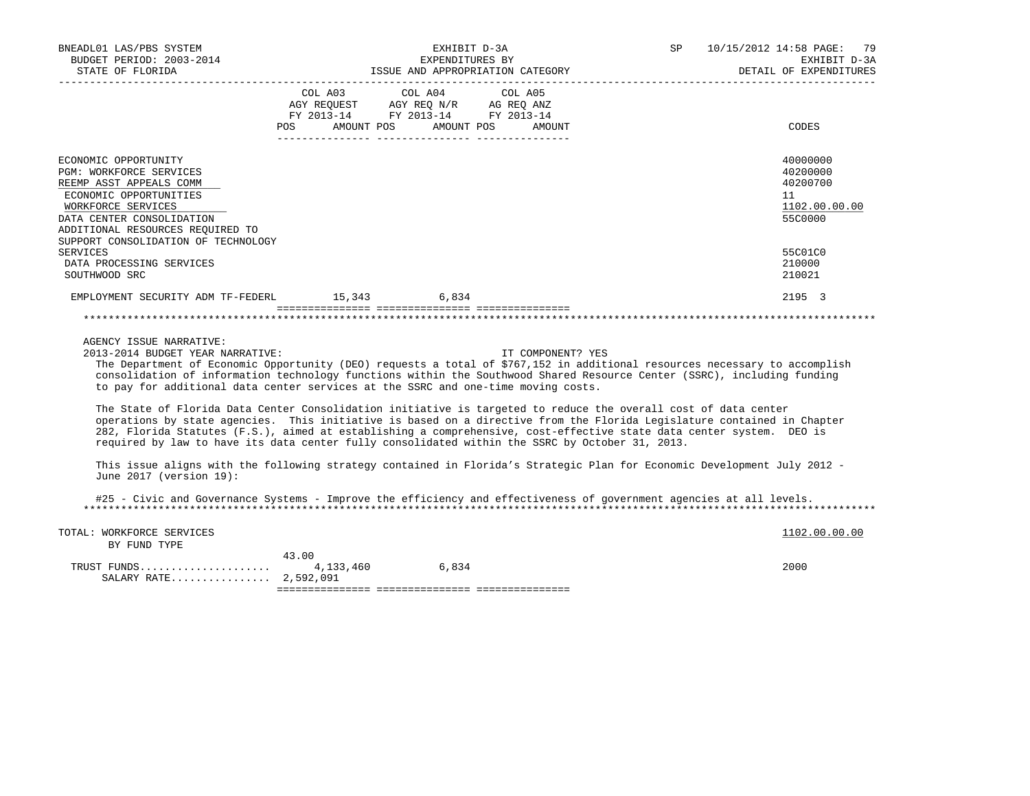| BNEADL01 LAS/PBS SYSTEM<br>BUDGET PERIOD: 2003-2014<br>STATE OF FLORIDA<br>____________________                                                                                                                                                                                                                                                                                                                                                                                                                                                                                                                                                                                                                                                                                                                                                                                                                                                                                                                                           | EXHIBIT D-3A<br>EXPENDITURES BY<br>ISSUE AND APPROPRIATION CATEGORY |                                                                                                                                                                                                                                                                 |                   | SP | 10/15/2012 14:58 PAGE: 79<br>EXHIBIT D-3A<br>DETAIL OF EXPENDITURES |
|-------------------------------------------------------------------------------------------------------------------------------------------------------------------------------------------------------------------------------------------------------------------------------------------------------------------------------------------------------------------------------------------------------------------------------------------------------------------------------------------------------------------------------------------------------------------------------------------------------------------------------------------------------------------------------------------------------------------------------------------------------------------------------------------------------------------------------------------------------------------------------------------------------------------------------------------------------------------------------------------------------------------------------------------|---------------------------------------------------------------------|-----------------------------------------------------------------------------------------------------------------------------------------------------------------------------------------------------------------------------------------------------------------|-------------------|----|---------------------------------------------------------------------|
|                                                                                                                                                                                                                                                                                                                                                                                                                                                                                                                                                                                                                                                                                                                                                                                                                                                                                                                                                                                                                                           | COL A03<br>POS AMOUNT POS AMOUNT POS                                | COL A04<br>$\begin{tabular}{lllllll} \bf AGY \,\, &\bf REQUEST \,\, &\bf AGY \,\, &\bf REQ \,\, &\bf N/R \,\, &\bf AG \,\, &\bf REQ \,\, &\bf ANZ \,\, \\ \bf FY \,\, &\bf 2013-14 \,\, &\bf FY \,\, &\bf 2013-14 \,\, &\bf FY \,\, &\bf 2013-14 \end{tabular}$ | COL A05<br>AMOUNT |    | CODES                                                               |
| ECONOMIC OPPORTUNITY<br>PGM: WORKFORCE SERVICES<br>REEMP ASST APPEALS COMM<br>ECONOMIC OPPORTUNITIES<br>WORKFORCE SERVICES<br>DATA CENTER CONSOLIDATION<br>ADDITIONAL RESOURCES REQUIRED TO                                                                                                                                                                                                                                                                                                                                                                                                                                                                                                                                                                                                                                                                                                                                                                                                                                               |                                                                     |                                                                                                                                                                                                                                                                 |                   |    | 40000000<br>40200000<br>40200700<br>11<br>1102.00.00.00<br>55C0000  |
| SUPPORT CONSOLIDATION OF TECHNOLOGY<br><b>SERVICES</b><br>DATA PROCESSING SERVICES<br>SOUTHWOOD SRC                                                                                                                                                                                                                                                                                                                                                                                                                                                                                                                                                                                                                                                                                                                                                                                                                                                                                                                                       |                                                                     |                                                                                                                                                                                                                                                                 |                   |    | 55C01C0<br>210000<br>210021                                         |
| EMPLOYMENT SECURITY ADM TF-FEDERL 15,343 6,834                                                                                                                                                                                                                                                                                                                                                                                                                                                                                                                                                                                                                                                                                                                                                                                                                                                                                                                                                                                            |                                                                     |                                                                                                                                                                                                                                                                 |                   |    | 2195 3                                                              |
| AGENCY ISSUE NARRATIVE:<br>2013-2014 BUDGET YEAR NARRATIVE:<br>The Department of Economic Opportunity (DEO) requests a total of \$767,152 in additional resources necessary to accomplish<br>consolidation of information technology functions within the Southwood Shared Resource Center (SSRC), including funding<br>to pay for additional data center services at the SSRC and one-time moving costs.<br>The State of Florida Data Center Consolidation initiative is targeted to reduce the overall cost of data center<br>operations by state agencies. This initiative is based on a directive from the Florida Legislature contained in Chapter<br>282, Florida Statutes (F.S.), aimed at establishing a comprehensive, cost-effective state data center system. DEO is<br>required by law to have its data center fully consolidated within the SSRC by October 31, 2013.<br>This issue aligns with the following strategy contained in Florida's Strategic Plan for Economic Development July 2012 -<br>June 2017 (version 19): |                                                                     |                                                                                                                                                                                                                                                                 | IT COMPONENT? YES |    |                                                                     |
| #25 - Civic and Governance Systems - Improve the efficiency and effectiveness of government agencies at all levels.                                                                                                                                                                                                                                                                                                                                                                                                                                                                                                                                                                                                                                                                                                                                                                                                                                                                                                                       |                                                                     |                                                                                                                                                                                                                                                                 |                   |    |                                                                     |
| TOTAL: WORKFORCE SERVICES<br>BY FUND TYPE                                                                                                                                                                                                                                                                                                                                                                                                                                                                                                                                                                                                                                                                                                                                                                                                                                                                                                                                                                                                 | 43.00                                                               |                                                                                                                                                                                                                                                                 |                   |    | 1102.00.00.00                                                       |
| TRUST FUNDS<br>SALARY RATE 2,592,091                                                                                                                                                                                                                                                                                                                                                                                                                                                                                                                                                                                                                                                                                                                                                                                                                                                                                                                                                                                                      |                                                                     | 4, 133, 460 6, 834                                                                                                                                                                                                                                              |                   |    | 2000                                                                |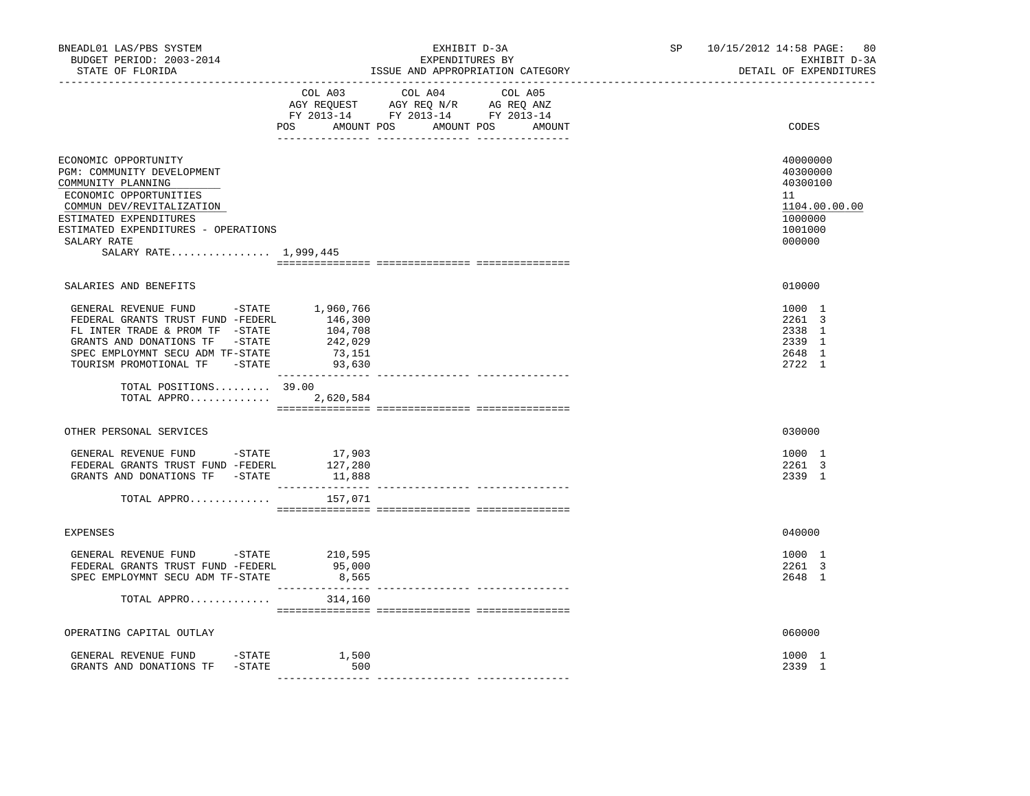| BNEADL01 LAS/PBS SYSTEM<br>BUDGET PERIOD: 2003-2014<br>STATE OF FLORIDA                                                                                                                                                                  | ---------------------------------       | EXHIBIT D-3A<br>EXPENDITURES BY<br>ISSUE AND APPROPRIATION CATEGORY                                                           | SP 10/15/2012 14:58 PAGE:<br>80<br>EXHIBIT D-3A<br>DETAIL OF EXPENDITURES               |
|------------------------------------------------------------------------------------------------------------------------------------------------------------------------------------------------------------------------------------------|-----------------------------------------|-------------------------------------------------------------------------------------------------------------------------------|-----------------------------------------------------------------------------------------|
|                                                                                                                                                                                                                                          | COL A03                                 | COL A04 COL A05<br>AGY REQUEST AGY REQ N/R AG REQ ANZ<br>FY 2013-14 FY 2013-14 FY 2013-14<br>POS AMOUNT POS AMOUNT POS AMOUNT | CODES                                                                                   |
| ECONOMIC OPPORTUNITY<br>PGM: COMMUNITY DEVELOPMENT<br>COMMUNITY PLANNING<br>ECONOMIC OPPORTUNITIES<br>COMMUN DEV/REVITALIZATION<br>ESTIMATED EXPENDITURES<br>ESTIMATED EXPENDITURES - OPERATIONS<br>SALARY RATE<br>SALARY RATE 1,999,445 |                                         |                                                                                                                               | 40000000<br>40300000<br>40300100<br>11<br>1104.00.00.00<br>1000000<br>1001000<br>000000 |
| SALARIES AND BENEFITS                                                                                                                                                                                                                    |                                         |                                                                                                                               | 010000                                                                                  |
| GENERAL REVENUE FUND -STATE 1,960,766<br>FEDERAL GRANTS TRUST FUND -FEDERL<br>FL INTER TRADE & PROM TF -STATE<br>GRANTS AND DONATIONS TF -STATE<br>SPEC EMPLOYMNT SECU ADM TF-STATE<br>TOURISM PROMOTIONAL TF -STATE 93,630              | 146,300<br>104,708<br>242,029<br>73,151 |                                                                                                                               | 1000 1<br>2261 3<br>2338 1<br>2339 1<br>2648 1<br>2722 1                                |
| TOTAL POSITIONS 39.00<br>TOTAL APPRO                                                                                                                                                                                                     | 2,620,584                               |                                                                                                                               |                                                                                         |
| OTHER PERSONAL SERVICES                                                                                                                                                                                                                  |                                         |                                                                                                                               | 030000                                                                                  |
| GENERAL REVENUE FUND -STATE 17,903<br>GENERAL REVENUE FUND - SIAIL FEDERAL GRANTS TRUST FUND - FEDERL 127,280<br>TRIST TRUST FUND - STATE 11,888                                                                                         |                                         |                                                                                                                               | 1000 1<br>2261 3<br>2339 1                                                              |
| TOTAL APPRO                                                                                                                                                                                                                              | 157,071                                 |                                                                                                                               |                                                                                         |
| <b>EXPENSES</b>                                                                                                                                                                                                                          |                                         |                                                                                                                               | 040000                                                                                  |
| GENERAL REVENUE FUND -STATE<br>FEDERAL GRANTS TRUST FUND -FEDERL<br>SPEC EMPLOYMNT SECU ADM TF-STATE                                                                                                                                     | 210,595<br>95,000<br>8,565              |                                                                                                                               | 1000 1<br>2261 3<br>2648 1                                                              |
| TOTAL APPRO                                                                                                                                                                                                                              | 314,160                                 |                                                                                                                               |                                                                                         |
| OPERATING CAPITAL OUTLAY                                                                                                                                                                                                                 |                                         |                                                                                                                               | 060000                                                                                  |
| GENERAL REVENUE FUND -STATE<br>GRANTS AND DONATIONS TF -STATE                                                                                                                                                                            | 1,500<br>500                            |                                                                                                                               | 1000 1<br>2339 1                                                                        |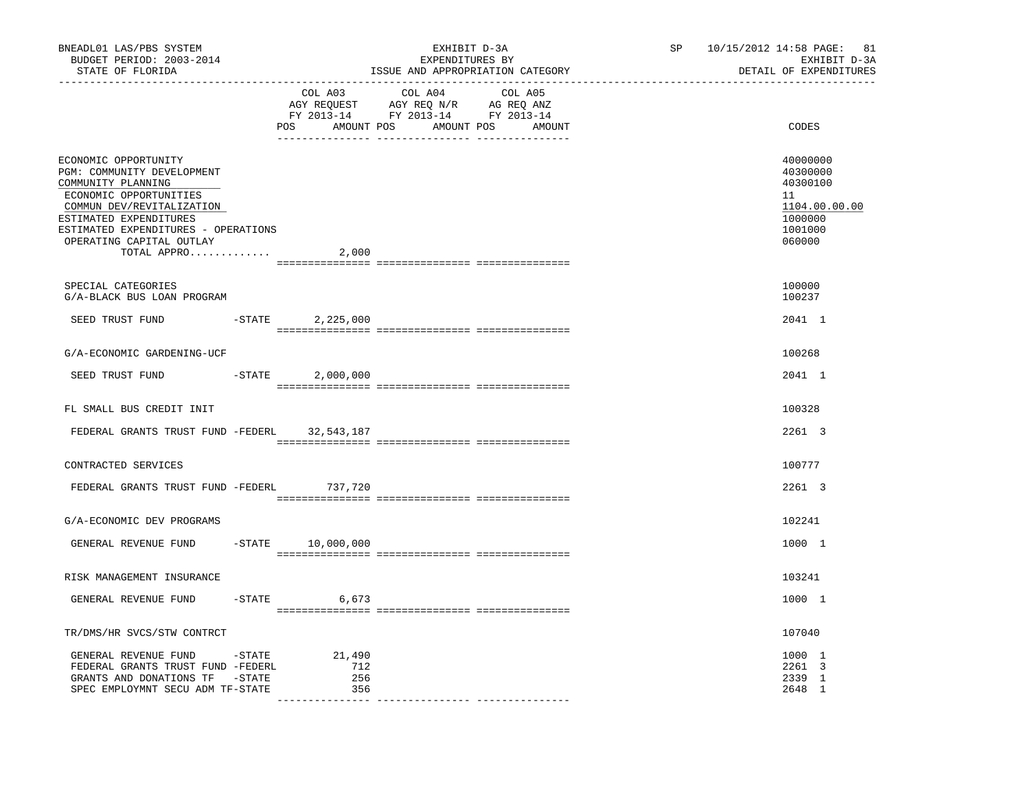| BNEADL01 LAS/PBS SYSTEM<br>BUDGET PERIOD: 2003-2014<br>STATE OF FLORIDA                                                                                                                                                                     |           |                             | EXHIBIT D-3A<br>EXPENDITURES BY<br>ISSUE AND APPROPRIATION CATEGORY<br>------------------------------- | SP and the set of the set of the set of the set of the set of the set of the set of the set of the set of the set of the set of the set of the set of the set of the set of the set of the set of the set of the set of the se | 10/15/2012 14:58 PAGE: 81<br>EXHIBIT D-3A<br>DETAIL OF EXPENDITURES                     |
|---------------------------------------------------------------------------------------------------------------------------------------------------------------------------------------------------------------------------------------------|-----------|-----------------------------|--------------------------------------------------------------------------------------------------------|--------------------------------------------------------------------------------------------------------------------------------------------------------------------------------------------------------------------------------|-----------------------------------------------------------------------------------------|
|                                                                                                                                                                                                                                             |           | COL A03                     | COL A04<br>COL A05<br>POS AMOUNT POS AMOUNT POS AMOUNT                                                 |                                                                                                                                                                                                                                | CODES                                                                                   |
| ECONOMIC OPPORTUNITY<br>PGM: COMMUNITY DEVELOPMENT<br>COMMUNITY PLANNING<br>ECONOMIC OPPORTUNITIES<br>COMMUN DEV/REVITALIZATION<br>ESTIMATED EXPENDITURES<br>ESTIMATED EXPENDITURES - OPERATIONS<br>OPERATING CAPITAL OUTLAY<br>TOTAL APPRO |           | 2,000                       |                                                                                                        |                                                                                                                                                                                                                                | 40000000<br>40300000<br>40300100<br>11<br>1104.00.00.00<br>1000000<br>1001000<br>060000 |
| SPECIAL CATEGORIES<br>G/A-BLACK BUS LOAN PROGRAM                                                                                                                                                                                            |           |                             |                                                                                                        |                                                                                                                                                                                                                                | 100000<br>100237                                                                        |
| SEED TRUST FUND                                                                                                                                                                                                                             | $-$ STATE | 2,225,000                   |                                                                                                        |                                                                                                                                                                                                                                | 2041 1                                                                                  |
| G/A-ECONOMIC GARDENING-UCF                                                                                                                                                                                                                  |           |                             |                                                                                                        |                                                                                                                                                                                                                                | 100268                                                                                  |
| SEED TRUST FUND                                                                                                                                                                                                                             | $-STATE$  | 2,000,000                   |                                                                                                        |                                                                                                                                                                                                                                | 2041 1                                                                                  |
| FL SMALL BUS CREDIT INIT                                                                                                                                                                                                                    |           |                             |                                                                                                        |                                                                                                                                                                                                                                | 100328                                                                                  |
| FEDERAL GRANTS TRUST FUND -FEDERL 32,543,187                                                                                                                                                                                                |           |                             |                                                                                                        |                                                                                                                                                                                                                                | 2261 3                                                                                  |
| CONTRACTED SERVICES                                                                                                                                                                                                                         |           |                             |                                                                                                        |                                                                                                                                                                                                                                | 100777                                                                                  |
| FEDERAL GRANTS TRUST FUND -FEDERL 737,720                                                                                                                                                                                                   |           |                             |                                                                                                        |                                                                                                                                                                                                                                | 2261 3                                                                                  |
| G/A-ECONOMIC DEV PROGRAMS                                                                                                                                                                                                                   |           |                             |                                                                                                        |                                                                                                                                                                                                                                | 102241                                                                                  |
| GENERAL REVENUE FUND                                                                                                                                                                                                                        |           | $-$ STATE $10,000,000$      |                                                                                                        |                                                                                                                                                                                                                                | 1000 1                                                                                  |
| RISK MANAGEMENT INSURANCE                                                                                                                                                                                                                   |           |                             |                                                                                                        |                                                                                                                                                                                                                                | 103241                                                                                  |
| GENERAL REVENUE FUND                                                                                                                                                                                                                        | $-STATE$  | 6,673                       |                                                                                                        |                                                                                                                                                                                                                                | 1000 1                                                                                  |
| TR/DMS/HR SVCS/STW CONTRCT                                                                                                                                                                                                                  |           |                             |                                                                                                        |                                                                                                                                                                                                                                | 107040                                                                                  |
| GENERAL REVENUE FUND -STATE<br>FEDERAL GRANTS TRUST FUND -FEDERL<br>GRANTS AND DONATIONS TF -STATE<br>SPEC EMPLOYMNT SECU ADM TF-STATE                                                                                                      |           | 21,490<br>712<br>256<br>356 |                                                                                                        |                                                                                                                                                                                                                                | 1000 1<br>2261 3<br>2339 1<br>2648 1                                                    |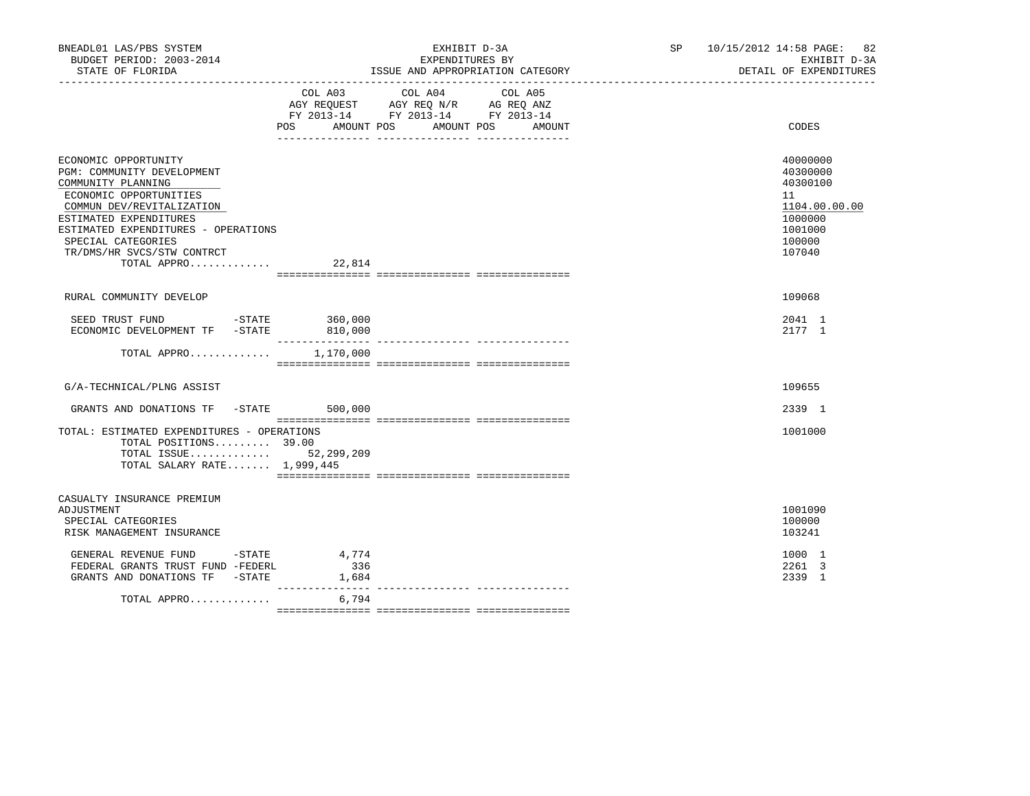| BNEADL01 LAS/PBS SYSTEM<br>BUDGET PERIOD: 2003-2014<br>STATE OF FLORIDA                                                                                                                                                                                             |                    | EXHIBIT D-3A<br>EXPENDITURES BY<br>ISSUE AND APPROPRIATION CATEGORY                                                                     | SP 10/15/2012 14:58 PAGE: 82<br>EXHIBIT D-3A<br>DETAIL OF EXPENDITURES                            |
|---------------------------------------------------------------------------------------------------------------------------------------------------------------------------------------------------------------------------------------------------------------------|--------------------|-----------------------------------------------------------------------------------------------------------------------------------------|---------------------------------------------------------------------------------------------------|
|                                                                                                                                                                                                                                                                     | POS                | COL A03 COL A04<br>COL A05<br>AGY REQUEST AGY REQ N/R AG REQ ANZ<br>FY 2013-14 FY 2013-14 FY 2013-14<br>AMOUNT POS AMOUNT POS<br>AMOUNT | CODES                                                                                             |
| ECONOMIC OPPORTUNITY<br>PGM: COMMUNITY DEVELOPMENT<br>COMMUNITY PLANNING<br>ECONOMIC OPPORTUNITIES<br>COMMUN DEV/REVITALIZATION<br>ESTIMATED EXPENDITURES<br>ESTIMATED EXPENDITURES - OPERATIONS<br>SPECIAL CATEGORIES<br>TR/DMS/HR SVCS/STW CONTRCT<br>TOTAL APPRO | 22,814             |                                                                                                                                         | 40000000<br>40300000<br>40300100<br>11<br>1104.00.00.00<br>1000000<br>1001000<br>100000<br>107040 |
| RURAL COMMUNITY DEVELOP                                                                                                                                                                                                                                             |                    |                                                                                                                                         | 109068                                                                                            |
| SEED TRUST FUND -STATE 360,000<br>ECONOMIC DEVELOPMENT TF -STATE 810,000                                                                                                                                                                                            | ________________   | --------------- ---------------                                                                                                         | 2041 1<br>2177 1                                                                                  |
| TOTAL APPRO 1,170,000                                                                                                                                                                                                                                               |                    |                                                                                                                                         |                                                                                                   |
| G/A-TECHNICAL/PLNG ASSIST                                                                                                                                                                                                                                           |                    |                                                                                                                                         | 109655                                                                                            |
| GRANTS AND DONATIONS TF -STATE 500,000                                                                                                                                                                                                                              |                    |                                                                                                                                         | 2339 1                                                                                            |
| TOTAL: ESTIMATED EXPENDITURES - OPERATIONS<br>TOTAL POSITIONS 39.00<br>TOTAL ISSUE $52,299,209$<br>TOTAL SALARY RATE 1,999,445                                                                                                                                      |                    |                                                                                                                                         | 1001000                                                                                           |
| CASUALTY INSURANCE PREMIUM<br>ADJUSTMENT<br>SPECIAL CATEGORIES<br>RISK MANAGEMENT INSURANCE<br>GENERAL REVENUE FUND - STATE                                                                                                                                         | 4,774              |                                                                                                                                         | 1001090<br>100000<br>103241<br>1000 1                                                             |
| FEDERAL GRANTS TRUST FUND -FEDERL<br>GRANTS AND DONATIONS TF -STATE                                                                                                                                                                                                 | 336<br>1,684       |                                                                                                                                         | 2261 3<br>2339 1                                                                                  |
| TOTAL APPRO                                                                                                                                                                                                                                                         | _________<br>6,794 |                                                                                                                                         |                                                                                                   |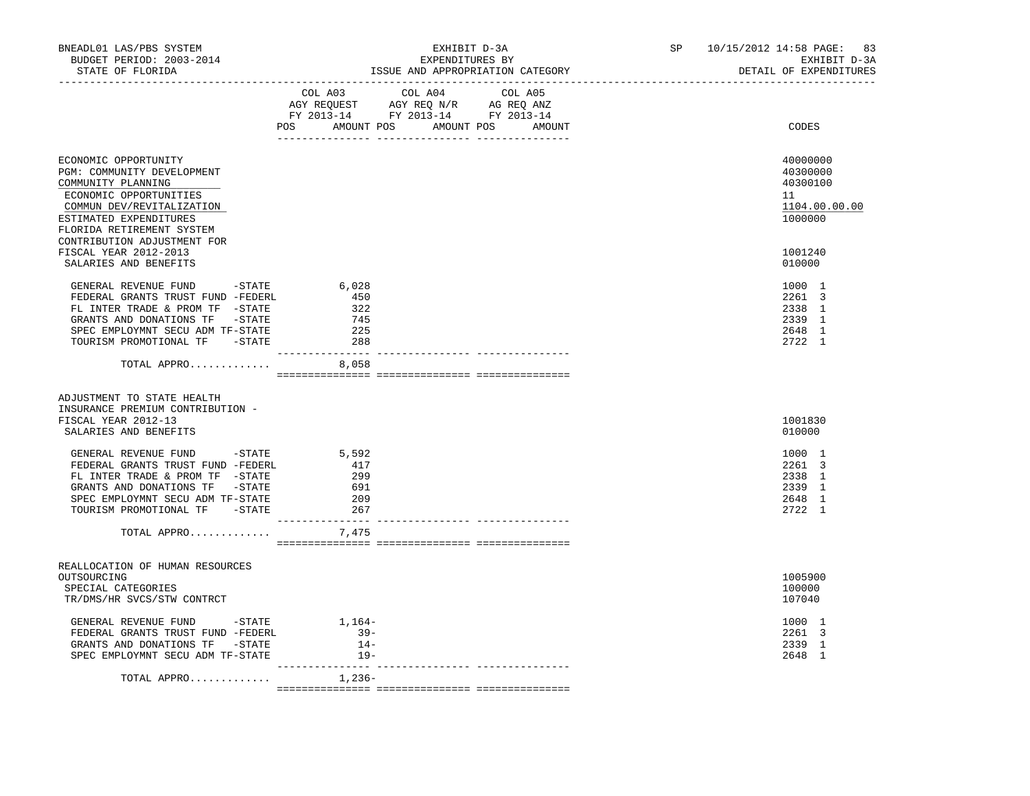| BNEADL01 LAS/PBS SYSTEM<br>BUDGET PERIOD: 2003-2014<br>STATE OF FLORIDA<br>------------------                                                                                                                         | EXHIBIT D-3A<br>EXPENDITURES BY<br>ISSUE AND APPROPRIATION CATEGORY                                                                   | 10/15/2012 14:58 PAGE: 83<br>SP and the set of the set of the set of the set of the set of the set of the set of the set of the set of the set of the set of the set of the set of the set of the set of the set of the set of the set of the set of the se<br>EXHIBIT D-3A<br>DETAIL OF EXPENDITURES |
|-----------------------------------------------------------------------------------------------------------------------------------------------------------------------------------------------------------------------|---------------------------------------------------------------------------------------------------------------------------------------|-------------------------------------------------------------------------------------------------------------------------------------------------------------------------------------------------------------------------------------------------------------------------------------------------------|
|                                                                                                                                                                                                                       | COL A03 COL A04 COL A05<br>AGY REQUEST AGY REQ N/R AG REQ ANZ<br>FY 2013-14 FY 2013-14 FY 2013-14<br>POS AMOUNT POS AMOUNT POS AMOUNT | CODES                                                                                                                                                                                                                                                                                                 |
| ECONOMIC OPPORTUNITY<br>PGM: COMMUNITY DEVELOPMENT<br>COMMUNITY PLANNING<br>ECONOMIC OPPORTUNITIES<br>COMMUN DEV/REVITALIZATION<br>ESTIMATED EXPENDITURES<br>FLORIDA RETIREMENT SYSTEM<br>CONTRIBUTION ADJUSTMENT FOR |                                                                                                                                       | 40000000<br>40300000<br>40300100<br>11<br>1104.00.00.00<br>1000000                                                                                                                                                                                                                                    |
| FISCAL YEAR 2012-2013<br>SALARIES AND BENEFITS                                                                                                                                                                        |                                                                                                                                       | 1001240<br>010000                                                                                                                                                                                                                                                                                     |
| GENERAL REVENUE FUND - STATE<br>FEDERAL GRANTS TRUST FUND -FEDERL<br>FL INTER TRADE & PROM TF -STATE<br>GRANTS AND DONATIONS TF -STATE<br>SPEC EMPLOYMNT SECU ADM TF-STATE<br>TOURISM PROMOTIONAL TF -STATE           | 6,028<br>450<br>322<br>745<br>225<br>288                                                                                              | 1000 1<br>2261 3<br>2338 1<br>2339 1<br>2648 1<br>2722 1                                                                                                                                                                                                                                              |
| TOTAL APPRO                                                                                                                                                                                                           | 8,058                                                                                                                                 |                                                                                                                                                                                                                                                                                                       |
| ADJUSTMENT TO STATE HEALTH<br>INSURANCE PREMIUM CONTRIBUTION -<br>FISCAL YEAR 2012-13<br>SALARIES AND BENEFITS                                                                                                        |                                                                                                                                       | 1001830<br>010000                                                                                                                                                                                                                                                                                     |
|                                                                                                                                                                                                                       |                                                                                                                                       |                                                                                                                                                                                                                                                                                                       |
| GENERAL REVENUE FUND -STATE<br>FEDERAL GRANTS TRUST FUND -FEDERL<br>FL INTER TRADE & PROM TF -STATE<br>GRANTS AND DONATIONS TF -STATE<br>SPEC EMPLOYMNT SECU ADM TF-STATE<br>TOURISM PROMOTIONAL TF -STATE            | 5,592<br>417<br>299<br>691<br>209<br>267                                                                                              | 1000 1<br>2261 3<br>2338 1<br>2339 1<br>2648 1<br>2722 1                                                                                                                                                                                                                                              |
| TOTAL APPRO $7,475$                                                                                                                                                                                                   |                                                                                                                                       |                                                                                                                                                                                                                                                                                                       |
|                                                                                                                                                                                                                       |                                                                                                                                       |                                                                                                                                                                                                                                                                                                       |
| REALLOCATION OF HUMAN RESOURCES<br>OUTSOURCING<br>SPECIAL CATEGORIES<br>TR/DMS/HR SVCS/STW CONTRCT                                                                                                                    |                                                                                                                                       | 1005900<br>100000<br>107040                                                                                                                                                                                                                                                                           |
| GENERAL REVENUE FUND - STATE<br>FEDERAL GRANTS TRUST FUND -FEDERL<br>GRANTS AND DONATIONS TF -STATE<br>SPEC EMPLOYMNT SECU ADM TF-STATE                                                                               | 1,164-<br>$39-$<br>$14-$<br>$19-$                                                                                                     | 1000 1<br>2261 3<br>2339 1<br>2648 1                                                                                                                                                                                                                                                                  |
| TOTAL APPRO                                                                                                                                                                                                           | $1,236-$                                                                                                                              |                                                                                                                                                                                                                                                                                                       |
|                                                                                                                                                                                                                       |                                                                                                                                       |                                                                                                                                                                                                                                                                                                       |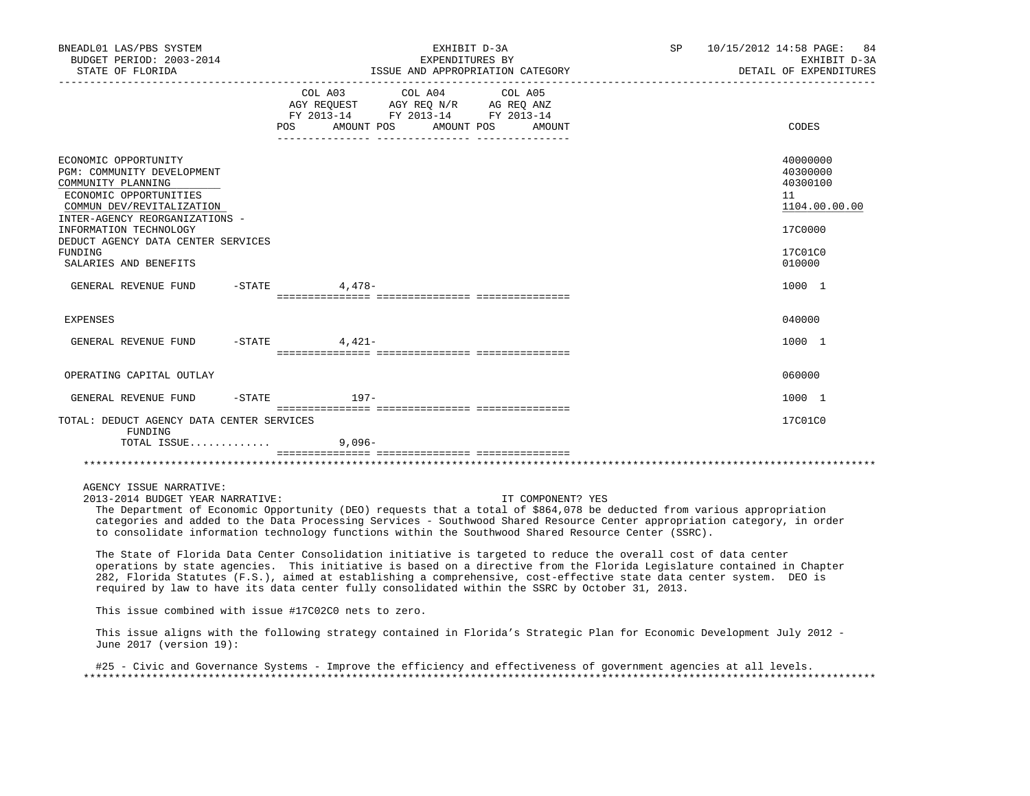| BNEADL01 LAS/PBS SYSTEM<br>BUDGET PERIOD: 2003-2014<br>STATE OF FLORIDA                                                                                                               |                                                                                             | EXHIBIT D-3A<br>EXPENDITURES BY<br>ISSUE AND APPROPRIATION CATEGORY |                   |  | SP 10/15/2012 14:58 PAGE: 84<br>EXHIBIT D-3A<br>DETAIL OF EXPENDITURES |
|---------------------------------------------------------------------------------------------------------------------------------------------------------------------------------------|---------------------------------------------------------------------------------------------|---------------------------------------------------------------------|-------------------|--|------------------------------------------------------------------------|
|                                                                                                                                                                                       | AGY REQUEST AGY REQ N/R AG REQ ANZ<br>FY 2013-14 FY 2013-14 FY 2013-14<br>AMOUNT POS<br>POS | COL A03 COL A04 COL A05                                             | AMOUNT POS AMOUNT |  | CODES                                                                  |
| ECONOMIC OPPORTUNITY<br>PGM: COMMUNITY DEVELOPMENT<br>COMMUNITY PLANNING<br>ECONOMIC OPPORTUNITIES<br>COMMUN DEV/REVITALIZATION<br>INTER-AGENCY REORGANIZATIONS -                     |                                                                                             |                                                                     |                   |  | 40000000<br>40300000<br>40300100<br>11<br>1104.00.00.00                |
| INFORMATION TECHNOLOGY<br>DEDUCT AGENCY DATA CENTER SERVICES<br>FUNDING<br>SALARIES AND BENEFITS                                                                                      |                                                                                             |                                                                     |                   |  | 17C0000<br>17C01C0<br>010000                                           |
| GENERAL REVENUE FUND                                                                                                                                                                  | $-$ STATE 4, 478 -                                                                          |                                                                     |                   |  | 1000 1                                                                 |
| EXPENSES                                                                                                                                                                              |                                                                                             |                                                                     |                   |  | 040000                                                                 |
| GENERAL REVENUE FUND                                                                                                                                                                  | $-$ STATE 4, 421 –                                                                          |                                                                     |                   |  | 1000 1                                                                 |
| OPERATING CAPITAL OUTLAY                                                                                                                                                              |                                                                                             |                                                                     |                   |  | 060000                                                                 |
| GENERAL REVENUE FUND                                                                                                                                                                  | -STATE 197-                                                                                 |                                                                     |                   |  | 1000 1                                                                 |
| TOTAL: DEDUCT AGENCY DATA CENTER SERVICES<br>FUNDING                                                                                                                                  |                                                                                             |                                                                     |                   |  | 17C01C0                                                                |
| TOTAL ISSUE                                                                                                                                                                           | $9.096 -$                                                                                   |                                                                     |                   |  |                                                                        |
|                                                                                                                                                                                       |                                                                                             |                                                                     |                   |  |                                                                        |
| AGENCY ISSUE NARRATIVE:<br>2013-2014 BUDGET YEAR NARRATIVE:<br>The Department of Economic Opportunity (DEO) requests that a total of \$864,078 be deducted from various appropriation |                                                                                             |                                                                     | IT COMPONENT? YES |  |                                                                        |

 categories and added to the Data Processing Services - Southwood Shared Resource Center appropriation category, in order to consolidate information technology functions within the Southwood Shared Resource Center (SSRC).

 The State of Florida Data Center Consolidation initiative is targeted to reduce the overall cost of data center operations by state agencies. This initiative is based on a directive from the Florida Legislature contained in Chapter 282, Florida Statutes (F.S.), aimed at establishing a comprehensive, cost-effective state data center system. DEO is required by law to have its data center fully consolidated within the SSRC by October 31, 2013.

This issue combined with issue #17C02C0 nets to zero.

 This issue aligns with the following strategy contained in Florida's Strategic Plan for Economic Development July 2012 - June 2017 (version 19):

 #25 - Civic and Governance Systems - Improve the efficiency and effectiveness of government agencies at all levels. \*\*\*\*\*\*\*\*\*\*\*\*\*\*\*\*\*\*\*\*\*\*\*\*\*\*\*\*\*\*\*\*\*\*\*\*\*\*\*\*\*\*\*\*\*\*\*\*\*\*\*\*\*\*\*\*\*\*\*\*\*\*\*\*\*\*\*\*\*\*\*\*\*\*\*\*\*\*\*\*\*\*\*\*\*\*\*\*\*\*\*\*\*\*\*\*\*\*\*\*\*\*\*\*\*\*\*\*\*\*\*\*\*\*\*\*\*\*\*\*\*\*\*\*\*\*\*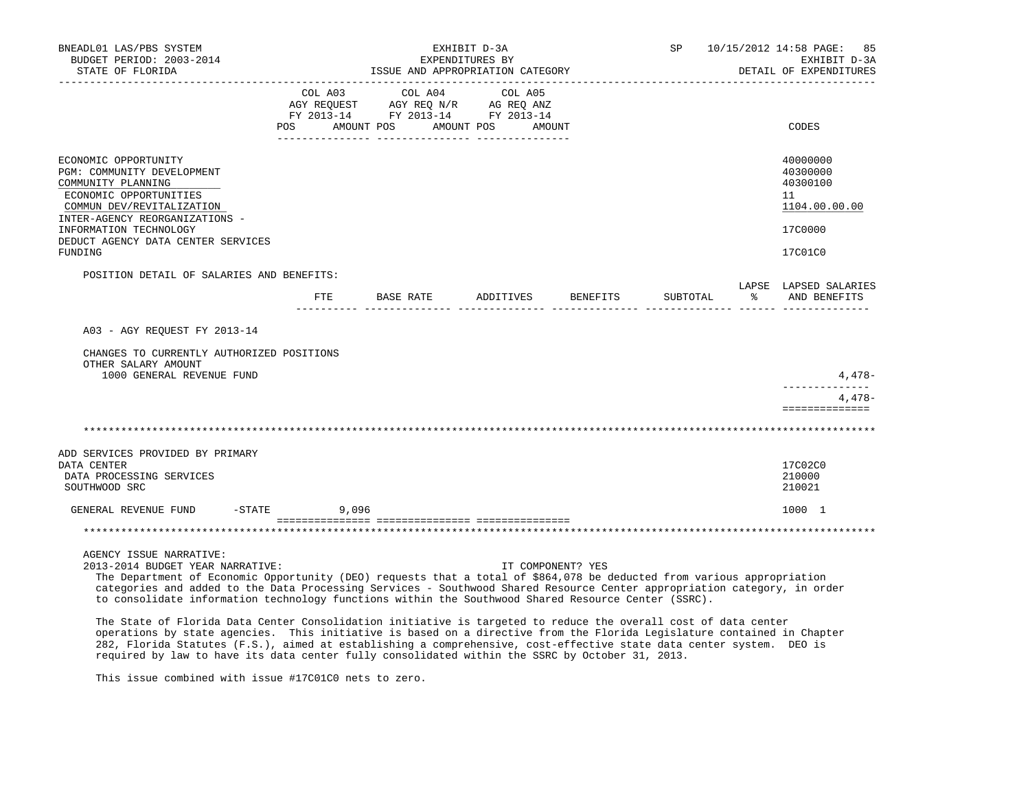| BNEADL01 LAS/PBS SYSTEM<br>BUDGET PERIOD: 2003-2014<br>STATE OF FLORIDA<br>-------------------                                                                                                                                                                                                                                                                                                                                                                                                                             |       | EXHIBIT D-3A<br>EXPENDITURES BY<br>ISSUE AND APPROPRIATION CATEGORY                                                    |                    |  | SP 10/15/2012 14:58 PAGE: 85<br>EXHIBIT D-3A<br>DETAIL OF EXPENDITURES |   |                                                                               |
|----------------------------------------------------------------------------------------------------------------------------------------------------------------------------------------------------------------------------------------------------------------------------------------------------------------------------------------------------------------------------------------------------------------------------------------------------------------------------------------------------------------------------|-------|------------------------------------------------------------------------------------------------------------------------|--------------------|--|------------------------------------------------------------------------|---|-------------------------------------------------------------------------------|
|                                                                                                                                                                                                                                                                                                                                                                                                                                                                                                                            |       | COL A03 COL A04<br>AGY REQUEST AGY REQ N/R AG REQ ANZ<br>FY 2013-14 FY 2013-14 FY 2013-14<br>POS AMOUNT POS AMOUNT POS | COL A05<br>AMOUNT  |  |                                                                        |   | CODES                                                                         |
| ECONOMIC OPPORTUNITY<br>PGM: COMMUNITY DEVELOPMENT<br>COMMUNITY PLANNING<br>ECONOMIC OPPORTUNITIES<br>COMMUN DEV/REVITALIZATION<br>INTER-AGENCY REORGANIZATIONS -<br>INFORMATION TECHNOLOGY<br>DEDUCT AGENCY DATA CENTER SERVICES<br>FUNDING                                                                                                                                                                                                                                                                               |       |                                                                                                                        |                    |  |                                                                        |   | 40000000<br>40300000<br>40300100<br>11<br>1104.00.00.00<br>17C0000<br>17C01C0 |
| POSITION DETAIL OF SALARIES AND BENEFITS:                                                                                                                                                                                                                                                                                                                                                                                                                                                                                  | ETE   | BASE RATE                                                                                                              | ADDITIVES BENEFITS |  | SUBTOTAL                                                               | ႜ | LAPSE LAPSED SALARIES<br>AND BENEFITS                                         |
| A03 - AGY REQUEST FY 2013-14<br>CHANGES TO CURRENTLY AUTHORIZED POSITIONS<br>OTHER SALARY AMOUNT<br>1000 GENERAL REVENUE FUND                                                                                                                                                                                                                                                                                                                                                                                              |       |                                                                                                                        |                    |  |                                                                        |   | 4,478-                                                                        |
|                                                                                                                                                                                                                                                                                                                                                                                                                                                                                                                            |       |                                                                                                                        |                    |  |                                                                        |   | -------------<br>4,478-<br>==============                                     |
|                                                                                                                                                                                                                                                                                                                                                                                                                                                                                                                            |       |                                                                                                                        |                    |  |                                                                        |   |                                                                               |
| ADD SERVICES PROVIDED BY PRIMARY<br>DATA CENTER<br>DATA PROCESSING SERVICES<br>SOUTHWOOD SRC                                                                                                                                                                                                                                                                                                                                                                                                                               |       |                                                                                                                        |                    |  |                                                                        |   | 17C02C0<br>210000<br>210021                                                   |
| GENERAL REVENUE FUND -STATE                                                                                                                                                                                                                                                                                                                                                                                                                                                                                                | 9,096 |                                                                                                                        |                    |  |                                                                        |   | 1000 1                                                                        |
|                                                                                                                                                                                                                                                                                                                                                                                                                                                                                                                            |       |                                                                                                                        |                    |  |                                                                        |   |                                                                               |
| AGENCY ISSUE NARRATIVE:<br>2013-2014 BUDGET YEAR NARRATIVE:<br>The Department of Economic Opportunity (DEO) requests that a total of \$864,078 be deducted from various appropriation<br>categories and added to the Data Processing Services - Southwood Shared Resource Center appropriation category, in order<br>to consolidate information technology functions within the Southwood Shared Resource Center (SSRC).<br>التقاعد والمقارب والمتواطئ والتنقيص والمتعارف والمتعارف والمناصب والمستحقق والمستحدث والمستحدث |       |                                                                                                                        | IT COMPONENT? YES  |  |                                                                        |   |                                                                               |

 The State of Florida Data Center Consolidation initiative is targeted to reduce the overall cost of data center operations by state agencies. This initiative is based on a directive from the Florida Legislature contained in Chapter 282, Florida Statutes (F.S.), aimed at establishing a comprehensive, cost-effective state data center system. DEO is required by law to have its data center fully consolidated within the SSRC by October 31, 2013.

This issue combined with issue #17C01C0 nets to zero.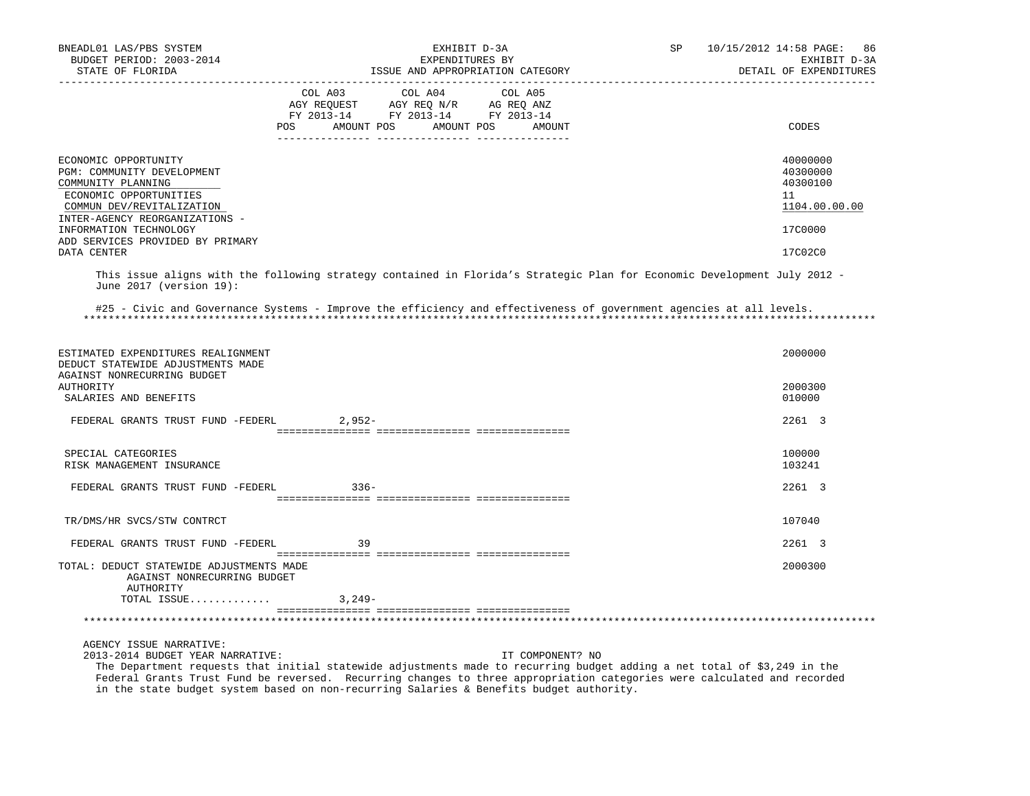| BNEADL01 LAS/PBS SYSTEM<br>BUDGET PERIOD: 2003-2014<br>STATE OF FLORIDA                                                                                                                                                                        | EXHIBIT D-3A<br>EXPENDITURES BY<br>ISSUE AND APPROPRIATION CATEGORY                                                                                                                            | 10/15/2012 14:58 PAGE:<br>SP<br>86<br>EXHIBIT D-3A<br>DETAIL OF EXPENDITURES  |
|------------------------------------------------------------------------------------------------------------------------------------------------------------------------------------------------------------------------------------------------|------------------------------------------------------------------------------------------------------------------------------------------------------------------------------------------------|-------------------------------------------------------------------------------|
|                                                                                                                                                                                                                                                | -------------------------------                                                                                                                                                                |                                                                               |
|                                                                                                                                                                                                                                                | $\begin{tabular}{lcccc} COL A03 & COL A04 & COL A05 \\ AGY REQUEST & AGY REQ N/R & AG REQ ANZ \\ FY & 2013-14 & FY & 2013-14 & FY & 2013-14 \end{tabular}$<br>POS AMOUNT POS AMOUNT POS AMOUNT | CODES                                                                         |
| ECONOMIC OPPORTUNITY<br>PGM: COMMUNITY DEVELOPMENT<br>COMMUNITY PLANNING<br>ECONOMIC OPPORTUNITIES<br>COMMUN DEV/REVITALIZATION<br>INTER-AGENCY REORGANIZATIONS -<br>INFORMATION TECHNOLOGY<br>ADD SERVICES PROVIDED BY PRIMARY<br>DATA CENTER |                                                                                                                                                                                                | 40000000<br>40300000<br>40300100<br>11<br>1104.00.00.00<br>17C0000<br>17C02C0 |
|                                                                                                                                                                                                                                                |                                                                                                                                                                                                |                                                                               |
| June 2017 (version 19):                                                                                                                                                                                                                        | This issue aligns with the following strategy contained in Florida's Strategic Plan for Economic Development July 2012 -                                                                       |                                                                               |
|                                                                                                                                                                                                                                                | #25 - Civic and Governance Systems - Improve the efficiency and effectiveness of government agencies at all levels.                                                                            |                                                                               |
| ESTIMATED EXPENDITURES REALIGNMENT<br>DEDUCT STATEWIDE ADJUSTMENTS MADE<br>AGAINST NONRECURRING BUDGET                                                                                                                                         |                                                                                                                                                                                                | 2000000                                                                       |
| AUTHORITY<br>SALARIES AND BENEFITS                                                                                                                                                                                                             |                                                                                                                                                                                                | 2000300<br>010000                                                             |
| FEDERAL GRANTS TRUST FUND -FEDERL                                                                                                                                                                                                              | $2.952 -$                                                                                                                                                                                      | 2261 3                                                                        |
| SPECIAL CATEGORIES<br>RISK MANAGEMENT INSURANCE                                                                                                                                                                                                |                                                                                                                                                                                                | 100000<br>103241                                                              |
| FEDERAL GRANTS TRUST FUND -FEDERL                                                                                                                                                                                                              | $336-$                                                                                                                                                                                         | 2261 3                                                                        |
| TR/DMS/HR SVCS/STW CONTRCT                                                                                                                                                                                                                     |                                                                                                                                                                                                | 107040                                                                        |
| FEDERAL GRANTS TRUST FUND -FEDERL                                                                                                                                                                                                              | 39                                                                                                                                                                                             | 2261 3                                                                        |
| TOTAL: DEDUCT STATEWIDE ADJUSTMENTS MADE<br>AGAINST NONRECURRING BUDGET<br>AUTHORITY                                                                                                                                                           |                                                                                                                                                                                                | 2000300                                                                       |
| TOTAL ISSUE                                                                                                                                                                                                                                    | $3,249-$                                                                                                                                                                                       |                                                                               |
|                                                                                                                                                                                                                                                |                                                                                                                                                                                                |                                                                               |
| AGENCY ISSUE NARRATIVE:<br>2013-2014 BUDGET YEAR NARRATIVE:                                                                                                                                                                                    | IT COMPONENT? NO                                                                                                                                                                               |                                                                               |

 The Department requests that initial statewide adjustments made to recurring budget adding a net total of \$3,249 in the Federal Grants Trust Fund be reversed. Recurring changes to three appropriation categories were calculated and recorded in the state budget system based on non-recurring Salaries & Benefits budget authority.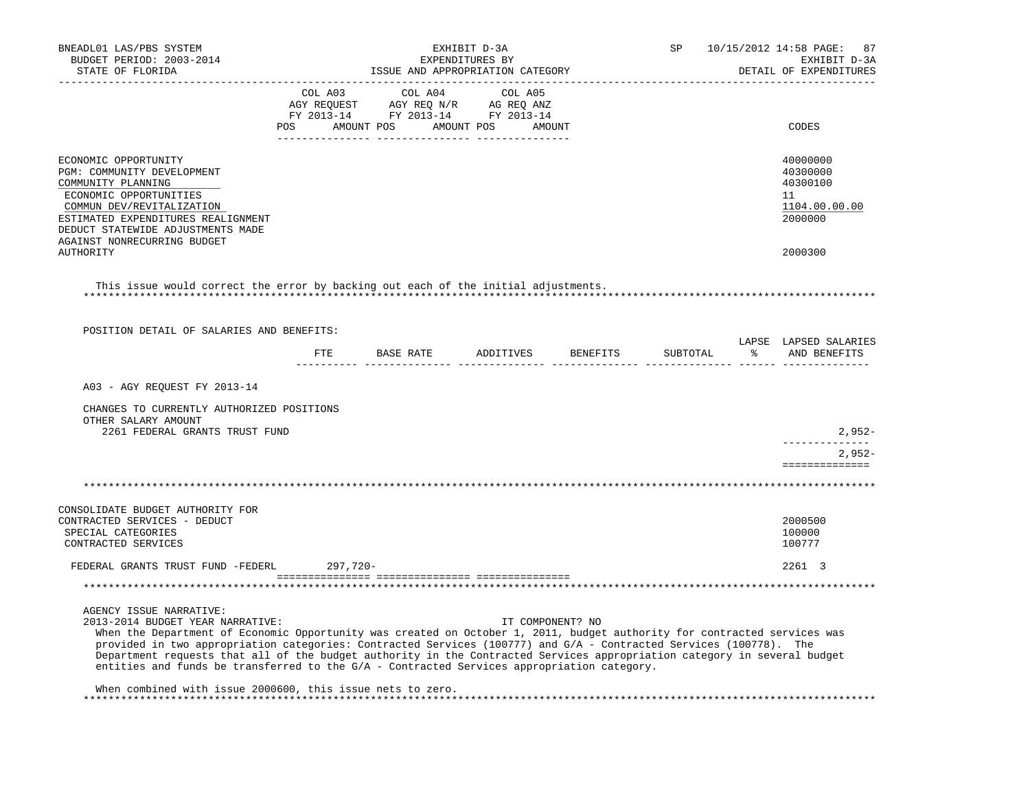| BNEADL01 LAS/PBS SYSTEM<br>BUDGET PERIOD: 2003-2014<br>STATE OF FLORIDA                                                                                                                                                                                                                                                                                                                                                                                                                                                                                                                               |          | EXHIBIT D-3A<br>EXPENDITURES BY<br>ISSUE AND APPROPRIATION CATEGORY                                                           |         | SP               | 10/15/2012 14:58 PAGE:<br>87<br>EXHIBIT D-3A<br>DETAIL OF EXPENDITURES |  |                                                                               |
|-------------------------------------------------------------------------------------------------------------------------------------------------------------------------------------------------------------------------------------------------------------------------------------------------------------------------------------------------------------------------------------------------------------------------------------------------------------------------------------------------------------------------------------------------------------------------------------------------------|----------|-------------------------------------------------------------------------------------------------------------------------------|---------|------------------|------------------------------------------------------------------------|--|-------------------------------------------------------------------------------|
|                                                                                                                                                                                                                                                                                                                                                                                                                                                                                                                                                                                                       |          | COL A03 COL A04<br>AGY REQUEST AGY REQ N/R AG REQ ANZ<br>FY 2013-14 FY 2013-14 FY 2013-14<br>POS AMOUNT POS AMOUNT POS AMOUNT | COL A05 |                  |                                                                        |  | CODES                                                                         |
| ECONOMIC OPPORTUNITY<br>PGM: COMMUNITY DEVELOPMENT<br>COMMUNITY PLANNING<br>ECONOMIC OPPORTUNITIES<br>COMMUN DEV/REVITALIZATION<br>ESTIMATED EXPENDITURES REALIGNMENT<br>DEDUCT STATEWIDE ADJUSTMENTS MADE<br>AGAINST NONRECURRING BUDGET<br>AUTHORITY                                                                                                                                                                                                                                                                                                                                                |          |                                                                                                                               |         |                  |                                                                        |  | 40000000<br>40300000<br>40300100<br>11<br>1104.00.00.00<br>2000000<br>2000300 |
| This issue would correct the error by backing out each of the initial adjustments.                                                                                                                                                                                                                                                                                                                                                                                                                                                                                                                    |          |                                                                                                                               |         |                  |                                                                        |  |                                                                               |
|                                                                                                                                                                                                                                                                                                                                                                                                                                                                                                                                                                                                       |          |                                                                                                                               |         |                  |                                                                        |  |                                                                               |
| POSITION DETAIL OF SALARIES AND BENEFITS:                                                                                                                                                                                                                                                                                                                                                                                                                                                                                                                                                             |          | FTE BASE RATE ADDITIVES BENEFITS                                                                                              |         |                  | SUBTOTAL                                                               |  | LAPSE LAPSED SALARIES<br>% AND BENEFITS                                       |
|                                                                                                                                                                                                                                                                                                                                                                                                                                                                                                                                                                                                       |          |                                                                                                                               |         |                  |                                                                        |  |                                                                               |
| A03 - AGY REQUEST FY 2013-14                                                                                                                                                                                                                                                                                                                                                                                                                                                                                                                                                                          |          |                                                                                                                               |         |                  |                                                                        |  |                                                                               |
| CHANGES TO CURRENTLY AUTHORIZED POSITIONS<br>OTHER SALARY AMOUNT<br>2261 FEDERAL GRANTS TRUST FUND                                                                                                                                                                                                                                                                                                                                                                                                                                                                                                    |          |                                                                                                                               |         |                  |                                                                        |  | $2,952-$                                                                      |
|                                                                                                                                                                                                                                                                                                                                                                                                                                                                                                                                                                                                       |          |                                                                                                                               |         |                  |                                                                        |  | $2.952-$<br>==============                                                    |
|                                                                                                                                                                                                                                                                                                                                                                                                                                                                                                                                                                                                       |          |                                                                                                                               |         |                  |                                                                        |  |                                                                               |
| CONSOLIDATE BUDGET AUTHORITY FOR                                                                                                                                                                                                                                                                                                                                                                                                                                                                                                                                                                      |          |                                                                                                                               |         |                  |                                                                        |  |                                                                               |
| CONTRACTED SERVICES - DEDUCT<br>SPECIAL CATEGORIES<br>CONTRACTED SERVICES                                                                                                                                                                                                                                                                                                                                                                                                                                                                                                                             |          |                                                                                                                               |         |                  |                                                                        |  | 2000500<br>100000<br>100777                                                   |
| FEDERAL GRANTS TRUST FUND -FEDERL                                                                                                                                                                                                                                                                                                                                                                                                                                                                                                                                                                     | 297,720- |                                                                                                                               |         |                  |                                                                        |  | 2261 3                                                                        |
|                                                                                                                                                                                                                                                                                                                                                                                                                                                                                                                                                                                                       |          |                                                                                                                               |         |                  |                                                                        |  |                                                                               |
| AGENCY ISSUE NARRATIVE:<br>2013-2014 BUDGET YEAR NARRATIVE:<br>When the Department of Economic Opportunity was created on October 1, 2011, budget authority for contracted services was<br>provided in two appropriation categories: Contracted Services (100777) and G/A - Contracted Services (100778). The<br>Department requests that all of the budget authority in the Contracted Services appropriation category in several budget<br>entities and funds be transferred to the G/A - Contracted Services appropriation category.<br>When combined with issue 2000600, this issue nets to zero. |          |                                                                                                                               |         | IT COMPONENT? NO |                                                                        |  |                                                                               |
|                                                                                                                                                                                                                                                                                                                                                                                                                                                                                                                                                                                                       |          |                                                                                                                               |         |                  |                                                                        |  |                                                                               |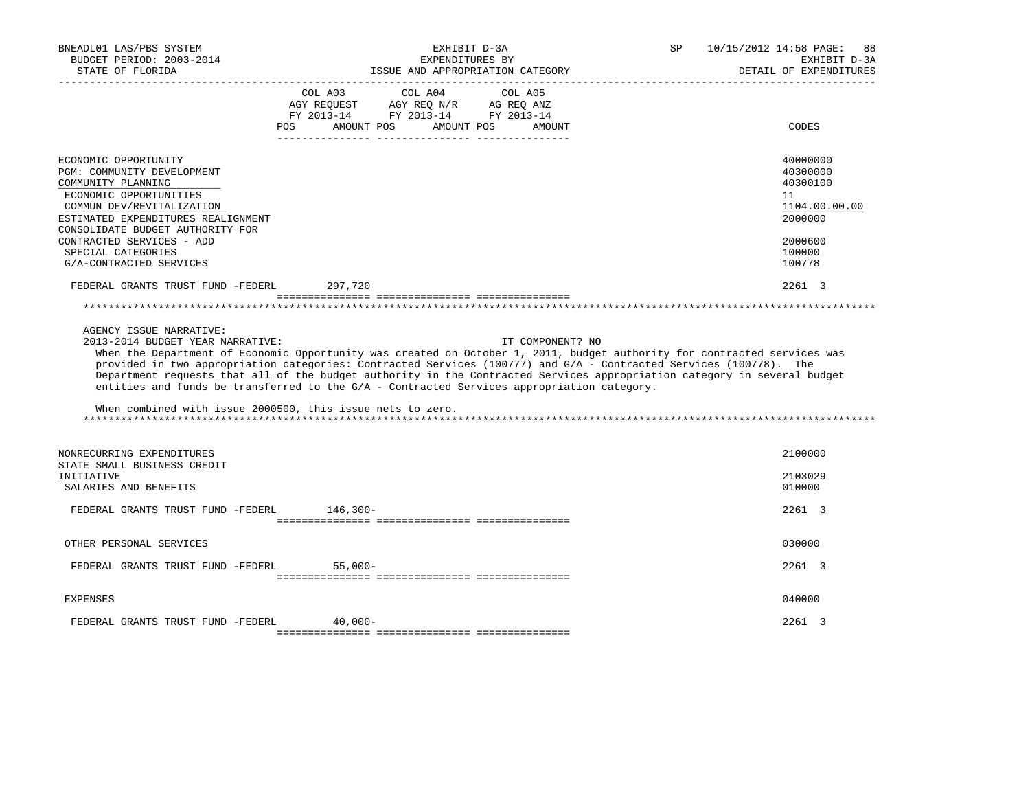| BNEADL01 LAS/PBS SYSTEM<br>BUDGET PERIOD: 2003-2014<br>STATE OF FLORIDA                                                                                                                                                                                      | EXHIBIT D-3A<br>EXPENDITURES BY<br>ISSUE AND APPROPRIATION CATEGORY                                                                                                                                                                                                                                                                                                                                                                                                                          | SP | 10/15/2012 14:58 PAGE:<br>88<br>EXHIBIT D-3A<br>DETAIL OF EXPENDITURES                  |
|--------------------------------------------------------------------------------------------------------------------------------------------------------------------------------------------------------------------------------------------------------------|----------------------------------------------------------------------------------------------------------------------------------------------------------------------------------------------------------------------------------------------------------------------------------------------------------------------------------------------------------------------------------------------------------------------------------------------------------------------------------------------|----|-----------------------------------------------------------------------------------------|
|                                                                                                                                                                                                                                                              | COL A03 COL A04<br>COL A05<br>$\begin{tabular}{lllllll} AGY & \texttt{REQUEST} & \texttt{AGY REQ} & \texttt{N/R} & \texttt{AG REQ} & \texttt{ANZ} \end{tabular}$<br>FY 2013-14 FY 2013-14 FY 2013-14<br>AMOUNT POS<br>AMOUNT POS<br><b>POS</b><br>AMOUNT                                                                                                                                                                                                                                     |    | CODES                                                                                   |
| ECONOMIC OPPORTUNITY<br>PGM: COMMUNITY DEVELOPMENT<br>COMMUNITY PLANNING<br>ECONOMIC OPPORTUNITIES<br>COMMUN DEV/REVITALIZATION<br>ESTIMATED EXPENDITURES REALIGNMENT<br>CONSOLIDATE BUDGET AUTHORITY FOR<br>CONTRACTED SERVICES - ADD<br>SPECIAL CATEGORIES |                                                                                                                                                                                                                                                                                                                                                                                                                                                                                              |    | 40000000<br>40300000<br>40300100<br>11<br>1104.00.00.00<br>2000000<br>2000600<br>100000 |
| G/A-CONTRACTED SERVICES                                                                                                                                                                                                                                      |                                                                                                                                                                                                                                                                                                                                                                                                                                                                                              |    | 100778                                                                                  |
| FEDERAL GRANTS TRUST FUND -FEDERL                                                                                                                                                                                                                            | 297,720                                                                                                                                                                                                                                                                                                                                                                                                                                                                                      |    | 2261 3                                                                                  |
|                                                                                                                                                                                                                                                              |                                                                                                                                                                                                                                                                                                                                                                                                                                                                                              |    |                                                                                         |
| AGENCY ISSUE NARRATIVE:<br>2013-2014 BUDGET YEAR NARRATIVE:<br>When combined with issue 2000500, this issue nets to zero.                                                                                                                                    | IT COMPONENT? NO<br>When the Department of Economic Opportunity was created on October 1, 2011, budget authority for contracted services was<br>provided in two appropriation categories: Contracted Services (100777) and G/A - Contracted Services (100778). The<br>Department requests that all of the budget authority in the Contracted Services appropriation category in several budget<br>entities and funds be transferred to the G/A - Contracted Services appropriation category. |    |                                                                                         |
| NONRECURRING EXPENDITURES<br>STATE SMALL BUSINESS CREDIT<br>INITIATIVE<br>SALARIES AND BENEFITS                                                                                                                                                              |                                                                                                                                                                                                                                                                                                                                                                                                                                                                                              |    | 2100000<br>2103029<br>010000                                                            |
| FEDERAL GRANTS TRUST FUND -FEDERL                                                                                                                                                                                                                            | $146,300-$                                                                                                                                                                                                                                                                                                                                                                                                                                                                                   |    | 2261 3                                                                                  |
| OTHER PERSONAL SERVICES                                                                                                                                                                                                                                      |                                                                                                                                                                                                                                                                                                                                                                                                                                                                                              |    | 030000                                                                                  |
| FEDERAL GRANTS TRUST FUND -FEDERL                                                                                                                                                                                                                            | $55.000 -$                                                                                                                                                                                                                                                                                                                                                                                                                                                                                   |    | 2261 3                                                                                  |
| <b>EXPENSES</b>                                                                                                                                                                                                                                              |                                                                                                                                                                                                                                                                                                                                                                                                                                                                                              |    | 040000                                                                                  |
| FEDERAL GRANTS TRUST FUND -FEDERL                                                                                                                                                                                                                            | $40,000-$                                                                                                                                                                                                                                                                                                                                                                                                                                                                                    |    | 2261 3                                                                                  |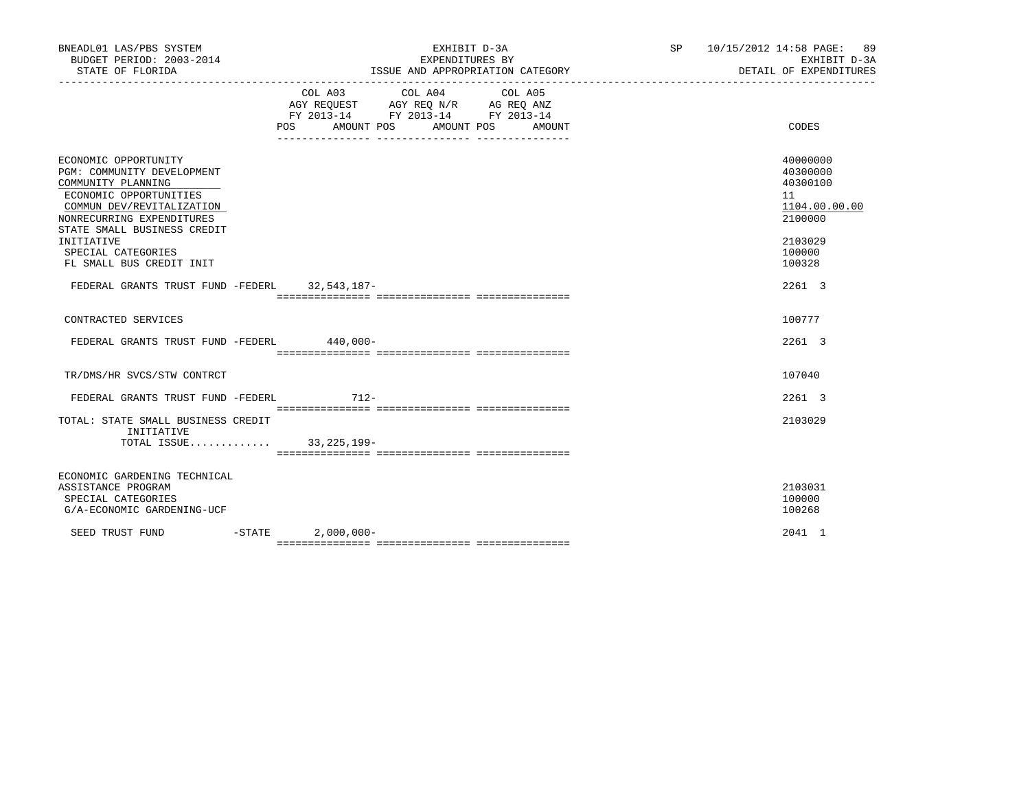| BNEADL01 LAS/PBS SYSTEM<br>BUDGET PERIOD: 2003-2014<br>STATE OF FLORIDA                                                                                                                                                                                     |           | EXHIBIT D-3A<br>EXPENDITURES BY<br>ISSUE AND APPROPRIATION CATEGORY                                     | SP 10/15/2012 14:58 PAGE: 89<br>EXHIBIT D-3A<br>DETAIL OF EXPENDITURES |                                                                                                   |
|-------------------------------------------------------------------------------------------------------------------------------------------------------------------------------------------------------------------------------------------------------------|-----------|---------------------------------------------------------------------------------------------------------|------------------------------------------------------------------------|---------------------------------------------------------------------------------------------------|
|                                                                                                                                                                                                                                                             | POS DO    | COL A03 COL A04<br>AGY REQUEST AGY REQ N/R AG REQ ANZ<br>FY 2013-14 FY 2013-14 FY 2013-14<br>AMOUNT POS | COL A05<br>AMOUNT POS<br>AMOUNT                                        | CODES                                                                                             |
| ECONOMIC OPPORTUNITY<br>PGM: COMMUNITY DEVELOPMENT<br>COMMUNITY PLANNING<br>ECONOMIC OPPORTUNITIES<br>COMMUN DEV/REVITALIZATION<br>NONRECURRING EXPENDITURES<br>STATE SMALL BUSINESS CREDIT<br>INITIATIVE<br>SPECIAL CATEGORIES<br>FL SMALL BUS CREDIT INIT |           |                                                                                                         |                                                                        | 40000000<br>40300000<br>40300100<br>11<br>1104.00.00.00<br>2100000<br>2103029<br>100000<br>100328 |
| FEDERAL GRANTS TRUST FUND -FEDERL 32,543,187-                                                                                                                                                                                                               |           |                                                                                                         |                                                                        | $2261 \quad 3$                                                                                    |
| CONTRACTED SERVICES                                                                                                                                                                                                                                         |           |                                                                                                         |                                                                        | 100777                                                                                            |
| FEDERAL GRANTS TRUST FUND -FEDERL 440,000-                                                                                                                                                                                                                  |           |                                                                                                         |                                                                        | $2261$ 3                                                                                          |
| TR/DMS/HR SVCS/STW CONTRCT                                                                                                                                                                                                                                  |           |                                                                                                         |                                                                        | 107040                                                                                            |
| FEDERAL GRANTS TRUST FUND -FEDERL                                                                                                                                                                                                                           |           | 712-                                                                                                    |                                                                        | $2261 \quad 3$                                                                                    |
| TOTAL: STATE SMALL BUSINESS CREDIT<br>INITIATIVE<br>TOTAL ISSUE 33, 225, 199-                                                                                                                                                                               |           |                                                                                                         |                                                                        | 2103029                                                                                           |
| ECONOMIC GARDENING TECHNICAL<br>ASSISTANCE PROGRAM<br>SPECIAL CATEGORIES<br>G/A-ECONOMIC GARDENING-UCF                                                                                                                                                      |           |                                                                                                         |                                                                        | 2103031<br>100000<br>100268                                                                       |
| SEED TRUST FUND                                                                                                                                                                                                                                             | $-$ STATE | $2,000,000-$                                                                                            |                                                                        | 2041 1                                                                                            |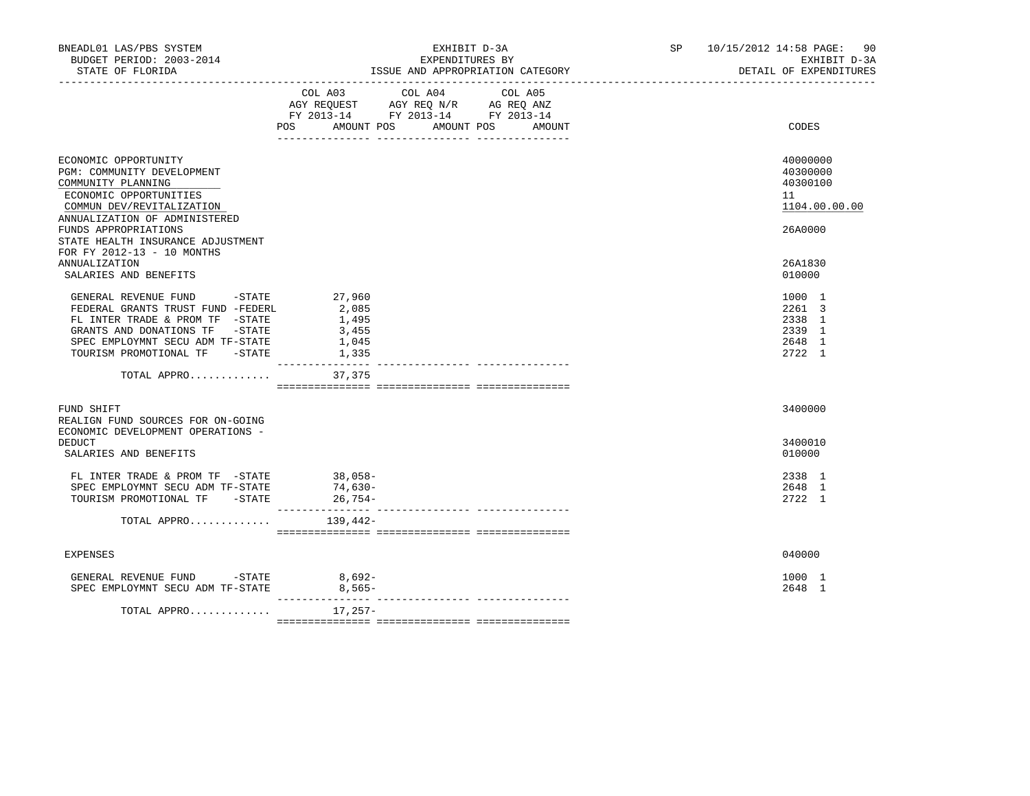| BNEADL01 LAS/PBS SYSTEM<br>BUDGET PERIOD: 2003-2014<br>STATE OF FLORIDA                                                                                                                                                                                                                               | EXHIBIT D-3A<br>EXPENDITURES BY<br>ISSUE AND APPROPRIATION CATEGORY                                                                               | SP 10/15/2012 14:58 PAGE: 90<br>EXHIBIT D-3A<br>DETAIL OF EXPENDITURES                  |
|-------------------------------------------------------------------------------------------------------------------------------------------------------------------------------------------------------------------------------------------------------------------------------------------------------|---------------------------------------------------------------------------------------------------------------------------------------------------|-----------------------------------------------------------------------------------------|
|                                                                                                                                                                                                                                                                                                       | COL A04<br>COL A03<br>COL A05<br>AGY REQUEST AGY REQ N/R AG REQ ANZ<br>FY 2013-14 FY 2013-14 FY 2013-14<br>AMOUNT POS AMOUNT POS<br>POS<br>AMOUNT | CODES                                                                                   |
| ECONOMIC OPPORTUNITY<br>PGM: COMMUNITY DEVELOPMENT<br>COMMUNITY PLANNING<br>ECONOMIC OPPORTUNITIES<br>COMMUN DEV/REVITALIZATION<br>ANNUALIZATION OF ADMINISTERED<br>FUNDS APPROPRIATIONS<br>STATE HEALTH INSURANCE ADJUSTMENT<br>FOR FY 2012-13 - 10 MONTHS<br>ANNUALIZATION<br>SALARIES AND BENEFITS |                                                                                                                                                   | 40000000<br>40300000<br>40300100<br>11<br>1104.00.00.00<br>26A0000<br>26A1830<br>010000 |
| GENERAL REVENUE FUND -STATE 27,960<br>FEDERAL GRANTS TRUST FUND -FEDERL<br>FL INTER TRADE & PROM TF -STATE<br>GRANTS AND DONATIONS TF -STATE<br>SPEC EMPLOYMNT SECU ADM TF-STATE<br>TOURISM PROMOTIONAL TF -STATE                                                                                     | 2,085<br>1,495<br>3,455<br>1,045<br>1,335                                                                                                         | 1000 1<br>2261 3<br>2338 1<br>2339 1<br>2648 1<br>2722 1                                |
| TOTAL APPRO                                                                                                                                                                                                                                                                                           | 37,375                                                                                                                                            |                                                                                         |
| FUND SHIFT<br>REALIGN FUND SOURCES FOR ON-GOING<br>ECONOMIC DEVELOPMENT OPERATIONS -<br>DEDUCT<br>SALARIES AND BENEFITS                                                                                                                                                                               |                                                                                                                                                   | 3400000<br>3400010<br>010000                                                            |
| FL INTER TRADE & PROM TF -STATE<br>SPEC EMPLOYMNT SECU ADM TF-STATE<br>TOURISM PROMOTIONAL TF -STATE                                                                                                                                                                                                  | $38,058-$<br>74,630-<br>26,754-                                                                                                                   | 2338 1<br>2648 1<br>2722 1                                                              |
| TOTAL APPRO                                                                                                                                                                                                                                                                                           | 139,442–                                                                                                                                          |                                                                                         |
| <b>EXPENSES</b>                                                                                                                                                                                                                                                                                       |                                                                                                                                                   | 040000                                                                                  |
| GENERAL REVENUE FUND -STATE 8,692-<br>SPEC EMPLOYMNT SECU ADM TF-STATE                                                                                                                                                                                                                                | 8,565-<br>---------------                                                                                                                         | 1000 1<br>2648 1                                                                        |
| TOTAL APPRO                                                                                                                                                                                                                                                                                           | 17,257-                                                                                                                                           |                                                                                         |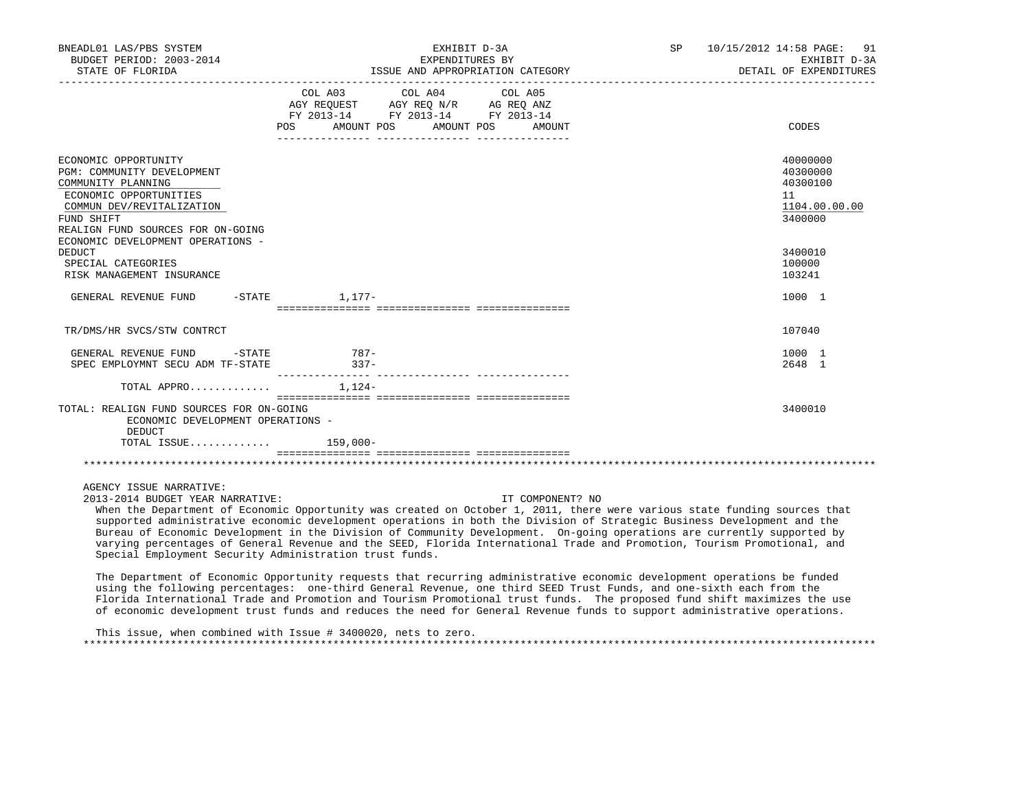| BNEADL01 LAS/PBS SYSTEM<br>BUDGET PERIOD: 2003-2014<br>STATE OF FLORIDA                                                                                                            | EXHIBIT D-3A<br>EXPENDITURES BY<br>ISSUE AND APPROPRIATION CATEGORY                                                                                                                                                                                                                                                                                                                                 | SP 10/15/2012 14:58 PAGE: 91<br>EXHIBIT D-3A<br>DETAIL OF EXPENDITURES |
|------------------------------------------------------------------------------------------------------------------------------------------------------------------------------------|-----------------------------------------------------------------------------------------------------------------------------------------------------------------------------------------------------------------------------------------------------------------------------------------------------------------------------------------------------------------------------------------------------|------------------------------------------------------------------------|
|                                                                                                                                                                                    | COL A03 COL A04 COL A05<br>AGY REQUEST AGY REQ N/R AG REQ ANZ<br>FY 2013-14 FY 2013-14 FY 2013-14<br><b>POS</b><br>AMOUNT POS<br>AMOUNT POS<br>AMOUNT                                                                                                                                                                                                                                               | CODES                                                                  |
| ECONOMIC OPPORTUNITY<br>PGM: COMMUNITY DEVELOPMENT<br>COMMUNITY PLANNING<br>ECONOMIC OPPORTUNITIES<br>COMMUN DEV/REVITALIZATION<br>FUND SHIFT<br>REALIGN FUND SOURCES FOR ON-GOING |                                                                                                                                                                                                                                                                                                                                                                                                     | 40000000<br>40300000<br>40300100<br>11<br>1104.00.00.00<br>3400000     |
| ECONOMIC DEVELOPMENT OPERATIONS -<br><b>DEDUCT</b><br>SPECIAL CATEGORIES<br>RISK MANAGEMENT INSURANCE                                                                              |                                                                                                                                                                                                                                                                                                                                                                                                     | 3400010<br>100000<br>103241                                            |
| $-$ STATE $1.177-$<br>GENERAL REVENUE FUND                                                                                                                                         |                                                                                                                                                                                                                                                                                                                                                                                                     | 1000 1                                                                 |
|                                                                                                                                                                                    |                                                                                                                                                                                                                                                                                                                                                                                                     |                                                                        |
| TR/DMS/HR SVCS/STW CONTRCT                                                                                                                                                         |                                                                                                                                                                                                                                                                                                                                                                                                     | 107040                                                                 |
| GENERAL REVENUE FUND -STATE<br>SPEC EMPLOYMNT SECU ADM TF-STATE                                                                                                                    | 787-<br>$337-$                                                                                                                                                                                                                                                                                                                                                                                      | 1000 1<br>2648 1                                                       |
| TOTAL APPRO                                                                                                                                                                        | $1.124-$                                                                                                                                                                                                                                                                                                                                                                                            |                                                                        |
| TOTAL: REALIGN FUND SOURCES FOR ON-GOING<br>ECONOMIC DEVELOPMENT OPERATIONS -<br><b>DEDUCT</b><br>TOTAL ISSUE 159,000-                                                             |                                                                                                                                                                                                                                                                                                                                                                                                     | 3400010                                                                |
|                                                                                                                                                                                    |                                                                                                                                                                                                                                                                                                                                                                                                     |                                                                        |
|                                                                                                                                                                                    |                                                                                                                                                                                                                                                                                                                                                                                                     |                                                                        |
| AGENCY ISSUE NARRATIVE:<br>2013-2014 BUDGET YEAR NARRATIVE:                                                                                                                        | IT COMPONENT? NO<br>When the Department of Economic Opportunity was created on October 1, 2011, there were various state funding sources that<br>supported administrative economic development operations in both the Division of Strategic Business Development and the<br>Bureau of Economic Development in the Division of Community Development. On-going operations are currently supported by |                                                                        |

 varying percentages of General Revenue and the SEED, Florida International Trade and Promotion, Tourism Promotional, and Special Employment Security Administration trust funds. The Department of Economic Opportunity requests that recurring administrative economic development operations be funded

 using the following percentages: one-third General Revenue, one third SEED Trust Funds, and one-sixth each from the Florida International Trade and Promotion and Tourism Promotional trust funds. The proposed fund shift maximizes the use of economic development trust funds and reduces the need for General Revenue funds to support administrative operations.

 This issue, when combined with Issue # 3400020, nets to zero. \*\*\*\*\*\*\*\*\*\*\*\*\*\*\*\*\*\*\*\*\*\*\*\*\*\*\*\*\*\*\*\*\*\*\*\*\*\*\*\*\*\*\*\*\*\*\*\*\*\*\*\*\*\*\*\*\*\*\*\*\*\*\*\*\*\*\*\*\*\*\*\*\*\*\*\*\*\*\*\*\*\*\*\*\*\*\*\*\*\*\*\*\*\*\*\*\*\*\*\*\*\*\*\*\*\*\*\*\*\*\*\*\*\*\*\*\*\*\*\*\*\*\*\*\*\*\*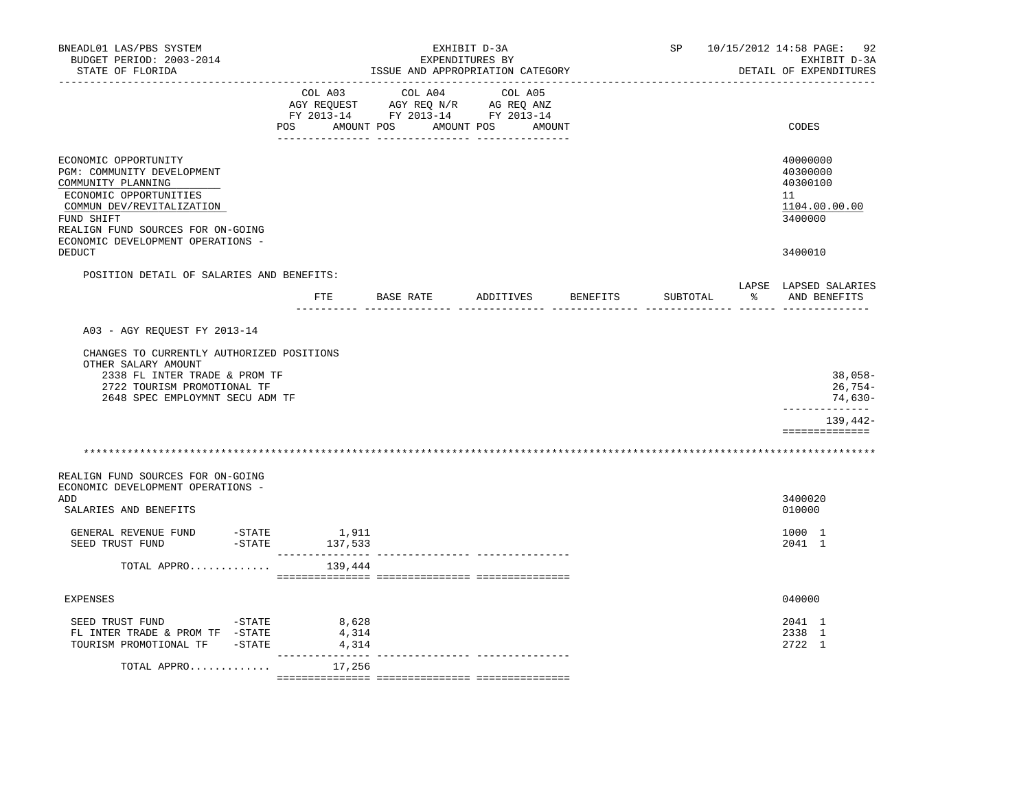| BNEADL01 LAS/PBS SYSTEM<br>BUDGET PERIOD: 2003-2014<br>STATE OF FLORIDA                                                                                                                                                 | EXHIBIT D-3A<br>EXPENDITURES BY<br>ISSUE AND APPROPRIATION CATEGORY |                         |                    |                                                                                                                                                            |           |  | SP              | 10/15/2012 14:58 PAGE: 92<br>EXHIBIT D-3A<br>DETAIL OF EXPENDITURES |                                                                                 |
|-------------------------------------------------------------------------------------------------------------------------------------------------------------------------------------------------------------------------|---------------------------------------------------------------------|-------------------------|--------------------|------------------------------------------------------------------------------------------------------------------------------------------------------------|-----------|--|-----------------|---------------------------------------------------------------------|---------------------------------------------------------------------------------|
|                                                                                                                                                                                                                         | POS AMOUNT POS AMOUNT POS AMOUNT                                    |                         |                    | $\begin{tabular}{lcccc} COL A03 & COL A04 & COL A05 \\ AGY REQUEST & AGY REQ N/R & AG REQ ANZ \\ FY & 2013-14 & FY & 2013-14 & FY & 2013-14 \end{tabular}$ |           |  |                 |                                                                     | CODES                                                                           |
| ECONOMIC OPPORTUNITY<br>PGM: COMMUNITY DEVELOPMENT<br>COMMUNITY PLANNING<br>ECONOMIC OPPORTUNITIES<br>COMMUN DEV/REVITALIZATION<br>FUND SHIFT<br>REALIGN FUND SOURCES FOR ON-GOING<br>ECONOMIC DEVELOPMENT OPERATIONS - |                                                                     |                         |                    |                                                                                                                                                            |           |  |                 |                                                                     | 40000000<br>40300000<br>40300100<br>11<br>1104.00.00.00<br>3400000              |
| DEDUCT                                                                                                                                                                                                                  |                                                                     |                         |                    |                                                                                                                                                            |           |  |                 |                                                                     | 3400010                                                                         |
| POSITION DETAIL OF SALARIES AND BENEFITS:                                                                                                                                                                               | FTE                                                                 |                         |                    | <b>BASE RATE</b>                                                                                                                                           | ADDITIVES |  | <b>BENEFITS</b> | SUBTOTAL                                                            | LAPSE LAPSED SALARIES<br>% AND BENEFITS                                         |
|                                                                                                                                                                                                                         |                                                                     |                         | ---------- ------- |                                                                                                                                                            |           |  |                 |                                                                     |                                                                                 |
| A03 - AGY REOUEST FY 2013-14                                                                                                                                                                                            |                                                                     |                         |                    |                                                                                                                                                            |           |  |                 |                                                                     |                                                                                 |
| CHANGES TO CURRENTLY AUTHORIZED POSITIONS<br>OTHER SALARY AMOUNT<br>2338 FL INTER TRADE & PROM TF<br>2722 TOURISM PROMOTIONAL TF<br>2648 SPEC EMPLOYMNT SECU ADM TF                                                     |                                                                     |                         |                    |                                                                                                                                                            |           |  |                 |                                                                     | $38,058-$<br>26,754-<br>74,630-<br>--------------<br>139,442-<br>============== |
|                                                                                                                                                                                                                         |                                                                     |                         |                    |                                                                                                                                                            |           |  |                 |                                                                     |                                                                                 |
| REALIGN FUND SOURCES FOR ON-GOING<br>ECONOMIC DEVELOPMENT OPERATIONS -<br>ADD                                                                                                                                           |                                                                     |                         |                    |                                                                                                                                                            |           |  |                 |                                                                     | 3400020                                                                         |
| SALARIES AND BENEFITS                                                                                                                                                                                                   |                                                                     |                         |                    |                                                                                                                                                            |           |  |                 |                                                                     | 010000                                                                          |
| GENERAL REVENUE FUND<br>$-$ STATE<br>SEED TRUST FUND                                                                                                                                                                    | $-STATE$ 137,533                                                    | 1,911                   |                    |                                                                                                                                                            |           |  |                 |                                                                     | 1000 1<br>2041 1                                                                |
| TOTAL APPRO                                                                                                                                                                                                             |                                                                     | 139,444                 |                    |                                                                                                                                                            |           |  |                 |                                                                     |                                                                                 |
| <b>EXPENSES</b>                                                                                                                                                                                                         |                                                                     |                         |                    |                                                                                                                                                            |           |  |                 |                                                                     | 040000                                                                          |
| $-STATE$<br>SEED TRUST FUND<br>FL INTER TRADE & PROM TF -STATE<br>TOURISM PROMOTIONAL TF -STATE                                                                                                                         |                                                                     | 8,628<br>4,314<br>4,314 |                    |                                                                                                                                                            |           |  |                 |                                                                     | 2041 1<br>2338 1<br>2722 1                                                      |
| TOTAL APPRO                                                                                                                                                                                                             |                                                                     | 17,256                  |                    |                                                                                                                                                            |           |  |                 |                                                                     |                                                                                 |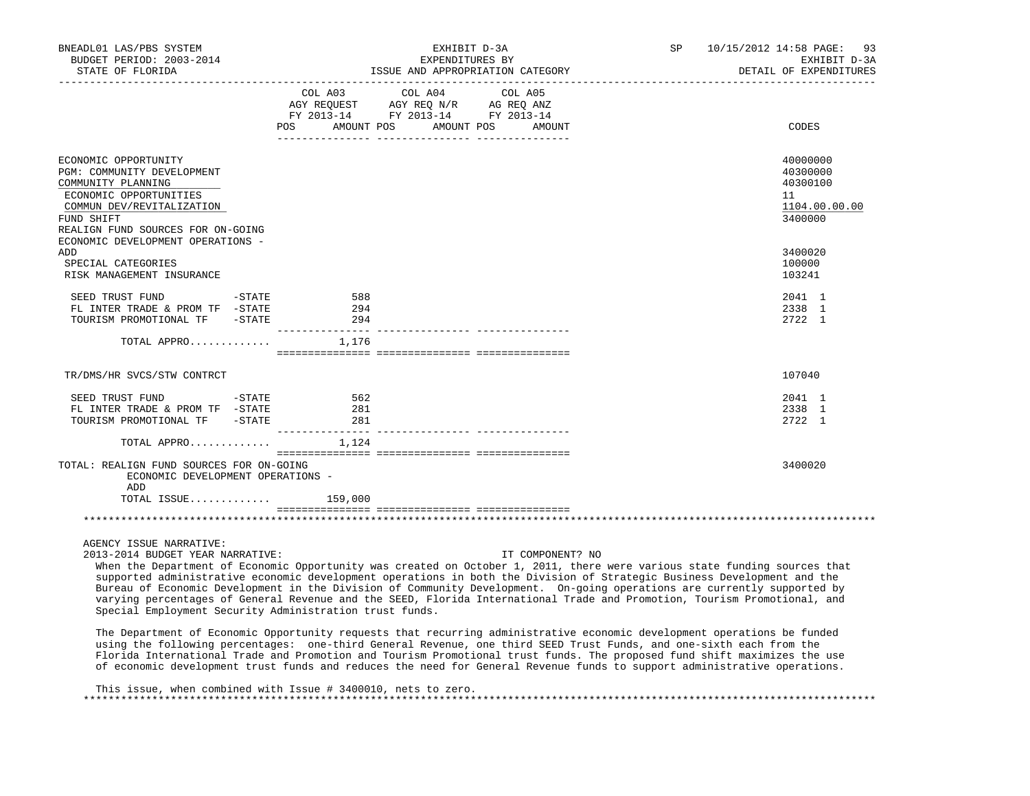| BNEADL01 LAS/PBS SYSTEM<br>BUDGET PERIOD: 2003-2014                                             | EXHIBIT D-3A<br>EXPENDITURES BY                                                                                                                                                                                                                                                | SP 10/15/2012 14:58 PAGE: 93<br>EXHIBIT D-3A |
|-------------------------------------------------------------------------------------------------|--------------------------------------------------------------------------------------------------------------------------------------------------------------------------------------------------------------------------------------------------------------------------------|----------------------------------------------|
| STATE OF FLORIDA                                                                                | ISSUE AND APPROPRIATION CATEGORY                                                                                                                                                                                                                                               | DETAIL OF EXPENDITURES                       |
|                                                                                                 | COL A03 COL A04<br>COL A05<br>$\begin{tabular}{lllllll} AGY & \texttt{REQUEST} & \texttt{AGY} & \texttt{REG} & \texttt{N/R} & \texttt{AG} & \texttt{REG} & \texttt{ANZ} \end{tabular}$<br>FY 2013-14 FY 2013-14 FY 2013-14<br>AMOUNT POS<br>AMOUNT POS<br><b>POS</b><br>AMOUNT | CODES                                        |
|                                                                                                 |                                                                                                                                                                                                                                                                                |                                              |
| ECONOMIC OPPORTUNITY<br>PGM: COMMUNITY DEVELOPMENT<br>COMMUNITY PLANNING                        |                                                                                                                                                                                                                                                                                | 40000000<br>40300000<br>40300100             |
| ECONOMIC OPPORTUNITIES<br>COMMUN DEV/REVITALIZATION                                             |                                                                                                                                                                                                                                                                                | 11<br>1104.00.00.00                          |
| FUND SHIFT<br>REALIGN FUND SOURCES FOR ON-GOING<br>ECONOMIC DEVELOPMENT OPERATIONS -            |                                                                                                                                                                                                                                                                                | 3400000                                      |
| ADD<br>SPECIAL CATEGORIES<br>RISK MANAGEMENT INSURANCE                                          |                                                                                                                                                                                                                                                                                | 3400020<br>100000<br>103241                  |
| SEED TRUST FUND<br>$-STATE$                                                                     | 588                                                                                                                                                                                                                                                                            | 2041 1                                       |
| FL INTER TRADE & PROM TF -STATE<br>TOURISM PROMOTIONAL TF -STATE                                | 294<br>294                                                                                                                                                                                                                                                                     | 2338 1<br>2722 1                             |
| TOTAL APPRO                                                                                     | 1,176                                                                                                                                                                                                                                                                          |                                              |
| TR/DMS/HR SVCS/STW CONTRCT                                                                      |                                                                                                                                                                                                                                                                                | 107040                                       |
| $-STATE$<br>SEED TRUST FUND<br>FL INTER TRADE & PROM TF -STATE<br>TOURISM PROMOTIONAL TF -STATE | 562<br>281<br>281<br>______________________________________                                                                                                                                                                                                                    | 2041 1<br>2338 1<br>2722 1                   |
| TOTAL APPRO                                                                                     | 1,124                                                                                                                                                                                                                                                                          |                                              |
| TOTAL: REALIGN FUND SOURCES FOR ON-GOING<br>ECONOMIC DEVELOPMENT OPERATIONS -<br>ADD            |                                                                                                                                                                                                                                                                                | 3400020                                      |
| TOTAL ISSUE                                                                                     | 159,000                                                                                                                                                                                                                                                                        |                                              |
|                                                                                                 |                                                                                                                                                                                                                                                                                |                                              |
| AGENCY ISSUE NARRATIVE:                                                                         |                                                                                                                                                                                                                                                                                |                                              |

2013-2014 BUDGET YEAR NARRATIVE: IT COMPONENT? NO

 When the Department of Economic Opportunity was created on October 1, 2011, there were various state funding sources that supported administrative economic development operations in both the Division of Strategic Business Development and the Bureau of Economic Development in the Division of Community Development. On-going operations are currently supported by varying percentages of General Revenue and the SEED, Florida International Trade and Promotion, Tourism Promotional, and Special Employment Security Administration trust funds.

 The Department of Economic Opportunity requests that recurring administrative economic development operations be funded using the following percentages: one-third General Revenue, one third SEED Trust Funds, and one-sixth each from the Florida International Trade and Promotion and Tourism Promotional trust funds. The proposed fund shift maximizes the use of economic development trust funds and reduces the need for General Revenue funds to support administrative operations.

 This issue, when combined with Issue # 3400010, nets to zero. \*\*\*\*\*\*\*\*\*\*\*\*\*\*\*\*\*\*\*\*\*\*\*\*\*\*\*\*\*\*\*\*\*\*\*\*\*\*\*\*\*\*\*\*\*\*\*\*\*\*\*\*\*\*\*\*\*\*\*\*\*\*\*\*\*\*\*\*\*\*\*\*\*\*\*\*\*\*\*\*\*\*\*\*\*\*\*\*\*\*\*\*\*\*\*\*\*\*\*\*\*\*\*\*\*\*\*\*\*\*\*\*\*\*\*\*\*\*\*\*\*\*\*\*\*\*\*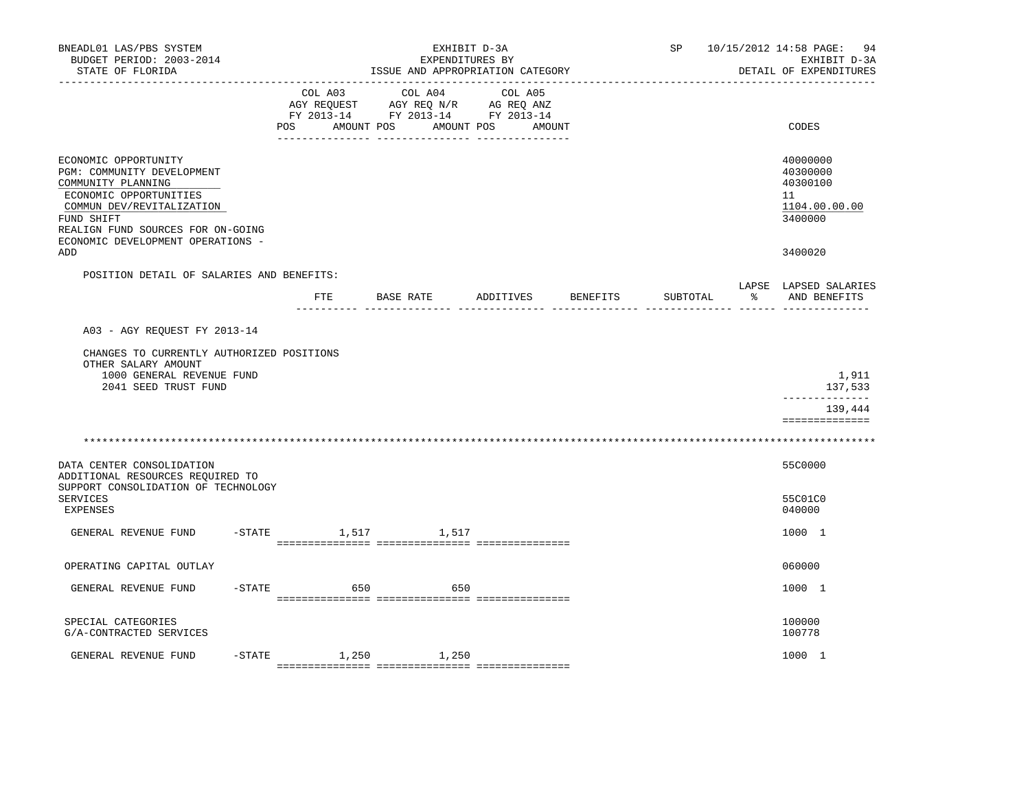| BNEADL01 LAS/PBS SYSTEM<br>BUDGET PERIOD: 2003-2014<br>STATE OF FLORIDA<br>--------------                                                                                                                               |                | SP                                                                                              |                              | 10/15/2012 14:58 PAGE: 94<br>EXHIBIT D-3A<br>DETAIL OF EXPENDITURES |          |   |                                                                    |
|-------------------------------------------------------------------------------------------------------------------------------------------------------------------------------------------------------------------------|----------------|-------------------------------------------------------------------------------------------------|------------------------------|---------------------------------------------------------------------|----------|---|--------------------------------------------------------------------|
|                                                                                                                                                                                                                         | COL A03<br>POS | COL A04<br>AGY REQUEST AGY REQ N/R AG REQ ANZ<br>FY 2013-14 FY 2013-14 FY 2013-14<br>AMOUNT POS | COL A05<br>AMOUNT POS AMOUNT |                                                                     |          |   | CODES                                                              |
| ECONOMIC OPPORTUNITY<br>PGM: COMMUNITY DEVELOPMENT<br>COMMUNITY PLANNING<br>ECONOMIC OPPORTUNITIES<br>COMMUN DEV/REVITALIZATION<br>FUND SHIFT<br>REALIGN FUND SOURCES FOR ON-GOING<br>ECONOMIC DEVELOPMENT OPERATIONS - |                |                                                                                                 |                              |                                                                     |          |   | 40000000<br>40300000<br>40300100<br>11<br>1104.00.00.00<br>3400000 |
| ADD                                                                                                                                                                                                                     |                |                                                                                                 |                              |                                                                     |          |   | 3400020                                                            |
| POSITION DETAIL OF SALARIES AND BENEFITS:                                                                                                                                                                               | ETE            | BASE RATE                                                                                       | ADDITIVES                    | BENEFITS                                                            | SUBTOTAL | ႜ | LAPSE LAPSED SALARIES<br>AND BENEFITS                              |
| A03 - AGY REOUEST FY 2013-14                                                                                                                                                                                            |                |                                                                                                 |                              |                                                                     |          |   |                                                                    |
| CHANGES TO CURRENTLY AUTHORIZED POSITIONS                                                                                                                                                                               |                |                                                                                                 |                              |                                                                     |          |   |                                                                    |
| OTHER SALARY AMOUNT<br>1000 GENERAL REVENUE FUND<br>2041 SEED TRUST FUND                                                                                                                                                |                |                                                                                                 |                              |                                                                     |          |   | 1,911<br>137,533                                                   |
|                                                                                                                                                                                                                         |                |                                                                                                 |                              |                                                                     |          |   | _____________<br>139,444<br>==============                         |
|                                                                                                                                                                                                                         |                |                                                                                                 |                              |                                                                     |          |   |                                                                    |
| DATA CENTER CONSOLIDATION<br>ADDITIONAL RESOURCES REQUIRED TO<br>SUPPORT CONSOLIDATION OF TECHNOLOGY                                                                                                                    |                |                                                                                                 |                              |                                                                     |          |   | 55C0000                                                            |
| <b>SERVICES</b><br>EXPENSES                                                                                                                                                                                             |                |                                                                                                 |                              |                                                                     |          |   | 55C01C0<br>040000                                                  |
| GENERAL REVENUE FUND                                                                                                                                                                                                    |                | -STATE 1,517 1,517                                                                              |                              |                                                                     |          |   | 1000 1                                                             |
| OPERATING CAPITAL OUTLAY                                                                                                                                                                                                |                |                                                                                                 |                              |                                                                     |          |   | 060000                                                             |
| $-$ STATE<br>GENERAL REVENUE FUND                                                                                                                                                                                       | 650            |                                                                                                 | 650                          |                                                                     |          |   | 1000 1                                                             |
| SPECIAL CATEGORIES<br>G/A-CONTRACTED SERVICES                                                                                                                                                                           |                |                                                                                                 |                              |                                                                     |          |   | 100000<br>100778                                                   |
| -STATE<br>GENERAL REVENUE FUND                                                                                                                                                                                          |                | 1,250 1,250                                                                                     |                              |                                                                     |          |   | 1000 1                                                             |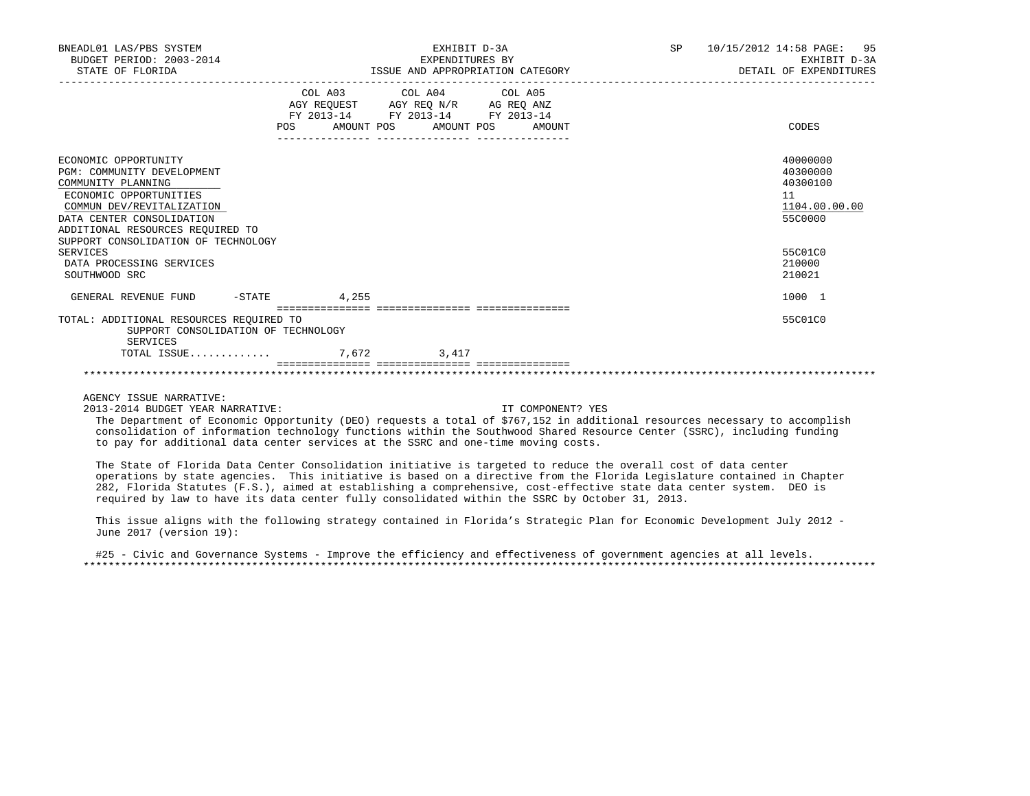| BNEADL01 LAS/PBS SYSTEM<br>BUDGET PERIOD: 2003-2014<br>STATE OF FLORIDA                                                                                                                                                                                                                          |       | EXHIBIT D-3A<br>EXPENDITURES BY                                                                   | ISSUE AND APPROPRIATION CATEGORY | SP<br>10/15/2012 14:58 PAGE: 95<br>EXHIBIT D-3A<br>DETAIL OF EXPENDITURES                         |  |
|--------------------------------------------------------------------------------------------------------------------------------------------------------------------------------------------------------------------------------------------------------------------------------------------------|-------|---------------------------------------------------------------------------------------------------|----------------------------------|---------------------------------------------------------------------------------------------------|--|
|                                                                                                                                                                                                                                                                                                  |       | COL A03 COL A04 COL A05<br>AGY REQUEST AGY REQ N/R AG REQ ANZ<br>FY 2013-14 FY 2013-14 FY 2013-14 |                                  |                                                                                                   |  |
|                                                                                                                                                                                                                                                                                                  | POS   | AMOUNT POS AMOUNT POS                                                                             | AMOUNT                           | CODES                                                                                             |  |
| ECONOMIC OPPORTUNITY<br>PGM: COMMUNITY DEVELOPMENT<br>COMMUNITY PLANNING<br>ECONOMIC OPPORTUNITIES<br>COMMUN DEV/REVITALIZATION<br>DATA CENTER CONSOLIDATION<br>ADDITIONAL RESOURCES REQUIRED TO<br>SUPPORT CONSOLIDATION OF TECHNOLOGY<br>SERVICES<br>DATA PROCESSING SERVICES<br>SOUTHWOOD SRC |       |                                                                                                   |                                  | 40000000<br>40300000<br>40300100<br>11<br>1104.00.00.00<br>55C0000<br>55C01C0<br>210000<br>210021 |  |
| GENERAL REVENUE FUND<br>$-$ STATE                                                                                                                                                                                                                                                                | 4,255 |                                                                                                   |                                  | 1000 1                                                                                            |  |
|                                                                                                                                                                                                                                                                                                  |       | =================================                                                                 |                                  |                                                                                                   |  |
| TOTAL: ADDITIONAL RESOURCES REQUIRED TO<br>SUPPORT CONSOLIDATION OF TECHNOLOGY<br>SERVICES                                                                                                                                                                                                       |       |                                                                                                   |                                  | 55C01C0                                                                                           |  |
| TOTAL ISSUE                                                                                                                                                                                                                                                                                      | 7,672 | 3,417                                                                                             |                                  |                                                                                                   |  |
|                                                                                                                                                                                                                                                                                                  |       |                                                                                                   |                                  |                                                                                                   |  |

AGENCY ISSUE NARRATIVE:

2013-2014 BUDGET YEAR NARRATIVE: IT COMPONENT? YES

 The Department of Economic Opportunity (DEO) requests a total of \$767,152 in additional resources necessary to accomplish consolidation of information technology functions within the Southwood Shared Resource Center (SSRC), including funding to pay for additional data center services at the SSRC and one-time moving costs.

 The State of Florida Data Center Consolidation initiative is targeted to reduce the overall cost of data center operations by state agencies. This initiative is based on a directive from the Florida Legislature contained in Chapter 282, Florida Statutes (F.S.), aimed at establishing a comprehensive, cost-effective state data center system. DEO is required by law to have its data center fully consolidated within the SSRC by October 31, 2013.

 This issue aligns with the following strategy contained in Florida's Strategic Plan for Economic Development July 2012 - June 2017 (version 19):

 #25 - Civic and Governance Systems - Improve the efficiency and effectiveness of government agencies at all levels. \*\*\*\*\*\*\*\*\*\*\*\*\*\*\*\*\*\*\*\*\*\*\*\*\*\*\*\*\*\*\*\*\*\*\*\*\*\*\*\*\*\*\*\*\*\*\*\*\*\*\*\*\*\*\*\*\*\*\*\*\*\*\*\*\*\*\*\*\*\*\*\*\*\*\*\*\*\*\*\*\*\*\*\*\*\*\*\*\*\*\*\*\*\*\*\*\*\*\*\*\*\*\*\*\*\*\*\*\*\*\*\*\*\*\*\*\*\*\*\*\*\*\*\*\*\*\*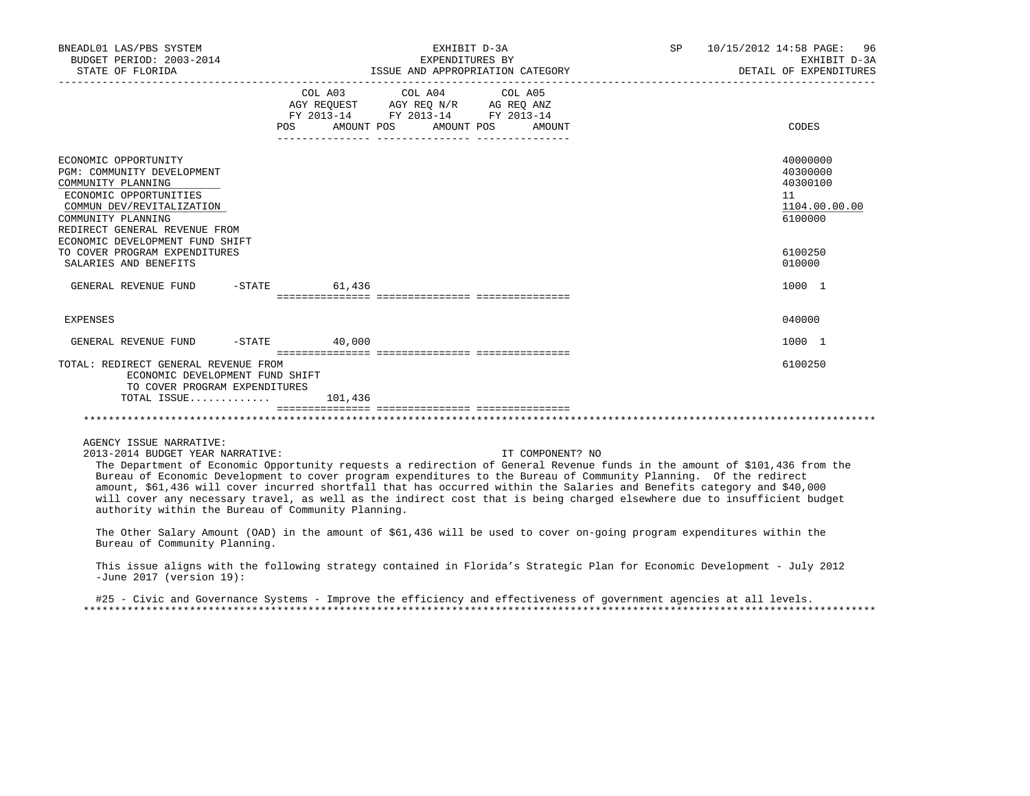| BNEADL01 LAS/PBS SYSTEM<br>BUDGET PERIOD: 2003-2014<br>STATE OF FLORIDA                                                                                                                                                                                                                                        |                  | EXHIBIT D-3A<br>EXPENDITURES BY<br>ISSUE AND APPROPRIATION CATEGORY                                                                                                                                                                                                     | SP 10/15/2012 14:58 PAGE: 96<br>EXHIBIT D-3A<br>DETAIL OF EXPENDITURES |
|----------------------------------------------------------------------------------------------------------------------------------------------------------------------------------------------------------------------------------------------------------------------------------------------------------------|------------------|-------------------------------------------------------------------------------------------------------------------------------------------------------------------------------------------------------------------------------------------------------------------------|------------------------------------------------------------------------|
|                                                                                                                                                                                                                                                                                                                | POS AMOUNT POS   | COL A03 COL A04 COL A05<br>AGY REQUEST AGY REQ N/R AG REQ ANZ<br>FY 2013-14 FY 2013-14 FY 2013-14<br>AMOUNT POS<br>AMOUNT                                                                                                                                               | CODES                                                                  |
| ECONOMIC OPPORTUNITY<br>PGM: COMMUNITY DEVELOPMENT<br>COMMUNITY PLANNING<br>ECONOMIC OPPORTUNITIES<br>COMMUN DEV/REVITALIZATION<br>COMMUNITY PLANNING<br>REDIRECT GENERAL REVENUE FROM<br>ECONOMIC DEVELOPMENT FUND SHIFT                                                                                      |                  |                                                                                                                                                                                                                                                                         | 40000000<br>40300000<br>40300100<br>11<br>1104.00.00.00<br>6100000     |
| TO COVER PROGRAM EXPENDITURES<br>SALARIES AND BENEFITS                                                                                                                                                                                                                                                         |                  |                                                                                                                                                                                                                                                                         | 6100250<br>010000                                                      |
| GENERAL REVENUE FUND                                                                                                                                                                                                                                                                                           | $-$ STATE 61,436 |                                                                                                                                                                                                                                                                         | 1000 1                                                                 |
| <b>EXPENSES</b>                                                                                                                                                                                                                                                                                                |                  |                                                                                                                                                                                                                                                                         | 040000                                                                 |
| GENERAL REVENUE FUND -STATE 40,000                                                                                                                                                                                                                                                                             |                  |                                                                                                                                                                                                                                                                         | 1000 1                                                                 |
| TOTAL: REDIRECT GENERAL REVENUE FROM<br>ECONOMIC DEVELOPMENT FUND SHIFT<br>TO COVER PROGRAM EXPENDITURES<br>TOTAL ISSUE                                                                                                                                                                                        | 101,436          |                                                                                                                                                                                                                                                                         | 6100250                                                                |
|                                                                                                                                                                                                                                                                                                                |                  |                                                                                                                                                                                                                                                                         |                                                                        |
| AGENCY ISSUE NARRATIVE:<br>2013-2014 BUDGET YEAR NARRATIVE:<br>The Department of Economic Opportunity requests a redirection of General Revenue funds in the amount of \$101,436 from the<br>Bureau of Economic Development to cover program expenditures to the Bureau of Community Planning. Of the redirect |                  | IT COMPONENT? NO<br>amount, \$61,436 will cover incurred shortfall that has occurred within the Salaries and Benefits category and \$40,000<br>will cover any necessary travel, as well as the indirect cost that is being charged elsewhere due to insufficient budget |                                                                        |

 The Other Salary Amount (OAD) in the amount of \$61,436 will be used to cover on-going program expenditures within the Bureau of Community Planning.

authority within the Bureau of Community Planning.

 This issue aligns with the following strategy contained in Florida's Strategic Plan for Economic Development - July 2012 -June 2017 (version 19):

 #25 - Civic and Governance Systems - Improve the efficiency and effectiveness of government agencies at all levels. \*\*\*\*\*\*\*\*\*\*\*\*\*\*\*\*\*\*\*\*\*\*\*\*\*\*\*\*\*\*\*\*\*\*\*\*\*\*\*\*\*\*\*\*\*\*\*\*\*\*\*\*\*\*\*\*\*\*\*\*\*\*\*\*\*\*\*\*\*\*\*\*\*\*\*\*\*\*\*\*\*\*\*\*\*\*\*\*\*\*\*\*\*\*\*\*\*\*\*\*\*\*\*\*\*\*\*\*\*\*\*\*\*\*\*\*\*\*\*\*\*\*\*\*\*\*\*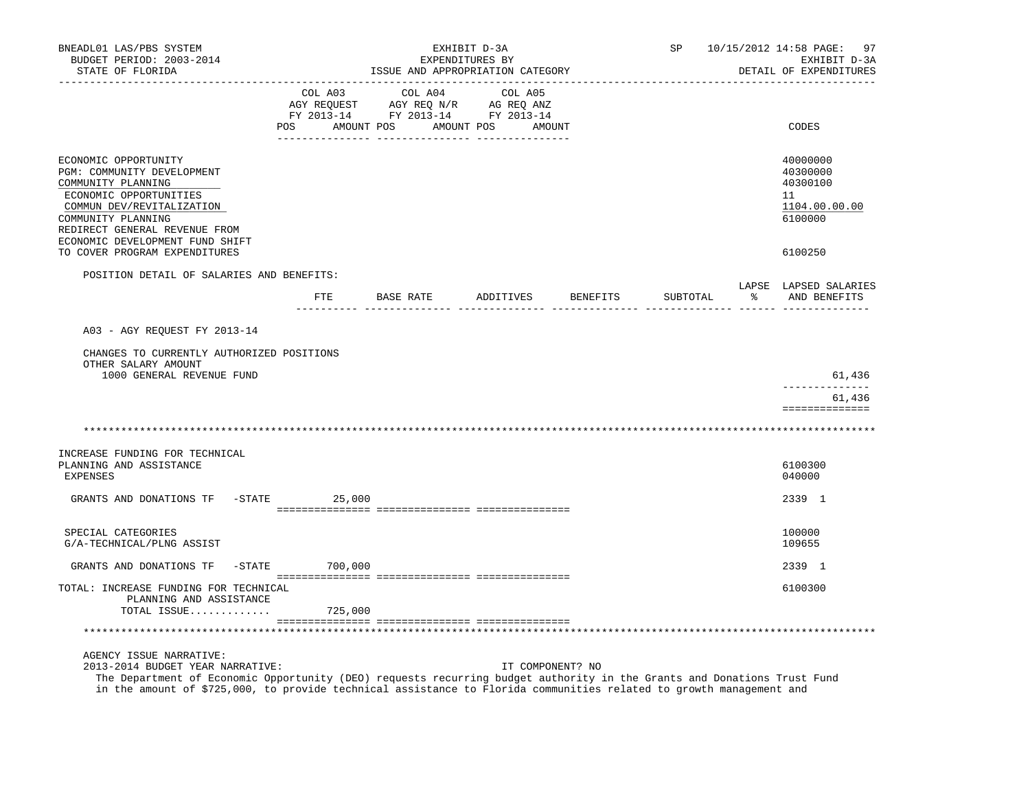| BNEADL01 LAS/PBS SYSTEM<br>BUDGET PERIOD: 2003-2014<br>STATE OF FLORIDA                                                                                                                                                                                                                                       |                  |              | EXHIBIT D-3A<br>EXPENDITURES BY<br>ISSUE AND APPROPRIATION CATEGORY                                                                                                                                                                                                                                                                                                                                                                                                                                                                                    | SP | 10/15/2012 14:58 PAGE:<br>EXHIBIT D-3A<br>DETAIL OF EXPENDITURES   | 97 |
|---------------------------------------------------------------------------------------------------------------------------------------------------------------------------------------------------------------------------------------------------------------------------------------------------------------|------------------|--------------|--------------------------------------------------------------------------------------------------------------------------------------------------------------------------------------------------------------------------------------------------------------------------------------------------------------------------------------------------------------------------------------------------------------------------------------------------------------------------------------------------------------------------------------------------------|----|--------------------------------------------------------------------|----|
|                                                                                                                                                                                                                                                                                                               | COL A03          | COL A04<br>. | COL A05<br>$\begin{tabular}{lcccc} \multicolumn{1}{c}{\text{COL A05}}\\ \multicolumn{1}{c}{\text{AGY REQUEST}}\\ \multicolumn{1}{c}{\text{AGY REQUEST}}\\ \multicolumn{1}{c}{\text{AGY REQUEST}}\\ \multicolumn{1}{c}{\text{AGY REQ}}\\ \multicolumn{1}{c}{\text{AGY REQ}}\\ \multicolumn{1}{c}{\text{AY REQ}}\\ \multicolumn{1}{c}{\text{AY REQ}}\\ \multicolumn{1}{c}{\text{AY REQ}}\\ \multicolumn{1}{c}{\text{AY REQ}}\\ \multicolumn{1}{c}{\text{AY REQ}}\\ \multicolumn{1}{c}{$<br>POS AMOUNT POS AMOUNT POS AMOUNT<br>-------- ---------------- |    | CODES                                                              |    |
| ECONOMIC OPPORTUNITY<br>PGM: COMMUNITY DEVELOPMENT<br>COMMUNITY PLANNING<br>ECONOMIC OPPORTUNITIES<br>COMMUN DEV/REVITALIZATION<br>COMMUNITY PLANNING<br>REDIRECT GENERAL REVENUE FROM<br>ECONOMIC DEVELOPMENT FUND SHIFT                                                                                     |                  |              |                                                                                                                                                                                                                                                                                                                                                                                                                                                                                                                                                        |    | 40000000<br>40300000<br>40300100<br>11<br>1104.00.00.00<br>6100000 |    |
| TO COVER PROGRAM EXPENDITURES                                                                                                                                                                                                                                                                                 |                  |              |                                                                                                                                                                                                                                                                                                                                                                                                                                                                                                                                                        |    | 6100250                                                            |    |
| POSITION DETAIL OF SALARIES AND BENEFITS:                                                                                                                                                                                                                                                                     |                  |              | FTE BASE RATE ADDITIVES BENEFITS                                                                                                                                                                                                                                                                                                                                                                                                                                                                                                                       |    | LAPSE LAPSED SALARIES<br>SUBTOTAL % AND BENEFITS                   |    |
|                                                                                                                                                                                                                                                                                                               |                  |              |                                                                                                                                                                                                                                                                                                                                                                                                                                                                                                                                                        |    |                                                                    |    |
| A03 - AGY REQUEST FY 2013-14                                                                                                                                                                                                                                                                                  |                  |              |                                                                                                                                                                                                                                                                                                                                                                                                                                                                                                                                                        |    |                                                                    |    |
| CHANGES TO CURRENTLY AUTHORIZED POSITIONS<br>OTHER SALARY AMOUNT<br>1000 GENERAL REVENUE FUND                                                                                                                                                                                                                 |                  |              |                                                                                                                                                                                                                                                                                                                                                                                                                                                                                                                                                        |    | 61,436                                                             |    |
|                                                                                                                                                                                                                                                                                                               |                  |              |                                                                                                                                                                                                                                                                                                                                                                                                                                                                                                                                                        |    | 61,436                                                             |    |
|                                                                                                                                                                                                                                                                                                               |                  |              |                                                                                                                                                                                                                                                                                                                                                                                                                                                                                                                                                        |    | ==============                                                     |    |
| INCREASE FUNDING FOR TECHNICAL                                                                                                                                                                                                                                                                                |                  |              |                                                                                                                                                                                                                                                                                                                                                                                                                                                                                                                                                        |    |                                                                    |    |
| PLANNING AND ASSISTANCE<br><b>EXPENSES</b>                                                                                                                                                                                                                                                                    |                  |              |                                                                                                                                                                                                                                                                                                                                                                                                                                                                                                                                                        |    | 6100300<br>040000                                                  |    |
| GRANTS AND DONATIONS TF -STATE 25,000                                                                                                                                                                                                                                                                         |                  |              |                                                                                                                                                                                                                                                                                                                                                                                                                                                                                                                                                        |    | 2339 1                                                             |    |
| SPECIAL CATEGORIES<br>G/A-TECHNICAL/PLNG ASSIST                                                                                                                                                                                                                                                               |                  |              |                                                                                                                                                                                                                                                                                                                                                                                                                                                                                                                                                        |    | 100000<br>109655                                                   |    |
| GRANTS AND DONATIONS TF                                                                                                                                                                                                                                                                                       | $-STATE$ 700,000 |              |                                                                                                                                                                                                                                                                                                                                                                                                                                                                                                                                                        |    | 2339 1                                                             |    |
| TOTAL: INCREASE FUNDING FOR TECHNICAL<br>PLANNING AND ASSISTANCE<br>TOTAL ISSUE $725,000$                                                                                                                                                                                                                     |                  |              |                                                                                                                                                                                                                                                                                                                                                                                                                                                                                                                                                        |    | 6100300                                                            |    |
|                                                                                                                                                                                                                                                                                                               |                  |              |                                                                                                                                                                                                                                                                                                                                                                                                                                                                                                                                                        |    |                                                                    |    |
| AGENCY ISSUE NARRATIVE:<br>2013-2014 BUDGET YEAR NARRATIVE:<br>The Department of Economic Opportunity (DEO) requests recurring budget authority in the Grants and Donations Trust Fund<br>in the amount of \$725,000, to provide technical assistance to Florida communities related to growth management and |                  |              | IT COMPONENT? NO                                                                                                                                                                                                                                                                                                                                                                                                                                                                                                                                       |    |                                                                    |    |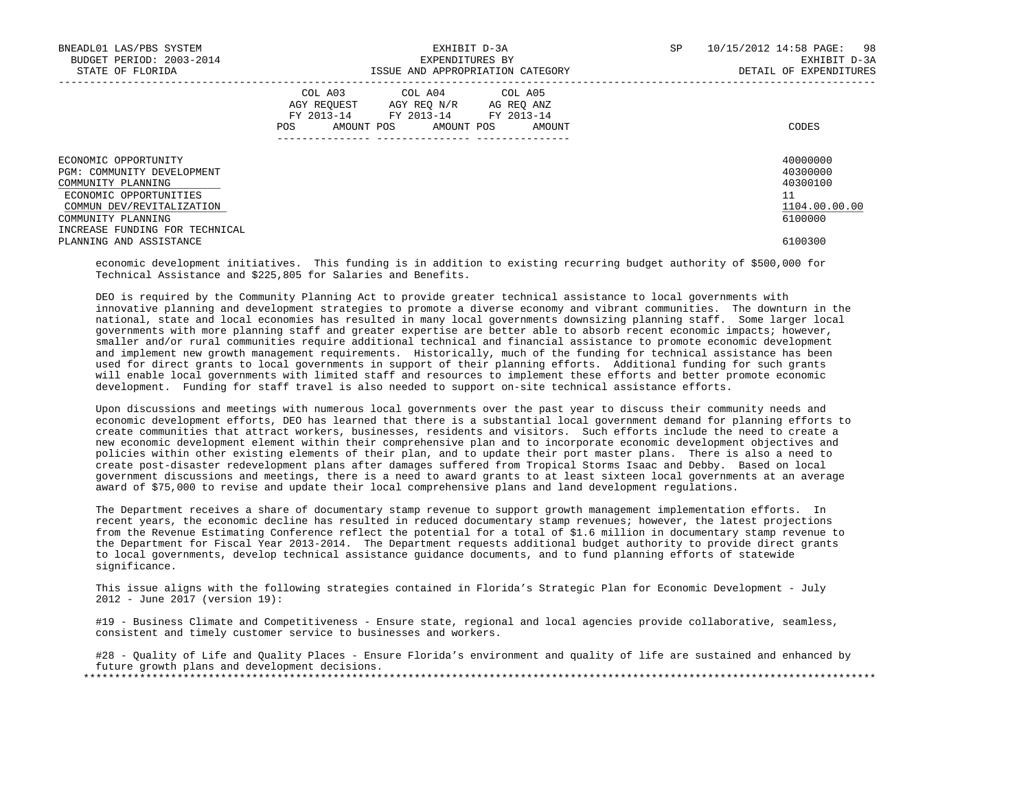| BNEADL01 LAS/PBS SYSTEM<br>BUDGET PERIOD: 2003-2014<br>STATE OF FLORIDA                                                                                                                 | EXHIBIT D-3A<br>EXPENDITURES BY<br>ISSUE AND APPROPRIATION CATEGORY                                                                            | 10/15/2012 14:58 PAGE: 98<br>SP<br>EXHIBIT D-3A<br>DETAIL OF EXPENDITURES |
|-----------------------------------------------------------------------------------------------------------------------------------------------------------------------------------------|------------------------------------------------------------------------------------------------------------------------------------------------|---------------------------------------------------------------------------|
|                                                                                                                                                                                         | COL A03 COL A04 COL A05<br>AGY REOUEST AGY REO N/R AG REO ANZ<br>FY 2013-14 FY 2013-14 FY 2013-14<br>AMOUNT POS<br>POS<br>AMOUNT POS<br>AMOUNT | CODES                                                                     |
| ECONOMIC OPPORTUNITY<br>PGM: COMMUNITY DEVELOPMENT<br>COMMUNITY PLANNING<br>ECONOMIC OPPORTUNITIES<br>COMMUN DEV/REVITALIZATION<br>COMMUNITY PLANNING<br>INCREASE FUNDING FOR TECHNICAL |                                                                                                                                                | 40000000<br>40300000<br>40300100<br>11<br>1104.00.00.00<br>6100000        |
| PLANNING AND ASSISTANCE                                                                                                                                                                 |                                                                                                                                                | 6100300                                                                   |

 economic development initiatives. This funding is in addition to existing recurring budget authority of \$500,000 for Technical Assistance and \$225,805 for Salaries and Benefits.

 DEO is required by the Community Planning Act to provide greater technical assistance to local governments with innovative planning and development strategies to promote a diverse economy and vibrant communities. The downturn in the national, state and local economies has resulted in many local governments downsizing planning staff. Some larger local governments with more planning staff and greater expertise are better able to absorb recent economic impacts; however, smaller and/or rural communities require additional technical and financial assistance to promote economic development and implement new growth management requirements. Historically, much of the funding for technical assistance has been used for direct grants to local governments in support of their planning efforts. Additional funding for such grants will enable local governments with limited staff and resources to implement these efforts and better promote economic development. Funding for staff travel is also needed to support on-site technical assistance efforts.

 Upon discussions and meetings with numerous local governments over the past year to discuss their community needs and economic development efforts, DEO has learned that there is a substantial local government demand for planning efforts to create communities that attract workers, businesses, residents and visitors. Such efforts include the need to create a new economic development element within their comprehensive plan and to incorporate economic development objectives and policies within other existing elements of their plan, and to update their port master plans. There is also a need to create post-disaster redevelopment plans after damages suffered from Tropical Storms Isaac and Debby. Based on local government discussions and meetings, there is a need to award grants to at least sixteen local governments at an average award of \$75,000 to revise and update their local comprehensive plans and land development regulations.

 The Department receives a share of documentary stamp revenue to support growth management implementation efforts. In recent years, the economic decline has resulted in reduced documentary stamp revenues; however, the latest projections from the Revenue Estimating Conference reflect the potential for a total of \$1.6 million in documentary stamp revenue to the Department for Fiscal Year 2013-2014. The Department requests additional budget authority to provide direct grants to local governments, develop technical assistance guidance documents, and to fund planning efforts of statewide significance.

 This issue aligns with the following strategies contained in Florida's Strategic Plan for Economic Development - July 2012 - June 2017 (version 19):

 #19 - Business Climate and Competitiveness - Ensure state, regional and local agencies provide collaborative, seamless, consistent and timely customer service to businesses and workers.

 #28 - Quality of Life and Quality Places - Ensure Florida's environment and quality of life are sustained and enhanced by future growth plans and development decisions.

\*\*\*\*\*\*\*\*\*\*\*\*\*\*\*\*\*\*\*\*\*\*\*\*\*\*\*\*\*\*\*\*\*\*\*\*\*\*\*\*\*\*\*\*\*\*\*\*\*\*\*\*\*\*\*\*\*\*\*\*\*\*\*\*\*\*\*\*\*\*\*\*\*\*\*\*\*\*\*\*\*\*\*\*\*\*\*\*\*\*\*\*\*\*\*\*\*\*\*\*\*\*\*\*\*\*\*\*\*\*\*\*\*\*\*\*\*\*\*\*\*\*\*\*\*\*\*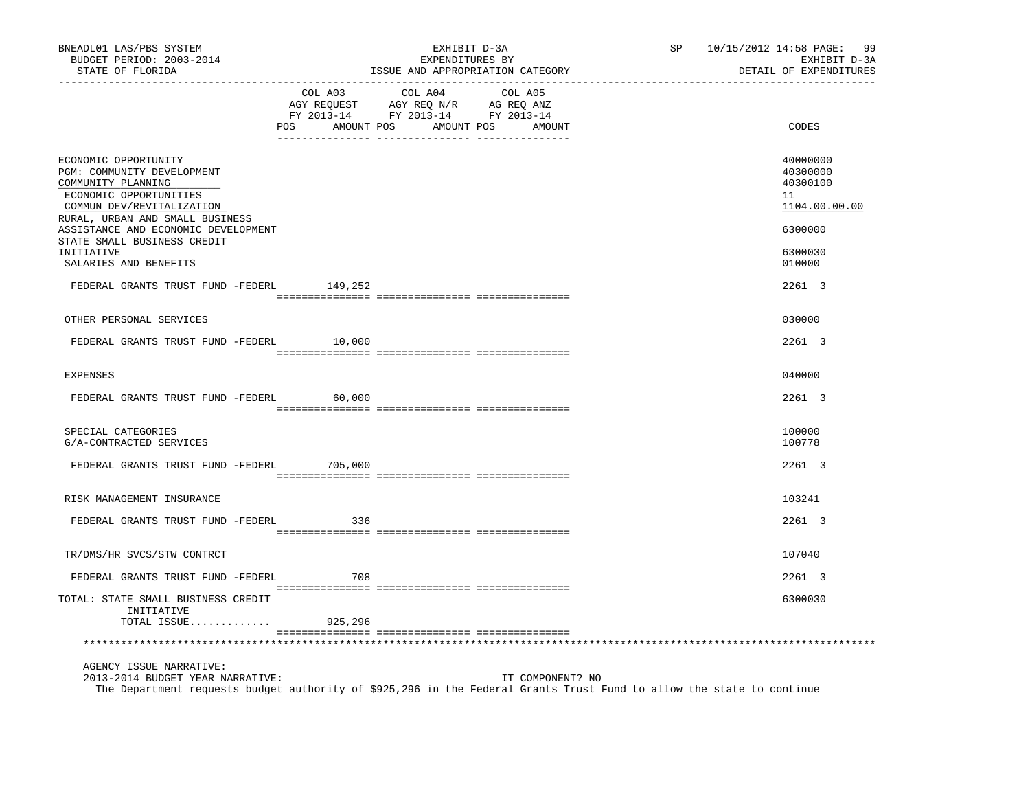| BNEADL01 LAS/PBS SYSTEM<br>BUDGET PERIOD: 2003-2014<br>STATE OF FLORIDA                                                                                                                                                                  |                           | EXHIBIT D-3A<br>EXPENDITURES BY<br>ISSUE AND APPROPRIATION CATEGORY                                                                       | SP 10/15/2012 14:58 PAGE: 99<br>EXHIBIT D-3A<br>DETAIL OF EXPENDITURES |
|------------------------------------------------------------------------------------------------------------------------------------------------------------------------------------------------------------------------------------------|---------------------------|-------------------------------------------------------------------------------------------------------------------------------------------|------------------------------------------------------------------------|
|                                                                                                                                                                                                                                          | COL A03<br>POS AMOUNT POS | COL A04<br>COL A05<br>AGY REQUEST AGY REQ N/R AG REQ ANZ<br>FY 2013-14 FY 2013-14 FY 2013-14<br>AMOUNT POS<br>AMOUNT                      | CODES                                                                  |
| ECONOMIC OPPORTUNITY<br>PGM: COMMUNITY DEVELOPMENT<br>COMMUNITY PLANNING<br>ECONOMIC OPPORTUNITIES<br>COMMUN DEV/REVITALIZATION<br>RURAL, URBAN AND SMALL BUSINESS<br>ASSISTANCE AND ECONOMIC DEVELOPMENT<br>STATE SMALL BUSINESS CREDIT |                           |                                                                                                                                           | 40000000<br>40300000<br>40300100<br>11<br>1104.00.00.00<br>6300000     |
| INITIATIVE<br>SALARIES AND BENEFITS                                                                                                                                                                                                      |                           |                                                                                                                                           | 6300030<br>010000                                                      |
| FEDERAL GRANTS TRUST FUND -FEDERL 149,252                                                                                                                                                                                                |                           |                                                                                                                                           | 2261 3                                                                 |
| OTHER PERSONAL SERVICES                                                                                                                                                                                                                  |                           |                                                                                                                                           | 030000                                                                 |
| FEDERAL GRANTS TRUST FUND -FEDERL 10,000                                                                                                                                                                                                 |                           |                                                                                                                                           | 2261 3                                                                 |
| <b>EXPENSES</b>                                                                                                                                                                                                                          |                           |                                                                                                                                           | 040000                                                                 |
| FEDERAL GRANTS TRUST FUND -FEDERL                                                                                                                                                                                                        | 60,000                    |                                                                                                                                           | 2261 3                                                                 |
| SPECIAL CATEGORIES<br>G/A-CONTRACTED SERVICES                                                                                                                                                                                            |                           |                                                                                                                                           | 100000<br>100778                                                       |
| FEDERAL GRANTS TRUST FUND -FEDERL 705,000                                                                                                                                                                                                |                           |                                                                                                                                           | 2261 3                                                                 |
| RISK MANAGEMENT INSURANCE                                                                                                                                                                                                                |                           |                                                                                                                                           | 103241                                                                 |
| FEDERAL GRANTS TRUST FUND -FEDERL                                                                                                                                                                                                        | 336                       |                                                                                                                                           | 2261 3                                                                 |
| TR/DMS/HR SVCS/STW CONTRCT                                                                                                                                                                                                               |                           |                                                                                                                                           | 107040                                                                 |
| FEDERAL GRANTS TRUST FUND -FEDERL                                                                                                                                                                                                        | 708                       |                                                                                                                                           | 2261 3                                                                 |
| TOTAL: STATE SMALL BUSINESS CREDIT<br>INITIATIVE<br>TOTAL ISSUE                                                                                                                                                                          | 925,296                   |                                                                                                                                           | 6300030                                                                |
|                                                                                                                                                                                                                                          |                           |                                                                                                                                           |                                                                        |
| AGENCY ISSUE NARRATIVE:<br>2013-2014 BUDGET YEAR NARRATIVE:                                                                                                                                                                              |                           | IT COMPONENT? NO<br>The Department requests budget authority of \$925,296 in the Federal Grants Trust Fund to allow the state to continue |                                                                        |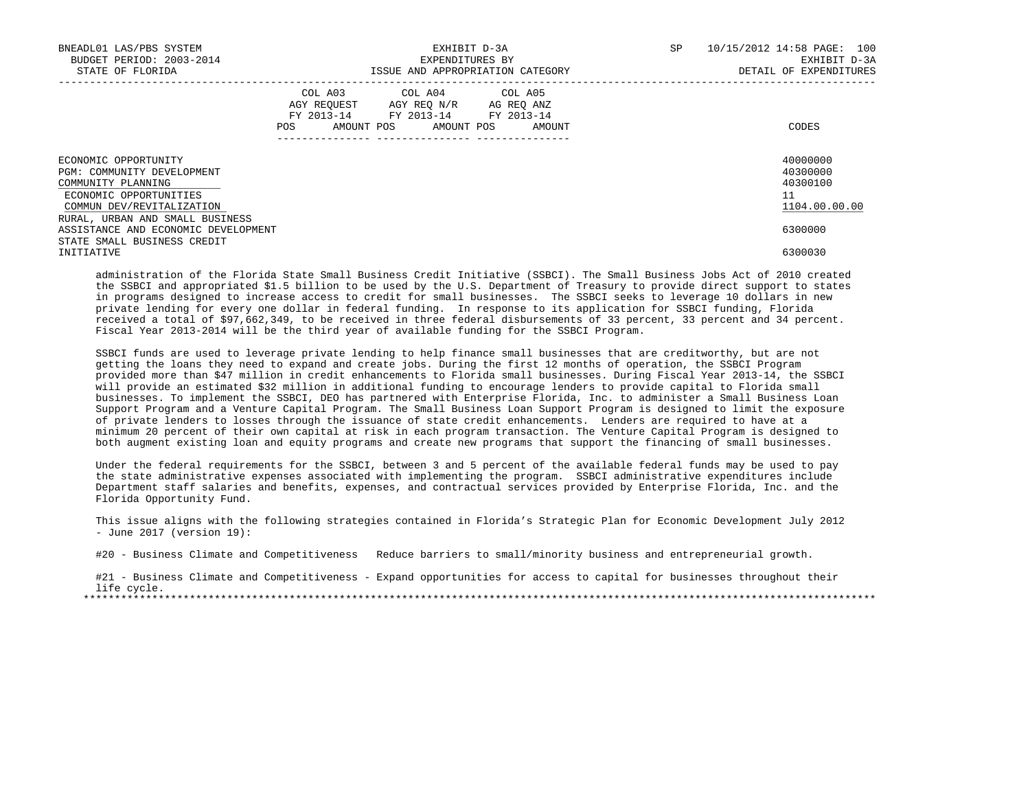| BNEADL01 LAS/PBS SYSTEM<br>BUDGET PERIOD: 2003-2014<br>STATE OF FLORIDA                                                         | EXHIBIT D-3A<br>EXPENDITURES BY<br>ISSUE AND APPROPRIATION CATEGORY                                                                   | SP | 10/15/2012 14:58 PAGE: 100<br>EXHIBIT D-3A<br>DETAIL OF EXPENDITURES |
|---------------------------------------------------------------------------------------------------------------------------------|---------------------------------------------------------------------------------------------------------------------------------------|----|----------------------------------------------------------------------|
|                                                                                                                                 | COL A03 COL A04 COL A05<br>AGY REOUEST AGY REO N/R AG REO ANZ<br>FY 2013-14 FY 2013-14 FY 2013-14<br>POS AMOUNT POS AMOUNT POS AMOUNT |    | CODES                                                                |
| ECONOMIC OPPORTUNITY<br>PGM: COMMUNITY DEVELOPMENT<br>COMMUNITY PLANNING<br>ECONOMIC OPPORTUNITIES<br>COMMUN DEV/REVITALIZATION |                                                                                                                                       |    | 40000000<br>40300000<br>40300100<br>11<br>1104.00.00.00              |
| RURAL, URBAN AND SMALL BUSINESS<br>ASSISTANCE AND ECONOMIC DEVELOPMENT<br>STATE SMALL BUSINESS CREDIT<br>INITIATIVE             |                                                                                                                                       |    | 6300000<br>6300030                                                   |

 administration of the Florida State Small Business Credit Initiative (SSBCI). The Small Business Jobs Act of 2010 created the SSBCI and appropriated \$1.5 billion to be used by the U.S. Department of Treasury to provide direct support to states in programs designed to increase access to credit for small businesses. The SSBCI seeks to leverage 10 dollars in new private lending for every one dollar in federal funding. In response to its application for SSBCI funding, Florida received a total of \$97,662,349, to be received in three federal disbursements of 33 percent, 33 percent and 34 percent. Fiscal Year 2013-2014 will be the third year of available funding for the SSBCI Program.

 SSBCI funds are used to leverage private lending to help finance small businesses that are creditworthy, but are not getting the loans they need to expand and create jobs. During the first 12 months of operation, the SSBCI Program provided more than \$47 million in credit enhancements to Florida small businesses. During Fiscal Year 2013-14, the SSBCI will provide an estimated \$32 million in additional funding to encourage lenders to provide capital to Florida small businesses. To implement the SSBCI, DEO has partnered with Enterprise Florida, Inc. to administer a Small Business Loan Support Program and a Venture Capital Program. The Small Business Loan Support Program is designed to limit the exposure of private lenders to losses through the issuance of state credit enhancements. Lenders are required to have at a minimum 20 percent of their own capital at risk in each program transaction. The Venture Capital Program is designed to both augment existing loan and equity programs and create new programs that support the financing of small businesses.

 Under the federal requirements for the SSBCI, between 3 and 5 percent of the available federal funds may be used to pay the state administrative expenses associated with implementing the program. SSBCI administrative expenditures include Department staff salaries and benefits, expenses, and contractual services provided by Enterprise Florida, Inc. and the Florida Opportunity Fund.

 This issue aligns with the following strategies contained in Florida's Strategic Plan for Economic Development July 2012 - June 2017 (version 19):

#20 - Business Climate and Competitiveness Reduce barriers to small/minority business and entrepreneurial growth.

#21 - Business Climate and Competitiveness - Expand opportunities for access to capital for businesses throughout their life cycle. \*\*\*\*\*\*\*\*\*\*\*\*\*\*\*\*\*\*\*\*\*\*\*\*\*\*\*\*\*\*\*\*\*\*\*\*\*\*\*\*\*\*\*\*\*\*\*\*\*\*\*\*\*\*\*\*\*\*\*\*\*\*\*\*\*\*\*\*\*\*\*\*\*\*\*\*\*\*\*\*\*\*\*\*\*\*\*\*\*\*\*\*\*\*\*\*\*\*\*\*\*\*\*\*\*\*\*\*\*\*\*\*\*\*\*\*\*\*\*\*\*\*\*\*\*\*\*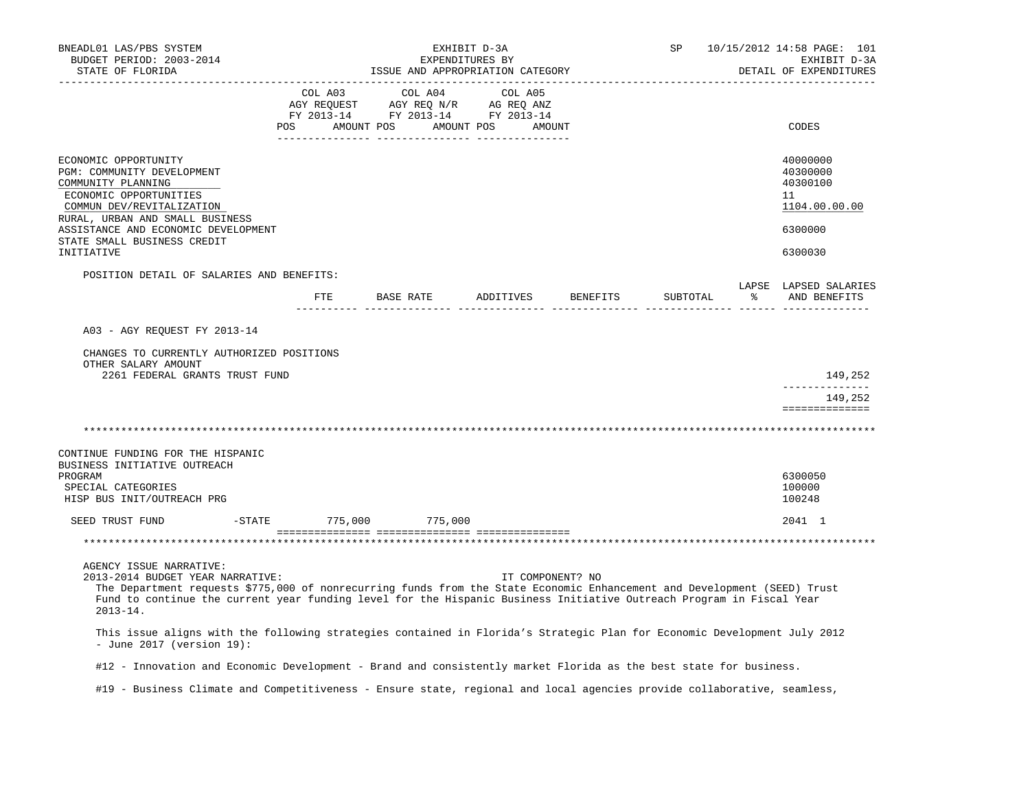| BNEADL01 LAS/PBS SYSTEM<br>BUDGET PERIOD: 2003-2014<br>STATE OF FLORIDA                                                                                                                                                                                                                                                                                                                                                                                                                                                                                                                                           |                                                                                                                                                  | EXHIBIT D-3A<br>EXPENDITURES BY     |         | ISSUE AND APPROPRIATION CATEGORY | SP       | 10/15/2012 14:58 PAGE: 101<br>EXHIBIT D-3A<br>DETAIL OF EXPENDITURES          |
|-------------------------------------------------------------------------------------------------------------------------------------------------------------------------------------------------------------------------------------------------------------------------------------------------------------------------------------------------------------------------------------------------------------------------------------------------------------------------------------------------------------------------------------------------------------------------------------------------------------------|--------------------------------------------------------------------------------------------------------------------------------------------------|-------------------------------------|---------|----------------------------------|----------|-------------------------------------------------------------------------------|
|                                                                                                                                                                                                                                                                                                                                                                                                                                                                                                                                                                                                                   | COL A03<br>COL AU3 COL AU4 COL A05<br>AGY REQUEST AGY REQ N/R AG REQ ANZ<br>FY 2013-14 FY 2013-14 FY 2013-14<br>POS AMOUNT POS AMOUNT POS AMOUNT | COL A04<br><u>--------- -------</u> | COL A05 |                                  |          | CODES                                                                         |
| ECONOMIC OPPORTUNITY<br>PGM: COMMUNITY DEVELOPMENT<br>COMMUNITY PLANNING<br>ECONOMIC OPPORTUNITIES<br>COMMUN DEV/REVITALIZATION<br>RURAL, URBAN AND SMALL BUSINESS<br>ASSISTANCE AND ECONOMIC DEVELOPMENT<br>STATE SMALL BUSINESS CREDIT<br>INITIATIVE                                                                                                                                                                                                                                                                                                                                                            |                                                                                                                                                  |                                     |         |                                  |          | 40000000<br>40300000<br>40300100<br>11<br>1104.00.00.00<br>6300000<br>6300030 |
| POSITION DETAIL OF SALARIES AND BENEFITS:                                                                                                                                                                                                                                                                                                                                                                                                                                                                                                                                                                         |                                                                                                                                                  |                                     |         | FTE BASE RATE ADDITIVES BENEFITS | SUBTOTAL | LAPSE LAPSED SALARIES<br>% AND BENEFITS                                       |
|                                                                                                                                                                                                                                                                                                                                                                                                                                                                                                                                                                                                                   |                                                                                                                                                  |                                     |         |                                  |          |                                                                               |
| A03 - AGY REQUEST FY 2013-14                                                                                                                                                                                                                                                                                                                                                                                                                                                                                                                                                                                      |                                                                                                                                                  |                                     |         |                                  |          |                                                                               |
| CHANGES TO CURRENTLY AUTHORIZED POSITIONS<br>OTHER SALARY AMOUNT<br>2261 FEDERAL GRANTS TRUST FUND                                                                                                                                                                                                                                                                                                                                                                                                                                                                                                                |                                                                                                                                                  |                                     |         |                                  |          | 149,252                                                                       |
|                                                                                                                                                                                                                                                                                                                                                                                                                                                                                                                                                                                                                   |                                                                                                                                                  |                                     |         |                                  |          | ______________                                                                |
|                                                                                                                                                                                                                                                                                                                                                                                                                                                                                                                                                                                                                   |                                                                                                                                                  |                                     |         |                                  |          | 149,252<br>==============                                                     |
|                                                                                                                                                                                                                                                                                                                                                                                                                                                                                                                                                                                                                   |                                                                                                                                                  |                                     |         |                                  |          |                                                                               |
| CONTINUE FUNDING FOR THE HISPANIC<br>BUSINESS INITIATIVE OUTREACH<br>PROGRAM<br>SPECIAL CATEGORIES<br>HISP BUS INIT/OUTREACH PRG                                                                                                                                                                                                                                                                                                                                                                                                                                                                                  |                                                                                                                                                  |                                     |         |                                  |          | 6300050<br>100000<br>100248                                                   |
| SEED TRUST FUND                                                                                                                                                                                                                                                                                                                                                                                                                                                                                                                                                                                                   | -STATE 775,000 775,000                                                                                                                           |                                     |         |                                  |          | 2041 1                                                                        |
|                                                                                                                                                                                                                                                                                                                                                                                                                                                                                                                                                                                                                   |                                                                                                                                                  |                                     |         |                                  |          |                                                                               |
| AGENCY ISSUE NARRATIVE:<br>2013-2014 BUDGET YEAR NARRATIVE:<br>The Department requests \$775,000 of nonrecurring funds from the State Economic Enhancement and Development (SEED) Trust<br>Fund to continue the current year funding level for the Hispanic Business Initiative Outreach Program in Fiscal Year<br>$2013 - 14$ .<br>This issue aligns with the following strategies contained in Florida's Strategic Plan for Economic Development July 2012<br>- June 2017 (version $19$ ):<br>#12 - Innovation and Economic Development - Brand and consistently market Florida as the best state for business. |                                                                                                                                                  |                                     |         | IT COMPONENT? NO                 |          |                                                                               |
| #19 - Business Climate and Competitiveness - Ensure state, regional and local agencies provide collaborative, seamless,                                                                                                                                                                                                                                                                                                                                                                                                                                                                                           |                                                                                                                                                  |                                     |         |                                  |          |                                                                               |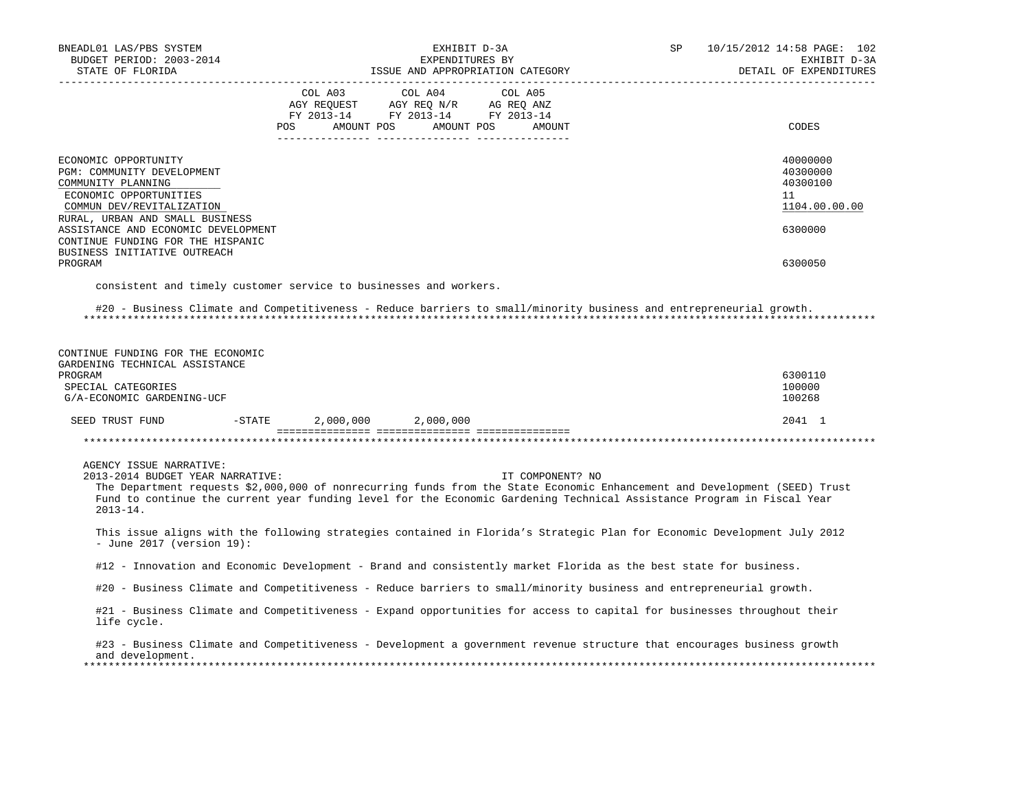| BNEADL01 LAS/PBS SYSTEM<br>BUDGET PERIOD: 2003-2014<br>STATE OF FLORIDA                                                                                                                                                                                                                                                              |                              | EXHIBIT D-3A<br>EXPENDITURES BY                                                                                                                            | ISSUE AND APPROPRIATION CATEGORY | SP | 10/15/2012 14:58 PAGE: 102<br>EXHIBIT D-3A<br>DETAIL OF EXPENDITURES |
|--------------------------------------------------------------------------------------------------------------------------------------------------------------------------------------------------------------------------------------------------------------------------------------------------------------------------------------|------------------------------|------------------------------------------------------------------------------------------------------------------------------------------------------------|----------------------------------|----|----------------------------------------------------------------------|
|                                                                                                                                                                                                                                                                                                                                      |                              | $\begin{tabular}{lcccc} COL A03 & COL A04 & COL A05 \\ AGY REQUEST & AGY REQ N/R & AG REQ ANZ \\ FY & 2013-14 & FY & 2013-14 & FY & 2013-14 \end{tabular}$ |                                  |    |                                                                      |
|                                                                                                                                                                                                                                                                                                                                      | POS FOR                      | AMOUNT POS AMOUNT POS                                                                                                                                      | AMOUNT                           |    | CODES                                                                |
| ECONOMIC OPPORTUNITY<br>PGM: COMMUNITY DEVELOPMENT<br>COMMUNITY PLANNING<br>ECONOMIC OPPORTUNITIES<br>COMMUN DEV/REVITALIZATION<br>RURAL, URBAN AND SMALL BUSINESS                                                                                                                                                                   |                              |                                                                                                                                                            |                                  |    | 40000000<br>40300000<br>40300100<br>11<br>1104.00.00.00              |
| ASSISTANCE AND ECONOMIC DEVELOPMENT<br>CONTINUE FUNDING FOR THE HISPANIC<br>BUSINESS INITIATIVE OUTREACH                                                                                                                                                                                                                             |                              |                                                                                                                                                            |                                  |    | 6300000                                                              |
| PROGRAM                                                                                                                                                                                                                                                                                                                              |                              |                                                                                                                                                            |                                  |    | 6300050                                                              |
| consistent and timely customer service to businesses and workers.                                                                                                                                                                                                                                                                    |                              |                                                                                                                                                            |                                  |    |                                                                      |
| #20 - Business Climate and Competitiveness - Reduce barriers to small/minority business and entrepreneurial growth.                                                                                                                                                                                                                  |                              |                                                                                                                                                            |                                  |    |                                                                      |
| CONTINUE FUNDING FOR THE ECONOMIC<br>GARDENING TECHNICAL ASSISTANCE<br>PROGRAM<br>SPECIAL CATEGORIES<br>G/A-ECONOMIC GARDENING-UCF                                                                                                                                                                                                   |                              |                                                                                                                                                            |                                  |    | 6300110<br>100000<br>100268                                          |
| SEED TRUST FUND                                                                                                                                                                                                                                                                                                                      | $-STATE$ 2,000,000 2,000,000 |                                                                                                                                                            |                                  |    | 2041 1                                                               |
|                                                                                                                                                                                                                                                                                                                                      |                              |                                                                                                                                                            |                                  |    |                                                                      |
| AGENCY ISSUE NARRATIVE:<br>2013-2014 BUDGET YEAR NARRATIVE:<br>The Department requests \$2,000,000 of nonrecurring funds from the State Economic Enhancement and Development (SEED) Trust<br>Fund to continue the current year funding level for the Economic Gardening Technical Assistance Program in Fiscal Year<br>$2013 - 14$ . |                              |                                                                                                                                                            | IT COMPONENT? NO                 |    |                                                                      |
| This issue aligns with the following strategies contained in Florida's Strategic Plan for Economic Development July 2012<br>- June 2017 (version $19$ ):                                                                                                                                                                             |                              |                                                                                                                                                            |                                  |    |                                                                      |
| #12 - Innovation and Economic Development - Brand and consistently market Florida as the best state for business.                                                                                                                                                                                                                    |                              |                                                                                                                                                            |                                  |    |                                                                      |
| #20 - Business Climate and Competitiveness - Reduce barriers to small/minority business and entrepreneurial growth.                                                                                                                                                                                                                  |                              |                                                                                                                                                            |                                  |    |                                                                      |
| #21 - Business Climate and Competitiveness - Expand opportunities for access to capital for businesses throughout their<br>life cycle.                                                                                                                                                                                               |                              |                                                                                                                                                            |                                  |    |                                                                      |
| #23 - Business Climate and Competitiveness - Development a government revenue structure that encourages business growth<br>and development.                                                                                                                                                                                          |                              |                                                                                                                                                            |                                  |    |                                                                      |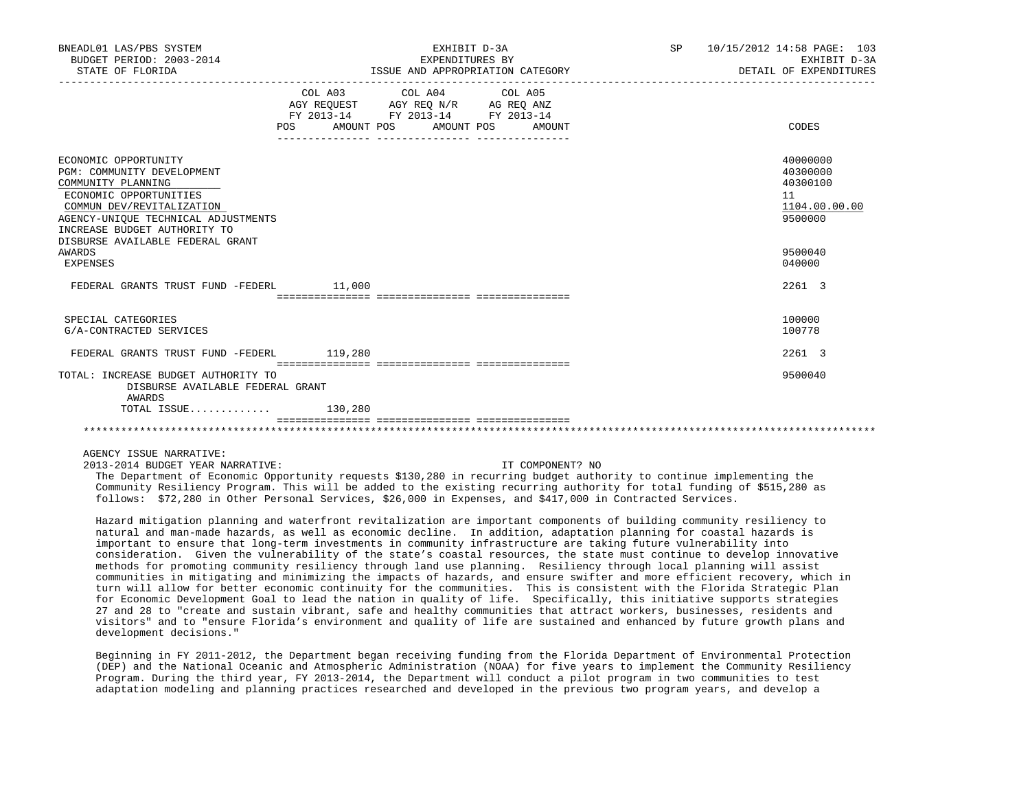| BNEADL01 LAS/PBS SYSTEM<br>BUDGET PERIOD: 2003-2014<br>STATE OF FLORIDA                                                                                                                                                                    | ____________________ | EXHIBIT D-3A<br>EXPENDITURES BY                                                                                                                                                                                                                                                           | ISSUE AND APPROPRIATION CATEGORY | SP | 10/15/2012 14:58 PAGE: 103<br>EXHIBIT D-3A<br>DETAIL OF EXPENDITURES |
|--------------------------------------------------------------------------------------------------------------------------------------------------------------------------------------------------------------------------------------------|----------------------|-------------------------------------------------------------------------------------------------------------------------------------------------------------------------------------------------------------------------------------------------------------------------------------------|----------------------------------|----|----------------------------------------------------------------------|
|                                                                                                                                                                                                                                            |                      | COL A03 COL A04 COL A05<br>$\begin{tabular}{lllllll} \bf AGY \;\; REQUEST \hspace{1cm} AGY \;\; REQ \;\; N/R \hspace{1cm} AG \;\; REQ \;\; ANZ \\ \hline \tt FY \;\; 2013-14 \hspace{1cm} FY \;\; 2013-14 \hspace{1cm} FY \;\; 2013-14 \end{tabular}$<br>POS AMOUNT POS AMOUNT POS AMOUNT |                                  |    | CODES                                                                |
| ECONOMIC OPPORTUNITY<br>PGM: COMMUNITY DEVELOPMENT<br>COMMUNITY PLANNING<br>ECONOMIC OPPORTUNITIES<br>COMMUN DEV/REVITALIZATION<br>AGENCY-UNIOUE TECHNICAL ADJUSTMENTS<br>INCREASE BUDGET AUTHORITY TO<br>DISBURSE AVAILABLE FEDERAL GRANT |                      |                                                                                                                                                                                                                                                                                           |                                  |    | 40000000<br>40300000<br>40300100<br>11<br>1104.00.00.00<br>9500000   |
| AWARDS<br>EXPENSES                                                                                                                                                                                                                         |                      |                                                                                                                                                                                                                                                                                           |                                  |    | 9500040<br>040000                                                    |
| FEDERAL GRANTS TRUST FUND -FEDERL 11,000                                                                                                                                                                                                   |                      |                                                                                                                                                                                                                                                                                           |                                  |    | 2261 3                                                               |
| SPECIAL CATEGORIES<br>G/A-CONTRACTED SERVICES                                                                                                                                                                                              |                      |                                                                                                                                                                                                                                                                                           |                                  |    | 100000<br>100778                                                     |
| FEDERAL GRANTS TRUST FUND -FEDERL 119,280                                                                                                                                                                                                  |                      |                                                                                                                                                                                                                                                                                           |                                  |    | 2261 3                                                               |
|                                                                                                                                                                                                                                            |                      |                                                                                                                                                                                                                                                                                           |                                  |    |                                                                      |
| TOTAL: INCREASE BUDGET AUTHORITY TO<br>DISBURSE AVAILABLE FEDERAL GRANT<br>AWARDS                                                                                                                                                          |                      |                                                                                                                                                                                                                                                                                           |                                  |    | 9500040                                                              |
| TOTAL ISSUE $130,280$                                                                                                                                                                                                                      |                      |                                                                                                                                                                                                                                                                                           |                                  |    |                                                                      |
|                                                                                                                                                                                                                                            |                      |                                                                                                                                                                                                                                                                                           |                                  |    |                                                                      |

AGENCY ISSUE NARRATIVE:

2013-2014 BUDGET YEAR NARRATIVE: IT COMPONENT? NO

 The Department of Economic Opportunity requests \$130,280 in recurring budget authority to continue implementing the Community Resiliency Program. This will be added to the existing recurring authority for total funding of \$515,280 as follows: \$72,280 in Other Personal Services, \$26,000 in Expenses, and \$417,000 in Contracted Services.

 Hazard mitigation planning and waterfront revitalization are important components of building community resiliency to natural and man-made hazards, as well as economic decline. In addition, adaptation planning for coastal hazards is important to ensure that long-term investments in community infrastructure are taking future vulnerability into consideration. Given the vulnerability of the state's coastal resources, the state must continue to develop innovative methods for promoting community resiliency through land use planning. Resiliency through local planning will assist communities in mitigating and minimizing the impacts of hazards, and ensure swifter and more efficient recovery, which in turn will allow for better economic continuity for the communities. This is consistent with the Florida Strategic Plan for Economic Development Goal to lead the nation in quality of life. Specifically, this initiative supports strategies 27 and 28 to "create and sustain vibrant, safe and healthy communities that attract workers, businesses, residents and visitors" and to "ensure Florida's environment and quality of life are sustained and enhanced by future growth plans and development decisions."

 Beginning in FY 2011-2012, the Department began receiving funding from the Florida Department of Environmental Protection (DEP) and the National Oceanic and Atmospheric Administration (NOAA) for five years to implement the Community Resiliency Program. During the third year, FY 2013-2014, the Department will conduct a pilot program in two communities to test adaptation modeling and planning practices researched and developed in the previous two program years, and develop a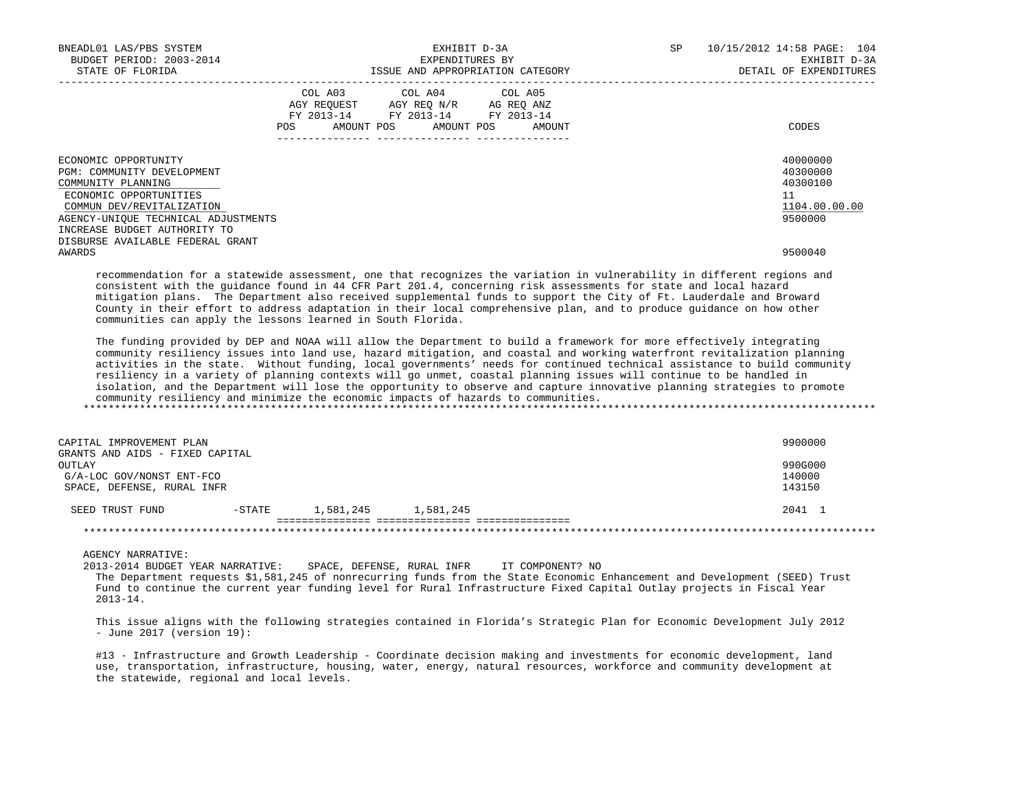| BNEADL01 LAS/PBS SYSTEM<br>BUDGET PERIOD: 2003-2014<br>STATE OF FLORIDA                                                                                                                                | EXHIBIT D-3A<br>EXPENDITURES BY<br>ISSUE AND APPROPRIATION CATEGORY                                                                         | SP<br>10/15/2012 14:58 PAGE: 104<br>EXHIBIT D-3A<br>DETAIL OF EXPENDITURES |
|--------------------------------------------------------------------------------------------------------------------------------------------------------------------------------------------------------|---------------------------------------------------------------------------------------------------------------------------------------------|----------------------------------------------------------------------------|
|                                                                                                                                                                                                        | COL A03 COL A04 COL A05<br>AGY REQUEST AGY REQ N/R AG REQ ANZ<br>FY 2013-14 FY 2013-14 FY 2013-14<br>AMOUNT POS AMOUNT POS<br>POS<br>AMOUNT | CODES                                                                      |
| ECONOMIC OPPORTUNITY<br>PGM: COMMUNITY DEVELOPMENT<br>COMMUNITY PLANNING<br>ECONOMIC OPPORTUNITIES<br>COMMUN DEV/REVITALIZATION<br>AGENCY-UNIQUE TECHNICAL ADJUSTMENTS<br>INCREASE BUDGET AUTHORITY TO |                                                                                                                                             | 40000000<br>40300000<br>40300100<br>11<br>1104.00.00.00<br>9500000         |
| DISBURSE AVAILABLE FEDERAL GRANT<br>AWARDS                                                                                                                                                             |                                                                                                                                             | 9500040                                                                    |

 recommendation for a statewide assessment, one that recognizes the variation in vulnerability in different regions and consistent with the guidance found in 44 CFR Part 201.4, concerning risk assessments for state and local hazard mitigation plans. The Department also received supplemental funds to support the City of Ft. Lauderdale and Broward County in their effort to address adaptation in their local comprehensive plan, and to produce guidance on how other communities can apply the lessons learned in South Florida.

 The funding provided by DEP and NOAA will allow the Department to build a framework for more effectively integrating community resiliency issues into land use, hazard mitigation, and coastal and working waterfront revitalization planning activities in the state. Without funding, local governments' needs for continued technical assistance to build community resiliency in a variety of planning contexts will go unmet, coastal planning issues will continue to be handled in isolation, and the Department will lose the opportunity to observe and capture innovative planning strategies to promote community resiliency and minimize the economic impacts of hazards to communities. \*\*\*\*\*\*\*\*\*\*\*\*\*\*\*\*\*\*\*\*\*\*\*\*\*\*\*\*\*\*\*\*\*\*\*\*\*\*\*\*\*\*\*\*\*\*\*\*\*\*\*\*\*\*\*\*\*\*\*\*\*\*\*\*\*\*\*\*\*\*\*\*\*\*\*\*\*\*\*\*\*\*\*\*\*\*\*\*\*\*\*\*\*\*\*\*\*\*\*\*\*\*\*\*\*\*\*\*\*\*\*\*\*\*\*\*\*\*\*\*\*\*\*\*\*\*\*

| CAPITAL IMPROVEMENT PLAN                                |           |           |           | 9900000          |  |  |  |
|---------------------------------------------------------|-----------|-----------|-----------|------------------|--|--|--|
| GRANTS AND AIDS - FIXED CAPITAL<br>OUTLAY               |           |           |           | 990G000          |  |  |  |
| G/A-LOC GOV/NONST ENT-FCO<br>SPACE, DEFENSE, RURAL INFR |           |           |           | 140000<br>143150 |  |  |  |
|                                                         |           |           |           |                  |  |  |  |
| SEED TRUST FUND                                         | $-$ STATE | 1,581,245 | 1,581,245 | 2041 1           |  |  |  |
|                                                         |           |           |           |                  |  |  |  |
|                                                         |           |           |           |                  |  |  |  |

AGENCY NARRATIVE:

2013-2014 BUDGET YEAR NARRATIVE: SPACE, DEFENSE, RURAL INFR IT COMPONENT? NO

 The Department requests \$1,581,245 of nonrecurring funds from the State Economic Enhancement and Development (SEED) Trust Fund to continue the current year funding level for Rural Infrastructure Fixed Capital Outlay projects in Fiscal Year 2013-14.

 This issue aligns with the following strategies contained in Florida's Strategic Plan for Economic Development July 2012 - June 2017 (version 19):

#13 - Infrastructure and Growth Leadership - Coordinate decision making and investments for economic development, land use, transportation, infrastructure, housing, water, energy, natural resources, workforce and community development at the statewide, regional and local levels.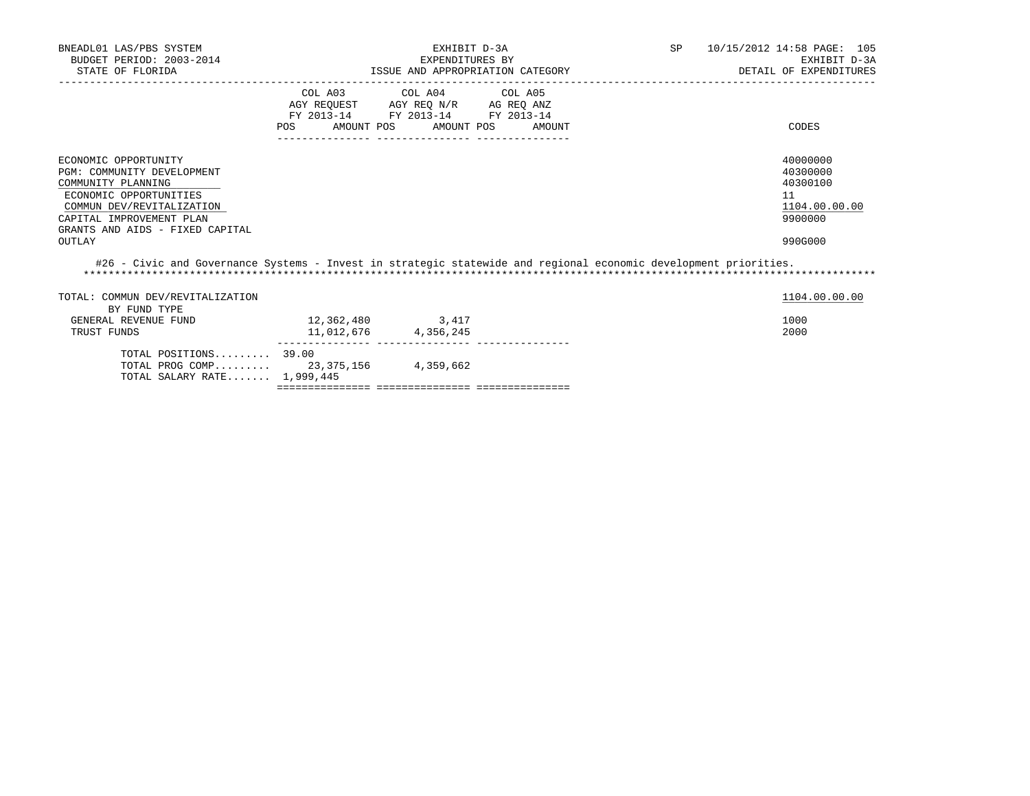| BNEADL01 LAS/PBS SYSTEM<br>BUDGET PERIOD: 2003-2014<br>STATE OF FLORIDA                                                                                                                                  |                                                                                                     | EXHIBIT D-3A<br>EXPENDITURES BY | ISSUE AND APPROPRIATION CATEGORY | SP <sub>2</sub> | 10/15/2012 14:58 PAGE: 105<br>EXHIBIT D-3A<br>DETAIL OF EXPENDITURES          |
|----------------------------------------------------------------------------------------------------------------------------------------------------------------------------------------------------------|-----------------------------------------------------------------------------------------------------|---------------------------------|----------------------------------|-----------------|-------------------------------------------------------------------------------|
|                                                                                                                                                                                                          | AGY REQUEST AGY REQ N/R AG REQ ANZ<br>FY 2013-14 FY 2013-14 FY 2013-14<br>POS AMOUNT POS AMOUNT POS | COL A03 COL A04 COL A05         | AMOUNT                           |                 | CODES                                                                         |
| ECONOMIC OPPORTUNITY<br>PGM: COMMUNITY DEVELOPMENT<br>COMMUNITY PLANNING<br>ECONOMIC OPPORTUNITIES<br>COMMUN DEV/REVITALIZATION<br>CAPITAL IMPROVEMENT PLAN<br>GRANTS AND AIDS - FIXED CAPITAL<br>OUTLAY |                                                                                                     |                                 |                                  |                 | 40000000<br>40300000<br>40300100<br>11<br>1104.00.00.00<br>9900000<br>990G000 |
| #26 - Civic and Governance Systems - Invest in strategic statewide and regional economic development priorities.                                                                                         |                                                                                                     |                                 |                                  |                 |                                                                               |
| TOTAL: COMMUN DEV/REVITALIZATION<br>BY FUND TYPE                                                                                                                                                         |                                                                                                     |                                 |                                  |                 | 1104.00.00.00                                                                 |
| GENERAL REVENUE FUND<br>TRUST FUNDS                                                                                                                                                                      | 12, 362, 480 3, 417<br>11,012,676 4,356,245                                                         |                                 |                                  |                 | 1000<br>2000                                                                  |
| TOTAL POSITIONS $39.00$<br>TOTAL PROG COMP 23,375,156 4,359,662<br>TOTAL SALARY RATE 1,999,445                                                                                                           |                                                                                                     |                                 |                                  |                 |                                                                               |
|                                                                                                                                                                                                          |                                                                                                     |                                 |                                  |                 |                                                                               |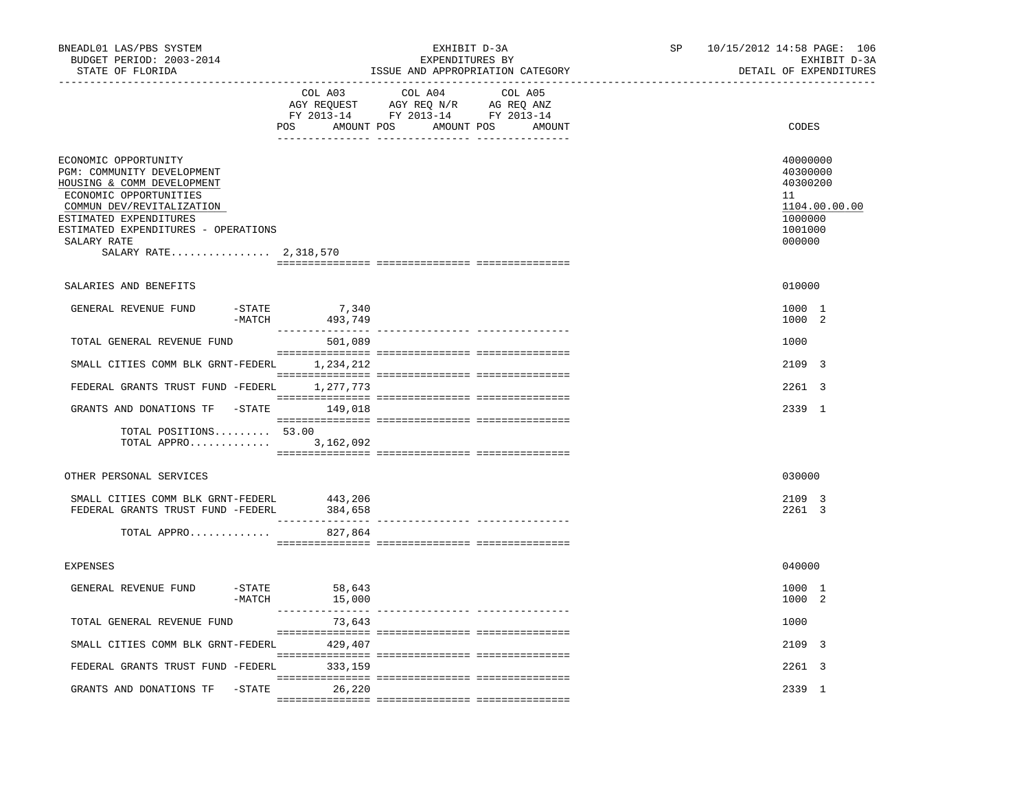| BNEADL01 LAS/PBS SYSTEM<br>BUDGET PERIOD: 2003-2014<br>STATE OF FLORIDA                                                                                                                                                                          | _________________________________ | EXHIBIT D-3A<br>EXPENDITURES BY<br>ISSUE AND APPROPRIATION CATEGORY |         | SP | 10/15/2012 14:58 PAGE: 106<br>EXHIBIT D-3A<br>DETAIL OF EXPENDITURES |                                                                                         |  |
|--------------------------------------------------------------------------------------------------------------------------------------------------------------------------------------------------------------------------------------------------|-----------------------------------|---------------------------------------------------------------------|---------|----|----------------------------------------------------------------------|-----------------------------------------------------------------------------------------|--|
|                                                                                                                                                                                                                                                  | COL A03                           | COL A04<br>POS AMOUNT POS AMOUNT POS AMOUNT                         | COL A05 |    |                                                                      | CODES                                                                                   |  |
| ECONOMIC OPPORTUNITY<br>PGM: COMMUNITY DEVELOPMENT<br>HOUSING & COMM DEVELOPMENT<br>ECONOMIC OPPORTUNITIES<br>COMMUN DEV/REVITALIZATION<br>ESTIMATED EXPENDITURES<br>ESTIMATED EXPENDITURES - OPERATIONS<br>SALARY RATE<br>SALARY RATE 2,318,570 |                                   |                                                                     |         |    |                                                                      | 40000000<br>40300000<br>40300200<br>11<br>1104.00.00.00<br>1000000<br>1001000<br>000000 |  |
| SALARIES AND BENEFITS                                                                                                                                                                                                                            |                                   |                                                                     |         |    |                                                                      | 010000                                                                                  |  |
| GENERAL REVENUE FUND<br>-STATE<br>$-MATCH$                                                                                                                                                                                                       | 7,340<br>493,749                  |                                                                     |         |    |                                                                      | 1000 1<br>1000 2                                                                        |  |
| TOTAL GENERAL REVENUE FUND                                                                                                                                                                                                                       | 501,089                           |                                                                     |         |    |                                                                      | 1000                                                                                    |  |
| SMALL CITIES COMM BLK GRNT-FEDERL                                                                                                                                                                                                                | 1,234,212                         |                                                                     |         |    |                                                                      | 2109 3                                                                                  |  |
| FEDERAL GRANTS TRUST FUND -FEDERL                                                                                                                                                                                                                | 1,277,773                         |                                                                     |         |    |                                                                      | 2261 3                                                                                  |  |
| GRANTS AND DONATIONS TF -STATE                                                                                                                                                                                                                   | 149,018                           |                                                                     |         |    |                                                                      | 2339 1                                                                                  |  |
| TOTAL POSITIONS 53.00<br>TOTAL APPRO 3,162,092                                                                                                                                                                                                   |                                   |                                                                     |         |    |                                                                      |                                                                                         |  |
| OTHER PERSONAL SERVICES                                                                                                                                                                                                                          |                                   |                                                                     |         |    |                                                                      | 030000                                                                                  |  |
| SMALL CITIES COMM BLK GRNT-FEDERL<br>FEDERAL GRANTS TRUST FUND -FEDERL                                                                                                                                                                           | 443,206<br>384,658                |                                                                     |         |    |                                                                      | 2109 3<br>2261 3                                                                        |  |
| TOTAL APPRO                                                                                                                                                                                                                                      | 827,864                           |                                                                     |         |    |                                                                      |                                                                                         |  |
| <b>EXPENSES</b>                                                                                                                                                                                                                                  |                                   |                                                                     |         |    |                                                                      | 040000                                                                                  |  |
| GENERAL REVENUE FUND<br>$-STATE$                                                                                                                                                                                                                 | 58,643<br>$-MATCH$ 15,000         |                                                                     |         |    |                                                                      | 1000 1<br>1000 2                                                                        |  |
| TOTAL GENERAL REVENUE FUND                                                                                                                                                                                                                       | 73,643                            |                                                                     |         |    |                                                                      | 1000                                                                                    |  |
| SMALL CITIES COMM BLK GRNT-FEDERL                                                                                                                                                                                                                | 429,407                           |                                                                     |         |    |                                                                      | 2109 3                                                                                  |  |
| FEDERAL GRANTS TRUST FUND -FEDERL 333,159                                                                                                                                                                                                        |                                   |                                                                     |         |    |                                                                      | 2261 3                                                                                  |  |
| GRANTS AND DONATIONS TF -STATE 26,220                                                                                                                                                                                                            |                                   |                                                                     |         |    |                                                                      | 2339 1                                                                                  |  |
|                                                                                                                                                                                                                                                  |                                   |                                                                     |         |    |                                                                      |                                                                                         |  |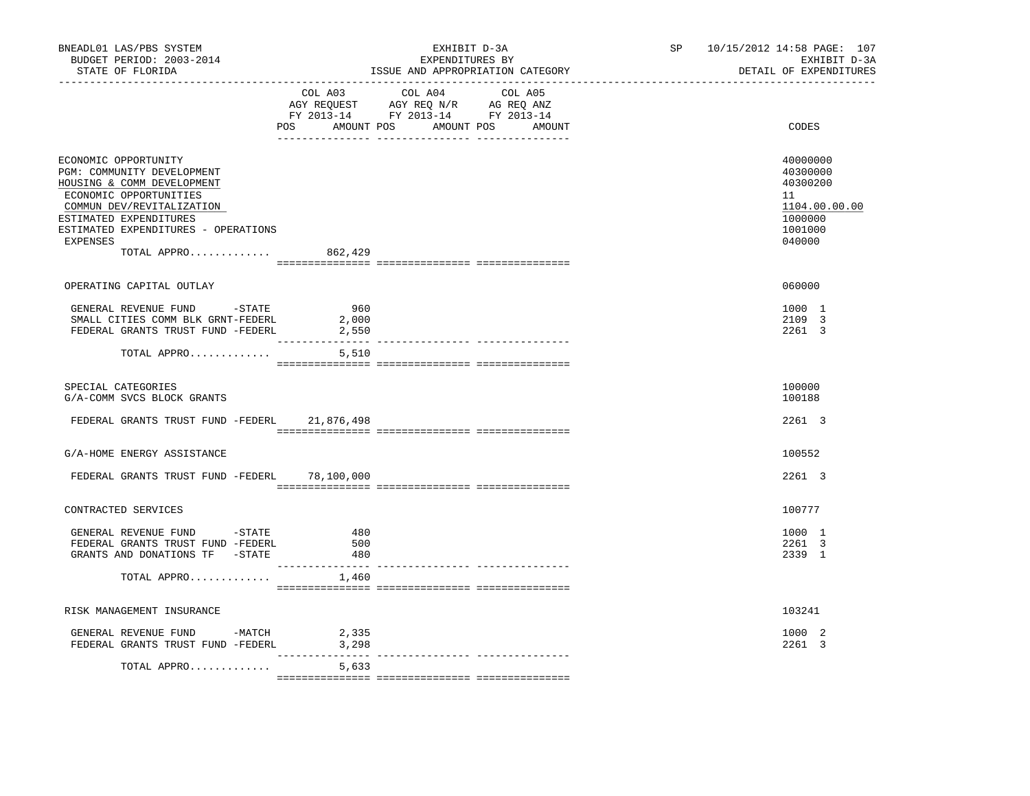| BNEADL01 LAS/PBS SYSTEM<br>BUDGET PERIOD: 2003-2014<br>STATE OF FLORIDA                                                                                                                                                             |                              | EXHIBIT D-3A<br>EXPENDITURES BY<br>ISSUE AND APPROPRIATION CATEGORY                                                           | SP 10/15/2012 14:58 PAGE: 107<br>EXHIBIT D-3A<br>DETAIL OF EXPENDITURES                 |
|-------------------------------------------------------------------------------------------------------------------------------------------------------------------------------------------------------------------------------------|------------------------------|-------------------------------------------------------------------------------------------------------------------------------|-----------------------------------------------------------------------------------------|
|                                                                                                                                                                                                                                     | COL A03                      | COL A04 COL A05<br>AGY REQUEST AGY REQ N/R AG REQ ANZ<br>FY 2013-14 FY 2013-14 FY 2013-14<br>POS AMOUNT POS AMOUNT POS AMOUNT | CODES                                                                                   |
| ECONOMIC OPPORTUNITY<br>PGM: COMMUNITY DEVELOPMENT<br>HOUSING & COMM DEVELOPMENT<br>ECONOMIC OPPORTUNITIES<br>COMMUN DEV/REVITALIZATION<br>ESTIMATED EXPENDITURES<br>ESTIMATED EXPENDITURES - OPERATIONS<br>EXPENSES<br>TOTAL APPRO | 862,429                      |                                                                                                                               | 40000000<br>40300000<br>40300200<br>11<br>1104.00.00.00<br>1000000<br>1001000<br>040000 |
| OPERATING CAPITAL OUTLAY                                                                                                                                                                                                            |                              |                                                                                                                               | 060000                                                                                  |
| GENERAL REVENUE FUND -STATE<br>SMALL CITIES COMM BLK GRNT-FEDERL<br>FEDERAL GRANTS TRUST FUND -FEDERL                                                                                                                               | 960<br>2,000<br>2,550        |                                                                                                                               | 1000 1<br>2109 3<br>2261 3                                                              |
| TOTAL APPRO                                                                                                                                                                                                                         | ----------<br>5,510          | ------------- ---------------                                                                                                 |                                                                                         |
| SPECIAL CATEGORIES<br>G/A-COMM SVCS BLOCK GRANTS                                                                                                                                                                                    |                              |                                                                                                                               | 100000<br>100188                                                                        |
| FEDERAL GRANTS TRUST FUND -FEDERL 21,876,498                                                                                                                                                                                        |                              |                                                                                                                               | 2261 3                                                                                  |
| G/A-HOME ENERGY ASSISTANCE                                                                                                                                                                                                          |                              |                                                                                                                               | 100552                                                                                  |
| FEDERAL GRANTS TRUST FUND -FEDERL 78,100,000                                                                                                                                                                                        |                              |                                                                                                                               | 2261 3                                                                                  |
| CONTRACTED SERVICES                                                                                                                                                                                                                 |                              |                                                                                                                               | 100777                                                                                  |
| GENERAL REVENUE FUND -STATE<br>FEDERAL GRANTS TRUST FUND -FEDERL<br>GRANTS AND DONATIONS TF -STATE                                                                                                                                  | 480<br>500<br>480<br>$- - -$ |                                                                                                                               | 1000 1<br>2261 3<br>2339 1                                                              |
| TOTAL APPRO                                                                                                                                                                                                                         | 1,460                        | -------------- ----------------                                                                                               |                                                                                         |
| RISK MANAGEMENT INSURANCE                                                                                                                                                                                                           |                              |                                                                                                                               | 103241                                                                                  |
| GENERAL REVENUE FUND -MATCH<br>FEDERAL GRANTS TRUST FUND -FEDERL                                                                                                                                                                    | 2,335<br>3,298               |                                                                                                                               | 1000 2<br>2261 3                                                                        |
| TOTAL APPRO                                                                                                                                                                                                                         | 5,633                        |                                                                                                                               |                                                                                         |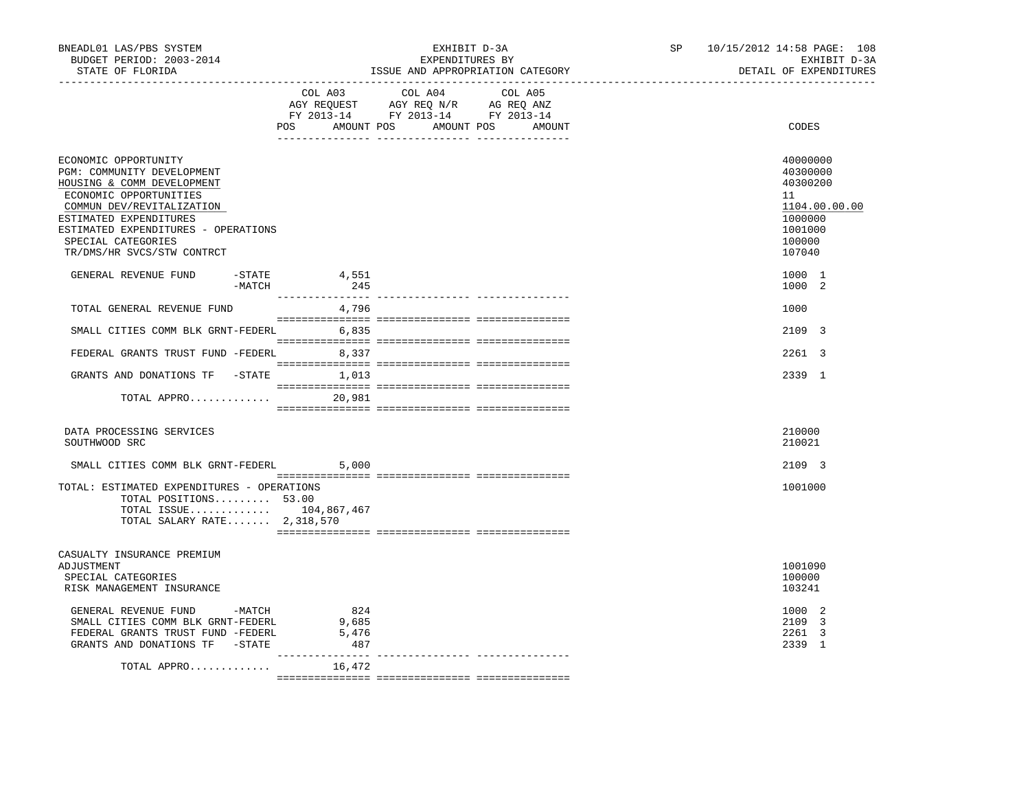| BNEADL01 LAS/PBS SYSTEM<br>BUDGET PERIOD: 2003-2014<br>STATE OF FLORIDA                                                                                                                                                                                      | -------------------------------- | EXHIBIT D-3A<br>EXPENDITURES BY<br>ISSUE AND APPROPRIATION CATEGORY                                                                                                                                                                                            | SP | 10/15/2012 14:58 PAGE: 108<br>EXHIBIT D-3A<br>DETAIL OF EXPENDITURES                              |
|--------------------------------------------------------------------------------------------------------------------------------------------------------------------------------------------------------------------------------------------------------------|----------------------------------|----------------------------------------------------------------------------------------------------------------------------------------------------------------------------------------------------------------------------------------------------------------|----|---------------------------------------------------------------------------------------------------|
|                                                                                                                                                                                                                                                              | COL A03                          | COL A04<br>COL A05<br>$\begin{tabular}{lllllllll} \bf AGY & \bf REQUEST & \bf AGY & \bf REQ & \bf N/R & \bf AG & \bf REQ & \bf ANZ \\ \bf FY & \tt 2013-14 & \bf FY & \tt 2013-14 & \bf FY & \tt 2013-14 \\ \end{tabular}$<br>POS AMOUNT POS AMOUNT POS AMOUNT |    | CODES                                                                                             |
| ECONOMIC OPPORTUNITY<br>PGM: COMMUNITY DEVELOPMENT<br>HOUSING & COMM DEVELOPMENT<br>ECONOMIC OPPORTUNITIES<br>COMMUN DEV/REVITALIZATION<br>ESTIMATED EXPENDITURES<br>ESTIMATED EXPENDITURES - OPERATIONS<br>SPECIAL CATEGORIES<br>TR/DMS/HR SVCS/STW CONTRCT |                                  |                                                                                                                                                                                                                                                                |    | 40000000<br>40300000<br>40300200<br>11<br>1104.00.00.00<br>1000000<br>1001000<br>100000<br>107040 |
| GENERAL REVENUE FUND<br>$-$ STATE<br>-MATCH                                                                                                                                                                                                                  | 4,551<br>245                     |                                                                                                                                                                                                                                                                |    | 1000 1<br>1000 2                                                                                  |
| TOTAL GENERAL REVENUE FUND                                                                                                                                                                                                                                   | 4,796                            |                                                                                                                                                                                                                                                                |    | 1000                                                                                              |
| SMALL CITIES COMM BLK GRNT-FEDERL 6,835                                                                                                                                                                                                                      |                                  |                                                                                                                                                                                                                                                                |    | 2109 3                                                                                            |
| FEDERAL GRANTS TRUST FUND -FEDERL 8,337                                                                                                                                                                                                                      |                                  |                                                                                                                                                                                                                                                                |    | 2261 3                                                                                            |
| GRANTS AND DONATIONS TF -STATE 1,013                                                                                                                                                                                                                         |                                  |                                                                                                                                                                                                                                                                |    | 2339 1                                                                                            |
| TOTAL APPRO 20,981                                                                                                                                                                                                                                           |                                  |                                                                                                                                                                                                                                                                |    |                                                                                                   |
| DATA PROCESSING SERVICES<br>SOUTHWOOD SRC                                                                                                                                                                                                                    |                                  |                                                                                                                                                                                                                                                                |    | 210000<br>210021                                                                                  |
| SMALL CITIES COMM BLK GRNT-FEDERL                                                                                                                                                                                                                            | 5,000                            |                                                                                                                                                                                                                                                                |    | 2109 3                                                                                            |
| TOTAL: ESTIMATED EXPENDITURES - OPERATIONS<br>TOTAL POSITIONS 53.00<br>TOTAL ISSUE 104,867,467<br>TOTAL SALARY RATE 2,318,570                                                                                                                                |                                  |                                                                                                                                                                                                                                                                |    | 1001000                                                                                           |
| CASUALTY INSURANCE PREMIUM                                                                                                                                                                                                                                   |                                  |                                                                                                                                                                                                                                                                |    |                                                                                                   |
| ADJUSTMENT<br>SPECIAL CATEGORIES<br>RISK MANAGEMENT INSURANCE                                                                                                                                                                                                |                                  |                                                                                                                                                                                                                                                                |    | 1001090<br>100000<br>103241                                                                       |
| GENERAL REVENUE FUND -MATCH<br>SMALL CITIES COMM BLK GRNT-FEDERL<br>FEDERAL GRANTS TRUST FUND -FEDERL<br>GRANTS AND DONATIONS TF -STATE                                                                                                                      | 824<br>9,685<br>5,476<br>487     |                                                                                                                                                                                                                                                                |    | 1000 2<br>2109 3<br>2261 3<br>2339 1                                                              |
| TOTAL APPRO                                                                                                                                                                                                                                                  | ---------------<br>16,472        |                                                                                                                                                                                                                                                                |    |                                                                                                   |
|                                                                                                                                                                                                                                                              |                                  |                                                                                                                                                                                                                                                                |    |                                                                                                   |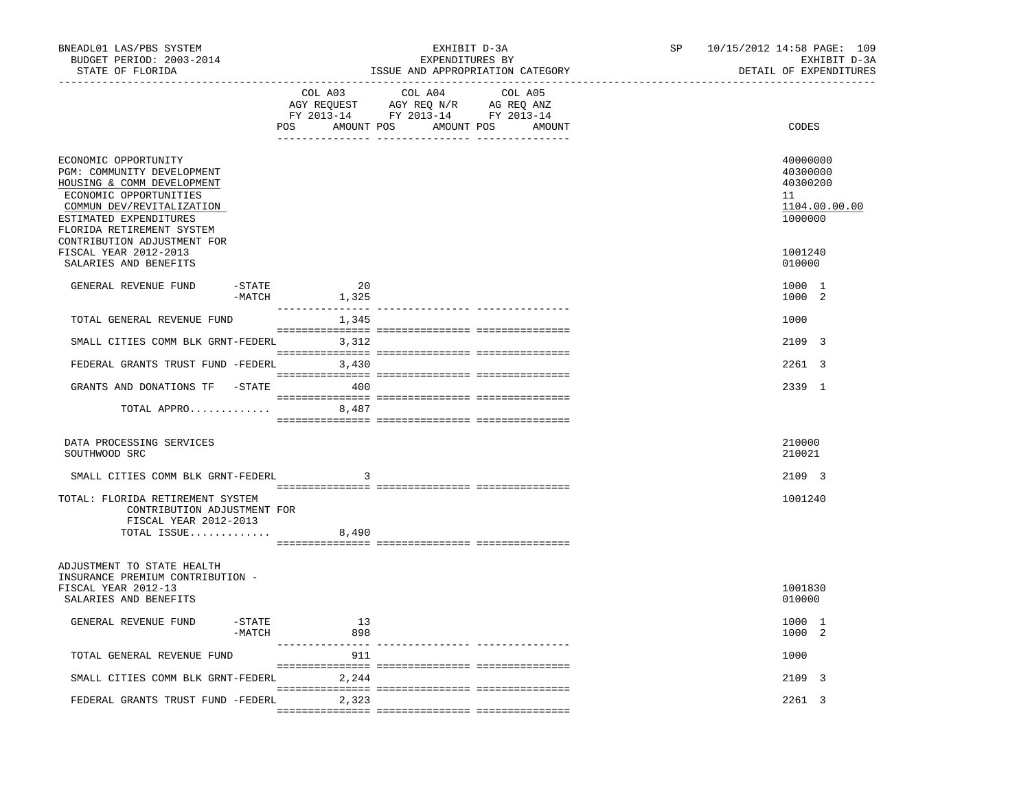| BNEADL01 LAS/PBS SYSTEM<br>BUDGET PERIOD: 2003-2014<br>STATE OF FLORIDA                                                                                                                                                                                |                  | EXHIBIT D-3A<br>EXPENDITURES BY<br>ISSUE AND APPROPRIATION CATEGORY                                                                  | SP and the set of the set of the set of the set of the set of the set of the set of the set of the set of the set of the set of the set of the set of the set of the set of the set of the set of the set of the set of the se | 10/15/2012 14:58 PAGE: 109<br>EXHIBIT D-3A<br>DETAIL OF EXPENDITURES          |
|--------------------------------------------------------------------------------------------------------------------------------------------------------------------------------------------------------------------------------------------------------|------------------|--------------------------------------------------------------------------------------------------------------------------------------|--------------------------------------------------------------------------------------------------------------------------------------------------------------------------------------------------------------------------------|-------------------------------------------------------------------------------|
|                                                                                                                                                                                                                                                        | POS              | COL A03 COL A04<br>COL A05<br>AGY REQUEST AGY REQ N/R AG REQ ANZ<br>FY 2013-14 FY 2013-14 FY 2013-14<br>AMOUNT POS AMOUNT POS AMOUNT |                                                                                                                                                                                                                                | CODES                                                                         |
| ECONOMIC OPPORTUNITY<br>PGM: COMMUNITY DEVELOPMENT<br>HOUSING & COMM DEVELOPMENT<br>ECONOMIC OPPORTUNITIES<br>COMMUN DEV/REVITALIZATION<br>ESTIMATED EXPENDITURES<br>FLORIDA RETIREMENT SYSTEM<br>CONTRIBUTION ADJUSTMENT FOR<br>FISCAL YEAR 2012-2013 |                  |                                                                                                                                      |                                                                                                                                                                                                                                | 40000000<br>40300000<br>40300200<br>11<br>1104.00.00.00<br>1000000<br>1001240 |
| SALARIES AND BENEFITS                                                                                                                                                                                                                                  |                  |                                                                                                                                      |                                                                                                                                                                                                                                | 010000                                                                        |
| GENERAL REVENUE FUND<br>-STATE<br>$-MATCH$                                                                                                                                                                                                             | -20<br>1,325     |                                                                                                                                      |                                                                                                                                                                                                                                | 1000 1<br>1000 2                                                              |
| TOTAL GENERAL REVENUE FUND                                                                                                                                                                                                                             | 1,345            |                                                                                                                                      |                                                                                                                                                                                                                                | 1000                                                                          |
| SMALL CITIES COMM BLK GRNT-FEDERL                                                                                                                                                                                                                      | 3,312            |                                                                                                                                      |                                                                                                                                                                                                                                | 2109 3                                                                        |
| FEDERAL GRANTS TRUST FUND -FEDERL                                                                                                                                                                                                                      | 3,430            |                                                                                                                                      |                                                                                                                                                                                                                                | 2261 3                                                                        |
| GRANTS AND DONATIONS TF -STATE                                                                                                                                                                                                                         | 400              |                                                                                                                                      |                                                                                                                                                                                                                                | 2339 1                                                                        |
| TOTAL APPRO                                                                                                                                                                                                                                            | 8,487            |                                                                                                                                      |                                                                                                                                                                                                                                |                                                                               |
|                                                                                                                                                                                                                                                        |                  |                                                                                                                                      |                                                                                                                                                                                                                                |                                                                               |
| DATA PROCESSING SERVICES<br>SOUTHWOOD SRC                                                                                                                                                                                                              |                  |                                                                                                                                      |                                                                                                                                                                                                                                | 210000<br>210021                                                              |
| SMALL CITIES COMM BLK GRNT-FEDERL                                                                                                                                                                                                                      | 3                |                                                                                                                                      |                                                                                                                                                                                                                                | 2109 3                                                                        |
| TOTAL: FLORIDA RETIREMENT SYSTEM<br>CONTRIBUTION ADJUSTMENT FOR<br>FISCAL YEAR 2012-2013                                                                                                                                                               |                  |                                                                                                                                      |                                                                                                                                                                                                                                | 1001240                                                                       |
| TOTAL ISSUE                                                                                                                                                                                                                                            | 8,490            |                                                                                                                                      |                                                                                                                                                                                                                                |                                                                               |
| ADJUSTMENT TO STATE HEALTH<br>INSURANCE PREMIUM CONTRIBUTION -<br>FISCAL YEAR 2012-13<br>SALARIES AND BENEFITS                                                                                                                                         |                  |                                                                                                                                      |                                                                                                                                                                                                                                | 1001830<br>010000                                                             |
| GENERAL REVENUE FUND -STATE<br>-MATCH                                                                                                                                                                                                                  | $\sim$ 13<br>898 |                                                                                                                                      |                                                                                                                                                                                                                                | 1000 1<br>1000 2                                                              |
| TOTAL GENERAL REVENUE FUND                                                                                                                                                                                                                             | 911              |                                                                                                                                      |                                                                                                                                                                                                                                | 1000                                                                          |
| SMALL CITIES COMM BLK GRNT-FEDERL                                                                                                                                                                                                                      | 2,244            |                                                                                                                                      |                                                                                                                                                                                                                                | 2109 3                                                                        |
|                                                                                                                                                                                                                                                        |                  |                                                                                                                                      |                                                                                                                                                                                                                                |                                                                               |
| FEDERAL GRANTS TRUST FUND -FEDERL                                                                                                                                                                                                                      | 2,323            |                                                                                                                                      |                                                                                                                                                                                                                                | 2261 3                                                                        |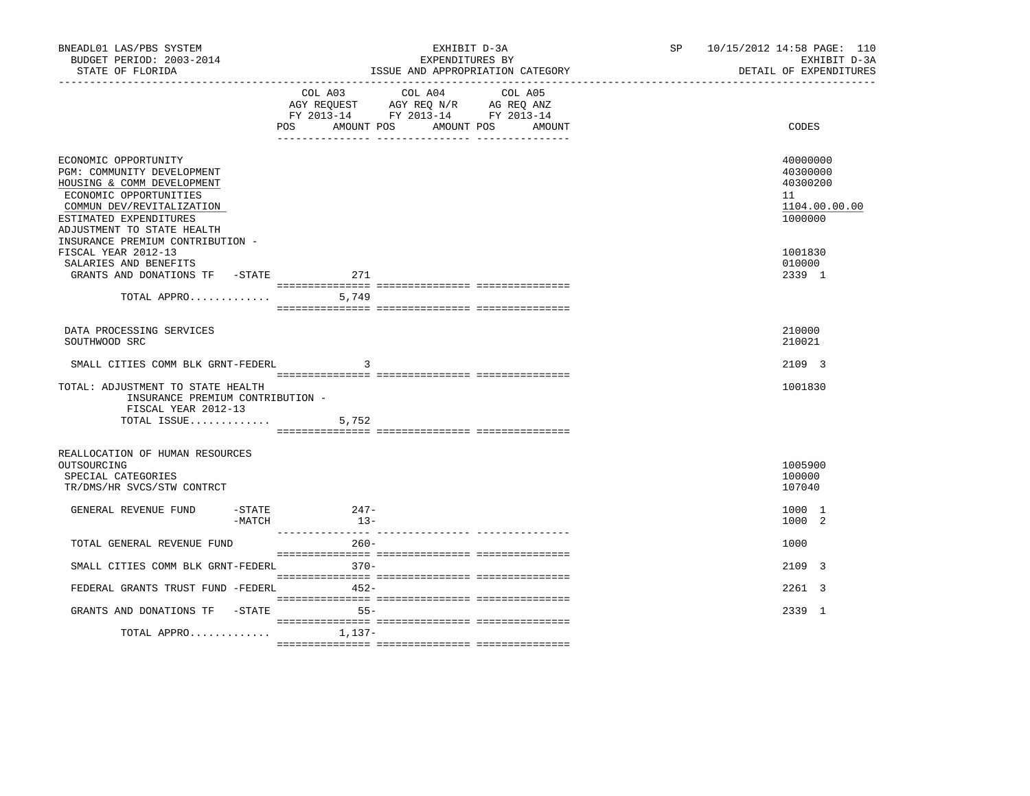| COL A03 COL A04<br>COL A05<br>AGY REQUEST AGY REQ N/R AG REQ ANZ<br>FY 2013-14 FY 2013-14 FY 2013-14<br>AMOUNT POS<br>AMOUNT POS<br>CODES<br>POS<br>AMOUNT<br>ECONOMIC OPPORTUNITY<br>40000000<br>PGM: COMMUNITY DEVELOPMENT<br>40300000<br>HOUSING & COMM DEVELOPMENT<br>40300200<br>ECONOMIC OPPORTUNITIES<br>11<br>1104.00.00.00<br>COMMUN DEV/REVITALIZATION<br>ESTIMATED EXPENDITURES<br>1000000<br>ADJUSTMENT TO STATE HEALTH<br>INSURANCE PREMIUM CONTRIBUTION -<br>FISCAL YEAR 2012-13<br>1001830<br>SALARIES AND BENEFITS<br>010000<br>GRANTS AND DONATIONS TF -STATE<br>271<br>2339 1<br>DATA PROCESSING SERVICES<br>210000<br>SOUTHWOOD SRC<br>210021<br>SMALL CITIES COMM BLK GRNT-FEDERL<br>2109 3<br>3<br>1001830<br>TOTAL: ADJUSTMENT TO STATE HEALTH<br>INSURANCE PREMIUM CONTRIBUTION -<br>FISCAL YEAR 2012-13<br>TOTAL ISSUE $5,752$<br>REALLOCATION OF HUMAN RESOURCES<br>1005900<br>OUTSOURCING<br>100000<br>SPECIAL CATEGORIES<br>TR/DMS/HR SVCS/STW CONTRCT<br>107040<br>$247-$<br>GENERAL REVENUE FUND<br>-STATE<br>1000 1<br>$13-$<br>1000 2<br>-MATCH<br>TOTAL GENERAL REVENUE FUND<br>$260 -$<br>1000 | BNEADL01 LAS/PBS SYSTEM<br>BUDGET PERIOD: 2003-2014<br>STATE OF FLORIDA | EXHIBIT D-3A<br>EXPENDITURES BY<br>ISSUE AND APPROPRIATION CATEGORY |  |  | SP | 10/15/2012 14:58 PAGE: 110<br>DETAIL OF EXPENDITURES | EXHIBIT D-3A |  |
|---------------------------------------------------------------------------------------------------------------------------------------------------------------------------------------------------------------------------------------------------------------------------------------------------------------------------------------------------------------------------------------------------------------------------------------------------------------------------------------------------------------------------------------------------------------------------------------------------------------------------------------------------------------------------------------------------------------------------------------------------------------------------------------------------------------------------------------------------------------------------------------------------------------------------------------------------------------------------------------------------------------------------------------------------------------------------------------------------------------------------------|-------------------------------------------------------------------------|---------------------------------------------------------------------|--|--|----|------------------------------------------------------|--------------|--|
|                                                                                                                                                                                                                                                                                                                                                                                                                                                                                                                                                                                                                                                                                                                                                                                                                                                                                                                                                                                                                                                                                                                                 |                                                                         |                                                                     |  |  |    |                                                      |              |  |
|                                                                                                                                                                                                                                                                                                                                                                                                                                                                                                                                                                                                                                                                                                                                                                                                                                                                                                                                                                                                                                                                                                                                 |                                                                         |                                                                     |  |  |    |                                                      |              |  |
|                                                                                                                                                                                                                                                                                                                                                                                                                                                                                                                                                                                                                                                                                                                                                                                                                                                                                                                                                                                                                                                                                                                                 |                                                                         |                                                                     |  |  |    |                                                      |              |  |
|                                                                                                                                                                                                                                                                                                                                                                                                                                                                                                                                                                                                                                                                                                                                                                                                                                                                                                                                                                                                                                                                                                                                 |                                                                         |                                                                     |  |  |    |                                                      |              |  |
|                                                                                                                                                                                                                                                                                                                                                                                                                                                                                                                                                                                                                                                                                                                                                                                                                                                                                                                                                                                                                                                                                                                                 |                                                                         |                                                                     |  |  |    |                                                      |              |  |
|                                                                                                                                                                                                                                                                                                                                                                                                                                                                                                                                                                                                                                                                                                                                                                                                                                                                                                                                                                                                                                                                                                                                 |                                                                         |                                                                     |  |  |    |                                                      |              |  |
|                                                                                                                                                                                                                                                                                                                                                                                                                                                                                                                                                                                                                                                                                                                                                                                                                                                                                                                                                                                                                                                                                                                                 |                                                                         |                                                                     |  |  |    |                                                      |              |  |
|                                                                                                                                                                                                                                                                                                                                                                                                                                                                                                                                                                                                                                                                                                                                                                                                                                                                                                                                                                                                                                                                                                                                 |                                                                         |                                                                     |  |  |    |                                                      |              |  |
|                                                                                                                                                                                                                                                                                                                                                                                                                                                                                                                                                                                                                                                                                                                                                                                                                                                                                                                                                                                                                                                                                                                                 |                                                                         |                                                                     |  |  |    |                                                      |              |  |
|                                                                                                                                                                                                                                                                                                                                                                                                                                                                                                                                                                                                                                                                                                                                                                                                                                                                                                                                                                                                                                                                                                                                 |                                                                         |                                                                     |  |  |    |                                                      |              |  |
|                                                                                                                                                                                                                                                                                                                                                                                                                                                                                                                                                                                                                                                                                                                                                                                                                                                                                                                                                                                                                                                                                                                                 |                                                                         |                                                                     |  |  |    |                                                      |              |  |
| $370-$<br>SMALL CITIES COMM BLK GRNT-FEDERL<br>2109 3                                                                                                                                                                                                                                                                                                                                                                                                                                                                                                                                                                                                                                                                                                                                                                                                                                                                                                                                                                                                                                                                           |                                                                         |                                                                     |  |  |    |                                                      |              |  |
| $452-$<br>FEDERAL GRANTS TRUST FUND -FEDERL<br>2261 3                                                                                                                                                                                                                                                                                                                                                                                                                                                                                                                                                                                                                                                                                                                                                                                                                                                                                                                                                                                                                                                                           |                                                                         |                                                                     |  |  |    |                                                      |              |  |
| GRANTS AND DONATIONS TF -STATE<br>2339 1<br>$55 -$                                                                                                                                                                                                                                                                                                                                                                                                                                                                                                                                                                                                                                                                                                                                                                                                                                                                                                                                                                                                                                                                              |                                                                         |                                                                     |  |  |    |                                                      |              |  |
| TOTAL APPRO<br>1,137-                                                                                                                                                                                                                                                                                                                                                                                                                                                                                                                                                                                                                                                                                                                                                                                                                                                                                                                                                                                                                                                                                                           |                                                                         |                                                                     |  |  |    |                                                      |              |  |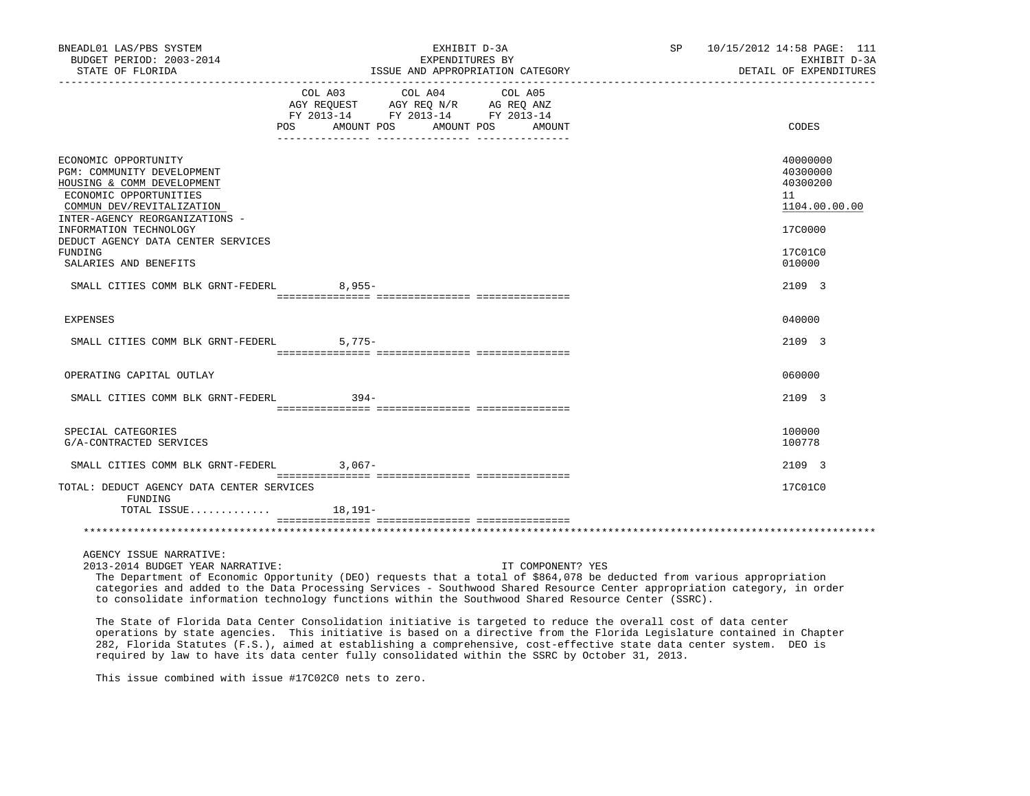| BNEADL01 LAS/PBS SYSTEM<br>BUDGET PERIOD: 2003-2014<br>STATE OF FLORIDA                                                                                                   | EXHIBIT D-3A<br>SP<br>EXPENDITURES BY<br>ISSUE AND APPROPRIATION CATEGORY                                                                                                                                                                                                                                                                                                                                                                                             | 10/15/2012 14:58 PAGE: 111<br>EXHIBIT D-3A<br>DETAIL OF EXPENDITURES |
|---------------------------------------------------------------------------------------------------------------------------------------------------------------------------|-----------------------------------------------------------------------------------------------------------------------------------------------------------------------------------------------------------------------------------------------------------------------------------------------------------------------------------------------------------------------------------------------------------------------------------------------------------------------|----------------------------------------------------------------------|
|                                                                                                                                                                           | COL A03<br>COL A04<br>COL A05<br>AGY REQUEST AGY REQ N/R AG REQ ANZ<br>FY 2013-14 FY 2013-14 FY 2013-14<br>POS<br>AMOUNT POS AMOUNT POS<br>AMOUNT                                                                                                                                                                                                                                                                                                                     | CODES                                                                |
| ECONOMIC OPPORTUNITY<br>PGM: COMMUNITY DEVELOPMENT<br>HOUSING & COMM DEVELOPMENT<br>ECONOMIC OPPORTUNITIES<br>COMMUN DEV/REVITALIZATION<br>INTER-AGENCY REORGANIZATIONS - |                                                                                                                                                                                                                                                                                                                                                                                                                                                                       | 40000000<br>40300000<br>40300200<br>11<br>1104.00.00.00              |
| INFORMATION TECHNOLOGY<br>DEDUCT AGENCY DATA CENTER SERVICES<br>FUNDING                                                                                                   |                                                                                                                                                                                                                                                                                                                                                                                                                                                                       | 17C0000<br>17C01C0                                                   |
| SALARIES AND BENEFITS                                                                                                                                                     |                                                                                                                                                                                                                                                                                                                                                                                                                                                                       | 010000                                                               |
| SMALL CITIES COMM BLK GRNT-FEDERL                                                                                                                                         | $8,955-$                                                                                                                                                                                                                                                                                                                                                                                                                                                              | 2109 3                                                               |
| EXPENSES                                                                                                                                                                  |                                                                                                                                                                                                                                                                                                                                                                                                                                                                       | 040000                                                               |
| SMALL CITIES COMM BLK GRNT-FEDERL                                                                                                                                         | $5,775-$                                                                                                                                                                                                                                                                                                                                                                                                                                                              | 2109 3                                                               |
| OPERATING CAPITAL OUTLAY                                                                                                                                                  |                                                                                                                                                                                                                                                                                                                                                                                                                                                                       | 060000                                                               |
| SMALL CITIES COMM BLK GRNT-FEDERL                                                                                                                                         | $394 -$                                                                                                                                                                                                                                                                                                                                                                                                                                                               | 2109 3                                                               |
| SPECIAL CATEGORIES                                                                                                                                                        |                                                                                                                                                                                                                                                                                                                                                                                                                                                                       | 100000                                                               |
| G/A-CONTRACTED SERVICES                                                                                                                                                   |                                                                                                                                                                                                                                                                                                                                                                                                                                                                       | 100778                                                               |
| SMALL CITIES COMM BLK GRNT-FEDERL 3,067-                                                                                                                                  |                                                                                                                                                                                                                                                                                                                                                                                                                                                                       | 2109 3                                                               |
| TOTAL: DEDUCT AGENCY DATA CENTER SERVICES<br>FUNDING                                                                                                                      |                                                                                                                                                                                                                                                                                                                                                                                                                                                                       | 17C01C0                                                              |
| TOTAL ISSUE                                                                                                                                                               | 18,191–                                                                                                                                                                                                                                                                                                                                                                                                                                                               |                                                                      |
|                                                                                                                                                                           |                                                                                                                                                                                                                                                                                                                                                                                                                                                                       |                                                                      |
| AGENCY ISSUE NARRATIVE:<br>2013-2014 BUDGET YEAR NARRATIVE:                                                                                                               | IT COMPONENT? YES<br>The Department of Economic Opportunity (DEO) requests that a total of \$864,078 be deducted from various appropriation<br>categories and added to the Data Processing Services - Southwood Shared Resource Center appropriation category, in order<br>to consolidate information technology functions within the Southwood Shared Resource Center (SSRC).                                                                                        |                                                                      |
|                                                                                                                                                                           | The State of Florida Data Center Consolidation initiative is targeted to reduce the overall cost of data center<br>operations by state agencies. This initiative is based on a directive from the Florida Legislature contained in Chapter<br>282, Florida Statutes (F.S.), aimed at establishing a comprehensive, cost-effective state data center system. DEO is<br>required by law to have its data center fully consolidated within the SSRC by October 31, 2013. |                                                                      |

This issue combined with issue #17C02C0 nets to zero.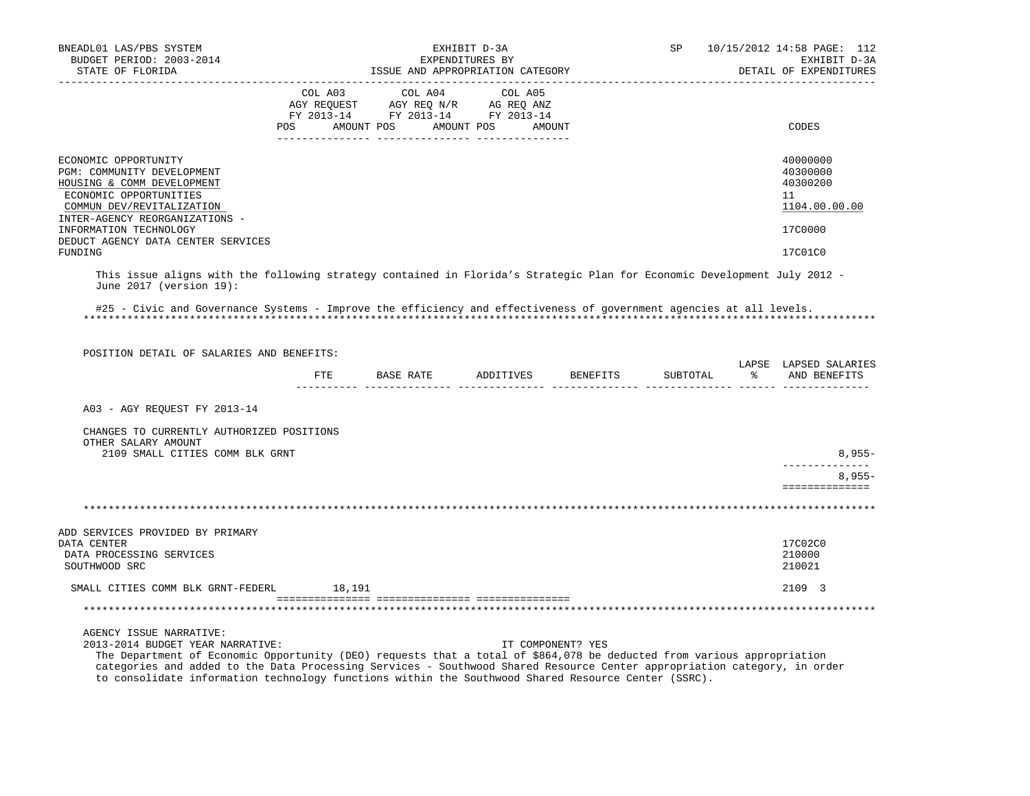| BNEADL01 LAS/PBS SYSTEM<br>BUDGET PERIOD: 2003-2014                                                                                                                                                                                                                                                               | EXHIBIT D-3A<br>EXPENDITURES BY                                                                                       |  |         |         | SP | 10/15/2012 14:58 PAGE: 112<br>EXHIBIT D-3A |          |                                                                    |
|-------------------------------------------------------------------------------------------------------------------------------------------------------------------------------------------------------------------------------------------------------------------------------------------------------------------|-----------------------------------------------------------------------------------------------------------------------|--|---------|---------|----|--------------------------------------------|----------|--------------------------------------------------------------------|
| STATE OF FLORIDA                                                                                                                                                                                                                                                                                                  |                                                                                                                       |  |         |         |    | ISSUE AND APPROPRIATION CATEGORY           |          | DETAIL OF EXPENDITURES                                             |
|                                                                                                                                                                                                                                                                                                                   | COL A03<br>AGY REQUEST AGY REQ N/R AG REQ ANZ<br>FY 2013-14 FY 2013-14 FY 2013-14<br>POS AMOUNT POS AMOUNT POS AMOUNT |  | COL A04 | COL A05 |    |                                            |          | CODES                                                              |
| ECONOMIC OPPORTUNITY<br>PGM: COMMUNITY DEVELOPMENT<br>HOUSING & COMM DEVELOPMENT<br>ECONOMIC OPPORTUNITIES<br>COMMUN DEV/REVITALIZATION<br>INTER-AGENCY REORGANIZATIONS -<br>INFORMATION TECHNOLOGY<br>DEDUCT AGENCY DATA CENTER SERVICES                                                                         |                                                                                                                       |  |         |         |    |                                            |          | 40000000<br>40300000<br>40300200<br>11<br>1104.00.00.00<br>17C0000 |
| FUNDING                                                                                                                                                                                                                                                                                                           |                                                                                                                       |  |         |         |    |                                            |          | 17C01C0                                                            |
| This issue aligns with the following strategy contained in Florida's Strategic Plan for Economic Development July 2012 -<br>June 2017 (version 19):<br>#25 - Civic and Governance Systems - Improve the efficiency and effectiveness of government agencies at all levels.                                        |                                                                                                                       |  |         |         |    |                                            |          |                                                                    |
|                                                                                                                                                                                                                                                                                                                   |                                                                                                                       |  |         |         |    |                                            |          |                                                                    |
| POSITION DETAIL OF SALARIES AND BENEFITS:                                                                                                                                                                                                                                                                         |                                                                                                                       |  |         |         |    |                                            |          |                                                                    |
|                                                                                                                                                                                                                                                                                                                   |                                                                                                                       |  |         |         |    | FTE BASE RATE ADDITIVES BENEFITS           | SUBTOTAL | LAPSE LAPSED SALARIES<br>% AND BENEFITS                            |
| A03 - AGY REQUEST FY 2013-14                                                                                                                                                                                                                                                                                      |                                                                                                                       |  |         |         |    |                                            |          |                                                                    |
| CHANGES TO CURRENTLY AUTHORIZED POSITIONS<br>OTHER SALARY AMOUNT                                                                                                                                                                                                                                                  |                                                                                                                       |  |         |         |    |                                            |          |                                                                    |
| 2109 SMALL CITIES COMM BLK GRNT                                                                                                                                                                                                                                                                                   |                                                                                                                       |  |         |         |    |                                            |          | $8,955-$                                                           |
|                                                                                                                                                                                                                                                                                                                   |                                                                                                                       |  |         |         |    |                                            |          | $8,955-$<br>==============                                         |
|                                                                                                                                                                                                                                                                                                                   |                                                                                                                       |  |         |         |    |                                            |          |                                                                    |
| ADD SERVICES PROVIDED BY PRIMARY<br>DATA CENTER<br>DATA PROCESSING SERVICES<br>SOUTHWOOD SRC                                                                                                                                                                                                                      |                                                                                                                       |  |         |         |    |                                            |          | 17C02C0<br>210000<br>210021                                        |
| SMALL CITIES COMM BLK GRNT-FEDERL 18,191                                                                                                                                                                                                                                                                          |                                                                                                                       |  |         |         |    |                                            |          | 2109 3                                                             |
|                                                                                                                                                                                                                                                                                                                   |                                                                                                                       |  |         |         |    |                                            |          |                                                                    |
|                                                                                                                                                                                                                                                                                                                   |                                                                                                                       |  |         |         |    |                                            |          |                                                                    |
| AGENCY ISSUE NARRATIVE:<br>2013-2014 BUDGET YEAR NARRATIVE:<br>The Department of Economic Opportunity (DEO) requests that a total of \$864,078 be deducted from various appropriation<br>categories and added to the Data Processing Services - Southwood Shared Resource Center appropriation category, in order |                                                                                                                       |  |         |         |    | IT COMPONENT? YES                          |          |                                                                    |

to consolidate information technology functions within the Southwood Shared Resource Center (SSRC).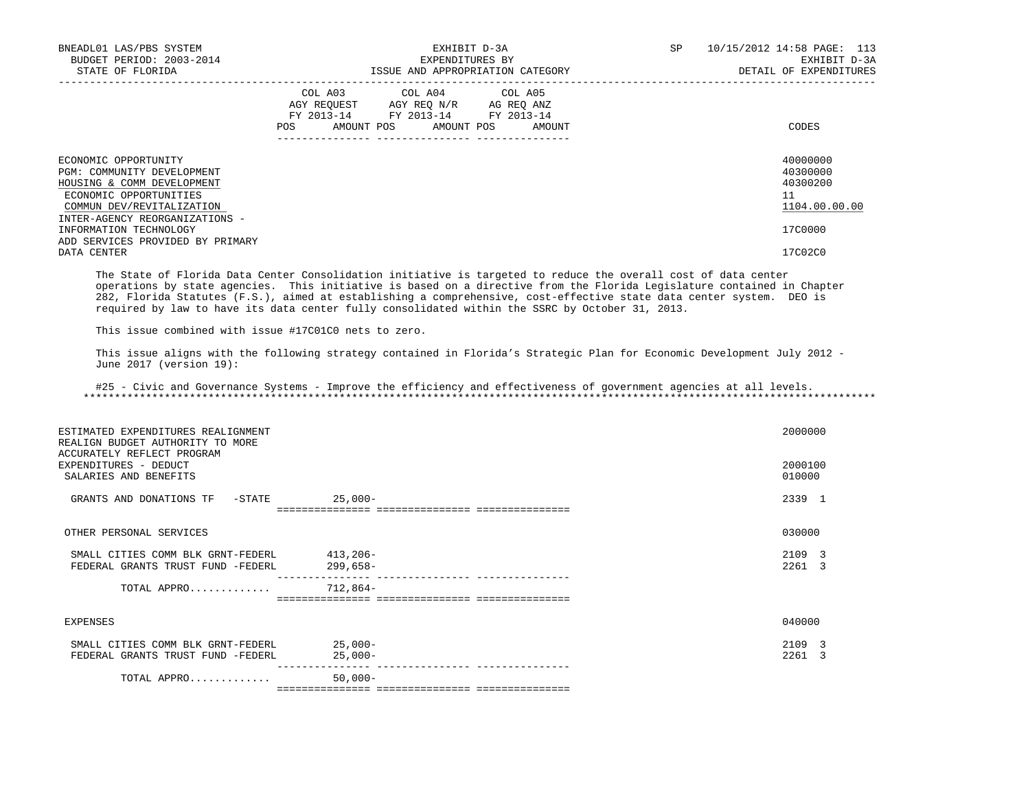| BNEADL01 LAS/PBS SYSTEM<br>BUDGET PERIOD: 2003-2014<br>STATE OF FLORIDA                                                                 | EXHIBIT D-3A<br>EXPENDITURES BY<br>ISSUE AND APPROPRIATION CATEGORY                                                                             | 10/15/2012 14:58 PAGE: 113<br>SP.<br>EXHIBIT D-3A<br>DETAIL OF EXPENDITURES |
|-----------------------------------------------------------------------------------------------------------------------------------------|-------------------------------------------------------------------------------------------------------------------------------------------------|-----------------------------------------------------------------------------|
|                                                                                                                                         | COL A03 COL A04 COL A05<br>AGY REQUEST AGY REO N/R AG REO ANZ<br>FY 2013-14 FY 2013-14 FY 2013-14<br>AMOUNT POS AMOUNT POS<br>POS FOR<br>AMOUNT | CODES                                                                       |
| ECONOMIC OPPORTUNITY<br>PGM: COMMUNITY DEVELOPMENT<br>HOUSING & COMM DEVELOPMENT<br>ECONOMIC OPPORTUNITIES<br>COMMUN DEV/REVITALIZATION |                                                                                                                                                 | 40000000<br>40300000<br>40300200<br>11<br>1104.00.00.00                     |
| INTER-AGENCY REORGANIZATIONS -<br>INFORMATION TECHNOLOGY<br>ADD SERVICES PROVIDED BY PRIMARY<br>DATA CENTER                             |                                                                                                                                                 | 17C0000<br>17C02C0                                                          |

 The State of Florida Data Center Consolidation initiative is targeted to reduce the overall cost of data center operations by state agencies. This initiative is based on a directive from the Florida Legislature contained in Chapter 282, Florida Statutes (F.S.), aimed at establishing a comprehensive, cost-effective state data center system. DEO is required by law to have its data center fully consolidated within the SSRC by October 31, 2013.

This issue combined with issue #17C01C0 nets to zero.

 This issue aligns with the following strategy contained in Florida's Strategic Plan for Economic Development July 2012 - June 2017 (version 19):

 #25 - Civic and Governance Systems - Improve the efficiency and effectiveness of government agencies at all levels. \*\*\*\*\*\*\*\*\*\*\*\*\*\*\*\*\*\*\*\*\*\*\*\*\*\*\*\*\*\*\*\*\*\*\*\*\*\*\*\*\*\*\*\*\*\*\*\*\*\*\*\*\*\*\*\*\*\*\*\*\*\*\*\*\*\*\*\*\*\*\*\*\*\*\*\*\*\*\*\*\*\*\*\*\*\*\*\*\*\*\*\*\*\*\*\*\*\*\*\*\*\*\*\*\*\*\*\*\*\*\*\*\*\*\*\*\*\*\*\*\*\*\*\*\*\*\*

| ESTIMATED EXPENDITURES REALIGNMENT<br>REALIGN BUDGET AUTHORITY TO MORE<br>ACCURATELY REFLECT PROGRAM<br>EXPENDITURES - DEDUCT |                        | 2000000<br>2000100                        |
|-------------------------------------------------------------------------------------------------------------------------------|------------------------|-------------------------------------------|
| SALARIES AND BENEFITS                                                                                                         |                        | 010000                                    |
| GRANTS AND DONATIONS TF<br>-STATE                                                                                             | 25,000-                | 2339 1                                    |
| OTHER PERSONAL SERVICES                                                                                                       |                        | 030000                                    |
| SMALL CITIES COMM BLK GRNT-FEDERL<br>FEDERAL GRANTS TRUST FUND -FEDERL                                                        | 413,206-<br>$299,658-$ | 2109 3<br>2261<br>$\mathcal{R}$           |
| TOTAL APPRO                                                                                                                   | $712,864-$             |                                           |
| EXPENSES                                                                                                                      |                        | 040000                                    |
| SMALL CITIES COMM BLK GRNT-FEDERL<br>FEDERAL GRANTS TRUST FUND -FEDERL                                                        | $25,000-$<br>$25,000-$ | 2109 3<br>2261<br>$\overline{\mathbf{3}}$ |
| TOTAL APPRO                                                                                                                   | $50,000-$              | ==============================            |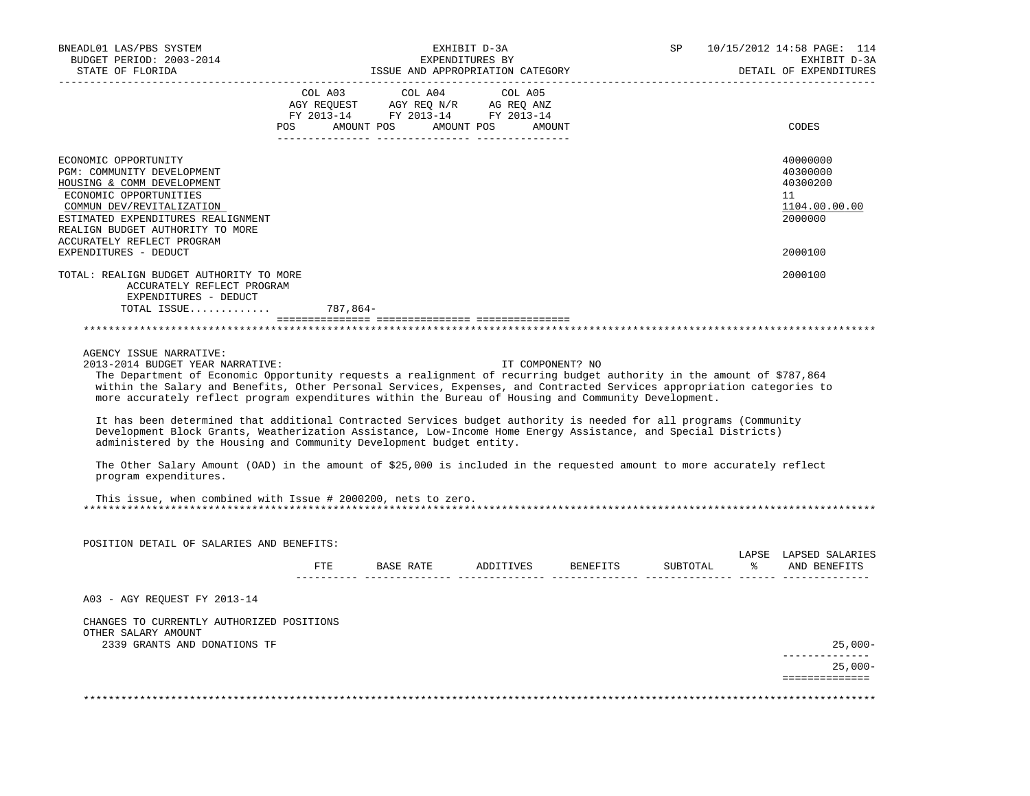| BNEADL01 LAS/PBS SYSTEM<br>BUDGET PERIOD: 2003-2014<br>STATE OF FLORIDA                                                                                                                                                                                                                                                                                                                                                                                                                                                                                                                                                                                                                                                                                                                                                                                                                   |          | ISSUE AND APPROPRIATION CATEGORY                                                                               | SP      | 10/15/2012 14:58 PAGE: 114<br>EXHIBIT D-3A<br>DETAIL OF EXPENDITURES |          |                                                                               |
|-------------------------------------------------------------------------------------------------------------------------------------------------------------------------------------------------------------------------------------------------------------------------------------------------------------------------------------------------------------------------------------------------------------------------------------------------------------------------------------------------------------------------------------------------------------------------------------------------------------------------------------------------------------------------------------------------------------------------------------------------------------------------------------------------------------------------------------------------------------------------------------------|----------|----------------------------------------------------------------------------------------------------------------|---------|----------------------------------------------------------------------|----------|-------------------------------------------------------------------------------|
|                                                                                                                                                                                                                                                                                                                                                                                                                                                                                                                                                                                                                                                                                                                                                                                                                                                                                           | COL A03  | COL A04<br>AGY REQUEST AGY REQ N/R AG REQ ANZ<br>FY 2013-14 FY 2013-14 FY 2013-14<br>POS AMOUNT POS AMOUNT POS | COL A05 | AMOUNT                                                               |          | CODES                                                                         |
| ECONOMIC OPPORTUNITY<br>PGM: COMMUNITY DEVELOPMENT<br>HOUSING & COMM DEVELOPMENT<br>ECONOMIC OPPORTUNITIES<br>COMMUN DEV/REVITALIZATION<br>ESTIMATED EXPENDITURES REALIGNMENT<br>REALIGN BUDGET AUTHORITY TO MORE<br>ACCURATELY REFLECT PROGRAM<br>EXPENDITURES - DEDUCT                                                                                                                                                                                                                                                                                                                                                                                                                                                                                                                                                                                                                  |          |                                                                                                                |         |                                                                      |          | 40000000<br>40300000<br>40300200<br>11<br>1104.00.00.00<br>2000000<br>2000100 |
| TOTAL: REALIGN BUDGET AUTHORITY TO MORE<br>ACCURATELY REFLECT PROGRAM<br>EXPENDITURES - DEDUCT                                                                                                                                                                                                                                                                                                                                                                                                                                                                                                                                                                                                                                                                                                                                                                                            |          |                                                                                                                |         |                                                                      |          | 2000100                                                                       |
| TOTAL ISSUE                                                                                                                                                                                                                                                                                                                                                                                                                                                                                                                                                                                                                                                                                                                                                                                                                                                                               | 787.864- |                                                                                                                |         |                                                                      |          |                                                                               |
| AGENCY ISSUE NARRATIVE:<br>2013-2014 BUDGET YEAR NARRATIVE:<br>The Department of Economic Opportunity requests a realignment of recurring budget authority in the amount of \$787,864<br>within the Salary and Benefits, Other Personal Services, Expenses, and Contracted Services appropriation categories to<br>more accurately reflect program expenditures within the Bureau of Housing and Community Development.<br>It has been determined that additional Contracted Services budget authority is needed for all programs (Community<br>Development Block Grants, Weatherization Assistance, Low-Income Home Energy Assistance, and Special Districts)<br>administered by the Housing and Community Development budget entity.<br>The Other Salary Amount (OAD) in the amount of \$25,000 is included in the requested amount to more accurately reflect<br>program expenditures. |          |                                                                                                                |         | IT COMPONENT? NO                                                     |          |                                                                               |
| This issue, when combined with Issue # 2000200, nets to zero.                                                                                                                                                                                                                                                                                                                                                                                                                                                                                                                                                                                                                                                                                                                                                                                                                             |          |                                                                                                                |         |                                                                      |          |                                                                               |
| POSITION DETAIL OF SALARIES AND BENEFITS:                                                                                                                                                                                                                                                                                                                                                                                                                                                                                                                                                                                                                                                                                                                                                                                                                                                 |          |                                                                                                                |         |                                                                      |          | LAPSE LAPSED SALARIES                                                         |
|                                                                                                                                                                                                                                                                                                                                                                                                                                                                                                                                                                                                                                                                                                                                                                                                                                                                                           |          |                                                                                                                |         | FTE BASE RATE ADDITIVES BENEFITS                                     | SUBTOTAL | AND BENEFITS                                                                  |
| A03 - AGY REQUEST FY 2013-14                                                                                                                                                                                                                                                                                                                                                                                                                                                                                                                                                                                                                                                                                                                                                                                                                                                              |          |                                                                                                                |         |                                                                      |          |                                                                               |
| CHANGES TO CURRENTLY AUTHORIZED POSITIONS<br>OTHER SALARY AMOUNT                                                                                                                                                                                                                                                                                                                                                                                                                                                                                                                                                                                                                                                                                                                                                                                                                          |          |                                                                                                                |         |                                                                      |          |                                                                               |
| 2339 GRANTS AND DONATIONS TF                                                                                                                                                                                                                                                                                                                                                                                                                                                                                                                                                                                                                                                                                                                                                                                                                                                              |          |                                                                                                                |         |                                                                      |          | 25,000-                                                                       |
|                                                                                                                                                                                                                                                                                                                                                                                                                                                                                                                                                                                                                                                                                                                                                                                                                                                                                           |          |                                                                                                                |         |                                                                      |          | $25,000-$<br>==============                                                   |
|                                                                                                                                                                                                                                                                                                                                                                                                                                                                                                                                                                                                                                                                                                                                                                                                                                                                                           |          |                                                                                                                |         |                                                                      |          |                                                                               |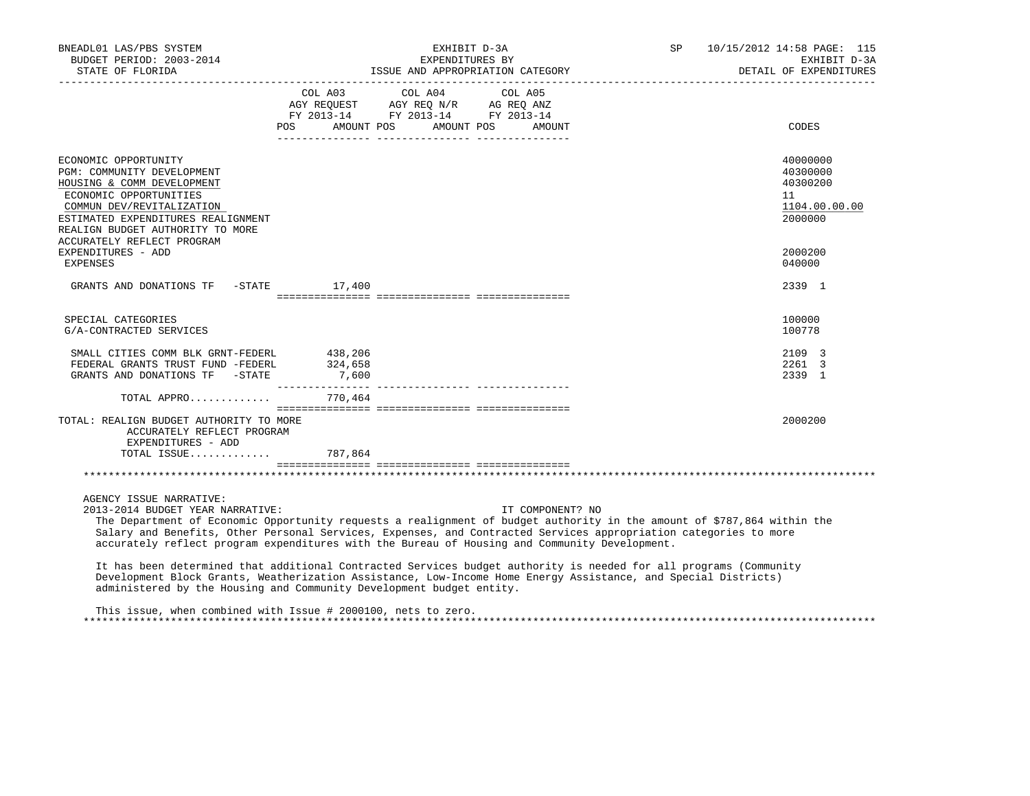| BNEADL01 LAS/PBS SYSTEM<br>BUDGET PERIOD: 2003-2014                                                                                                                                                                                                                                                                                                                                                         | EXHIBIT D-3A<br>EXPENDITURES BY |                                                                                                                       |         |                  |  | SP 10/15/2012 14:58 PAGE: 115<br>EXHIBIT D-3A<br>DETAIL OF EXPENDITURES |                                                                    |
|-------------------------------------------------------------------------------------------------------------------------------------------------------------------------------------------------------------------------------------------------------------------------------------------------------------------------------------------------------------------------------------------------------------|---------------------------------|-----------------------------------------------------------------------------------------------------------------------|---------|------------------|--|-------------------------------------------------------------------------|--------------------------------------------------------------------|
|                                                                                                                                                                                                                                                                                                                                                                                                             | COL A03                         | COL A04<br>AGY REQUEST AGY REQ N/R AG REQ ANZ<br>FY 2013-14 FY 2013-14 FY 2013-14<br>POS AMOUNT POS AMOUNT POS AMOUNT | COL A05 |                  |  |                                                                         | CODES                                                              |
|                                                                                                                                                                                                                                                                                                                                                                                                             |                                 |                                                                                                                       |         |                  |  |                                                                         |                                                                    |
| ECONOMIC OPPORTUNITY<br>PGM: COMMUNITY DEVELOPMENT<br>HOUSING & COMM DEVELOPMENT<br>ECONOMIC OPPORTUNITIES<br>COMMUN DEV/REVITALIZATION<br>ESTIMATED EXPENDITURES REALIGNMENT<br>REALIGN BUDGET AUTHORITY TO MORE                                                                                                                                                                                           |                                 |                                                                                                                       |         |                  |  |                                                                         | 40000000<br>40300000<br>40300200<br>11<br>1104.00.00.00<br>2000000 |
| ACCURATELY REFLECT PROGRAM<br>EXPENDITURES - ADD<br>EXPENSES                                                                                                                                                                                                                                                                                                                                                |                                 |                                                                                                                       |         |                  |  |                                                                         | 2000200<br>040000                                                  |
| GRANTS AND DONATIONS TF - STATE 17,400                                                                                                                                                                                                                                                                                                                                                                      |                                 |                                                                                                                       |         |                  |  |                                                                         | 2339 1                                                             |
| SPECIAL CATEGORIES<br>G/A-CONTRACTED SERVICES                                                                                                                                                                                                                                                                                                                                                               |                                 |                                                                                                                       |         |                  |  |                                                                         | 100000<br>100778                                                   |
| SMALL CITIES COMM BLK GRNT-FEDERL 438,206<br>FEDERAL GRANTS TRUST FUND -FEDERL 324,658<br>GRANTS AND DONATIONS TF $-$ STATE 7,600                                                                                                                                                                                                                                                                           |                                 |                                                                                                                       |         |                  |  |                                                                         | 2109 3<br>2261 3<br>2339 1                                         |
| TOTAL APPRO 770,464                                                                                                                                                                                                                                                                                                                                                                                         |                                 |                                                                                                                       |         |                  |  |                                                                         |                                                                    |
| TOTAL: REALIGN BUDGET AUTHORITY TO MORE<br>ACCURATELY REFLECT PROGRAM<br>EXPENDITURES - ADD                                                                                                                                                                                                                                                                                                                 |                                 |                                                                                                                       |         |                  |  |                                                                         | 2000200                                                            |
| TOTAL ISSUE 787,864                                                                                                                                                                                                                                                                                                                                                                                         |                                 |                                                                                                                       |         |                  |  |                                                                         |                                                                    |
|                                                                                                                                                                                                                                                                                                                                                                                                             |                                 |                                                                                                                       |         |                  |  |                                                                         |                                                                    |
| AGENCY ISSUE NARRATIVE:<br>2013-2014 BUDGET YEAR NARRATIVE:<br>The Department of Economic Opportunity requests a realignment of budget authority in the amount of \$787,864 within the<br>Salary and Benefits, Other Personal Services, Expenses, and Contracted Services appropriation categories to more<br>accurately reflect program expenditures with the Bureau of Housing and Community Development. |                                 |                                                                                                                       |         | IT COMPONENT? NO |  |                                                                         |                                                                    |
| It has been determined that additional Contracted Services budget authority is needed for all programs (Community<br>Development Block Grants, Weatherization Assistance, Low-Income Home Energy Assistance, and Special Districts)<br>administered by the Housing and Community Development budget entity.                                                                                                 |                                 |                                                                                                                       |         |                  |  |                                                                         |                                                                    |

 This issue, when combined with Issue # 2000100, nets to zero. \*\*\*\*\*\*\*\*\*\*\*\*\*\*\*\*\*\*\*\*\*\*\*\*\*\*\*\*\*\*\*\*\*\*\*\*\*\*\*\*\*\*\*\*\*\*\*\*\*\*\*\*\*\*\*\*\*\*\*\*\*\*\*\*\*\*\*\*\*\*\*\*\*\*\*\*\*\*\*\*\*\*\*\*\*\*\*\*\*\*\*\*\*\*\*\*\*\*\*\*\*\*\*\*\*\*\*\*\*\*\*\*\*\*\*\*\*\*\*\*\*\*\*\*\*\*\*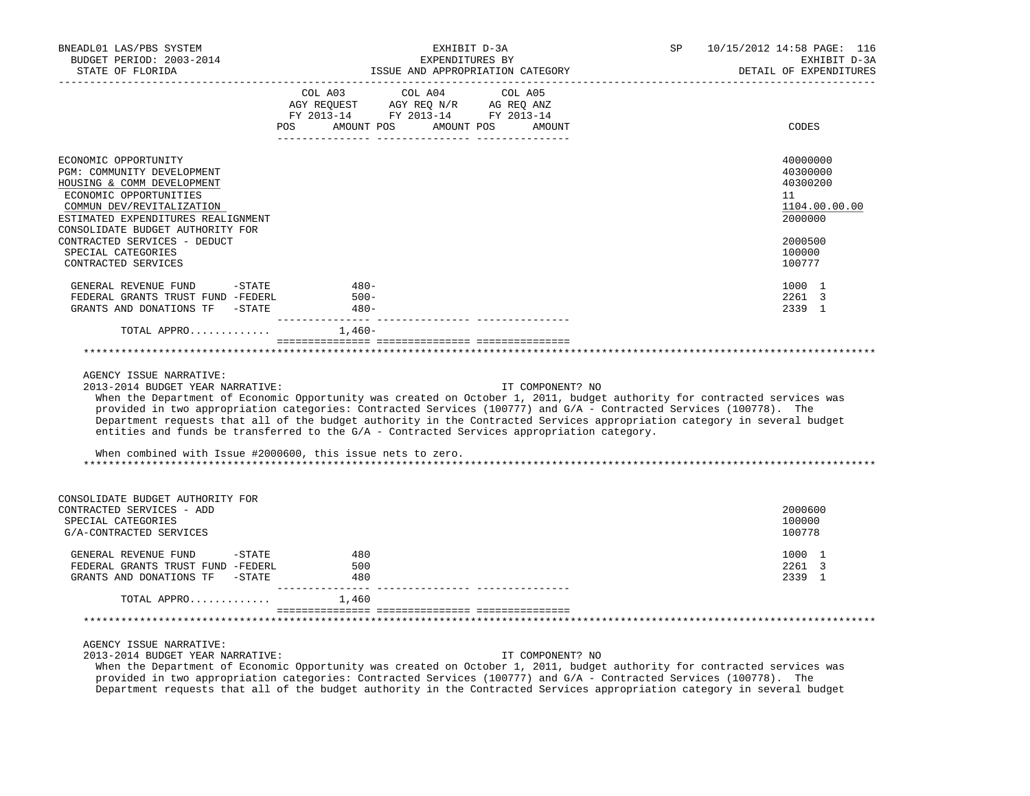| BNEADL01 LAS/PBS SYSTEM<br>BUDGET PERIOD: 2003-2014<br>STATE OF FLORIDA<br>---------------------                                                                              | EXHIBIT D-3A<br>EXPENDITURES BY<br>ISSUE AND APPROPRIATION CATEGORY                                                                                                                                                                                                             | 10/15/2012 14:58 PAGE: 116<br>SP <sub>3</sub><br>EXHIBIT D-3A<br>DETAIL OF EXPENDITURES                                                                                                                                                                                  |
|-------------------------------------------------------------------------------------------------------------------------------------------------------------------------------|---------------------------------------------------------------------------------------------------------------------------------------------------------------------------------------------------------------------------------------------------------------------------------|--------------------------------------------------------------------------------------------------------------------------------------------------------------------------------------------------------------------------------------------------------------------------|
|                                                                                                                                                                               | COL A03 COL A04 COL A05<br>AGY REQUEST AGY REQ N/R AG REQ ANZ<br>FY 2013-14 FY 2013-14 FY 2013-14                                                                                                                                                                               |                                                                                                                                                                                                                                                                          |
|                                                                                                                                                                               | POS AMOUNT POS AMOUNT POS AMOUNT                                                                                                                                                                                                                                                | CODES                                                                                                                                                                                                                                                                    |
| ECONOMIC OPPORTUNITY<br>PGM: COMMUNITY DEVELOPMENT<br>HOUSING & COMM DEVELOPMENT<br>ECONOMIC OPPORTUNITIES<br>COMMUN DEV/REVITALIZATION<br>ESTIMATED EXPENDITURES REALIGNMENT |                                                                                                                                                                                                                                                                                 | 40000000<br>40300000<br>40300200<br>11<br>1104.00.00.00<br>2000000                                                                                                                                                                                                       |
| CONSOLIDATE BUDGET AUTHORITY FOR<br>CONTRACTED SERVICES - DEDUCT<br>SPECIAL CATEGORIES<br>CONTRACTED SERVICES                                                                 |                                                                                                                                                                                                                                                                                 | 2000500<br>100000<br>100777                                                                                                                                                                                                                                              |
| GENERAL REVENUE FUND -STATE<br>FEDERAL GRANTS TRUST FUND -FEDERL<br>GRANTS AND DONATIONS TF -STATE                                                                            | $480-$<br>$500 -$<br>$480-$                                                                                                                                                                                                                                                     | 1000 1<br>2261 3<br>2339 1                                                                                                                                                                                                                                               |
| TOTAL APPRO                                                                                                                                                                   | 1,460-                                                                                                                                                                                                                                                                          |                                                                                                                                                                                                                                                                          |
| AGENCY ISSUE NARRATIVE:<br>2013-2014 BUDGET YEAR NARRATIVE:                                                                                                                   | provided in two appropriation categories: Contracted Services (100777) and G/A - Contracted Services (100778). The<br>entities and funds be transferred to the G/A - Contracted Services appropriation category.<br>When combined with Issue #2000600, this issue nets to zero. | IT COMPONENT? NO<br>When the Department of Economic Opportunity was created on October 1, 2011, budget authority for contracted services was<br>Department requests that all of the budget authority in the Contracted Services appropriation category in several budget |
| CONSOLIDATE BUDGET AUTHORITY FOR<br>CONTRACTED SERVICES - ADD<br>SPECIAL CATEGORIES<br>G/A-CONTRACTED SERVICES                                                                |                                                                                                                                                                                                                                                                                 | 2000600<br>100000<br>100778                                                                                                                                                                                                                                              |
| GENERAL REVENUE FUND -STATE<br>FEDERAL GRANTS TRUST FUND -FEDERL<br>GRANTS AND DONATIONS TF -STATE                                                                            | 480<br>500<br>480                                                                                                                                                                                                                                                               | 1000 1<br>2261 3<br>2339 1                                                                                                                                                                                                                                               |
| TOTAL APPRO                                                                                                                                                                   | 1,460                                                                                                                                                                                                                                                                           |                                                                                                                                                                                                                                                                          |
|                                                                                                                                                                               |                                                                                                                                                                                                                                                                                 |                                                                                                                                                                                                                                                                          |
| AGENCY ISSUE NARRATIVE:<br>2013-2014 BUDGET YEAR NARRATIVE:                                                                                                                   |                                                                                                                                                                                                                                                                                 | IT COMPONENT? NO                                                                                                                                                                                                                                                         |

 When the Department of Economic Opportunity was created on October 1, 2011, budget authority for contracted services was provided in two appropriation categories: Contracted Services (100777) and G/A - Contracted Services (100778). The Department requests that all of the budget authority in the Contracted Services appropriation category in several budget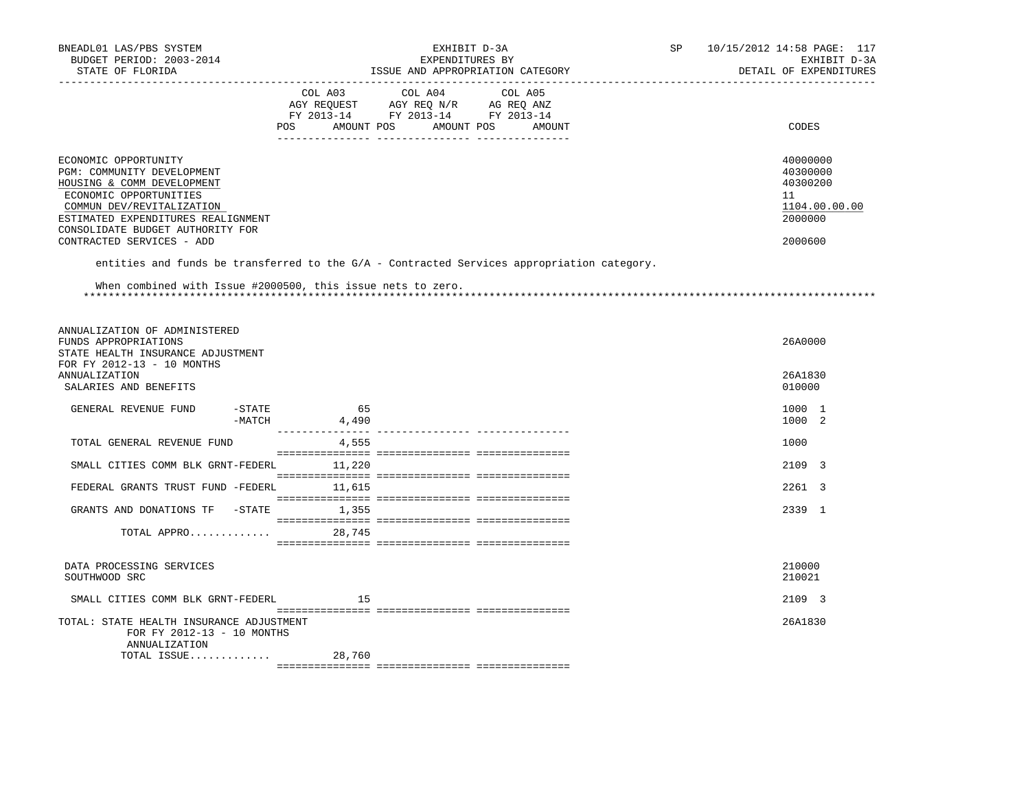| BNEADL01 LAS/PBS SYSTEM<br>BUDGET PERIOD: 2003-2014<br>STATE OF FLORIDA                                                                                                                                                                        | EXHIBIT D-3A<br>EXPENDITURES BY<br>ISSUE AND APPROPRIATION CATEGORY<br>--------------------------------                   |                                                                                            |  | 10/15/2012 14:58 PAGE: 117<br>EXHIBIT D-3A<br>DETAIL OF EXPENDITURES          |
|------------------------------------------------------------------------------------------------------------------------------------------------------------------------------------------------------------------------------------------------|---------------------------------------------------------------------------------------------------------------------------|--------------------------------------------------------------------------------------------|--|-------------------------------------------------------------------------------|
|                                                                                                                                                                                                                                                | COL A03<br>COL A04<br>AGY REQUEST AGY REQ N/R AG REQ ANZ<br>FY 2013-14 FY 2013-14 FY 2013-14<br>POS AMOUNT POS AMOUNT POS | COL A05<br>AMOUNT                                                                          |  | CODES                                                                         |
| ECONOMIC OPPORTUNITY<br>PGM: COMMUNITY DEVELOPMENT<br>HOUSING & COMM DEVELOPMENT<br>ECONOMIC OPPORTUNITIES<br>COMMUN DEV/REVITALIZATION<br>ESTIMATED EXPENDITURES REALIGNMENT<br>CONSOLIDATE BUDGET AUTHORITY FOR<br>CONTRACTED SERVICES - ADD |                                                                                                                           |                                                                                            |  | 40000000<br>40300000<br>40300200<br>11<br>1104.00.00.00<br>2000000<br>2000600 |
|                                                                                                                                                                                                                                                |                                                                                                                           | entities and funds be transferred to the G/A - Contracted Services appropriation category. |  |                                                                               |
| When combined with Issue #2000500, this issue nets to zero.                                                                                                                                                                                    |                                                                                                                           |                                                                                            |  |                                                                               |
| ANNUALIZATION OF ADMINISTERED<br>FUNDS APPROPRIATIONS<br>STATE HEALTH INSURANCE ADJUSTMENT<br>FOR FY 2012-13 - 10 MONTHS                                                                                                                       |                                                                                                                           |                                                                                            |  | 26A0000                                                                       |
| <b>ANNUALIZATION</b><br>SALARIES AND BENEFITS                                                                                                                                                                                                  |                                                                                                                           |                                                                                            |  | 26A1830<br>010000                                                             |
| -STATE<br>GENERAL REVENUE FUND<br>-MATCH                                                                                                                                                                                                       | 65<br>4,490                                                                                                               |                                                                                            |  | 1000 1<br>1000 2                                                              |
| TOTAL GENERAL REVENUE FUND                                                                                                                                                                                                                     | 4,555                                                                                                                     |                                                                                            |  | 1000                                                                          |
| SMALL CITIES COMM BLK GRNT-FEDERL 11,220                                                                                                                                                                                                       |                                                                                                                           |                                                                                            |  | 2109 3                                                                        |
| FEDERAL GRANTS TRUST FUND -FEDERL                                                                                                                                                                                                              | 11,615                                                                                                                    |                                                                                            |  | 2261 3                                                                        |
| GRANTS AND DONATIONS TF -STATE 1,355                                                                                                                                                                                                           |                                                                                                                           |                                                                                            |  | 2339 1                                                                        |
| TOTAL APPRO                                                                                                                                                                                                                                    | 28,745                                                                                                                    |                                                                                            |  |                                                                               |
| DATA PROCESSING SERVICES<br>SOUTHWOOD SRC                                                                                                                                                                                                      |                                                                                                                           |                                                                                            |  | 210000<br>210021                                                              |
| SMALL CITIES COMM BLK GRNT-FEDERL                                                                                                                                                                                                              | 15                                                                                                                        |                                                                                            |  | 2109 3                                                                        |
| TOTAL: STATE HEALTH INSURANCE ADJUSTMENT<br>FOR FY 2012-13 - 10 MONTHS<br>ANNUALIZATION<br>TOTAL ISSUE                                                                                                                                         | 28,760                                                                                                                    |                                                                                            |  | 26A1830                                                                       |
|                                                                                                                                                                                                                                                |                                                                                                                           |                                                                                            |  |                                                                               |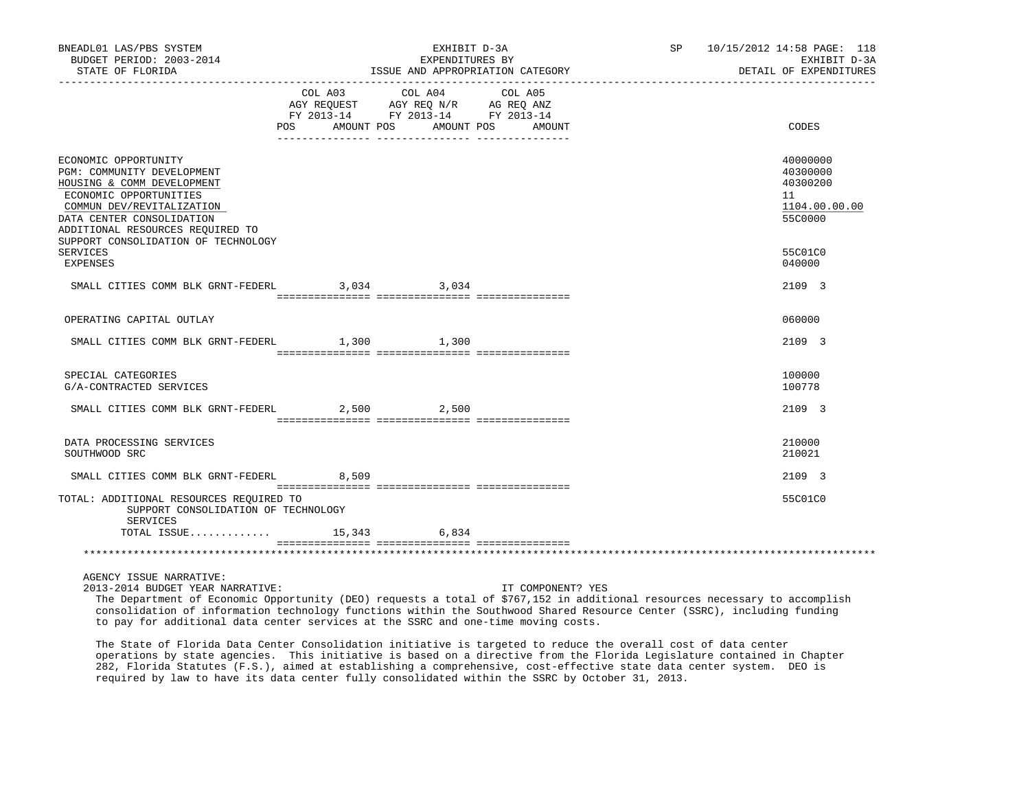| BNEADL01 LAS/PBS SYSTEM<br>BUDGET PERIOD: 2003-2014<br>STATE OF FLORIDA                                                                                                                                  | EXHIBIT D-3A<br>EXPENDITURES BY<br>ISSUE AND APPROPRIATION CATEGORY             |  |  | SP 10/15/2012 14:58 PAGE: 118<br>EXHIBIT D-3A<br>DETAIL OF EXPENDITURES |
|----------------------------------------------------------------------------------------------------------------------------------------------------------------------------------------------------------|---------------------------------------------------------------------------------|--|--|-------------------------------------------------------------------------|
|                                                                                                                                                                                                          | COL A03<br>FY 2013-14 FY 2013-14 FY 2013-14<br>POS AMOUNT POS AMOUNT POS AMOUNT |  |  | CODES                                                                   |
|                                                                                                                                                                                                          |                                                                                 |  |  |                                                                         |
| ECONOMIC OPPORTUNITY<br>PGM: COMMUNITY DEVELOPMENT<br>HOUSING & COMM DEVELOPMENT<br>ECONOMIC OPPORTUNITIES<br>COMMUN DEV/REVITALIZATION<br>DATA CENTER CONSOLIDATION<br>ADDITIONAL RESOURCES REQUIRED TO |                                                                                 |  |  | 40000000<br>40300000<br>40300200<br>11<br>1104.00.00.00<br>55C0000      |
| SUPPORT CONSOLIDATION OF TECHNOLOGY<br>SERVICES<br>EXPENSES                                                                                                                                              |                                                                                 |  |  | 55C01C0<br>040000                                                       |
| SMALL CITIES COMM BLK GRNT-FEDERL 3.034 3.034                                                                                                                                                            |                                                                                 |  |  | 2109 3                                                                  |
|                                                                                                                                                                                                          |                                                                                 |  |  |                                                                         |
| OPERATING CAPITAL OUTLAY                                                                                                                                                                                 |                                                                                 |  |  | 060000                                                                  |
| SMALL CITIES COMM BLK GRNT-FEDERL 1,300 1,300                                                                                                                                                            |                                                                                 |  |  | 2109 3                                                                  |
| SPECIAL CATEGORIES<br>G/A-CONTRACTED SERVICES                                                                                                                                                            |                                                                                 |  |  | 100000<br>100778                                                        |
| SMALL CITIES COMM BLK GRNT-FEDERL 2,500 2,500                                                                                                                                                            |                                                                                 |  |  | 2109 3                                                                  |
| DATA PROCESSING SERVICES<br>SOUTHWOOD SRC                                                                                                                                                                |                                                                                 |  |  | 210000<br>210021                                                        |
| SMALL CITIES COMM BLK GRNT-FEDERL 8,509                                                                                                                                                                  |                                                                                 |  |  | 2109 3                                                                  |
| TOTAL: ADDITIONAL RESOURCES REQUIRED TO<br>SUPPORT CONSOLIDATION OF TECHNOLOGY<br>SERVICES                                                                                                               |                                                                                 |  |  | 55C01C0                                                                 |
| TOTAL ISSUE 15,343 6,834                                                                                                                                                                                 |                                                                                 |  |  |                                                                         |
|                                                                                                                                                                                                          |                                                                                 |  |  |                                                                         |
| AGENCY ISSUE NARRATIVE:                                                                                                                                                                                  |                                                                                 |  |  |                                                                         |

2013-2014 BUDGET YEAR NARRATIVE: IT COMPONENT? YES

 The Department of Economic Opportunity (DEO) requests a total of \$767,152 in additional resources necessary to accomplish consolidation of information technology functions within the Southwood Shared Resource Center (SSRC), including funding to pay for additional data center services at the SSRC and one-time moving costs.

 The State of Florida Data Center Consolidation initiative is targeted to reduce the overall cost of data center operations by state agencies. This initiative is based on a directive from the Florida Legislature contained in Chapter 282, Florida Statutes (F.S.), aimed at establishing a comprehensive, cost-effective state data center system. DEO is required by law to have its data center fully consolidated within the SSRC by October 31, 2013.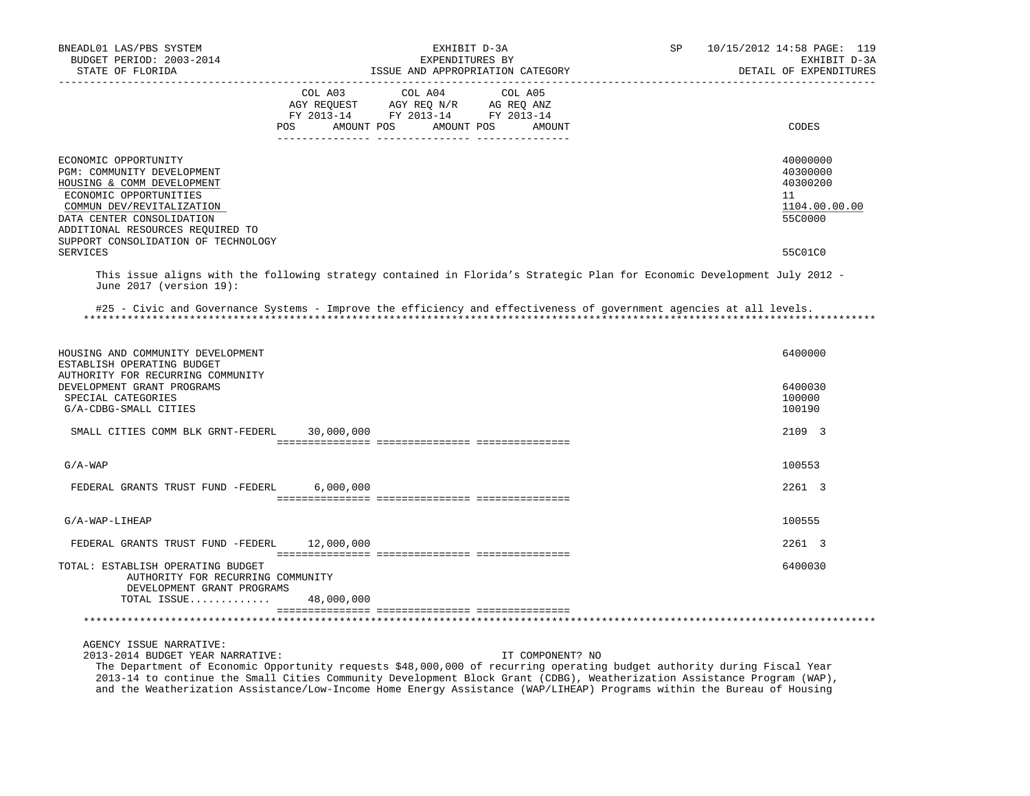| BNEADL01 LAS/PBS SYSTEM<br>BUDGET PERIOD: 2003-2014                                                                                                                                                                                             | EXHIBIT D-3A<br>EXPENDITURES BY                                                                                                     | 10/15/2012 14:58 PAGE: 119<br>SP<br>EXHIBIT D-3A                   |
|-------------------------------------------------------------------------------------------------------------------------------------------------------------------------------------------------------------------------------------------------|-------------------------------------------------------------------------------------------------------------------------------------|--------------------------------------------------------------------|
| STATE OF FLORIDA                                                                                                                                                                                                                                | ISSUE AND APPROPRIATION CATEGORY                                                                                                    | DETAIL OF EXPENDITURES                                             |
|                                                                                                                                                                                                                                                 | COL A03<br>COL A04<br>COL A05<br>AGY REQUEST AGY REQ N/R AG REQ ANZ<br>FY 2013-14 FY 2013-14 FY 2013-14<br>AMOUNT POS<br>AMOUNT POS | CODES                                                              |
|                                                                                                                                                                                                                                                 | POS<br>AMOUNT                                                                                                                       |                                                                    |
| ECONOMIC OPPORTUNITY<br>PGM: COMMUNITY DEVELOPMENT<br>HOUSING & COMM DEVELOPMENT<br>ECONOMIC OPPORTUNITIES<br>COMMUN DEV/REVITALIZATION<br>DATA CENTER CONSOLIDATION<br>ADDITIONAL RESOURCES REQUIRED TO<br>SUPPORT CONSOLIDATION OF TECHNOLOGY |                                                                                                                                     | 40000000<br>40300000<br>40300200<br>11<br>1104.00.00.00<br>55C0000 |
| SERVICES                                                                                                                                                                                                                                        |                                                                                                                                     | 55C01C0                                                            |
| June 2017 (version 19):                                                                                                                                                                                                                         | This issue aligns with the following strategy contained in Florida's Strategic Plan for Economic Development July 2012 -            |                                                                    |
|                                                                                                                                                                                                                                                 | #25 - Civic and Governance Systems - Improve the efficiency and effectiveness of government agencies at all levels.                 |                                                                    |
| HOUSING AND COMMUNITY DEVELOPMENT<br>ESTABLISH OPERATING BUDGET<br>AUTHORITY FOR RECURRING COMMUNITY<br>DEVELOPMENT GRANT PROGRAMS                                                                                                              |                                                                                                                                     | 6400000<br>6400030                                                 |
| SPECIAL CATEGORIES<br>G/A-CDBG-SMALL CITIES                                                                                                                                                                                                     |                                                                                                                                     | 100000<br>100190                                                   |
| SMALL CITIES COMM BLK GRNT-FEDERL                                                                                                                                                                                                               | 30,000,000                                                                                                                          | 2109 3                                                             |
| $G/A-WAP$                                                                                                                                                                                                                                       |                                                                                                                                     | 100553                                                             |
| FEDERAL GRANTS TRUST FUND -FEDERL                                                                                                                                                                                                               | 6,000,000                                                                                                                           | 2261 3                                                             |
| G/A-WAP-LIHEAP                                                                                                                                                                                                                                  |                                                                                                                                     | 100555                                                             |
| FEDERAL GRANTS TRUST FUND -FEDERL 12,000,000                                                                                                                                                                                                    |                                                                                                                                     | 2261 3                                                             |
| TOTAL: ESTABLISH OPERATING BUDGET<br>AUTHORITY FOR RECURRING COMMUNITY<br>DEVELOPMENT GRANT PROGRAMS                                                                                                                                            |                                                                                                                                     | 6400030                                                            |
| TOTAL ISSUE                                                                                                                                                                                                                                     | 48,000,000                                                                                                                          |                                                                    |
| AGENCY ISSUE NARRATIVE:                                                                                                                                                                                                                         |                                                                                                                                     |                                                                    |

2013-2014 BUDGET YEAR NARRATIVE: IT COMPONENT? NO

 The Department of Economic Opportunity requests \$48,000,000 of recurring operating budget authority during Fiscal Year 2013-14 to continue the Small Cities Community Development Block Grant (CDBG), Weatherization Assistance Program (WAP), and the Weatherization Assistance/Low-Income Home Energy Assistance (WAP/LIHEAP) Programs within the Bureau of Housing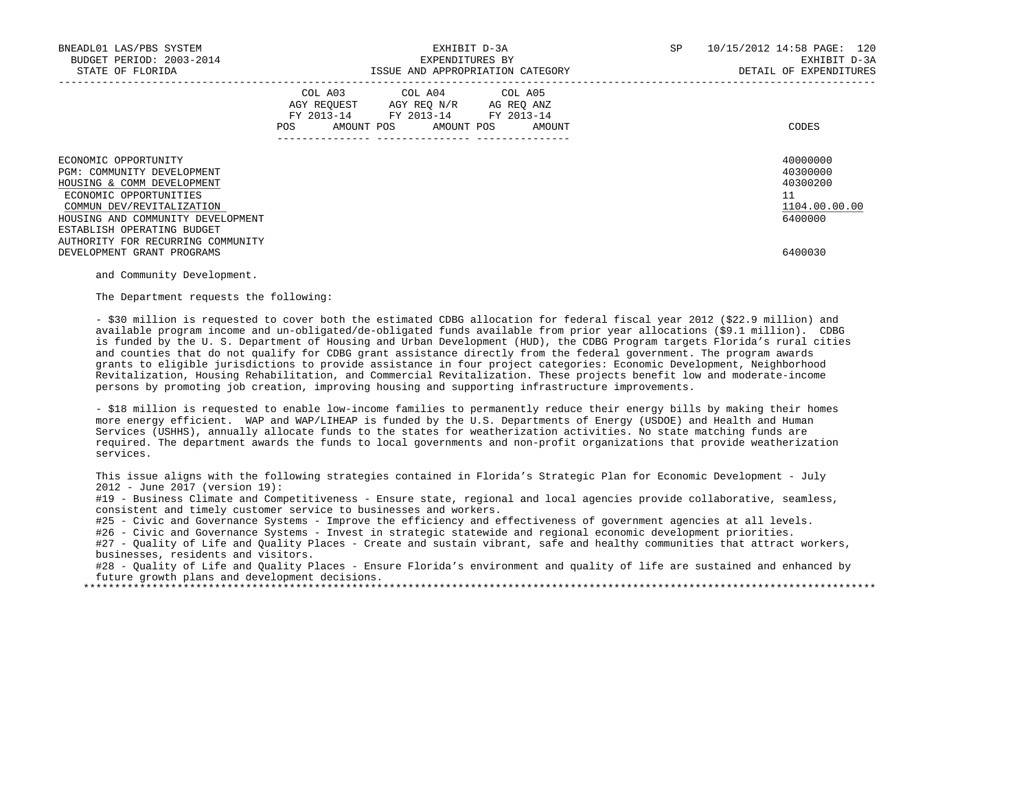| BNEADL01 LAS/PBS SYSTEM<br>BUDGET PERIOD: 2003-2014<br>STATE OF FLORIDA                                                                                                                                                                                                       | EXHIBIT D-3A<br>EXPENDITURES BY<br>ISSUE AND APPROPRIATION CATEGORY                                                                         | SP<br>10/15/2012 14:58 PAGE: 120<br>EXHIBIT D-3A<br>DETAIL OF EXPENDITURES    |
|-------------------------------------------------------------------------------------------------------------------------------------------------------------------------------------------------------------------------------------------------------------------------------|---------------------------------------------------------------------------------------------------------------------------------------------|-------------------------------------------------------------------------------|
|                                                                                                                                                                                                                                                                               | COL A03 COL A04 COL A05<br>AGY REQUEST AGY REQ N/R AG REQ ANZ<br>FY 2013-14 FY 2013-14 FY 2013-14<br>AMOUNT POS AMOUNT POS<br>POS<br>AMOUNT | CODES                                                                         |
| ECONOMIC OPPORTUNITY<br>PGM: COMMUNITY DEVELOPMENT<br>HOUSING & COMM DEVELOPMENT<br>ECONOMIC OPPORTUNITIES<br>COMMUN DEV/REVITALIZATION<br>HOUSING AND COMMUNITY DEVELOPMENT<br>ESTABLISH OPERATING BUDGET<br>AUTHORITY FOR RECURRING COMMUNITY<br>DEVELOPMENT GRANT PROGRAMS |                                                                                                                                             | 40000000<br>40300000<br>40300200<br>11<br>1104.00.00.00<br>6400000<br>6400030 |

and Community Development.

The Department requests the following:

 - \$30 million is requested to cover both the estimated CDBG allocation for federal fiscal year 2012 (\$22.9 million) and available program income and un-obligated/de-obligated funds available from prior year allocations (\$9.1 million). CDBG is funded by the U. S. Department of Housing and Urban Development (HUD), the CDBG Program targets Florida's rural cities and counties that do not qualify for CDBG grant assistance directly from the federal government. The program awards grants to eligible jurisdictions to provide assistance in four project categories: Economic Development, Neighborhood Revitalization, Housing Rehabilitation, and Commercial Revitalization. These projects benefit low and moderate-income persons by promoting job creation, improving housing and supporting infrastructure improvements.

 - \$18 million is requested to enable low-income families to permanently reduce their energy bills by making their homes more energy efficient. WAP and WAP/LIHEAP is funded by the U.S. Departments of Energy (USDOE) and Health and Human Services (USHHS), annually allocate funds to the states for weatherization activities. No state matching funds are required. The department awards the funds to local governments and non-profit organizations that provide weatherization services.

 This issue aligns with the following strategies contained in Florida's Strategic Plan for Economic Development - July 2012 - June 2017 (version 19):

 #19 - Business Climate and Competitiveness - Ensure state, regional and local agencies provide collaborative, seamless, consistent and timely customer service to businesses and workers.

#25 - Civic and Governance Systems - Improve the efficiency and effectiveness of government agencies at all levels.

#26 - Civic and Governance Systems - Invest in strategic statewide and regional economic development priorities.

#27 - Quality of Life and Quality Places - Create and sustain vibrant, safe and healthy communities that attract workers, businesses, residents and visitors.

 #28 - Quality of Life and Quality Places - Ensure Florida's environment and quality of life are sustained and enhanced by future growth plans and development decisions.

\*\*\*\*\*\*\*\*\*\*\*\*\*\*\*\*\*\*\*\*\*\*\*\*\*\*\*\*\*\*\*\*\*\*\*\*\*\*\*\*\*\*\*\*\*\*\*\*\*\*\*\*\*\*\*\*\*\*\*\*\*\*\*\*\*\*\*\*\*\*\*\*\*\*\*\*\*\*\*\*\*\*\*\*\*\*\*\*\*\*\*\*\*\*\*\*\*\*\*\*\*\*\*\*\*\*\*\*\*\*\*\*\*\*\*\*\*\*\*\*\*\*\*\*\*\*\*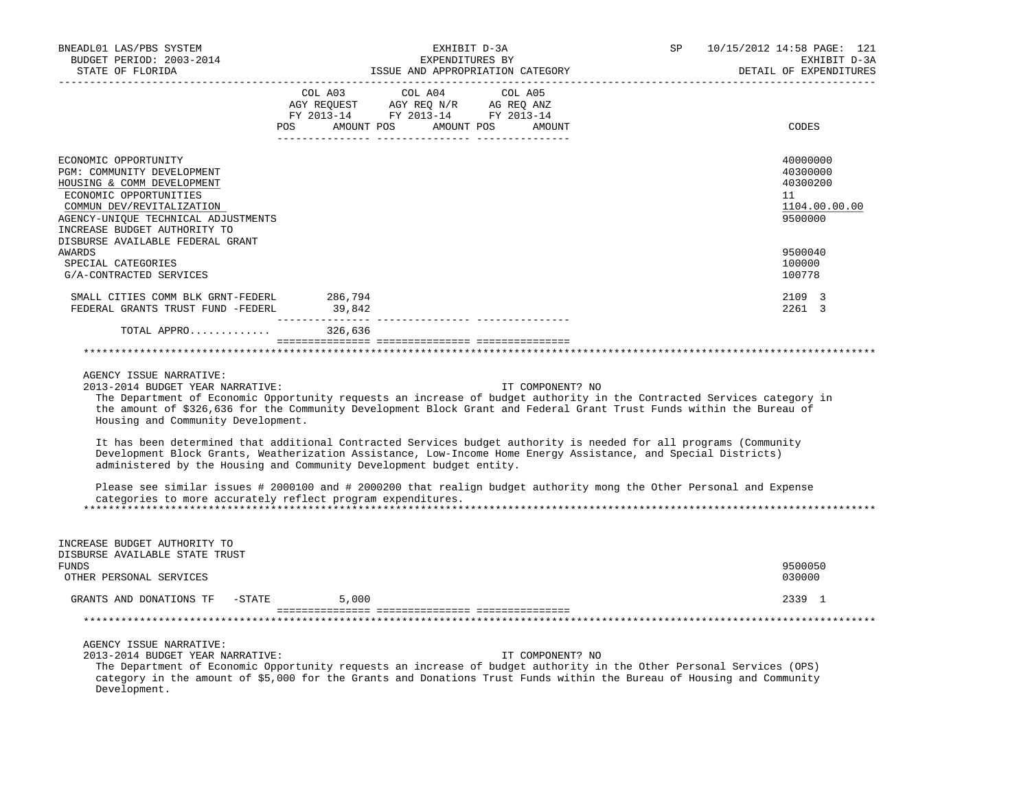| BNEADL01 LAS/PBS SYSTEM<br>BUDGET PERIOD: 2003-2014<br>STATE OF FLORIDA<br>-------------------                                                                                                                 | EXHIBIT D-3A<br>EXPENDITURES BY<br>ISSUE AND APPROPRIATION CATEGORY                                                                                                                                                                                                                                                                                                                     | SP<br>10/15/2012 14:58 PAGE: 121<br>EXHIBIT D-3A<br>DETAIL OF EXPENDITURES<br>------------------------ |
|----------------------------------------------------------------------------------------------------------------------------------------------------------------------------------------------------------------|-----------------------------------------------------------------------------------------------------------------------------------------------------------------------------------------------------------------------------------------------------------------------------------------------------------------------------------------------------------------------------------------|--------------------------------------------------------------------------------------------------------|
|                                                                                                                                                                                                                | POS AMOUNT POS AMOUNT POS AMOUNT                                                                                                                                                                                                                                                                                                                                                        | CODES                                                                                                  |
| ECONOMIC OPPORTUNITY<br>PGM: COMMUNITY DEVELOPMENT<br>HOUSING & COMM DEVELOPMENT<br>ECONOMIC OPPORTUNITIES<br>COMMUN DEV/REVITALIZATION<br>AGENCY-UNIQUE TECHNICAL ADJUSTMENTS<br>INCREASE BUDGET AUTHORITY TO |                                                                                                                                                                                                                                                                                                                                                                                         | 40000000<br>40300000<br>40300200<br>11<br>1104.00.00.00<br>9500000                                     |
| DISBURSE AVAILABLE FEDERAL GRANT<br>AWARDS<br>SPECIAL CATEGORIES<br>G/A-CONTRACTED SERVICES                                                                                                                    |                                                                                                                                                                                                                                                                                                                                                                                         | 9500040<br>100000<br>100778                                                                            |
| SMALL CITIES COMM BLK GRNT-FEDERL 286,794<br>FEDERAL GRANTS TRUST FUND -FEDERL                                                                                                                                 | 39,842                                                                                                                                                                                                                                                                                                                                                                                  | 2109 3<br>2261 3                                                                                       |
| TOTAL APPRO 326,636                                                                                                                                                                                            |                                                                                                                                                                                                                                                                                                                                                                                         |                                                                                                        |
|                                                                                                                                                                                                                |                                                                                                                                                                                                                                                                                                                                                                                         |                                                                                                        |
| AGENCY ISSUE NARRATIVE:<br>2013-2014 BUDGET YEAR NARRATIVE:<br>Housing and Community Development.                                                                                                              | IT COMPONENT? NO<br>The Department of Economic Opportunity requests an increase of budget authority in the Contracted Services category in<br>the amount of \$326,636 for the Community Development Block Grant and Federal Grant Trust Funds within the Bureau of<br>It has been determined that additional Contracted Services budget authority is needed for all programs (Community |                                                                                                        |
|                                                                                                                                                                                                                | Development Block Grants, Weatherization Assistance, Low-Income Home Energy Assistance, and Special Districts)<br>administered by the Housing and Community Development budget entity.                                                                                                                                                                                                  |                                                                                                        |
|                                                                                                                                                                                                                | Please see similar issues # 2000100 and # 2000200 that realign budget authority mong the Other Personal and Expense<br>categories to more accurately reflect program expenditures.                                                                                                                                                                                                      |                                                                                                        |
| INCREASE BUDGET AUTHORITY TO<br>DISBURSE AVAILABLE STATE TRUST<br>FUNDS                                                                                                                                        |                                                                                                                                                                                                                                                                                                                                                                                         | 9500050                                                                                                |
| OTHER PERSONAL SERVICES                                                                                                                                                                                        |                                                                                                                                                                                                                                                                                                                                                                                         | 030000                                                                                                 |
| GRANTS AND DONATIONS TF -STATE                                                                                                                                                                                 | 5,000                                                                                                                                                                                                                                                                                                                                                                                   | 2339 1                                                                                                 |
|                                                                                                                                                                                                                |                                                                                                                                                                                                                                                                                                                                                                                         |                                                                                                        |
| AGENCY ISSUE NARRATIVE:<br>2013-2014 BUDGET YEAR NARRATIVE:<br>Development.                                                                                                                                    | IT COMPONENT? NO<br>The Department of Economic Opportunity requests an increase of budget authority in the Other Personal Services (OPS)<br>category in the amount of \$5,000 for the Grants and Donations Trust Funds within the Bureau of Housing and Community                                                                                                                       |                                                                                                        |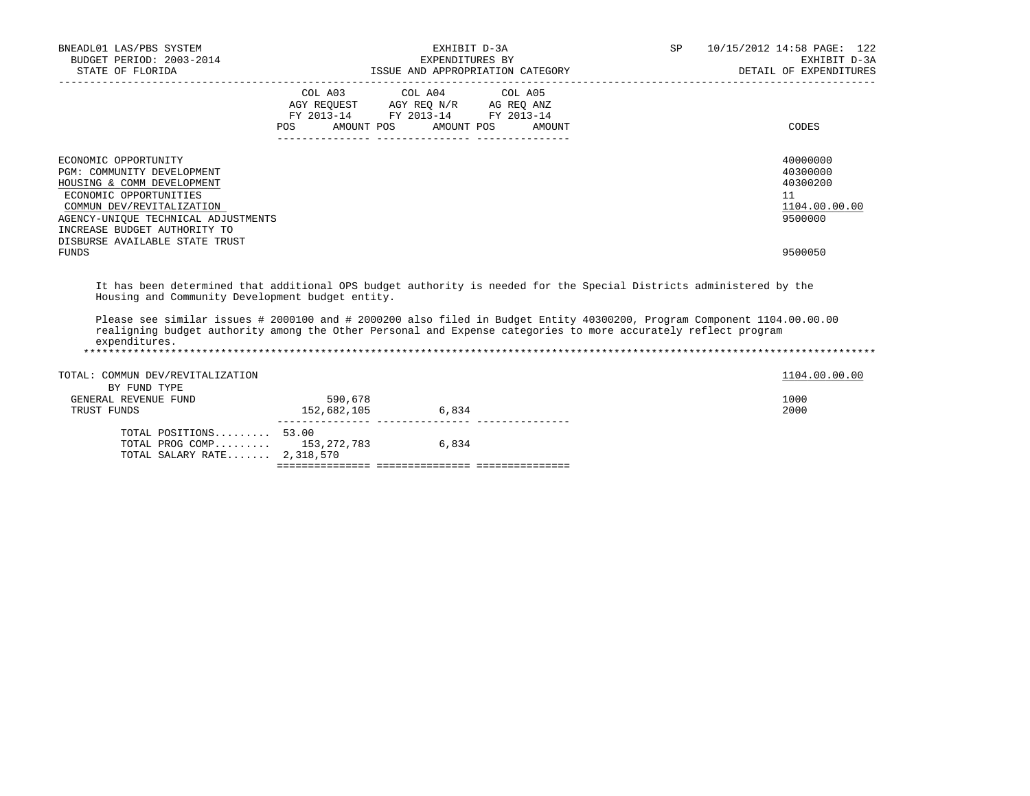| BNEADL01 LAS/PBS SYSTEM<br>BUDGET PERIOD: 2003-2014<br>STATE OF FLORIDA                                                                                                                                                                                                                                                                                                                                                               |                        | EXHIBIT D-3A<br>EXPENDITURES BY<br>ISSUE AND APPROPRIATION CATEGORY                                                        |        | SP and the set of the set of the set of the set of the set of the set of the set of the set of the set of the set of the set of the set of the set of the set of the set of the set of the set of the set of the set of the se | 10/15/2012 14:58 PAGE: 122<br>EXHIBIT D-3A<br>DETAIL OF EXPENDITURES          |
|---------------------------------------------------------------------------------------------------------------------------------------------------------------------------------------------------------------------------------------------------------------------------------------------------------------------------------------------------------------------------------------------------------------------------------------|------------------------|----------------------------------------------------------------------------------------------------------------------------|--------|--------------------------------------------------------------------------------------------------------------------------------------------------------------------------------------------------------------------------------|-------------------------------------------------------------------------------|
|                                                                                                                                                                                                                                                                                                                                                                                                                                       | POS DO                 | COL A03 COL A04 COL A05<br>AGY REQUEST AGY REQ N/R AG REQ ANZ<br>FY 2013-14 FY 2013-14 FY 2013-14<br>AMOUNT POS AMOUNT POS | AMOUNT |                                                                                                                                                                                                                                | <b>CODES</b>                                                                  |
| ECONOMIC OPPORTUNITY<br>PGM: COMMUNITY DEVELOPMENT<br>HOUSING & COMM DEVELOPMENT<br>ECONOMIC OPPORTUNITIES<br>COMMUN DEV/REVITALIZATION<br>AGENCY-UNIQUE TECHNICAL ADJUSTMENTS<br>INCREASE BUDGET AUTHORITY TO<br>DISBURSE AVAILABLE STATE TRUST<br>FUNDS                                                                                                                                                                             |                        |                                                                                                                            |        |                                                                                                                                                                                                                                | 40000000<br>40300000<br>40300200<br>11<br>1104.00.00.00<br>9500000<br>9500050 |
| It has been determined that additional OPS budget authority is needed for the Special Districts administered by the<br>Housing and Community Development budget entity.<br>Please see similar issues # 2000100 and # 2000200 also filed in Budget Entity 40300200, Program Component 1104.00.00.00<br>realigning budget authority among the Other Personal and Expense categories to more accurately reflect program<br>expenditures. |                        |                                                                                                                            |        |                                                                                                                                                                                                                                |                                                                               |
| TOTAL: COMMUN DEV/REVITALIZATION                                                                                                                                                                                                                                                                                                                                                                                                      |                        |                                                                                                                            |        |                                                                                                                                                                                                                                | 1104.00.00.00                                                                 |
| BY FUND TYPE<br>GENERAL REVENUE FUND<br>TRUST FUNDS                                                                                                                                                                                                                                                                                                                                                                                   | 590,678<br>152,682,105 | 6,834                                                                                                                      |        |                                                                                                                                                                                                                                | 1000<br>2000                                                                  |
| TOTAL POSITIONS 53.00<br>TOTAL PROG COMP 153,272,783 6,834<br>TOTAL SALARY RATE 2,318,570                                                                                                                                                                                                                                                                                                                                             |                        |                                                                                                                            |        |                                                                                                                                                                                                                                |                                                                               |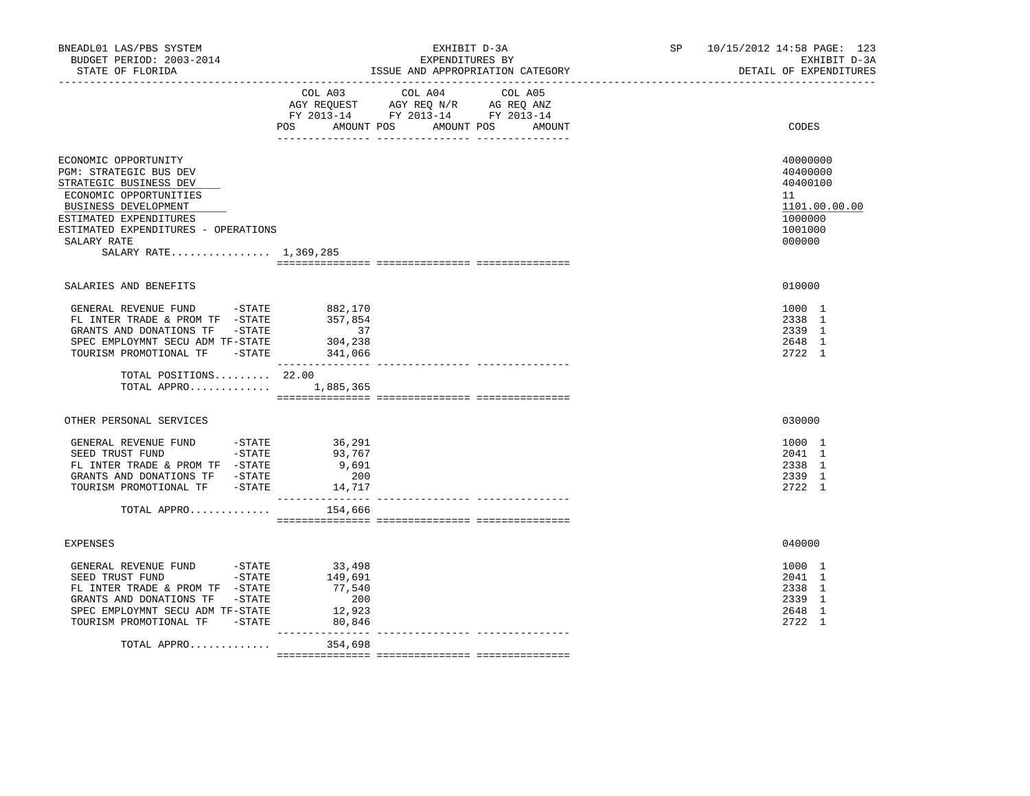|                                                                                                                                                                                                                      | COL A03 COL A04 COL A05                                                                                    |                                                          |
|----------------------------------------------------------------------------------------------------------------------------------------------------------------------------------------------------------------------|------------------------------------------------------------------------------------------------------------|----------------------------------------------------------|
|                                                                                                                                                                                                                      | AGY REQUEST AGY REQ N/R AG REQ ANZ<br>FY 2013-14 FY 2013-14 FY 2013-14<br>POS AMOUNT POS AMOUNT POS AMOUNT | CODES                                                    |
|                                                                                                                                                                                                                      |                                                                                                            |                                                          |
|                                                                                                                                                                                                                      |                                                                                                            | 40000000<br>40400000<br>40400100                         |
|                                                                                                                                                                                                                      |                                                                                                            | 11<br>1101.00.00.00<br>1000000<br>1001000<br>000000      |
|                                                                                                                                                                                                                      |                                                                                                            |                                                          |
|                                                                                                                                                                                                                      |                                                                                                            | 010000                                                   |
| GENERAL REVENUE FUND -STATE<br>882,170<br>357,854<br>FL INTER TRADE & PROM TF -STATE<br>GRANTS AND DONATIONS TF -STATE<br>37<br>304,238<br>SPEC EMPLOYMNT SECU ADM TF-STATE<br>TOURISM PROMOTIONAL TF -STATE 341,066 |                                                                                                            | 1000 1<br>2338 1<br>2339 1<br>2648 1<br>2722 1           |
| TOTAL POSITIONS 22.00<br>TOTAL APPRO<br>1,885,365                                                                                                                                                                    |                                                                                                            |                                                          |
|                                                                                                                                                                                                                      |                                                                                                            | 030000                                                   |
| GENERAL REVENUE FUND -STATE<br>36,291<br>SEED TRUST FUND -STATE<br>93,767<br>FL INTER TRADE & PROM TF -STATE<br>9,691<br>200<br>14,717                                                                               |                                                                                                            | 1000 1<br>2041 1<br>2338 1<br>2339 1<br>2722 1           |
| 154,666                                                                                                                                                                                                              |                                                                                                            |                                                          |
|                                                                                                                                                                                                                      |                                                                                                            |                                                          |
|                                                                                                                                                                                                                      |                                                                                                            | 040000                                                   |
| GENERAL REVENUE FUND -STATE<br>SEED TRUST FUND -STATE<br>33,498<br>149,691<br>77,540<br>200<br>12,923<br>80,846                                                                                                      |                                                                                                            | 1000 1<br>2041 1<br>2338 1<br>2339 1<br>2648 1<br>2722 1 |
| 354,698                                                                                                                                                                                                              |                                                                                                            |                                                          |
|                                                                                                                                                                                                                      | SALARY RATE 1,369,285                                                                                      |                                                          |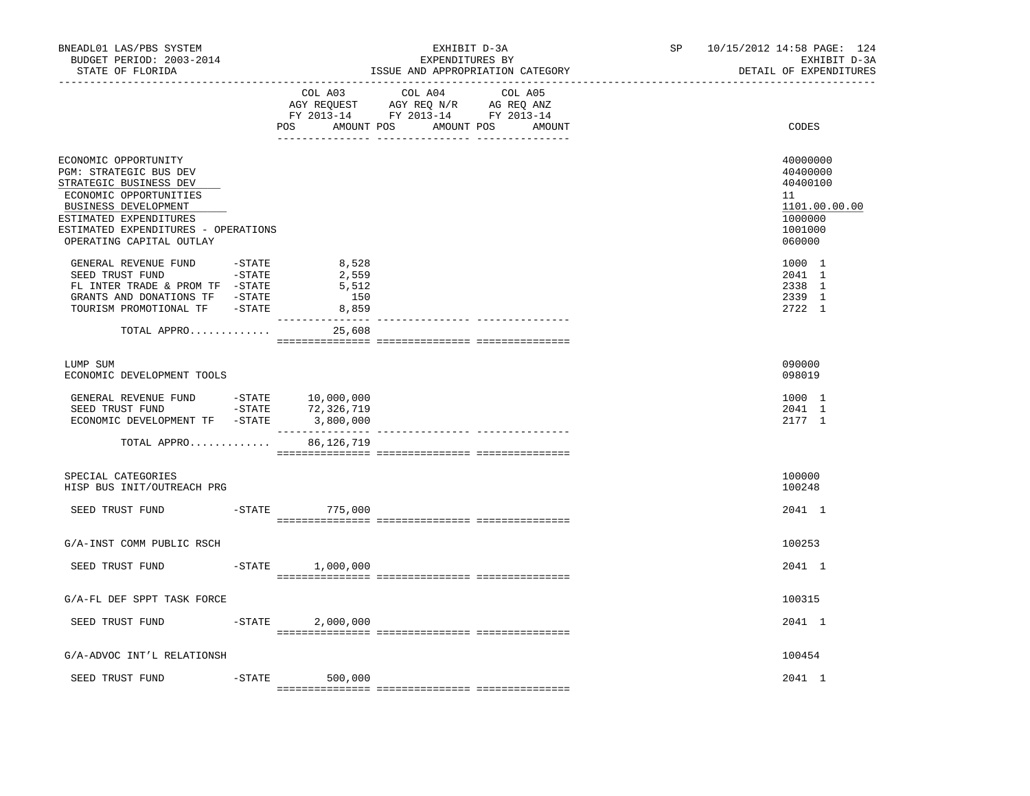| BNEADL01 LAS/PBS SYSTEM<br>BUDGET PERIOD: 2003-2014<br>STATE OF FLORIDA<br>------------------                                                                                                                             |           |                                                            | EXHIBIT D-3A<br>EXPENDITURES BY<br>ISSUE AND APPROPRIATION CATEGORY | SP <sub>2</sub> | 10/15/2012 14:58 PAGE: 124<br>EXHIBIT D-3A<br>DETAIL OF EXPENDITURES                    |
|---------------------------------------------------------------------------------------------------------------------------------------------------------------------------------------------------------------------------|-----------|------------------------------------------------------------|---------------------------------------------------------------------|-----------------|-----------------------------------------------------------------------------------------|
|                                                                                                                                                                                                                           |           | COL A03                                                    | COL A04 COL A05<br>POS AMOUNT POS AMOUNT POS<br>AMOUNT              |                 | CODES                                                                                   |
| ECONOMIC OPPORTUNITY<br>PGM: STRATEGIC BUS DEV<br>STRATEGIC BUSINESS DEV<br>ECONOMIC OPPORTUNITIES<br>BUSINESS DEVELOPMENT<br>ESTIMATED EXPENDITURES<br>ESTIMATED EXPENDITURES - OPERATIONS<br>OPERATING CAPITAL OUTLAY   |           |                                                            |                                                                     |                 | 40000000<br>40400000<br>40400100<br>11<br>1101.00.00.00<br>1000000<br>1001000<br>060000 |
| GENERAL REVENUE FUND -STATE<br>SEED TRUST FUND -STATE<br>FL INTER TRADE & PROM TF -STATE<br>GRANTS AND DONATIONS TF -STATE<br>TOURISM PROMOTIONAL TF -STATE                                                               |           | 8,528<br>2,559<br>5,512<br>150<br>8,859<br>_______________ |                                                                     |                 | 1000 1<br>2041 1<br>2338 1<br>2339 1<br>2722 1                                          |
| TOTAL APPRO                                                                                                                                                                                                               |           | 25,608                                                     |                                                                     |                 |                                                                                         |
| LUMP SUM<br>ECONOMIC DEVELOPMENT TOOLS                                                                                                                                                                                    |           |                                                            |                                                                     |                 | 090000<br>098019                                                                        |
| ${\small \tt GENERAL \;\; REVENUE \;\; FUND \;\; \begin{tabular}{cc} -STATE & 10,000,000 \\ SEED \;\; TRUST \;\; FUND & -STATE & 72,326,719 \\ \end{tabular}}$<br>ECONOMIC DEVELOPMENT TF -STATE 3,800,000<br>TOTAL APPRO |           | 72,326,719<br>86,126,719                                   |                                                                     |                 | 1000 1<br>2041 1<br>2177 1                                                              |
| SPECIAL CATEGORIES<br>HISP BUS INIT/OUTREACH PRG                                                                                                                                                                          |           |                                                            |                                                                     |                 | 100000<br>100248                                                                        |
| SEED TRUST FUND                                                                                                                                                                                                           |           | $-STATE$ 775,000                                           |                                                                     |                 | 2041 1                                                                                  |
| G/A-INST COMM PUBLIC RSCH                                                                                                                                                                                                 |           |                                                            |                                                                     |                 | 100253                                                                                  |
| SEED TRUST FUND                                                                                                                                                                                                           |           | $-$ STATE $1,000,000$                                      |                                                                     |                 | 2041 1                                                                                  |
| G/A-FL DEF SPPT TASK FORCE                                                                                                                                                                                                |           |                                                            |                                                                     |                 | 100315                                                                                  |
| SEED TRUST FUND                                                                                                                                                                                                           | $-$ STATE | 2,000,000                                                  |                                                                     |                 | 2041 1                                                                                  |
| G/A-ADVOC INT'L RELATIONSH                                                                                                                                                                                                |           |                                                            |                                                                     |                 | 100454                                                                                  |
| SEED TRUST FUND                                                                                                                                                                                                           |           | $-STATE$ 500,000                                           |                                                                     |                 | 2041 1                                                                                  |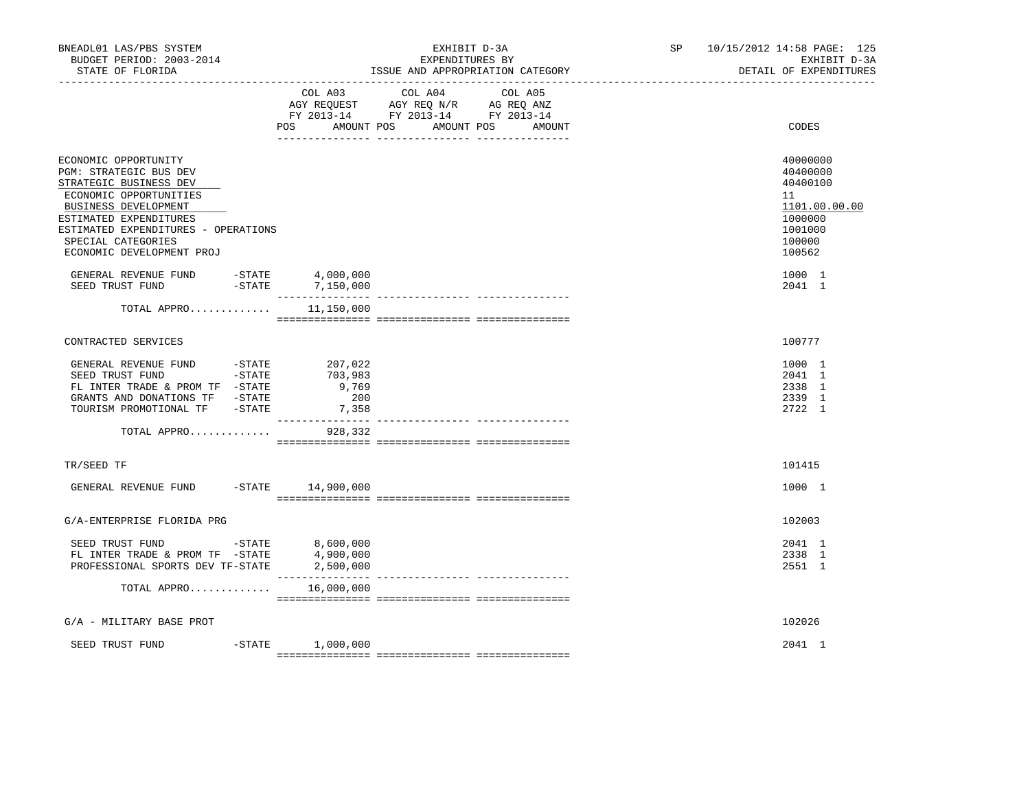| BNEADL01 LAS/PBS SYSTEM<br>BUDGET PERIOD: 2003-2014<br>STATE OF FLORIDA                                                                                                                                                                        |           |                                                                | EXHIBIT D-3A<br>EXPENDITURES BY<br>ISSUE AND APPROPRIATION CATEGORY                                                                  | SP | 10/15/2012 14:58 PAGE: 125<br>EXHIBIT D-3A<br>DETAIL OF EXPENDITURES                              |
|------------------------------------------------------------------------------------------------------------------------------------------------------------------------------------------------------------------------------------------------|-----------|----------------------------------------------------------------|--------------------------------------------------------------------------------------------------------------------------------------|----|---------------------------------------------------------------------------------------------------|
|                                                                                                                                                                                                                                                |           | POS                                                            | COL A03 COL A04<br>COL A05<br>AGY REQUEST AGY REQ N/R AG REQ ANZ<br>FY 2013-14 FY 2013-14 FY 2013-14<br>AMOUNT POS AMOUNT POS AMOUNT |    | CODES                                                                                             |
| ECONOMIC OPPORTUNITY<br>PGM: STRATEGIC BUS DEV<br>STRATEGIC BUSINESS DEV<br>ECONOMIC OPPORTUNITIES<br>BUSINESS DEVELOPMENT<br>ESTIMATED EXPENDITURES<br>ESTIMATED EXPENDITURES - OPERATIONS<br>SPECIAL CATEGORIES<br>ECONOMIC DEVELOPMENT PROJ |           |                                                                |                                                                                                                                      |    | 40000000<br>40400000<br>40400100<br>11<br>1101.00.00.00<br>1000000<br>1001000<br>100000<br>100562 |
| GENERAL REVENUE FUND -STATE 4,000,000<br>$-STATE$<br>SEED TRUST FUND                                                                                                                                                                           |           | 7,150,000                                                      |                                                                                                                                      |    | 1000 1<br>2041 1                                                                                  |
| TOTAL APPRO                                                                                                                                                                                                                                    |           | 11,150,000                                                     |                                                                                                                                      |    |                                                                                                   |
| CONTRACTED SERVICES                                                                                                                                                                                                                            |           |                                                                |                                                                                                                                      |    | 100777                                                                                            |
| GENERAL REVENUE FUND - STATE<br>SEED TRUST FUND - STATE<br>FL INTER TRADE & PROM TF -STATE<br>GRANTS AND DONATIONS TF -STATE<br>TOURISM PROMOTIONAL TF -STATE                                                                                  |           | 207,022<br>703,983<br>9,769<br>200<br>7,358<br>--------------- | --------------- ---------------                                                                                                      |    | 1000 1<br>2041 1<br>2338 1<br>2339 1<br>2722 1                                                    |
| TOTAL APPRO                                                                                                                                                                                                                                    |           | 928,332                                                        |                                                                                                                                      |    |                                                                                                   |
| TR/SEED TF                                                                                                                                                                                                                                     |           |                                                                |                                                                                                                                      |    | 101415                                                                                            |
| GENERAL REVENUE FUND -STATE 14,900,000                                                                                                                                                                                                         |           |                                                                |                                                                                                                                      |    | 1000 1                                                                                            |
| G/A-ENTERPRISE FLORIDA PRG                                                                                                                                                                                                                     |           |                                                                |                                                                                                                                      |    | 102003                                                                                            |
| SEED TRUST FUND $-$ STATE $8,600,000$<br>FL INTER TRADE & PROM TF -STATE<br>PROFESSIONAL SPORTS DEV TF-STATE 2,500,000                                                                                                                         |           | 4,900,000                                                      |                                                                                                                                      |    | 2041 1<br>2338 1<br>2551 1                                                                        |
| TOTAL APPRO                                                                                                                                                                                                                                    |           | 16,000,000                                                     |                                                                                                                                      |    |                                                                                                   |
| G/A - MILITARY BASE PROT                                                                                                                                                                                                                       |           |                                                                |                                                                                                                                      |    | 102026                                                                                            |
| SEED TRUST FUND                                                                                                                                                                                                                                | $-$ STATE | 1,000,000                                                      |                                                                                                                                      |    | 2041 1                                                                                            |
|                                                                                                                                                                                                                                                |           |                                                                |                                                                                                                                      |    |                                                                                                   |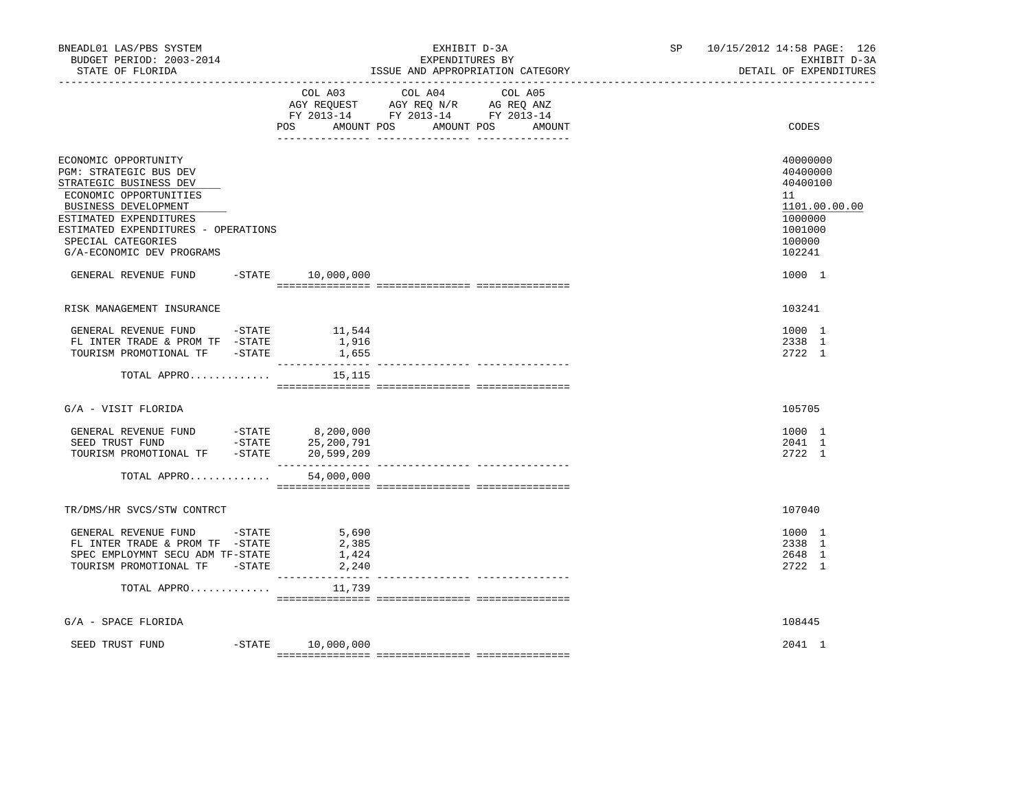| BNEADL01 LAS/PBS SYSTEM<br>BUDGET PERIOD: 2003-2014<br>STATE OF FLORIDA                                                                                                                                                                        |                                                     | EXHIBIT D-3A<br>EXPENDITURES BY<br>ISSUE AND APPROPRIATION CATEGORY                                                                                                                                                                                                                                                                                                                                                                 | SP | 10/15/2012 14:58 PAGE: 126<br>EXHIBIT D-3A<br>DETAIL OF EXPENDITURES                              |
|------------------------------------------------------------------------------------------------------------------------------------------------------------------------------------------------------------------------------------------------|-----------------------------------------------------|-------------------------------------------------------------------------------------------------------------------------------------------------------------------------------------------------------------------------------------------------------------------------------------------------------------------------------------------------------------------------------------------------------------------------------------|----|---------------------------------------------------------------------------------------------------|
|                                                                                                                                                                                                                                                | COL A03                                             | COL A04<br>COL A05<br>AGY REQUEST AGY REQ N/R AG REQ ANZ<br>FY 2013-14 FY 2013-14 FY 2013-14<br>POS AMOUNT POS AMOUNT POS<br>AMOUNT                                                                                                                                                                                                                                                                                                 |    | CODES                                                                                             |
| ECONOMIC OPPORTUNITY<br>PGM: STRATEGIC BUS DEV<br>STRATEGIC BUSINESS DEV<br>ECONOMIC OPPORTUNITIES<br>BUSINESS DEVELOPMENT<br>ESTIMATED EXPENDITURES<br>ESTIMATED EXPENDITURES - OPERATIONS<br>SPECIAL CATEGORIES<br>G/A-ECONOMIC DEV PROGRAMS |                                                     |                                                                                                                                                                                                                                                                                                                                                                                                                                     |    | 40000000<br>40400000<br>40400100<br>11<br>1101.00.00.00<br>1000000<br>1001000<br>100000<br>102241 |
| GENERAL REVENUE FUND -STATE 10,000,000                                                                                                                                                                                                         |                                                     |                                                                                                                                                                                                                                                                                                                                                                                                                                     |    | 1000 1                                                                                            |
| RISK MANAGEMENT INSURANCE                                                                                                                                                                                                                      |                                                     |                                                                                                                                                                                                                                                                                                                                                                                                                                     |    | 103241                                                                                            |
| GENERAL REVENUE FUND -STATE 11,544<br>FL INTER TRADE & PROM TF -STATE<br>TOURISM PROMOTIONAL TF -STATE                                                                                                                                         | 1,916<br>1,655                                      |                                                                                                                                                                                                                                                                                                                                                                                                                                     |    | 1000 1<br>2338 1<br>2722 1                                                                        |
| TOTAL APPRO                                                                                                                                                                                                                                    | 15,115                                              |                                                                                                                                                                                                                                                                                                                                                                                                                                     |    |                                                                                                   |
| G/A - VISIT FLORIDA                                                                                                                                                                                                                            |                                                     |                                                                                                                                                                                                                                                                                                                                                                                                                                     |    | 105705                                                                                            |
| TOURISM PROMOTIONAL TF -STATE<br>TOTAL APPRO                                                                                                                                                                                                   | 20,599,209<br>54,000,000                            |                                                                                                                                                                                                                                                                                                                                                                                                                                     |    | 1000 1<br>2041 1<br>2722 1                                                                        |
|                                                                                                                                                                                                                                                |                                                     | $\begin{minipage}{0.03\textwidth} \begin{tabular}{l} \textbf{1} & \textbf{2} & \textbf{3} & \textbf{5} & \textbf{5} & \textbf{6} & \textbf{6} & \textbf{7} & \textbf{8} & \textbf{9} & \textbf{9} & \textbf{9} & \textbf{9} & \textbf{9} & \textbf{9} & \textbf{9} & \textbf{9} & \textbf{9} & \textbf{9} & \textbf{9} & \textbf{9} & \textbf{9} & \textbf{9} & \textbf{9} & \textbf{9} & \textbf{9} & \textbf{9} & \textbf{9} & \$ |    |                                                                                                   |
| TR/DMS/HR SVCS/STW CONTRCT                                                                                                                                                                                                                     |                                                     |                                                                                                                                                                                                                                                                                                                                                                                                                                     |    | 107040                                                                                            |
| GENERAL REVENUE FUND -STATE<br>FL INTER TRADE & PROM TF -STATE<br>SPEC EMPLOYMNT SECU ADM TF-STATE<br>TOURISM PROMOTIONAL TF -STATE                                                                                                            | 5,690<br>2,385<br>1,424<br>2,240<br>_______________ |                                                                                                                                                                                                                                                                                                                                                                                                                                     |    | 1000 1<br>2338 1<br>2648 1<br>2722 1                                                              |
| TOTAL APPRO                                                                                                                                                                                                                                    | 11,739                                              |                                                                                                                                                                                                                                                                                                                                                                                                                                     |    |                                                                                                   |
| $G/A$ - SPACE FLORIDA                                                                                                                                                                                                                          |                                                     |                                                                                                                                                                                                                                                                                                                                                                                                                                     |    | 108445                                                                                            |
| SEED TRUST FUND                                                                                                                                                                                                                                | $-STATE$ 10,000,000                                 |                                                                                                                                                                                                                                                                                                                                                                                                                                     |    | 2041 1                                                                                            |
|                                                                                                                                                                                                                                                |                                                     |                                                                                                                                                                                                                                                                                                                                                                                                                                     |    |                                                                                                   |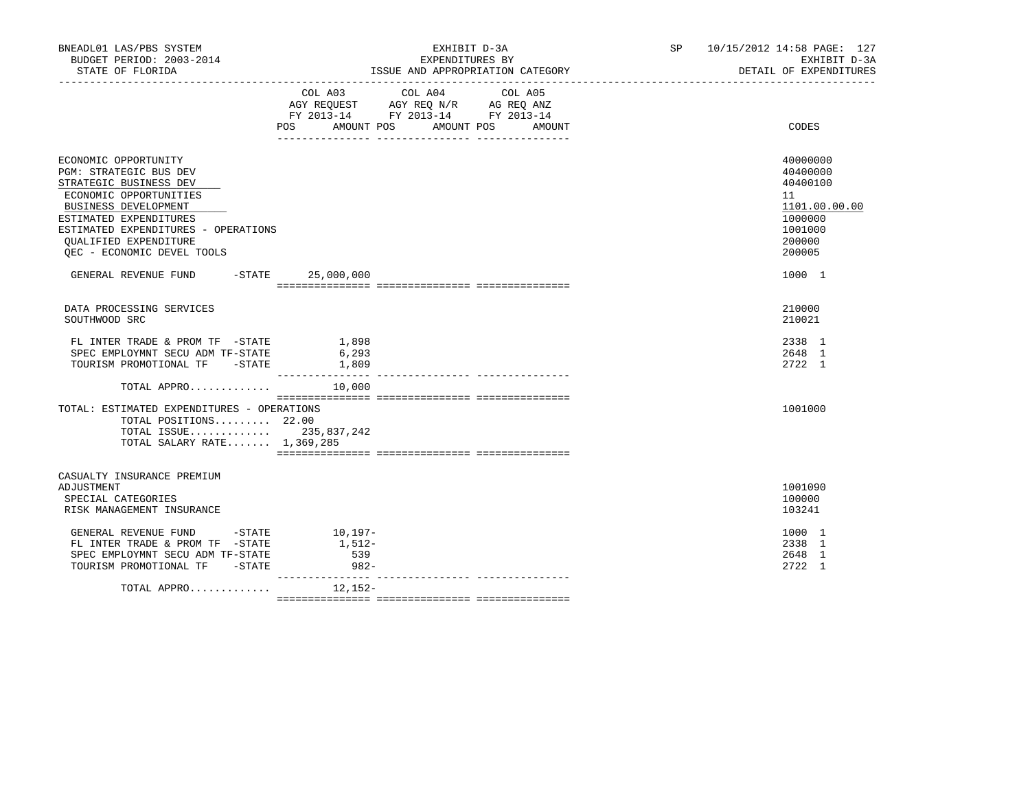| BNEADL01 LAS/PBS SYSTEM<br>BUDGET PERIOD: 2003-2014<br>STATE OF FLORIDA                                                                                                                                                                                                 |                                         | EXHIBIT D-3A<br>EXPENDITURES BY<br>ISSUE AND APPROPRIATION CATEGORY                                                                  | SP 10/15/2012 14:58 PAGE: 127<br>EXHIBIT D-3A<br>DETAIL OF EXPENDITURES                           |
|-------------------------------------------------------------------------------------------------------------------------------------------------------------------------------------------------------------------------------------------------------------------------|-----------------------------------------|--------------------------------------------------------------------------------------------------------------------------------------|---------------------------------------------------------------------------------------------------|
|                                                                                                                                                                                                                                                                         | POS                                     | COL A03 COL A04 COL A05<br>AGY REQUEST AGY REQ N/R AG REQ ANZ<br>FY 2013-14 FY 2013-14 FY 2013-14<br>AMOUNT POS AMOUNT POS<br>AMOUNT | CODES                                                                                             |
| ECONOMIC OPPORTUNITY<br><b>PGM: STRATEGIC BUS DEV</b><br>STRATEGIC BUSINESS DEV<br>ECONOMIC OPPORTUNITIES<br><b>BUSINESS DEVELOPMENT</b><br>ESTIMATED EXPENDITURES<br>ESTIMATED EXPENDITURES - OPERATIONS<br><b>OUALIFIED EXPENDITURE</b><br>OEC - ECONOMIC DEVEL TOOLS |                                         |                                                                                                                                      | 40000000<br>40400000<br>40400100<br>11<br>1101.00.00.00<br>1000000<br>1001000<br>200000<br>200005 |
| GENERAL REVENUE FUND -STATE 25,000,000                                                                                                                                                                                                                                  |                                         |                                                                                                                                      | 1000 1                                                                                            |
| DATA PROCESSING SERVICES<br>SOUTHWOOD SRC                                                                                                                                                                                                                               |                                         |                                                                                                                                      | 210000<br>210021                                                                                  |
| FL INTER TRADE & PROM TF -STATE<br>SPEC EMPLOYMNT SECU ADM TF-STATE<br>TOURISM PROMOTIONAL TF -STATE                                                                                                                                                                    | 1,898<br>6,293<br>1,809                 |                                                                                                                                      | 2338 1<br>2648 1<br>2722 1                                                                        |
| TOTAL APPRO                                                                                                                                                                                                                                                             | 10,000                                  |                                                                                                                                      |                                                                                                   |
| TOTAL: ESTIMATED EXPENDITURES - OPERATIONS<br>TOTAL POSITIONS 22.00<br>TOTAL ISSUE 235,837,242<br>TOTAL SALARY RATE 1,369,285                                                                                                                                           |                                         |                                                                                                                                      | 1001000                                                                                           |
| CASUALTY INSURANCE PREMIUM<br>ADJUSTMENT<br>SPECIAL CATEGORIES<br>RISK MANAGEMENT INSURANCE                                                                                                                                                                             |                                         |                                                                                                                                      | 1001090<br>100000<br>103241                                                                       |
| GENERAL REVENUE FUND -STATE<br>FL INTER TRADE & PROM TF -STATE<br>SPEC EMPLOYMNT SECU ADM TF-STATE<br>TOURISM PROMOTIONAL TF -STATE                                                                                                                                     | $10, 197 -$<br>1,512-<br>539<br>$982 -$ |                                                                                                                                      | 1000 1<br>2338 1<br>2648 1<br>2722 1                                                              |
| TOTAL APPRO                                                                                                                                                                                                                                                             | ---------------<br>12,152-              |                                                                                                                                      |                                                                                                   |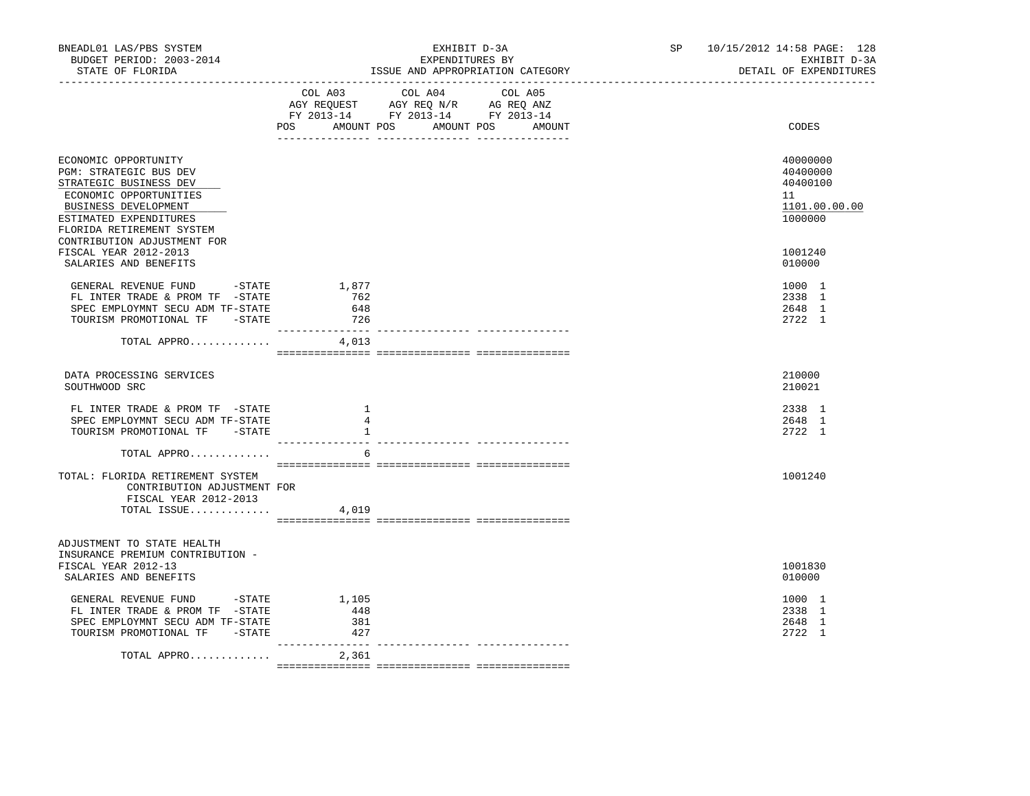| BNEADL01 LAS/PBS SYSTEM<br>BUDGET PERIOD: 2003-2014<br>STATE OF FLORIDA                                                                                                           |                                       | EXHIBIT D-3A<br>EXPENDITURES BY<br>ISSUE AND APPROPRIATION CATEGORY                                                                   | SP 10/15/2012 14:58 PAGE: 128<br>EXHIBIT D-3A<br>DETAIL OF EXPENDITURES |
|-----------------------------------------------------------------------------------------------------------------------------------------------------------------------------------|---------------------------------------|---------------------------------------------------------------------------------------------------------------------------------------|-------------------------------------------------------------------------|
|                                                                                                                                                                                   |                                       | COL A03 COL A04 COL A05<br>AGY REQUEST AGY REQ N/R AG REQ ANZ<br>FY 2013-14 FY 2013-14 FY 2013-14<br>POS AMOUNT POS AMOUNT POS AMOUNT | CODES                                                                   |
| ECONOMIC OPPORTUNITY<br>PGM: STRATEGIC BUS DEV<br>STRATEGIC BUSINESS DEV<br>ECONOMIC OPPORTUNITIES<br>BUSINESS DEVELOPMENT<br>ESTIMATED EXPENDITURES<br>FLORIDA RETIREMENT SYSTEM |                                       |                                                                                                                                       | 40000000<br>40400000<br>40400100<br>11<br>1101.00.00.00<br>1000000      |
| CONTRIBUTION ADJUSTMENT FOR<br>FISCAL YEAR 2012-2013<br>SALARIES AND BENEFITS                                                                                                     |                                       |                                                                                                                                       | 1001240<br>010000                                                       |
| GENERAL REVENUE FUND - STATE<br>FL INTER TRADE & PROM TF -STATE<br>SPEC EMPLOYMNT SECU ADM TF-STATE<br>TOURISM PROMOTIONAL TF -STATE                                              | 1,877<br>762<br>648<br>726            | ---------- ---------------- -------                                                                                                   | 1000 1<br>2338 1<br>2648 1<br>2722 1                                    |
| TOTAL APPRO                                                                                                                                                                       | 4,013                                 |                                                                                                                                       |                                                                         |
| DATA PROCESSING SERVICES<br>SOUTHWOOD SRC                                                                                                                                         |                                       |                                                                                                                                       | 210000<br>210021                                                        |
| FL INTER TRADE & PROM TF -STATE<br>SPEC EMPLOYMNT SECU ADM TF-STATE<br>TOURISM PROMOTIONAL TF -STATE                                                                              | $\overline{1}$<br>$\overline{4}$<br>1 |                                                                                                                                       | 2338 1<br>2648 1<br>2722 1                                              |
| TOTAL APPRO                                                                                                                                                                       | 6                                     |                                                                                                                                       |                                                                         |
| TOTAL: FLORIDA RETIREMENT SYSTEM<br>CONTRIBUTION ADJUSTMENT FOR<br>FISCAL YEAR 2012-2013<br>TOTAL ISSUE                                                                           | 4,019                                 |                                                                                                                                       | 1001240                                                                 |
| ADJUSTMENT TO STATE HEALTH<br>INSURANCE PREMIUM CONTRIBUTION -<br>FISCAL YEAR 2012-13<br>SALARIES AND BENEFITS                                                                    |                                       |                                                                                                                                       | 1001830<br>010000                                                       |
| GENERAL REVENUE FUND -STATE<br>FL INTER TRADE & PROM TF -STATE<br>SPEC EMPLOYMNT SECU ADM TF-STATE<br>TOURISM PROMOTIONAL TF -STATE                                               | 1,105<br>448<br>381<br>427            |                                                                                                                                       | 1000 1<br>2338 1<br>2648 1<br>2722 1                                    |
| TOTAL APPRO                                                                                                                                                                       | ________________<br>2,361             |                                                                                                                                       |                                                                         |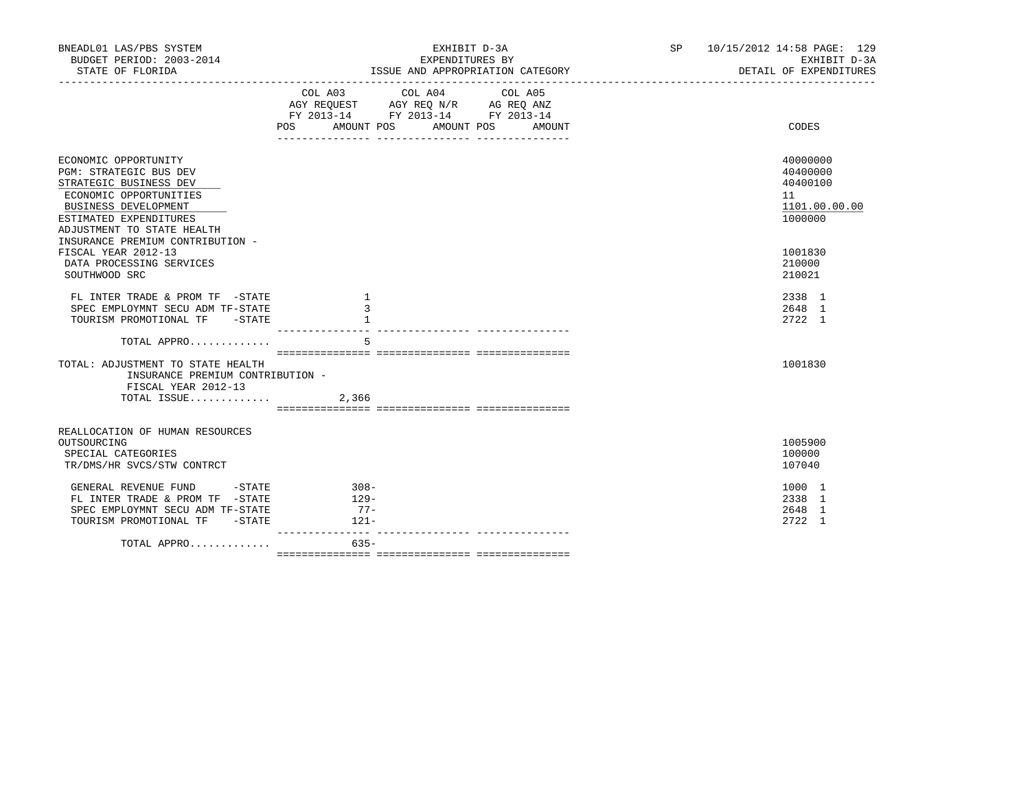| BNEADL01 LAS/PBS SYSTEM<br>BUDGET PERIOD: 2003-2014                                                                                                                                | EXHIBIT D-3A<br>EXPENDITURES BY                                                                                                                | SP 10/15/2012 14:58 PAGE: 129<br>EXHIBIT D-3A                      |
|------------------------------------------------------------------------------------------------------------------------------------------------------------------------------------|------------------------------------------------------------------------------------------------------------------------------------------------|--------------------------------------------------------------------|
|                                                                                                                                                                                    |                                                                                                                                                | DETAIL OF EXPENDITURES                                             |
|                                                                                                                                                                                    | COL A03 COL A04 COL A05<br>AGY REQUEST AGY REQ N/R AG REQ ANZ<br>FY 2013-14 FY 2013-14 FY 2013-14<br>AMOUNT POS<br>AMOUNT POS<br>POS<br>AMOUNT | CODES                                                              |
| ECONOMIC OPPORTUNITY<br>PGM: STRATEGIC BUS DEV<br>STRATEGIC BUSINESS DEV<br>ECONOMIC OPPORTUNITIES<br>BUSINESS DEVELOPMENT<br>ESTIMATED EXPENDITURES<br>ADJUSTMENT TO STATE HEALTH |                                                                                                                                                | 40000000<br>40400000<br>40400100<br>11<br>1101.00.00.00<br>1000000 |
| INSURANCE PREMIUM CONTRIBUTION -<br>FISCAL YEAR 2012-13<br>DATA PROCESSING SERVICES<br>SOUTHWOOD SRC                                                                               |                                                                                                                                                | 1001830<br>210000<br>210021                                        |
| FL INTER TRADE & PROM TF -STATE<br>SPEC EMPLOYMNT SECU ADM TF-STATE<br>TOURISM PROMOTIONAL TF -STATE                                                                               | $\mathbf{1}$<br>-1                                                                                                                             | 2338 1<br>2648 1<br>2722 1                                         |
| TOTAL APPRO                                                                                                                                                                        | 5                                                                                                                                              |                                                                    |
| TOTAL: ADJUSTMENT TO STATE HEALTH<br>INSURANCE PREMIUM CONTRIBUTION -<br>FISCAL YEAR 2012-13<br>TOTAL ISSUE                                                                        | 2,366                                                                                                                                          | 1001830                                                            |
| REALLOCATION OF HUMAN RESOURCES<br>OUTSOURCING<br>SPECIAL CATEGORIES<br>TR/DMS/HR SVCS/STW CONTRCT                                                                                 |                                                                                                                                                | 1005900<br>100000<br>107040                                        |
| GENERAL REVENUE FUND -STATE<br>FL INTER TRADE & PROM TF -STATE<br>SPEC EMPLOYMNT SECU ADM TF-STATE<br>TOURISM PROMOTIONAL TF -STATE                                                | $308 -$<br>$129-$<br>$77-$<br>$121-$                                                                                                           | 1000 1<br>2338 1<br>2648 1<br>2722 1                               |
| TOTAL APPRO                                                                                                                                                                        | $635-$                                                                                                                                         |                                                                    |
|                                                                                                                                                                                    |                                                                                                                                                |                                                                    |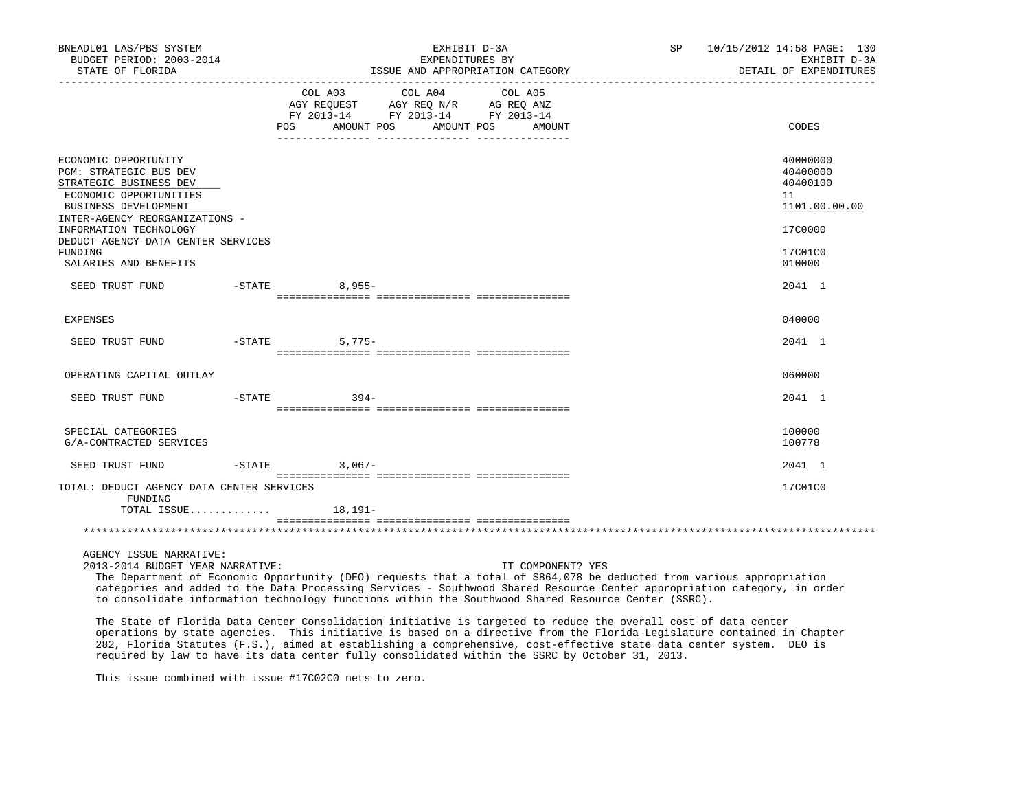| BNEADL01 LAS/PBS SYSTEM<br>BUDGET PERIOD: 2003-2014<br>STATE OF FLORIDA                                                                                                                                                                                                                                                                                                                                                                                               |                                                        |                       | EXHIBIT D-3A<br>EXPENDITURES BY | ISSUE AND APPROPRIATION CATEGORY | SP    | 10/15/2012 14:58 PAGE: 130<br>EXHIBIT D-3A<br>DETAIL OF EXPENDITURES          |
|-----------------------------------------------------------------------------------------------------------------------------------------------------------------------------------------------------------------------------------------------------------------------------------------------------------------------------------------------------------------------------------------------------------------------------------------------------------------------|--------------------------------------------------------|-----------------------|---------------------------------|----------------------------------|-------|-------------------------------------------------------------------------------|
|                                                                                                                                                                                                                                                                                                                                                                                                                                                                       | ____________________________________<br>COL A03<br>POS | COL A04<br>AMOUNT POS | COL A05<br>AMOUNT POS<br>AMOUNT |                                  | CODES |                                                                               |
| ECONOMIC OPPORTUNITY<br>PGM: STRATEGIC BUS DEV<br>STRATEGIC BUSINESS DEV<br>ECONOMIC OPPORTUNITIES<br>BUSINESS DEVELOPMENT<br>INTER-AGENCY REORGANIZATIONS -<br>INFORMATION TECHNOLOGY<br>DEDUCT AGENCY DATA CENTER SERVICES<br>FUNDING                                                                                                                                                                                                                               |                                                        |                       |                                 |                                  |       | 40000000<br>40400000<br>40400100<br>11<br>1101.00.00.00<br>17C0000<br>17C01C0 |
| SALARIES AND BENEFITS                                                                                                                                                                                                                                                                                                                                                                                                                                                 |                                                        |                       |                                 |                                  |       | 010000                                                                        |
| SEED TRUST FUND                                                                                                                                                                                                                                                                                                                                                                                                                                                       | -STATE                                                 | $8,955-$              |                                 |                                  |       | 2041 1                                                                        |
| <b>EXPENSES</b>                                                                                                                                                                                                                                                                                                                                                                                                                                                       |                                                        |                       |                                 |                                  |       | 040000                                                                        |
| SEED TRUST FUND                                                                                                                                                                                                                                                                                                                                                                                                                                                       |                                                        | $5,775-$<br>$-$ STATE |                                 |                                  |       | 2041 1                                                                        |
| OPERATING CAPITAL OUTLAY                                                                                                                                                                                                                                                                                                                                                                                                                                              |                                                        |                       |                                 |                                  |       | 060000                                                                        |
| SEED TRUST FUND                                                                                                                                                                                                                                                                                                                                                                                                                                                       | $-$ STATE                                              | $394 -$               |                                 |                                  |       | 2041 1                                                                        |
|                                                                                                                                                                                                                                                                                                                                                                                                                                                                       |                                                        |                       |                                 |                                  |       |                                                                               |
| SPECIAL CATEGORIES<br>G/A-CONTRACTED SERVICES                                                                                                                                                                                                                                                                                                                                                                                                                         |                                                        |                       |                                 |                                  |       | 100000<br>100778                                                              |
| SEED TRUST FUND                                                                                                                                                                                                                                                                                                                                                                                                                                                       |                                                        | $-STATE$<br>$3.067-$  |                                 |                                  |       | 2041 1                                                                        |
| TOTAL: DEDUCT AGENCY DATA CENTER SERVICES<br>FUNDING                                                                                                                                                                                                                                                                                                                                                                                                                  |                                                        |                       |                                 |                                  |       | 17C01C0                                                                       |
| TOTAL ISSUE $18,191-$                                                                                                                                                                                                                                                                                                                                                                                                                                                 |                                                        |                       |                                 |                                  |       |                                                                               |
|                                                                                                                                                                                                                                                                                                                                                                                                                                                                       |                                                        |                       |                                 |                                  |       |                                                                               |
| AGENCY ISSUE NARRATIVE:<br>2013-2014 BUDGET YEAR NARRATIVE:<br>The Department of Economic Opportunity (DEO) requests that a total of \$864,078 be deducted from various appropriation<br>categories and added to the Data Processing Services - Southwood Shared Resource Center appropriation category, in order<br>to consolidate information technology functions within the Southwood Shared Resource Center (SSRC).                                              |                                                        |                       |                                 | IT COMPONENT? YES                |       |                                                                               |
| The State of Florida Data Center Consolidation initiative is targeted to reduce the overall cost of data center<br>operations by state agencies. This initiative is based on a directive from the Florida Legislature contained in Chapter<br>282, Florida Statutes (F.S.), aimed at establishing a comprehensive, cost-effective state data center system. DEO is<br>required by law to have its data center fully consolidated within the SSRC by October 31, 2013. |                                                        |                       |                                 |                                  |       |                                                                               |

This issue combined with issue #17C02C0 nets to zero.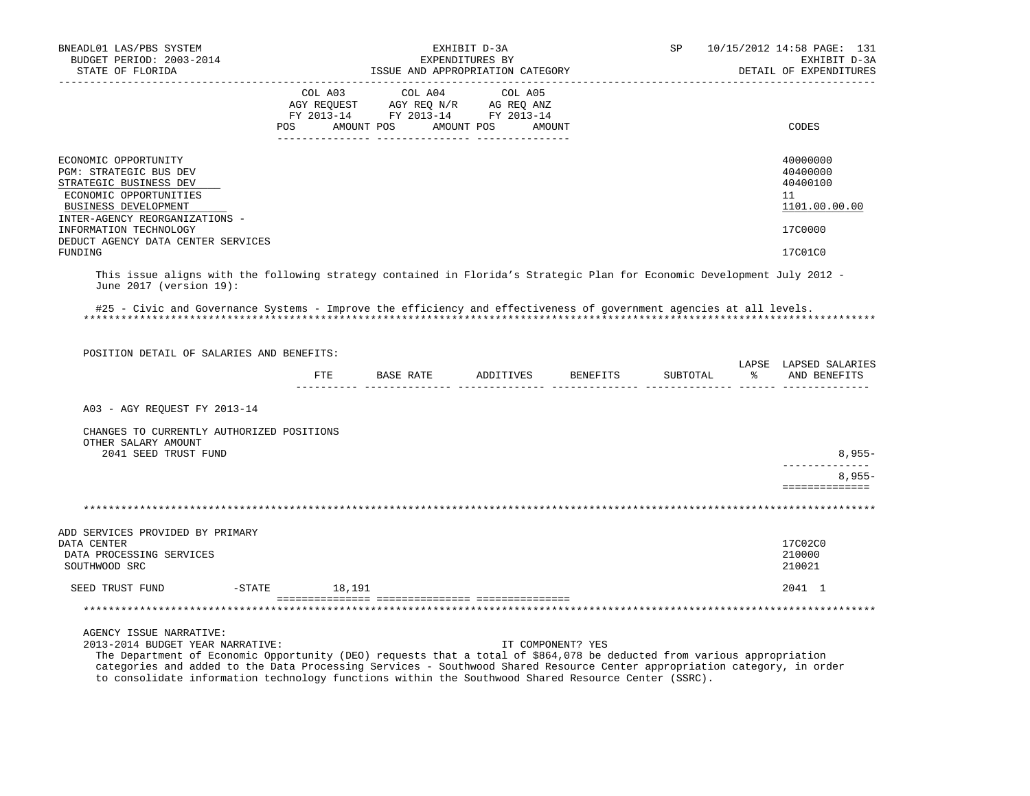| BNEADL01 LAS/PBS SYSTEM                                                                                                                                                                                                                                                                                                                                                                                                  |               |                                                                                                                       | EXHIBIT D-3A    |                                  | SP       | 10/15/2012 14:58 PAGE: 131                                         |
|--------------------------------------------------------------------------------------------------------------------------------------------------------------------------------------------------------------------------------------------------------------------------------------------------------------------------------------------------------------------------------------------------------------------------|---------------|-----------------------------------------------------------------------------------------------------------------------|-----------------|----------------------------------|----------|--------------------------------------------------------------------|
| BUDGET PERIOD: 2003-2014<br>STATE OF FLORIDA                                                                                                                                                                                                                                                                                                                                                                             |               |                                                                                                                       | EXPENDITURES BY | ISSUE AND APPROPRIATION CATEGORY |          | EXHIBIT D-3A<br>DETAIL OF EXPENDITURES                             |
|                                                                                                                                                                                                                                                                                                                                                                                                                          | COL A03       | COL A04<br>AGY REQUEST AGY REQ N/R AG REQ ANZ<br>FY 2013-14 FY 2013-14 FY 2013-14<br>POS AMOUNT POS AMOUNT POS AMOUNT | COL A05         |                                  |          | CODES                                                              |
| ECONOMIC OPPORTUNITY<br>PGM: STRATEGIC BUS DEV<br>STRATEGIC BUSINESS DEV<br>ECONOMIC OPPORTUNITIES<br>BUSINESS DEVELOPMENT<br>INTER-AGENCY REORGANIZATIONS -<br>INFORMATION TECHNOLOGY                                                                                                                                                                                                                                   |               |                                                                                                                       |                 |                                  |          | 40000000<br>40400000<br>40400100<br>11<br>1101.00.00.00<br>17C0000 |
| DEDUCT AGENCY DATA CENTER SERVICES<br>FUNDING                                                                                                                                                                                                                                                                                                                                                                            |               |                                                                                                                       |                 |                                  |          | 17C01C0                                                            |
| This issue aligns with the following strategy contained in Florida's Strategic Plan for Economic Development July 2012 -<br>June 2017 (version 19):                                                                                                                                                                                                                                                                      |               |                                                                                                                       |                 |                                  |          |                                                                    |
| #25 - Civic and Governance Systems - Improve the efficiency and effectiveness of government agencies at all levels.                                                                                                                                                                                                                                                                                                      |               |                                                                                                                       |                 |                                  |          |                                                                    |
| POSITION DETAIL OF SALARIES AND BENEFITS:                                                                                                                                                                                                                                                                                                                                                                                |               | FTE BASE RATE ADDITIVES BENEFITS                                                                                      |                 |                                  |          | LAPSE LAPSED SALARIES                                              |
|                                                                                                                                                                                                                                                                                                                                                                                                                          |               |                                                                                                                       |                 |                                  | SUBTOTAL | % AND BENEFITS                                                     |
| A03 - AGY REQUEST FY 2013-14                                                                                                                                                                                                                                                                                                                                                                                             |               |                                                                                                                       |                 |                                  |          |                                                                    |
| CHANGES TO CURRENTLY AUTHORIZED POSITIONS<br>OTHER SALARY AMOUNT<br>2041 SEED TRUST FUND                                                                                                                                                                                                                                                                                                                                 |               |                                                                                                                       |                 |                                  |          | $8,955-$                                                           |
|                                                                                                                                                                                                                                                                                                                                                                                                                          |               |                                                                                                                       |                 |                                  |          | $8,955-$                                                           |
|                                                                                                                                                                                                                                                                                                                                                                                                                          |               |                                                                                                                       |                 |                                  |          | ==============                                                     |
|                                                                                                                                                                                                                                                                                                                                                                                                                          |               |                                                                                                                       |                 |                                  |          |                                                                    |
| ADD SERVICES PROVIDED BY PRIMARY<br>DATA CENTER<br>DATA PROCESSING SERVICES<br>SOUTHWOOD SRC                                                                                                                                                                                                                                                                                                                             |               |                                                                                                                       |                 |                                  |          | 17C02C0<br>210000<br>210021                                        |
| SEED TRUST FUND                                                                                                                                                                                                                                                                                                                                                                                                          | -STATE 18,191 |                                                                                                                       |                 |                                  |          | 2041 1                                                             |
|                                                                                                                                                                                                                                                                                                                                                                                                                          |               |                                                                                                                       |                 |                                  |          |                                                                    |
| AGENCY ISSUE NARRATIVE:<br>2013-2014 BUDGET YEAR NARRATIVE:<br>The Department of Economic Opportunity (DEO) requests that a total of \$864,078 be deducted from various appropriation<br>categories and added to the Data Processing Services - Southwood Shared Resource Center appropriation category, in order<br>to consolidate information technology functions within the Southwood Shared Resource Center (SSRC). |               |                                                                                                                       |                 | IT COMPONENT? YES                |          |                                                                    |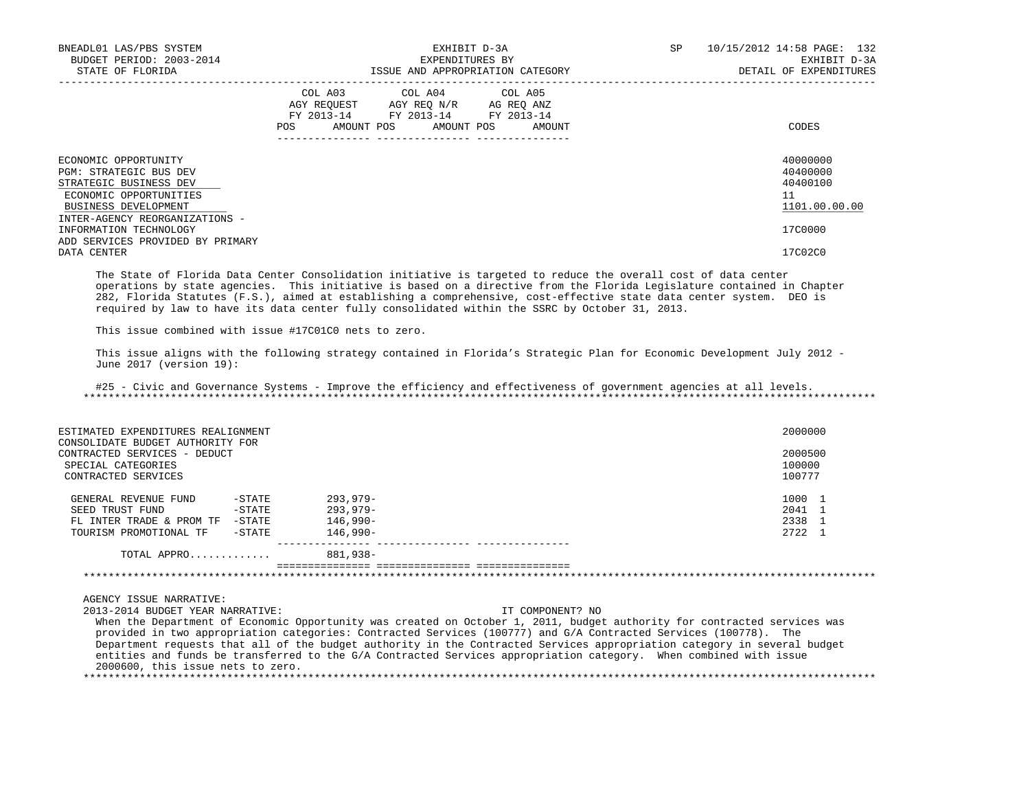| BNEADL01 LAS/PBS SYSTEM<br>BUDGET PERIOD: 2003-2014<br>STATE OF FLORIDA                                                           |                                                                                                                                                                                                                     | EXHIBIT D-3A<br>EXPENDITURES BY<br>ISSUE AND APPROPRIATION CATEGORY | SP. | 10/15/2012 14:58 PAGE: 132<br>EXHIBIT D-3A<br>DETAIL OF EXPENDITURES |
|-----------------------------------------------------------------------------------------------------------------------------------|---------------------------------------------------------------------------------------------------------------------------------------------------------------------------------------------------------------------|---------------------------------------------------------------------|-----|----------------------------------------------------------------------|
|                                                                                                                                   | COL A03 COL A04 COL A05<br>AGY REOUEST AGY REO N/R AG REO ANZ<br>FY 2013-14 FY 2013-14 FY 2013-14<br>POS FOR THE POST OF THE STATE STATE STATE STATE STATE STATE STATE STATE STATE STATE STATE STATE STATE STATE ST | AMOUNT POS AMOUNT POS AMOUNT                                        |     | CODES                                                                |
| ECONOMIC OPPORTUNITY<br><b>PGM: STRATEGIC BUS DEV</b><br>STRATEGIC BUSINESS DEV<br>ECONOMIC OPPORTUNITIES<br>BUSINESS DEVELOPMENT |                                                                                                                                                                                                                     |                                                                     |     | 40000000<br>40400000<br>40400100<br>11<br>1101.00.00.00              |
| INTER-AGENCY REORGANIZATIONS -<br>INFORMATION TECHNOLOGY<br>ADD SERVICES PROVIDED BY PRIMARY<br>DATA CENTER                       |                                                                                                                                                                                                                     |                                                                     |     | 17C0000<br>17C02C0                                                   |

 The State of Florida Data Center Consolidation initiative is targeted to reduce the overall cost of data center operations by state agencies. This initiative is based on a directive from the Florida Legislature contained in Chapter 282, Florida Statutes (F.S.), aimed at establishing a comprehensive, cost-effective state data center system. DEO is required by law to have its data center fully consolidated within the SSRC by October 31, 2013.

This issue combined with issue #17C01C0 nets to zero.

 This issue aligns with the following strategy contained in Florida's Strategic Plan for Economic Development July 2012 - June 2017 (version 19):

 #25 - Civic and Governance Systems - Improve the efficiency and effectiveness of government agencies at all levels. \*\*\*\*\*\*\*\*\*\*\*\*\*\*\*\*\*\*\*\*\*\*\*\*\*\*\*\*\*\*\*\*\*\*\*\*\*\*\*\*\*\*\*\*\*\*\*\*\*\*\*\*\*\*\*\*\*\*\*\*\*\*\*\*\*\*\*\*\*\*\*\*\*\*\*\*\*\*\*\*\*\*\*\*\*\*\*\*\*\*\*\*\*\*\*\*\*\*\*\*\*\*\*\*\*\*\*\*\*\*\*\*\*\*\*\*\*\*\*\*\*\*\*\*\*\*\*

| ESTIMATED EXPENDITURES REALIGNMENT                                                                            |        |             | 2000000                     |
|---------------------------------------------------------------------------------------------------------------|--------|-------------|-----------------------------|
| CONSOLIDATE BUDGET AUTHORITY FOR<br>CONTRACTED SERVICES - DEDUCT<br>SPECIAL CATEGORIES<br>CONTRACTED SERVICES |        |             | 2000500<br>100000<br>100777 |
| GENERAL REVENUE FUND                                                                                          | -STATE | $293.979 -$ | 1000 1                      |
| SEED TRUST FUND                                                                                               | -STATE | $293.979 -$ | 2041 1                      |
| FL INTER TRADE & PROM TF                                                                                      | -STATE | 146,990-    | 2338                        |
| TOURISM PROMOTIONAL TF                                                                                        | -STATE | 146,990-    | 2722 1                      |
| TOTAL APPRO                                                                                                   |        | 881,938-    |                             |
|                                                                                                               |        |             |                             |

AGENCY ISSUE NARRATIVE:

 2013-2014 BUDGET YEAR NARRATIVE: IT COMPONENT? NO When the Department of Economic Opportunity was created on October 1, 2011, budget authority for contracted services was provided in two appropriation categories: Contracted Services (100777) and G/A Contracted Services (100778). The Department requests that all of the budget authority in the Contracted Services appropriation category in several budget entities and funds be transferred to the G/A Contracted Services appropriation category. When combined with issue 2000600, this issue nets to zero. \*\*\*\*\*\*\*\*\*\*\*\*\*\*\*\*\*\*\*\*\*\*\*\*\*\*\*\*\*\*\*\*\*\*\*\*\*\*\*\*\*\*\*\*\*\*\*\*\*\*\*\*\*\*\*\*\*\*\*\*\*\*\*\*\*\*\*\*\*\*\*\*\*\*\*\*\*\*\*\*\*\*\*\*\*\*\*\*\*\*\*\*\*\*\*\*\*\*\*\*\*\*\*\*\*\*\*\*\*\*\*\*\*\*\*\*\*\*\*\*\*\*\*\*\*\*\*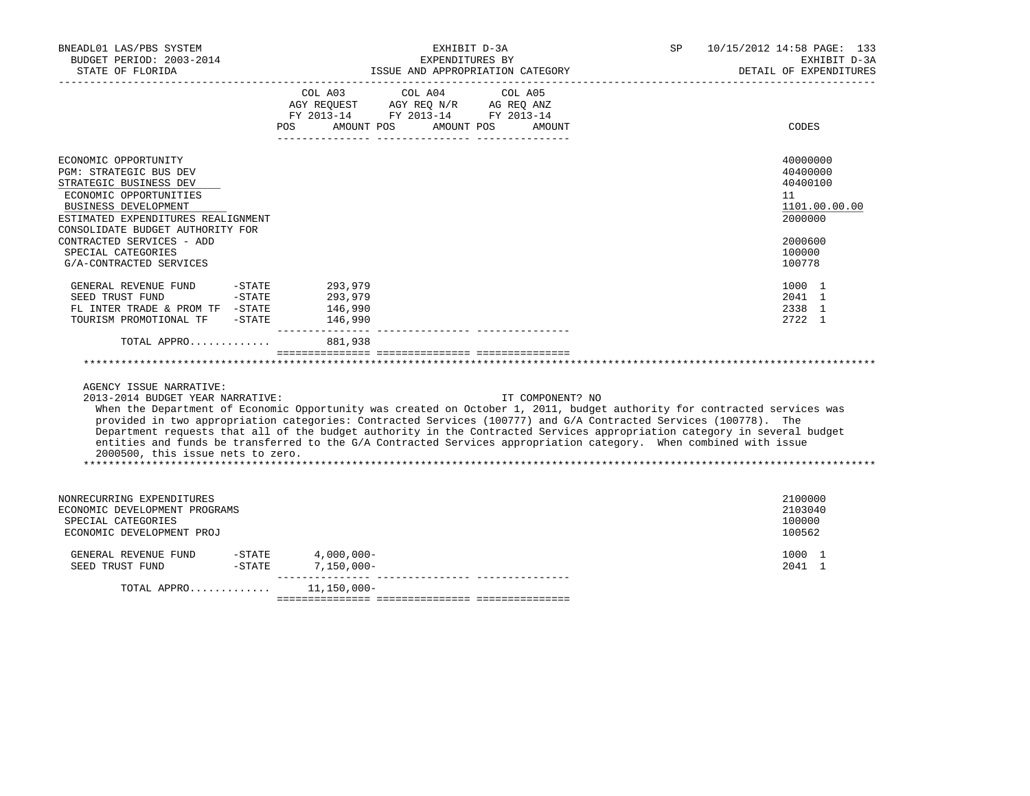| BNEADL01 LAS/PBS SYSTEM<br>BUDGET PERIOD: 2003-2014<br>STATE OF FLORIDA                                                                                                 | EXHIBIT D-3A<br>EXPENDITURES BY<br>ISSUE AND APPROPRIATION CATEGORY |                                                                                                                                                                                                                                                                                                                                                                                                                                                                                                                   | 10/15/2012 14:58 PAGE: 133<br>SP<br>EXHIBIT D-3A<br>DETAIL OF EXPENDITURES |
|-------------------------------------------------------------------------------------------------------------------------------------------------------------------------|---------------------------------------------------------------------|-------------------------------------------------------------------------------------------------------------------------------------------------------------------------------------------------------------------------------------------------------------------------------------------------------------------------------------------------------------------------------------------------------------------------------------------------------------------------------------------------------------------|----------------------------------------------------------------------------|
|                                                                                                                                                                         | POS                                                                 | COL A03 COL A04 COL A05<br>AGY REQUEST AGY REQ N/R AG REQ ANZ<br>FY 2013-14 FY 2013-14 FY 2013-14<br>AMOUNT POS AMOUNT POS<br>AMOUNT                                                                                                                                                                                                                                                                                                                                                                              | CODES                                                                      |
| ECONOMIC OPPORTUNITY<br>PGM: STRATEGIC BUS DEV<br>STRATEGIC BUSINESS DEV<br>ECONOMIC OPPORTUNITIES<br><b>BUSINESS DEVELOPMENT</b><br>ESTIMATED EXPENDITURES REALIGNMENT |                                                                     |                                                                                                                                                                                                                                                                                                                                                                                                                                                                                                                   | 40000000<br>40400000<br>40400100<br>11<br>1101.00.00.00<br>2000000         |
| CONSOLIDATE BUDGET AUTHORITY FOR<br>CONTRACTED SERVICES - ADD<br>SPECIAL CATEGORIES<br>G/A-CONTRACTED SERVICES                                                          |                                                                     |                                                                                                                                                                                                                                                                                                                                                                                                                                                                                                                   | 2000600<br>100000<br>100778                                                |
| GENERAL REVENUE FUND<br>SEED TRUST FUND<br>FL INTER TRADE & PROM TF -STATE<br>TOURISM PROMOTIONAL TF -STATE                                                             | 293,979<br>293,979<br>146,990<br>146,990                            |                                                                                                                                                                                                                                                                                                                                                                                                                                                                                                                   | 1000 1<br>2041 1<br>2338 1<br>2722 1                                       |
| TOTAL APPRO                                                                                                                                                             | 881,938                                                             |                                                                                                                                                                                                                                                                                                                                                                                                                                                                                                                   |                                                                            |
|                                                                                                                                                                         |                                                                     |                                                                                                                                                                                                                                                                                                                                                                                                                                                                                                                   |                                                                            |
| AGENCY ISSUE NARRATIVE:<br>2013-2014 BUDGET YEAR NARRATIVE:<br>2000500, this issue nets to zero.                                                                        |                                                                     | IT COMPONENT? NO<br>When the Department of Economic Opportunity was created on October 1, 2011, budget authority for contracted services was<br>provided in two appropriation categories: Contracted Services (100777) and G/A Contracted Services (100778). The<br>Department requests that all of the budget authority in the Contracted Services appropriation category in several budget<br>entities and funds be transferred to the G/A Contracted Services appropriation category. When combined with issue |                                                                            |
| NONRECURRING EXPENDITURES<br>ECONOMIC DEVELOPMENT PROGRAMS<br>SPECIAL CATEGORIES<br>ECONOMIC DEVELOPMENT PROJ                                                           |                                                                     |                                                                                                                                                                                                                                                                                                                                                                                                                                                                                                                   | 2100000<br>2103040<br>100000<br>100562                                     |
|                                                                                                                                                                         |                                                                     |                                                                                                                                                                                                                                                                                                                                                                                                                                                                                                                   | 1000 1<br>2041 1                                                           |
| TOTAL APPRO                                                                                                                                                             | 11,150,000-                                                         |                                                                                                                                                                                                                                                                                                                                                                                                                                                                                                                   |                                                                            |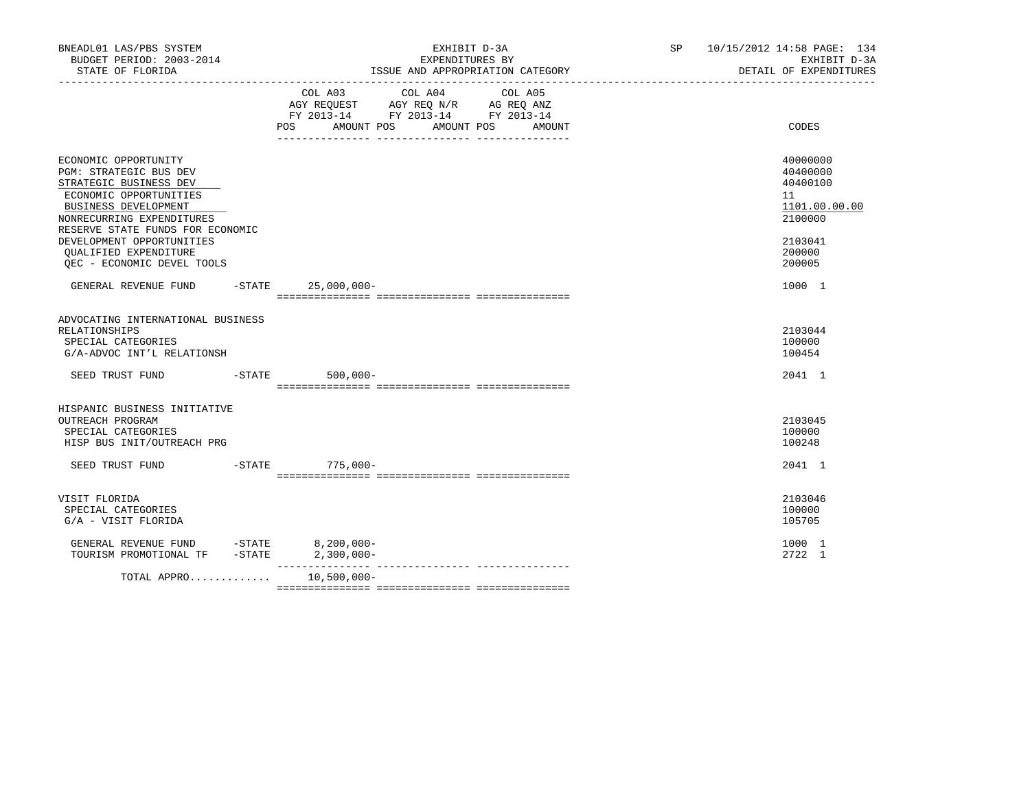| BNEADL01 LAS/PBS SYSTEM<br>BUDGET PERIOD: 2003-2014<br>STATE OF FLORIDA                                                                                                                                                                                            |                                 | EXHIBIT D-3A<br>EXPENDITURES BY<br>ISSUE AND APPROPRIATION CATEGORY<br>_________________________________                     | SP <sub>2</sub> | 10/15/2012 14:58 PAGE: 134<br>EXHIBIT D-3A<br>DETAIL OF EXPENDITURES          |
|--------------------------------------------------------------------------------------------------------------------------------------------------------------------------------------------------------------------------------------------------------------------|---------------------------------|------------------------------------------------------------------------------------------------------------------------------|-----------------|-------------------------------------------------------------------------------|
|                                                                                                                                                                                                                                                                    | POS AMOUNT POS                  | COL A03 COL A04<br>COL A05<br>AGY REQUEST AGY REQ N/R AG REQ ANZ<br>FY 2013-14 FY 2013-14 FY 2013-14<br>AMOUNT POS<br>AMOUNT |                 | CODES                                                                         |
| ECONOMIC OPPORTUNITY<br>PGM: STRATEGIC BUS DEV<br>STRATEGIC BUSINESS DEV<br>ECONOMIC OPPORTUNITIES<br><b>BUSINESS DEVELOPMENT</b><br>NONRECURRING EXPENDITURES<br>RESERVE STATE FUNDS FOR ECONOMIC<br>DEVELOPMENT OPPORTUNITIES                                    |                                 |                                                                                                                              |                 | 40000000<br>40400000<br>40400100<br>11<br>1101.00.00.00<br>2100000<br>2103041 |
| QUALIFIED EXPENDITURE<br>OEC - ECONOMIC DEVEL TOOLS                                                                                                                                                                                                                |                                 |                                                                                                                              |                 | 200000<br>200005                                                              |
| GENERAL REVENUE FUND                                                                                                                                                                                                                                               | $-STATE$ 25,000,000-            |                                                                                                                              |                 | 1000 1                                                                        |
| ADVOCATING INTERNATIONAL BUSINESS<br>RELATIONSHIPS<br>SPECIAL CATEGORIES<br>G/A-ADVOC INT'L RELATIONSH                                                                                                                                                             |                                 |                                                                                                                              |                 | 2103044<br>100000<br>100454                                                   |
| SEED TRUST FUND                                                                                                                                                                                                                                                    | $-STATE$ 500,000-               |                                                                                                                              |                 | 2041 1                                                                        |
| HISPANIC BUSINESS INITIATIVE<br>OUTREACH PROGRAM<br>SPECIAL CATEGORIES<br>HISP BUS INIT/OUTREACH PRG<br>SEED TRUST FUND                                                                                                                                            | $-STATE$ 775,000-               |                                                                                                                              |                 | 2103045<br>100000<br>100248<br>2041 1                                         |
| VISIT FLORIDA<br>SPECIAL CATEGORIES<br>G/A - VISIT FLORIDA                                                                                                                                                                                                         |                                 |                                                                                                                              |                 | 2103046<br>100000<br>105705                                                   |
| $\begin{tabular}{llllll} \multicolumn{2}{c}{\textbf{GENERAL}} & \textbf{REVENUE} & \textbf{FUND} & & -\textbf{STATE} & & 8,200,000--\\ \multicolumn{2}{c}{\textbf{TOURISM} & \textbf{PROMOTIONAL} & \textbf{TF} & -\textbf{STATE} & & 2,300,000--\\ \end{tabular}$ |                                 |                                                                                                                              |                 | 1000 1<br>2722 1                                                              |
| TOTAL APPRO                                                                                                                                                                                                                                                        | ________________<br>10,500,000- |                                                                                                                              |                 |                                                                               |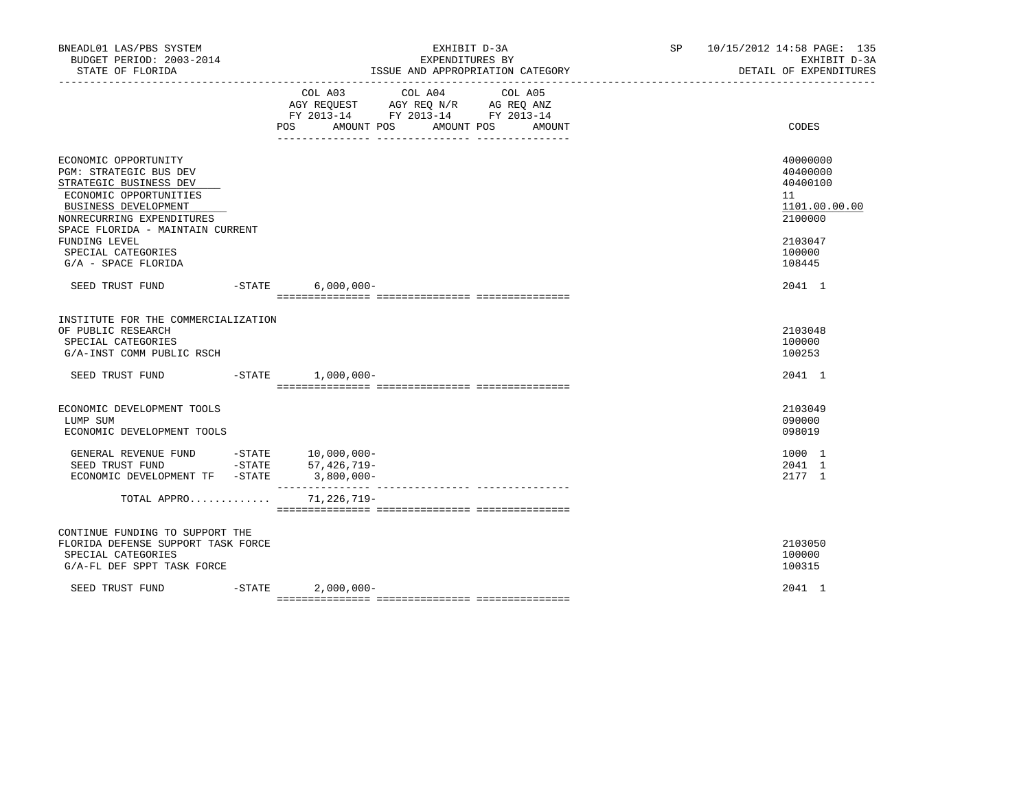| BNEADL01 LAS/PBS SYSTEM<br>BUDGET PERIOD: 2003-2014<br>STATE OF FLORIDA                                                                                                                     |                                                                                                                                                   | EXHIBIT D-3A<br>EXPENDITURES BY<br>ISSUE AND APPROPRIATION CATEGORY<br>---------------------------------- | SP 10/15/2012 14:58 PAGE: 135 | EXHIBIT D-3A<br>DETAIL OF EXPENDITURES                             |
|---------------------------------------------------------------------------------------------------------------------------------------------------------------------------------------------|---------------------------------------------------------------------------------------------------------------------------------------------------|-----------------------------------------------------------------------------------------------------------|-------------------------------|--------------------------------------------------------------------|
|                                                                                                                                                                                             | COL A03 COL A04<br>COL A05<br>AGY REQUEST AGY REQ N/R AG REQ ANZ<br>FY 2013-14 FY 2013-14 FY 2013-14<br>AMOUNT POS<br>AMOUNT POS<br>POS<br>AMOUNT |                                                                                                           | CODES                         |                                                                    |
| ECONOMIC OPPORTUNITY<br>PGM: STRATEGIC BUS DEV<br>STRATEGIC BUSINESS DEV<br>ECONOMIC OPPORTUNITIES<br>BUSINESS DEVELOPMENT<br>NONRECURRING EXPENDITURES<br>SPACE FLORIDA - MAINTAIN CURRENT |                                                                                                                                                   |                                                                                                           |                               | 40000000<br>40400000<br>40400100<br>11<br>1101.00.00.00<br>2100000 |
| FUNDING LEVEL<br>SPECIAL CATEGORIES<br>G/A - SPACE FLORIDA                                                                                                                                  |                                                                                                                                                   |                                                                                                           |                               | 2103047<br>100000<br>108445                                        |
| SEED TRUST FUND -STATE 6,000,000-                                                                                                                                                           |                                                                                                                                                   |                                                                                                           |                               | 2041 1                                                             |
| INSTITUTE FOR THE COMMERCIALIZATION<br>OF PUBLIC RESEARCH<br>SPECIAL CATEGORIES<br>G/A-INST COMM PUBLIC RSCH<br>SEED TRUST FUND -STATE 1,000,000-                                           |                                                                                                                                                   |                                                                                                           |                               | 2103048<br>100000<br>100253<br>2041 1                              |
| ECONOMIC DEVELOPMENT TOOLS<br>LUMP SUM<br>ECONOMIC DEVELOPMENT TOOLS                                                                                                                        |                                                                                                                                                   |                                                                                                           |                               | 2103049<br>090000<br>098019                                        |
| GENERAL REVENUE FUND -STATE 10,000,000-<br>SEED TRUST FUND<br>ECONOMIC DEVELOPMENT TF -STATE 3,800,000-                                                                                     |                                                                                                                                                   | $-STATE$ 57, 426, 719-<br>_______________                                                                 |                               | 1000 1<br>2041 1<br>2177 1                                         |
| TOTAL APPRO                                                                                                                                                                                 |                                                                                                                                                   | 71,226,719-                                                                                               |                               |                                                                    |
| CONTINUE FUNDING TO SUPPORT THE<br>FLORIDA DEFENSE SUPPORT TASK FORCE<br>SPECIAL CATEGORIES<br>G/A-FL DEF SPPT TASK FORCE                                                                   |                                                                                                                                                   |                                                                                                           |                               | 2103050<br>100000<br>100315                                        |
| SEED TRUST FUND                                                                                                                                                                             |                                                                                                                                                   | $-STATE$ 2,000,000-                                                                                       |                               | 2041 1                                                             |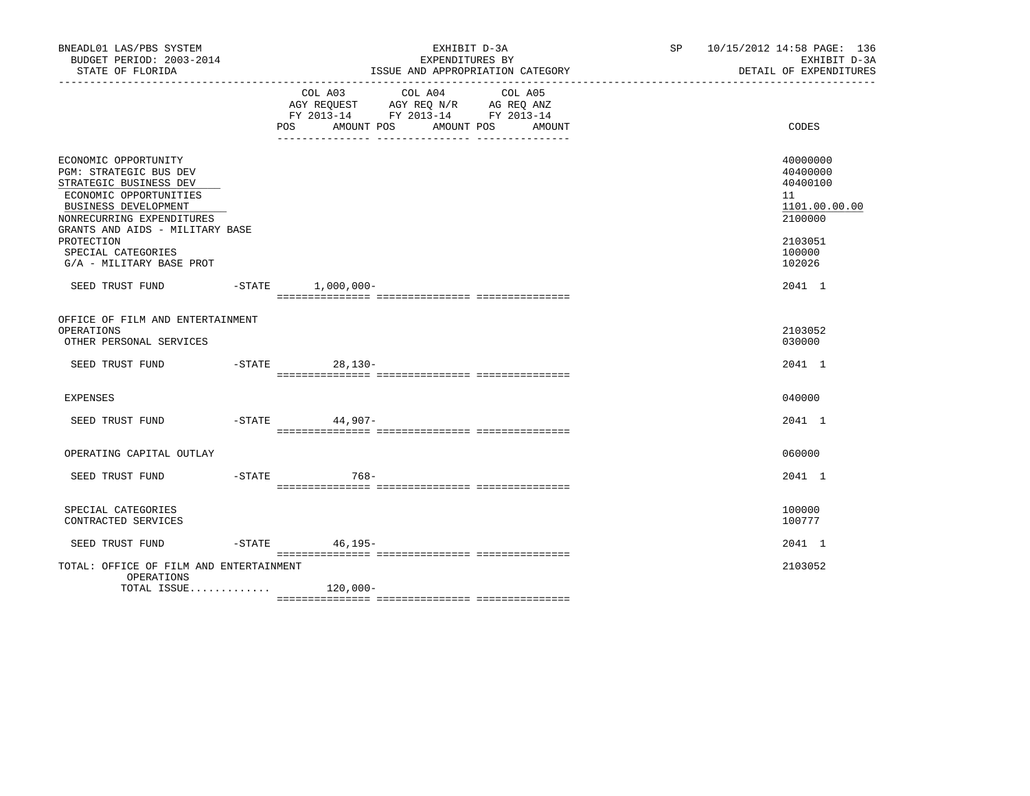| BNEADL01 LAS/PBS SYSTEM<br>BUDGET PERIOD: 2003-2014<br>STATE OF FLORIDA                                                                                                                    |                                                                 | EXHIBIT D-3A<br>EXPENDITURES BY<br>ISSUE AND APPROPRIATION CATEGORY<br>___________________________________ | SP 10/15/2012 14:58 PAGE: 136<br>EXHIBIT D-3A<br>DETAIL OF EXPENDITURES |       |                                                                    |
|--------------------------------------------------------------------------------------------------------------------------------------------------------------------------------------------|-----------------------------------------------------------------|------------------------------------------------------------------------------------------------------------|-------------------------------------------------------------------------|-------|--------------------------------------------------------------------|
|                                                                                                                                                                                            | COL A03<br>AMOUNT POS<br>POS<br>________________ ______________ | COL A04<br>AGY REQUEST AGY REQ N/R AG REQ ANZ<br>FY 2013-14 FY 2013-14 FY 2013-14                          | COL A05<br>AMOUNT POS<br>AMOUNT<br>-- ----------------                  | CODES |                                                                    |
| ECONOMIC OPPORTUNITY<br>PGM: STRATEGIC BUS DEV<br>STRATEGIC BUSINESS DEV<br>ECONOMIC OPPORTUNITIES<br>BUSINESS DEVELOPMENT<br>NONRECURRING EXPENDITURES<br>GRANTS AND AIDS - MILITARY BASE |                                                                 |                                                                                                            |                                                                         |       | 40000000<br>40400000<br>40400100<br>11<br>1101.00.00.00<br>2100000 |
| PROTECTION<br>SPECIAL CATEGORIES<br>G/A - MILITARY BASE PROT                                                                                                                               |                                                                 |                                                                                                            |                                                                         |       | 2103051<br>100000<br>102026                                        |
| SEED TRUST FUND -STATE 1,000,000-                                                                                                                                                          |                                                                 |                                                                                                            |                                                                         |       | 2041 1                                                             |
| OFFICE OF FILM AND ENTERTAINMENT<br>OPERATIONS<br>OTHER PERSONAL SERVICES                                                                                                                  |                                                                 |                                                                                                            |                                                                         |       | 2103052<br>030000                                                  |
| SEED TRUST FUND                                                                                                                                                                            |                                                                 | -STATE 28,130-                                                                                             |                                                                         |       | 2041 1                                                             |
| <b>EXPENSES</b>                                                                                                                                                                            |                                                                 |                                                                                                            |                                                                         |       | 040000                                                             |
| SEED TRUST FUND                                                                                                                                                                            |                                                                 | -STATE 44,907-                                                                                             |                                                                         |       | 2041 1                                                             |
| OPERATING CAPITAL OUTLAY                                                                                                                                                                   |                                                                 |                                                                                                            |                                                                         |       | 060000                                                             |
| SEED TRUST FUND                                                                                                                                                                            | -STATE                                                          | 768-                                                                                                       |                                                                         |       | 2041 1                                                             |
| SPECIAL CATEGORIES<br>CONTRACTED SERVICES                                                                                                                                                  |                                                                 |                                                                                                            |                                                                         |       | 100000<br>100777                                                   |
| SEED TRUST FUND                                                                                                                                                                            |                                                                 | -STATE 46,195-                                                                                             |                                                                         |       | 2041 1                                                             |
| TOTAL: OFFICE OF FILM AND ENTERTAINMENT<br>OPERATIONS                                                                                                                                      |                                                                 |                                                                                                            |                                                                         |       | 2103052                                                            |
| TOTAL ISSUE $120,000-$                                                                                                                                                                     |                                                                 |                                                                                                            |                                                                         |       |                                                                    |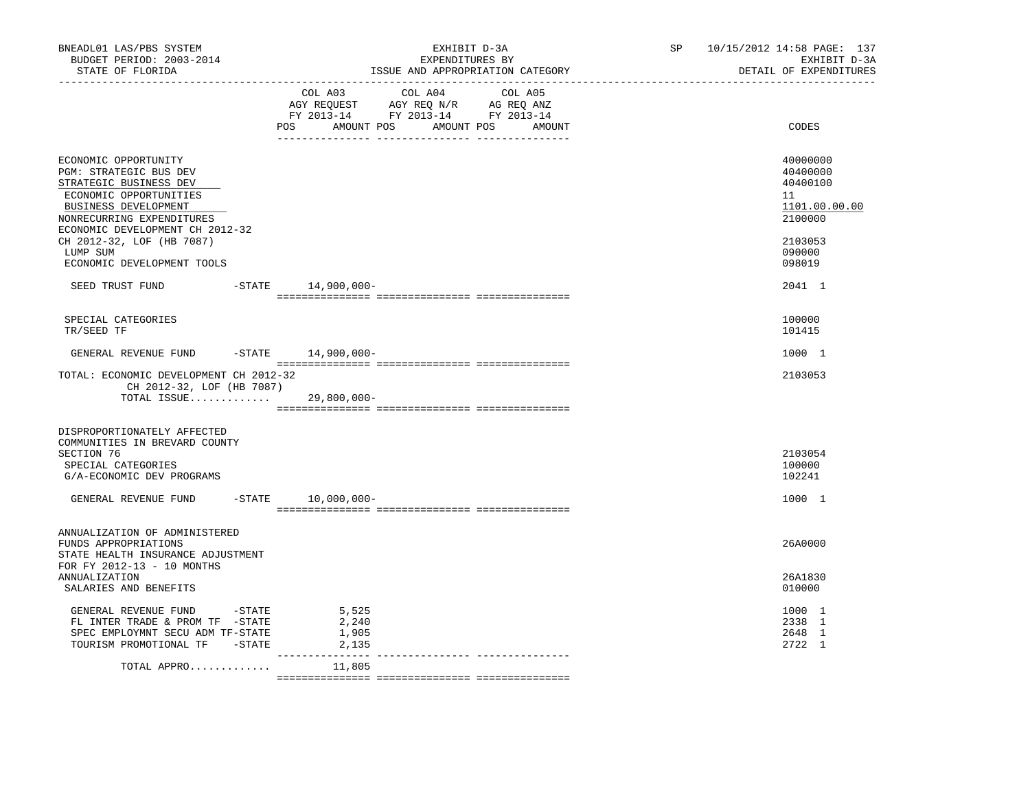| BNEADL01 LAS/PBS SYSTEM<br>BUDGET PERIOD: 2003-2014<br>STATE OF FLORIDA                                                                                                                                                                                           | EXHIBIT D-3A<br>EXPENDITURES BY<br>ISSUE AND APPROPRIATION CATEGORY                                                                   | 10/15/2012 14:58 PAGE: 137<br>SP<br>EXHIBIT D-3A<br>DETAIL OF EXPENDITURES                        |
|-------------------------------------------------------------------------------------------------------------------------------------------------------------------------------------------------------------------------------------------------------------------|---------------------------------------------------------------------------------------------------------------------------------------|---------------------------------------------------------------------------------------------------|
|                                                                                                                                                                                                                                                                   | COL A03 COL A04 COL A05<br>AGY REQUEST AGY REQ N/R AG REQ ANZ<br>FY 2013-14 FY 2013-14 FY 2013-14<br>POS AMOUNT POS AMOUNT POS AMOUNT | CODES                                                                                             |
| ECONOMIC OPPORTUNITY<br>PGM: STRATEGIC BUS DEV<br>STRATEGIC BUSINESS DEV<br>ECONOMIC OPPORTUNITIES<br>BUSINESS DEVELOPMENT<br>NONRECURRING EXPENDITURES<br>ECONOMIC DEVELOPMENT CH 2012-32<br>CH 2012-32, LOF (HB 7087)<br>LUMP SUM<br>ECONOMIC DEVELOPMENT TOOLS |                                                                                                                                       | 40000000<br>40400000<br>40400100<br>11<br>1101.00.00.00<br>2100000<br>2103053<br>090000<br>098019 |
| SEED TRUST FUND -STATE 14,900,000-                                                                                                                                                                                                                                |                                                                                                                                       | 2041 1                                                                                            |
| SPECIAL CATEGORIES<br>TR/SEED TF                                                                                                                                                                                                                                  |                                                                                                                                       | 100000<br>101415                                                                                  |
| GENERAL REVENUE FUND -STATE 14,900,000-                                                                                                                                                                                                                           |                                                                                                                                       | 1000 1                                                                                            |
| TOTAL: ECONOMIC DEVELOPMENT CH 2012-32<br>CH 2012-32, LOF (HB 7087)<br>TOTAL ISSUE 29,800,000-                                                                                                                                                                    |                                                                                                                                       | 2103053                                                                                           |
| DISPROPORTIONATELY AFFECTED<br>COMMUNITIES IN BREVARD COUNTY<br>SECTION 76<br>SPECIAL CATEGORIES<br>G/A-ECONOMIC DEV PROGRAMS                                                                                                                                     |                                                                                                                                       | 2103054<br>100000<br>102241                                                                       |
| GENERAL REVENUE FUND                                                                                                                                                                                                                                              | $-$ STATE $10,000,000-$                                                                                                               | 1000 1                                                                                            |
| ANNUALIZATION OF ADMINISTERED<br>FUNDS APPROPRIATIONS<br>STATE HEALTH INSURANCE ADJUSTMENT<br>FOR FY 2012-13 - 10 MONTHS<br>ANNUALIZATION<br>SALARIES AND BENEFITS                                                                                                |                                                                                                                                       | 26A0000<br>26A1830<br>010000                                                                      |
| GENERAL REVENUE FUND -STATE<br>FL INTER TRADE & PROM TF -STATE<br>SPEC EMPLOYMNT SECU ADM TF-STATE<br>TOURISM PROMOTIONAL TF -STATE                                                                                                                               | 5,525<br>2,240<br>1,905<br>2,135                                                                                                      | 1000 1<br>2338 1<br>2648 1<br>2722 1                                                              |
| TOTAL APPRO                                                                                                                                                                                                                                                       | ---------------<br>11,805                                                                                                             |                                                                                                   |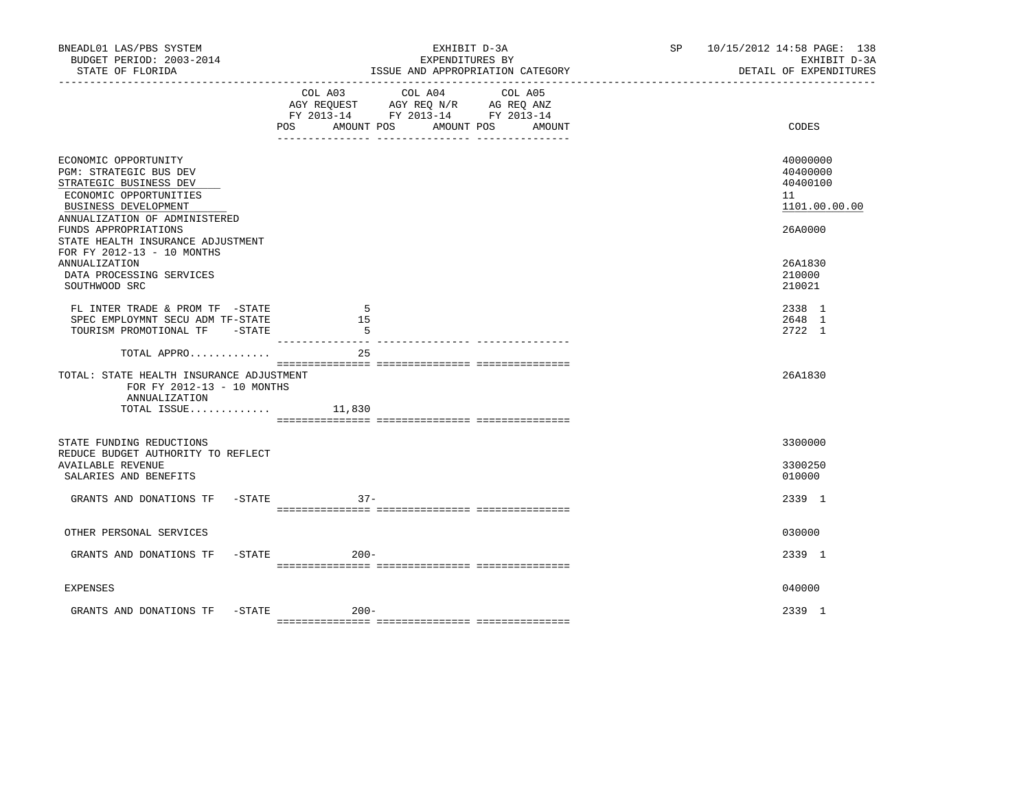| BNEADL01 LAS/PBS SYSTEM<br>BUDGET PERIOD: 2003-2014<br>STATE OF FLORIDA                                                                                      | EXHIBIT D-3A<br>EXPENDITURES BY<br>ISSUE AND APPROPRIATION CATEGORY                                                                            | SP 10/15/2012 14:58 PAGE: 138<br>DETAIL OF EXPENDITURES | EXHIBIT D-3A |  |
|--------------------------------------------------------------------------------------------------------------------------------------------------------------|------------------------------------------------------------------------------------------------------------------------------------------------|---------------------------------------------------------|--------------|--|
|                                                                                                                                                              | COL A03 COL A04 COL A05<br>AGY REQUEST AGY REQ N/R AG REQ ANZ<br>FY 2013-14 FY 2013-14 FY 2013-14<br>AMOUNT POS<br>AMOUNT POS<br>POS<br>AMOUNT | CODES                                                   |              |  |
| ECONOMIC OPPORTUNITY<br>PGM: STRATEGIC BUS DEV<br>STRATEGIC BUSINESS DEV<br>ECONOMIC OPPORTUNITIES<br>BUSINESS DEVELOPMENT<br>ANNUALIZATION OF ADMINISTERED  |                                                                                                                                                | 40000000<br>40400000<br>40400100<br>11<br>1101.00.00.00 |              |  |
| FUNDS APPROPRIATIONS<br>STATE HEALTH INSURANCE ADJUSTMENT<br>FOR FY 2012-13 - 10 MONTHS<br><b>ANNUALIZATION</b><br>DATA PROCESSING SERVICES<br>SOUTHWOOD SRC |                                                                                                                                                | 26A0000<br>26A1830<br>210000<br>210021                  |              |  |
| FL INTER TRADE & PROM TF -STATE<br>SPEC EMPLOYMNT SECU ADM TF-STATE<br>TOURISM PROMOTIONAL TF -STATE                                                         | -5<br>15<br>- 5                                                                                                                                | 2338 1<br>2648 1<br>2722 1                              |              |  |
| TOTAL APPRO<br>TOTAL: STATE HEALTH INSURANCE ADJUSTMENT<br>FOR FY 2012-13 - 10 MONTHS<br>ANNUALIZATION<br>TOTAL ISSUE                                        | -------  ----------------  ----------<br>25<br>11,830                                                                                          | 26A1830                                                 |              |  |
| STATE FUNDING REDUCTIONS<br>REDUCE BUDGET AUTHORITY TO REFLECT<br><b>AVAILABLE REVENUE</b><br>SALARIES AND BENEFITS                                          |                                                                                                                                                | 3300000<br>3300250<br>010000                            |              |  |
| GRANTS AND DONATIONS TF -STATE                                                                                                                               | $37 -$                                                                                                                                         | 2339 1                                                  |              |  |
| OTHER PERSONAL SERVICES<br>GRANTS AND DONATIONS TF -STATE                                                                                                    | $200 -$                                                                                                                                        | 030000<br>2339 1                                        |              |  |
| <b>EXPENSES</b>                                                                                                                                              |                                                                                                                                                | 040000                                                  |              |  |
| GRANTS AND DONATIONS TF -STATE 600-                                                                                                                          |                                                                                                                                                | 2339 1                                                  |              |  |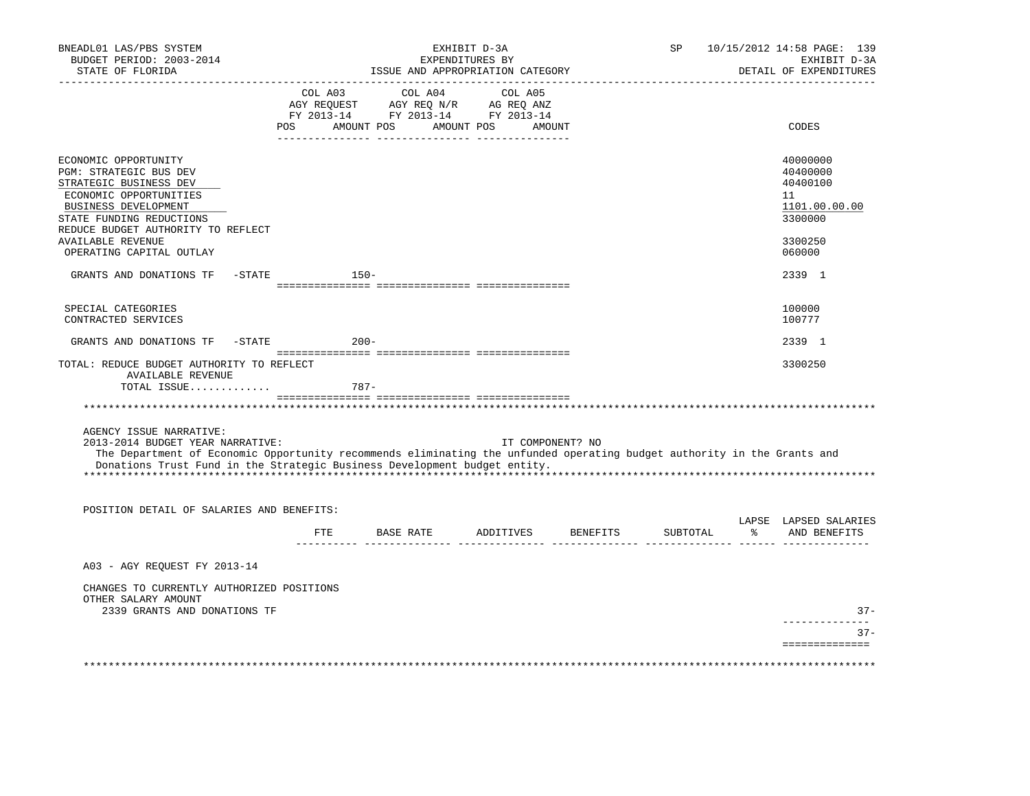| BNEADL01 LAS/PBS SYSTEM<br>BUDGET PERIOD: 2003-2014<br>STATE OF FLORIDA                                                                                                                                                                                             | EXHIBIT D-3A<br>EXPENDITURES BY<br>ISSUE AND APPROPRIATION CATEGORY |                                                                                                                                                                                     |           |                  | SP       |   | 10/15/2012 14:58 PAGE: 139<br>EXHIBIT D-3A<br>DETAIL OF EXPENDITURES |
|---------------------------------------------------------------------------------------------------------------------------------------------------------------------------------------------------------------------------------------------------------------------|---------------------------------------------------------------------|-------------------------------------------------------------------------------------------------------------------------------------------------------------------------------------|-----------|------------------|----------|---|----------------------------------------------------------------------|
|                                                                                                                                                                                                                                                                     | POS                                                                 | $\begin{tabular}{lcccc} CDL A03 & CDL A04 & CDL A05 \\ AGY REQUEST & AGY REQ N/R & AG REQ ANZ \\ FY & 2013-14 & FY & 2013-14 & FY & 2013-14 \end{tabular}$<br>AMOUNT POS AMOUNT POS |           | AMOUNT           |          |   | CODES                                                                |
|                                                                                                                                                                                                                                                                     |                                                                     |                                                                                                                                                                                     |           |                  |          |   |                                                                      |
| ECONOMIC OPPORTUNITY<br>PGM: STRATEGIC BUS DEV<br>STRATEGIC BUSINESS DEV<br>ECONOMIC OPPORTUNITIES<br>BUSINESS DEVELOPMENT<br>STATE FUNDING REDUCTIONS<br>REDUCE BUDGET AUTHORITY TO REFLECT                                                                        |                                                                     |                                                                                                                                                                                     |           |                  |          |   | 40000000<br>40400000<br>40400100<br>11<br>1101.00.00.00<br>3300000   |
| <b>AVAILABLE REVENUE</b><br>OPERATING CAPITAL OUTLAY                                                                                                                                                                                                                |                                                                     |                                                                                                                                                                                     |           |                  |          |   | 3300250<br>060000                                                    |
| GRANTS AND DONATIONS TF                                                                                                                                                                                                                                             | $-STATE$                                                            | $150-$                                                                                                                                                                              |           |                  |          |   | 2339 1                                                               |
|                                                                                                                                                                                                                                                                     |                                                                     |                                                                                                                                                                                     |           |                  |          |   |                                                                      |
| SPECIAL CATEGORIES<br>CONTRACTED SERVICES                                                                                                                                                                                                                           |                                                                     |                                                                                                                                                                                     |           |                  |          |   | 100000<br>100777                                                     |
| GRANTS AND DONATIONS TF                                                                                                                                                                                                                                             | $-STATE$                                                            | $200 -$                                                                                                                                                                             |           |                  |          |   | 2339 1                                                               |
| TOTAL: REDUCE BUDGET AUTHORITY TO REFLECT<br><b>AVAILABLE REVENUE</b>                                                                                                                                                                                               |                                                                     |                                                                                                                                                                                     |           |                  |          |   | 3300250                                                              |
| TOTAL ISSUE                                                                                                                                                                                                                                                         |                                                                     | 787-                                                                                                                                                                                |           |                  |          |   |                                                                      |
|                                                                                                                                                                                                                                                                     |                                                                     |                                                                                                                                                                                     |           |                  |          |   |                                                                      |
| AGENCY ISSUE NARRATIVE:<br>2013-2014 BUDGET YEAR NARRATIVE:<br>The Department of Economic Opportunity recommends eliminating the unfunded operating budget authority in the Grants and<br>Donations Trust Fund in the Strategic Business Development budget entity. |                                                                     |                                                                                                                                                                                     |           | IT COMPONENT? NO |          |   |                                                                      |
| POSITION DETAIL OF SALARIES AND BENEFITS:                                                                                                                                                                                                                           |                                                                     |                                                                                                                                                                                     |           |                  |          |   |                                                                      |
|                                                                                                                                                                                                                                                                     | FTE                                                                 | BASE RATE                                                                                                                                                                           | ADDITIVES | BENEFITS         | SUBTOTAL | ፠ | LAPSE LAPSED SALARIES<br>AND BENEFITS                                |
| A03 - AGY REOUEST FY 2013-14                                                                                                                                                                                                                                        |                                                                     |                                                                                                                                                                                     |           |                  |          |   |                                                                      |
| CHANGES TO CURRENTLY AUTHORIZED POSITIONS<br>OTHER SALARY AMOUNT<br>2339 GRANTS AND DONATIONS TF                                                                                                                                                                    |                                                                     |                                                                                                                                                                                     |           |                  |          |   | $37 -$                                                               |
|                                                                                                                                                                                                                                                                     |                                                                     |                                                                                                                                                                                     |           |                  |          |   | ----------                                                           |
|                                                                                                                                                                                                                                                                     |                                                                     |                                                                                                                                                                                     |           |                  |          |   | $37 -$<br>==============                                             |
|                                                                                                                                                                                                                                                                     |                                                                     |                                                                                                                                                                                     |           |                  |          |   |                                                                      |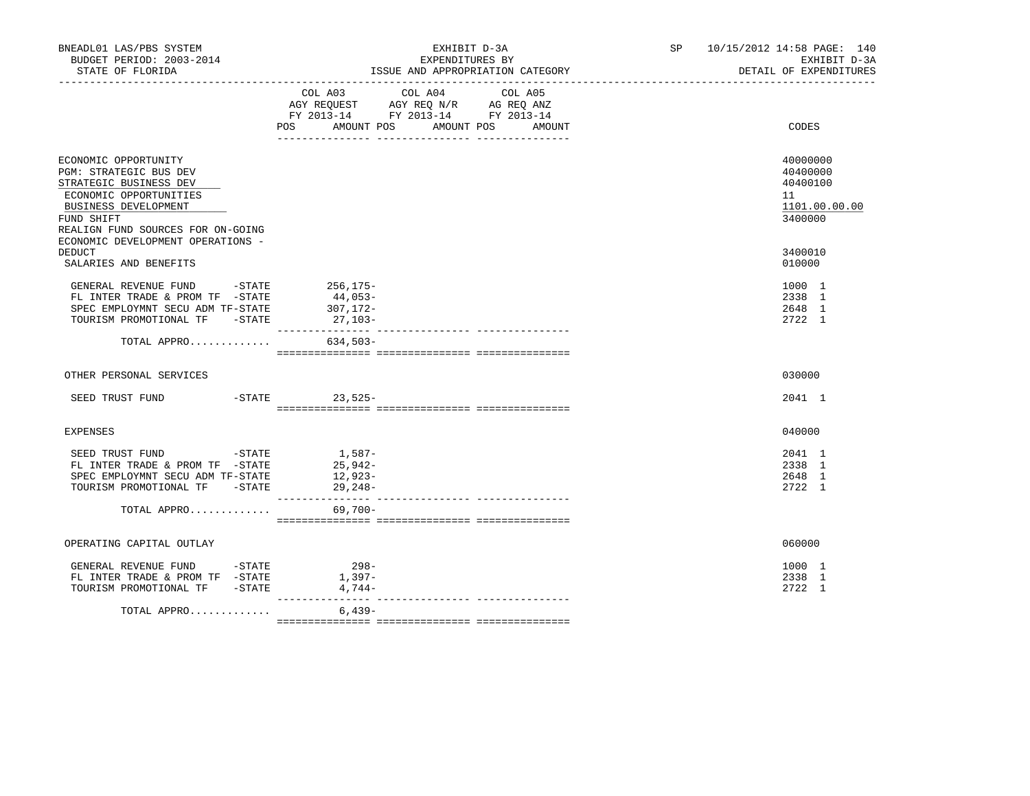| BNEADL01 LAS/PBS SYSTEM<br>BUDGET PERIOD: 2003-2014<br>STATE OF FLORIDA                                                                                                                                                   | EXHIBIT D-3A<br>EXPENDITURES BY<br>ISSUE AND APPROPRIATION CATEGORY                                                                                                       | SP 10/15/2012 14:58 PAGE: 140<br>EXHIBIT D-3A<br>DETAIL OF EXPENDITURES |
|---------------------------------------------------------------------------------------------------------------------------------------------------------------------------------------------------------------------------|---------------------------------------------------------------------------------------------------------------------------------------------------------------------------|-------------------------------------------------------------------------|
|                                                                                                                                                                                                                           | COL A04<br>COL A03<br>COL A05<br>AGY REQUEST AGY REQ N/R AG REQ ANZ<br>FY 2013-14 FY 2013-14 FY 2013-14<br>POS<br>AMOUNT POS<br>AMOUNT POS<br>AMOUNT<br>__ ______________ | CODES                                                                   |
| ECONOMIC OPPORTUNITY<br><b>PGM: STRATEGIC BUS DEV</b><br>STRATEGIC BUSINESS DEV<br>ECONOMIC OPPORTUNITIES<br>BUSINESS DEVELOPMENT<br>FUND SHIFT<br>REALIGN FUND SOURCES FOR ON-GOING<br>ECONOMIC DEVELOPMENT OPERATIONS - |                                                                                                                                                                           | 40000000<br>40400000<br>40400100<br>11<br>1101.00.00.00<br>3400000      |
| <b>DEDUCT</b><br>SALARIES AND BENEFITS                                                                                                                                                                                    |                                                                                                                                                                           | 3400010<br>010000                                                       |
| GENERAL REVENUE FUND -STATE<br>FL INTER TRADE & PROM TF -STATE<br>SPEC EMPLOYMNT SECU ADM TF-STATE<br>TOURISM PROMOTIONAL TF -STATE                                                                                       | 256,175-<br>44,053-<br>307,172-<br>27,103-                                                                                                                                | 1000 1<br>2338 1<br>2648 1<br>2722 1                                    |
| TOTAL APPRO                                                                                                                                                                                                               | 634,503-                                                                                                                                                                  |                                                                         |
| OTHER PERSONAL SERVICES                                                                                                                                                                                                   |                                                                                                                                                                           | 030000                                                                  |
| SEED TRUST FUND -STATE 23,525-                                                                                                                                                                                            |                                                                                                                                                                           | 2041 1                                                                  |
| EXPENSES                                                                                                                                                                                                                  |                                                                                                                                                                           | 040000                                                                  |
| SEED TRUST FUND -STATE 1,587-<br>FL INTER TRADE & PROM TF -STATE<br>SPEC EMPLOYMNT SECU ADM TF-STATE<br>TOURISM PROMOTIONAL TF -STATE                                                                                     | 25,942-<br>12,923-<br>29,248-                                                                                                                                             | 2041 1<br>2338 1<br>2648 1<br>2722 1                                    |
| TOTAL APPRO                                                                                                                                                                                                               | 69,700-                                                                                                                                                                   |                                                                         |
| OPERATING CAPITAL OUTLAY                                                                                                                                                                                                  |                                                                                                                                                                           | 060000                                                                  |
| GENERAL REVENUE FUND -STATE<br>FL INTER TRADE & PROM TF -STATE<br>TOURISM PROMOTIONAL TF -STATE                                                                                                                           | $298-$<br>$1,397-$<br>4,744-                                                                                                                                              | 1000 1<br>2338 1<br>2722 1                                              |
| TOTAL APPRO                                                                                                                                                                                                               | $6.439-$                                                                                                                                                                  |                                                                         |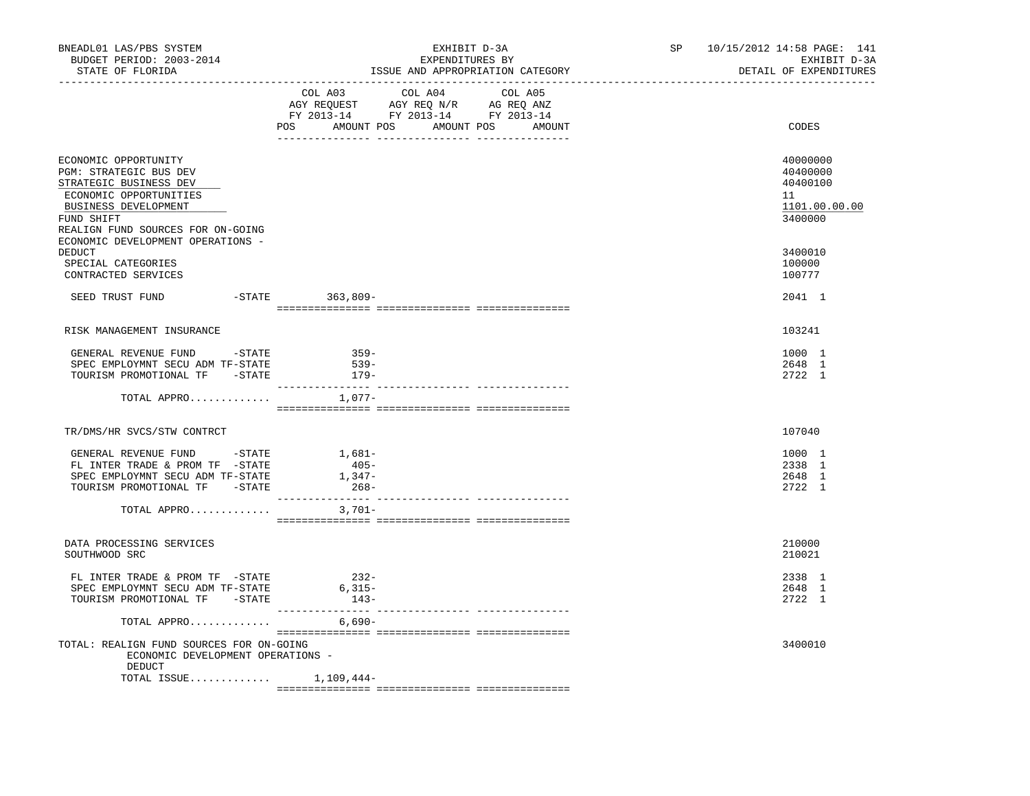| BNEADL01 LAS/PBS SYSTEM<br>BUDGET PERIOD: 2003-2014<br>STATE OF FLORIDA<br>----------------                                                                                                                        | EXHIBIT D-3A<br>EXPENDITURES BY<br>ISSUE AND APPROPRIATION CATEGORY                                                                                                                                                                                                           | 10/15/2012 14:58 PAGE: 141<br>SP and the set of the set of the set of the set of the set of the set of the set of the set of the set of the set of the set of the set of the set of the set of the set of the set of the set of the set of the set of the se<br>EXHIBIT D-3A<br>DETAIL OF EXPENDITURES<br>-------------------------------- |
|--------------------------------------------------------------------------------------------------------------------------------------------------------------------------------------------------------------------|-------------------------------------------------------------------------------------------------------------------------------------------------------------------------------------------------------------------------------------------------------------------------------|--------------------------------------------------------------------------------------------------------------------------------------------------------------------------------------------------------------------------------------------------------------------------------------------------------------------------------------------|
|                                                                                                                                                                                                                    | COL A03<br>COL A04<br>COL A05<br>$\begin{tabular}{lllllllll} \bf AGY \,\,\, REQUEST \,\,\, & \bf AGY \,\, REQ \,\, N/R & \,\, AG \,\, REQ \,\, ANZ \\ \bf FY \,\, 2013-14 & \,\, FY \,\, 2013-14 & \,\, FY \,\, 2013-14 \\ \end{tabular}$<br>POS AMOUNT POS AMOUNT POS AMOUNT | CODES                                                                                                                                                                                                                                                                                                                                      |
| ECONOMIC OPPORTUNITY<br>PGM: STRATEGIC BUS DEV<br>STRATEGIC BUSINESS DEV<br>ECONOMIC OPPORTUNITIES<br>BUSINESS DEVELOPMENT<br>FUND SHIFT<br>REALIGN FUND SOURCES FOR ON-GOING<br>ECONOMIC DEVELOPMENT OPERATIONS - |                                                                                                                                                                                                                                                                               | 40000000<br>40400000<br>40400100<br>11<br>1101.00.00.00<br>3400000                                                                                                                                                                                                                                                                         |
| DEDUCT<br>SPECIAL CATEGORIES<br>CONTRACTED SERVICES                                                                                                                                                                |                                                                                                                                                                                                                                                                               | 3400010<br>100000<br>100777                                                                                                                                                                                                                                                                                                                |
| SEED TRUST FUND                                                                                                                                                                                                    | -STATE 363,809-                                                                                                                                                                                                                                                               | 2041 1                                                                                                                                                                                                                                                                                                                                     |
| RISK MANAGEMENT INSURANCE                                                                                                                                                                                          |                                                                                                                                                                                                                                                                               | 103241                                                                                                                                                                                                                                                                                                                                     |
| GENERAL REVENUE FUND -STATE<br>SPEC EMPLOYMNT SECU ADM TF-STATE<br>TOURISM PROMOTIONAL TF -STATE                                                                                                                   | $359-$<br>$539-$<br>179-                                                                                                                                                                                                                                                      | 1000 1<br>2648 1<br>2722 1                                                                                                                                                                                                                                                                                                                 |
| TOTAL APPRO                                                                                                                                                                                                        | --------------- --<br>1,077-                                                                                                                                                                                                                                                  |                                                                                                                                                                                                                                                                                                                                            |
| TR/DMS/HR SVCS/STW CONTRCT                                                                                                                                                                                         |                                                                                                                                                                                                                                                                               | 107040                                                                                                                                                                                                                                                                                                                                     |
| GENERAL REVENUE FUND - STATE<br>FL INTER TRADE & PROM TF -STATE<br>SPEC EMPLOYMNT SECU ADM TF-STATE<br>TOURISM PROMOTIONAL TF -STATE                                                                               | 1,681-<br>$405 -$<br>$1,347-$<br>$268-$                                                                                                                                                                                                                                       | 1000 1<br>2338 1<br>2648 1<br>2722 1                                                                                                                                                                                                                                                                                                       |
| TOTAL APPRO                                                                                                                                                                                                        | $3,701-$                                                                                                                                                                                                                                                                      |                                                                                                                                                                                                                                                                                                                                            |
| DATA PROCESSING SERVICES<br>SOUTHWOOD SRC                                                                                                                                                                          |                                                                                                                                                                                                                                                                               | 210000<br>210021                                                                                                                                                                                                                                                                                                                           |
| FL INTER TRADE & PROM TF -STATE<br>SPEC EMPLOYMNT SECU ADM TF-STATE<br>TOURISM PROMOTIONAL TF -STATE                                                                                                               | $232-$<br>$6,315-$<br>$143-$                                                                                                                                                                                                                                                  | 2338 1<br>2648 1<br>2722 1                                                                                                                                                                                                                                                                                                                 |
| TOTAL APPRO                                                                                                                                                                                                        | 6,690-                                                                                                                                                                                                                                                                        |                                                                                                                                                                                                                                                                                                                                            |
| TOTAL: REALIGN FUND SOURCES FOR ON-GOING<br>ECONOMIC DEVELOPMENT OPERATIONS -<br>DEDUCT                                                                                                                            |                                                                                                                                                                                                                                                                               | 3400010                                                                                                                                                                                                                                                                                                                                    |
| TOTAL ISSUE $1,109,444-$                                                                                                                                                                                           |                                                                                                                                                                                                                                                                               |                                                                                                                                                                                                                                                                                                                                            |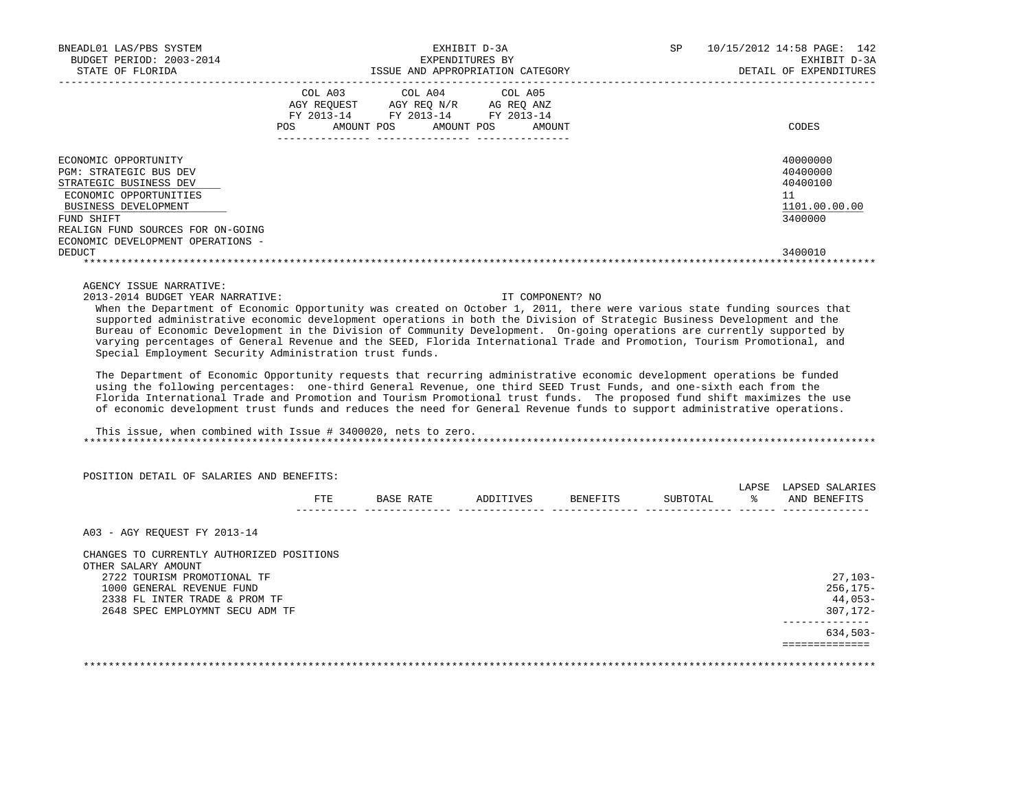| BNEADL01 LAS/PBS SYSTEM<br>BUDGET PERIOD: 2003-2014<br>STATE OF FLORIDA                                                                                                                                            |                                                           | EXPENDITURES BY                                            | EXHIBIT D-3A<br>ISSUE AND APPROPRIATION CATEGORY | 10/15/2012 14:58 PAGE: 142<br>SP.<br>EXHIBIT D-3A<br>DETAIL OF EXPENDITURES |
|--------------------------------------------------------------------------------------------------------------------------------------------------------------------------------------------------------------------|-----------------------------------------------------------|------------------------------------------------------------|--------------------------------------------------|-----------------------------------------------------------------------------|
|                                                                                                                                                                                                                    | COL A03<br>AGY REOUEST<br>FY 2013-14<br>POS<br>AMOUNT POS | COL A04 COL A05<br>AGY REO N/R<br>FY 2013-14<br>AMOUNT POS | AG REO ANZ<br>FY 2013-14<br>AMOUNT               | CODES                                                                       |
| ECONOMIC OPPORTUNITY<br>PGM: STRATEGIC BUS DEV<br>STRATEGIC BUSINESS DEV<br>ECONOMIC OPPORTUNITIES<br>BUSINESS DEVELOPMENT<br>FUND SHIFT<br>REALIGN FUND SOURCES FOR ON-GOING<br>ECONOMIC DEVELOPMENT OPERATIONS - |                                                           |                                                            |                                                  | 40000000<br>40400000<br>40400100<br>11<br>1101.00.00.00<br>3400000          |
| DEDUCT                                                                                                                                                                                                             |                                                           |                                                            |                                                  | 3400010                                                                     |

AGENCY ISSUE NARRATIVE:

2013-2014 BUDGET YEAR NARRATIVE: IT COMPONENT? NO

 When the Department of Economic Opportunity was created on October 1, 2011, there were various state funding sources that supported administrative economic development operations in both the Division of Strategic Business Development and the Bureau of Economic Development in the Division of Community Development. On-going operations are currently supported by varying percentages of General Revenue and the SEED, Florida International Trade and Promotion, Tourism Promotional, and Special Employment Security Administration trust funds.

 The Department of Economic Opportunity requests that recurring administrative economic development operations be funded using the following percentages: one-third General Revenue, one third SEED Trust Funds, and one-sixth each from the Florida International Trade and Promotion and Tourism Promotional trust funds. The proposed fund shift maximizes the use of economic development trust funds and reduces the need for General Revenue funds to support administrative operations.

 This issue, when combined with Issue # 3400020, nets to zero. \*\*\*\*\*\*\*\*\*\*\*\*\*\*\*\*\*\*\*\*\*\*\*\*\*\*\*\*\*\*\*\*\*\*\*\*\*\*\*\*\*\*\*\*\*\*\*\*\*\*\*\*\*\*\*\*\*\*\*\*\*\*\*\*\*\*\*\*\*\*\*\*\*\*\*\*\*\*\*\*\*\*\*\*\*\*\*\*\*\*\*\*\*\*\*\*\*\*\*\*\*\*\*\*\*\*\*\*\*\*\*\*\*\*\*\*\*\*\*\*\*\*\*\*\*\*\*

|                                                    | FTE | BASE RATE | ADDITIVES | BENEFITS | SUBTOTAL | LAPSE<br>ႜ | LAPSED SALARIES<br>AND BENEFITS |
|----------------------------------------------------|-----|-----------|-----------|----------|----------|------------|---------------------------------|
| A03 - AGY REOUEST FY 2013-14                       |     |           |           |          |          |            |                                 |
| CHANGES TO CURRENTLY AUTHORIZED POSITIONS          |     |           |           |          |          |            |                                 |
| OTHER SALARY AMOUNT<br>2722 TOURISM PROMOTIONAL TF |     |           |           |          |          |            | $27,103-$                       |
| 1000 GENERAL REVENUE FUND                          |     |           |           |          |          |            | $256, 175 -$                    |
| 2338 FL INTER TRADE & PROM TF                      |     |           |           |          |          |            | 44,053-                         |
|                                                    |     |           |           |          |          |            | $307, 172 -$                    |
| 2648 SPEC EMPLOYMNT SECU ADM TF                    |     |           |           |          |          |            |                                 |
|                                                    |     |           |           |          |          |            | $634,503-$                      |

\*\*\*\*\*\*\*\*\*\*\*\*\*\*\*\*\*\*\*\*\*\*\*\*\*\*\*\*\*\*\*\*\*\*\*\*\*\*\*\*\*\*\*\*\*\*\*\*\*\*\*\*\*\*\*\*\*\*\*\*\*\*\*\*\*\*\*\*\*\*\*\*\*\*\*\*\*\*\*\*\*\*\*\*\*\*\*\*\*\*\*\*\*\*\*\*\*\*\*\*\*\*\*\*\*\*\*\*\*\*\*\*\*\*\*\*\*\*\*\*\*\*\*\*\*\*\*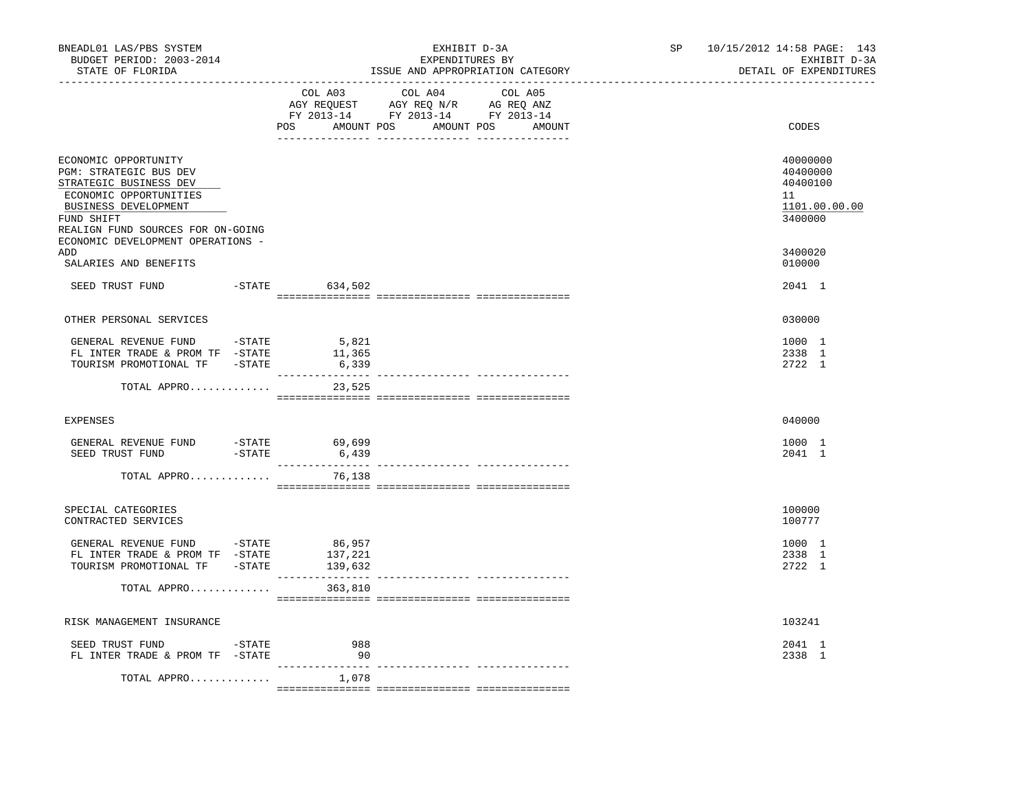| BNEADL01 LAS/PBS SYSTEM<br>BUDGET PERIOD: 2003-2014<br>STATE OF FLORIDA                                                                                                                                                   |         | ----------------------------                                                                                                     | EXHIBIT D-3A<br>EXPENDITURES BY<br>ISSUE AND APPROPRIATION CATEGORY<br>---------------------- | SP    | 10/15/2012 14:58 PAGE: 143<br>EXHIBIT D-3A<br>DETAIL OF EXPENDITURES |
|---------------------------------------------------------------------------------------------------------------------------------------------------------------------------------------------------------------------------|---------|----------------------------------------------------------------------------------------------------------------------------------|-----------------------------------------------------------------------------------------------|-------|----------------------------------------------------------------------|
|                                                                                                                                                                                                                           | COL A03 | COL A04<br>COL A05<br>AGY REQUEST AGY REQ N/R AG REQ ANZ<br>FY 2013-14 FY 2013-14 FY 2013-14<br>POS AMOUNT POS AMOUNT POS AMOUNT |                                                                                               | CODES |                                                                      |
| ECONOMIC OPPORTUNITY<br><b>PGM: STRATEGIC BUS DEV</b><br>STRATEGIC BUSINESS DEV<br>ECONOMIC OPPORTUNITIES<br>BUSINESS DEVELOPMENT<br>FUND SHIFT<br>REALIGN FUND SOURCES FOR ON-GOING<br>ECONOMIC DEVELOPMENT OPERATIONS - |         |                                                                                                                                  |                                                                                               |       | 40000000<br>40400000<br>40400100<br>11<br>1101.00.00.00<br>3400000   |
| ADD<br>SALARIES AND BENEFITS                                                                                                                                                                                              |         |                                                                                                                                  |                                                                                               |       | 3400020<br>010000                                                    |
| SEED TRUST FUND                                                                                                                                                                                                           |         | -STATE 634,502                                                                                                                   |                                                                                               |       | 2041 1                                                               |
| OTHER PERSONAL SERVICES                                                                                                                                                                                                   |         |                                                                                                                                  |                                                                                               |       | 030000                                                               |
| GENERAL REVENUE FUND $-$ STATE 5,821<br>FL INTER TRADE & PROM TF -STATE<br>TOURISM PROMOTIONAL TF -STATE                                                                                                                  |         | 11,365<br>6,339                                                                                                                  |                                                                                               |       | 1000 1<br>2338 1<br>2722 1                                           |
| TOTAL APPRO                                                                                                                                                                                                               |         | 23,525                                                                                                                           |                                                                                               |       |                                                                      |
| <b>EXPENSES</b>                                                                                                                                                                                                           |         |                                                                                                                                  |                                                                                               |       | 040000                                                               |
| GENERAL REVENUE FUND -STATE 69,699<br>SEED TRUST FUND -STATE 6,439                                                                                                                                                        |         |                                                                                                                                  |                                                                                               |       | 1000 1<br>2041 1                                                     |
| TOTAL APPRO                                                                                                                                                                                                               |         | 76,138                                                                                                                           |                                                                                               |       |                                                                      |
| SPECIAL CATEGORIES<br>CONTRACTED SERVICES                                                                                                                                                                                 |         |                                                                                                                                  |                                                                                               |       | 100000<br>100777                                                     |
| GENERAL REVENUE FUND -STATE<br>FL INTER TRADE & PROM TF -STATE<br>TOURISM PROMOTIONAL TF -STATE                                                                                                                           |         | 86,957<br>137,221<br>139,632                                                                                                     |                                                                                               |       | 1000 1<br>2338 1<br>2722 1                                           |
| TOTAL APPRO                                                                                                                                                                                                               |         | 363,810                                                                                                                          |                                                                                               |       |                                                                      |
| RISK MANAGEMENT INSURANCE                                                                                                                                                                                                 |         |                                                                                                                                  |                                                                                               |       | 103241                                                               |
| SEED TRUST FUND -STATE<br>FL INTER TRADE & PROM TF -STATE                                                                                                                                                                 |         | 988<br>90                                                                                                                        |                                                                                               |       | 2041 1<br>2338 1                                                     |
| TOTAL APPRO                                                                                                                                                                                                               |         | 1,078                                                                                                                            |                                                                                               |       |                                                                      |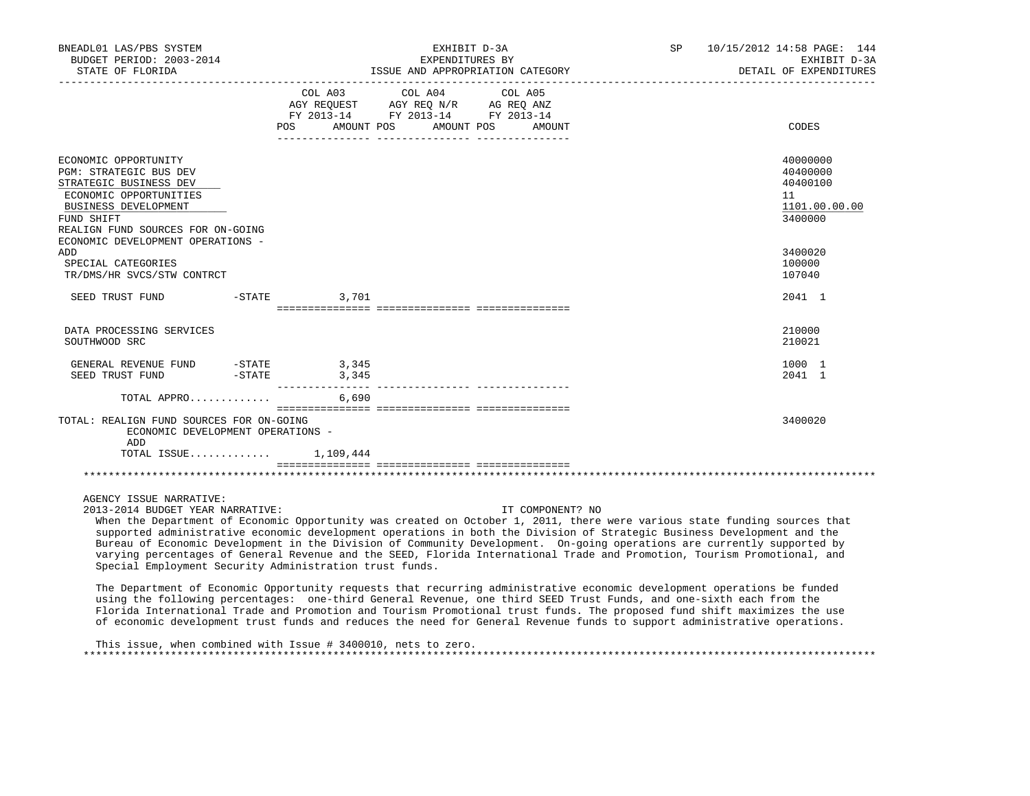| BNEADL01 LAS/PBS SYSTEM<br>BUDGET PERIOD: 2003-2014<br>STATE OF FLORIDA                                                                                                                                                          |                                    | EXHIBIT D-3A<br>EXPENDITURES BY<br>ISSUE AND APPROPRIATION CATEGORY                                                                     | SP 10/15/2012 14:58 PAGE: 144<br>EXHIBIT D-3A<br>DETAIL OF EXPENDITURES |
|----------------------------------------------------------------------------------------------------------------------------------------------------------------------------------------------------------------------------------|------------------------------------|-----------------------------------------------------------------------------------------------------------------------------------------|-------------------------------------------------------------------------|
|                                                                                                                                                                                                                                  | <b>POS</b>                         | COL A03 COL A04 COL A05<br>AGY REQUEST AGY REQ N/R AG REQ ANZ<br>FY 2013-14 FY 2013-14 FY 2013-14<br>AMOUNT POS<br>AMOUNT POS<br>AMOUNT | CODES                                                                   |
| ECONOMIC OPPORTUNITY<br><b>PGM: STRATEGIC BUS DEV</b><br>STRATEGIC BUSINESS DEV<br>ECONOMIC OPPORTUNITIES<br><b>BUSINESS DEVELOPMENT</b><br>FUND SHIFT<br>REALIGN FUND SOURCES FOR ON-GOING<br>ECONOMIC DEVELOPMENT OPERATIONS - |                                    |                                                                                                                                         | 40000000<br>40400000<br>40400100<br>11<br>1101.00.00.00<br>3400000      |
| ADD<br>SPECIAL CATEGORIES<br>TR/DMS/HR SVCS/STW CONTRCT                                                                                                                                                                          |                                    |                                                                                                                                         | 3400020<br>100000<br>107040                                             |
| SEED TRUST FUND                                                                                                                                                                                                                  | $-STATE$<br>3,701                  |                                                                                                                                         | 2041 1                                                                  |
| DATA PROCESSING SERVICES<br>SOUTHWOOD SRC                                                                                                                                                                                        |                                    |                                                                                                                                         | 210000<br>210021                                                        |
| GENERAL REVENUE FUND<br>SEED TRUST FUND                                                                                                                                                                                          | = STATE 3 , 345<br>= STATE 3 , 345 |                                                                                                                                         | 1000 1<br>2041 1                                                        |
| TOTAL APPRO                                                                                                                                                                                                                      | 6,690                              |                                                                                                                                         |                                                                         |
| TOTAL: REALIGN FUND SOURCES FOR ON-GOING<br>ECONOMIC DEVELOPMENT OPERATIONS -<br>ADD<br>TOTAL ISSUE                                                                                                                              | 1,109,444                          |                                                                                                                                         | 3400020                                                                 |
|                                                                                                                                                                                                                                  |                                    | --------------- ----------------                                                                                                        |                                                                         |

AGENCY ISSUE NARRATIVE:

2013-2014 BUDGET YEAR NARRATIVE: IT COMPONENT? NO

 When the Department of Economic Opportunity was created on October 1, 2011, there were various state funding sources that supported administrative economic development operations in both the Division of Strategic Business Development and the Bureau of Economic Development in the Division of Community Development. On-going operations are currently supported by varying percentages of General Revenue and the SEED, Florida International Trade and Promotion, Tourism Promotional, and Special Employment Security Administration trust funds.

 The Department of Economic Opportunity requests that recurring administrative economic development operations be funded using the following percentages: one-third General Revenue, one third SEED Trust Funds, and one-sixth each from the Florida International Trade and Promotion and Tourism Promotional trust funds. The proposed fund shift maximizes the use of economic development trust funds and reduces the need for General Revenue funds to support administrative operations.

 This issue, when combined with Issue # 3400010, nets to zero. \*\*\*\*\*\*\*\*\*\*\*\*\*\*\*\*\*\*\*\*\*\*\*\*\*\*\*\*\*\*\*\*\*\*\*\*\*\*\*\*\*\*\*\*\*\*\*\*\*\*\*\*\*\*\*\*\*\*\*\*\*\*\*\*\*\*\*\*\*\*\*\*\*\*\*\*\*\*\*\*\*\*\*\*\*\*\*\*\*\*\*\*\*\*\*\*\*\*\*\*\*\*\*\*\*\*\*\*\*\*\*\*\*\*\*\*\*\*\*\*\*\*\*\*\*\*\*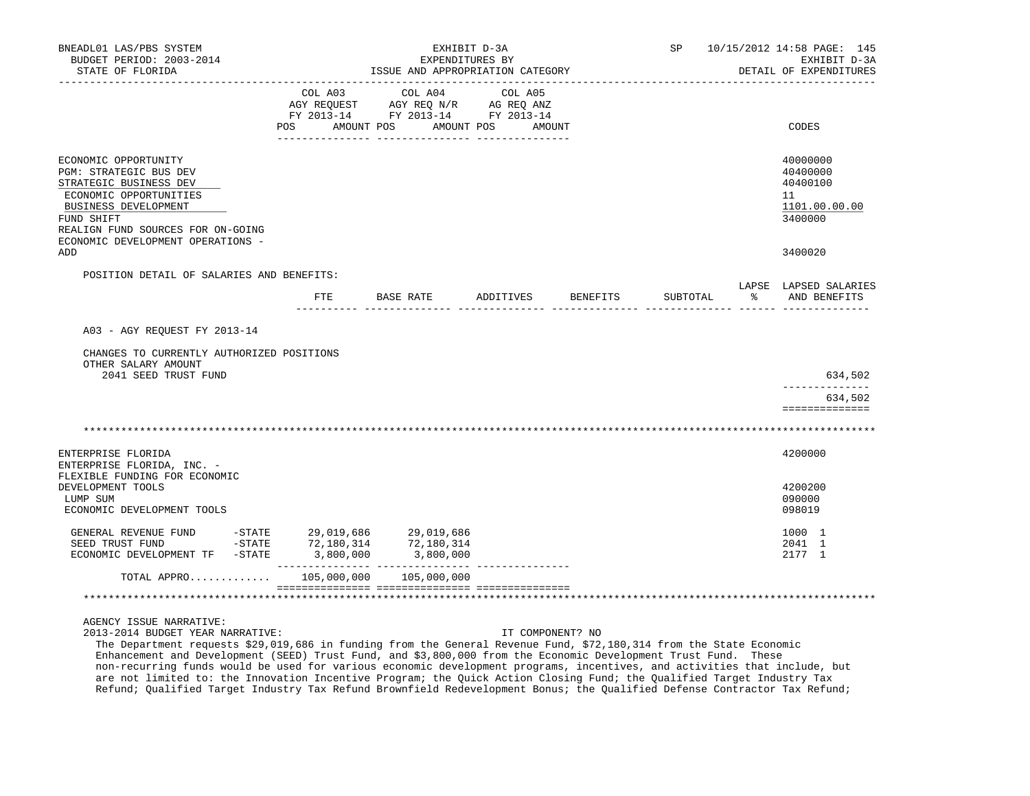| BNEADL01 LAS/PBS SYSTEM<br>BUDGET PERIOD: 2003-2014<br>STATE OF FLORIDA | ISSUE AND APPROPRIATION CATEGORY | SP                                             | 10/15/2012 14:58 PAGE: 145<br>EXHIBIT D-3A<br>DETAIL OF EXPENDITURES |          |          |                                       |
|-------------------------------------------------------------------------|----------------------------------|------------------------------------------------|----------------------------------------------------------------------|----------|----------|---------------------------------------|
| ---------------                                                         | COL A03                          | ___________________________________<br>COL A04 | COL A05                                                              |          |          |                                       |
|                                                                         |                                  | AGY REQUEST AGY REQ N/R AG REQ ANZ             |                                                                      |          |          |                                       |
|                                                                         |                                  | FY 2013-14 FY 2013-14 FY 2013-14               |                                                                      |          |          |                                       |
|                                                                         | POS AMOUNT POS                   | AMOUNT POS                                     | AMOUNT                                                               |          |          | CODES                                 |
| ECONOMIC OPPORTUNITY                                                    |                                  |                                                |                                                                      |          |          | 40000000                              |
| PGM: STRATEGIC BUS DEV                                                  |                                  |                                                |                                                                      |          |          | 40400000                              |
| STRATEGIC BUSINESS DEV                                                  |                                  |                                                |                                                                      |          |          | 40400100                              |
| ECONOMIC OPPORTUNITIES                                                  |                                  |                                                |                                                                      |          |          | 11                                    |
| BUSINESS DEVELOPMENT<br>FUND SHIFT                                      |                                  |                                                |                                                                      |          |          | 1101.00.00.00<br>3400000              |
| REALIGN FUND SOURCES FOR ON-GOING                                       |                                  |                                                |                                                                      |          |          |                                       |
| ECONOMIC DEVELOPMENT OPERATIONS -                                       |                                  |                                                |                                                                      |          |          |                                       |
| <b>ADD</b>                                                              |                                  |                                                |                                                                      |          |          | 3400020                               |
| POSITION DETAIL OF SALARIES AND BENEFITS:                               |                                  |                                                |                                                                      |          |          |                                       |
|                                                                         |                                  | FTE BASE RATE                                  | ADDITIVES                                                            | BENEFITS | SUBTOTAL | LAPSE LAPSED SALARIES<br>AND BENEFITS |
|                                                                         |                                  |                                                |                                                                      |          |          |                                       |
| A03 - AGY REOUEST FY 2013-14                                            |                                  |                                                |                                                                      |          |          |                                       |
| CHANGES TO CURRENTLY AUTHORIZED POSITIONS                               |                                  |                                                |                                                                      |          |          |                                       |
| OTHER SALARY AMOUNT                                                     |                                  |                                                |                                                                      |          |          |                                       |
| 2041 SEED TRUST FUND                                                    |                                  |                                                |                                                                      |          |          | 634,502                               |
|                                                                         |                                  |                                                |                                                                      |          |          | --------------                        |
|                                                                         |                                  |                                                |                                                                      |          |          | 634,502<br>==============             |
|                                                                         |                                  |                                                |                                                                      |          |          |                                       |
|                                                                         |                                  |                                                |                                                                      |          |          |                                       |
| ENTERPRISE FLORIDA                                                      |                                  |                                                |                                                                      |          |          | 4200000                               |
| ENTERPRISE FLORIDA, INC. -                                              |                                  |                                                |                                                                      |          |          |                                       |
| FLEXIBLE FUNDING FOR ECONOMIC                                           |                                  |                                                |                                                                      |          |          |                                       |
| DEVELOPMENT TOOLS                                                       |                                  |                                                |                                                                      |          |          | 4200200                               |
| LUMP SUM<br>ECONOMIC DEVELOPMENT TOOLS                                  |                                  |                                                |                                                                      |          |          | 090000<br>098019                      |
|                                                                         |                                  |                                                |                                                                      |          |          |                                       |
| GENERAL REVENUE FUND                                                    | $-$ STATE 29,019,686 29,019,686  |                                                |                                                                      |          |          | 1000 1                                |
| $-$ STATE<br>SEED TRUST FUND                                            | 72,180,314                       | 72,180,314                                     |                                                                      |          |          | 2041 1                                |
| ECONOMIC DEVELOPMENT TF -STATE                                          | 3,800,000                        | 3,800,000                                      |                                                                      |          |          | 2177 1                                |
| TOTAL APPRO                                                             | 105,000,000                      | 105,000,000                                    |                                                                      |          |          |                                       |
|                                                                         |                                  |                                                |                                                                      |          |          |                                       |
| AGENCY ISSUE NARRATIVE:                                                 |                                  |                                                |                                                                      |          |          |                                       |

2013-2014 BUDGET YEAR NARRATIVE: IT COMPONENT? NO

 The Department requests \$29,019,686 in funding from the General Revenue Fund, \$72,180,314 from the State Economic Enhancement and Development (SEED) Trust Fund, and \$3,800,000 from the Economic Development Trust Fund. These non-recurring funds would be used for various economic development programs, incentives, and activities that include, but are not limited to: the Innovation Incentive Program; the Quick Action Closing Fund; the Qualified Target Industry Tax Refund; Qualified Target Industry Tax Refund Brownfield Redevelopment Bonus; the Qualified Defense Contractor Tax Refund;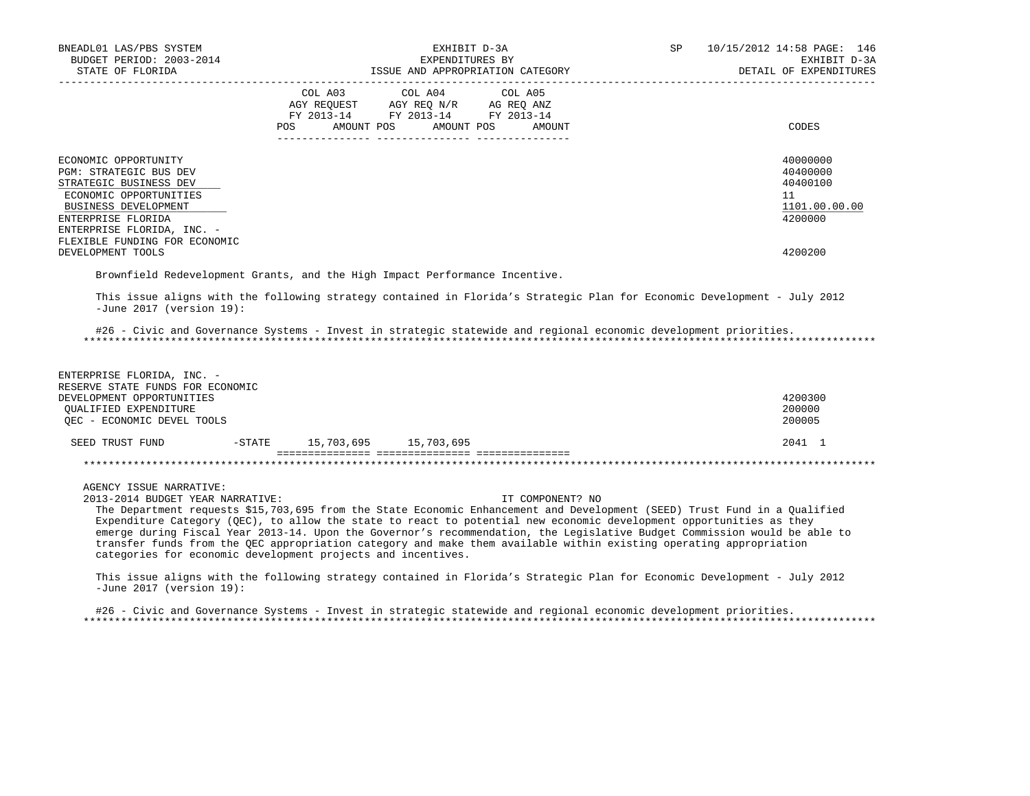| BNEADL01 LAS/PBS SYSTEM<br>BUDGET PERIOD: 2003-2014<br>STATE OF FLORIDA<br>_____________________                                                                                                                                                                                                                                                                                                                                                                                                                                                                                                                                                                                                                                                                                           |                                    | EXHIBIT D-3A<br>EXPENDITURES BY<br>ISSUE AND APPROPRIATION CATEGORY                               | SP                               | 10/15/2012 14:58 PAGE: 146<br>EXHIBIT D-3A<br>DETAIL OF EXPENDITURES |                                                                    |
|--------------------------------------------------------------------------------------------------------------------------------------------------------------------------------------------------------------------------------------------------------------------------------------------------------------------------------------------------------------------------------------------------------------------------------------------------------------------------------------------------------------------------------------------------------------------------------------------------------------------------------------------------------------------------------------------------------------------------------------------------------------------------------------------|------------------------------------|---------------------------------------------------------------------------------------------------|----------------------------------|----------------------------------------------------------------------|--------------------------------------------------------------------|
|                                                                                                                                                                                                                                                                                                                                                                                                                                                                                                                                                                                                                                                                                                                                                                                            |                                    | COL A03 COL A04 COL A05<br>AGY REQUEST AGY REQ N/R AG REQ ANZ<br>FY 2013-14 FY 2013-14 FY 2013-14 | POS AMOUNT POS AMOUNT POS AMOUNT |                                                                      | CODES                                                              |
| ECONOMIC OPPORTUNITY<br>PGM: STRATEGIC BUS DEV<br>STRATEGIC BUSINESS DEV<br>ECONOMIC OPPORTUNITIES<br>BUSINESS DEVELOPMENT<br>ENTERPRISE FLORIDA<br>ENTERPRISE FLORIDA, INC. -<br>FLEXIBLE FUNDING FOR ECONOMIC                                                                                                                                                                                                                                                                                                                                                                                                                                                                                                                                                                            |                                    |                                                                                                   |                                  |                                                                      | 40000000<br>40400000<br>40400100<br>11<br>1101.00.00.00<br>4200000 |
| DEVELOPMENT TOOLS<br>Brownfield Redevelopment Grants, and the High Impact Performance Incentive.                                                                                                                                                                                                                                                                                                                                                                                                                                                                                                                                                                                                                                                                                           |                                    |                                                                                                   |                                  |                                                                      | 4200200                                                            |
| #26 - Civic and Governance Systems - Invest in strategic statewide and regional economic development priorities.<br>ENTERPRISE FLORIDA, INC. -<br>RESERVE STATE FUNDS FOR ECONOMIC<br>DEVELOPMENT OPPORTUNITIES<br>QUALIFIED EXPENDITURE                                                                                                                                                                                                                                                                                                                                                                                                                                                                                                                                                   |                                    |                                                                                                   |                                  |                                                                      | 4200300<br>200000                                                  |
| OEC - ECONOMIC DEVEL TOOLS                                                                                                                                                                                                                                                                                                                                                                                                                                                                                                                                                                                                                                                                                                                                                                 |                                    |                                                                                                   |                                  |                                                                      | 200005                                                             |
| SEED TRUST FUND                                                                                                                                                                                                                                                                                                                                                                                                                                                                                                                                                                                                                                                                                                                                                                            | $-STATE$ 15, 703, 695 15, 703, 695 |                                                                                                   |                                  |                                                                      | 2041 1                                                             |
| AGENCY ISSUE NARRATIVE:<br>2013-2014 BUDGET YEAR NARRATIVE:<br>The Department requests \$15,703,695 from the State Economic Enhancement and Development (SEED) Trust Fund in a Qualified<br>Expenditure Category (QEC), to allow the state to react to potential new economic development opportunities as they<br>emerge during Fiscal Year 2013-14. Upon the Governor's recommendation, the Legislative Budget Commission would be able to<br>transfer funds from the QEC appropriation category and make them available within existing operating appropriation<br>categories for economic development projects and incentives.<br>This issue aligns with the following strategy contained in Florida's Strategic Plan for Economic Development - July 2012<br>-June 2017 (version 19): |                                    |                                                                                                   | IT COMPONENT? NO                 |                                                                      |                                                                    |
| #26 - Civic and Governance Systems - Invest in strategic statewide and regional economic development priorities.                                                                                                                                                                                                                                                                                                                                                                                                                                                                                                                                                                                                                                                                           |                                    |                                                                                                   |                                  |                                                                      |                                                                    |

\*\*\*\*\*\*\*\*\*\*\*\*\*\*\*\*\*\*\*\*\*\*\*\*\*\*\*\*\*\*\*\*\*\*\*\*\*\*\*\*\*\*\*\*\*\*\*\*\*\*\*\*\*\*\*\*\*\*\*\*\*\*\*\*\*\*\*\*\*\*\*\*\*\*\*\*\*\*\*\*\*\*\*\*\*\*\*\*\*\*\*\*\*\*\*\*\*\*\*\*\*\*\*\*\*\*\*\*\*\*\*\*\*\*\*\*\*\*\*\*\*\*\*\*\*\*\*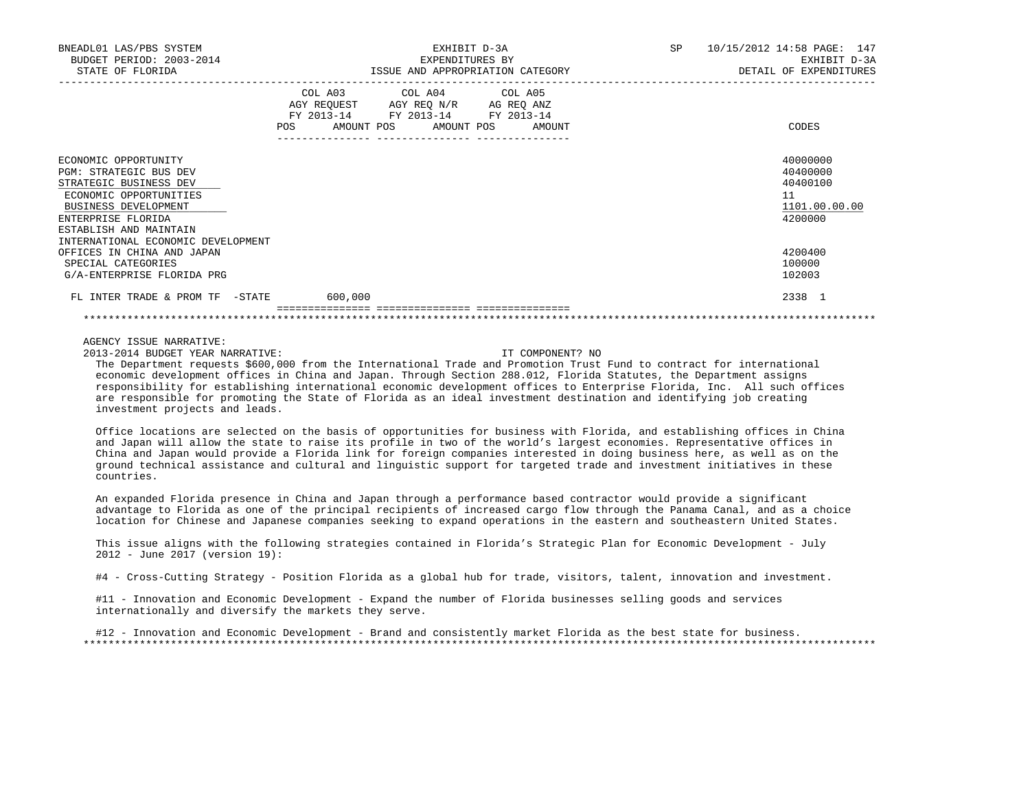| BNEADL01 LAS/PBS SYSTEM<br>BUDGET PERIOD: 2003-2014<br>STATE OF FLORIDA                                                                                                                                                                               | EXHIBIT D-3A<br>EXPENDITURES BY<br>ISSUE AND APPROPRIATION CATEGORY                                                                      | SP<br>10/15/2012 14:58 PAGE: 147<br>EXHIBIT D-3A<br>DETAIL OF EXPENDITURES    |  |  |
|-------------------------------------------------------------------------------------------------------------------------------------------------------------------------------------------------------------------------------------------------------|------------------------------------------------------------------------------------------------------------------------------------------|-------------------------------------------------------------------------------|--|--|
|                                                                                                                                                                                                                                                       | COL A03 COL A04 COL A05<br>AGY REQUEST AGY REO N/R AG REO ANZ<br>FY 2013-14 FY 2013-14 FY 2013-14<br>AMOUNT POS AMOUNT POS AMOUNT<br>POS | CODES                                                                         |  |  |
| ECONOMIC OPPORTUNITY<br><b>PGM: STRATEGIC BUS DEV</b><br>STRATEGIC BUSINESS DEV<br>ECONOMIC OPPORTUNITIES<br>BUSINESS DEVELOPMENT<br>ENTERPRISE FLORIDA<br>ESTABLISH AND MAINTAIN<br>INTERNATIONAL ECONOMIC DEVELOPMENT<br>OFFICES IN CHINA AND JAPAN |                                                                                                                                          | 40000000<br>40400000<br>40400100<br>11<br>1101.00.00.00<br>4200000<br>4200400 |  |  |
| SPECIAL CATEGORIES<br>G/A-ENTERPRISE FLORIDA PRG                                                                                                                                                                                                      |                                                                                                                                          | 100000<br>102003                                                              |  |  |
| FL INTER TRADE & PROM TF -STATE 600,000                                                                                                                                                                                                               |                                                                                                                                          | 2338 1                                                                        |  |  |

2013-2014 BUDGET YEAR NARRATIVE: IT COMPONENT? NO

 The Department requests \$600,000 from the International Trade and Promotion Trust Fund to contract for international economic development offices in China and Japan. Through Section 288.012, Florida Statutes, the Department assigns responsibility for establishing international economic development offices to Enterprise Florida, Inc. All such offices are responsible for promoting the State of Florida as an ideal investment destination and identifying job creating investment projects and leads.

 Office locations are selected on the basis of opportunities for business with Florida, and establishing offices in China and Japan will allow the state to raise its profile in two of the world's largest economies. Representative offices in China and Japan would provide a Florida link for foreign companies interested in doing business here, as well as on the ground technical assistance and cultural and linguistic support for targeted trade and investment initiatives in these countries.

 An expanded Florida presence in China and Japan through a performance based contractor would provide a significant advantage to Florida as one of the principal recipients of increased cargo flow through the Panama Canal, and as a choice location for Chinese and Japanese companies seeking to expand operations in the eastern and southeastern United States.

 This issue aligns with the following strategies contained in Florida's Strategic Plan for Economic Development - July 2012 - June 2017 (version 19):

#4 - Cross-Cutting Strategy - Position Florida as a global hub for trade, visitors, talent, innovation and investment.

 #11 - Innovation and Economic Development - Expand the number of Florida businesses selling goods and services internationally and diversify the markets they serve.

 #12 - Innovation and Economic Development - Brand and consistently market Florida as the best state for business. \*\*\*\*\*\*\*\*\*\*\*\*\*\*\*\*\*\*\*\*\*\*\*\*\*\*\*\*\*\*\*\*\*\*\*\*\*\*\*\*\*\*\*\*\*\*\*\*\*\*\*\*\*\*\*\*\*\*\*\*\*\*\*\*\*\*\*\*\*\*\*\*\*\*\*\*\*\*\*\*\*\*\*\*\*\*\*\*\*\*\*\*\*\*\*\*\*\*\*\*\*\*\*\*\*\*\*\*\*\*\*\*\*\*\*\*\*\*\*\*\*\*\*\*\*\*\*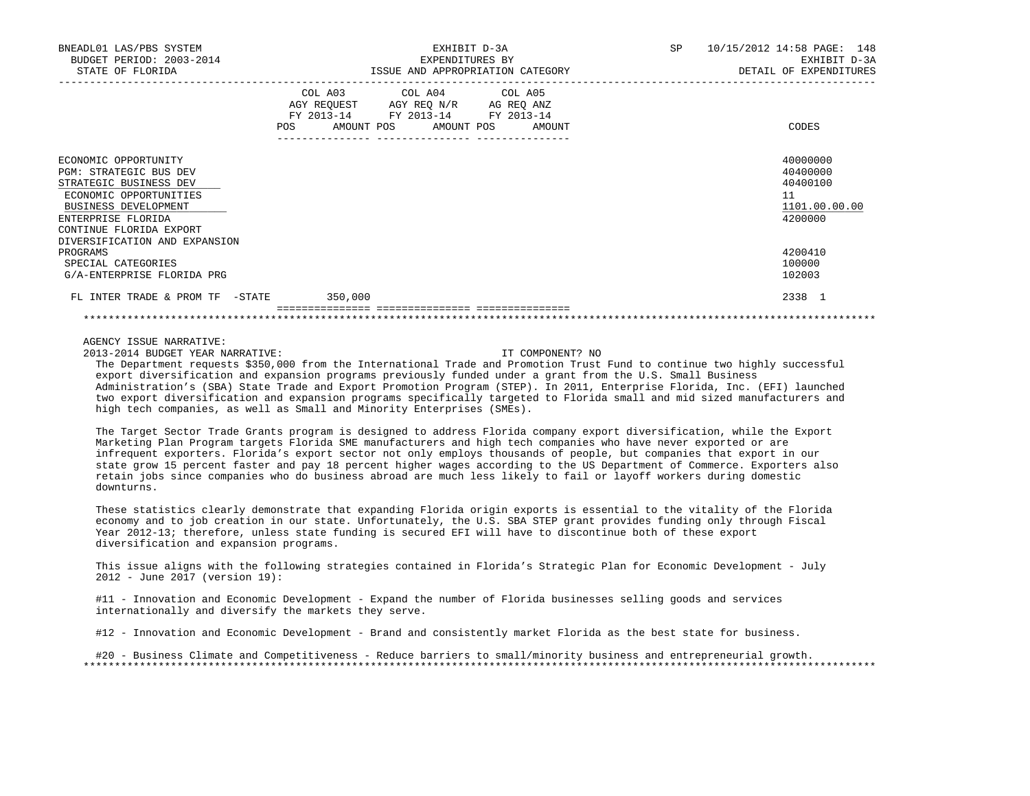| BNEADL01 LAS/PBS SYSTEM<br>BUDGET PERIOD: 2003-2014<br>STATE OF FLORIDA                                                                                                                                                         | EXHIBIT D-3A<br>EXPENDITURES BY<br>ISSUE AND APPROPRIATION CATEGORY                                                                      | SP <sub>2</sub><br>10/15/2012 14:58 PAGE: 148<br>EXHIBIT D-3A<br>DETAIL OF EXPENDITURES |
|---------------------------------------------------------------------------------------------------------------------------------------------------------------------------------------------------------------------------------|------------------------------------------------------------------------------------------------------------------------------------------|-----------------------------------------------------------------------------------------|
|                                                                                                                                                                                                                                 | COL A03 COL A04 COL A05<br>AGY REQUEST AGY REO N/R AG REO ANZ<br>FY 2013-14 FY 2013-14 FY 2013-14<br>POS<br>AMOUNT POS AMOUNT POS AMOUNT | CODES                                                                                   |
| ECONOMIC OPPORTUNITY<br><b>PGM: STRATEGIC BUS DEV</b><br>STRATEGIC BUSINESS DEV<br>ECONOMIC OPPORTUNITIES<br>BUSINESS DEVELOPMENT<br>ENTERPRISE FLORIDA<br>CONTINUE FLORIDA EXPORT<br>DIVERSIFICATION AND EXPANSION<br>PROGRAMS |                                                                                                                                          | 40000000<br>40400000<br>40400100<br>11<br>1101.00.00.00<br>4200000<br>4200410           |
| SPECIAL CATEGORIES<br>G/A-ENTERPRISE FLORIDA PRG                                                                                                                                                                                |                                                                                                                                          | 100000<br>102003                                                                        |
| FL INTER TRADE & PROM TF -STATE                                                                                                                                                                                                 | 350,000                                                                                                                                  | 2338 1                                                                                  |

2013-2014 BUDGET YEAR NARRATIVE: IT COMPONENT? NO

 The Department requests \$350,000 from the International Trade and Promotion Trust Fund to continue two highly successful export diversification and expansion programs previously funded under a grant from the U.S. Small Business Administration's (SBA) State Trade and Export Promotion Program (STEP). In 2011, Enterprise Florida, Inc. (EFI) launched two export diversification and expansion programs specifically targeted to Florida small and mid sized manufacturers and high tech companies, as well as Small and Minority Enterprises (SMEs).

 The Target Sector Trade Grants program is designed to address Florida company export diversification, while the Export Marketing Plan Program targets Florida SME manufacturers and high tech companies who have never exported or are infrequent exporters. Florida's export sector not only employs thousands of people, but companies that export in our state grow 15 percent faster and pay 18 percent higher wages according to the US Department of Commerce. Exporters also retain jobs since companies who do business abroad are much less likely to fail or layoff workers during domestic downturns.

 These statistics clearly demonstrate that expanding Florida origin exports is essential to the vitality of the Florida economy and to job creation in our state. Unfortunately, the U.S. SBA STEP grant provides funding only through Fiscal Year 2012-13; therefore, unless state funding is secured EFI will have to discontinue both of these export diversification and expansion programs.

 This issue aligns with the following strategies contained in Florida's Strategic Plan for Economic Development - July 2012 - June 2017 (version 19):

 #11 - Innovation and Economic Development - Expand the number of Florida businesses selling goods and services internationally and diversify the markets they serve.

#12 - Innovation and Economic Development - Brand and consistently market Florida as the best state for business.

 #20 - Business Climate and Competitiveness - Reduce barriers to small/minority business and entrepreneurial growth. \*\*\*\*\*\*\*\*\*\*\*\*\*\*\*\*\*\*\*\*\*\*\*\*\*\*\*\*\*\*\*\*\*\*\*\*\*\*\*\*\*\*\*\*\*\*\*\*\*\*\*\*\*\*\*\*\*\*\*\*\*\*\*\*\*\*\*\*\*\*\*\*\*\*\*\*\*\*\*\*\*\*\*\*\*\*\*\*\*\*\*\*\*\*\*\*\*\*\*\*\*\*\*\*\*\*\*\*\*\*\*\*\*\*\*\*\*\*\*\*\*\*\*\*\*\*\*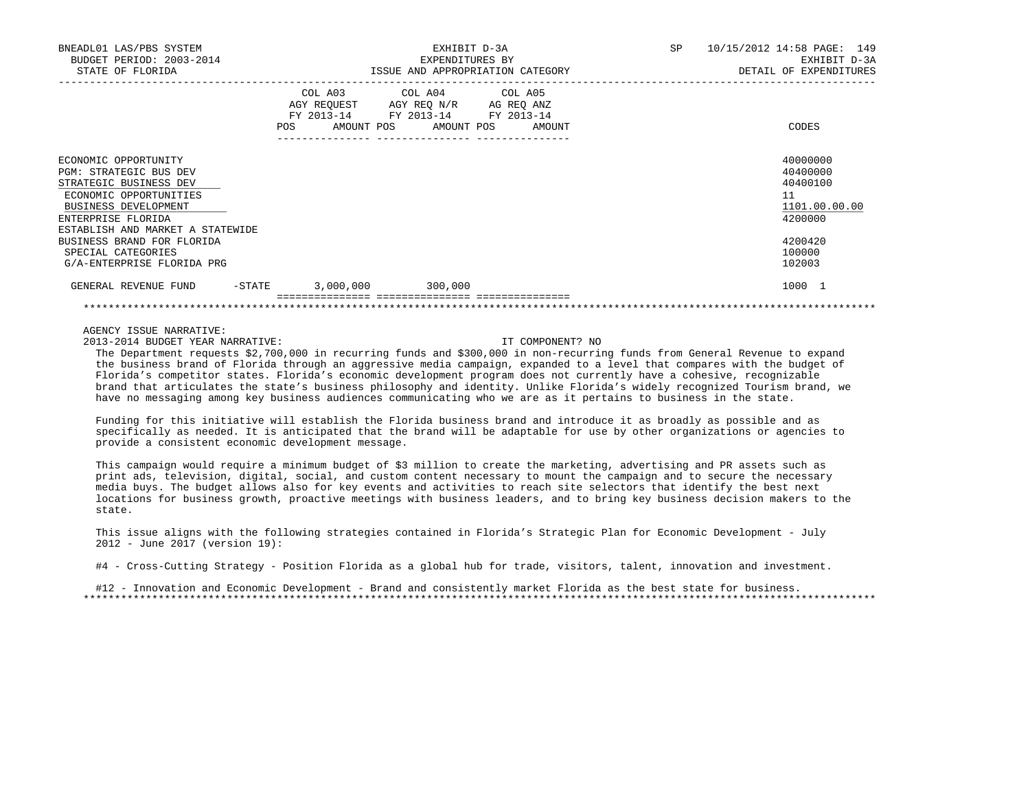| BNEADL01 LAS/PBS SYSTEM<br>BUDGET PERIOD: 2003-2014<br>STATE OF FLORIDA                                                                                                              |                          | EXHIBIT D-3A<br>EXPENDITURES BY<br>ISSUE AND APPROPRIATION CATEGORY                                                    |  |  | 10/15/2012 14:58 PAGE: 149<br>SP<br>EXHIBIT D-3A<br>DETAIL OF EXPENDITURES |
|--------------------------------------------------------------------------------------------------------------------------------------------------------------------------------------|--------------------------|------------------------------------------------------------------------------------------------------------------------|--|--|----------------------------------------------------------------------------|
|                                                                                                                                                                                      | FY 2013-14<br><b>POS</b> | COL A03 COL A04 COL A05<br>AGY REQUEST AGY REQ N/R AG REQ ANZ<br>FY 2013-14 FY 2013-14<br>AMOUNT POS AMOUNT POS AMOUNT |  |  | CODES                                                                      |
| ECONOMIC OPPORTUNITY<br>PGM: STRATEGIC BUS DEV<br>STRATEGIC BUSINESS DEV<br>ECONOMIC OPPORTUNITIES<br>BUSINESS DEVELOPMENT<br>ENTERPRISE FLORIDA<br>ESTABLISH AND MARKET A STATEWIDE |                          |                                                                                                                        |  |  | 40000000<br>40400000<br>40400100<br>11<br>1101.00.00.00<br>4200000         |
| BUSINESS BRAND FOR FLORIDA<br>SPECIAL CATEGORIES<br>G/A-ENTERPRISE FLORIDA PRG                                                                                                       |                          |                                                                                                                        |  |  | 4200420<br>100000<br>102003                                                |
| $-$ STATE<br>GENERAL REVENUE FUND                                                                                                                                                    |                          | $3,000,000$ $300,000$                                                                                                  |  |  | 1000 1                                                                     |
|                                                                                                                                                                                      |                          |                                                                                                                        |  |  |                                                                            |

2013-2014 BUDGET YEAR NARRATIVE: IT COMPONENT? NO

 The Department requests \$2,700,000 in recurring funds and \$300,000 in non-recurring funds from General Revenue to expand the business brand of Florida through an aggressive media campaign, expanded to a level that compares with the budget of Florida's competitor states. Florida's economic development program does not currently have a cohesive, recognizable brand that articulates the state's business philosophy and identity. Unlike Florida's widely recognized Tourism brand, we have no messaging among key business audiences communicating who we are as it pertains to business in the state.

 Funding for this initiative will establish the Florida business brand and introduce it as broadly as possible and as specifically as needed. It is anticipated that the brand will be adaptable for use by other organizations or agencies to provide a consistent economic development message.

 This campaign would require a minimum budget of \$3 million to create the marketing, advertising and PR assets such as print ads, television, digital, social, and custom content necessary to mount the campaign and to secure the necessary media buys. The budget allows also for key events and activities to reach site selectors that identify the best next locations for business growth, proactive meetings with business leaders, and to bring key business decision makers to the state.

 This issue aligns with the following strategies contained in Florida's Strategic Plan for Economic Development - July 2012 - June 2017 (version 19):

#4 - Cross-Cutting Strategy - Position Florida as a global hub for trade, visitors, talent, innovation and investment.

 #12 - Innovation and Economic Development - Brand and consistently market Florida as the best state for business. \*\*\*\*\*\*\*\*\*\*\*\*\*\*\*\*\*\*\*\*\*\*\*\*\*\*\*\*\*\*\*\*\*\*\*\*\*\*\*\*\*\*\*\*\*\*\*\*\*\*\*\*\*\*\*\*\*\*\*\*\*\*\*\*\*\*\*\*\*\*\*\*\*\*\*\*\*\*\*\*\*\*\*\*\*\*\*\*\*\*\*\*\*\*\*\*\*\*\*\*\*\*\*\*\*\*\*\*\*\*\*\*\*\*\*\*\*\*\*\*\*\*\*\*\*\*\*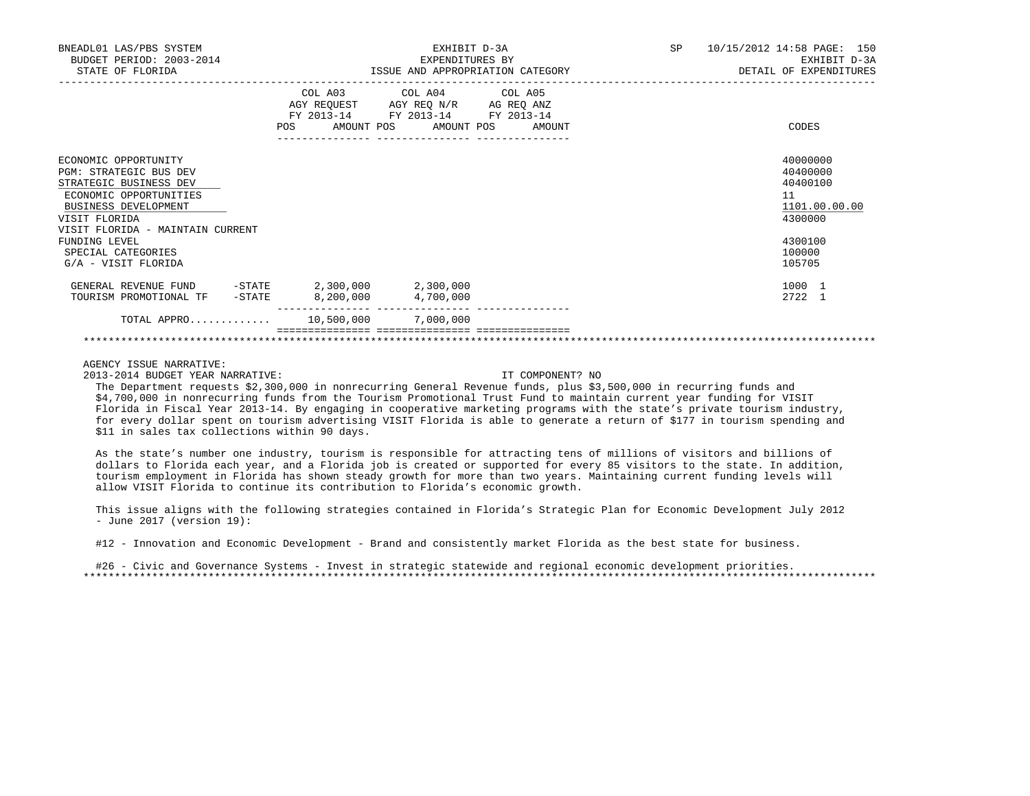| BNEADL01 LAS/PBS SYSTEM<br>BUDGET PERIOD: 2003-2014<br>STATE OF FLORIDA                                                                                                                       |                                                                 | EXHIBIT D-3A<br>EXPENDITURES BY<br>ISSUE AND APPROPRIATION CATEGORY                                                | 10/15/2012 14:58 PAGE: 150<br>SP<br>EXHIBIT D-3A<br>DETAIL OF EXPENDITURES |                                                                    |
|-----------------------------------------------------------------------------------------------------------------------------------------------------------------------------------------------|-----------------------------------------------------------------|--------------------------------------------------------------------------------------------------------------------|----------------------------------------------------------------------------|--------------------------------------------------------------------|
|                                                                                                                                                                                               | COL A03<br>FY 2013-14<br>______________________________________ | COL A04 COL A05<br>AGY REQUEST AGY REQ N/R AG REQ ANZ<br>FY 2013-14 FY 2013-14<br>POS AMOUNT POS AMOUNT POS AMOUNT |                                                                            | CODES                                                              |
| ECONOMIC OPPORTUNITY<br><b>PGM: STRATEGIC BUS DEV</b><br>STRATEGIC BUSINESS DEV<br>ECONOMIC OPPORTUNITIES<br><b>BUSINESS DEVELOPMENT</b><br>VISIT FLORIDA<br>VISIT FLORIDA - MAINTAIN CURRENT |                                                                 |                                                                                                                    |                                                                            | 40000000<br>40400000<br>40400100<br>11<br>1101.00.00.00<br>4300000 |
| FUNDING LEVEL<br>SPECIAL CATEGORIES<br>G/A - VISIT FLORIDA                                                                                                                                    |                                                                 |                                                                                                                    |                                                                            | 4300100<br>100000<br>105705                                        |
| GENERAL REVENUE FUND -STATE 2,300,000 2,300,000<br>TOURISM PROMOTIONAL TF -STATE                                                                                                              | 8,200,000                                                       | 4,700,000                                                                                                          |                                                                            | 1000 1<br>2722 1                                                   |
| TOTAL APPRO 10,500,000 7,000,000                                                                                                                                                              |                                                                 |                                                                                                                    |                                                                            |                                                                    |
|                                                                                                                                                                                               |                                                                 |                                                                                                                    |                                                                            |                                                                    |

2013-2014 BUDGET YEAR NARRATIVE: IT COMPONENT? NO

 The Department requests \$2,300,000 in nonrecurring General Revenue funds, plus \$3,500,000 in recurring funds and \$4,700,000 in nonrecurring funds from the Tourism Promotional Trust Fund to maintain current year funding for VISIT Florida in Fiscal Year 2013-14. By engaging in cooperative marketing programs with the state's private tourism industry, for every dollar spent on tourism advertising VISIT Florida is able to generate a return of \$177 in tourism spending and \$11 in sales tax collections within 90 days.

 As the state's number one industry, tourism is responsible for attracting tens of millions of visitors and billions of dollars to Florida each year, and a Florida job is created or supported for every 85 visitors to the state. In addition, tourism employment in Florida has shown steady growth for more than two years. Maintaining current funding levels will allow VISIT Florida to continue its contribution to Florida's economic growth.

 This issue aligns with the following strategies contained in Florida's Strategic Plan for Economic Development July 2012 - June 2017 (version 19):

#12 - Innovation and Economic Development - Brand and consistently market Florida as the best state for business.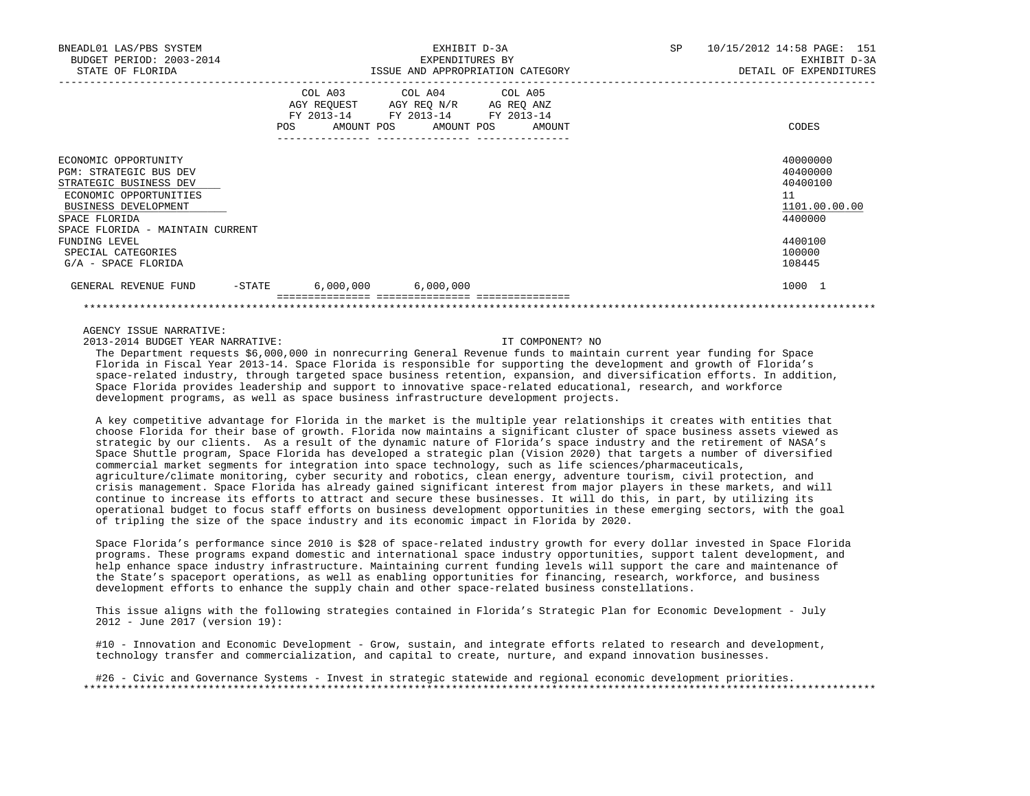| BNEADL01 LAS/PBS SYSTEM<br>BUDGET PERIOD: 2003-2014<br>STATE OF FLORIDA                                                                                                         |                                            | EXHIBIT D-3A<br>EXPENDITURES BY<br>ISSUE AND APPROPRIATION CATEGORY                                          | 10/15/2012 14:58 PAGE: 151<br>SP.<br>EXHIBIT D-3A<br>DETAIL OF EXPENDITURES |
|---------------------------------------------------------------------------------------------------------------------------------------------------------------------------------|--------------------------------------------|--------------------------------------------------------------------------------------------------------------|-----------------------------------------------------------------------------|
|                                                                                                                                                                                 | COL A03<br>FY 2013-14<br>POS<br>AMOUNT POS | COL A04 COL A05<br>AGY REQUEST AGY REQ N/R<br>AG REQ ANZ<br>FY 2013-14<br>FY 2013-14<br>AMOUNT POS<br>AMOUNT | CODES                                                                       |
| ECONOMIC OPPORTUNITY<br>PGM: STRATEGIC BUS DEV<br>STRATEGIC BUSINESS DEV<br>ECONOMIC OPPORTUNITIES<br>BUSINESS DEVELOPMENT<br>SPACE FLORIDA<br>SPACE FLORIDA - MAINTAIN CURRENT |                                            |                                                                                                              | 40000000<br>40400000<br>40400100<br>11<br>1101.00.00.00<br>4400000          |
| FUNDING LEVEL<br>SPECIAL CATEGORIES<br>G/A - SPACE FLORIDA                                                                                                                      |                                            |                                                                                                              | 4400100<br>100000<br>108445                                                 |
| GENERAL REVENUE FUND<br>-STATE                                                                                                                                                  |                                            | $6,000,000$ $6,000,000$                                                                                      | 1000 1                                                                      |
|                                                                                                                                                                                 |                                            |                                                                                                              |                                                                             |

2013-2014 BUDGET YEAR NARRATIVE: IT COMPONENT? NO

 The Department requests \$6,000,000 in nonrecurring General Revenue funds to maintain current year funding for Space Florida in Fiscal Year 2013-14. Space Florida is responsible for supporting the development and growth of Florida's space-related industry, through targeted space business retention, expansion, and diversification efforts. In addition, Space Florida provides leadership and support to innovative space-related educational, research, and workforce development programs, as well as space business infrastructure development projects.

 A key competitive advantage for Florida in the market is the multiple year relationships it creates with entities that choose Florida for their base of growth. Florida now maintains a significant cluster of space business assets viewed as strategic by our clients. As a result of the dynamic nature of Florida's space industry and the retirement of NASA's Space Shuttle program, Space Florida has developed a strategic plan (Vision 2020) that targets a number of diversified commercial market segments for integration into space technology, such as life sciences/pharmaceuticals, agriculture/climate monitoring, cyber security and robotics, clean energy, adventure tourism, civil protection, and crisis management. Space Florida has already gained significant interest from major players in these markets, and will continue to increase its efforts to attract and secure these businesses. It will do this, in part, by utilizing its operational budget to focus staff efforts on business development opportunities in these emerging sectors, with the goal of tripling the size of the space industry and its economic impact in Florida by 2020.

 Space Florida's performance since 2010 is \$28 of space-related industry growth for every dollar invested in Space Florida programs. These programs expand domestic and international space industry opportunities, support talent development, and help enhance space industry infrastructure. Maintaining current funding levels will support the care and maintenance of the State's spaceport operations, as well as enabling opportunities for financing, research, workforce, and business development efforts to enhance the supply chain and other space-related business constellations.

 This issue aligns with the following strategies contained in Florida's Strategic Plan for Economic Development - July 2012 - June 2017 (version 19):

#10 - Innovation and Economic Development - Grow, sustain, and integrate efforts related to research and development, technology transfer and commercialization, and capital to create, nurture, and expand innovation businesses.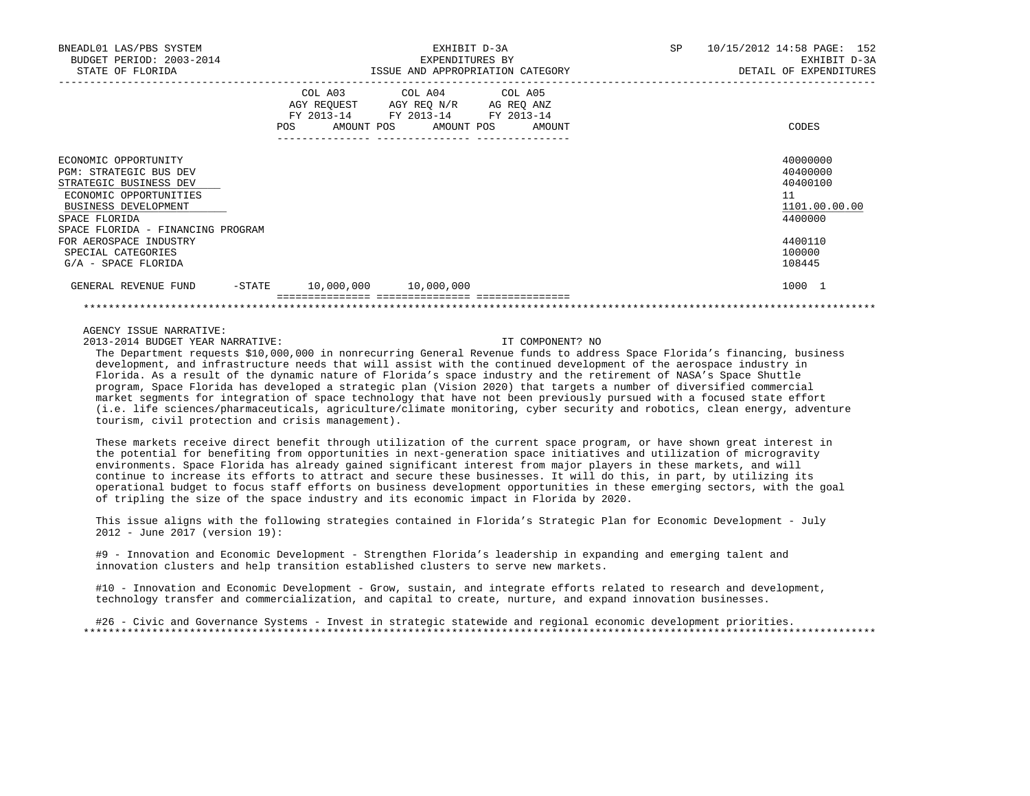| BNEADL01 LAS/PBS SYSTEM<br>BUDGET PERIOD: 2003-2014<br>STATE OF FLORIDA                                                                                                          |                              | EXHIBIT D-3A<br>EXPENDITURES BY<br>ISSUE AND APPROPRIATION CATEGORY                                                     | 10/15/2012 14:58 PAGE: 152<br>SP.<br>EXHIBIT D-3A<br>DETAIL OF EXPENDITURES |
|----------------------------------------------------------------------------------------------------------------------------------------------------------------------------------|------------------------------|-------------------------------------------------------------------------------------------------------------------------|-----------------------------------------------------------------------------|
|                                                                                                                                                                                  | COL A03<br>FY 2013-14<br>POS | COL A04 COL A05<br>AGY REQUEST AGY REQ N/R<br>AG REQ ANZ<br>FY 2013-14<br>FY 2013-14<br>AMOUNT POS AMOUNT POS<br>AMOUNT | CODES                                                                       |
| ECONOMIC OPPORTUNITY<br>PGM: STRATEGIC BUS DEV<br>STRATEGIC BUSINESS DEV<br>ECONOMIC OPPORTUNITIES<br>BUSINESS DEVELOPMENT<br>SPACE FLORIDA<br>SPACE FLORIDA - FINANCING PROGRAM |                              |                                                                                                                         | 40000000<br>40400000<br>40400100<br>11<br>1101.00.00.00<br>4400000          |
| FOR AEROSPACE INDUSTRY<br>SPECIAL CATEGORIES<br>G/A - SPACE FLORIDA                                                                                                              |                              |                                                                                                                         | 4400110<br>100000<br>108445                                                 |
| GENERAL REVENUE FUND<br>-STATE                                                                                                                                                   |                              | 10,000,000 10,000,000                                                                                                   | 1000 1                                                                      |
|                                                                                                                                                                                  |                              |                                                                                                                         |                                                                             |

2013-2014 BUDGET YEAR NARRATIVE: IT COMPONENT? NO

 The Department requests \$10,000,000 in nonrecurring General Revenue funds to address Space Florida's financing, business development, and infrastructure needs that will assist with the continued development of the aerospace industry in Florida. As a result of the dynamic nature of Florida's space industry and the retirement of NASA's Space Shuttle program, Space Florida has developed a strategic plan (Vision 2020) that targets a number of diversified commercial market segments for integration of space technology that have not been previously pursued with a focused state effort (i.e. life sciences/pharmaceuticals, agriculture/climate monitoring, cyber security and robotics, clean energy, adventure tourism, civil protection and crisis management).

 These markets receive direct benefit through utilization of the current space program, or have shown great interest in the potential for benefiting from opportunities in next-generation space initiatives and utilization of microgravity environments. Space Florida has already gained significant interest from major players in these markets, and will continue to increase its efforts to attract and secure these businesses. It will do this, in part, by utilizing its operational budget to focus staff efforts on business development opportunities in these emerging sectors, with the goal of tripling the size of the space industry and its economic impact in Florida by 2020.

 This issue aligns with the following strategies contained in Florida's Strategic Plan for Economic Development - July 2012 - June 2017 (version 19):

 #9 - Innovation and Economic Development - Strengthen Florida's leadership in expanding and emerging talent and innovation clusters and help transition established clusters to serve new markets.

 #10 - Innovation and Economic Development - Grow, sustain, and integrate efforts related to research and development, technology transfer and commercialization, and capital to create, nurture, and expand innovation businesses.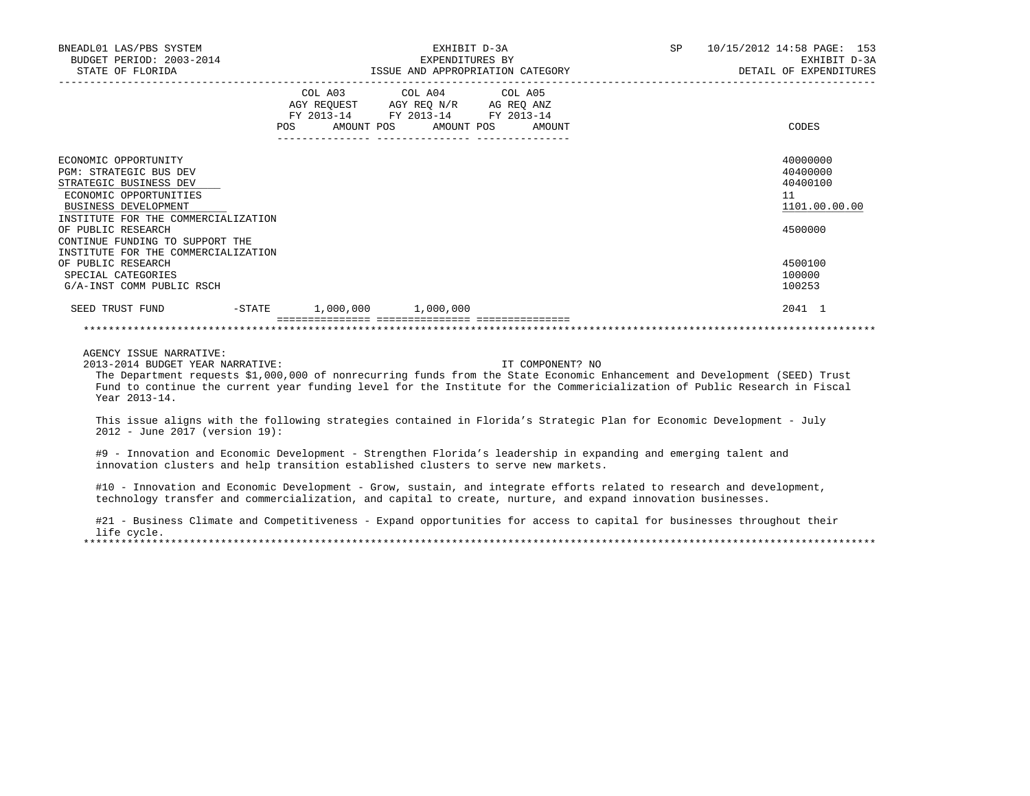| BNEADL01 LAS/PBS SYSTEM<br>BUDGET PERIOD: 2003-2014                                                                                                                                                                                                                                                                                     | EXHIBIT D-3A                                                                                                                                                                                                                                                                                                                                                                                                                                                                                        |                  | EXPENDITURES BY<br>ISSUE AND APPROPRIATION CATEGORY | SP 10/15/2012 14:58 PAGE: 153<br>EXHIBIT D-3A<br>DETAIL OF EXPENDITURES |
|-----------------------------------------------------------------------------------------------------------------------------------------------------------------------------------------------------------------------------------------------------------------------------------------------------------------------------------------|-----------------------------------------------------------------------------------------------------------------------------------------------------------------------------------------------------------------------------------------------------------------------------------------------------------------------------------------------------------------------------------------------------------------------------------------------------------------------------------------------------|------------------|-----------------------------------------------------|-------------------------------------------------------------------------|
|                                                                                                                                                                                                                                                                                                                                         | COL A03 COL A04 COL A05<br>$\begin{array}{ccccccccc}\n\text{AGY REQUEST} & & & \text{CUT} & \text{CUT} & & \text{CUT} & \text{CUT} & \text{CUT} & \text{CUT} & \text{CUT} & \text{CUT} & \text{CUT} & \text{CUT} & \text{CUT} & \text{CUT} & \text{CUT} & \text{CUT} & \text{CUT} & \text{CUT} & \text{CUT} & \text{CUT} & \text{CUT} & \text{CUT} & \text{CUT} & \text{CUT} & \text{CUT} & \text{CUT} & \text{CUT} & \text{CUT} & \text{CUT} & \text{CUT} & \$<br>POS AMOUNT POS AMOUNT POS AMOUNT |                  |                                                     | CODES                                                                   |
| ECONOMIC OPPORTUNITY<br>PGM: STRATEGIC BUS DEV<br>STRATEGIC BUSINESS DEV<br>ECONOMIC OPPORTUNITIES<br>BUSINESS DEVELOPMENT<br>INSTITUTE FOR THE COMMERCIALIZATION<br>OF PUBLIC RESEARCH<br>CONTINUE FUNDING TO SUPPORT THE<br>INSTITUTE FOR THE COMMERCIALIZATION                                                                       |                                                                                                                                                                                                                                                                                                                                                                                                                                                                                                     |                  |                                                     | 40000000<br>40400000<br>40400100<br>11<br>1101.00.00.00<br>4500000      |
| OF PUBLIC RESEARCH<br>SPECIAL CATEGORIES<br>G/A-INST COMM PUBLIC RSCH                                                                                                                                                                                                                                                                   |                                                                                                                                                                                                                                                                                                                                                                                                                                                                                                     |                  |                                                     | 4500100<br>100000<br>100253                                             |
| SEED TRUST FUND -STATE 1,000,000 1,000,000                                                                                                                                                                                                                                                                                              |                                                                                                                                                                                                                                                                                                                                                                                                                                                                                                     |                  |                                                     | 2041 1                                                                  |
| AGENCY ISSUE NARRATIVE:<br>2013-2014 BUDGET YEAR NARRATIVE:<br>The Department requests \$1,000,000 of nonrecurring funds from the State Economic Enhancement and Development (SEED) Trust<br>Fund to continue the current year funding level for the Institute for the Commericialization of Public Research in Fiscal<br>Year 2013-14. |                                                                                                                                                                                                                                                                                                                                                                                                                                                                                                     | IT COMPONENT? NO |                                                     |                                                                         |
| This issue aligns with the following strategies contained in Florida's Strategic Plan for Economic Development - July<br>2012 - June 2017 (version 19):                                                                                                                                                                                 |                                                                                                                                                                                                                                                                                                                                                                                                                                                                                                     |                  |                                                     |                                                                         |
| #9 - Innovation and Economic Development - Strengthen Florida's leadership in expanding and emerging talent and<br>innovation clusters and help transition established clusters to serve new markets.                                                                                                                                   |                                                                                                                                                                                                                                                                                                                                                                                                                                                                                                     |                  |                                                     |                                                                         |
| #10 - Innovation and Economic Development - Grow, sustain, and integrate efforts related to research and development,<br>technology transfer and commercialization, and capital to create, nurture, and expand innovation businesses.                                                                                                   |                                                                                                                                                                                                                                                                                                                                                                                                                                                                                                     |                  |                                                     |                                                                         |

#21 - Business Climate and Competitiveness - Expand opportunities for access to capital for businesses throughout their life cycle. \*\*\*\*\*\*\*\*\*\*\*\*\*\*\*\*\*\*\*\*\*\*\*\*\*\*\*\*\*\*\*\*\*\*\*\*\*\*\*\*\*\*\*\*\*\*\*\*\*\*\*\*\*\*\*\*\*\*\*\*\*\*\*\*\*\*\*\*\*\*\*\*\*\*\*\*\*\*\*\*\*\*\*\*\*\*\*\*\*\*\*\*\*\*\*\*\*\*\*\*\*\*\*\*\*\*\*\*\*\*\*\*\*\*\*\*\*\*\*\*\*\*\*\*\*\*\*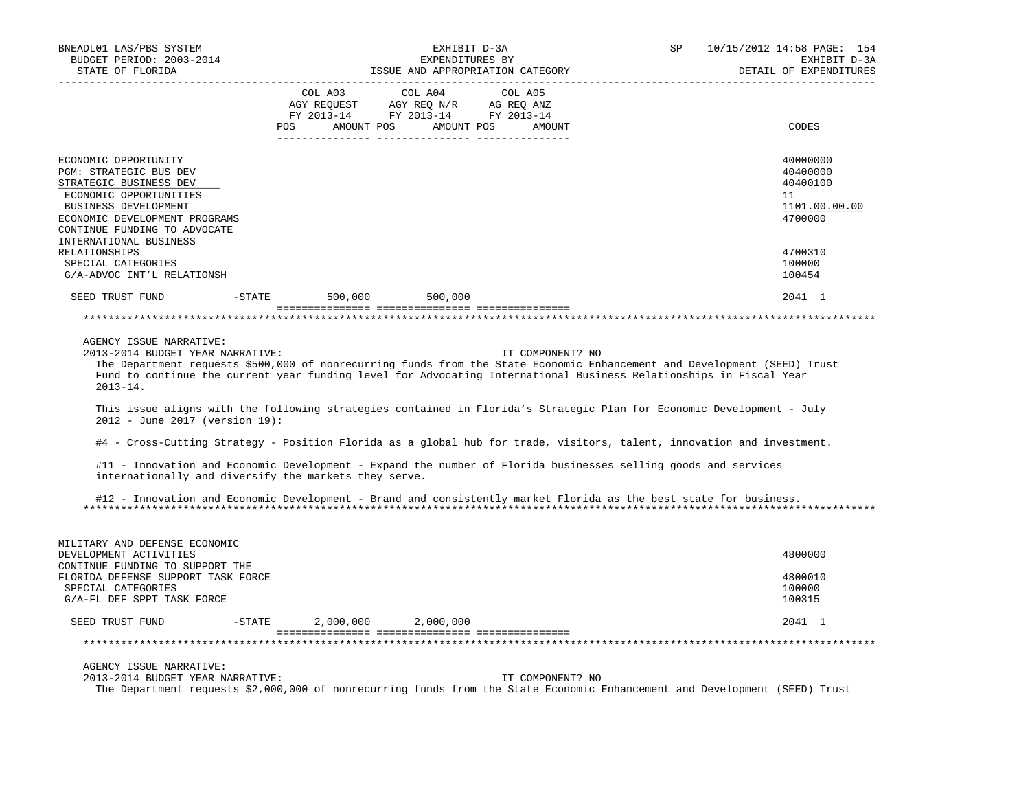| BNEADL01 LAS/PBS SYSTEM<br>BUDGET PERIOD: 2003-2014<br>STATE OF FLORIDA                                                                                                                                                                                                                                                                                                                                                                                                                      |          | EXHIBIT D-3A<br>EXPENDITURES BY<br>ISSUE AND APPROPRIATION CATEGORY |                                                                                                                       |                            |                  | SP | 10/15/2012 14:58 PAGE: 154<br>EXHIBIT D-3A<br>DETAIL OF EXPENDITURES |
|----------------------------------------------------------------------------------------------------------------------------------------------------------------------------------------------------------------------------------------------------------------------------------------------------------------------------------------------------------------------------------------------------------------------------------------------------------------------------------------------|----------|---------------------------------------------------------------------|-----------------------------------------------------------------------------------------------------------------------|----------------------------|------------------|----|----------------------------------------------------------------------|
|                                                                                                                                                                                                                                                                                                                                                                                                                                                                                              |          | COL A03                                                             | COL A04<br>AGY REQUEST AGY REQ N/R AG REQ ANZ<br>FY 2013-14 FY 2013-14 FY 2013-14<br>POS AMOUNT POS AMOUNT POS AMOUNT | COL A05<br>_________ _____ |                  |    | CODES                                                                |
| ECONOMIC OPPORTUNITY<br>PGM: STRATEGIC BUS DEV<br>STRATEGIC BUSINESS DEV<br>ECONOMIC OPPORTUNITIES<br>BUSINESS DEVELOPMENT<br>ECONOMIC DEVELOPMENT PROGRAMS<br>CONTINUE FUNDING TO ADVOCATE<br>INTERNATIONAL BUSINESS                                                                                                                                                                                                                                                                        |          |                                                                     |                                                                                                                       |                            |                  |    | 40000000<br>40400000<br>40400100<br>11<br>1101.00.00.00<br>4700000   |
| RELATIONSHIPS<br>SPECIAL CATEGORIES<br>G/A-ADVOC INT'L RELATIONSH                                                                                                                                                                                                                                                                                                                                                                                                                            |          |                                                                     |                                                                                                                       |                            |                  |    | 4700310<br>100000<br>100454                                          |
| SEED TRUST FUND                                                                                                                                                                                                                                                                                                                                                                                                                                                                              |          |                                                                     | -STATE 500,000 500,000                                                                                                |                            |                  |    | 2041 1                                                               |
|                                                                                                                                                                                                                                                                                                                                                                                                                                                                                              |          |                                                                     |                                                                                                                       |                            |                  |    |                                                                      |
| AGENCY ISSUE NARRATIVE:<br>2013-2014 BUDGET YEAR NARRATIVE:<br>The Department requests \$500,000 of nonrecurring funds from the State Economic Enhancement and Development (SEED) Trust<br>Fund to continue the current year funding level for Advocating International Business Relationships in Fiscal Year<br>$2013 - 14$ .<br>This issue aligns with the following strategies contained in Florida's Strategic Plan for Economic Development - July<br>$2012 - June 2017 (version 19)$ : |          |                                                                     |                                                                                                                       |                            | IT COMPONENT? NO |    |                                                                      |
| #4 - Cross-Cutting Strategy - Position Florida as a global hub for trade, visitors, talent, innovation and investment.                                                                                                                                                                                                                                                                                                                                                                       |          |                                                                     |                                                                                                                       |                            |                  |    |                                                                      |
| #11 - Innovation and Economic Development - Expand the number of Florida businesses selling goods and services<br>internationally and diversify the markets they serve.                                                                                                                                                                                                                                                                                                                      |          |                                                                     |                                                                                                                       |                            |                  |    |                                                                      |
| #12 - Innovation and Economic Development - Brand and consistently market Florida as the best state for business.                                                                                                                                                                                                                                                                                                                                                                            |          |                                                                     |                                                                                                                       |                            |                  |    |                                                                      |
| MILITARY AND DEFENSE ECONOMIC<br>DEVELOPMENT ACTIVITIES<br>CONTINUE FUNDING TO SUPPORT THE<br>FLORIDA DEFENSE SUPPORT TASK FORCE<br>SPECIAL CATEGORIES<br>G/A-FL DEF SPPT TASK FORCE                                                                                                                                                                                                                                                                                                         |          |                                                                     |                                                                                                                       |                            |                  |    | 4800000<br>4800010<br>100000<br>100315                               |
| SEED TRUST FUND                                                                                                                                                                                                                                                                                                                                                                                                                                                                              | $-STATE$ |                                                                     | 2,000,000 2,000,000                                                                                                   |                            |                  |    | 2041 1                                                               |
|                                                                                                                                                                                                                                                                                                                                                                                                                                                                                              |          |                                                                     |                                                                                                                       |                            |                  |    |                                                                      |
| AGENCY ISSUE NARRATIVE:<br>2013-2014 BUDGET YEAR NARRATIVE:<br>The Department requests \$2,000,000 of nonrecurring funds from the State Economic Enhancement and Development (SEED) Trust                                                                                                                                                                                                                                                                                                    |          |                                                                     |                                                                                                                       |                            | IT COMPONENT? NO |    |                                                                      |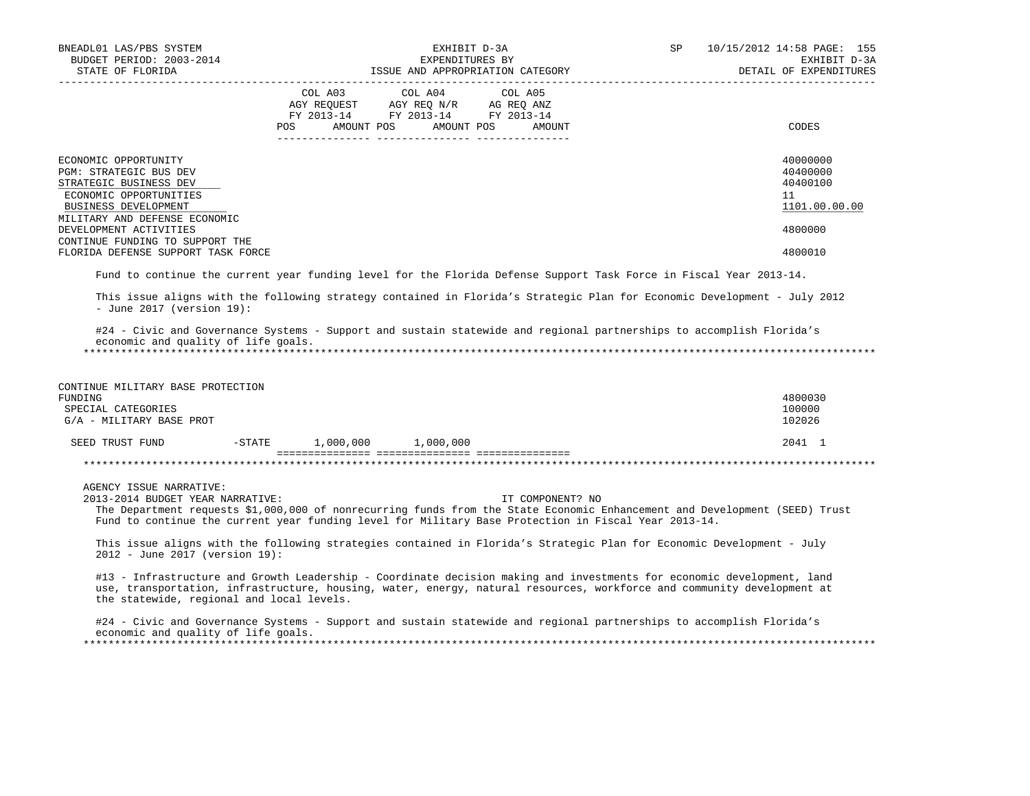| BNEADL01 LAS/PBS SYSTEM<br>BUDGET PERIOD: 2003-2014<br>STATE OF FLORIDA<br>-------------------                             | EXHIBIT D-3A<br>EXPENDITURES BY<br>ISSUE AND APPROPRIATION CATEGORY                                                                                                                                                                                    | <b>SP</b><br>10/15/2012 14:58 PAGE: 155<br>EXHIBIT D-3A<br>DETAIL OF EXPENDITURES |
|----------------------------------------------------------------------------------------------------------------------------|--------------------------------------------------------------------------------------------------------------------------------------------------------------------------------------------------------------------------------------------------------|-----------------------------------------------------------------------------------|
|                                                                                                                            | COL A03<br>COL A04<br>COL A05<br>AGY REQUEST AGY REQ N/R AG REQ ANZ<br>FY 2013-14 FY 2013-14 FY 2013-14<br>AMOUNT POS<br>AMOUNT POS<br><b>POS</b><br>AMOUNT                                                                                            | CODES                                                                             |
|                                                                                                                            |                                                                                                                                                                                                                                                        |                                                                                   |
| ECONOMIC OPPORTUNITY<br>PGM: STRATEGIC BUS DEV<br>STRATEGIC BUSINESS DEV<br>ECONOMIC OPPORTUNITIES<br>BUSINESS DEVELOPMENT |                                                                                                                                                                                                                                                        | 40000000<br>40400000<br>40400100<br>11<br>1101.00.00.00                           |
| MILITARY AND DEFENSE ECONOMIC<br>DEVELOPMENT ACTIVITIES<br>CONTINUE FUNDING TO SUPPORT THE                                 |                                                                                                                                                                                                                                                        | 4800000                                                                           |
| FLORIDA DEFENSE SUPPORT TASK FORCE                                                                                         |                                                                                                                                                                                                                                                        | 4800010                                                                           |
|                                                                                                                            | Fund to continue the current year funding level for the Florida Defense Support Task Force in Fiscal Year 2013-14.                                                                                                                                     |                                                                                   |
| - June 2017 (version $19$ ):                                                                                               | This issue aligns with the following strategy contained in Florida's Strategic Plan for Economic Development - July 2012                                                                                                                               |                                                                                   |
| economic and quality of life goals.                                                                                        | #24 - Civic and Governance Systems - Support and sustain statewide and regional partnerships to accomplish Florida's                                                                                                                                   |                                                                                   |
| CONTINUE MILITARY BASE PROTECTION<br>FUNDING                                                                               |                                                                                                                                                                                                                                                        | 4800030                                                                           |
| SPECIAL CATEGORIES<br>G/A - MILITARY BASE PROT                                                                             |                                                                                                                                                                                                                                                        | 100000<br>102026                                                                  |
| SEED TRUST FUND<br>$-$ STATE                                                                                               | 1,000,000 1,000,000                                                                                                                                                                                                                                    | 2041 1                                                                            |
|                                                                                                                            |                                                                                                                                                                                                                                                        |                                                                                   |
| AGENCY ISSUE NARRATIVE:<br>2013-2014 BUDGET YEAR NARRATIVE:                                                                | IT COMPONENT? NO<br>The Department requests \$1,000,000 of nonrecurring funds from the State Economic Enhancement and Development (SEED) Trust<br>Fund to continue the current year funding level for Military Base Protection in Fiscal Year 2013-14. |                                                                                   |
| 2012 - June 2017 (version 19):                                                                                             | This issue aligns with the following strategies contained in Florida's Strategic Plan for Economic Development - July                                                                                                                                  |                                                                                   |
| the statewide, regional and local levels.                                                                                  | #13 - Infrastructure and Growth Leadership - Coordinate decision making and investments for economic development, land<br>use, transportation, infrastructure, housing, water, energy, natural resources, workforce and community development at       |                                                                                   |
| economic and quality of life goals.                                                                                        | #24 - Civic and Governance Systems - Support and sustain statewide and regional partnerships to accomplish Florida's                                                                                                                                   |                                                                                   |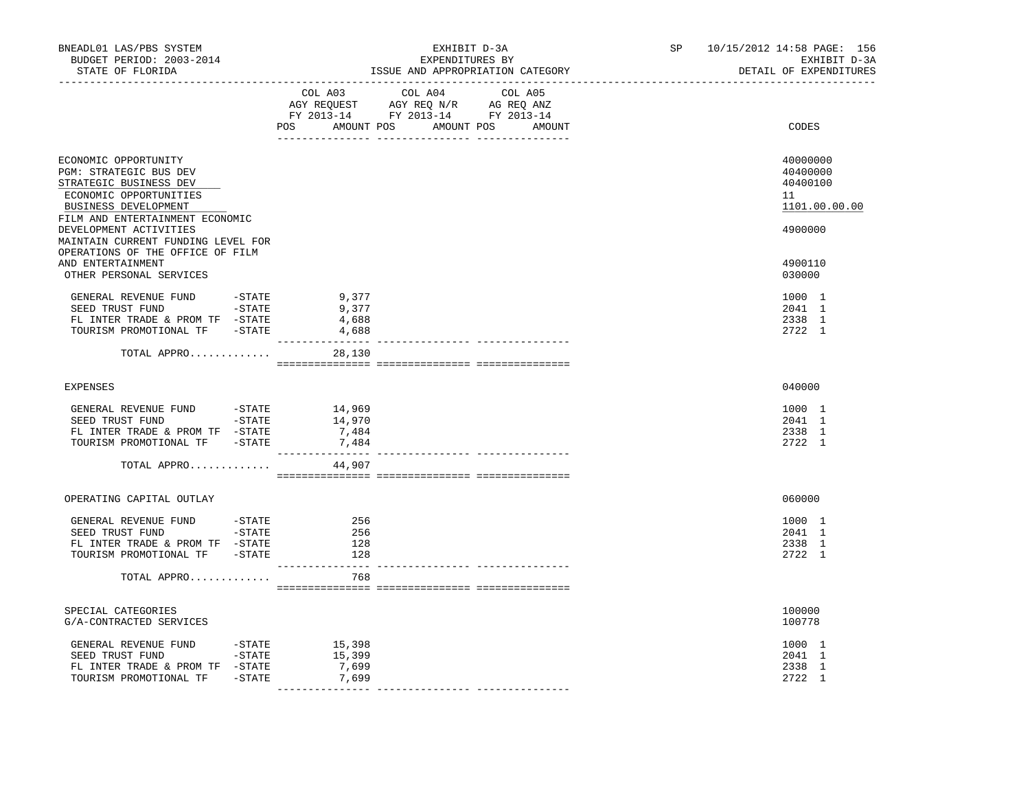| BNEADL01 LAS/PBS SYSTEM<br>BUDGET PERIOD: 2003-2014<br>STATE OF FLORIDA                                                                                       |                        | EXHIBIT D-3A<br>EXPENDITURES BY<br>ISSUE AND APPROPRIATION CATEGORY |                                                                                                                |                   |  | SP<br>10/15/2012 14:58 PAGE: 156<br>EXHIBIT D-3A<br>DETAIL OF EXPENDITURES |
|---------------------------------------------------------------------------------------------------------------------------------------------------------------|------------------------|---------------------------------------------------------------------|----------------------------------------------------------------------------------------------------------------|-------------------|--|----------------------------------------------------------------------------|
|                                                                                                                                                               |                        | COL A03                                                             | COL A04<br>AGY REQUEST AGY REQ N/R AG REQ ANZ<br>FY 2013-14 FY 2013-14 FY 2013-14<br>POS AMOUNT POS AMOUNT POS | COL A05<br>AMOUNT |  | CODES                                                                      |
| ECONOMIC OPPORTUNITY<br>PGM: STRATEGIC BUS DEV<br>STRATEGIC BUSINESS DEV<br>ECONOMIC OPPORTUNITIES<br>BUSINESS DEVELOPMENT<br>FILM AND ENTERTAINMENT ECONOMIC |                        |                                                                     |                                                                                                                |                   |  | 40000000<br>40400000<br>40400100<br>11<br>1101.00.00.00                    |
| DEVELOPMENT ACTIVITIES<br>MAINTAIN CURRENT FUNDING LEVEL FOR<br>OPERATIONS OF THE OFFICE OF FILM<br>AND ENTERTAINMENT<br>OTHER PERSONAL SERVICES              |                        |                                                                     |                                                                                                                |                   |  | 4900000<br>4900110<br>030000                                               |
| GENERAL REVENUE FUND - STATE<br>SEED TRUST FUND -STATE<br>FL INTER TRADE & PROM TF -STATE<br>TOURISM PROMOTIONAL TF -STATE                                    |                        | 9,377<br>9,377<br>4,688<br>4,688<br>_______________                 |                                                                                                                |                   |  | 1000 1<br>2041 1<br>2338 1<br>2722 1                                       |
| TOTAL APPRO                                                                                                                                                   |                        | 28,130                                                              |                                                                                                                |                   |  |                                                                            |
| EXPENSES                                                                                                                                                      |                        |                                                                     |                                                                                                                |                   |  | 040000                                                                     |
| GENERAL REVENUE FUND -STATE<br>SEED TRUST FUND -STATE<br>FL INTER TRADE & PROM TF -STATE<br>TOURISM PROMOTIONAL TF -STATE                                     |                        | 14,969<br>14,970<br>7,484<br>7,484                                  |                                                                                                                |                   |  | 1000 1<br>2041 1<br>2338 1<br>2722 1                                       |
| TOTAL APPRO                                                                                                                                                   |                        | 44,907                                                              |                                                                                                                |                   |  |                                                                            |
| OPERATING CAPITAL OUTLAY                                                                                                                                      |                        |                                                                     |                                                                                                                |                   |  | 060000                                                                     |
| GENERAL REVENUE FUND<br>SEED TRUST FUND -STATE<br>FL INTER TRADE & PROM TF -STATE<br>TOURISM PROMOTIONAL TF -STATE                                            | $-STATE$               | 256<br>256<br>128<br>128<br>---------------                         |                                                                                                                |                   |  | 1000 1<br>2041 1<br>2338 1<br>2722 1                                       |
| TOTAL APPRO                                                                                                                                                   |                        | 768                                                                 |                                                                                                                |                   |  |                                                                            |
| SPECIAL CATEGORIES<br>G/A-CONTRACTED SERVICES                                                                                                                 |                        |                                                                     |                                                                                                                |                   |  | 100000<br>100778                                                           |
| GENERAL REVENUE FUND<br>SEED TRUST FUND -STATE<br>FL INTER TRADE & PROM TF -STATE<br>TOURISM PROMOTIONAL TF                                                   | $-$ STATE<br>$-$ STATE | 15,398<br>15,399<br>7,699<br>7,699                                  |                                                                                                                |                   |  | 1000 1<br>2041 1<br>2338 1<br>2722 1                                       |
|                                                                                                                                                               |                        |                                                                     |                                                                                                                |                   |  |                                                                            |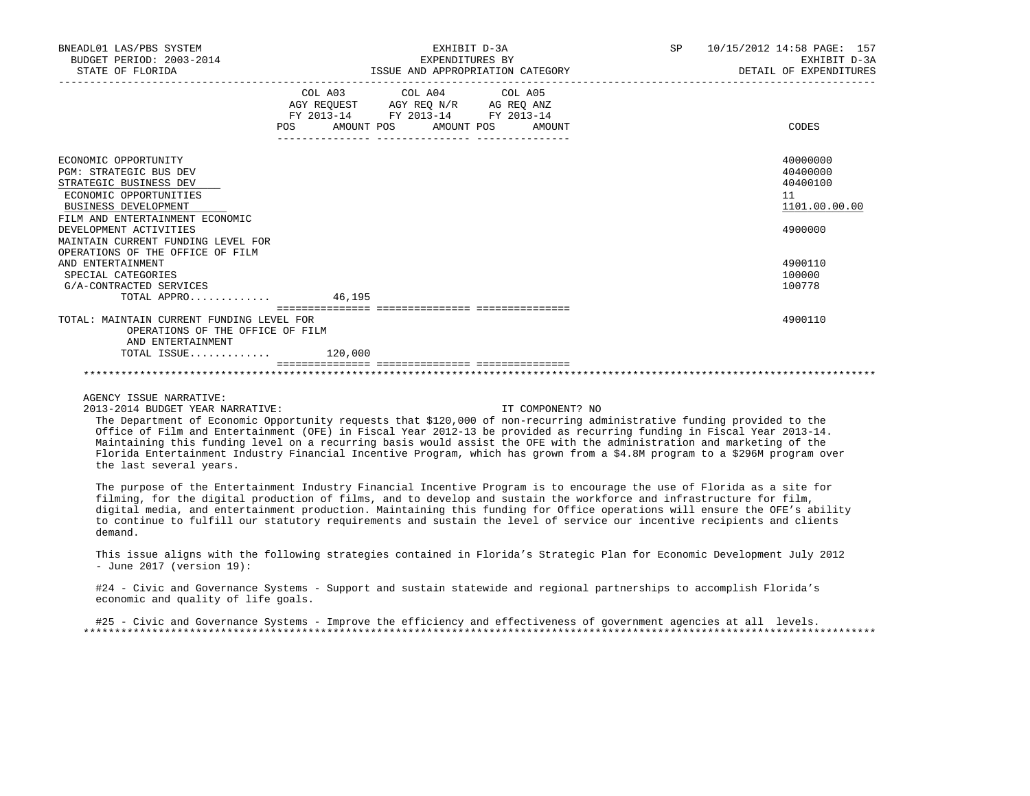| BNEADL01 LAS/PBS SYSTEM<br>BUDGET PERIOD: 2003-2014<br>STATE OF FLORIDA |                                   | EXHIBIT D-3A<br>EXPENDITURES BY<br>ISSUE AND APPROPRIATION CATEGORY                                                                                                                                                                                                                                                                                                                                                                                 | SP <sub>2</sub><br>10/15/2012 14:58 PAGE: 157<br>EXHIBIT D-3A<br>DETAIL OF EXPENDITURES |                  |  |
|-------------------------------------------------------------------------|-----------------------------------|-----------------------------------------------------------------------------------------------------------------------------------------------------------------------------------------------------------------------------------------------------------------------------------------------------------------------------------------------------------------------------------------------------------------------------------------------------|-----------------------------------------------------------------------------------------|------------------|--|
|                                                                         |                                   | COL A03 COL A04 COL A05                                                                                                                                                                                                                                                                                                                                                                                                                             |                                                                                         |                  |  |
|                                                                         |                                   | $\begin{tabular}{lllllll} \bf AGY \,\, & & & & & & & \\ \bf AGY \,\, & & & & & & \\ \bf FY \,\, & & & & & \\ \bf FY \,\, & & & & & \\ \bf PY \,\, & & & & & \\ \bf ZQ \, & & & & & \\ \bf ZQ \, & & & & & \\ \bf ZQ \, & & & & & \\ \bf ZQ \, & & & & & \\ \bf ZQ \, & & & & & \\ \bf ZQ \, & & & & & \\ \bf ZQ \, & & & & & \\ \bf ZQ \, & & & & & \\ \bf ZQ \, & & & & & \\ \bf ZQ \, & & & & & \\ \bf ZQ \, & & & & & \\ \bf ZQ \, & & & & & \\$ |                                                                                         |                  |  |
|                                                                         |                                   | POS AMOUNT POS AMOUNT POS AMOUNT                                                                                                                                                                                                                                                                                                                                                                                                                    |                                                                                         | CODES            |  |
|                                                                         |                                   |                                                                                                                                                                                                                                                                                                                                                                                                                                                     |                                                                                         |                  |  |
| ECONOMIC OPPORTUNITY                                                    |                                   |                                                                                                                                                                                                                                                                                                                                                                                                                                                     |                                                                                         | 40000000         |  |
| <b>PGM: STRATEGIC BUS DEV</b>                                           |                                   |                                                                                                                                                                                                                                                                                                                                                                                                                                                     |                                                                                         | 40400000         |  |
| STRATEGIC BUSINESS DEV                                                  |                                   |                                                                                                                                                                                                                                                                                                                                                                                                                                                     |                                                                                         | 40400100         |  |
| ECONOMIC OPPORTUNITIES                                                  |                                   |                                                                                                                                                                                                                                                                                                                                                                                                                                                     |                                                                                         | 11               |  |
| <b>BUSINESS DEVELOPMENT</b>                                             |                                   |                                                                                                                                                                                                                                                                                                                                                                                                                                                     |                                                                                         | 1101.00.00.00    |  |
| FILM AND ENTERTAINMENT ECONOMIC                                         |                                   |                                                                                                                                                                                                                                                                                                                                                                                                                                                     |                                                                                         |                  |  |
| DEVELOPMENT ACTIVITIES                                                  |                                   |                                                                                                                                                                                                                                                                                                                                                                                                                                                     |                                                                                         | 4900000          |  |
| MAINTAIN CURRENT FUNDING LEVEL FOR                                      |                                   |                                                                                                                                                                                                                                                                                                                                                                                                                                                     |                                                                                         |                  |  |
| OPERATIONS OF THE OFFICE OF FILM                                        |                                   |                                                                                                                                                                                                                                                                                                                                                                                                                                                     |                                                                                         |                  |  |
| AND ENTERTAINMENT                                                       |                                   |                                                                                                                                                                                                                                                                                                                                                                                                                                                     |                                                                                         | 4900110          |  |
| SPECIAL CATEGORIES<br>G/A-CONTRACTED SERVICES                           |                                   |                                                                                                                                                                                                                                                                                                                                                                                                                                                     |                                                                                         | 100000<br>100778 |  |
| $TOTAL$ APPRO 46,195                                                    |                                   |                                                                                                                                                                                                                                                                                                                                                                                                                                                     |                                                                                         |                  |  |
|                                                                         | ---------------- ---------------- |                                                                                                                                                                                                                                                                                                                                                                                                                                                     |                                                                                         |                  |  |
| TOTAL: MAINTAIN CURRENT FUNDING LEVEL FOR                               |                                   |                                                                                                                                                                                                                                                                                                                                                                                                                                                     |                                                                                         | 4900110          |  |
| OPERATIONS OF THE OFFICE OF FILM                                        |                                   |                                                                                                                                                                                                                                                                                                                                                                                                                                                     |                                                                                         |                  |  |
| AND ENTERTAINMENT                                                       |                                   |                                                                                                                                                                                                                                                                                                                                                                                                                                                     |                                                                                         |                  |  |
| $\texttt{TOTAL}$ ISSUE 120,000                                          |                                   |                                                                                                                                                                                                                                                                                                                                                                                                                                                     |                                                                                         |                  |  |
|                                                                         |                                   |                                                                                                                                                                                                                                                                                                                                                                                                                                                     |                                                                                         |                  |  |

2013-2014 BUDGET YEAR NARRATIVE: IT COMPONENT? NO

 The Department of Economic Opportunity requests that \$120,000 of non-recurring administrative funding provided to the Office of Film and Entertainment (OFE) in Fiscal Year 2012-13 be provided as recurring funding in Fiscal Year 2013-14. Maintaining this funding level on a recurring basis would assist the OFE with the administration and marketing of the Florida Entertainment Industry Financial Incentive Program, which has grown from a \$4.8M program to a \$296M program over the last several years.

 The purpose of the Entertainment Industry Financial Incentive Program is to encourage the use of Florida as a site for filming, for the digital production of films, and to develop and sustain the workforce and infrastructure for film, digital media, and entertainment production. Maintaining this funding for Office operations will ensure the OFE's ability to continue to fulfill our statutory requirements and sustain the level of service our incentive recipients and clients demand.

 This issue aligns with the following strategies contained in Florida's Strategic Plan for Economic Development July 2012 - June 2017 (version 19):

 #24 - Civic and Governance Systems - Support and sustain statewide and regional partnerships to accomplish Florida's economic and quality of life goals.

#25 - Civic and Governance Systems - Improve the efficiency and effectiveness of government agencies at all levels. \*\*\*\*\*\*\*\*\*\*\*\*\*\*\*\*\*\*\*\*\*\*\*\*\*\*\*\*\*\*\*\*\*\*\*\*\*\*\*\*\*\*\*\*\*\*\*\*\*\*\*\*\*\*\*\*\*\*\*\*\*\*\*\*\*\*\*\*\*\*\*\*\*\*\*\*\*\*\*\*\*\*\*\*\*\*\*\*\*\*\*\*\*\*\*\*\*\*\*\*\*\*\*\*\*\*\*\*\*\*\*\*\*\*\*\*\*\*\*\*\*\*\*\*\*\*\*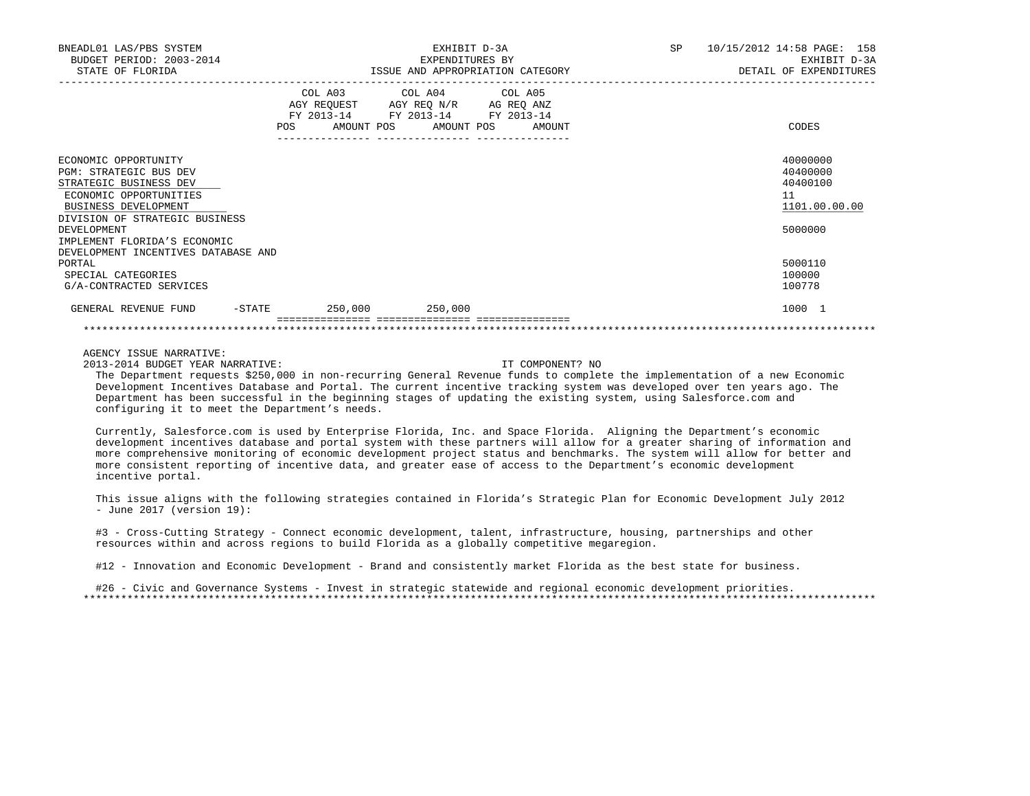| BNEADL01 LAS/PBS SYSTEM<br>BUDGET PERIOD: 2003-2014<br>STATE OF FLORIDA | EXHIBIT D-3A<br>EXPENDITURES BY<br>ISSUE AND APPROPRIATION CATEGORY |                                                                                                                            |  |  |        | SP<br>10/15/2012 14:58 PAGE: 158<br>EXHIBIT D-3A<br>DETAIL OF EXPENDITURES |  |                   |
|-------------------------------------------------------------------------|---------------------------------------------------------------------|----------------------------------------------------------------------------------------------------------------------------|--|--|--------|----------------------------------------------------------------------------|--|-------------------|
|                                                                         | POS                                                                 | COL A03 COL A04 COL A05<br>AGY REQUEST AGY REQ N/R AG REQ ANZ<br>FY 2013-14 FY 2013-14 FY 2013-14<br>AMOUNT POS AMOUNT POS |  |  | AMOUNT |                                                                            |  | CODES             |
| ECONOMIC OPPORTUNITY                                                    |                                                                     |                                                                                                                            |  |  |        |                                                                            |  | 40000000          |
| <b>PGM: STRATEGIC BUS DEV</b>                                           |                                                                     |                                                                                                                            |  |  |        |                                                                            |  | 40400000          |
| STRATEGIC BUSINESS DEV                                                  |                                                                     |                                                                                                                            |  |  |        |                                                                            |  | 40400100          |
| ECONOMIC OPPORTUNITIES                                                  |                                                                     |                                                                                                                            |  |  |        |                                                                            |  | 11                |
| BUSINESS DEVELOPMENT                                                    |                                                                     |                                                                                                                            |  |  |        |                                                                            |  | 1101.00.00.00     |
| DIVISION OF STRATEGIC BUSINESS                                          |                                                                     |                                                                                                                            |  |  |        |                                                                            |  |                   |
| DEVELOPMENT                                                             |                                                                     |                                                                                                                            |  |  |        |                                                                            |  | 5000000           |
| IMPLEMENT FLORIDA'S ECONOMIC                                            |                                                                     |                                                                                                                            |  |  |        |                                                                            |  |                   |
| DEVELOPMENT INCENTIVES DATABASE AND                                     |                                                                     |                                                                                                                            |  |  |        |                                                                            |  |                   |
| PORTAL<br>SPECIAL CATEGORIES                                            |                                                                     |                                                                                                                            |  |  |        |                                                                            |  | 5000110<br>100000 |
| G/A-CONTRACTED SERVICES                                                 |                                                                     |                                                                                                                            |  |  |        |                                                                            |  | 100778            |
|                                                                         |                                                                     |                                                                                                                            |  |  |        |                                                                            |  |                   |
| -STATE<br>GENERAL REVENUE FUND                                          |                                                                     | 250,000 250,000                                                                                                            |  |  |        |                                                                            |  | 1000 1            |
|                                                                         |                                                                     |                                                                                                                            |  |  |        |                                                                            |  |                   |

2013-2014 BUDGET YEAR NARRATIVE: IT COMPONENT? NO

 The Department requests \$250,000 in non-recurring General Revenue funds to complete the implementation of a new Economic Development Incentives Database and Portal. The current incentive tracking system was developed over ten years ago. The Department has been successful in the beginning stages of updating the existing system, using Salesforce.com and configuring it to meet the Department's needs.

 Currently, Salesforce.com is used by Enterprise Florida, Inc. and Space Florida. Aligning the Department's economic development incentives database and portal system with these partners will allow for a greater sharing of information and more comprehensive monitoring of economic development project status and benchmarks. The system will allow for better and more consistent reporting of incentive data, and greater ease of access to the Department's economic development incentive portal.

 This issue aligns with the following strategies contained in Florida's Strategic Plan for Economic Development July 2012 - June 2017 (version 19):

 #3 - Cross-Cutting Strategy - Connect economic development, talent, infrastructure, housing, partnerships and other resources within and across regions to build Florida as a globally competitive megaregion.

#12 - Innovation and Economic Development - Brand and consistently market Florida as the best state for business.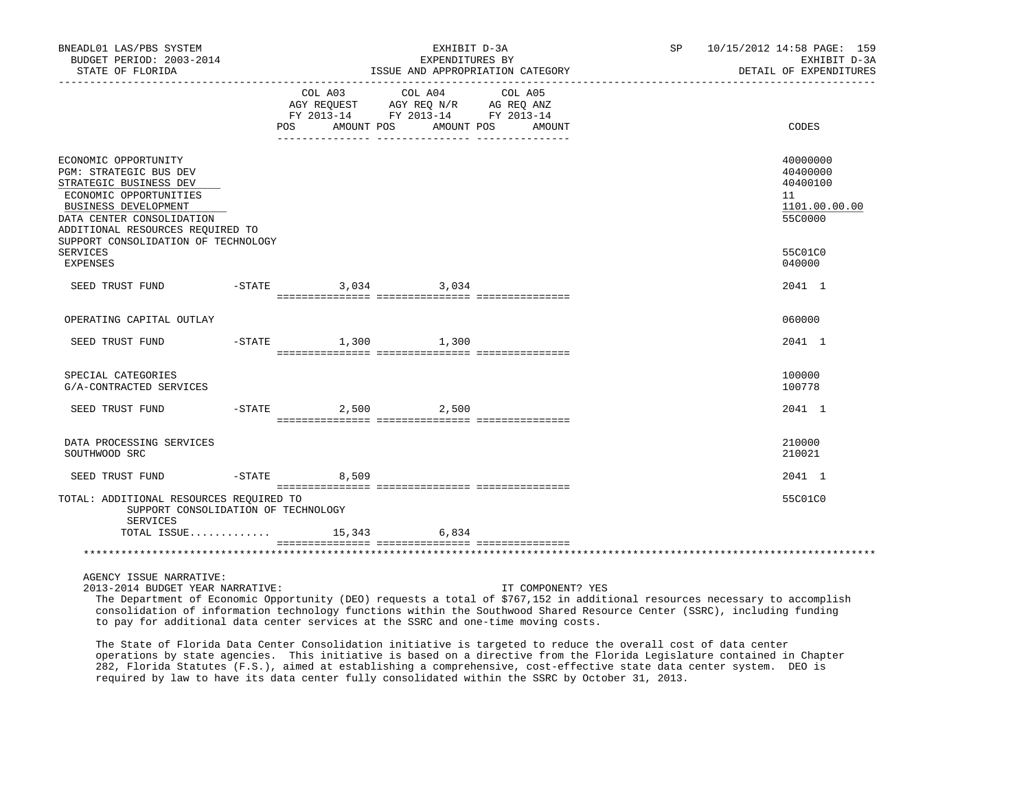| BNEADL01 LAS/PBS SYSTEM<br>BUDGET PERIOD: 2003-2014<br>STATE OF FLORIDA                                                                                                                                                                                                  |                | EXHIBIT D-3A<br>EXPENDITURES BY<br>ISSUE AND APPROPRIATION CATEGORY                                                       | SP 10/15/2012 14:58 PAGE: 159<br>EXHIBIT D-3A<br>DETAIL OF EXPENDITURES |                                                                                         |
|--------------------------------------------------------------------------------------------------------------------------------------------------------------------------------------------------------------------------------------------------------------------------|----------------|---------------------------------------------------------------------------------------------------------------------------|-------------------------------------------------------------------------|-----------------------------------------------------------------------------------------|
|                                                                                                                                                                                                                                                                          | COL A03        | ____________________________________<br>COL A04<br>AGY REQUEST AGY REQ N/R AG REQ ANZ<br>FY 2013-14 FY 2013-14 FY 2013-14 | COL A05<br>POS AMOUNT POS AMOUNT POS AMOUNT                             | CODES                                                                                   |
| ECONOMIC OPPORTUNITY<br>PGM: STRATEGIC BUS DEV<br>STRATEGIC BUSINESS DEV<br>ECONOMIC OPPORTUNITIES<br><b>BUSINESS DEVELOPMENT</b><br>DATA CENTER CONSOLIDATION<br>ADDITIONAL RESOURCES REQUIRED TO<br>SUPPORT CONSOLIDATION OF TECHNOLOGY<br>SERVICES<br><b>EXPENSES</b> |                |                                                                                                                           |                                                                         | 40000000<br>40400000<br>40400100<br>11<br>1101.00.00.00<br>55C0000<br>55C01C0<br>040000 |
| SEED TRUST FUND                                                                                                                                                                                                                                                          |                | $-$ STATE 3,034 3,034                                                                                                     |                                                                         | 2041 1                                                                                  |
| OPERATING CAPITAL OUTLAY                                                                                                                                                                                                                                                 |                |                                                                                                                           |                                                                         | 060000                                                                                  |
| SEED TRUST FUND                                                                                                                                                                                                                                                          |                | $-STATE$ 1,300 1,300                                                                                                      |                                                                         | 2041 1                                                                                  |
| SPECIAL CATEGORIES<br>G/A-CONTRACTED SERVICES                                                                                                                                                                                                                            |                |                                                                                                                           |                                                                         | 100000<br>100778                                                                        |
| SEED TRUST FUND -STATE 2,500 2,500                                                                                                                                                                                                                                       |                |                                                                                                                           |                                                                         | 2041 1                                                                                  |
| DATA PROCESSING SERVICES<br>SOUTHWOOD SRC                                                                                                                                                                                                                                |                |                                                                                                                           |                                                                         | 210000<br>210021                                                                        |
| SEED TRUST FUND                                                                                                                                                                                                                                                          | $-STATE$ 8,509 |                                                                                                                           |                                                                         | 2041 1                                                                                  |
| TOTAL: ADDITIONAL RESOURCES REQUIRED TO<br>SUPPORT CONSOLIDATION OF TECHNOLOGY<br>SERVICES                                                                                                                                                                               |                |                                                                                                                           |                                                                         | 55C01C0                                                                                 |
|                                                                                                                                                                                                                                                                          |                | TOTAL ISSUE 15,343 6,834                                                                                                  |                                                                         |                                                                                         |
|                                                                                                                                                                                                                                                                          |                |                                                                                                                           |                                                                         |                                                                                         |
| AGENCY ISSUE NARRATIVE:                                                                                                                                                                                                                                                  |                |                                                                                                                           |                                                                         |                                                                                         |

2013-2014 BUDGET YEAR NARRATIVE: IT COMPONENT? YES

 The Department of Economic Opportunity (DEO) requests a total of \$767,152 in additional resources necessary to accomplish consolidation of information technology functions within the Southwood Shared Resource Center (SSRC), including funding to pay for additional data center services at the SSRC and one-time moving costs.

 The State of Florida Data Center Consolidation initiative is targeted to reduce the overall cost of data center operations by state agencies. This initiative is based on a directive from the Florida Legislature contained in Chapter 282, Florida Statutes (F.S.), aimed at establishing a comprehensive, cost-effective state data center system. DEO is required by law to have its data center fully consolidated within the SSRC by October 31, 2013.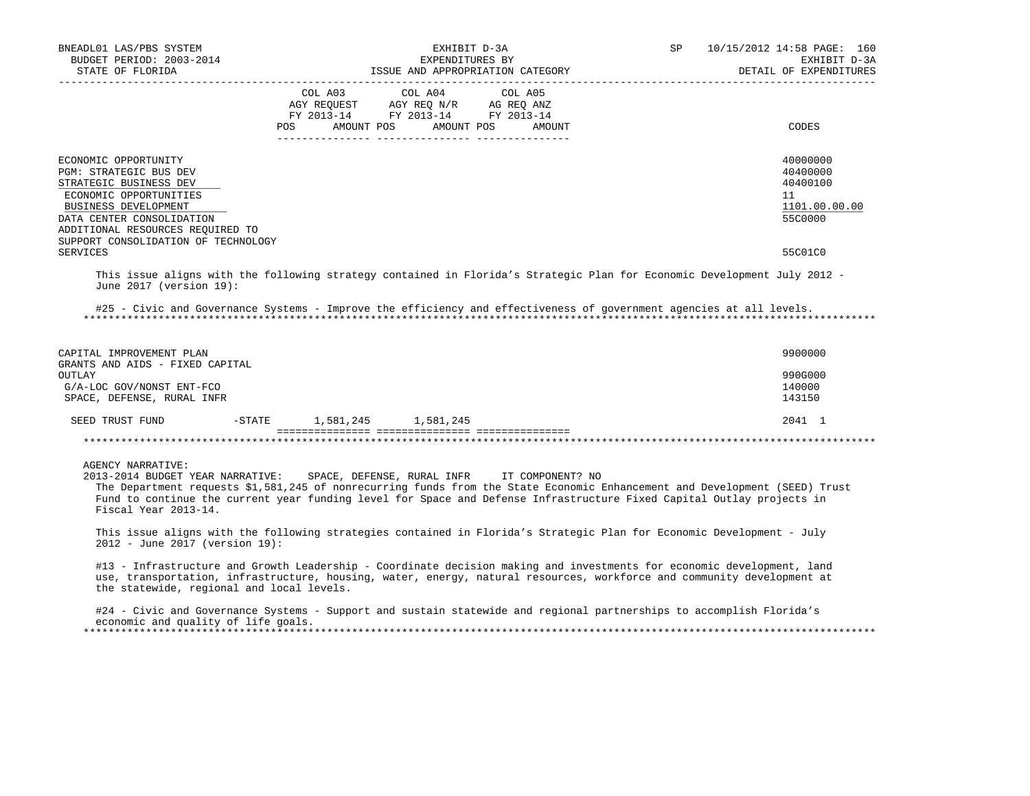| BNEADL01 LAS/PBS SYSTEM<br>BUDGET PERIOD: 2003-2014<br>STATE OF FLORIDA                                                                                                                                                                   |            | EXHIBIT D-3A<br>EXPENDITURES BY<br>ISSUE AND APPROPRIATION CATEGORY                                                           | SP     | 10/15/2012 14:58 PAGE: 160<br>EXHIBIT D-3A<br>DETAIL OF EXPENDITURES |                                                                    |
|-------------------------------------------------------------------------------------------------------------------------------------------------------------------------------------------------------------------------------------------|------------|-------------------------------------------------------------------------------------------------------------------------------|--------|----------------------------------------------------------------------|--------------------------------------------------------------------|
|                                                                                                                                                                                                                                           | <b>POS</b> | COL A03 COL A04 COL A05<br>AGY REQUEST AGY REQ N/R AG REQ ANZ<br>FY 2013-14 FY 2013-14 FY 2013-14<br>AMOUNT POS<br>AMOUNT POS | AMOUNT |                                                                      | CODES                                                              |
| ECONOMIC OPPORTUNITY<br>PGM: STRATEGIC BUS DEV<br>STRATEGIC BUSINESS DEV<br>ECONOMIC OPPORTUNITIES<br><b>BUSINESS DEVELOPMENT</b><br>DATA CENTER CONSOLIDATION<br>ADDITIONAL RESOURCES REQUIRED TO<br>SUPPORT CONSOLIDATION OF TECHNOLOGY |            |                                                                                                                               |        |                                                                      | 40000000<br>40400000<br>40400100<br>11<br>1101.00.00.00<br>55C0000 |
| <b>SERVICES</b>                                                                                                                                                                                                                           |            |                                                                                                                               |        |                                                                      | 55C01C0                                                            |
| This issue aligns with the following strategy contained in Florida's Strategic Plan for Economic Development July 2012 -<br>June 2017 (version 19):                                                                                       |            |                                                                                                                               |        |                                                                      |                                                                    |
| #25 - Civic and Governance Systems - Improve the efficiency and effectiveness of government agencies at all levels.                                                                                                                       |            |                                                                                                                               |        |                                                                      |                                                                    |
| CAPITAL IMPROVEMENT PLAN<br>$\alpha$                                                                                                                                                                                                      |            |                                                                                                                               |        |                                                                      | 9900000                                                            |

| GRANIS AND AIDS - FIAED CAPIIAL<br>OUTLAY<br>G/A-LOC GOV/NONST ENT-FCO |          |           |           | 990G000<br>140000 |
|------------------------------------------------------------------------|----------|-----------|-----------|-------------------|
| SPACE, DEFENSE, RURAL INFR                                             |          |           |           | 143150            |
| SEED TRUST FUND                                                        | $-STATE$ | 1,581,245 | 1,581,245 | 2041 1            |
|                                                                        |          |           |           |                   |

# AGENCY NARRATIVE:

 2013-2014 BUDGET YEAR NARRATIVE: SPACE, DEFENSE, RURAL INFR IT COMPONENT? NO The Department requests \$1,581,245 of nonrecurring funds from the State Economic Enhancement and Development (SEED) Trust Fund to continue the current year funding level for Space and Defense Infrastructure Fixed Capital Outlay projects in Fiscal Year 2013-14.

 This issue aligns with the following strategies contained in Florida's Strategic Plan for Economic Development - July 2012 - June 2017 (version 19):

#13 - Infrastructure and Growth Leadership - Coordinate decision making and investments for economic development, land use, transportation, infrastructure, housing, water, energy, natural resources, workforce and community development at the statewide, regional and local levels.

 #24 - Civic and Governance Systems - Support and sustain statewide and regional partnerships to accomplish Florida's economic and quality of life goals. \*\*\*\*\*\*\*\*\*\*\*\*\*\*\*\*\*\*\*\*\*\*\*\*\*\*\*\*\*\*\*\*\*\*\*\*\*\*\*\*\*\*\*\*\*\*\*\*\*\*\*\*\*\*\*\*\*\*\*\*\*\*\*\*\*\*\*\*\*\*\*\*\*\*\*\*\*\*\*\*\*\*\*\*\*\*\*\*\*\*\*\*\*\*\*\*\*\*\*\*\*\*\*\*\*\*\*\*\*\*\*\*\*\*\*\*\*\*\*\*\*\*\*\*\*\*\*